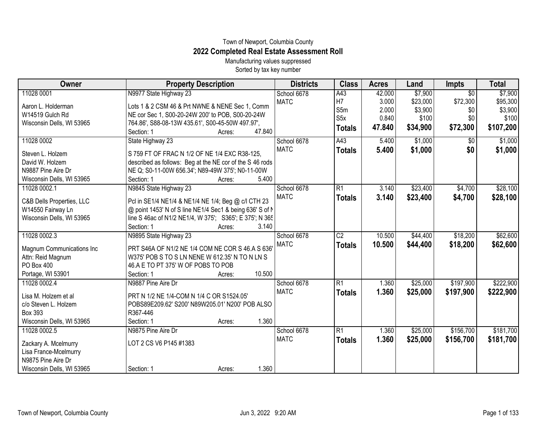## Town of Newport, Columbia County **2022 Completed Real Estate Assessment Roll**

Manufacturing values suppressed Sorted by tax key number

| Owner                     | <b>Property Description</b>                              | <b>Districts</b> | <b>Class</b>     | <b>Acres</b> | Land     | <b>Impts</b>    | <b>Total</b> |
|---------------------------|----------------------------------------------------------|------------------|------------------|--------------|----------|-----------------|--------------|
| 11028 0001                | N9977 State Highway 23                                   | School 6678      | A43              | 42.000       | \$7,900  | $\overline{30}$ | \$7,900      |
| Aaron L. Holderman        | Lots 1 & 2 CSM 46 & Prt NWNE & NENE Sec 1, Comm          | <b>MATC</b>      | H <sub>7</sub>   | 3.000        | \$23,000 | \$72,300        | \$95,300     |
| W14519 Gulch Rd           | NE cor Sec 1, S00-20-24W 200' to POB, S00-20-24W         |                  | S5m              | 2.000        | \$3,900  | \$0             | \$3,900      |
| Wisconsin Dells, WI 53965 | 764.86', S88-08-13W 435.61', S00-45-50W 497.97',         |                  | S <sub>5</sub> x | 0.840        | \$100    | \$0             | \$100        |
|                           | 47.840<br>Section: 1<br>Acres:                           |                  | <b>Totals</b>    | 47.840       | \$34,900 | \$72,300        | \$107,200    |
| 11028 0002                | State Highway 23                                         | School 6678      | A43              | 5.400        | \$1,000  | $\overline{50}$ | \$1,000      |
| Steven L. Holzem          | S 759 FT OF FRAC N 1/2 OF NE 1/4 EXC R38-125,            | <b>MATC</b>      | <b>Totals</b>    | 5.400        | \$1,000  | \$0             | \$1,000      |
| David W. Holzem           | described as follows: Beg at the NE cor of the S 46 rods |                  |                  |              |          |                 |              |
| N9887 Pine Aire Dr        | NE Q; S0-11-00W 656.34'; N89-49W 375'; N0-11-00W         |                  |                  |              |          |                 |              |
| Wisconsin Dells, WI 53965 | 5.400<br>Section: 1<br>Acres:                            |                  |                  |              |          |                 |              |
| 11028 0002.1              | N9845 State Highway 23                                   | School 6678      | R1               | 3.140        | \$23,400 | \$4,700         | \$28,100     |
| C&B Dells Properties, LLC | Pcl in SE1/4 NE1/4 & NE1/4 NE 1/4; Beg @ c/l CTH 23      | <b>MATC</b>      | <b>Totals</b>    | 3.140        | \$23,400 | \$4,700         | \$28,100     |
| W14550 Fairway Ln         | @ point 1453' N of S line NE1/4 Sec1 & being 636' S of N |                  |                  |              |          |                 |              |
| Wisconsin Dells, WI 53965 | line S 46ac of N1/2 NE1/4, W 375'; S365'; E 375'; N 365  |                  |                  |              |          |                 |              |
|                           | Section: 1<br>3.140<br>Acres:                            |                  |                  |              |          |                 |              |
| 11028 0002.3              | N9895 State Highway 23                                   | School 6678      | $\overline{C2}$  | 10.500       | \$44,400 | \$18,200        | \$62,600     |
| Magnum Communications Inc | PRT S46A OF N1/2 NE 1/4 COM NE COR S 46.A S 636'         | <b>MATC</b>      | <b>Totals</b>    | 10.500       | \$44,400 | \$18,200        | \$62,600     |
| Attn: Reid Magnum         | W375' POB S TO S LN NENE W 612.35' N TO N LN S           |                  |                  |              |          |                 |              |
| PO Box 400                | 46.A E TO PT 375' W OF POBS TO POB                       |                  |                  |              |          |                 |              |
| Portage, WI 53901         | 10.500<br>Section: 1<br>Acres:                           |                  |                  |              |          |                 |              |
| 11028 0002.4              | N9887 Pine Aire Dr                                       | School 6678      | $\overline{R1}$  | 1.360        | \$25,000 | \$197,900       | \$222,900    |
|                           |                                                          | <b>MATC</b>      |                  | 1.360        |          |                 |              |
| Lisa M. Holzem et al      | PRT N 1/2 NE 1/4-COM N 1/4 C OR S1524.05'                |                  | <b>Totals</b>    |              | \$25,000 | \$197,900       | \$222,900    |
| c/o Steven L. Holzem      | POBS89E209.62' S200' N89W205.01' N200' POB ALSO          |                  |                  |              |          |                 |              |
| Box 393                   | R367-446                                                 |                  |                  |              |          |                 |              |
| Wisconsin Dells, WI 53965 | 1.360<br>Section: 1<br>Acres:                            |                  |                  |              |          |                 |              |
| 11028 0002.5              | N9875 Pine Aire Dr                                       | School 6678      | $\overline{R1}$  | 1.360        | \$25,000 | \$156,700       | \$181,700    |
| Zackary A. Mcelmurry      | LOT 2 CS V6 P145 #1383                                   | <b>MATC</b>      | <b>Totals</b>    | 1.360        | \$25,000 | \$156,700       | \$181,700    |
| Lisa France-Mcelmurry     |                                                          |                  |                  |              |          |                 |              |
| N9875 Pine Aire Dr        |                                                          |                  |                  |              |          |                 |              |
| Wisconsin Dells, WI 53965 | 1.360<br>Section: 1<br>Acres:                            |                  |                  |              |          |                 |              |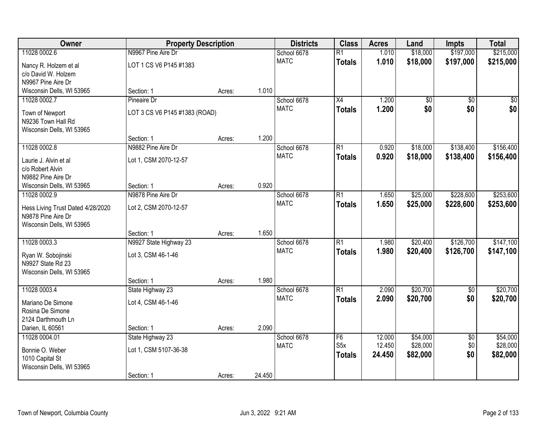| Owner                                     | <b>Property Description</b>   |        |        | <b>Districts</b> | <b>Class</b>     | <b>Acres</b> | Land            | <b>Impts</b>    | <b>Total</b> |
|-------------------------------------------|-------------------------------|--------|--------|------------------|------------------|--------------|-----------------|-----------------|--------------|
| 11028 0002.6                              | N9967 Pine Aire Dr            |        |        | School 6678      | $\overline{R1}$  | 1.010        | \$18,000        | \$197,000       | \$215,000    |
| Nancy R. Holzem et al                     | LOT 1 CS V6 P145 #1383        |        |        | <b>MATC</b>      | <b>Totals</b>    | 1.010        | \$18,000        | \$197,000       | \$215,000    |
| c/o David W. Holzem                       |                               |        |        |                  |                  |              |                 |                 |              |
| N9967 Pine Aire Dr                        |                               |        |        |                  |                  |              |                 |                 |              |
| Wisconsin Dells, WI 53965                 | Section: 1                    | Acres: | 1.010  |                  |                  |              |                 |                 |              |
| 11028 0002.7                              | Pineaire Dr                   |        |        | School 6678      | $\overline{X4}$  | 1.200        | $\overline{50}$ | $\overline{50}$ | $\sqrt{50}$  |
| Town of Newport                           | LOT 3 CS V6 P145 #1383 (ROAD) |        |        | <b>MATC</b>      | <b>Totals</b>    | 1.200        | \$0             | \$0             | \$0          |
| N9236 Town Hall Rd                        |                               |        |        |                  |                  |              |                 |                 |              |
| Wisconsin Dells, WI 53965                 |                               |        |        |                  |                  |              |                 |                 |              |
|                                           | Section: 1                    | Acres: | 1.200  |                  |                  |              |                 |                 |              |
| 11028 0002.8                              | N9882 Pine Aire Dr            |        |        | School 6678      | $\overline{R1}$  | 0.920        | \$18,000        | \$138,400       | \$156,400    |
|                                           |                               |        |        | <b>MATC</b>      | <b>Totals</b>    | 0.920        | \$18,000        | \$138,400       | \$156,400    |
| Laurie J. Alvin et al<br>c/o Robert Alvin | Lot 1, CSM 2070-12-57         |        |        |                  |                  |              |                 |                 |              |
| N9882 Pine Aire Dr                        |                               |        |        |                  |                  |              |                 |                 |              |
| Wisconsin Dells, WI 53965                 | Section: 1                    | Acres: | 0.920  |                  |                  |              |                 |                 |              |
| 11028 0002.9                              | N9878 Pine Aire Dr            |        |        | School 6678      | $\overline{R1}$  | 1.650        | \$25,000        | \$228,600       | \$253,600    |
|                                           |                               |        |        | <b>MATC</b>      | <b>Totals</b>    | 1.650        | \$25,000        | \$228,600       | \$253,600    |
| Hess Living Trust Dated 4/28/2020         | Lot 2, CSM 2070-12-57         |        |        |                  |                  |              |                 |                 |              |
| N9878 Pine Aire Dr                        |                               |        |        |                  |                  |              |                 |                 |              |
| Wisconsin Dells, WI 53965                 | Section: 1                    |        | 1.650  |                  |                  |              |                 |                 |              |
| 11028 0003.3                              | N9927 State Highway 23        | Acres: |        | School 6678      | $\overline{R1}$  | 1.980        | \$20,400        | \$126,700       | \$147,100    |
|                                           |                               |        |        | <b>MATC</b>      | <b>Totals</b>    | 1.980        | \$20,400        | \$126,700       | \$147,100    |
| Ryan W. Sobojinski                        | Lot 3, CSM 46-1-46            |        |        |                  |                  |              |                 |                 |              |
| N9927 State Rd 23                         |                               |        |        |                  |                  |              |                 |                 |              |
| Wisconsin Dells, WI 53965                 |                               |        |        |                  |                  |              |                 |                 |              |
|                                           | Section: 1                    | Acres: | 1.980  |                  |                  |              |                 |                 |              |
| 11028 0003.4                              | State Highway 23              |        |        | School 6678      | $\overline{R1}$  | 2.090        | \$20,700        | $\overline{60}$ | \$20,700     |
| Mariano De Simone                         | Lot 4, CSM 46-1-46            |        |        | <b>MATC</b>      | <b>Totals</b>    | 2.090        | \$20,700        | \$0             | \$20,700     |
| Rosina De Simone                          |                               |        |        |                  |                  |              |                 |                 |              |
| 2124 Darthmouth Ln                        |                               |        |        |                  |                  |              |                 |                 |              |
| Darien, IL 60561                          | Section: 1                    | Acres: | 2.090  |                  |                  |              |                 |                 |              |
| 11028 0004.01                             | State Highway 23              |        |        | School 6678      | F6               | 12.000       | \$54,000        | $\overline{50}$ | \$54,000     |
| Bonnie O. Weber                           | Lot 1, CSM 5107-36-38         |        |        | <b>MATC</b>      | S <sub>5</sub> x | 12.450       | \$28,000        | \$0             | \$28,000     |
| 1010 Capital St                           |                               |        |        |                  | <b>Totals</b>    | 24.450       | \$82,000        | \$0             | \$82,000     |
| Wisconsin Dells, WI 53965                 |                               |        |        |                  |                  |              |                 |                 |              |
|                                           | Section: 1                    | Acres: | 24.450 |                  |                  |              |                 |                 |              |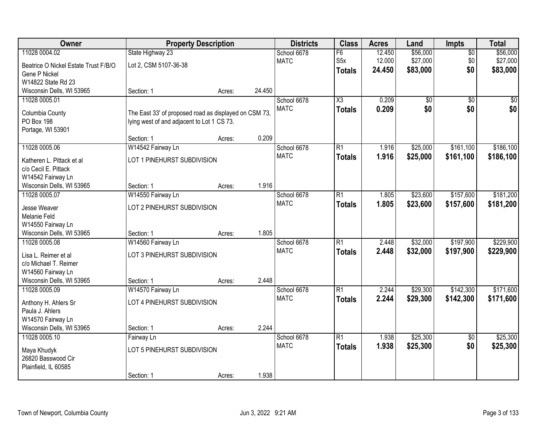| Owner                                          | <b>Property Description</b>                           |        |        | <b>Districts</b>           | <b>Class</b>           | <b>Acres</b>   | Land            | Impts                  | <b>Total</b>    |
|------------------------------------------------|-------------------------------------------------------|--------|--------|----------------------------|------------------------|----------------|-----------------|------------------------|-----------------|
| 11028 0004.02                                  | State Highway 23                                      |        |        | School 6678                | $\overline{F6}$        | 12.450         | \$56,000        | $\overline{50}$        | \$56,000        |
| Beatrice O Nickel Estate Trust F/B/O           | Lot 2, CSM 5107-36-38                                 |        |        | <b>MATC</b>                | S <sub>5</sub> x       | 12.000         | \$27,000        | \$0                    | \$27,000        |
| Gene P Nickel                                  |                                                       |        |        |                            | <b>Totals</b>          | 24.450         | \$83,000        | \$0                    | \$83,000        |
| W14822 State Rd 23                             |                                                       |        |        |                            |                        |                |                 |                        |                 |
| Wisconsin Dells, WI 53965                      | Section: 1                                            | Acres: | 24.450 |                            |                        |                |                 |                        |                 |
| 11028 0005.01                                  |                                                       |        |        | School 6678                | $\overline{\text{X3}}$ | 0.209          | $\overline{50}$ | $\overline{50}$        | $\overline{50}$ |
| Columbia County                                | The East 33' of proposed road as displayed on CSM 73, |        |        | <b>MATC</b>                | <b>Totals</b>          | 0.209          | \$0             | \$0                    | \$0             |
| PO Box 198                                     | lying west of and adjacent to Lot 1 CS 73.            |        |        |                            |                        |                |                 |                        |                 |
| Portage, WI 53901                              |                                                       |        |        |                            |                        |                |                 |                        |                 |
|                                                | Section: 1                                            | Acres: | 0.209  |                            |                        |                |                 |                        |                 |
| 11028 0005.06                                  | W14542 Fairway Ln                                     |        |        | School 6678                | $\overline{R1}$        | 1.916          | \$25,000        | \$161,100              | \$186,100       |
| Katheren L. Pittack et al                      | LOT 1 PINEHURST SUBDIVISION                           |        |        | <b>MATC</b>                | <b>Totals</b>          | 1.916          | \$25,000        | \$161,100              | \$186,100       |
| c/o Cecil E. Pittack                           |                                                       |        |        |                            |                        |                |                 |                        |                 |
| W14542 Fairway Ln                              |                                                       |        |        |                            |                        |                |                 |                        |                 |
| Wisconsin Dells, WI 53965                      | Section: 1                                            | Acres: | 1.916  |                            |                        |                |                 |                        |                 |
| 11028 0005.07                                  | W14550 Fairway Ln                                     |        |        | School 6678                | $\overline{R1}$        | 1.805          | \$23,600        | \$157,600              | \$181,200       |
|                                                |                                                       |        |        | <b>MATC</b>                | <b>Totals</b>          | 1.805          | \$23,600        | \$157,600              | \$181,200       |
| Jesse Weaver<br>Melanie Feld                   | LOT 2 PINEHURST SUBDIVISION                           |        |        |                            |                        |                |                 |                        |                 |
| W14550 Fairway Ln                              |                                                       |        |        |                            |                        |                |                 |                        |                 |
| Wisconsin Dells, WI 53965                      | Section: 1                                            | Acres: | 1.805  |                            |                        |                |                 |                        |                 |
| 11028 0005.08                                  | W14560 Fairway Ln                                     |        |        | School 6678                | $\overline{R1}$        | 2.448          | \$32,000        | \$197,900              | \$229,900       |
|                                                |                                                       |        |        | <b>MATC</b>                | <b>Totals</b>          | 2.448          | \$32,000        | \$197,900              | \$229,900       |
| Lisa L. Reimer et al                           | LOT 3 PINEHURST SUBDIVISION                           |        |        |                            |                        |                |                 |                        |                 |
| c/o Michael T. Reimer                          |                                                       |        |        |                            |                        |                |                 |                        |                 |
| W14560 Fairway Ln<br>Wisconsin Dells, WI 53965 | Section: 1                                            | Acres: | 2.448  |                            |                        |                |                 |                        |                 |
| 11028 0005.09                                  | W14570 Fairway Ln                                     |        |        | School 6678                | $\overline{R1}$        | 2.244          | \$29,300        | \$142,300              | \$171,600       |
|                                                |                                                       |        |        | <b>MATC</b>                | <b>Totals</b>          | 2.244          | \$29,300        | \$142,300              | \$171,600       |
| Anthony H. Ahlers Sr                           | LOT 4 PINEHURST SUBDIVISION                           |        |        |                            |                        |                |                 |                        |                 |
| Paula J. Ahlers                                |                                                       |        |        |                            |                        |                |                 |                        |                 |
| W14570 Fairway Ln                              |                                                       |        |        |                            |                        |                |                 |                        |                 |
| Wisconsin Dells, WI 53965<br>11028 0005.10     | Section: 1                                            | Acres: | 2.244  |                            | $\overline{R1}$        |                |                 |                        |                 |
|                                                | Fairway Ln                                            |        |        | School 6678<br><b>MATC</b> |                        | 1.938<br>1.938 | \$25,300        | $\overline{50}$<br>\$0 | \$25,300        |
| Maya Khudyk                                    | LOT 5 PINEHURST SUBDIVISION                           |        |        |                            | <b>Totals</b>          |                | \$25,300        |                        | \$25,300        |
| 26820 Basswood Cir                             |                                                       |        |        |                            |                        |                |                 |                        |                 |
| Plainfield, IL 60585                           |                                                       |        |        |                            |                        |                |                 |                        |                 |
|                                                | Section: 1                                            | Acres: | 1.938  |                            |                        |                |                 |                        |                 |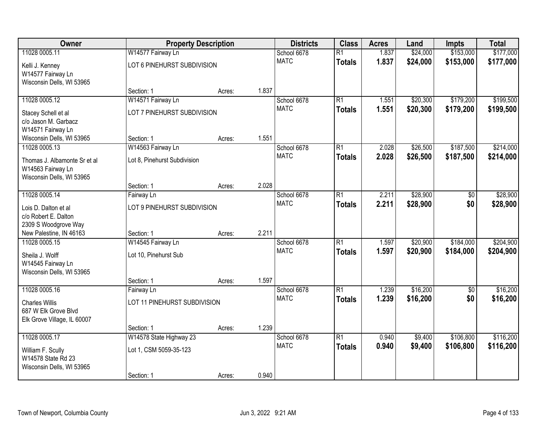| Owner                                                                          |                              | <b>Property Description</b> |       | <b>Districts</b> | <b>Class</b>    | <b>Acres</b> | Land     | <b>Impts</b>    | <b>Total</b> |
|--------------------------------------------------------------------------------|------------------------------|-----------------------------|-------|------------------|-----------------|--------------|----------|-----------------|--------------|
| 11028 0005.11                                                                  | W14577 Fairway Ln            |                             |       | School 6678      | $\overline{R1}$ | 1.837        | \$24,000 | \$153,000       | \$177,000    |
| Kelli J. Kenney<br>W14577 Fairway Ln<br>Wisconsin Dells, WI 53965              | LOT 6 PINEHURST SUBDIVISION  |                             |       | <b>MATC</b>      | <b>Totals</b>   | 1.837        | \$24,000 | \$153,000       | \$177,000    |
|                                                                                | Section: 1                   | Acres:                      | 1.837 |                  |                 |              |          |                 |              |
| 11028 0005.12                                                                  | W14571 Fairway Ln            |                             |       | School 6678      | $\overline{R1}$ | 1.551        | \$20,300 | \$179,200       | \$199,500    |
| Stacey Schell et al<br>c/o Jason M. Garbacz<br>W14571 Fairway Ln               | LOT 7 PINEHURST SUBDIVISION  |                             |       | <b>MATC</b>      | <b>Totals</b>   | 1.551        | \$20,300 | \$179,200       | \$199,500    |
| Wisconsin Dells, WI 53965                                                      | Section: 1                   | Acres:                      | 1.551 |                  |                 |              |          |                 |              |
| 11028 0005.13                                                                  | W14563 Fairway Ln            |                             |       | School 6678      | $\overline{R1}$ | 2.028        | \$26,500 | \$187,500       | \$214,000    |
| Thomas J. Albamonte Sr et al<br>W14563 Fairway Ln<br>Wisconsin Dells, WI 53965 | Lot 8, Pinehurst Subdivision |                             |       | <b>MATC</b>      | <b>Totals</b>   | 2.028        | \$26,500 | \$187,500       | \$214,000    |
|                                                                                | Section: 1                   | Acres:                      | 2.028 |                  |                 |              |          |                 |              |
| 11028 0005.14                                                                  | Fairway Ln                   |                             |       | School 6678      | $\overline{R1}$ | 2.211        | \$28,900 | $\overline{50}$ | \$28,900     |
| Lois D. Dalton et al<br>c/o Robert E. Dalton<br>2309 S Woodgrove Way           | LOT 9 PINEHURST SUBDIVISION  |                             |       | <b>MATC</b>      | <b>Totals</b>   | 2.211        | \$28,900 | \$0             | \$28,900     |
| New Palestine, IN 46163                                                        | Section: 1                   | Acres:                      | 2.211 |                  |                 |              |          |                 |              |
| 11028 0005.15                                                                  | W14545 Fairway Ln            |                             |       | School 6678      | $\overline{R1}$ | 1.597        | \$20,900 | \$184,000       | \$204,900    |
| Sheila J. Wolff                                                                | Lot 10, Pinehurst Sub        |                             |       | <b>MATC</b>      | <b>Totals</b>   | 1.597        | \$20,900 | \$184,000       | \$204,900    |
| W14545 Fairway Ln<br>Wisconsin Dells, WI 53965                                 |                              |                             |       |                  |                 |              |          |                 |              |
|                                                                                | Section: 1                   | Acres:                      | 1.597 |                  |                 |              |          |                 |              |
| 11028 0005.16                                                                  | Fairway Ln                   |                             |       | School 6678      | $\overline{R1}$ | 1.239        | \$16,200 | $\sqrt{6}$      | \$16,200     |
| <b>Charles Willis</b><br>687 W Elk Grove Blvd<br>Elk Grove Village, IL 60007   | LOT 11 PINEHURST SUBDIVISION |                             |       | <b>MATC</b>      | <b>Totals</b>   | 1.239        | \$16,200 | \$0             | \$16,200     |
|                                                                                | Section: 1                   | Acres:                      | 1.239 |                  |                 |              |          |                 |              |
| 11028 0005.17                                                                  | W14578 State Highway 23      |                             |       | School 6678      | $\overline{R1}$ | 0.940        | \$9,400  | \$106,800       | \$116,200    |
| William F. Scully<br>W14578 State Rd 23<br>Wisconsin Dells, WI 53965           | Lot 1, CSM 5059-35-123       |                             |       | <b>MATC</b>      | <b>Totals</b>   | 0.940        | \$9,400  | \$106,800       | \$116,200    |
|                                                                                | Section: 1                   | Acres:                      | 0.940 |                  |                 |              |          |                 |              |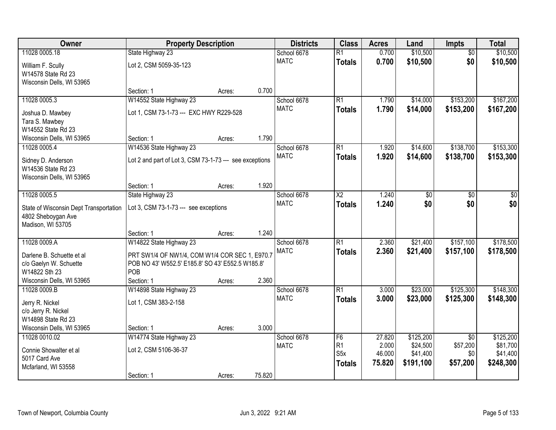| Owner                                  | <b>Property Description</b>                             |        |        | <b>Districts</b> | <b>Class</b>     | <b>Acres</b> | Land      | Impts           | <b>Total</b> |
|----------------------------------------|---------------------------------------------------------|--------|--------|------------------|------------------|--------------|-----------|-----------------|--------------|
| 11028 0005.18                          | State Highway 23                                        |        |        | School 6678      | $\overline{R1}$  | 0.700        | \$10,500  | $\overline{50}$ | \$10,500     |
| William F. Scully                      | Lot 2, CSM 5059-35-123                                  |        |        | <b>MATC</b>      | <b>Totals</b>    | 0.700        | \$10,500  | \$0             | \$10,500     |
| W14578 State Rd 23                     |                                                         |        |        |                  |                  |              |           |                 |              |
| Wisconsin Dells, WI 53965              |                                                         |        |        |                  |                  |              |           |                 |              |
|                                        | Section: 1                                              | Acres: | 0.700  |                  |                  |              |           |                 |              |
| 11028 0005.3                           | W14552 State Highway 23                                 |        |        | School 6678      | $\overline{R1}$  | 1.790        | \$14,000  | \$153,200       | \$167,200    |
| Joshua D. Mawbey                       | Lot 1, CSM 73-1-73 --- EXC HWY R229-528                 |        |        | <b>MATC</b>      | <b>Totals</b>    | 1.790        | \$14,000  | \$153,200       | \$167,200    |
| Tara S. Mawbey                         |                                                         |        |        |                  |                  |              |           |                 |              |
| W14552 State Rd 23                     |                                                         |        |        |                  |                  |              |           |                 |              |
| Wisconsin Dells, WI 53965              | Section: 1                                              | Acres: | 1.790  |                  |                  |              |           |                 |              |
| 11028 0005.4                           | W14536 State Highway 23                                 |        |        | School 6678      | $\overline{R1}$  | 1.920        | \$14,600  | \$138,700       | \$153,300    |
| Sidney D. Anderson                     | Lot 2 and part of Lot 3, CSM 73-1-73 --- see exceptions |        |        | <b>MATC</b>      | <b>Totals</b>    | 1.920        | \$14,600  | \$138,700       | \$153,300    |
| W14536 State Rd 23                     |                                                         |        |        |                  |                  |              |           |                 |              |
| Wisconsin Dells, WI 53965              |                                                         |        |        |                  |                  |              |           |                 |              |
|                                        | Section: 1                                              | Acres: | 1.920  |                  |                  |              |           |                 |              |
| 11028 0005.5                           | State Highway 23                                        |        |        | School 6678      | $\overline{X2}$  | 1.240        | \$0       | \$0             | \$0          |
| State of Wisconsin Dept Transportation | Lot 3, CSM 73-1-73 --- see exceptions                   |        |        | <b>MATC</b>      | <b>Totals</b>    | 1.240        | \$0       | \$0             | \$0          |
| 4802 Sheboygan Ave                     |                                                         |        |        |                  |                  |              |           |                 |              |
| Madison, WI 53705                      |                                                         |        |        |                  |                  |              |           |                 |              |
|                                        | Section: 1                                              | Acres: | 1.240  |                  |                  |              |           |                 |              |
| 11028 0009.A                           | W14822 State Highway 23                                 |        |        | School 6678      | $\overline{R1}$  | 2.360        | \$21,400  | \$157,100       | \$178,500    |
| Darlene B. Schuette et al              | PRT SW1/4 OF NW1/4, COM W1/4 COR SEC 1, E970.7          |        |        | <b>MATC</b>      | <b>Totals</b>    | 2.360        | \$21,400  | \$157,100       | \$178,500    |
| c/o Gaelyn W. Schuette                 | POB NO 43' W552.5' E185.8' SO 43' E552.5 W185.8'        |        |        |                  |                  |              |           |                 |              |
| W14822 Sth 23                          | POB                                                     |        |        |                  |                  |              |           |                 |              |
| Wisconsin Dells, WI 53965              | Section: 1                                              | Acres: | 2.360  |                  |                  |              |           |                 |              |
| 11028 0009.B                           | W14898 State Highway 23                                 |        |        | School 6678      | $\overline{R1}$  | 3.000        | \$23,000  | \$125,300       | \$148,300    |
| Jerry R. Nickel                        | Lot 1, CSM 383-2-158                                    |        |        | <b>MATC</b>      | <b>Totals</b>    | 3.000        | \$23,000  | \$125,300       | \$148,300    |
| c/o Jerry R. Nickel                    |                                                         |        |        |                  |                  |              |           |                 |              |
| W14898 State Rd 23                     |                                                         |        |        |                  |                  |              |           |                 |              |
| Wisconsin Dells, WI 53965              | Section: 1                                              | Acres: | 3.000  |                  |                  |              |           |                 |              |
| 11028 0010.02                          | W14774 State Highway 23                                 |        |        | School 6678      | F6               | 27.820       | \$125,200 | $\overline{50}$ | \$125,200    |
| Connie Showalter et al                 | Lot 2, CSM 5106-36-37                                   |        |        | <b>MATC</b>      | R1               | 2.000        | \$24,500  | \$57,200        | \$81,700     |
| 5017 Card Ave                          |                                                         |        |        |                  | S <sub>5</sub> x | 46.000       | \$41,400  | \$0             | \$41,400     |
| Mcfarland, WI 53558                    |                                                         |        |        |                  | <b>Totals</b>    | 75.820       | \$191,100 | \$57,200        | \$248,300    |
|                                        | Section: 1                                              | Acres: | 75.820 |                  |                  |              |           |                 |              |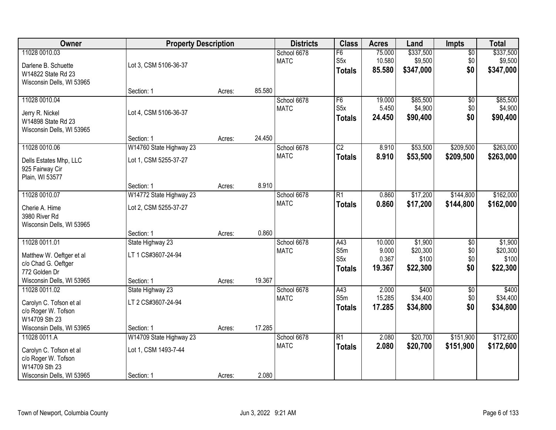| Owner                                                                                                          | <b>Property Description</b>                          |        |        | <b>Districts</b>           | <b>Class</b>                                    | <b>Acres</b>                       | Land                                     | <b>Impts</b>                         | <b>Total</b>                             |
|----------------------------------------------------------------------------------------------------------------|------------------------------------------------------|--------|--------|----------------------------|-------------------------------------------------|------------------------------------|------------------------------------------|--------------------------------------|------------------------------------------|
| 11028 0010.03<br>Darlene B. Schuette<br>W14822 State Rd 23<br>Wisconsin Dells, WI 53965                        | Lot 3, CSM 5106-36-37                                |        |        | School 6678<br><b>MATC</b> | F6<br>S <sub>5</sub> x<br><b>Totals</b>         | 75.000<br>10.580<br>85.580         | \$337,500<br>\$9,500<br>\$347,000        | $\overline{50}$<br>\$0<br>\$0        | \$337,500<br>\$9,500<br>\$347,000        |
|                                                                                                                | Section: 1                                           | Acres: | 85.580 |                            |                                                 |                                    |                                          |                                      |                                          |
| 11028 0010.04<br>Jerry R. Nickel<br>W14898 State Rd 23<br>Wisconsin Dells, WI 53965                            | Lot 4, CSM 5106-36-37                                |        |        | School 6678<br><b>MATC</b> | F6<br>S <sub>5</sub> x<br><b>Totals</b>         | 19.000<br>5.450<br>24.450          | \$85,500<br>\$4,900<br>\$90,400          | \$0<br>\$0<br>\$0                    | \$85,500<br>\$4,900<br>\$90,400          |
| 11028 0010.06                                                                                                  | Section: 1<br>W14760 State Highway 23                | Acres: | 24.450 | School 6678                | $\overline{C2}$                                 | 8.910                              | \$53,500                                 | \$209,500                            | \$263,000                                |
| Dells Estates Mhp, LLC<br>925 Fairway Cir<br>Plain, WI 53577                                                   | Lot 1, CSM 5255-37-27                                |        |        | <b>MATC</b>                | <b>Totals</b>                                   | 8.910                              | \$53,500                                 | \$209,500                            | \$263,000                                |
|                                                                                                                | Section: 1                                           | Acres: | 8.910  |                            |                                                 |                                    |                                          |                                      |                                          |
| 11028 0010.07<br>Cherie A. Hime<br>3980 River Rd<br>Wisconsin Dells, WI 53965                                  | W14772 State Highway 23<br>Lot 2, CSM 5255-37-27     |        |        | School 6678<br><b>MATC</b> | $\overline{R1}$<br><b>Totals</b>                | 0.860<br>0.860                     | \$17,200<br>\$17,200                     | \$144,800<br>\$144,800               | \$162,000<br>\$162,000                   |
|                                                                                                                | Section: 1                                           | Acres: | 0.860  |                            |                                                 |                                    |                                          |                                      |                                          |
| 11028 0011.01<br>Matthew W. Oeftger et al<br>c/o Chad G. Oeftger<br>772 Golden Dr<br>Wisconsin Dells, WI 53965 | State Highway 23<br>LT 1 CS#3607-24-94<br>Section: 1 | Acres: | 19.367 | School 6678<br><b>MATC</b> | A43<br>S5m<br>S <sub>5</sub> x<br><b>Totals</b> | 10.000<br>9.000<br>0.367<br>19.367 | \$1,900<br>\$20,300<br>\$100<br>\$22,300 | $\overline{50}$<br>\$0<br>\$0<br>\$0 | \$1,900<br>\$20,300<br>\$100<br>\$22,300 |
| 11028 0011.02<br>Carolyn C. Tofson et al<br>c/o Roger W. Tofson<br>W14709 Sth 23                               | State Highway 23<br>LT 2 CS#3607-24-94               |        |        | School 6678<br><b>MATC</b> | A43<br>S5m<br><b>Totals</b>                     | 2.000<br>15.285<br>17.285          | \$400<br>\$34,400<br>\$34,800            | $\sqrt{$0}$<br>\$0<br>\$0            | \$400<br>\$34,400<br>\$34,800            |
| Wisconsin Dells, WI 53965<br>11028 0011.A                                                                      | Section: 1<br>W14709 State Highway 23                | Acres: | 17.285 | School 6678                | $\overline{R1}$                                 | 2.080                              | \$20,700                                 | \$151,900                            | \$172,600                                |
| Carolyn C. Tofson et al<br>c/o Roger W. Tofson<br>W14709 Sth 23<br>Wisconsin Dells, WI 53965                   | Lot 1, CSM 1493-7-44<br>Section: 1                   | Acres: | 2.080  | <b>MATC</b>                | <b>Totals</b>                                   | 2.080                              | \$20,700                                 | \$151,900                            | \$172,600                                |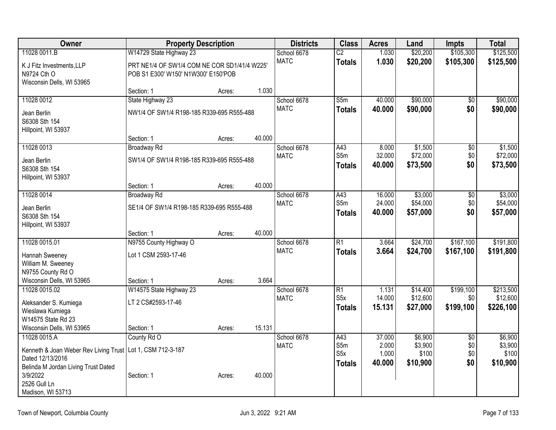| Owner                                                                                                                                                                                    | <b>Property Description</b>                                                         |        |        | <b>Districts</b>           | <b>Class</b>                                         | <b>Acres</b>                       | Land                                    | <b>Impts</b>                         | <b>Total</b>                            |
|------------------------------------------------------------------------------------------------------------------------------------------------------------------------------------------|-------------------------------------------------------------------------------------|--------|--------|----------------------------|------------------------------------------------------|------------------------------------|-----------------------------------------|--------------------------------------|-----------------------------------------|
| 11028 0011.B                                                                                                                                                                             | W14729 State Highway 23                                                             |        |        | School 6678                | $\overline{C2}$                                      | 1.030                              | \$20,200                                | \$105,300                            | \$125,500                               |
| K J Fitz Investments, LLP<br>N9724 Cth O<br>Wisconsin Dells, WI 53965                                                                                                                    | PRT NE1/4 OF SW1/4 COM NE COR SD1/41/4 W225'<br>POB S1 E300' W150' N1W300' E150'POB |        |        | <b>MATC</b>                | <b>Totals</b>                                        | 1.030                              | \$20,200                                | \$105,300                            | \$125,500                               |
|                                                                                                                                                                                          | Section: 1                                                                          | Acres: | 1.030  |                            |                                                      |                                    |                                         |                                      |                                         |
| 11028 0012                                                                                                                                                                               | State Highway 23                                                                    |        |        | School 6678                | S5m                                                  | 40.000                             | \$90,000                                | $\overline{50}$                      | \$90,000                                |
| Jean Berlin<br>S6308 Sth 154<br>Hillpoint, WI 53937                                                                                                                                      | NW1/4 OF SW1/4 R198-185 R339-695 R555-488                                           |        |        | <b>MATC</b>                | <b>Totals</b>                                        | 40.000                             | \$90,000                                | \$0                                  | \$90,000                                |
|                                                                                                                                                                                          | Section: 1                                                                          | Acres: | 40.000 |                            |                                                      |                                    |                                         |                                      |                                         |
| 11028 0013<br>Jean Berlin<br>S6308 Sth 154<br>Hillpoint, WI 53937                                                                                                                        | <b>Broadway Rd</b><br>SW1/4 OF SW1/4 R198-185 R339-695 R555-488                     |        |        | School 6678<br><b>MATC</b> | A43<br>S5m<br><b>Totals</b>                          | 8.000<br>32.000<br>40.000          | \$1,500<br>\$72,000<br>\$73,500         | $\overline{50}$<br>\$0<br>\$0        | \$1,500<br>\$72,000<br>\$73,500         |
|                                                                                                                                                                                          | Section: 1                                                                          | Acres: | 40.000 |                            |                                                      |                                    |                                         |                                      |                                         |
| 11028 0014                                                                                                                                                                               | <b>Broadway Rd</b>                                                                  |        |        | School 6678                | A43                                                  | 16.000                             | \$3,000                                 | $\overline{50}$                      | \$3,000                                 |
| Jean Berlin<br>S6308 Sth 154<br>Hillpoint, WI 53937                                                                                                                                      | SE1/4 OF SW1/4 R198-185 R339-695 R555-488                                           |        |        | <b>MATC</b>                | S5m<br><b>Totals</b>                                 | 24.000<br>40.000                   | \$54,000<br>\$57,000                    | \$0<br>\$0                           | \$54,000<br>\$57,000                    |
|                                                                                                                                                                                          | Section: 1                                                                          | Acres: | 40.000 |                            |                                                      |                                    |                                         |                                      |                                         |
| 11028 0015.01                                                                                                                                                                            | N9755 County Highway O                                                              |        |        | School 6678                | $\overline{R1}$                                      | 3.664                              | \$24,700                                | \$167,100                            | \$191,800                               |
| Hannah Sweeney<br>William M. Sweeney<br>N9755 County Rd O                                                                                                                                | Lot 1 CSM 2593-17-46                                                                |        |        | <b>MATC</b>                | <b>Totals</b>                                        | 3.664                              | \$24,700                                | \$167,100                            | \$191,800                               |
| Wisconsin Dells, WI 53965                                                                                                                                                                | Section: 1                                                                          | Acres: | 3.664  |                            |                                                      |                                    |                                         |                                      |                                         |
| 11028 0015.02<br>Aleksander S. Kumiega<br>Wieslawa Kumiega<br>W14575 State Rd 23                                                                                                         | W14575 State Highway 23<br>LT 2 CS#2593-17-46                                       |        |        | School 6678<br><b>MATC</b> | $\overline{R1}$<br>S <sub>5</sub> x<br><b>Totals</b> | 1.131<br>14.000<br>15.131          | \$14,400<br>\$12,600<br>\$27,000        | \$199,100<br>\$0<br>\$199,100        | \$213,500<br>\$12,600<br>\$226,100      |
| Wisconsin Dells, WI 53965                                                                                                                                                                | Section: 1                                                                          | Acres: | 15.131 |                            |                                                      |                                    |                                         |                                      |                                         |
| 11028 0015.A<br>Kenneth & Joan Weber Rev Living Trust   Lot 1, CSM 712-3-187<br>Dated 12/13/2016<br>Belinda M Jordan Living Trust Dated<br>3/9/2022<br>2526 Gull Ln<br>Madison, WI 53713 | County Rd O<br>Section: 1                                                           | Acres: | 40.000 | School 6678<br><b>MATC</b> | A43<br>S5m<br>S <sub>5</sub> x<br><b>Totals</b>      | 37.000<br>2.000<br>1.000<br>40.000 | \$6,900<br>\$3,900<br>\$100<br>\$10,900 | $\overline{50}$<br>\$0<br>\$0<br>\$0 | \$6,900<br>\$3,900<br>\$100<br>\$10,900 |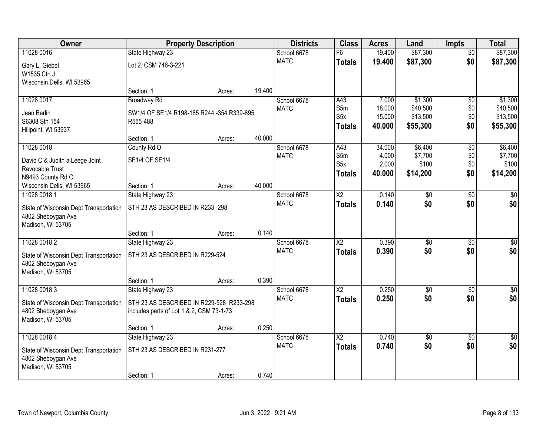| Owner                                  | <b>Property Description</b>                |        |        | <b>Districts</b> | <b>Class</b>            | <b>Acres</b>     | Land                 | <b>Impts</b>    | <b>Total</b>         |
|----------------------------------------|--------------------------------------------|--------|--------|------------------|-------------------------|------------------|----------------------|-----------------|----------------------|
| 11028 0016                             | State Highway 23                           |        |        | School 6678      | F6                      | 19.400           | \$87,300             | $\overline{50}$ | \$87,300             |
| Gary L. Giebel                         | Lot 2, CSM 746-3-221                       |        |        | <b>MATC</b>      | <b>Totals</b>           | 19.400           | \$87,300             | \$0             | \$87,300             |
| W1535 Cth J                            |                                            |        |        |                  |                         |                  |                      |                 |                      |
| Wisconsin Dells, WI 53965              |                                            |        |        |                  |                         |                  |                      |                 |                      |
|                                        | Section: 1                                 | Acres: | 19.400 |                  |                         |                  |                      |                 |                      |
| 11028 0017                             | <b>Broadway Rd</b>                         |        |        | School 6678      | A43                     | 7.000            | \$1,300              | \$0             | \$1,300              |
| Jean Berlin                            | SW1/4 OF SE1/4 R198-185 R244 -354 R339-695 |        |        | <b>MATC</b>      | S <sub>5m</sub><br>S5x  | 18.000<br>15.000 | \$40,500<br>\$13,500 | \$0<br>\$0      | \$40,500<br>\$13,500 |
| S6308 Sth 154                          | R555-488                                   |        |        |                  |                         | 40.000           | \$55,300             | \$0             |                      |
| Hillpoint, WI 53937                    |                                            |        |        |                  | <b>Totals</b>           |                  |                      |                 | \$55,300             |
|                                        | Section: 1                                 | Acres: | 40.000 |                  |                         |                  |                      |                 |                      |
| 11028 0018                             | County Rd O                                |        |        | School 6678      | A43                     | 34.000           | \$6,400              | \$0             | \$6,400              |
| David C & Judith a Leege Joint         | SE1/4 OF SE1/4                             |        |        | <b>MATC</b>      | S5m<br>S <sub>5</sub> x | 4.000<br>2.000   | \$7,700<br>\$100     | \$0<br>\$0      | \$7,700<br>\$100     |
| Revocable Trust                        |                                            |        |        |                  | <b>Totals</b>           | 40,000           | \$14,200             | \$0             | \$14,200             |
| N9493 County Rd O                      |                                            |        |        |                  |                         |                  |                      |                 |                      |
| Wisconsin Dells, WI 53965              | Section: 1                                 | Acres: | 40.000 |                  |                         |                  |                      |                 |                      |
| 11028 0018.1                           | State Highway 23                           |        |        | School 6678      | X2                      | 0.140            | \$0                  | \$0             | $\sqrt{50}$          |
| State of Wisconsin Dept Transportation | STH 23 AS DESCRIBED IN R233-298            |        |        | <b>MATC</b>      | <b>Totals</b>           | 0.140            | \$0                  | \$0             | \$0                  |
| 4802 Sheboygan Ave                     |                                            |        |        |                  |                         |                  |                      |                 |                      |
| Madison, WI 53705                      |                                            |        |        |                  |                         |                  |                      |                 |                      |
|                                        | Section: 1                                 | Acres: | 0.140  |                  |                         |                  |                      |                 |                      |
| 11028 0018.2                           | State Highway 23                           |        |        | School 6678      | $\overline{X2}$         | 0.390            | \$0                  | \$0             | $\sqrt{50}$          |
| State of Wisconsin Dept Transportation | STH 23 AS DESCRIBED IN R229-524            |        |        | <b>MATC</b>      | <b>Totals</b>           | 0.390            | \$0                  | \$0             | \$0                  |
| 4802 Sheboygan Ave                     |                                            |        |        |                  |                         |                  |                      |                 |                      |
| Madison, WI 53705                      |                                            |        |        |                  |                         |                  |                      |                 |                      |
|                                        | Section: 1                                 | Acres: | 0.390  |                  |                         |                  |                      |                 |                      |
| 11028 0018.3                           | State Highway 23                           |        |        | School 6678      | $\overline{X2}$         | 0.250            | $\overline{50}$      | \$0             | $\overline{\$0}$     |
| State of Wisconsin Dept Transportation | STH 23 AS DESCRIBED IN R229-528 R233-298   |        |        | <b>MATC</b>      | <b>Totals</b>           | 0.250            | \$0                  | \$0             | \$0                  |
| 4802 Sheboygan Ave                     | includes parts of Lot 1 & 2, CSM 73-1-73   |        |        |                  |                         |                  |                      |                 |                      |
| Madison, WI 53705                      |                                            |        |        |                  |                         |                  |                      |                 |                      |
|                                        | Section: 1                                 | Acres: | 0.250  |                  |                         |                  |                      |                 |                      |
| 11028 0018.4                           | State Highway 23                           |        |        | School 6678      | $\overline{\text{X2}}$  | 0.740            | $\overline{30}$      | $\overline{50}$ | $\overline{50}$      |
| State of Wisconsin Dept Transportation | STH 23 AS DESCRIBED IN R231-277            |        |        | <b>MATC</b>      | <b>Totals</b>           | 0.740            | \$0                  | \$0             | \$0                  |
| 4802 Sheboygan Ave                     |                                            |        |        |                  |                         |                  |                      |                 |                      |
| Madison, WI 53705                      |                                            |        |        |                  |                         |                  |                      |                 |                      |
|                                        | Section: 1                                 | Acres: | 0.740  |                  |                         |                  |                      |                 |                      |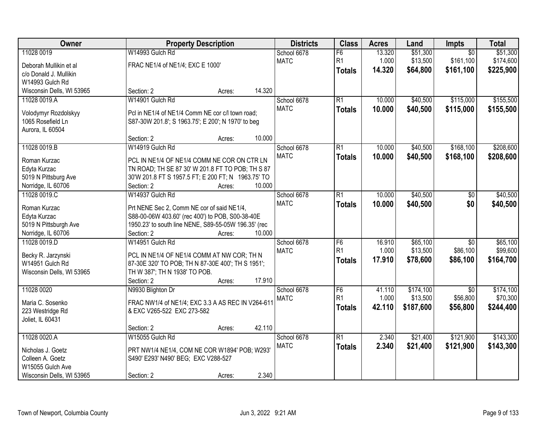| Owner                                                                                                  |                                                                                                                                                                                         | <b>Property Description</b> | <b>Districts</b>                     | <b>Class</b>                          | <b>Acres</b>              | Land                               | Impts                                     | <b>Total</b>                       |
|--------------------------------------------------------------------------------------------------------|-----------------------------------------------------------------------------------------------------------------------------------------------------------------------------------------|-----------------------------|--------------------------------------|---------------------------------------|---------------------------|------------------------------------|-------------------------------------------|------------------------------------|
| 11028 0019<br>Deborah Mullikin et al<br>c/o Donald J. Mullikin<br>W14993 Gulch Rd                      | W14993 Gulch Rd<br>FRAC NE1/4 of NE1/4; EXC E 1000'                                                                                                                                     |                             | School 6678<br><b>MATC</b>           | F6<br>R1<br><b>Totals</b>             | 13.320<br>1.000<br>14.320 | \$51,300<br>\$13,500<br>\$64,800   | $\overline{50}$<br>\$161,100<br>\$161,100 | \$51,300<br>\$174,600<br>\$225,900 |
| Wisconsin Dells, WI 53965                                                                              | Section: 2                                                                                                                                                                              | Acres:                      | 14.320                               |                                       |                           |                                    |                                           |                                    |
| 11028 0019.A<br>Volodymyr Rozdolskyy<br>1065 Rosefield Ln<br>Aurora, IL 60504                          | W14901 Gulch Rd<br>Pcl in NE1/4 of NE1/4 Comm NE cor c/l town road;<br>S87-30W 201.8'; S 1963.75'; E 200'; N 1970' to beg<br>Section: 2                                                 | Acres:                      | School 6678<br><b>MATC</b><br>10.000 | $\overline{R1}$<br><b>Totals</b>      | 10.000<br>10.000          | \$40,500<br>\$40,500               | \$115,000<br>\$115,000                    | \$155,500<br>\$155,500             |
| 11028 0019.B<br>Roman Kurzac<br>Edyta Kurzac<br>5019 N Pittsburg Ave<br>Norridge, IL 60706             | W14919 Gulch Rd<br>PCL IN NE1/4 OF NE1/4 COMM NE COR ON CTR LN<br>TN ROAD; TH SE 87 30' W 201.8 FT TO POB; TH S 87<br>30'W 201.8 FT S 1957.5 FT; E 200 FT; N 1963.75' TO<br>Section: 2  | Acres:                      | School 6678<br><b>MATC</b><br>10.000 | $\overline{R1}$<br><b>Totals</b>      | 10.000<br>10.000          | \$40,500<br>\$40,500               | \$168,100<br>\$168,100                    | \$208,600<br>\$208,600             |
| 11028 0019.C<br>Roman Kurzac<br>Edyta Kurzac<br>5019 N Pittsburgh Ave<br>Norridge, IL 60706            | W14937 Gulch Rd<br>Prt NENE Sec 2, Comm NE cor of said NE1/4,<br>S88-00-06W 403.60' (rec 400') to POB, S00-38-40E<br>1950.23' to south line NENE, S89-55-05W 196.35' (rec<br>Section: 2 | Acres:                      | School 6678<br><b>MATC</b><br>10.000 | $\overline{R1}$<br><b>Totals</b>      | 10.000<br>10.000          | \$40,500<br>\$40,500               | \$0<br>\$0                                | \$40,500<br>\$40,500               |
| 11028 0019.D<br>Becky R. Jarzynski<br>W14951 Gulch Rd<br>Wisconsin Dells, WI 53965                     | W14951 Gulch Rd<br>PCL IN NE1/4 OF NE1/4 COMM AT NW COR; TH N<br>87-30E 320' TO POB; TH N 87-30E 400'; TH S 1951';<br>TH W 387'; TH N 1938' TO POB.<br>Section: 2                       | Acres:                      | School 6678<br><b>MATC</b><br>17.910 | F6<br>R <sub>1</sub><br><b>Totals</b> | 16.910<br>1.000<br>17.910 | \$65,100<br>\$13,500<br>\$78,600   | $\overline{30}$<br>\$86,100<br>\$86,100   | \$65,100<br>\$99,600<br>\$164,700  |
| 11028 0020<br>Maria C. Sosenko<br>223 Westridge Rd<br>Joliet, IL 60431                                 | N9930 Blighton Dr<br>FRAC NW1/4 of NE1/4; EXC 3.3 A AS REC IN V264-611<br>& EXC V265-522 EXC 273-582<br>Section: 2                                                                      | Acres:                      | School 6678<br><b>MATC</b><br>42.110 | F6<br>R1<br><b>Totals</b>             | 41.110<br>1.000<br>42.110 | \$174,100<br>\$13,500<br>\$187,600 | $\overline{50}$<br>\$56,800<br>\$56,800   | \$174,100<br>\$70,300<br>\$244,400 |
| 11028 0020.A<br>Nicholas J. Goetz<br>Colleen A. Goetz<br>W15055 Gulch Ave<br>Wisconsin Dells, WI 53965 | W15055 Gulch Rd<br>PRT NW1/4 NE1/4, COM NE COR W1894' POB; W293'<br>S490' E293' N490' BEG; EXC V288-527<br>Section: 2                                                                   | Acres:                      | School 6678<br><b>MATC</b><br>2.340  | $\overline{R1}$<br><b>Totals</b>      | 2.340<br>2.340            | \$21,400<br>\$21,400               | \$121,900<br>\$121,900                    | \$143,300<br>\$143,300             |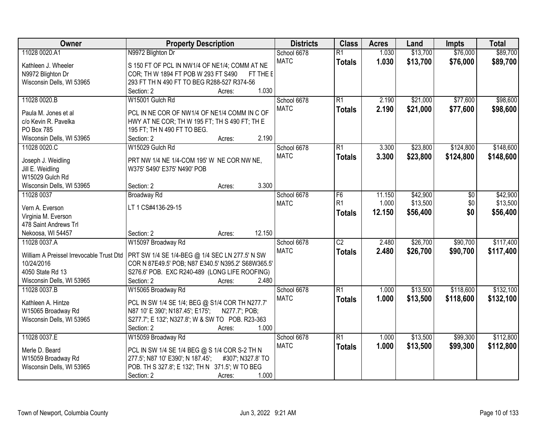| Owner                                    | <b>Property Description</b>                            | <b>Districts</b> | <b>Class</b>    | <b>Acres</b> | Land     | <b>Impts</b> | <b>Total</b> |
|------------------------------------------|--------------------------------------------------------|------------------|-----------------|--------------|----------|--------------|--------------|
| 11028 0020.A1                            | N9972 Blighton Dr                                      | School 6678      | $\overline{R1}$ | 1.030        | \$13,700 | \$76,000     | \$89,700     |
| Kathleen J. Wheeler                      | S 150 FT OF PCL IN NW1/4 OF NE1/4; COMM AT NE          | <b>MATC</b>      | <b>Totals</b>   | 1.030        | \$13,700 | \$76,000     | \$89,700     |
| N9972 Blighton Dr                        | COR; TH W 1894 FT POB W 293 FT S490<br>FT THE E        |                  |                 |              |          |              |              |
| Wisconsin Dells, WI 53965                | 293 FT TH N 490 FT TO BEG R288-527 R374-56             |                  |                 |              |          |              |              |
|                                          | 1.030<br>Section: 2<br>Acres:                          |                  |                 |              |          |              |              |
| 11028 0020.B                             | W15001 Gulch Rd                                        | School 6678      | $\overline{R1}$ | 2.190        | \$21,000 | \$77,600     | \$98,600     |
|                                          |                                                        | <b>MATC</b>      | <b>Totals</b>   | 2.190        | \$21,000 | \$77,600     | \$98,600     |
| Paula M. Jones et al                     | PCL IN NE COR OF NW1/4 OF NE1/4 COMM IN C OF           |                  |                 |              |          |              |              |
| c/o Kevin R. Pavelka                     | HWY AT NE COR; TH W 195 FT; TH S 490 FT; TH E          |                  |                 |              |          |              |              |
| PO Box 785                               | 195 FT; TH N 490 FT TO BEG.                            |                  |                 |              |          |              |              |
| Wisconsin Dells, WI 53965                | 2.190<br>Section: 2<br>Acres:                          |                  |                 |              |          |              |              |
| 11028 0020.C                             | W15029 Gulch Rd                                        | School 6678      | $\overline{R1}$ | 3.300        | \$23,800 | \$124,800    | \$148,600    |
| Joseph J. Weidling                       | PRT NW 1/4 NE 1/4-COM 195' W NE COR NW NE,             | <b>MATC</b>      | <b>Totals</b>   | 3.300        | \$23,800 | \$124,800    | \$148,600    |
| Jill E. Weidling                         | W375' S490' E375' N490' POB                            |                  |                 |              |          |              |              |
| W15029 Gulch Rd                          |                                                        |                  |                 |              |          |              |              |
| Wisconsin Dells, WI 53965                | 3.300<br>Section: 2<br>Acres:                          |                  |                 |              |          |              |              |
| 11028 0037                               | <b>Broadway Rd</b>                                     | School 6678      | F <sub>6</sub>  | 11.150       | \$42,900 | \$0          | \$42,900     |
|                                          |                                                        | <b>MATC</b>      | R <sub>1</sub>  | 1.000        | \$13,500 | \$0          | \$13,500     |
| Vern A. Everson                          | LT 1 CS#4136-29-15                                     |                  | <b>Totals</b>   | 12.150       | \$56,400 | \$0          | \$56,400     |
| Virginia M. Everson                      |                                                        |                  |                 |              |          |              |              |
| 478 Saint Andrews Trl                    |                                                        |                  |                 |              |          |              |              |
| Nekoosa, WI 54457                        | 12.150<br>Section: 2<br>Acres:                         |                  |                 |              |          |              |              |
| 11028 0037.A                             | W15097 Broadway Rd                                     | School 6678      | $\overline{C2}$ | 2.480        | \$26,700 | \$90,700     | \$117,400    |
| William A Preissel Irrevocable Trust Dtd | PRT SW 1/4 SE 1/4-BEG @ 1/4 SEC LN 277.5' N SW         | <b>MATC</b>      | <b>Totals</b>   | 2.480        | \$26,700 | \$90,700     | \$117,400    |
| 10/24/2016                               | COR N 87E49.5' POB; N87 E340.5' N395.2' S68W365.5'     |                  |                 |              |          |              |              |
| 4050 State Rd 13                         | S276.6' POB. EXC R240-489 (LONG LIFE ROOFING)          |                  |                 |              |          |              |              |
| Wisconsin Dells, WI 53965                | 2.480<br>Section: 2<br>Acres:                          |                  |                 |              |          |              |              |
| 11028 0037.B                             | W15065 Broadway Rd                                     | School 6678      | $\overline{R1}$ | 1.000        | \$13,500 | \$118,600    | \$132,100    |
|                                          |                                                        | <b>MATC</b>      | <b>Totals</b>   | 1.000        | \$13,500 | \$118,600    | \$132,100    |
| Kathleen A. Hintze                       | PCL IN SW 1/4 SE 1/4; BEG @ S1/4 COR TH N277.7'        |                  |                 |              |          |              |              |
| W15065 Broadway Rd                       | N87 10' E 390'; N187.45'; E175';<br>N277.7'; POB;      |                  |                 |              |          |              |              |
| Wisconsin Dells, WI 53965                | S277.7'; E 132'; N327.8'; W & SW TO POB. R23-363       |                  |                 |              |          |              |              |
|                                          | 1.000<br>Section: 2<br>Acres:                          |                  |                 |              |          |              |              |
| 11028 0037.E                             | W15059 Broadway Rd                                     | School 6678      | $\overline{R1}$ | 1.000        | \$13,500 | \$99,300     | \$112,800    |
| Merle D. Beard                           | PCL IN SW 1/4 SE 1/4 BEG @ S 1/4 COR S-2 TH N          | <b>MATC</b>      | <b>Totals</b>   | 1.000        | \$13,500 | \$99,300     | \$112,800    |
| W15059 Broadway Rd                       | 277.5'; N87 10' E390'; N 187.45';<br>#307'; N327.8' TO |                  |                 |              |          |              |              |
| Wisconsin Dells, WI 53965                | POB. TH S 327.8'; E 132'; TH N 371.5'; W TO BEG        |                  |                 |              |          |              |              |
|                                          | 1.000<br>Section: 2<br>Acres:                          |                  |                 |              |          |              |              |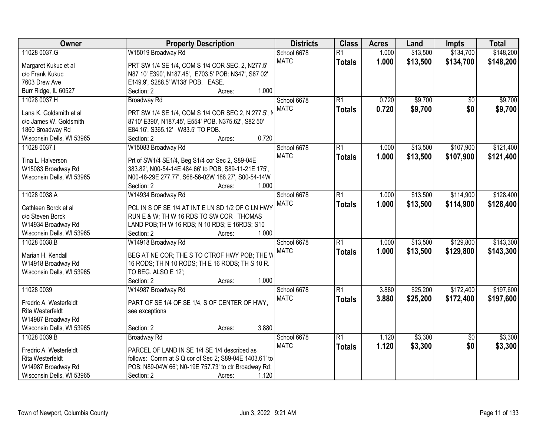| Owner                                      | <b>Property Description</b>                             | <b>Districts</b> | <b>Class</b>    | <b>Acres</b> | Land     | <b>Impts</b>    | <b>Total</b> |
|--------------------------------------------|---------------------------------------------------------|------------------|-----------------|--------------|----------|-----------------|--------------|
| 11028 0037.G                               | W15019 Broadway Rd                                      | School 6678      | $\overline{R1}$ | 1.000        | \$13,500 | \$134,700       | \$148,200    |
| Margaret Kukuc et al                       | PRT SW 1/4 SE 1/4, COM S 1/4 COR SEC. 2, N277.5'        | <b>MATC</b>      | <b>Totals</b>   | 1.000        | \$13,500 | \$134,700       | \$148,200    |
| c/o Frank Kukuc                            | N87 10' E390', N187.45', E703.5' POB: N347', S67 02'    |                  |                 |              |          |                 |              |
| 7603 Drew Ave                              | E149.9', S288.5' W138' POB. EASE.                       |                  |                 |              |          |                 |              |
| Burr Ridge, IL 60527                       | 1.000<br>Section: 2<br>Acres:                           |                  |                 |              |          |                 |              |
| 11028 0037.H                               | <b>Broadway Rd</b>                                      | School 6678      | $\overline{R1}$ | 0.720        | \$9,700  | $\overline{50}$ | \$9,700      |
|                                            |                                                         | <b>MATC</b>      | <b>Totals</b>   | 0.720        | \$9,700  | \$0             | \$9,700      |
| Lana K. Goldsmith et al                    | PRT SW 1/4 SE 1/4, COM S 1/4 COR SEC 2, N 277.5', N     |                  |                 |              |          |                 |              |
| c/o James W. Goldsmith                     | 8710' E390', N187.45', E554' POB. N375.62', S82 50'     |                  |                 |              |          |                 |              |
| 1860 Broadway Rd                           | E84.16', S365.12' W83.5' TO POB.<br>0.720<br>Section: 2 |                  |                 |              |          |                 |              |
| Wisconsin Dells, WI 53965                  | Acres:                                                  |                  |                 |              |          |                 |              |
| 11028 0037.1                               | W15083 Broadway Rd                                      | School 6678      | $\overline{R1}$ | 1.000        | \$13,500 | \$107,900       | \$121,400    |
| Tina L. Halverson                          | Prt of SW1/4 SE1/4, Beg S1/4 cor Sec 2, S89-04E         | <b>MATC</b>      | <b>Totals</b>   | 1.000        | \$13,500 | \$107,900       | \$121,400    |
| W15083 Broadway Rd                         | 383.82', N00-54-14E 484.66' to POB, S89-11-21E 175',    |                  |                 |              |          |                 |              |
| Wisconsin Dells, WI 53965                  | N00-48-29E 277.77', S68-56-02W 188.27', S00-54-14W      |                  |                 |              |          |                 |              |
|                                            | Section: 2<br>1.000<br>Acres:                           |                  |                 |              |          |                 |              |
| 11028 0038.A                               | W14934 Broadway Rd                                      | School 6678      | $\overline{R1}$ | 1.000        | \$13,500 | \$114,900       | \$128,400    |
| Cathleen Borck et al                       | PCL IN S OF SE 1/4 AT INT E LN SD 1/2 OF C LN HWY       | <b>MATC</b>      | <b>Totals</b>   | 1.000        | \$13,500 | \$114,900       | \$128,400    |
| c/o Steven Borck                           | RUN E & W; TH W 16 RDS TO SW COR THOMAS                 |                  |                 |              |          |                 |              |
| W14934 Broadway Rd                         | LAND POB; TH W 16 RDS; N 10 RDS; E 16RDS; S10           |                  |                 |              |          |                 |              |
| Wisconsin Dells, WI 53965                  | 1.000<br>Section: 2<br>Acres:                           |                  |                 |              |          |                 |              |
| 11028 0038.B                               | W14918 Broadway Rd                                      | School 6678      | $\overline{R1}$ | 1.000        | \$13,500 | \$129,800       | \$143,300    |
|                                            |                                                         | <b>MATC</b>      | <b>Totals</b>   | 1.000        | \$13,500 | \$129,800       | \$143,300    |
| Marian H. Kendall                          | BEG AT NE COR; THE S TO CTROF HWY POB; THE W            |                  |                 |              |          |                 |              |
| W14918 Broadway Rd                         | 16 RODS; TH N 10 RODS; TH E 16 RODS; TH S 10 R.         |                  |                 |              |          |                 |              |
| Wisconsin Dells, WI 53965                  | TO BEG. ALSO E 12';                                     |                  |                 |              |          |                 |              |
|                                            | Section: 2<br>1.000<br>Acres:                           |                  |                 |              |          |                 |              |
| 11028 0039                                 | W14987 Broadway Rd                                      | School 6678      | $\overline{R1}$ | 3.880        | \$25,200 | \$172,400       | \$197,600    |
| Fredric A. Westerfeldt                     | PART OF SE 1/4 OF SE 1/4, S OF CENTER OF HWY,           | <b>MATC</b>      | <b>Totals</b>   | 3.880        | \$25,200 | \$172,400       | \$197,600    |
| Rita Westerfeldt                           | see exceptions                                          |                  |                 |              |          |                 |              |
| W14987 Broadway Rd                         |                                                         |                  |                 |              |          |                 |              |
| Wisconsin Dells, WI 53965                  | 3.880<br>Section: 2<br>Acres:                           |                  |                 |              |          |                 |              |
| 11028 0039.B                               | <b>Broadway Rd</b>                                      | School 6678      | $\overline{R1}$ | 1.120        | \$3,300  | $\overline{50}$ | \$3,300      |
|                                            | PARCEL OF LAND IN SE 1/4 SE 1/4 described as            | <b>MATC</b>      | <b>Totals</b>   | 1.120        | \$3,300  | \$0             | \$3,300      |
| Fredric A. Westerfeldt<br>Rita Westerfeldt | follows: Comm at S Q cor of Sec 2; S89-04E 1403.61' to  |                  |                 |              |          |                 |              |
| W14987 Broadway Rd                         | POB; N89-04W 66'; N0-19E 757.73' to ctr Broadway Rd;    |                  |                 |              |          |                 |              |
| Wisconsin Dells, WI 53965                  | 1.120<br>Section: 2<br>Acres:                           |                  |                 |              |          |                 |              |
|                                            |                                                         |                  |                 |              |          |                 |              |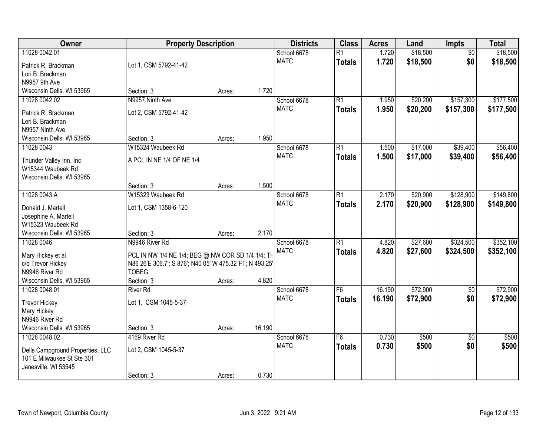| Owner                            | <b>Property Description</b>                             |        |        | <b>Districts</b> | <b>Class</b>    | <b>Acres</b> | Land     | Impts           | <b>Total</b> |
|----------------------------------|---------------------------------------------------------|--------|--------|------------------|-----------------|--------------|----------|-----------------|--------------|
| 11028 0042.01                    |                                                         |        |        | School 6678      | $\overline{R1}$ | 1.720        | \$18,500 | $\overline{50}$ | \$18,500     |
| Patrick R. Brackman              | Lot 1, CSM 5792-41-42                                   |        |        | <b>MATC</b>      | <b>Totals</b>   | 1.720        | \$18,500 | \$0             | \$18,500     |
| Lori B. Brackman                 |                                                         |        |        |                  |                 |              |          |                 |              |
| N9957 9th Ave                    |                                                         |        |        |                  |                 |              |          |                 |              |
| Wisconsin Dells, WI 53965        | Section: 3                                              | Acres: | 1.720  |                  |                 |              |          |                 |              |
| 11028 0042.02                    | N9957 Ninth Ave                                         |        |        | School 6678      | $\overline{R1}$ | 1.950        | \$20,200 | \$157,300       | \$177,500    |
| Patrick R. Brackman              | Lot 2, CSM 5792-41-42                                   |        |        | <b>MATC</b>      | <b>Totals</b>   | 1.950        | \$20,200 | \$157,300       | \$177,500    |
| Lori B. Brackman                 |                                                         |        |        |                  |                 |              |          |                 |              |
| N9957 Ninth Ave                  |                                                         |        |        |                  |                 |              |          |                 |              |
| Wisconsin Dells, WI 53965        | Section: 3                                              | Acres: | 1.950  |                  |                 |              |          |                 |              |
| 11028 0043                       | W15324 Waubeek Rd                                       |        |        | School 6678      | $\overline{R1}$ | 1.500        | \$17,000 | \$39,400        | \$56,400     |
| Thunder Valley Inn, Inc          | A PCL IN NE 1/4 OF NE 1/4                               |        |        | <b>MATC</b>      | <b>Totals</b>   | 1.500        | \$17,000 | \$39,400        | \$56,400     |
| W15344 Waubeek Rd                |                                                         |        |        |                  |                 |              |          |                 |              |
| Wisconsin Dells, WI 53965        |                                                         |        |        |                  |                 |              |          |                 |              |
|                                  | Section: 3                                              | Acres: | 1.500  |                  |                 |              |          |                 |              |
| 11028 0043.A                     | W15323 Waubeek Rd                                       |        |        | School 6678      | $\overline{R1}$ | 2.170        | \$20,900 | \$128,900       | \$149,800    |
| Donald J. Martell                | Lot 1, CSM 1358-6-120                                   |        |        | <b>MATC</b>      | <b>Totals</b>   | 2.170        | \$20,900 | \$128,900       | \$149,800    |
| Josephine A. Martell             |                                                         |        |        |                  |                 |              |          |                 |              |
| W15323 Waubeek Rd                |                                                         |        |        |                  |                 |              |          |                 |              |
| Wisconsin Dells, WI 53965        | Section: 3                                              | Acres: | 2.170  |                  |                 |              |          |                 |              |
| 11028 0046                       | N9946 River Rd                                          |        |        | School 6678      | $\overline{R1}$ | 4.820        | \$27,600 | \$324,500       | \$352,100    |
| Mary Hickey et al                | PCL IN NW 1/4 NE 1/4; BEG @ NW COR SD 1/4 1/4; TH       |        |        | <b>MATC</b>      | <b>Totals</b>   | 4.820        | \$27,600 | \$324,500       | \$352,100    |
| c/o Trevor Hickey                | N86 26'E 306.7'; S 876'; N40 05' W 475.32 FT; N 493.25' |        |        |                  |                 |              |          |                 |              |
| N9946 River Rd                   | TOBEG.                                                  |        |        |                  |                 |              |          |                 |              |
| Wisconsin Dells, WI 53965        | Section: 3                                              | Acres: | 4.820  |                  |                 |              |          |                 |              |
| 11028 0048.01                    | <b>River Rd</b>                                         |        |        | School 6678      | F6              | 16.190       | \$72,900 | $\overline{60}$ | \$72,900     |
| <b>Trevor Hickey</b>             | Lot 1, CSM 1045-5-37                                    |        |        | <b>MATC</b>      | <b>Totals</b>   | 16.190       | \$72,900 | \$0             | \$72,900     |
| Mary Hickey                      |                                                         |        |        |                  |                 |              |          |                 |              |
| N9946 River Rd                   |                                                         |        |        |                  |                 |              |          |                 |              |
| Wisconsin Dells, WI 53965        | Section: 3                                              | Acres: | 16.190 |                  |                 |              |          |                 |              |
| 11028 0048.02                    | 4169 River Rd                                           |        |        | School 6678      | $\overline{F6}$ | 0.730        | \$500    | $\overline{30}$ | \$500        |
| Dells Campground Properties, LLC | Lot 2, CSM 1045-5-37                                    |        |        | <b>MATC</b>      | <b>Totals</b>   | 0.730        | \$500    | \$0             | \$500        |
| 101 E Milwaukee St Ste 301       |                                                         |        |        |                  |                 |              |          |                 |              |
| Janesville, WI 53545             |                                                         |        |        |                  |                 |              |          |                 |              |
|                                  | Section: 3                                              | Acres: | 0.730  |                  |                 |              |          |                 |              |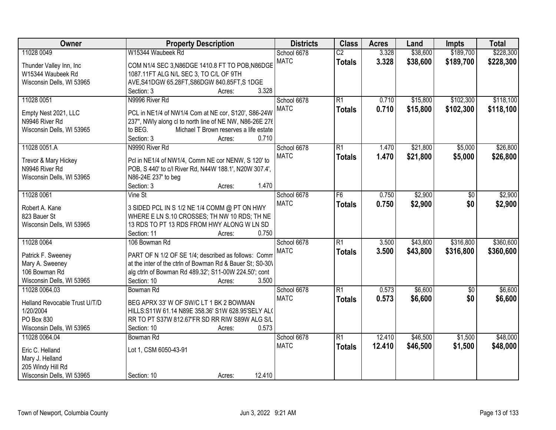| Owner                         | <b>Property Description</b>                                        | <b>Districts</b> | <b>Class</b>    | <b>Acres</b> | Land     | <b>Impts</b>    | <b>Total</b> |
|-------------------------------|--------------------------------------------------------------------|------------------|-----------------|--------------|----------|-----------------|--------------|
| 11028 0049                    | W15344 Waubeek Rd                                                  | School 6678      | $\overline{C2}$ | 3.328        | \$38,600 | \$189,700       | \$228,300    |
| Thunder Valley Inn, Inc.      | COM N1/4 SEC 3, N86DGE 1410.8 FT TO POB, N86DGE                    | <b>MATC</b>      | <b>Totals</b>   | 3.328        | \$38,600 | \$189,700       | \$228,300    |
| W15344 Waubeek Rd             | 1087.11FT ALG N/L SEC 3, TO C/L OF 9TH                             |                  |                 |              |          |                 |              |
| Wisconsin Dells, WI 53965     | AVE, S41DGW 65.28FT, S86DGW 840.85FT, S1DGE                        |                  |                 |              |          |                 |              |
|                               | 3.328<br>Section: 3<br>Acres:                                      |                  |                 |              |          |                 |              |
| 11028 0051                    | N9996 River Rd                                                     | School 6678      | $\overline{R1}$ | 0.710        | \$15,800 | \$102,300       | \$118,100    |
|                               |                                                                    | <b>MATC</b>      | <b>Totals</b>   | 0.710        | \$15,800 | \$102,300       | \$118,100    |
| Empty Nest 2021, LLC          | PCL in NE1/4 of NW1/4 Com at NE cor, S120', S86-24W                |                  |                 |              |          |                 |              |
| N9946 River Rd                | 237", NWly along cl to north line of NE NW, N86-26E 276            |                  |                 |              |          |                 |              |
| Wisconsin Dells, WI 53965     | Michael T Brown reserves a life estate<br>to BEG.                  |                  |                 |              |          |                 |              |
|                               | 0.710<br>Section: 3<br>Acres:                                      |                  |                 |              |          |                 |              |
| 11028 0051.A                  | N9990 River Rd                                                     | School 6678      | $\overline{R1}$ | 1.470        | \$21,800 | \$5,000         | \$26,800     |
| Trevor & Mary Hickey          | Pcl in NE1/4 of NW1/4, Comm NE cor NENW, S 120' to                 | <b>MATC</b>      | <b>Totals</b>   | 1.470        | \$21,800 | \$5,000         | \$26,800     |
| N9946 River Rd                | POB, S 440' to c/l River Rd, N44W 188.1', N20W 307.4',             |                  |                 |              |          |                 |              |
| Wisconsin Dells, WI 53965     | N86-24E 237' to beg                                                |                  |                 |              |          |                 |              |
|                               | 1.470<br>Section: 3<br>Acres:                                      |                  |                 |              |          |                 |              |
| 11028 0061                    | Vine St                                                            | School 6678      | F6              | 0.750        | \$2,900  | \$0             | \$2,900      |
|                               |                                                                    | <b>MATC</b>      | <b>Totals</b>   | 0.750        | \$2,900  | \$0             | \$2,900      |
| Robert A. Kane                | 3 SIDED PCL IN S 1/2 NE 1/4 COMM @ PT ON HWY                       |                  |                 |              |          |                 |              |
| 823 Bauer St                  | WHERE E LN S.10 CROSSES; TH NW 10 RDS; TH NE                       |                  |                 |              |          |                 |              |
| Wisconsin Dells, WI 53965     | 13 RDS TO PT 13 RDS FROM HWY ALONG W LN SD<br>0.750<br>Section: 11 |                  |                 |              |          |                 |              |
| 11028 0064                    | Acres:<br>106 Bowman Rd                                            | School 6678      | $\overline{R1}$ | 3.500        | \$43,800 | \$316,800       | \$360,600    |
|                               |                                                                    | <b>MATC</b>      |                 |              |          |                 |              |
| Patrick F. Sweeney            | PART OF N 1/2 OF SE 1/4; described as follows: Comm                |                  | <b>Totals</b>   | 3.500        | \$43,800 | \$316,800       | \$360,600    |
| Mary A. Sweeney               | at the inter of the ctrln of Bowman Rd & Bauer St; S0-30\          |                  |                 |              |          |                 |              |
| 106 Bowman Rd                 | alg ctrln of Bowman Rd 489.32'; S11-00W 224.50'; cont              |                  |                 |              |          |                 |              |
| Wisconsin Dells, WI 53965     | Section: 10<br>3.500<br>Acres:                                     |                  |                 |              |          |                 |              |
| 11028 0064.03                 | Bowman Rd                                                          | School 6678      | $\overline{R1}$ | 0.573        | \$6,600  | $\overline{50}$ | \$6,600      |
| Helland Revocable Trust U/T/D | BEG APRX 33' W OF SW/C LT 1 BK 2 BOWMAN                            | <b>MATC</b>      | <b>Totals</b>   | 0.573        | \$6,600  | \$0             | \$6,600      |
| 1/20/2004                     | HILLS:S11W 61.14 N89E 358.36' S1W 628.95'SELY ALO                  |                  |                 |              |          |                 |              |
| PO Box 830                    | RR TO PT S37W 812.67'FR SD RR RIW S89W ALG S/L                     |                  |                 |              |          |                 |              |
| Wisconsin Dells, WI 53965     | 0.573<br>Section: 10<br>Acres:                                     |                  |                 |              |          |                 |              |
| 11028 0064.04                 | Bowman Rd                                                          | School 6678      | $\overline{R1}$ | 12.410       | \$46,500 | \$1,500         | \$48,000     |
|                               |                                                                    | <b>MATC</b>      | <b>Totals</b>   | 12.410       | \$46,500 | \$1,500         | \$48,000     |
| Eric C. Helland               | Lot 1, CSM 6050-43-91                                              |                  |                 |              |          |                 |              |
| Mary J. Helland               |                                                                    |                  |                 |              |          |                 |              |
| 205 Windy Hill Rd             |                                                                    |                  |                 |              |          |                 |              |
| Wisconsin Dells, WI 53965     | 12.410<br>Section: 10<br>Acres:                                    |                  |                 |              |          |                 |              |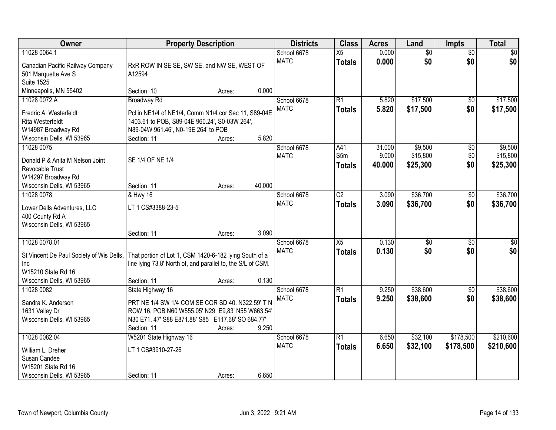| Owner                                                                                                                                            | <b>Property Description</b>                                                                                                                                                                 |                  |                 | <b>Districts</b>           | <b>Class</b>                     | <b>Acres</b>              | Land                            | <b>Impts</b>           | <b>Total</b>                    |
|--------------------------------------------------------------------------------------------------------------------------------------------------|---------------------------------------------------------------------------------------------------------------------------------------------------------------------------------------------|------------------|-----------------|----------------------------|----------------------------------|---------------------------|---------------------------------|------------------------|---------------------------------|
| 11028 0064.1<br>Canadian Pacific Railway Company<br>501 Marquette Ave S<br><b>Suite 1525</b>                                                     | RxR ROW IN SE SE, SW SE, and NW SE, WEST OF<br>A12594                                                                                                                                       |                  |                 | School 6678<br><b>MATC</b> | $\overline{X5}$<br><b>Totals</b> | 0.000<br>0.000            | $\overline{50}$<br>\$0          | $\overline{50}$<br>\$0 | $\sqrt{30}$<br>\$0              |
| Minneapolis, MN 55402                                                                                                                            | Section: 10                                                                                                                                                                                 | Acres:           | 0.000           |                            |                                  |                           |                                 |                        |                                 |
| 11028 0072.A<br>Fredric A. Westerfeldt<br><b>Rita Westerfeldt</b><br>W14987 Broadway Rd                                                          | <b>Broadway Rd</b><br>Pcl in NE1/4 of NE1/4, Comm N1/4 cor Sec 11, S89-04E<br>1403.61 to POB, S89-04E 960.24', S0-03W 264',<br>N89-04W 961.46', N0-19E 264' to POB                          |                  |                 | School 6678<br><b>MATC</b> | R1<br><b>Totals</b>              | 5.820<br>5.820            | \$17,500<br>\$17,500            | $\overline{50}$<br>\$0 | \$17,500<br>\$17,500            |
| Wisconsin Dells, WI 53965<br>11028 0075<br>Donald P & Anita M Nelson Joint<br>Revocable Trust<br>W14297 Broadway Rd<br>Wisconsin Dells, WI 53965 | Section: 11<br>SE 1/4 OF NE 1/4<br>Section: 11                                                                                                                                              | Acres:<br>Acres: | 5.820<br>40.000 | School 6678<br><b>MATC</b> | A41<br>S5m<br><b>Totals</b>      | 31.000<br>9.000<br>40.000 | \$9,500<br>\$15,800<br>\$25,300 | \$0<br>\$0<br>\$0      | \$9,500<br>\$15,800<br>\$25,300 |
| 11028 0078<br>Lower Dells Adventures, LLC<br>400 County Rd A<br>Wisconsin Dells, WI 53965                                                        | & Hwy 16<br>LT 1 CS#3388-23-5<br>Section: 11                                                                                                                                                | Acres:           | 3.090           | School 6678<br><b>MATC</b> | $\overline{C2}$<br><b>Totals</b> | 3.090<br>3.090            | \$36,700<br>\$36,700            | $\overline{50}$<br>\$0 | \$36,700<br>\$36,700            |
| 11028 0078.01<br>St Vincent De Paul Society of Wis Dells,<br><b>Inc</b><br>W15210 State Rd 16<br>Wisconsin Dells, WI 53965                       | That portion of Lot 1, CSM 1420-6-182 lying South of a<br>line lying 73.8' North of, and parallel to, the S/L of CSM.<br>Section: 11                                                        | Acres:           | 0.130           | School 6678<br><b>MATC</b> | $\overline{X5}$<br><b>Totals</b> | 0.130<br>0.130            | $\overline{60}$<br>\$0          | \$0<br>\$0             | $\sqrt{50}$<br>\$0              |
| 11028 0082<br>Sandra K. Anderson<br>1631 Valley Dr<br>Wisconsin Dells, WI 53965                                                                  | State Highway 16<br>PRT NE 1/4 SW 1/4 COM SE COR SD 40. N322.59' T N<br>ROW 16, POB N60 W555.05' N29 E9,83' N55 W663.54'<br>N30 E71.47' S88 E871.88' S85 E117.68' SO 684.77'<br>Section: 11 | Acres:           | 9.250           | School 6678<br><b>MATC</b> | R1<br><b>Totals</b>              | 9.250<br>9.250            | \$38,600<br>\$38,600            | $\overline{50}$<br>\$0 | \$38,600<br>\$38,600            |
| 11028 0082.04<br>William L. Dreher<br>Susan Candee<br>W15201 State Rd 16<br>Wisconsin Dells, WI 53965                                            | W5201 State Highway 16<br>LT 1 CS#3910-27-26<br>Section: 11                                                                                                                                 | Acres:           | 6.650           | School 6678<br><b>MATC</b> | $\overline{R1}$<br><b>Totals</b> | 6.650<br>6.650            | \$32,100<br>\$32,100            | \$178,500<br>\$178,500 | \$210,600<br>\$210,600          |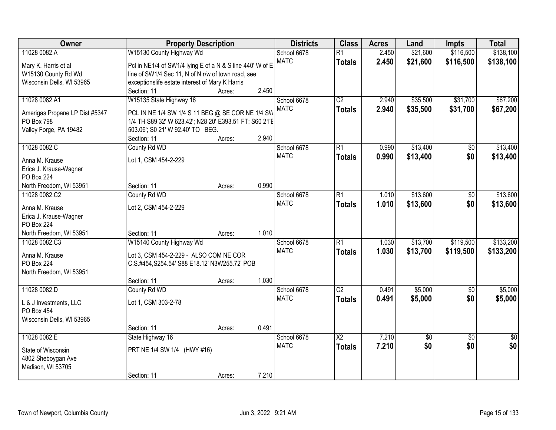| Owner                          | <b>Property Description</b>                               |        |       | <b>Districts</b> | <b>Class</b>           | <b>Acres</b> | Land        | <b>Impts</b>    | <b>Total</b>    |
|--------------------------------|-----------------------------------------------------------|--------|-------|------------------|------------------------|--------------|-------------|-----------------|-----------------|
| 11028 0082.A                   | W15130 County Highway Wd                                  |        |       | School 6678      | $\overline{R1}$        | 2.450        | \$21,600    | \$116,500       | \$138,100       |
| Mary K. Harris et al           | Pcl in NE1/4 of SW1/4 lying E of a N & S line 440' W of E |        |       | <b>MATC</b>      | <b>Totals</b>          | 2.450        | \$21,600    | \$116,500       | \$138,100       |
| W15130 County Rd Wd            | line of SW1/4 Sec 11, N of N r/w of town road, see        |        |       |                  |                        |              |             |                 |                 |
| Wisconsin Dells, WI 53965      | exceptionslife estate interest of Mary K Harris           |        |       |                  |                        |              |             |                 |                 |
|                                | Section: 11                                               | Acres: | 2.450 |                  |                        |              |             |                 |                 |
| 11028 0082.A1                  | W15135 State Highway 16                                   |        |       | School 6678      | $\overline{C2}$        | 2.940        | \$35,500    | \$31,700        | \$67,200        |
|                                |                                                           |        |       | <b>MATC</b>      | <b>Totals</b>          | 2.940        | \$35,500    | \$31,700        | \$67,200        |
| Amerigas Propane LP Dist #5347 | PCL IN NE 1/4 SW 1/4 S 11 BEG @ SE COR NE 1/4 SW          |        |       |                  |                        |              |             |                 |                 |
| PO Box 798                     | 1/4 TH S89 32' W 623.42'; N28 20' E393.51 FT; S60 21'E    |        |       |                  |                        |              |             |                 |                 |
| Valley Forge, PA 19482         | 503.06'; S0 21' W 92.40' TO BEG.                          |        |       |                  |                        |              |             |                 |                 |
|                                | Section: 11                                               | Acres: | 2.940 |                  |                        |              |             |                 |                 |
| 11028 0082.C                   | County Rd WD                                              |        |       | School 6678      | $\overline{R1}$        | 0.990        | \$13,400    | \$0             | \$13,400        |
| Anna M. Krause                 | Lot 1, CSM 454-2-229                                      |        |       | <b>MATC</b>      | <b>Totals</b>          | 0.990        | \$13,400    | \$0             | \$13,400        |
| Erica J. Krause-Wagner         |                                                           |        |       |                  |                        |              |             |                 |                 |
| <b>PO Box 224</b>              |                                                           |        |       |                  |                        |              |             |                 |                 |
| North Freedom, WI 53951        | Section: 11                                               | Acres: | 0.990 |                  |                        |              |             |                 |                 |
| 11028 0082.C2                  | County Rd WD                                              |        |       | School 6678      | $\overline{R1}$        | 1.010        | \$13,600    | \$0             | \$13,600        |
|                                |                                                           |        |       | <b>MATC</b>      | <b>Totals</b>          | 1.010        | \$13,600    | \$0             | \$13,600        |
| Anna M. Krause                 | Lot 2, CSM 454-2-229                                      |        |       |                  |                        |              |             |                 |                 |
| Erica J. Krause-Wagner         |                                                           |        |       |                  |                        |              |             |                 |                 |
| <b>PO Box 224</b>              |                                                           |        |       |                  |                        |              |             |                 |                 |
| North Freedom, WI 53951        | Section: 11                                               | Acres: | 1.010 |                  |                        |              |             |                 |                 |
| 11028 0082.C3                  | W15140 County Highway Wd                                  |        |       | School 6678      | $\overline{R1}$        | 1.030        | \$13,700    | \$119,500       | \$133,200       |
| Anna M. Krause                 | Lot 3, CSM 454-2-229 - ALSO COM NE COR                    |        |       | <b>MATC</b>      | <b>Totals</b>          | 1.030        | \$13,700    | \$119,500       | \$133,200       |
| <b>PO Box 224</b>              | C.S.#454, S254.54' S88 E18.12' N3W255.72' POB             |        |       |                  |                        |              |             |                 |                 |
| North Freedom, WI 53951        |                                                           |        |       |                  |                        |              |             |                 |                 |
|                                | Section: 11                                               | Acres: | 1.030 |                  |                        |              |             |                 |                 |
| 11028 0082.D                   | County Rd WD                                              |        |       | School 6678      | $\overline{C2}$        | 0.491        | \$5,000     | $\overline{50}$ | \$5,000         |
|                                |                                                           |        |       | <b>MATC</b>      | <b>Totals</b>          | 0.491        | \$5,000     | \$0             | \$5,000         |
| L & J Investments, LLC         | Lot 1, CSM 303-2-78                                       |        |       |                  |                        |              |             |                 |                 |
| PO Box 454                     |                                                           |        |       |                  |                        |              |             |                 |                 |
| Wisconsin Dells, WI 53965      |                                                           |        | 0.491 |                  |                        |              |             |                 |                 |
|                                | Section: 11                                               | Acres: |       |                  |                        |              |             |                 |                 |
| 11028 0082.E                   | State Highway 16                                          |        |       | School 6678      | $\overline{\text{X2}}$ | 7.210        | $\sqrt{50}$ | $\overline{50}$ | $\overline{50}$ |
| State of Wisconsin             | PRT NE 1/4 SW 1/4 (HWY #16)                               |        |       | <b>MATC</b>      | <b>Totals</b>          | 7.210        | \$0         | \$0             | \$0             |
| 4802 Sheboygan Ave             |                                                           |        |       |                  |                        |              |             |                 |                 |
| Madison, WI 53705              |                                                           |        |       |                  |                        |              |             |                 |                 |
|                                | Section: 11                                               | Acres: | 7.210 |                  |                        |              |             |                 |                 |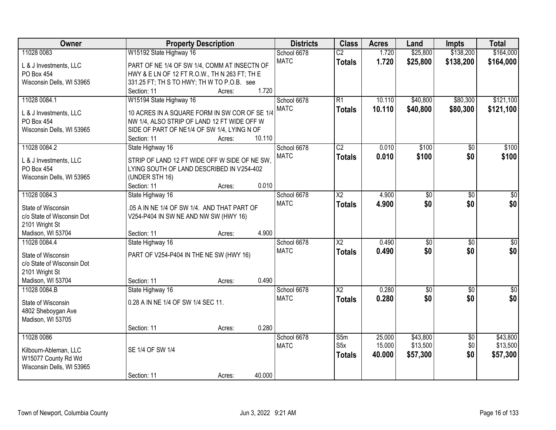| Owner                      | <b>Property Description</b>                   | <b>Districts</b> | <b>Class</b>           | <b>Acres</b> | Land            | <b>Impts</b>    | <b>Total</b>     |
|----------------------------|-----------------------------------------------|------------------|------------------------|--------------|-----------------|-----------------|------------------|
| 11028 0083                 | W15192 State Highway 16                       | School 6678      | $\overline{C2}$        | 1.720        | \$25,800        | \$138,200       | \$164,000        |
| L & J Investments, LLC     | PART OF NE 1/4 OF SW 1/4, COMM AT INSECTN OF  | <b>MATC</b>      | <b>Totals</b>          | 1.720        | \$25,800        | \$138,200       | \$164,000        |
| <b>PO Box 454</b>          | HWY & E LN OF 12 FT R.O.W., TH N 263 FT; TH E |                  |                        |              |                 |                 |                  |
| Wisconsin Dells, WI 53965  | 331.25 FT; TH S TO HWY; TH W TO P.O.B. see    |                  |                        |              |                 |                 |                  |
|                            | 1.720<br>Section: 11<br>Acres:                |                  |                        |              |                 |                 |                  |
| 11028 0084.1               | W15194 State Highway 16                       | School 6678      | $\overline{R1}$        | 10.110       | \$40,800        | \$80,300        | \$121,100        |
|                            |                                               | <b>MATC</b>      | <b>Totals</b>          | 10.110       | \$40,800        | \$80,300        | \$121,100        |
| L & J Investments, LLC     | 10 ACRES IN A SQUARE FORM IN SW COR OF SE 1/4 |                  |                        |              |                 |                 |                  |
| PO Box 454                 | NW 1/4, ALSO STRIP OF LAND 12 FT WIDE OFF W   |                  |                        |              |                 |                 |                  |
| Wisconsin Dells, WI 53965  | SIDE OF PART OF NE1/4 OF SW 1/4, LYING N OF   |                  |                        |              |                 |                 |                  |
|                            | 10.110<br>Section: 11<br>Acres:               |                  |                        |              |                 |                 |                  |
| 11028 0084.2               | State Highway 16                              | School 6678      | $\overline{C2}$        | 0.010        | \$100           | \$0             | \$100            |
| L & J Investments, LLC     | STRIP OF LAND 12 FT WIDE OFF W SIDE OF NE SW. | <b>MATC</b>      | <b>Totals</b>          | 0.010        | \$100           | \$0             | \$100            |
| PO Box 454                 | LYING SOUTH OF LAND DESCRIBED IN V254-402     |                  |                        |              |                 |                 |                  |
| Wisconsin Dells, WI 53965  | (UNDER STH 16)                                |                  |                        |              |                 |                 |                  |
|                            | 0.010<br>Section: 11<br>Acres:                |                  |                        |              |                 |                 |                  |
| 11028 0084.3               | State Highway 16                              | School 6678      | $\overline{\text{X2}}$ | 4.900        | $\overline{50}$ | \$0             | \$0              |
|                            |                                               | <b>MATC</b>      | <b>Totals</b>          | 4.900        | \$0             | \$0             | \$0              |
| State of Wisconsin         | .05 A IN NE 1/4 OF SW 1/4. AND THAT PART OF   |                  |                        |              |                 |                 |                  |
| c/o State of Wisconsin Dot | V254-P404 IN SW NE AND NW SW (HWY 16)         |                  |                        |              |                 |                 |                  |
| 2101 Wright St             | 4.900                                         |                  |                        |              |                 |                 |                  |
| Madison, WI 53704          | Section: 11<br>Acres:                         |                  |                        |              |                 |                 |                  |
| 11028 0084.4               | State Highway 16                              | School 6678      | $\overline{\text{X2}}$ | 0.490        | $\overline{50}$ | $\overline{30}$ | $\overline{30}$  |
| State of Wisconsin         | PART OF V254-P404 IN THE NE SW (HWY 16)       | <b>MATC</b>      | <b>Totals</b>          | 0.490        | \$0             | \$0             | \$0              |
| c/o State of Wisconsin Dot |                                               |                  |                        |              |                 |                 |                  |
| 2101 Wright St             |                                               |                  |                        |              |                 |                 |                  |
| Madison, WI 53704          | 0.490<br>Section: 11<br>Acres:                |                  |                        |              |                 |                 |                  |
| 11028 0084.B               | State Highway 16                              | School 6678      | $\overline{X2}$        | 0.280        | $\overline{50}$ | $\overline{50}$ | $\overline{\$0}$ |
| State of Wisconsin         | 0.28 A IN NE 1/4 OF SW 1/4 SEC 11.            | <b>MATC</b>      | <b>Totals</b>          | 0.280        | \$0             | \$0             | \$0              |
|                            |                                               |                  |                        |              |                 |                 |                  |
| 4802 Sheboygan Ave         |                                               |                  |                        |              |                 |                 |                  |
| Madison, WI 53705          | 0.280<br>Section: 11<br>Acres:                |                  |                        |              |                 |                 |                  |
| 11028 0086                 |                                               | School 6678      | S5m                    | 25.000       | \$43,800        | $\overline{50}$ | \$43,800         |
|                            |                                               | <b>MATC</b>      | S <sub>5</sub> x       | 15.000       | \$13,500        | \$0             | \$13,500         |
| Kilbourn-Ableman, LLC      | SE 1/4 OF SW 1/4                              |                  |                        |              |                 |                 |                  |
| W15077 County Rd Wd        |                                               |                  | <b>Totals</b>          | 40.000       | \$57,300        | \$0             | \$57,300         |
| Wisconsin Dells, WI 53965  |                                               |                  |                        |              |                 |                 |                  |
|                            | 40.000<br>Section: 11<br>Acres:               |                  |                        |              |                 |                 |                  |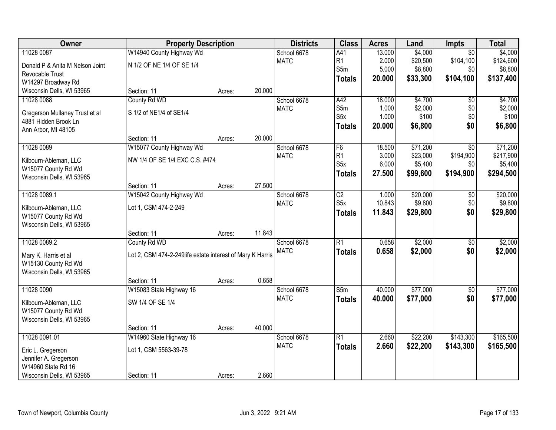| Owner                           | <b>Property Description</b>                               |        |        | <b>Districts</b> | <b>Class</b>     | <b>Acres</b> | Land     | <b>Impts</b>    | <b>Total</b> |
|---------------------------------|-----------------------------------------------------------|--------|--------|------------------|------------------|--------------|----------|-----------------|--------------|
| 11028 0087                      | W14940 County Highway Wd                                  |        |        | School 6678      | A41              | 13.000       | \$4,000  | $\overline{30}$ | \$4,000      |
| Donald P & Anita M Nelson Joint | N 1/2 OF NE 1/4 OF SE 1/4                                 |        |        | <b>MATC</b>      | R <sub>1</sub>   | 2.000        | \$20,500 | \$104,100       | \$124,600    |
| Revocable Trust                 |                                                           |        |        |                  | S5m              | 5.000        | \$8,800  | \$0             | \$8,800      |
| W14297 Broadway Rd              |                                                           |        |        |                  | <b>Totals</b>    | 20.000       | \$33,300 | \$104,100       | \$137,400    |
| Wisconsin Dells, WI 53965       | Section: 11                                               | Acres: | 20.000 |                  |                  |              |          |                 |              |
| 11028 0088                      | County Rd WD                                              |        |        | School 6678      | A42              | 18.000       | \$4,700  | $\overline{50}$ | \$4,700      |
| Gregerson Mullaney Trust et al  | S 1/2 of NE1/4 of SE1/4                                   |        |        | <b>MATC</b>      | S5m              | 1.000        | \$2,000  | \$0             | \$2,000      |
| 4881 Hidden Brook Ln            |                                                           |        |        |                  | S5x              | 1.000        | \$100    | \$0             | \$100        |
| Ann Arbor, MI 48105             |                                                           |        |        |                  | <b>Totals</b>    | 20.000       | \$6,800  | \$0             | \$6,800      |
|                                 | Section: 11                                               | Acres: | 20.000 |                  |                  |              |          |                 |              |
| 11028 0089                      | W15077 County Highway Wd                                  |        |        | School 6678      | F6               | 18.500       | \$71,200 | $\overline{50}$ | \$71,200     |
| Kilbourn-Ableman, LLC           | NW 1/4 OF SE 1/4 EXC C.S. #474                            |        |        | <b>MATC</b>      | R1               | 3.000        | \$23,000 | \$194,900       | \$217,900    |
| W15077 County Rd Wd             |                                                           |        |        |                  | S <sub>5</sub> x | 6.000        | \$5,400  | \$0             | \$5,400      |
| Wisconsin Dells, WI 53965       |                                                           |        |        |                  | <b>Totals</b>    | 27.500       | \$99,600 | \$194,900       | \$294,500    |
|                                 | Section: 11                                               | Acres: | 27.500 |                  |                  |              |          |                 |              |
| 11028 0089.1                    | W15042 County Highway Wd                                  |        |        | School 6678      | $\overline{C2}$  | 1.000        | \$20,000 | \$0             | \$20,000     |
| Kilbourn-Ableman, LLC           | Lot 1, CSM 474-2-249                                      |        |        | <b>MATC</b>      | S <sub>5</sub> x | 10.843       | \$9,800  | \$0             | \$9,800      |
| W15077 County Rd Wd             |                                                           |        |        |                  | <b>Totals</b>    | 11.843       | \$29,800 | \$0             | \$29,800     |
| Wisconsin Dells, WI 53965       |                                                           |        |        |                  |                  |              |          |                 |              |
|                                 | Section: 11                                               | Acres: | 11.843 |                  |                  |              |          |                 |              |
| 11028 0089.2                    | County Rd WD                                              |        |        | School 6678      | $\overline{R1}$  | 0.658        | \$2,000  | \$0             | \$2,000      |
| Mary K. Harris et al            | Lot 2, CSM 474-2-249life estate interest of Mary K Harris |        |        | <b>MATC</b>      | <b>Totals</b>    | 0.658        | \$2,000  | \$0             | \$2,000      |
| W15130 County Rd Wd             |                                                           |        |        |                  |                  |              |          |                 |              |
| Wisconsin Dells, WI 53965       |                                                           |        |        |                  |                  |              |          |                 |              |
|                                 | Section: 11                                               | Acres: | 0.658  |                  |                  |              |          |                 |              |
| 11028 0090                      | W15083 State Highway 16                                   |        |        | School 6678      | S5m              | 40.000       | \$77,000 | $\overline{60}$ | \$77,000     |
| Kilbourn-Ableman, LLC           | SW 1/4 OF SE 1/4                                          |        |        | <b>MATC</b>      | <b>Totals</b>    | 40.000       | \$77,000 | \$0             | \$77,000     |
| W15077 County Rd Wd             |                                                           |        |        |                  |                  |              |          |                 |              |
| Wisconsin Dells, WI 53965       |                                                           |        |        |                  |                  |              |          |                 |              |
|                                 | Section: 11                                               | Acres: | 40.000 |                  |                  |              |          |                 |              |
| 11028 0091.01                   | W14960 State Highway 16                                   |        |        | School 6678      | $\overline{R1}$  | 2.660        | \$22,200 | \$143,300       | \$165,500    |
| Eric L. Gregerson               | Lot 1, CSM 5563-39-78                                     |        |        | <b>MATC</b>      | <b>Totals</b>    | 2.660        | \$22,200 | \$143,300       | \$165,500    |
| Jennifer A. Gregerson           |                                                           |        |        |                  |                  |              |          |                 |              |
| W14960 State Rd 16              |                                                           |        |        |                  |                  |              |          |                 |              |
| Wisconsin Dells, WI 53965       | Section: 11                                               | Acres: | 2.660  |                  |                  |              |          |                 |              |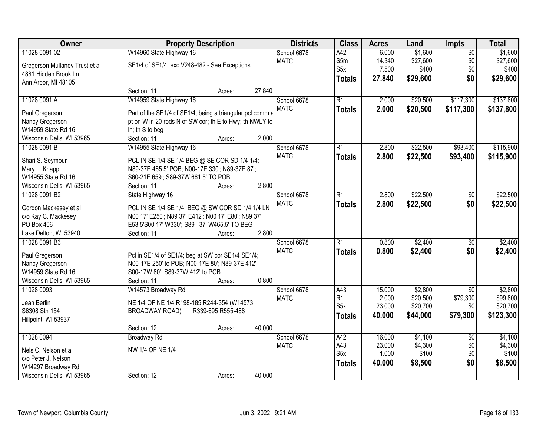| Owner                                     | <b>Property Description</b>                               | <b>Districts</b>  | <b>Class</b> | <b>Acres</b>     | Land   | Impts    | <b>Total</b>    |           |
|-------------------------------------------|-----------------------------------------------------------|-------------------|--------------|------------------|--------|----------|-----------------|-----------|
| 11028 0091.02                             | W14960 State Highway 16                                   |                   | School 6678  | A42              | 6.000  | \$1,600  | $\overline{50}$ | \$1,600   |
| Gregerson Mullaney Trust et al            | SE1/4 of SE1/4; exc V248-482 - See Exceptions             |                   | <b>MATC</b>  | S5m              | 14.340 | \$27,600 | \$0             | \$27,600  |
| 4881 Hidden Brook Ln                      |                                                           |                   |              | S <sub>5</sub> x | 7.500  | \$400    | \$0             | \$400     |
| Ann Arbor, MI 48105                       |                                                           |                   |              | <b>Totals</b>    | 27.840 | \$29,600 | \$0             | \$29,600  |
|                                           | Section: 11                                               | Acres:            | 27.840       |                  |        |          |                 |           |
| 11028 0091.A                              | W14959 State Highway 16                                   |                   | School 6678  | $\overline{R1}$  | 2.000  | \$20,500 | \$117,300       | \$137,800 |
|                                           |                                                           |                   | <b>MATC</b>  | <b>Totals</b>    | 2.000  | \$20,500 | \$117,300       | \$137,800 |
| Paul Gregerson                            | Part of the SE1/4 of SE1/4, being a triangular pcl comm a |                   |              |                  |        |          |                 |           |
| Nancy Gregerson<br>W14959 State Rd 16     | pt on W In 20 rods N of SW cor; th E to Hwy; th NWLY to   |                   |              |                  |        |          |                 |           |
|                                           | In; th S to beg<br>Section: 11                            | Acres:            | 2.000        |                  |        |          |                 |           |
| Wisconsin Dells, WI 53965<br>11028 0091.B |                                                           |                   | School 6678  | $\overline{R1}$  | 2.800  | \$22,500 | \$93,400        | \$115,900 |
|                                           | W14955 State Highway 16                                   |                   | <b>MATC</b>  |                  |        |          |                 |           |
| Shari S. Seymour                          | PCL IN SE 1/4 SE 1/4 BEG @ SE COR SD 1/4 1/4;             |                   |              | <b>Totals</b>    | 2.800  | \$22,500 | \$93,400        | \$115,900 |
| Mary L. Knapp                             | N89-37E 465.5' POB; N00-17E 330'; N89-37E 87';            |                   |              |                  |        |          |                 |           |
| W14955 State Rd 16                        | S60-21E 659'; S89-37W 661.5' TO POB.                      |                   |              |                  |        |          |                 |           |
| Wisconsin Dells, WI 53965                 | Section: 11                                               | Acres:            | 2.800        |                  |        |          |                 |           |
| 11028 0091.B2                             | State Highway 16                                          |                   | School 6678  | $\overline{R1}$  | 2.800  | \$22,500 | \$0             | \$22,500  |
| Gordon Mackesey et al                     | PCL IN SE 1/4 SE 1/4; BEG @ SW COR SD 1/4 1/4 LN          |                   | <b>MATC</b>  | <b>Totals</b>    | 2.800  | \$22,500 | \$0             | \$22,500  |
| c/o Kay C. Mackesey                       | N00 17' E250'; N89 37' E412'; N00 17' E80'; N89 37'       |                   |              |                  |        |          |                 |           |
| PO Box 406                                | E53.5'S00 17' W330'; S89 37' W465.5' TO BEG               |                   |              |                  |        |          |                 |           |
| Lake Delton, WI 53940                     | Section: 11                                               | Acres:            | 2.800        |                  |        |          |                 |           |
| 11028 0091.B3                             |                                                           |                   | School 6678  | $\overline{R1}$  | 0.800  | \$2,400  | \$0             | \$2,400   |
|                                           |                                                           |                   | <b>MATC</b>  | <b>Totals</b>    | 0.800  | \$2,400  | \$0             | \$2,400   |
| Paul Gregerson                            | Pcl in SE1/4 of SE1/4; beg at SW cor SE1/4 SE1/4;         |                   |              |                  |        |          |                 |           |
| Nancy Gregerson                           | N00-17E 250' to POB; N00-17E 80'; N89-37E 412';           |                   |              |                  |        |          |                 |           |
| W14959 State Rd 16                        | S00-17W 80'; S89-37W 412' to POB                          |                   |              |                  |        |          |                 |           |
| Wisconsin Dells, WI 53965                 | Section: 11                                               | Acres:            | 0.800        |                  |        |          |                 |           |
| 11028 0093                                | W14573 Broadway Rd                                        |                   | School 6678  | A43              | 15.000 | \$2,800  | $\overline{50}$ | \$2,800   |
| Jean Berlin                               | NE 1/4 OF NE 1/4 R198-185 R244-354 (W14573                |                   | <b>MATC</b>  | R1               | 2.000  | \$20,500 | \$79,300        | \$99,800  |
| S6308 Sth 154                             | <b>BROADWAY ROAD)</b>                                     | R339-695 R555-488 |              | S <sub>5</sub> x | 23.000 | \$20,700 | \$0             | \$20,700  |
| Hillpoint, WI 53937                       |                                                           |                   |              | <b>Totals</b>    | 40.000 | \$44,000 | \$79,300        | \$123,300 |
|                                           | Section: 12                                               | Acres:            | 40.000       |                  |        |          |                 |           |
| 11028 0094                                | <b>Broadway Rd</b>                                        |                   | School 6678  | A42              | 16.000 | \$4,100  | $\overline{50}$ | \$4,100   |
|                                           |                                                           |                   | <b>MATC</b>  | A43              | 23.000 | \$4,300  | \$0             | \$4,300   |
| Nels C. Nelson et al                      | NW 1/4 OF NE 1/4                                          |                   |              | S <sub>5</sub> x | 1.000  | \$100    | \$0             | \$100     |
| c/o Peter J. Nelson                       |                                                           |                   |              | <b>Totals</b>    | 40.000 | \$8,500  | \$0             | \$8,500   |
| W14297 Broadway Rd                        |                                                           |                   |              |                  |        |          |                 |           |
| Wisconsin Dells, WI 53965                 | Section: 12                                               | Acres:            | 40.000       |                  |        |          |                 |           |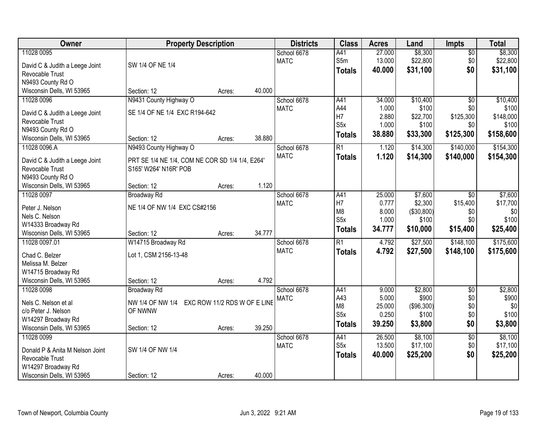| Owner                                | <b>Property Description</b>                     |                              |        | <b>Districts</b> | <b>Class</b>     | <b>Acres</b> | Land       | <b>Impts</b>    | <b>Total</b> |
|--------------------------------------|-------------------------------------------------|------------------------------|--------|------------------|------------------|--------------|------------|-----------------|--------------|
| 11028 0095                           |                                                 |                              |        | School 6678      | A41              | 27.000       | \$8,300    | $\sqrt{$0}$     | \$8,300      |
| David C & Judith a Leege Joint       | SW 1/4 OF NE 1/4                                |                              |        | <b>MATC</b>      | S5m              | 13.000       | \$22,800   | \$0             | \$22,800     |
| Revocable Trust                      |                                                 |                              |        |                  | <b>Totals</b>    | 40.000       | \$31,100   | \$0             | \$31,100     |
| N9493 County Rd O                    |                                                 |                              |        |                  |                  |              |            |                 |              |
| Wisconsin Dells, WI 53965            | Section: 12                                     | Acres:                       | 40.000 |                  |                  |              |            |                 |              |
| 11028 0096                           | N9431 County Highway O                          |                              |        | School 6678      | A41              | 34.000       | \$10,400   | $\overline{50}$ | \$10,400     |
|                                      |                                                 |                              |        | <b>MATC</b>      | A44              | 1.000        | \$100      | \$0             | \$100        |
| David C & Judith a Leege Joint       | SE 1/4 OF NE 1/4 EXC R194-642                   |                              |        |                  | H7               | 2.880        | \$22,700   | \$125,300       | \$148,000    |
| Revocable Trust                      |                                                 |                              |        |                  | S <sub>5</sub> x | 1.000        | \$100      | \$0             | \$100        |
| N9493 County Rd O                    |                                                 |                              |        |                  | <b>Totals</b>    | 38.880       | \$33,300   | \$125,300       | \$158,600    |
| Wisconsin Dells, WI 53965            | Section: 12                                     | Acres:                       | 38.880 |                  |                  |              |            |                 |              |
| 11028 0096.A                         | N9493 County Highway O                          |                              |        | School 6678      | $\overline{R1}$  | 1.120        | \$14,300   | \$140,000       | \$154,300    |
| David C & Judith a Leege Joint       | PRT SE 1/4 NE 1/4, COM NE COR SD 1/4 1/4, E264' |                              |        | <b>MATC</b>      | <b>Totals</b>    | 1.120        | \$14,300   | \$140,000       | \$154,300    |
| Revocable Trust                      | S165' W264' N16R' POB                           |                              |        |                  |                  |              |            |                 |              |
| N9493 County Rd O                    |                                                 |                              |        |                  |                  |              |            |                 |              |
| Wisconsin Dells, WI 53965            | Section: 12                                     | Acres:                       | 1.120  |                  |                  |              |            |                 |              |
| 11028 0097                           | <b>Broadway Rd</b>                              |                              |        | School 6678      | A41              | 25.000       | \$7,600    | $\sqrt{6}$      | \$7,600      |
|                                      |                                                 |                              |        | <b>MATC</b>      | H7               | 0.777        | \$2,300    | \$15,400        | \$17,700     |
| Peter J. Nelson                      | NE 1/4 OF NW 1/4 EXC CS#2156                    |                              |        |                  | M <sub>8</sub>   | 8.000        | (\$30,800) | \$0             | \$0          |
| Nels C. Nelson<br>W14333 Broadway Rd |                                                 |                              |        |                  | S <sub>5</sub> x | 1.000        | \$100      | \$0             | \$100        |
| Wisconisn Dells, WI 53965            | Section: 12                                     |                              | 34.777 |                  | <b>Totals</b>    | 34.777       | \$10,000   | \$15,400        | \$25,400     |
| 11028 0097.01                        | W14715 Broadway Rd                              | Acres:                       |        | School 6678      | $\overline{R1}$  | 4.792        | \$27,500   | \$148,100       | \$175,600    |
|                                      |                                                 |                              |        | <b>MATC</b>      |                  |              |            |                 |              |
| Chad C. Belzer                       | Lot 1, CSM 2156-13-48                           |                              |        |                  | <b>Totals</b>    | 4.792        | \$27,500   | \$148,100       | \$175,600    |
| Melissa M. Belzer                    |                                                 |                              |        |                  |                  |              |            |                 |              |
| W14715 Broadway Rd                   |                                                 |                              |        |                  |                  |              |            |                 |              |
| Wisconsin Dells, WI 53965            | Section: 12                                     | Acres:                       | 4.792  |                  |                  |              |            |                 |              |
| 11028 0098                           | Broadway Rd                                     |                              |        | School 6678      | A41              | 9.000        | \$2,800    | $\sqrt{6}$      | \$2,800      |
| Nels C. Nelson et al                 | NW 1/4 OF NW 1/4                                | EXC ROW 11/2 RDS W OF E LINE |        | <b>MATC</b>      | A43              | 5.000        | \$900      | \$0             | \$900        |
| c/o Peter J. Nelson                  | OF NWNW                                         |                              |        |                  | M <sub>8</sub>   | 25.000       | (\$96,300) | \$0             | \$0          |
| W14297 Broadway Rd                   |                                                 |                              |        |                  | S5x              | 0.250        | \$100      | \$0             | \$100        |
| Wisconsin Dells, WI 53965            | Section: 12                                     | Acres:                       | 39.250 |                  | <b>Totals</b>    | 39.250       | \$3,800    | \$0             | \$3,800      |
| 11028 0099                           |                                                 |                              |        | School 6678      | A41              | 26.500       | \$8,100    | $\overline{50}$ | \$8,100      |
|                                      |                                                 |                              |        | <b>MATC</b>      | S <sub>5</sub> x | 13.500       | \$17,100   | \$0             | \$17,100     |
| Donald P & Anita M Nelson Joint      | SW 1/4 OF NW 1/4                                |                              |        |                  | <b>Totals</b>    | 40.000       | \$25,200   | \$0             | \$25,200     |
| Revocable Trust                      |                                                 |                              |        |                  |                  |              |            |                 |              |
| W14297 Broadway Rd                   |                                                 |                              |        |                  |                  |              |            |                 |              |
| Wisconsin Dells, WI 53965            | Section: 12                                     | Acres:                       | 40.000 |                  |                  |              |            |                 |              |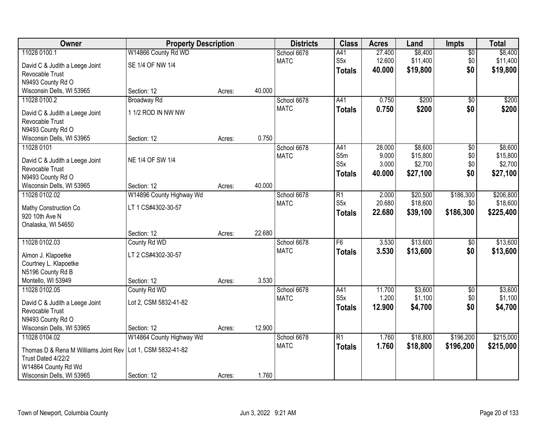| Owner                                                      | <b>Property Description</b> |        |        | <b>Districts</b> | <b>Class</b>     | <b>Acres</b> | Land     | <b>Impts</b>    | <b>Total</b> |
|------------------------------------------------------------|-----------------------------|--------|--------|------------------|------------------|--------------|----------|-----------------|--------------|
| 11028 0100.1                                               | W14866 County Rd WD         |        |        | School 6678      | A41              | 27.400       | \$8,400  | $\sqrt{$0}$     | \$8,400      |
| David C & Judith a Leege Joint                             | SE 1/4 OF NW 1/4            |        |        | <b>MATC</b>      | S <sub>5</sub> x | 12.600       | \$11,400 | \$0             | \$11,400     |
| Revocable Trust                                            |                             |        |        |                  | <b>Totals</b>    | 40.000       | \$19,800 | \$0             | \$19,800     |
| N9493 County Rd O                                          |                             |        |        |                  |                  |              |          |                 |              |
| Wisconsin Dells, WI 53965                                  | Section: 12                 | Acres: | 40.000 |                  |                  |              |          |                 |              |
| 11028 0100.2                                               | <b>Broadway Rd</b>          |        |        | School 6678      | A41              | 0.750        | \$200    | \$0             | \$200        |
| David C & Judith a Leege Joint                             | 1 1/2 ROD IN NW NW          |        |        | <b>MATC</b>      | <b>Totals</b>    | 0.750        | \$200    | \$0             | \$200        |
| Revocable Trust                                            |                             |        |        |                  |                  |              |          |                 |              |
| N9493 County Rd O                                          |                             |        |        |                  |                  |              |          |                 |              |
| Wisconsin Dells, WI 53965                                  | Section: 12                 | Acres: | 0.750  |                  |                  |              |          |                 |              |
| 11028 0101                                                 |                             |        |        | School 6678      | A41              | 28.000       | \$8,600  | \$0             | \$8,600      |
| David C & Judith a Leege Joint                             | NE 1/4 OF SW 1/4            |        |        | <b>MATC</b>      | S5m              | 9.000        | \$15,800 | \$0             | \$15,800     |
| Revocable Trust                                            |                             |        |        |                  | S <sub>5</sub> x | 3.000        | \$2,700  | \$0             | \$2,700      |
| N9493 County Rd O                                          |                             |        |        |                  | <b>Totals</b>    | 40.000       | \$27,100 | \$0             | \$27,100     |
| Wisconsin Dells, WI 53965                                  | Section: 12                 | Acres: | 40.000 |                  |                  |              |          |                 |              |
| 11028 0102.02                                              | W14896 County Highway Wd    |        |        | School 6678      | $\overline{R1}$  | 2.000        | \$20,500 | \$186,300       | \$206,800    |
| Mathy Construction Co                                      | LT 1 CS#4302-30-57          |        |        | <b>MATC</b>      | S <sub>5</sub> x | 20.680       | \$18,600 | \$0             | \$18,600     |
| 920 10th Ave N                                             |                             |        |        |                  | <b>Totals</b>    | 22.680       | \$39,100 | \$186,300       | \$225,400    |
| Onalaska, WI 54650                                         |                             |        |        |                  |                  |              |          |                 |              |
|                                                            | Section: 12                 | Acres: | 22.680 |                  |                  |              |          |                 |              |
| 11028 0102.03                                              | County Rd WD                |        |        | School 6678      | F6               | 3.530        | \$13,600 | $\overline{60}$ | \$13,600     |
| Almon J. Klapoetke                                         | LT 2 CS#4302-30-57          |        |        | <b>MATC</b>      | <b>Totals</b>    | 3.530        | \$13,600 | \$0             | \$13,600     |
| Courtney L. Klapoetke                                      |                             |        |        |                  |                  |              |          |                 |              |
| N5196 County Rd B                                          |                             |        |        |                  |                  |              |          |                 |              |
| Montello, WI 53949                                         | Section: 12                 | Acres: | 3.530  |                  |                  |              |          |                 |              |
| 11028 0102.05                                              | County Rd WD                |        |        | School 6678      | A41              | 11.700       | \$3,600  | \$0             | \$3,600      |
|                                                            | Lot 2, CSM 5832-41-82       |        |        | <b>MATC</b>      | S <sub>5x</sub>  | 1.200        | \$1,100  | \$0             | \$1,100      |
| David C & Judith a Leege Joint<br>Revocable Trust          |                             |        |        |                  | <b>Totals</b>    | 12.900       | \$4,700  | \$0             | \$4,700      |
| N9493 County Rd O                                          |                             |        |        |                  |                  |              |          |                 |              |
| Wisconsin Dells, WI 53965                                  | Section: 12                 | Acres: | 12.900 |                  |                  |              |          |                 |              |
| 11028 0104.02                                              | W14864 County Highway Wd    |        |        | School 6678      | $\overline{R1}$  | 1.760        | \$18,800 | \$196,200       | \$215,000    |
|                                                            |                             |        |        | <b>MATC</b>      | <b>Totals</b>    | 1.760        | \$18,800 | \$196,200       | \$215,000    |
| Thomas D & Rena M Williams Joint Rev<br>Trust Dated 4/22/2 | Lot 1, CSM 5832-41-82       |        |        |                  |                  |              |          |                 |              |
| W14864 County Rd Wd                                        |                             |        |        |                  |                  |              |          |                 |              |
| Wisconsin Dells, WI 53965                                  | Section: 12                 | Acres: | 1.760  |                  |                  |              |          |                 |              |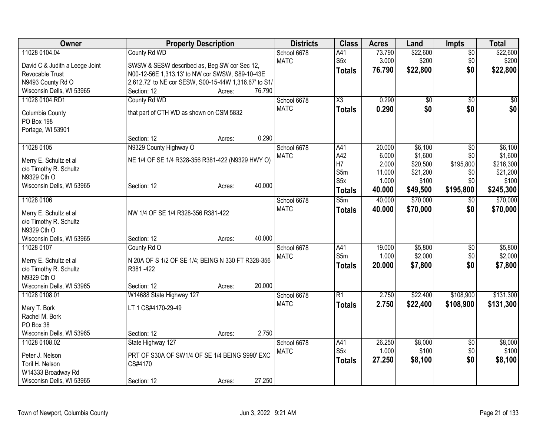| Owner                          | <b>Property Description</b>                           |        | <b>Districts</b> | <b>Class</b>           | <b>Acres</b> | Land            | <b>Impts</b>    | <b>Total</b> |
|--------------------------------|-------------------------------------------------------|--------|------------------|------------------------|--------------|-----------------|-----------------|--------------|
| 11028 0104.04                  | County Rd WD                                          |        | School 6678      | A41                    | 73.790       | \$22,600        | $\overline{50}$ | \$22,600     |
| David C & Judith a Leege Joint | SWSW & SESW described as, Beg SW cor Sec 12,          |        | <b>MATC</b>      | S <sub>5</sub> x       | 3.000        | \$200           | \$0             | \$200        |
| Revocable Trust                | N00-12-56E 1,313.13' to NW cor SWSW, S89-10-43E       |        |                  | <b>Totals</b>          | 76.790       | \$22,800        | \$0             | \$22,800     |
| N9493 County Rd O              | 2,612.72' to NE cor SESW, S00-15-44W 1,316.67' to S1/ |        |                  |                        |              |                 |                 |              |
| Wisconsin Dells, WI 53965      | Section: 12<br>Acres:                                 | 76.790 |                  |                        |              |                 |                 |              |
| 11028 0104.RD1                 | County Rd WD                                          |        | School 6678      | $\overline{\text{X3}}$ | 0.290        | $\overline{60}$ | $\sqrt{6}$      | \$0          |
|                                |                                                       |        | <b>MATC</b>      | <b>Totals</b>          | 0.290        | \$0             | \$0             | \$0          |
| Columbia County                | that part of CTH WD as shown on CSM 5832              |        |                  |                        |              |                 |                 |              |
| PO Box 198                     |                                                       |        |                  |                        |              |                 |                 |              |
| Portage, WI 53901              | Section: 12<br>Acres:                                 | 0.290  |                  |                        |              |                 |                 |              |
| 11028 0105                     | N9329 County Highway O                                |        | School 6678      | A41                    | 20.000       | \$6,100         | \$0             | \$6,100      |
|                                |                                                       |        | <b>MATC</b>      | A42                    | 6.000        | \$1,600         | \$0             | \$1,600      |
| Merry E. Schultz et al         | NE 1/4 OF SE 1/4 R328-356 R381-422 (N9329 HWY O)      |        |                  | H7                     | 2.000        | \$20,500        | \$195,800       | \$216,300    |
| c/o Timothy R. Schultz         |                                                       |        |                  | S5m                    | 11.000       | \$21,200        | \$0             | \$21,200     |
| N9329 Cth O                    |                                                       |        |                  | S <sub>5x</sub>        | 1.000        | \$100           | \$0             | \$100        |
| Wisconsin Dells, WI 53965      | Section: 12<br>Acres:                                 | 40.000 |                  | <b>Totals</b>          | 40.000       | \$49,500        | \$195,800       | \$245,300    |
| 11028 0106                     |                                                       |        | School 6678      | S5m                    | 40.000       | \$70,000        | $\sqrt{$0}$     | \$70,000     |
|                                |                                                       |        | <b>MATC</b>      |                        | 40.000       | \$70,000        | \$0             | \$70,000     |
| Merry E. Schultz et al         | NW 1/4 OF SE 1/4 R328-356 R381-422                    |        |                  | <b>Totals</b>          |              |                 |                 |              |
| c/o Timothy R. Schultz         |                                                       |        |                  |                        |              |                 |                 |              |
| N9329 Cth O                    |                                                       |        |                  |                        |              |                 |                 |              |
| Wisconsin Dells, WI 53965      | Section: 12<br>Acres:                                 | 40.000 |                  |                        |              |                 |                 |              |
| 11028 0107                     | County Rd O                                           |        | School 6678      | A41                    | 19.000       | \$5,800         | \$0             | \$5,800      |
| Merry E. Schultz et al         | N 20A OF S 1/2 OF SE 1/4; BEING N 330 FT R328-356     |        | <b>MATC</b>      | S5m                    | 1.000        | \$2,000         | \$0             | \$2,000      |
| c/o Timothy R. Schultz         | R381-422                                              |        |                  | <b>Totals</b>          | 20.000       | \$7,800         | \$0             | \$7,800      |
| N9329 Cth O                    |                                                       |        |                  |                        |              |                 |                 |              |
| Wisconsin Dells, WI 53965      | Section: 12<br>Acres:                                 | 20.000 |                  |                        |              |                 |                 |              |
| 11028 0108.01                  | W14688 State Highway 127                              |        | School 6678      | $\overline{R1}$        | 2.750        | \$22,400        | \$108,900       | \$131,300    |
|                                |                                                       |        | <b>MATC</b>      | <b>Totals</b>          | 2.750        | \$22,400        | \$108,900       | \$131,300    |
| Mary T. Bork                   | LT 1 CS#4170-29-49                                    |        |                  |                        |              |                 |                 |              |
| Rachel M. Bork                 |                                                       |        |                  |                        |              |                 |                 |              |
| PO Box 38                      |                                                       |        |                  |                        |              |                 |                 |              |
| Wisconsin Dells, WI 53965      | Section: 12<br>Acres:                                 | 2.750  |                  |                        |              |                 |                 |              |
| 11028 0108.02                  | State Highway 127                                     |        | School 6678      | A41                    | 26.250       | \$8,000         | \$0             | \$8,000      |
| Peter J. Nelson                | PRT OF S30A OF SW1/4 OF SE 1/4 BEING S990' EXC        |        | <b>MATC</b>      | S <sub>5</sub> x       | 1.000        | \$100           | \$0             | \$100        |
| Toril H. Nelson                | CS#4170                                               |        |                  | <b>Totals</b>          | 27.250       | \$8,100         | \$0             | \$8,100      |
| W14333 Broadway Rd             |                                                       |        |                  |                        |              |                 |                 |              |
| Wisconisn Dells, WI 53965      | Section: 12<br>Acres:                                 | 27.250 |                  |                        |              |                 |                 |              |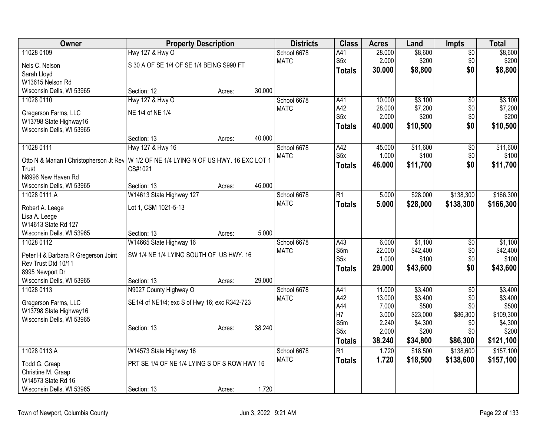| Owner                                                                                     | <b>Property Description</b>                   |        |        | <b>Districts</b> | <b>Class</b>     | <b>Acres</b> | Land     | Impts           | <b>Total</b> |
|-------------------------------------------------------------------------------------------|-----------------------------------------------|--------|--------|------------------|------------------|--------------|----------|-----------------|--------------|
| 11028 0109                                                                                | Hwy 127 & Hwy O                               |        |        | School 6678      | A41              | 28.000       | \$8,600  | \$0             | \$8,600      |
| Nels C. Nelson                                                                            | S 30 A OF SE 1/4 OF SE 1/4 BEING S990 FT      |        |        | <b>MATC</b>      | S <sub>5</sub> x | 2.000        | \$200    | \$0             | \$200        |
| Sarah Lloyd                                                                               |                                               |        |        |                  | <b>Totals</b>    | 30.000       | \$8,800  | \$0             | \$8,800      |
| W13615 Nelson Rd                                                                          |                                               |        |        |                  |                  |              |          |                 |              |
| Wisconsin Dells, WI 53965                                                                 | Section: 12                                   | Acres: | 30.000 |                  |                  |              |          |                 |              |
| 11028 0110                                                                                | <b>Hwy 127 &amp; Hwy O</b>                    |        |        | School 6678      | A41              | 10.000       | \$3,100  | $\overline{50}$ | \$3,100      |
| Gregerson Farms, LLC                                                                      | NE 1/4 of NE 1/4                              |        |        | <b>MATC</b>      | A42              | 28.000       | \$7,200  | \$0             | \$7,200      |
| W13798 State Highway16                                                                    |                                               |        |        |                  | S5x              | 2.000        | \$200    | \$0             | \$200        |
| Wisconsin Dells, WI 53965                                                                 |                                               |        |        |                  | <b>Totals</b>    | 40.000       | \$10,500 | \$0             | \$10,500     |
|                                                                                           | Section: 13                                   | Acres: | 40.000 |                  |                  |              |          |                 |              |
| 11028 0111                                                                                | Hwy 127 & Hwy 16                              |        |        | School 6678      | A42              | 45.000       | \$11,600 | \$0             | \$11,600     |
| Otto N & Marian I Christopherson Jt Rev   W 1/2 OF NE 1/4 LYING N OF US HWY. 16 EXC LOT 1 |                                               |        |        | <b>MATC</b>      | S <sub>5</sub> x | 1.000        | \$100    | \$0             | \$100        |
| Trust                                                                                     | CS#1021                                       |        |        |                  | <b>Totals</b>    | 46.000       | \$11,700 | \$0             | \$11,700     |
| N8996 New Haven Rd                                                                        |                                               |        |        |                  |                  |              |          |                 |              |
| Wisconsin Dells, WI 53965                                                                 | Section: 13                                   | Acres: | 46.000 |                  |                  |              |          |                 |              |
| 11028 0111.A                                                                              | W14613 State Highway 127                      |        |        | School 6678      | $\overline{R1}$  | 5.000        | \$28,000 | \$138,300       | \$166,300    |
|                                                                                           |                                               |        |        | <b>MATC</b>      | <b>Totals</b>    | 5.000        | \$28,000 | \$138,300       | \$166,300    |
| Robert A. Leege                                                                           | Lot 1, CSM 1021-5-13                          |        |        |                  |                  |              |          |                 |              |
| Lisa A. Leege<br>W14613 State Rd 127                                                      |                                               |        |        |                  |                  |              |          |                 |              |
| Wisconsin Dells, WI 53965                                                                 | Section: 13                                   | Acres: | 5.000  |                  |                  |              |          |                 |              |
| 11028 0112                                                                                | W14665 State Highway 16                       |        |        | School 6678      | A43              | 6.000        | \$1,100  | $\overline{50}$ | \$1,100      |
|                                                                                           |                                               |        |        | <b>MATC</b>      | S5m              | 22.000       | \$42,400 | \$0             | \$42,400     |
| Peter H & Barbara R Gregerson Joint                                                       | SW 1/4 NE 1/4 LYING SOUTH OF US HWY. 16       |        |        |                  | S5x              | 1.000        | \$100    | \$0             | \$100        |
| Rev Trust Dtd 10/11                                                                       |                                               |        |        |                  | <b>Totals</b>    | 29.000       | \$43,600 | \$0             | \$43,600     |
| 8995 Newport Dr<br>Wisconsin Dells, WI 53965                                              | Section: 13                                   | Acres: | 29.000 |                  |                  |              |          |                 |              |
| 11028 0113                                                                                | N9027 County Highway O                        |        |        | School 6678      | A41              | 11.000       | \$3,400  | $\overline{50}$ | \$3,400      |
|                                                                                           |                                               |        |        | <b>MATC</b>      | A42              | 13.000       | \$3,400  | \$0             | \$3,400      |
| Gregerson Farms, LLC                                                                      | SE1/4 of NE1/4; exc S of Hwy 16; exc R342-723 |        |        |                  | A44              | 7.000        | \$500    | \$0             | \$500        |
| W13798 State Highway16                                                                    |                                               |        |        |                  | H7               | 3.000        | \$23,000 | \$86,300        | \$109,300    |
| Wisconsin Dells, WI 53965                                                                 |                                               |        |        |                  | S5m              | 2.240        | \$4,300  | \$0             | \$4,300      |
|                                                                                           | Section: 13                                   | Acres: | 38.240 |                  | S <sub>5x</sub>  | 2.000        | \$200    | \$0             | \$200        |
|                                                                                           |                                               |        |        |                  | <b>Totals</b>    | 38.240       | \$34,800 | \$86,300        | \$121,100    |
| 11028 0113.A                                                                              | W14573 State Highway 16                       |        |        | School 6678      | $\overline{R1}$  | 1.720        | \$18,500 | \$138,600       | \$157,100    |
| Todd G. Graap                                                                             | PRT SE 1/4 OF NE 1/4 LYING S OF S ROW HWY 16  |        |        | <b>MATC</b>      | <b>Totals</b>    | 1.720        | \$18,500 | \$138,600       | \$157,100    |
| Christine M. Graap                                                                        |                                               |        |        |                  |                  |              |          |                 |              |
| W14573 State Rd 16                                                                        |                                               |        |        |                  |                  |              |          |                 |              |
| Wisconsin Dells, WI 53965                                                                 | Section: 13                                   | Acres: | 1.720  |                  |                  |              |          |                 |              |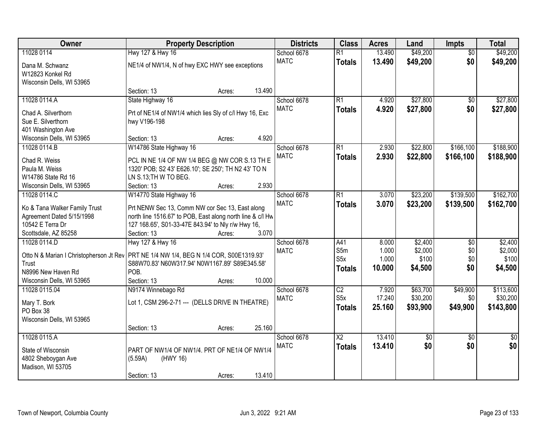| Owner                                                                                    | <b>Property Description</b>                                                                           | <b>Districts</b> | <b>Class</b> | <b>Acres</b>           | Land   | Impts       | <b>Total</b>    |                 |
|------------------------------------------------------------------------------------------|-------------------------------------------------------------------------------------------------------|------------------|--------------|------------------------|--------|-------------|-----------------|-----------------|
| 11028 0114                                                                               | Hwy 127 & Hwy 16                                                                                      |                  | School 6678  | $\overline{R1}$        | 13.490 | \$49,200    | $\overline{50}$ | \$49,200        |
| Dana M. Schwanz                                                                          | NE1/4 of NW1/4, N of hwy EXC HWY see exceptions                                                       |                  | <b>MATC</b>  | <b>Totals</b>          | 13.490 | \$49,200    | \$0             | \$49,200        |
| W12823 Konkel Rd                                                                         |                                                                                                       |                  |              |                        |        |             |                 |                 |
| Wisconsin Dells, WI 53965                                                                |                                                                                                       |                  |              |                        |        |             |                 |                 |
|                                                                                          | Section: 13                                                                                           | Acres:           | 13.490       |                        |        |             |                 |                 |
| 11028 0114.A                                                                             | State Highway 16                                                                                      |                  | School 6678  | $\overline{R1}$        | 4.920  | \$27,800    | \$0             | \$27,800        |
| Chad A. Silverthorn                                                                      | Prt of NE1/4 of NW1/4 which lies Sly of c/l Hwy 16, Exc                                               |                  | <b>MATC</b>  | <b>Totals</b>          | 4.920  | \$27,800    | \$0             | \$27,800        |
| Sue E. Silverthorn                                                                       | hwy V196-198                                                                                          |                  |              |                        |        |             |                 |                 |
| 401 Washington Ave                                                                       |                                                                                                       |                  |              |                        |        |             |                 |                 |
| Wisconsin Dells, WI 53965                                                                | Section: 13                                                                                           | Acres:           | 4.920        |                        |        |             |                 |                 |
| 11028 0114.B                                                                             | W14786 State Highway 16                                                                               |                  | School 6678  | $\overline{R1}$        | 2.930  | \$22,800    | \$166,100       | \$188,900       |
| Chad R. Weiss                                                                            |                                                                                                       |                  | <b>MATC</b>  | <b>Totals</b>          | 2.930  | \$22,800    | \$166,100       | \$188,900       |
| Paula M. Weiss                                                                           | PCL IN NE 1/4 OF NW 1/4 BEG @ NW COR S.13 TH E<br>1320' POB; S2 43' E626.10'; SE 250'; TH N2 43' TO N |                  |              |                        |        |             |                 |                 |
| W14786 State Rd 16                                                                       | LN S.13; TH W TO BEG.                                                                                 |                  |              |                        |        |             |                 |                 |
| Wisconsin Dells, WI 53965                                                                | Section: 13                                                                                           | Acres:           | 2.930        |                        |        |             |                 |                 |
| 11028 0114.C                                                                             | W14770 State Highway 16                                                                               |                  | School 6678  | $\overline{R1}$        | 3.070  | \$23,200    | \$139,500       | \$162,700       |
|                                                                                          |                                                                                                       |                  | <b>MATC</b>  | <b>Totals</b>          | 3.070  | \$23,200    | \$139,500       | \$162,700       |
| Ko & Tana Walker Family Trust                                                            | Prt NENW Sec 13, Comm NW cor Sec 13, East along                                                       |                  |              |                        |        |             |                 |                 |
| Agreement Dated 5/15/1998                                                                | north line 1516.67' to POB, East along north line & c/l Hw                                            |                  |              |                        |        |             |                 |                 |
| 10542 E Terra Dr                                                                         | 127 168.65', S01-33-47E 843.94' to Nly r/w Hwy 16,                                                    |                  |              |                        |        |             |                 |                 |
| Scottsdale, AZ 85258                                                                     | Section: 13                                                                                           | Acres:           | 3.070        |                        |        |             |                 |                 |
| 11028 0114.D                                                                             | Hwy 127 & Hwy 16                                                                                      |                  | School 6678  | A41                    | 8.000  | \$2,400     | \$0             | \$2,400         |
| Otto N & Marian I Christopherson Jt Rev   PRT NE 1/4 NW 1/4, BEG N 1/4 COR, S00E1319.93' |                                                                                                       |                  | <b>MATC</b>  | S5m                    | 1.000  | \$2,000     | \$0             | \$2,000         |
| Trust                                                                                    | S88W70.83' N60W317.94' N0W1167.89' S89E345.58'                                                        |                  |              | S <sub>5</sub> x       | 1.000  | \$100       | \$0             | \$100           |
| N8996 New Haven Rd                                                                       | POB.                                                                                                  |                  |              | <b>Totals</b>          | 10.000 | \$4,500     | \$0             | \$4,500         |
| Wisconsin Dells, WI 53965                                                                | Section: 13                                                                                           | Acres:           | 10.000       |                        |        |             |                 |                 |
| 11028 0115.04                                                                            | N9174 Winnebago Rd                                                                                    |                  | School 6678  | $\overline{C2}$        | 7.920  | \$63,700    | \$49,900        | \$113,600       |
| Mary T. Bork                                                                             | Lot 1, CSM 296-2-71 --- (DELLS DRIVE IN THEATRE)                                                      |                  | <b>MATC</b>  | S <sub>5x</sub>        | 17.240 | \$30,200    | \$0             | \$30,200        |
| PO Box 38                                                                                |                                                                                                       |                  |              | <b>Totals</b>          | 25.160 | \$93,900    | \$49,900        | \$143,800       |
| Wisconsin Dells, WI 53965                                                                |                                                                                                       |                  |              |                        |        |             |                 |                 |
|                                                                                          | Section: 13                                                                                           | Acres:           | 25.160       |                        |        |             |                 |                 |
| 11028 0115.A                                                                             |                                                                                                       |                  | School 6678  | $\overline{\text{X2}}$ | 13.410 | $\sqrt{50}$ | $\overline{30}$ | $\overline{50}$ |
|                                                                                          |                                                                                                       |                  | <b>MATC</b>  | <b>Totals</b>          | 13.410 | \$0         | \$0             | \$0             |
| State of Wisconsin                                                                       | PART OF NW1/4 OF NW1/4, PRT OF NE1/4 OF NW1/4                                                         |                  |              |                        |        |             |                 |                 |
| 4802 Sheboygan Ave                                                                       | (5.59A)<br>(HWY 16)                                                                                   |                  |              |                        |        |             |                 |                 |
| Madison, WI 53705                                                                        |                                                                                                       |                  |              |                        |        |             |                 |                 |
|                                                                                          | Section: 13                                                                                           | Acres:           | 13.410       |                        |        |             |                 |                 |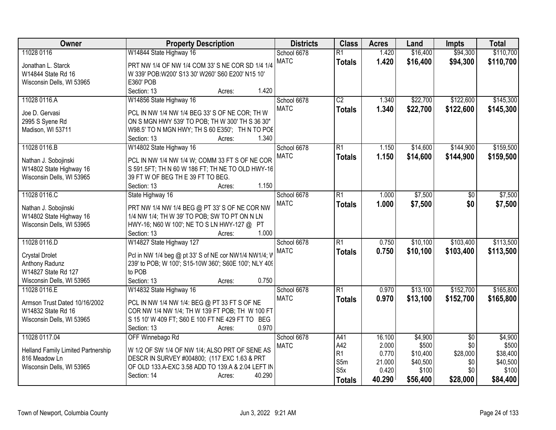| Owner                              | <b>Property Description</b>                           | <b>Districts</b> | <b>Class</b>            | <b>Acres</b>    | Land              | <b>Impts</b>    | <b>Total</b>      |
|------------------------------------|-------------------------------------------------------|------------------|-------------------------|-----------------|-------------------|-----------------|-------------------|
| 11028 0116                         | W14844 State Highway 16                               | School 6678      | $\overline{R1}$         | 1.420           | \$16,400          | \$94,300        | \$110,700         |
| Jonathan L. Starck                 | PRT NW 1/4 OF NW 1/4 COM 33' S NE COR SD 1/4 1/4      | <b>MATC</b>      | <b>Totals</b>           | 1.420           | \$16,400          | \$94,300        | \$110,700         |
| W14844 State Rd 16                 | W 339' POB: W200' S13 30' W260' S60 E200' N15 10'     |                  |                         |                 |                   |                 |                   |
| Wisconsin Dells, WI 53965          | E360' POB                                             |                  |                         |                 |                   |                 |                   |
|                                    | 1.420<br>Section: 13<br>Acres:                        |                  |                         |                 |                   |                 |                   |
| 11028 0116.A                       | W14856 State Highway 16                               | School 6678      | $\overline{C2}$         | 1.340           | \$22,700          | \$122,600       | \$145,300         |
|                                    |                                                       | <b>MATC</b>      | <b>Totals</b>           | 1.340           | \$22,700          | \$122,600       | \$145,300         |
| Joe D. Gervasi                     | PCL IN NW 1/4 NW 1/4 BEG 33' S OF NE COR; TH W        |                  |                         |                 |                   |                 |                   |
| 2995 S Syene Rd                    | ON S MGN HWY 539' TO POB; TH W 300' TH S 36 30"       |                  |                         |                 |                   |                 |                   |
| Madison, WI 53711                  | W98.5' TO N MGN HWY; TH S 60 E350'; TH N TO POE       |                  |                         |                 |                   |                 |                   |
|                                    | 1.340<br>Section: 13<br>Acres:                        |                  |                         |                 |                   |                 |                   |
| 11028 0116.B                       | W14802 State Highway 16                               | School 6678      | $\overline{R1}$         | 1.150           | \$14,600          | \$144,900       | \$159,500         |
| Nathan J. Sobojinski               | PCL IN NW 1/4 NW 1/4 W; COMM 33 FT S OF NE COR        | <b>MATC</b>      | <b>Totals</b>           | 1.150           | \$14,600          | \$144,900       | \$159,500         |
| W14802 State Highway 16            | S 591.5FT; TH N 60 W 186 FT; TH NE TO OLD HWY-16      |                  |                         |                 |                   |                 |                   |
| Wisconsin Dells, WI 53965          | 39 FT W OF BEG TH E 39 FT TO BEG.                     |                  |                         |                 |                   |                 |                   |
|                                    | 1.150<br>Section: 13<br>Acres:                        |                  |                         |                 |                   |                 |                   |
| 11028 0116.C                       | State Highway 16                                      | School 6678      | $\overline{R1}$         | 1.000           | \$7,500           | \$0             | \$7,500           |
|                                    |                                                       | <b>MATC</b>      | <b>Totals</b>           | 1.000           | \$7,500           | \$0             | \$7,500           |
| Nathan J. Sobojinski               | PRT NW 1/4 NW 1/4 BEG @ PT 33' S OF NE COR NW         |                  |                         |                 |                   |                 |                   |
| W14802 State Highway 16            | 1/4 NW 1/4; TH W 39' TO POB; SW TO PT ON N LN         |                  |                         |                 |                   |                 |                   |
| Wisconsin Dells, WI 53965          | HWY-16; N60 W 100'; NE TO S LN HWY-127 @ PT           |                  |                         |                 |                   |                 |                   |
|                                    | 1.000<br>Section: 13<br>Acres:                        |                  |                         |                 |                   |                 |                   |
| 11028 0116.D                       | W14827 State Highway 127                              | School 6678      | $\overline{R1}$         | 0.750           | \$10,100          | \$103,400       | \$113,500         |
| <b>Crystal Drolet</b>              | Pcl in NW 1/4 beg @ pt 33' S of NE cor NW1/4 NW1/4; W | <b>MATC</b>      | <b>Totals</b>           | 0.750           | \$10,100          | \$103,400       | \$113,500         |
| Anthony Radunz                     | 239' to POB; W 100'; S15-10W 360'; S60E 100'; NLY 409 |                  |                         |                 |                   |                 |                   |
| W14827 State Rd 127                | to POB                                                |                  |                         |                 |                   |                 |                   |
| Wisconsin Dells, WI 53965          | 0.750<br>Section: 13<br>Acres:                        |                  |                         |                 |                   |                 |                   |
| 11028 0116.E                       | W14832 State Highway 16                               | School 6678      | $\overline{R1}$         | 0.970           | \$13,100          | \$152,700       | \$165,800         |
|                                    |                                                       | <b>MATC</b>      | <b>Totals</b>           | 0.970           | \$13,100          | \$152,700       | \$165,800         |
| Armson Trust Dated 10/16/2002      | PCL IN NW 1/4 NW 1/4: BEG @ PT 33 FT S OF NE          |                  |                         |                 |                   |                 |                   |
| W14832 State Rd 16                 | COR NW 1/4 NW 1/4; TH W 139 FT POB; TH W 100 FT       |                  |                         |                 |                   |                 |                   |
| Wisconsin Dells, WI 53965          | S 15 10' W 409 FT; S60 E 100 FT NE 429 FT TO BEG      |                  |                         |                 |                   |                 |                   |
|                                    | Section: 13<br>0.970<br>Acres:                        |                  |                         |                 |                   |                 |                   |
| 11028 0117.04                      | OFF Winnebago Rd                                      | School 6678      | A41                     | 16.100          | \$4,900           | $\overline{50}$ | \$4,900           |
| Helland Family Limited Partnership | W 1/2 OF SW 1/4 OF NW 1/4; ALSO PRT OF SENE AS        | <b>MATC</b>      | A42                     | 2.000           | \$500             | \$0             | \$500             |
| 816 Meadow Ln                      | DESCR IN SURVEY #004800; (117 EXC 1.63 & PRT          |                  | R1                      | 0.770           | \$10,400          | \$28,000        | \$38,400          |
| Wisconsin Dells, WI 53965          | OF OLD 133.A-EXC 3.58 ADD TO 139.A & 2.04 LEFT IN     |                  | S5m<br>S <sub>5</sub> x | 21.000<br>0.420 | \$40,500<br>\$100 | \$0<br>\$0      | \$40,500<br>\$100 |
|                                    | Section: 14<br>40.290<br>Acres:                       |                  |                         |                 |                   |                 |                   |
|                                    |                                                       |                  | <b>Totals</b>           | 40.290          | \$56,400          | \$28,000        | \$84,400          |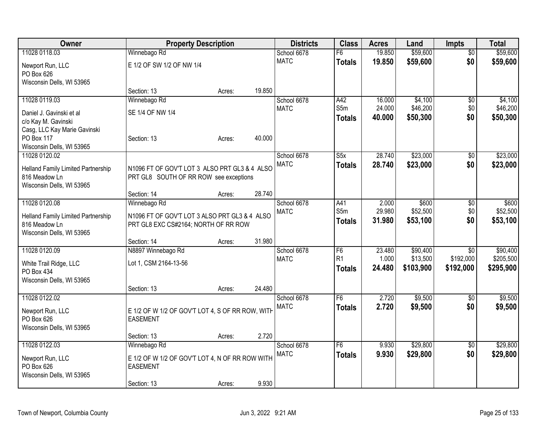| Owner                              | <b>Property Description</b>                      |        |        | <b>Districts</b> | <b>Class</b>   | <b>Acres</b> | Land      | <b>Impts</b>    | <b>Total</b> |
|------------------------------------|--------------------------------------------------|--------|--------|------------------|----------------|--------------|-----------|-----------------|--------------|
| 11028 0118.03                      | Winnebago Rd                                     |        |        | School 6678      | F6             | 19.850       | \$59,600  | $\overline{30}$ | \$59,600     |
| Newport Run, LLC                   | E 1/2 OF SW 1/2 OF NW 1/4                        |        |        | <b>MATC</b>      | <b>Totals</b>  | 19.850       | \$59,600  | \$0             | \$59,600     |
| PO Box 626                         |                                                  |        |        |                  |                |              |           |                 |              |
| Wisconsin Dells, WI 53965          |                                                  |        |        |                  |                |              |           |                 |              |
|                                    | Section: 13                                      | Acres: | 19.850 |                  |                |              |           |                 |              |
| 11028 0119.03                      | Winnebago Rd                                     |        |        | School 6678      | A42            | 16.000       | \$4,100   | \$0             | \$4,100      |
| Daniel J. Gavinski et al           | SE 1/4 OF NW 1/4                                 |        |        | <b>MATC</b>      | S5m            | 24.000       | \$46,200  | \$0             | \$46,200     |
| c/o Kay M. Gavinski                |                                                  |        |        |                  | <b>Totals</b>  | 40.000       | \$50,300  | \$0             | \$50,300     |
| Casg, LLC Kay Marie Gavinski       |                                                  |        |        |                  |                |              |           |                 |              |
| PO Box 117                         | Section: 13                                      | Acres: | 40.000 |                  |                |              |           |                 |              |
| Wisconsin Dells, WI 53965          |                                                  |        |        |                  |                |              |           |                 |              |
| 11028 0120.02                      |                                                  |        |        | School 6678      | S5x            | 28.740       | \$23,000  | \$0             | \$23,000     |
| Helland Family Limited Partnership | N1096 FT OF GOV'T LOT 3 ALSO PRT GL3 & 4 ALSO    |        |        | <b>MATC</b>      | <b>Totals</b>  | 28.740       | \$23,000  | \$0             | \$23,000     |
| 816 Meadow Ln                      | PRT GL8 SOUTH OF RR ROW see exceptions           |        |        |                  |                |              |           |                 |              |
| Wisconsin Dells, WI 53965          |                                                  |        |        |                  |                |              |           |                 |              |
|                                    | Section: 14                                      | Acres: | 28.740 |                  |                |              |           |                 |              |
| 11028 0120.08                      | Winnebago Rd                                     |        |        | School 6678      | A41            | 2.000        | \$600     | \$0             | \$600        |
| Helland Family Limited Partnership | N1096 FT OF GOV'T LOT 3 ALSO PRT GL3 & 4 ALSO    |        |        | <b>MATC</b>      | S5m            | 29.980       | \$52,500  | \$0             | \$52,500     |
| 816 Meadow Ln                      | PRT GL8 EXC CS#2164; NORTH OF RR ROW             |        |        |                  | <b>Totals</b>  | 31.980       | \$53,100  | \$0             | \$53,100     |
| Wisconsin Dells, WI 53965          |                                                  |        |        |                  |                |              |           |                 |              |
|                                    | Section: 14                                      | Acres: | 31.980 |                  |                |              |           |                 |              |
| 11028 0120.09                      | N8897 Winnebago Rd                               |        |        | School 6678      | F <sub>6</sub> | 23.480       | \$90,400  | \$0             | \$90,400     |
| White Trail Ridge, LLC             | Lot 1, CSM 2164-13-56                            |        |        | <b>MATC</b>      | R <sub>1</sub> | 1.000        | \$13,500  | \$192,000       | \$205,500    |
| PO Box 434                         |                                                  |        |        |                  | <b>Totals</b>  | 24.480       | \$103,900 | \$192,000       | \$295,900    |
| Wisconsin Dells, WI 53965          |                                                  |        |        |                  |                |              |           |                 |              |
|                                    | Section: 13                                      | Acres: | 24.480 |                  |                |              |           |                 |              |
| 11028 0122.02                      |                                                  |        |        | School 6678      | F <sub>6</sub> | 2.720        | \$9,500   | $\sqrt{6}$      | \$9,500      |
| Newport Run, LLC                   | E 1/2 OF W 1/2 OF GOV'T LOT 4, S OF RR ROW, WITH |        |        | <b>MATC</b>      | <b>Totals</b>  | 2.720        | \$9,500   | \$0             | \$9,500      |
| PO Box 626                         | <b>EASEMENT</b>                                  |        |        |                  |                |              |           |                 |              |
| Wisconsin Dells, WI 53965          |                                                  |        |        |                  |                |              |           |                 |              |
|                                    | Section: 13                                      | Acres: | 2.720  |                  |                |              |           |                 |              |
| 11028 0122.03                      | Winnebago Rd                                     |        |        | School 6678      | F <sub>6</sub> | 9.930        | \$29,800  | $\overline{50}$ | \$29,800     |
| Newport Run, LLC                   | E 1/2 OF W 1/2 OF GOV'T LOT 4, N OF RR ROW WITH  |        |        | <b>MATC</b>      | <b>Totals</b>  | 9.930        | \$29,800  | \$0             | \$29,800     |
| PO Box 626                         | <b>EASEMENT</b>                                  |        |        |                  |                |              |           |                 |              |
| Wisconsin Dells, WI 53965          |                                                  |        |        |                  |                |              |           |                 |              |
|                                    | Section: 13                                      | Acres: | 9.930  |                  |                |              |           |                 |              |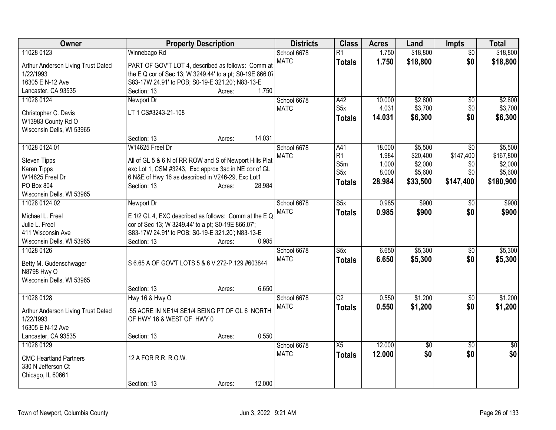| Owner                                      | <b>Property Description</b>                                      |        | <b>Districts</b> | <b>Class</b>     | <b>Acres</b> | Land            | <b>Impts</b>    | <b>Total</b> |
|--------------------------------------------|------------------------------------------------------------------|--------|------------------|------------------|--------------|-----------------|-----------------|--------------|
| 11028 0123                                 | Winnebago Rd                                                     |        | School 6678      | $\overline{R1}$  | 1.750        | \$18,800        | $\overline{50}$ | \$18,800     |
| Arthur Anderson Living Trust Dated         | PART OF GOV'T LOT 4, described as follows: Comm at               |        | <b>MATC</b>      | <b>Totals</b>    | 1.750        | \$18,800        | \$0             | \$18,800     |
| 1/22/1993                                  | the E Q cor of Sec 13; W 3249.44' to a pt; S0-19E 866.07         |        |                  |                  |              |                 |                 |              |
| 16305 E N-12 Ave                           | S83-17W 24.91' to POB; S0-19-E 321.20'; N83-13-E                 |        |                  |                  |              |                 |                 |              |
| Lancaster, CA 93535                        | Section: 13<br>Acres:                                            | 1.750  |                  |                  |              |                 |                 |              |
| 11028 0124                                 | Newport Dr                                                       |        | School 6678      | A42              | 10.000       | \$2,600         | $\sqrt[6]{}$    | \$2,600      |
|                                            | LT 1 CS#3243-21-108                                              |        | <b>MATC</b>      | S5x              | 4.031        | \$3,700         | \$0             | \$3,700      |
| Christopher C. Davis<br>W13983 County Rd O |                                                                  |        |                  | <b>Totals</b>    | 14.031       | \$6,300         | \$0             | \$6,300      |
| Wisconsin Dells, WI 53965                  |                                                                  |        |                  |                  |              |                 |                 |              |
|                                            | Section: 13<br>Acres:                                            | 14.031 |                  |                  |              |                 |                 |              |
| 11028 0124.01                              | W14625 Freel Dr                                                  |        | School 6678      | A41              | 18.000       | \$5,500         | \$0             | \$5,500      |
|                                            |                                                                  |        | <b>MATC</b>      | R <sub>1</sub>   | 1.984        | \$20,400        | \$147,400       | \$167,800    |
| <b>Steven Tipps</b>                        | All of GL 5 & 6 N of RR ROW and S of Newport Hills Plat          |        |                  | S5m              | 1.000        | \$2,000         | \$0             | \$2,000      |
| Karen Tipps                                | exc Lot 1, CSM #3243, Exc approx 3ac in NE cor of GL             |        |                  | S <sub>5</sub> x | 8.000        | \$5,600         | \$0             | \$5,600      |
| W14625 Freel Dr<br>PO Box 804              | 6 N&E of Hwy 16 as described in V246-29, Exc Lot1<br>Section: 13 | 28.984 |                  | <b>Totals</b>    | 28.984       | \$33,500        | \$147,400       | \$180,900    |
| Wisconsin Dells, WI 53965                  | Acres:                                                           |        |                  |                  |              |                 |                 |              |
| 11028 0124.02                              | Newport Dr                                                       |        | School 6678      | S5x              | 0.985        | \$900           | \$0             | \$900        |
|                                            |                                                                  |        | <b>MATC</b>      | <b>Totals</b>    | 0.985        | \$900           | \$0             | \$900        |
| Michael L. Freel                           | E 1/2 GL 4, EXC described as follows: Comm at the E Q            |        |                  |                  |              |                 |                 |              |
| Julie L. Freel                             | cor of Sec 13; W 3249.44' to a pt; S0-19E 866.07';               |        |                  |                  |              |                 |                 |              |
| 411 Wisconsin Ave                          | S83-17W 24.91' to POB; S0-19-E 321.20'; N83-13-E                 |        |                  |                  |              |                 |                 |              |
| Wisconsin Dells, WI 53965                  | Section: 13<br>Acres:                                            | 0.985  |                  |                  |              |                 |                 |              |
| 11028 0126                                 |                                                                  |        | School 6678      | S5x              | 6.650        | \$5,300         | $\sqrt[6]{3}$   | \$5,300      |
| Betty M. Gudenschwager                     | S 6.65 A OF GOV'T LOTS 5 & 6 V.272-P.129 #603844                 |        | <b>MATC</b>      | <b>Totals</b>    | 6.650        | \$5,300         | \$0             | \$5,300      |
| N8798 Hwy O                                |                                                                  |        |                  |                  |              |                 |                 |              |
| Wisconsin Dells, WI 53965                  |                                                                  |        |                  |                  |              |                 |                 |              |
|                                            | Section: 13<br>Acres:                                            | 6.650  |                  |                  |              |                 |                 |              |
| 11028 0128                                 | Hwy 16 & Hwy O                                                   |        | School 6678      | $\overline{C2}$  | 0.550        | \$1,200         | $\sqrt{6}$      | \$1,200      |
| Arthur Anderson Living Trust Dated         | .55 ACRE IN NE1/4 SE1/4 BEING PT OF GL 6 NORTH                   |        | <b>MATC</b>      | <b>Totals</b>    | 0.550        | \$1,200         | \$0             | \$1,200      |
| 1/22/1993                                  | OF HWY 16 & WEST OF HWY 0                                        |        |                  |                  |              |                 |                 |              |
| 16305 E N-12 Ave                           |                                                                  |        |                  |                  |              |                 |                 |              |
| Lancaster, CA 93535                        | Section: 13<br>Acres:                                            | 0.550  |                  |                  |              |                 |                 |              |
| 11028 0129                                 |                                                                  |        | School 6678      | $\overline{X5}$  | 12.000       | $\overline{50}$ | $\overline{30}$ | $\sqrt{50}$  |
| <b>CMC Heartland Partners</b>              | 12 A FOR R.R. R.O.W.                                             |        | <b>MATC</b>      | <b>Totals</b>    | 12.000       | \$0             | \$0             | \$0          |
| 330 N Jefferson Ct                         |                                                                  |        |                  |                  |              |                 |                 |              |
| Chicago, IL 60661                          |                                                                  |        |                  |                  |              |                 |                 |              |
|                                            | Section: 13<br>Acres:                                            | 12.000 |                  |                  |              |                 |                 |              |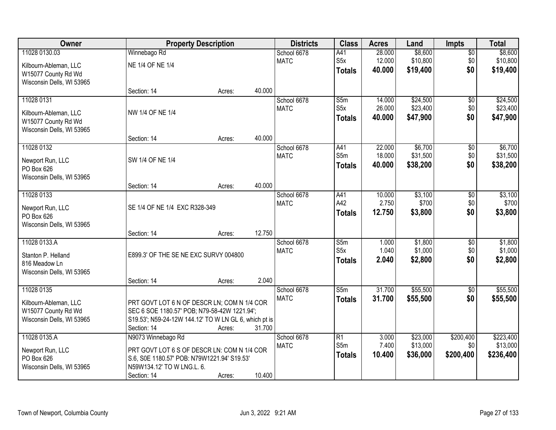| Owner                     |                                                       | <b>Property Description</b> |        |             | <b>Class</b>            | <b>Acres</b>   | Land                 | <b>Impts</b>     | <b>Total</b>          |
|---------------------------|-------------------------------------------------------|-----------------------------|--------|-------------|-------------------------|----------------|----------------------|------------------|-----------------------|
| 11028 0130.03             | Winnebago Rd                                          |                             |        | School 6678 | A41                     | 28.000         | \$8,600              | $\overline{50}$  | \$8,600               |
| Kilbourn-Ableman, LLC     | NE 1/4 OF NE 1/4                                      |                             |        | <b>MATC</b> | S5x                     | 12.000         | \$10,800             | \$0              | \$10,800              |
| W15077 County Rd Wd       |                                                       |                             |        |             | <b>Totals</b>           | 40.000         | \$19,400             | \$0              | \$19,400              |
| Wisconsin Dells, WI 53965 |                                                       |                             |        |             |                         |                |                      |                  |                       |
|                           | Section: 14                                           | Acres:                      | 40.000 |             |                         |                |                      |                  |                       |
| 11028 0131                |                                                       |                             |        | School 6678 | S5m                     | 14.000         | \$24,500             | $\overline{50}$  | \$24,500              |
| Kilbourn-Ableman, LLC     | NW 1/4 OF NE 1/4                                      |                             |        | <b>MATC</b> | S5x                     | 26.000         | \$23,400             | \$0              | \$23,400              |
| W15077 County Rd Wd       |                                                       |                             |        |             | <b>Totals</b>           | 40.000         | \$47,900             | \$0              | \$47,900              |
| Wisconsin Dells, WI 53965 |                                                       |                             |        |             |                         |                |                      |                  |                       |
|                           | Section: 14                                           | Acres:                      | 40.000 |             |                         |                |                      |                  |                       |
| 11028 0132                |                                                       |                             |        | School 6678 | A41                     | 22.000         | \$6,700              | \$0              | \$6,700               |
| Newport Run, LLC          | SW 1/4 OF NE 1/4                                      |                             |        | <b>MATC</b> | S5m                     | 18.000         | \$31,500             | \$0              | \$31,500              |
| PO Box 626                |                                                       |                             |        |             | <b>Totals</b>           | 40.000         | \$38,200             | \$0              | \$38,200              |
| Wisconsin Dells, WI 53965 |                                                       |                             |        |             |                         |                |                      |                  |                       |
|                           | Section: 14                                           | Acres:                      | 40.000 |             |                         |                |                      |                  |                       |
| 11028 0133                |                                                       |                             |        | School 6678 | A41                     | 10.000         | \$3,100              | \$0              | \$3,100               |
| Newport Run, LLC          | SE 1/4 OF NE 1/4 EXC R328-349                         |                             |        | <b>MATC</b> | A42                     | 2.750          | \$700                | \$0              | \$700                 |
| PO Box 626                |                                                       |                             |        |             | <b>Totals</b>           | 12.750         | \$3,800              | \$0              | \$3,800               |
| Wisconsin Dells, WI 53965 |                                                       |                             |        |             |                         |                |                      |                  |                       |
|                           | Section: 14                                           | Acres:                      | 12.750 |             |                         |                |                      |                  |                       |
| 11028 0133.A              |                                                       |                             |        | School 6678 | $\overline{\text{S}5m}$ | 1.000          | \$1,800              | $\overline{30}$  | \$1,800               |
| Stanton P. Helland        | E899.3' OF THE SE NE EXC SURVY 004800                 |                             |        | <b>MATC</b> | S5x                     | 1.040          | \$1,000              | \$0              | \$1,000               |
| 816 Meadow Ln             |                                                       |                             |        |             | <b>Totals</b>           | 2.040          | \$2,800              | \$0              | \$2,800               |
| Wisconsin Dells, WI 53965 |                                                       |                             |        |             |                         |                |                      |                  |                       |
|                           | Section: 14                                           | Acres:                      | 2.040  |             |                         |                |                      |                  |                       |
| 11028 0135                |                                                       |                             |        | School 6678 | $\overline{\text{S}5m}$ | 31.700         | \$55,500             | $\overline{60}$  | \$55,500              |
| Kilbourn-Ableman, LLC     | PRT GOVT LOT 6 N OF DESCR LN; COM N 1/4 COR           |                             |        | <b>MATC</b> | <b>Totals</b>           | 31.700         | \$55,500             | \$0              | \$55,500              |
| W15077 County Rd Wd       | SEC 6 SOE 1180.57' POB; N79-58-42W 1221.94';          |                             |        |             |                         |                |                      |                  |                       |
| Wisconsin Dells, WI 53965 | S19.53'; N59-24-12W 144.12' TO W LN GL 6, which pt is |                             |        |             |                         |                |                      |                  |                       |
|                           | Section: 14                                           | Acres:                      | 31.700 |             |                         |                |                      |                  |                       |
| 11028 0135.A              | N9073 Winnebago Rd                                    |                             |        | School 6678 | R1<br>S5m               | 3.000<br>7.400 | \$23,000<br>\$13,000 | \$200,400<br>\$0 | \$223,400<br>\$13,000 |
| Newport Run, LLC          | PRT GOVT LOT 6 S OF DESCR LN: COM N 1/4 COR           |                             |        | <b>MATC</b> |                         | 10.400         | \$36,000             | \$200,400        | \$236,400             |
| PO Box 626                | S.6, S0E 1180.57' POB: N79W1221.94' S19.53'           |                             |        |             | <b>Totals</b>           |                |                      |                  |                       |
| Wisconsin Dells, WI 53965 | N59W134.12' TO W LNG.L. 6.                            |                             |        |             |                         |                |                      |                  |                       |
|                           | Section: 14                                           | Acres:                      | 10.400 |             |                         |                |                      |                  |                       |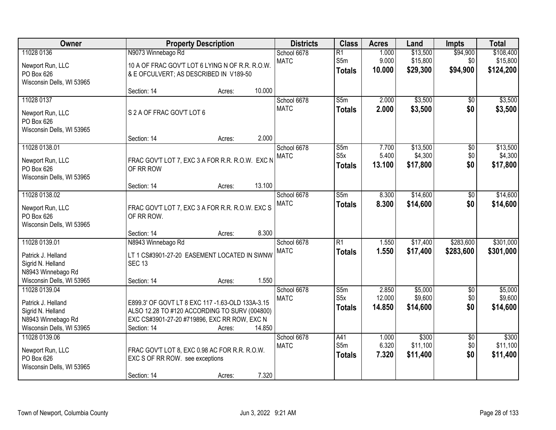| Owner                                                                                                       |                                                    | <b>Property Description</b>                                                                                                                                 |        |                            | <b>Class</b>                             | <b>Acres</b>              | Land                            | <b>Impts</b>                  | <b>Total</b>                    |
|-------------------------------------------------------------------------------------------------------------|----------------------------------------------------|-------------------------------------------------------------------------------------------------------------------------------------------------------------|--------|----------------------------|------------------------------------------|---------------------------|---------------------------------|-------------------------------|---------------------------------|
| 11028 0136                                                                                                  | N9073 Winnebago Rd                                 |                                                                                                                                                             |        | School 6678                | $\overline{R1}$                          | 1.000                     | \$13,500                        | \$94,900                      | \$108,400                       |
| Newport Run, LLC<br>PO Box 626<br>Wisconsin Dells, WI 53965                                                 | & E OFCULVERT; AS DESCRIBED IN V189-50             | 10 A OF FRAC GOV'T LOT 6 LYING N OF R.R. R.O.W.                                                                                                             |        | <b>MATC</b>                | S5m<br><b>Totals</b>                     | 9.000<br>10.000           | \$15,800<br>\$29,300            | \$0<br>\$94,900               | \$15,800<br>\$124,200           |
|                                                                                                             | Section: 14                                        | Acres:                                                                                                                                                      | 10.000 |                            |                                          |                           |                                 |                               |                                 |
| 11028 0137<br>Newport Run, LLC<br>PO Box 626<br>Wisconsin Dells, WI 53965                                   | S 2 A OF FRAC GOV'T LOT 6                          |                                                                                                                                                             |        | School 6678<br><b>MATC</b> | $\overline{\text{S}5m}$<br><b>Totals</b> | 2.000<br>2.000            | \$3,500<br>\$3,500              | \$0<br>\$0                    | \$3,500<br>\$3,500              |
|                                                                                                             | Section: 14                                        | Acres:                                                                                                                                                      | 2.000  |                            |                                          |                           |                                 |                               |                                 |
| 11028 0138.01<br>Newport Run, LLC<br>PO Box 626<br>Wisconsin Dells, WI 53965                                | OF RR ROW                                          | FRAC GOV'T LOT 7, EXC 3 A FOR R.R. R.O.W. EXC N                                                                                                             |        | School 6678<br><b>MATC</b> | S5m<br>S <sub>5</sub> x<br><b>Totals</b> | 7.700<br>5.400<br>13.100  | \$13,500<br>\$4,300<br>\$17,800 | \$0<br>\$0<br>\$0             | \$13,500<br>\$4,300<br>\$17,800 |
|                                                                                                             | Section: 14                                        | Acres:                                                                                                                                                      | 13.100 |                            |                                          |                           |                                 |                               |                                 |
| 11028 0138.02<br>Newport Run, LLC<br>PO Box 626<br>Wisconsin Dells, WI 53965                                | OF RR ROW.                                         | FRAC GOV'T LOT 7, EXC 3 A FOR R.R. R.O.W. EXC S                                                                                                             |        | School 6678<br><b>MATC</b> | S5m<br><b>Totals</b>                     | 8.300<br>8.300            | \$14,600<br>\$14,600            | \$0<br>\$0                    | \$14,600<br>\$14,600            |
|                                                                                                             | Section: 14                                        | Acres:                                                                                                                                                      | 8.300  |                            |                                          |                           |                                 |                               |                                 |
| 11028 0139.01<br>Patrick J. Helland<br>Sigrid N. Helland<br>N8943 Winnebago Rd<br>Wisconsin Dells, WI 53965 | N8943 Winnebago Rd<br><b>SEC 13</b><br>Section: 14 | LT 1 CS#3901-27-20 EASEMENT LOCATED IN SWNW<br>Acres:                                                                                                       | 1.550  | School 6678<br><b>MATC</b> | $\overline{R1}$<br><b>Totals</b>         | 1.550<br>1.550            | \$17,400<br>\$17,400            | \$283,600<br>\$283,600        | \$301,000<br>\$301,000          |
| 11028 0139.04<br>Patrick J. Helland<br>Sigrid N. Helland<br>N8943 Winnebago Rd<br>Wisconsin Dells, WI 53965 | Section: 14                                        | E899.3' OF GOVT LT 8 EXC 117 -1.63-OLD 133A-3.15<br>ALSO 12.28 TO #120 ACCORDING TO SURV (004800)<br>EXC CS#3901-27-20 #719896, EXC RR ROW, EXC N<br>Acres: | 14.850 | School 6678<br><b>MATC</b> | S5m<br>S <sub>5</sub> x<br><b>Totals</b> | 2.850<br>12.000<br>14.850 | \$5,000<br>\$9,600<br>\$14,600  | $\overline{50}$<br>\$0<br>\$0 | \$5,000<br>\$9,600<br>\$14,600  |
| 11028 0139.06<br>Newport Run, LLC<br>PO Box 626<br>Wisconsin Dells, WI 53965                                | EXC S OF RR ROW. see exceptions<br>Section: 14     | FRAC GOV'T LOT 8, EXC 0.98 AC FOR R.R. R.O.W.<br>Acres:                                                                                                     | 7.320  | School 6678<br><b>MATC</b> | A41<br>S5m<br><b>Totals</b>              | 1.000<br>6.320<br>7.320   | \$300<br>\$11,100<br>\$11,400   | $\overline{50}$<br>\$0<br>\$0 | \$300<br>\$11,100<br>\$11,400   |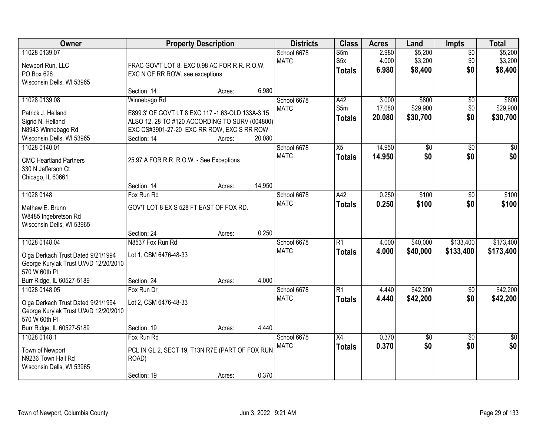| Owner                                                                                                                                      | <b>Property Description</b>                                                                                                                                                     |                  |                | <b>Districts</b>           | <b>Class</b>                             | <b>Acres</b>              | Land                          | <b>Impts</b>                  | <b>Total</b>                  |
|--------------------------------------------------------------------------------------------------------------------------------------------|---------------------------------------------------------------------------------------------------------------------------------------------------------------------------------|------------------|----------------|----------------------------|------------------------------------------|---------------------------|-------------------------------|-------------------------------|-------------------------------|
| 11028 0139.07<br>Newport Run, LLC<br>PO Box 626<br>Wisconsin Dells, WI 53965                                                               | FRAC GOV'T LOT 8, EXC 0.98 AC FOR R.R. R.O.W.<br>EXC N OF RR ROW. see exceptions                                                                                                |                  |                | School 6678<br><b>MATC</b> | S5m<br>S <sub>5</sub> x<br><b>Totals</b> | 2.980<br>4.000<br>6.980   | \$5,200<br>\$3,200<br>\$8,400 | $\overline{50}$<br>\$0<br>\$0 | \$5,200<br>\$3,200<br>\$8,400 |
|                                                                                                                                            | Section: 14                                                                                                                                                                     | Acres:           | 6.980          |                            |                                          |                           |                               |                               |                               |
| 11028 0139.08<br>Patrick J. Helland<br>Sigrid N. Helland<br>N8943 Winnebago Rd<br>Wisconsin Dells, WI 53965                                | Winnebago Rd<br>E899.3' OF GOVT LT 8 EXC 117 -1.63-OLD 133A-3.15<br>ALSO 12. 28 TO #120 ACCORDING TO SURV (004800)<br>EXC CS#3901-27-20 EXC RR ROW, EXC S RR ROW<br>Section: 14 | Acres:           | 20.080         | School 6678<br><b>MATC</b> | A42<br>S5m<br><b>Totals</b>              | 3.000<br>17.080<br>20.080 | \$800<br>\$29,900<br>\$30,700 | \$0<br>\$0<br>\$0             | \$800<br>\$29,900<br>\$30,700 |
| 11028 0140.01<br><b>CMC Heartland Partners</b><br>330 N Jefferson Ct<br>Chicago, IL 60661                                                  | 25.97 A FOR R.R. R.O.W. - See Exceptions<br>Section: 14                                                                                                                         | Acres:           | 14.950         | School 6678<br><b>MATC</b> | X5<br><b>Totals</b>                      | 14.950<br>14.950          | \$0<br>\$0                    | \$0<br>\$0                    | \$0<br>\$0                    |
| 11028 0148<br>Mathew E. Brunn<br>W8485 Ingebretson Rd<br>Wisconsin Dells, WI 53965                                                         | Fox Run Rd<br>GOV'T LOT 8 EX S 528 FT EAST OF FOX RD.                                                                                                                           |                  |                | School 6678<br><b>MATC</b> | A42<br><b>Totals</b>                     | 0.250<br>0.250            | \$100<br>\$100                | \$0<br>\$0                    | \$100<br>\$100                |
| 11028 0148.04<br>Olga Derkach Trust Dated 9/21/1994<br>George Kurylak Trust U/A/D 12/20/2010<br>570 W 60th PI<br>Burr Ridge, IL 60527-5189 | Section: 24<br>N8537 Fox Run Rd<br>Lot 1, CSM 6476-48-33<br>Section: 24                                                                                                         | Acres:<br>Acres: | 0.250<br>4.000 | School 6678<br><b>MATC</b> | $\overline{R1}$<br><b>Totals</b>         | 4.000<br>4.000            | \$40,000<br>\$40,000          | \$133,400<br>\$133,400        | \$173,400<br>\$173,400        |
| 11028 0148.05<br>Olga Derkach Trust Dated 9/21/1994<br>George Kurylak Trust U/A/D 12/20/2010<br>570 W 60th PI<br>Burr Ridge, IL 60527-5189 | Fox Run Dr<br>Lot 2, CSM 6476-48-33<br>Section: 19                                                                                                                              | Acres:           | 4.440          | School 6678<br><b>MATC</b> | $\overline{R1}$<br><b>Totals</b>         | 4.440<br>4.440            | \$42,200<br>\$42,200          | $\overline{60}$<br>\$0        | \$42,200<br>\$42,200          |
| 11028 0148.1<br>Town of Newport<br>N9236 Town Hall Rd<br>Wisconsin Dells, WI 53965                                                         | Fox Run Rd<br>PCL IN GL 2, SECT 19, T13N R7E (PART OF FOX RUN<br>ROAD)<br>Section: 19                                                                                           | Acres:           | 0.370          | School 6678<br><b>MATC</b> | X4<br><b>Totals</b>                      | 0.370<br>0.370            | $\overline{50}$<br>\$0        | $\overline{50}$<br>\$0        | $\frac{1}{2}$<br>\$0          |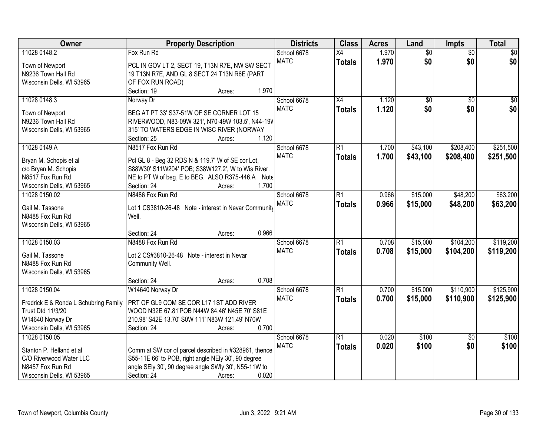| Owner                                 | <b>Property Description</b>                                                                   | <b>Districts</b> | <b>Class</b>    | <b>Acres</b> | Land            | Impts           | <b>Total</b> |
|---------------------------------------|-----------------------------------------------------------------------------------------------|------------------|-----------------|--------------|-----------------|-----------------|--------------|
| 11028 0148.2                          | Fox Run Rd                                                                                    | School 6678      | $\overline{X4}$ | 1.970        | $\overline{50}$ | $\overline{50}$ | $\sqrt{30}$  |
| Town of Newport                       | PCL IN GOV LT 2, SECT 19, T13N R7E, NW SW SECT                                                | <b>MATC</b>      | <b>Totals</b>   | 1.970        | \$0             | \$0             | \$0          |
| N9236 Town Hall Rd                    | 19 T13N R7E, AND GL 8 SECT 24 T13N R6E (PART                                                  |                  |                 |              |                 |                 |              |
| Wisconsin Dells, WI 53965             | OF FOX RUN ROAD)                                                                              |                  |                 |              |                 |                 |              |
|                                       | 1.970<br>Section: 19<br>Acres:                                                                |                  |                 |              |                 |                 |              |
| 11028 0148.3                          | Norway Dr                                                                                     | School 6678      | X4              | 1.120        | \$0             | $\overline{50}$ | \$0          |
|                                       |                                                                                               | <b>MATC</b>      | <b>Totals</b>   | 1.120        | \$0             | \$0             | \$0          |
| Town of Newport<br>N9236 Town Hall Rd | BEG AT PT 33' S37-51W OF SE CORNER LOT 15<br>RIVERWOOD, N83-09W 321', N70-49W 103.5', N44-19V |                  |                 |              |                 |                 |              |
| Wisconsin Dells, WI 53965             | 315' TO WATERS EDGE IN WISC RIVER (NORWAY                                                     |                  |                 |              |                 |                 |              |
|                                       | 1.120<br>Section: 25<br>Acres:                                                                |                  |                 |              |                 |                 |              |
| 11028 0149.A                          | N8517 Fox Run Rd                                                                              | School 6678      | $\overline{R1}$ | 1.700        | \$43,100        | \$208,400       | \$251,500    |
|                                       |                                                                                               | <b>MATC</b>      |                 | 1.700        | \$43,100        | \$208,400       | \$251,500    |
| Bryan M. Schopis et al                | Pcl GL 8 - Beg 32 RDS N & 119.7' W of SE cor Lot,                                             |                  | <b>Totals</b>   |              |                 |                 |              |
| c/o Bryan M. Schopis                  | S88W30' S11W204' POB; S38W127.2', W to Wis River.                                             |                  |                 |              |                 |                 |              |
| N8517 Fox Run Rd                      | NE to PT W of beg, E to BEG. ALSO R375-446.A<br>Note                                          |                  |                 |              |                 |                 |              |
| Wisconsin Dells, WI 53965             | 1.700<br>Section: 24<br>Acres:                                                                |                  |                 |              |                 |                 |              |
| 11028 0150.02                         | N8486 Fox Run Rd                                                                              | School 6678      | R1              | 0.966        | \$15,000        | \$48,200        | \$63,200     |
| Gail M. Tassone                       | Lot 1 CS3810-26-48 Note - interest in Nevar Community                                         | <b>MATC</b>      | <b>Totals</b>   | 0.966        | \$15,000        | \$48,200        | \$63,200     |
| N8488 Fox Run Rd                      | Well.                                                                                         |                  |                 |              |                 |                 |              |
| Wisconsin Dells, WI 53965             |                                                                                               |                  |                 |              |                 |                 |              |
|                                       | 0.966<br>Section: 24<br>Acres:                                                                |                  |                 |              |                 |                 |              |
| 11028 0150.03                         | N8488 Fox Run Rd                                                                              | School 6678      | $\overline{R1}$ | 0.708        | \$15,000        | \$104,200       | \$119,200    |
|                                       |                                                                                               | <b>MATC</b>      | <b>Totals</b>   | 0.708        | \$15,000        | \$104,200       | \$119,200    |
| Gail M. Tassone                       | Lot 2 CS#3810-26-48 Note - interest in Nevar                                                  |                  |                 |              |                 |                 |              |
| N8488 Fox Run Rd                      | Community Well.                                                                               |                  |                 |              |                 |                 |              |
| Wisconsin Dells, WI 53965             |                                                                                               |                  |                 |              |                 |                 |              |
|                                       | 0.708<br>Section: 24<br>Acres:                                                                |                  |                 |              |                 |                 |              |
| 11028 0150.04                         | W14640 Norway Dr                                                                              | School 6678      | $\overline{R1}$ | 0.700        | \$15,000        | \$110,900       | \$125,900    |
| Fredrick E & Ronda L Schubring Family | PRT OF GL9 COM SE COR L17 1ST ADD RIVER                                                       | <b>MATC</b>      | <b>Totals</b>   | 0.700        | \$15,000        | \$110,900       | \$125,900    |
| Trust Dtd 11/3/20                     | WOOD N32E 67.81'POB N44W 84.46' N45E 70' S81E                                                 |                  |                 |              |                 |                 |              |
| W14640 Norway Dr                      | 210.98' S42E 13.70' S0W 111' N83W 121.49' N70W                                                |                  |                 |              |                 |                 |              |
| Wisconsin Dells, WI 53965             | 0.700<br>Section: 24<br>Acres:                                                                |                  |                 |              |                 |                 |              |
| 11028 0150.05                         |                                                                                               | School 6678      | $\overline{R1}$ | 0.020        | \$100           | $\overline{50}$ | \$100        |
|                                       |                                                                                               | <b>MATC</b>      | <b>Totals</b>   | 0.020        | \$100           | \$0             | \$100        |
| Stanton P. Helland et al              | Comm at SW cor of parcel described in #328961, thence                                         |                  |                 |              |                 |                 |              |
| C/O Riverwood Water LLC               | S55-11E 66' to POB, right angle NEIy 30', 90 degree                                           |                  |                 |              |                 |                 |              |
| N8457 Fox Run Rd                      | angle SEly 30', 90 degree angle SWly 30', N55-11W to                                          |                  |                 |              |                 |                 |              |
| Wisconsin Dells, WI 53965             | 0.020<br>Section: 24<br>Acres:                                                                |                  |                 |              |                 |                 |              |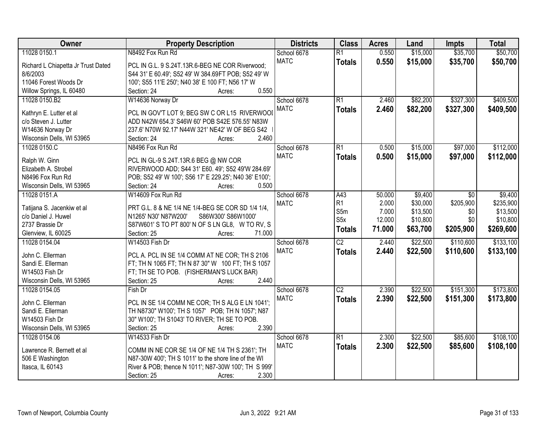| Owner                                | <b>Property Description</b>                            | <b>Districts</b> | <b>Class</b>     | <b>Acres</b> | Land     | <b>Impts</b>    | <b>Total</b> |
|--------------------------------------|--------------------------------------------------------|------------------|------------------|--------------|----------|-----------------|--------------|
| 11028 0150.1                         | N8492 Fox Run Rd                                       | School 6678      | $\overline{R1}$  | 0.550        | \$15,000 | \$35,700        | \$50,700     |
| Richard L Chiapetta Jr Trust Dated   | PCL IN G.L. 9 S.24T.13R.6-BEG NE COR Riverwood;        | <b>MATC</b>      | <b>Totals</b>    | 0.550        | \$15,000 | \$35,700        | \$50,700     |
| 8/6/2003                             | S44 31' E 60.49'; S52 49' W 384.69FT POB; S52 49' W    |                  |                  |              |          |                 |              |
| 11046 Forest Woods Dr                | 100'; S55 11'E 250'; N40 38' E 100 FT; N56 17' W       |                  |                  |              |          |                 |              |
| Willow Springs, IL 60480             | Section: 24<br>0.550<br>Acres:                         |                  |                  |              |          |                 |              |
| 11028 0150.B2                        | W14636 Norway Dr                                       | School 6678      | R1               | 2.460        | \$82,200 | \$327,300       | \$409,500    |
|                                      |                                                        | <b>MATC</b>      | <b>Totals</b>    | 2.460        | \$82,200 | \$327,300       | \$409,500    |
| Kathryn E. Lutter et al              | PCL IN GOV'T LOT 9; BEG SW C OR L15 RIVERWOOI          |                  |                  |              |          |                 |              |
| c/o Steven J. Lutter                 | ADD N42W 654.3' S46W 60' POB S42E 576.55' N83W         |                  |                  |              |          |                 |              |
| W14636 Norway Dr                     | 237.6' N70W 92.17' N44W 321' NE42' W OF BEG S42        |                  |                  |              |          |                 |              |
| Wisconsin Dells, WI 53965            | 2.460<br>Section: 24<br>Acres:                         |                  |                  |              |          |                 |              |
| 11028 0150.C                         | N8496 Fox Run Rd                                       | School 6678      | R1               | 0.500        | \$15,000 | \$97,000        | \$112,000    |
| Ralph W. Ginn                        | PCL IN GL-9 S.24T.13R.6 BEG @ NW COR                   | <b>MATC</b>      | <b>Totals</b>    | 0.500        | \$15,000 | \$97,000        | \$112,000    |
| Elizabeth A. Strobel                 | RIVERWOOD ADD; S44 31' E60. 49'; S52 49'W 284.69'      |                  |                  |              |          |                 |              |
| N8496 Fox Run Rd                     | POB; S52 49' W 100'; S56 17' E 229.25'; N40 36' E100'; |                  |                  |              |          |                 |              |
| Wisconsin Dells, WI 53965            | Section: 24<br>0.500<br>Acres:                         |                  |                  |              |          |                 |              |
| 11028 0151.A                         | W14609 Fox Run Rd                                      | School 6678      | A43              | 50.000       | \$9,400  | $\overline{50}$ | \$9,400      |
|                                      |                                                        | <b>MATC</b>      | R1               | 2.000        | \$30,000 | \$205,900       | \$235,900    |
| Tatijana S. Jacenkiw et al           | PRT G.L. 8 & NE 1/4 NE 1/4-BEG SE COR SD 1/4 1/4,      |                  | S5m              | 7.000        | \$13,500 | \$0             | \$13,500     |
| c/o Daniel J. Huwel                  | N1265' N30' N87W200'<br>S86W300' S86W1000'             |                  | S <sub>5</sub> x | 12.000       | \$10,800 | \$0             | \$10,800     |
| 2737 Brassie Dr                      | S87W601'S TO PT 800'N OF SLN GL8, W TO RV, S           |                  | <b>Totals</b>    | 71.000       | \$63,700 | \$205,900       | \$269,600    |
| Glenview, IL 60025                   | Section: 25<br>71.000<br>Acres:                        |                  |                  |              |          |                 |              |
| 11028 0154.04                        | W14503 Fish Dr                                         | School 6678      | $\overline{C2}$  | 2.440        | \$22,500 | \$110,600       | \$133,100    |
| John C. Ellerman                     | PCL A. PCL IN SE 1/4 COMM AT NE COR; TH S 2106         | <b>MATC</b>      | <b>Totals</b>    | 2.440        | \$22,500 | \$110,600       | \$133,100    |
| Sandi E. Ellerman                    | FT; TH N 1065 FT; TH N 87 30" W 100 FT; TH S 1057      |                  |                  |              |          |                 |              |
| W14503 Fish Dr                       | FT; TH SE TO POB. (FISHERMAN'S LUCK BAR)               |                  |                  |              |          |                 |              |
| Wisconsin Dells, WI 53965            | 2.440<br>Section: 25<br>Acres:                         |                  |                  |              |          |                 |              |
| 11028 0154.05                        | Fish Dr                                                | School 6678      | $\overline{C2}$  | 2.390        | \$22,500 | \$151,300       | \$173,800    |
|                                      |                                                        | <b>MATC</b>      |                  |              |          |                 |              |
| John C. Ellerman                     | PCL IN SE 1/4 COMM NE COR; TH S ALG E LN 1041';        |                  | <b>Totals</b>    | 2.390        | \$22,500 | \$151,300       | \$173,800    |
| Sandi E. Ellerman                    | TH N8730" W100"; TH S 1057' POB; TH N 1057'; N87       |                  |                  |              |          |                 |              |
| W14503 Fish Dr                       | 30" W100"; TH S1043' TO RIVER; TH SE TO POB.           |                  |                  |              |          |                 |              |
| Wisconsin Dells, WI 53965            | 2.390<br>Section: 25<br>Acres:                         |                  |                  |              |          |                 |              |
| 11028 0154.06                        | W14533 Fish Dr                                         | School 6678      | R1               | 2.300        | \$22,500 | \$85,600        | \$108,100    |
| Lawrence R. Bernett et al            | COMM IN NE COR SE 1/4 OF NE 1/4 TH S 2361'; TH         | <b>MATC</b>      | <b>Totals</b>    | 2.300        | \$22,500 | \$85,600        | \$108,100    |
|                                      | N87-30W 400'; TH S 1011' to the shore line of the WI   |                  |                  |              |          |                 |              |
| 506 E Washington<br>Itasca, IL 60143 |                                                        |                  |                  |              |          |                 |              |
|                                      | River & POB; thence N 1011'; N87-30W 100'; TH S 999'   |                  |                  |              |          |                 |              |
|                                      | 2.300<br>Section: 25<br>Acres:                         |                  |                  |              |          |                 |              |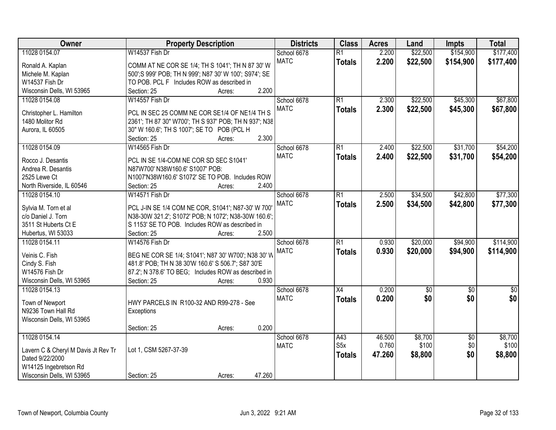| Owner                                                  | <b>Property Description</b>                            | <b>Districts</b> | <b>Class</b>    | <b>Acres</b> | Land        | <b>Impts</b>    | <b>Total</b>  |
|--------------------------------------------------------|--------------------------------------------------------|------------------|-----------------|--------------|-------------|-----------------|---------------|
| 11028 0154.07                                          | W14537 Fish Dr                                         | School 6678      | $\overline{R1}$ | 2.200        | \$22,500    | \$154,900       | \$177,400     |
| Ronald A. Kaplan                                       | COMM AT NE COR SE 1/4; TH S 1041'; TH N 87 30' W       | <b>MATC</b>      | <b>Totals</b>   | 2.200        | \$22,500    | \$154,900       | \$177,400     |
| Michele M. Kaplan                                      | 500'; S 999' POB; TH N 999'; N87 30' W 100'; S974'; SE |                  |                 |              |             |                 |               |
| W14537 Fish Dr                                         | TO POB. PCL F Includes ROW as described in             |                  |                 |              |             |                 |               |
| Wisconsin Dells, WI 53965                              | 2.200<br>Section: 25<br>Acres:                         |                  |                 |              |             |                 |               |
| 11028 0154.08                                          | W14557 Fish Dr                                         | School 6678      | $\overline{R1}$ | 2.300        | \$22,500    | \$45,300        | \$67,800      |
|                                                        |                                                        | <b>MATC</b>      | <b>Totals</b>   | 2.300        | \$22,500    | \$45,300        | \$67,800      |
| Christopher L. Hamilton                                | PCL IN SEC 25 COMM NE COR SE1/4 OF NE1/4 TH S          |                  |                 |              |             |                 |               |
| 1480 Molitor Rd                                        | 2361'; TH 87 30" W700'; TH S 937' POB; TH N 937'; N38  |                  |                 |              |             |                 |               |
| Aurora, IL 60505                                       | 30" W 160.6"; TH S 1007"; SE TO POB (PCL H             |                  |                 |              |             |                 |               |
|                                                        | 2.300<br>Section: 25<br>Acres:                         |                  |                 |              |             |                 |               |
| 11028 0154.09                                          | W14565 Fish Dr                                         | School 6678      | $\overline{R1}$ | 2.400        | \$22,500    | \$31,700        | \$54,200      |
| Rocco J. Desantis                                      | PCL IN SE 1/4-COM NE COR SD SEC S1041'                 | <b>MATC</b>      | <b>Totals</b>   | 2.400        | \$22,500    | \$31,700        | \$54,200      |
| Andrea R. Desantis                                     | N87W700' N38W160.6' S1007' POB:                        |                  |                 |              |             |                 |               |
| 2525 Lewe Ct                                           | N1007'N38W160.6' S1072' SE TO POB. Includes ROW        |                  |                 |              |             |                 |               |
| North Riverside, IL 60546                              | 2.400<br>Section: 25<br>Acres:                         |                  |                 |              |             |                 |               |
| 11028 0154.10                                          | W14571 Fish Dr                                         | School 6678      | $\overline{R1}$ | 2.500        | \$34,500    | \$42,800        | \$77,300      |
|                                                        |                                                        | <b>MATC</b>      | <b>Totals</b>   | 2.500        | \$34,500    | \$42,800        | \$77,300      |
| Sylvia M. Torn et al                                   | PCL J-IN SE 1/4 COM NE COR, S1041'; N87-30' W 700'     |                  |                 |              |             |                 |               |
| c/o Daniel J. Torn                                     | N38-30W 321.2; S1072' POB; N 1072'; N38-30W 160.6';    |                  |                 |              |             |                 |               |
| 3511 St Huberts Ct E                                   | S 1153' SE TO POB. Includes ROW as described in        |                  |                 |              |             |                 |               |
| Hubertus, WI 53033                                     | 2.500<br>Section: 25<br>Acres:                         |                  |                 |              |             |                 |               |
| 11028 0154.11                                          | W14576 Fish Dr                                         | School 6678      | $\overline{R1}$ | 0.930        | \$20,000    | \$94,900        | \$114,900     |
| Veinis C. Fish                                         | BEG NE COR SE 1/4; S1041'; N87 30' W700'; N38 30' W    | <b>MATC</b>      | <b>Totals</b>   | 0.930        | \$20,000    | \$94,900        | \$114,900     |
| Cindy S. Fish                                          | 481.8' POB; TH N 38 30'W 160.6' S 506.7'; S87 30'E     |                  |                 |              |             |                 |               |
| W14576 Fish Dr                                         | 87.2'; N 378.6' TO BEG; Includes ROW as described in   |                  |                 |              |             |                 |               |
| Wisconsin Dells, WI 53965                              | 0.930<br>Section: 25<br>Acres:                         |                  |                 |              |             |                 |               |
| 11028 0154.13                                          |                                                        | School 6678      | X4              | 0.200        | $\sqrt{30}$ | $\overline{50}$ | $\frac{6}{3}$ |
|                                                        |                                                        | <b>MATC</b>      |                 | 0.200        | \$0         | \$0             | \$0           |
| Town of Newport                                        | HWY PARCELS IN R100-32 AND R99-278 - See               |                  | <b>Totals</b>   |              |             |                 |               |
| N9236 Town Hall Rd                                     | Exceptions                                             |                  |                 |              |             |                 |               |
| Wisconsin Dells, WI 53965                              |                                                        |                  |                 |              |             |                 |               |
|                                                        | 0.200<br>Section: 25<br>Acres:                         |                  |                 |              |             |                 |               |
| 11028 0154.14                                          |                                                        | School 6678      | A43             | 46.500       | \$8,700     | $\overline{50}$ | \$8,700       |
|                                                        | Lot 1, CSM 5267-37-39                                  | <b>MATC</b>      | S5x             | 0.760        | \$100       | \$0             | \$100         |
| Lavern C & Cheryl M Davis Jt Rev Tr<br>Dated 9/22/2000 |                                                        |                  | <b>Totals</b>   | 47.260       | \$8,800     | \$0             | \$8,800       |
| W14125 Ingebretson Rd                                  |                                                        |                  |                 |              |             |                 |               |
| Wisconsin Dells, WI 53965                              | 47.260<br>Section: 25                                  |                  |                 |              |             |                 |               |
|                                                        | Acres:                                                 |                  |                 |              |             |                 |               |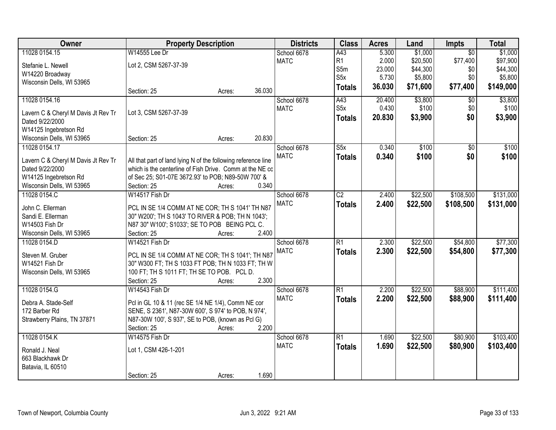| Owner                                                  | <b>Property Description</b>                                   |        |        | <b>Districts</b> | <b>Class</b>            | <b>Acres</b> | Land     | <b>Impts</b>    | <b>Total</b> |
|--------------------------------------------------------|---------------------------------------------------------------|--------|--------|------------------|-------------------------|--------------|----------|-----------------|--------------|
| 11028 0154.15                                          | W14555 Lee Dr                                                 |        |        | School 6678      | A43                     | 5.300        | \$1,000  | $\overline{30}$ | \$1,000      |
| Stefanie L. Newell                                     | Lot 2, CSM 5267-37-39                                         |        |        | <b>MATC</b>      | R1                      | 2.000        | \$20,500 | \$77,400        | \$97,900     |
| W14220 Broadway                                        |                                                               |        |        |                  | S5m                     | 23.000       | \$44,300 | \$0             | \$44,300     |
| Wisconsin Dells, WI 53965                              |                                                               |        |        |                  | S <sub>5</sub> x        | 5.730        | \$5,800  | \$0             | \$5,800      |
|                                                        | Section: 25                                                   | Acres: | 36.030 |                  | <b>Totals</b>           | 36.030       | \$71,600 | \$77,400        | \$149,000    |
| 11028 0154.16                                          |                                                               |        |        | School 6678      | A43                     | 20.400       | \$3,800  | $\overline{30}$ | \$3,800      |
|                                                        | Lot 3, CSM 5267-37-39                                         |        |        | <b>MATC</b>      | S5x                     | 0.430        | \$100    | \$0             | \$100        |
| Lavern C & Cheryl M Davis Jt Rev Tr<br>Dated 9/22/2000 |                                                               |        |        |                  | <b>Totals</b>           | 20.830       | \$3,900  | \$0             | \$3,900      |
| W14125 Ingebretson Rd                                  |                                                               |        |        |                  |                         |              |          |                 |              |
| Wisconsin Dells, WI 53965                              | Section: 25                                                   | Acres: | 20.830 |                  |                         |              |          |                 |              |
| 11028 0154.17                                          |                                                               |        |        | School 6678      | $\overline{\text{S5x}}$ | 0.340        | \$100    | $\overline{50}$ | \$100        |
|                                                        |                                                               |        |        | <b>MATC</b>      | <b>Totals</b>           | 0.340        | \$100    | \$0             | \$100        |
| Lavern C & Cheryl M Davis Jt Rev Tr                    | All that part of land lying N of the following reference line |        |        |                  |                         |              |          |                 |              |
| Dated 9/22/2000                                        | which is the centerline of Fish Drive. Comm at the NE co      |        |        |                  |                         |              |          |                 |              |
| W14125 Ingebretson Rd                                  | of Sec 25; S01-07E 3672.93' to POB; N89-50W 700' &            |        |        |                  |                         |              |          |                 |              |
| Wisconsin Dells, WI 53965                              | Section: 25                                                   | Acres: | 0.340  |                  |                         |              |          |                 |              |
| 11028 0154.C                                           | W14517 Fish Dr                                                |        |        | School 6678      | $\overline{C2}$         | 2.400        | \$22,500 | \$108,500       | \$131,000    |
| John C. Ellerman                                       | PCL IN SE 1/4 COMM AT NE COR; TH S 1041' TH N87               |        |        | <b>MATC</b>      | <b>Totals</b>           | 2.400        | \$22,500 | \$108,500       | \$131,000    |
| Sandi E. Ellerman                                      | 30" W200'; TH S 1043' TO RIVER & POB; TH N 1043';             |        |        |                  |                         |              |          |                 |              |
| W14503 Fish Dr                                         | N87 30" W100"; S1033"; SE TO POB BEING PCL C.                 |        |        |                  |                         |              |          |                 |              |
| Wisconsin Dells, WI 53965                              | Section: 25                                                   | Acres: | 2.400  |                  |                         |              |          |                 |              |
| 11028 0154.D                                           | W14521 Fish Dr                                                |        |        | School 6678      | $\overline{R1}$         | 2.300        | \$22,500 | \$54,800        | \$77,300     |
| Steven M. Gruber                                       | PCL IN SE 1/4 COMM AT NE COR; TH S 1041'; TH N87              |        |        | <b>MATC</b>      | <b>Totals</b>           | 2.300        | \$22,500 | \$54,800        | \$77,300     |
| W14521 Fish Dr                                         | 30" W300 FT; TH S 1033 FT POB; TH N 1033 FT; TH W             |        |        |                  |                         |              |          |                 |              |
| Wisconsin Dells, WI 53965                              | 100 FT; TH S 1011 FT; TH SE TO POB. PCL D.                    |        |        |                  |                         |              |          |                 |              |
|                                                        | Section: 25                                                   | Acres: | 2.300  |                  |                         |              |          |                 |              |
| 11028 0154.G                                           | W14543 Fish Dr                                                |        |        | School 6678      | $\overline{R1}$         | 2.200        | \$22,500 | \$88,900        | \$111,400    |
| Debra A. Stade-Self                                    | Pcl in GL 10 & 11 (rec SE 1/4 NE 1/4), Comm NE cor            |        |        | <b>MATC</b>      | <b>Totals</b>           | 2.200        | \$22,500 | \$88,900        | \$111,400    |
| 172 Barber Rd                                          | SENE, S 2361', N87-30W 600', S 974' to POB, N 974',           |        |        |                  |                         |              |          |                 |              |
| Strawberry Plains, TN 37871                            | N87-30W 100', S 937', SE to POB, (known as Pcl G)             |        |        |                  |                         |              |          |                 |              |
|                                                        | Section: 25                                                   | Acres: | 2.200  |                  |                         |              |          |                 |              |
| 11028 0154.K                                           | W14575 Fish Dr                                                |        |        | School 6678      | $\overline{R1}$         | 1.690        | \$22,500 | \$80,900        | \$103,400    |
|                                                        |                                                               |        |        | <b>MATC</b>      | <b>Totals</b>           | 1.690        | \$22,500 | \$80,900        | \$103,400    |
| Ronald J. Neal                                         | Lot 1, CSM 426-1-201                                          |        |        |                  |                         |              |          |                 |              |
| 663 Blackhawk Dr                                       |                                                               |        |        |                  |                         |              |          |                 |              |
| Batavia, IL 60510                                      |                                                               |        |        |                  |                         |              |          |                 |              |
|                                                        | Section: 25                                                   | Acres: | 1.690  |                  |                         |              |          |                 |              |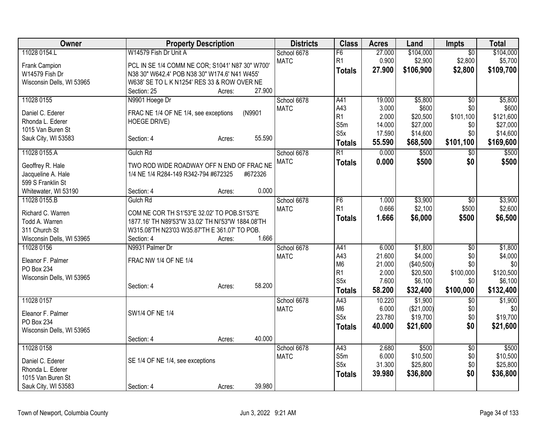| Owner                                   |                                                   | <b>Property Description</b> |                            |                  | <b>Acres</b>    | Land                 | <b>Impts</b>           | <b>Total</b>         |
|-----------------------------------------|---------------------------------------------------|-----------------------------|----------------------------|------------------|-----------------|----------------------|------------------------|----------------------|
| 11028 0154.L                            | W14579 Fish Dr Unit A                             |                             | School 6678                | F6               | 27.000          | \$104,000            | $\overline{50}$        | \$104,000            |
| Frank Campion                           | PCL IN SE 1/4 COMM NE COR; S1041' N87 30" W700'   |                             | <b>MATC</b>                | R <sub>1</sub>   | 0.900           | \$2,900              | \$2,800                | \$5,700              |
| W14579 Fish Dr                          | N38 30" W642.4' POB N38 30" W174.6' N41 W455'     |                             |                            | <b>Totals</b>    | 27.900          | \$106,900            | \$2,800                | \$109,700            |
| Wisconsin Dells, WI 53965               | W638' SE TO L K N1254' RES 33 & ROW OVER NE       |                             |                            |                  |                 |                      |                        |                      |
|                                         | Section: 25                                       | 27.900<br>Acres:            |                            |                  |                 |                      |                        |                      |
| 11028 0155                              | N9901 Hoege Dr                                    |                             | School 6678                | A41              | 19.000          | \$5,800              | $\overline{50}$        | \$5,800              |
|                                         |                                                   |                             | <b>MATC</b>                | A43              | 3.000           | \$600                | \$0                    | \$600                |
| Daniel C. Ederer                        | FRAC NE 1/4 OF NE 1/4, see exceptions             | (N9901                      |                            | R <sub>1</sub>   | 2.000           | \$20,500             | \$101,100              | \$121,600            |
| Rhonda L. Ederer<br>1015 Van Buren St   | HOEGE DRIVE)                                      |                             |                            | S5m              | 14.000          | \$27,000             | \$0                    | \$27,000             |
| Sauk City, WI 53583                     | Section: 4                                        | 55.590<br>Acres:            |                            | S <sub>5</sub> x | 17.590          | \$14,600             | \$0                    | \$14,600             |
|                                         |                                                   |                             |                            | <b>Totals</b>    | 55.590          | \$68,500             | \$101,100              | \$169,600            |
| 11028 0155.A                            | Gulch Rd                                          |                             | School 6678                | $\overline{R1}$  | 0.000           | \$500                | $\overline{50}$        | \$500                |
| Geoffrey R. Hale                        | TWO ROD WIDE ROADWAY OFF N END OF FRAC NE         |                             | <b>MATC</b>                | <b>Totals</b>    | 0.000           | \$500                | \$0                    | \$500                |
| Jacqueline A. Hale                      | 1/4 NE 1/4 R284-149 R342-794 #672325              | #672326                     |                            |                  |                 |                      |                        |                      |
| 599 S Franklin St                       |                                                   |                             |                            |                  |                 |                      |                        |                      |
| Whitewater, WI 53190                    | Section: 4                                        | 0.000<br>Acres:             |                            |                  |                 |                      |                        |                      |
| 11028 0155.B                            | Gulch Rd                                          |                             | School 6678                | F <sub>6</sub>   | 1.000           | \$3,900              | $\overline{50}$        | \$3,900              |
|                                         |                                                   |                             | <b>MATC</b>                | R <sub>1</sub>   | 0.666           | \$2,100              | \$500                  | \$2,600              |
| Richard C. Warren                       | COM NE COR TH S1'53"E 32.02' TO POB.S1'53"E       |                             |                            | <b>Totals</b>    | 1.666           | \$6,000              | \$500                  | \$6,500              |
| Todd A. Warren                          | 1877.16' TH N89'53"W 33.02' TH NI'53"W 1884.08'TH |                             |                            |                  |                 |                      |                        |                      |
| 311 Church St                           | W315.08'TH N23'03 W35.87'TH E 361.07' TO POB.     | 1.666                       |                            |                  |                 |                      |                        |                      |
| Wisconsin Dells, WI 53965<br>11028 0156 | Section: 4<br>N9931 Palmer Dr                     | Acres:                      |                            |                  |                 |                      |                        |                      |
|                                         |                                                   |                             | School 6678<br><b>MATC</b> | A41<br>A43       | 6.000<br>21.600 | \$1,800<br>\$4,000   | $\overline{50}$<br>\$0 | \$1,800<br>\$4,000   |
| Eleanor F. Palmer                       | FRAC NW 1/4 OF NE 1/4                             |                             |                            | M <sub>6</sub>   | 21.000          | (\$40,500)           | \$0                    | \$0                  |
| <b>PO Box 234</b>                       |                                                   |                             |                            | R <sub>1</sub>   | 2.000           | \$20,500             | \$100,000              | \$120,500            |
| Wisconsin Dells, WI 53965               |                                                   |                             |                            | S <sub>5</sub> x | 7.600           | \$6,100              | \$0                    | \$6,100              |
|                                         | Section: 4                                        | 58.200<br>Acres:            |                            | <b>Totals</b>    | 58.200          | \$32,400             | \$100,000              | \$132,400            |
| 11028 0157                              |                                                   |                             | School 6678                | A43              | 10.220          | \$1,900              | $\overline{50}$        | \$1,900              |
|                                         |                                                   |                             | <b>MATC</b>                | M <sub>6</sub>   | 6.000           | (\$21,000)           | \$0                    | \$0                  |
| Eleanor F. Palmer                       | SW1/4 OF NE 1/4                                   |                             |                            | S5x              | 23.780          | \$19,700             | \$0                    | \$19,700             |
| PO Box 234                              |                                                   |                             |                            | <b>Totals</b>    | 40.000          | \$21,600             | \$0                    | \$21,600             |
| Wisconsin Dells, WI 53965               |                                                   |                             |                            |                  |                 |                      |                        |                      |
|                                         | Section: 4                                        | 40.000<br>Acres:            |                            |                  |                 |                      |                        |                      |
| 11028 0158                              |                                                   |                             | School 6678                | A43              | 2.680           | \$500                | $\overline{50}$        | \$500                |
| Daniel C. Ederer                        | SE 1/4 OF NE 1/4, see exceptions                  |                             | <b>MATC</b>                | S5m<br>S5x       | 6.000<br>31.300 | \$10,500<br>\$25,800 | \$0<br>\$0             | \$10,500<br>\$25,800 |
| Rhonda L. Ederer                        |                                                   |                             |                            |                  |                 |                      |                        |                      |
| 1015 Van Buren St                       |                                                   |                             |                            | <b>Totals</b>    | 39.980          | \$36,800             | \$0                    | \$36,800             |
| Sauk City, WI 53583                     | Section: 4                                        | 39.980<br>Acres:            |                            |                  |                 |                      |                        |                      |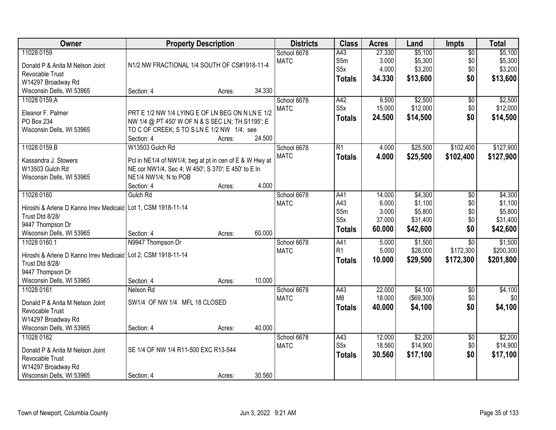| <b>Owner</b>                                                    | <b>Property Description</b>                             |        |        | <b>Districts</b> | <b>Class</b>     | <b>Acres</b> | Land       | <b>Impts</b>    | <b>Total</b> |
|-----------------------------------------------------------------|---------------------------------------------------------|--------|--------|------------------|------------------|--------------|------------|-----------------|--------------|
| 11028 0159                                                      |                                                         |        |        | School 6678      | A43              | 27.330       | \$5,100    | $\overline{60}$ | \$5,100      |
| Donald P & Anita M Nelson Joint                                 | N1/2 NW FRACTIONAL 1/4 SOUTH OF CS#1918-11-4            |        |        | <b>MATC</b>      | S5m              | 3.000        | \$5,300    | \$0             | \$5,300      |
| Revocable Trust                                                 |                                                         |        |        |                  | S5x              | 4.000        | \$3,200    | \$0             | \$3,200      |
| W14297 Broadway Rd                                              |                                                         |        |        |                  | <b>Totals</b>    | 34.330       | \$13,600   | \$0             | \$13,600     |
| Wisconsin Dells, WI 53965                                       | Section: 4                                              | Acres: | 34.330 |                  |                  |              |            |                 |              |
| 11028 0159.A                                                    |                                                         |        |        | School 6678      | A42              | 9.500        | \$2,500    | $\overline{50}$ | \$2,500      |
|                                                                 |                                                         |        |        | <b>MATC</b>      | S5x              | 15.000       | \$12,000   | \$0             | \$12,000     |
| Eleanor F. Palmer                                               | PRT E 1/2 NW 1/4 LYING E OF LN BEG ON N LN E 1/2        |        |        |                  | Totals           | 24.500       | \$14,500   | \$0             | \$14,500     |
| <b>PO Box 234</b>                                               | NW 1/4 @ PT 450' W OF N & S SEC LN; TH S1195'; E        |        |        |                  |                  |              |            |                 |              |
| Wisconsin Dells, WI 53965                                       | TO C OF CREEK; S TO S LN E 1/2 NW 1/4; see              |        |        |                  |                  |              |            |                 |              |
|                                                                 | Section: 4                                              | Acres: | 24.500 |                  |                  |              |            |                 |              |
| 11028 0159.B                                                    | W13503 Gulch Rd                                         |        |        | School 6678      | R1               | 4.000        | \$25,500   | \$102,400       | \$127,900    |
| Kassandra J. Stowers                                            | Pcl in NE1/4 of NW1/4; beg at pt in cen of E & W Hwy at |        |        | <b>MATC</b>      | <b>Totals</b>    | 4.000        | \$25,500   | \$102,400       | \$127,900    |
| W13503 Gulch Rd                                                 | NE cor NW1/4, Sec 4; W 450'; S 370'; E 450' to E In     |        |        |                  |                  |              |            |                 |              |
| Wisconsin Dells, WI 53965                                       | NE1/4 NW1/4; N to POB                                   |        |        |                  |                  |              |            |                 |              |
|                                                                 | Section: 4                                              | Acres: | 4.000  |                  |                  |              |            |                 |              |
| 11028 0160                                                      | Gulch Rd                                                |        |        | School 6678      | A41              | 14.000       | \$4,300    | \$0             | \$4,300      |
|                                                                 |                                                         |        |        | <b>MATC</b>      | A43              | 6.000        | \$1,100    | \$0             | \$1,100      |
| Hiroshi & Arlene D Kanno Irrev Medicaid Lot 1, CSM 1918-11-14   |                                                         |        |        |                  | S5m              | 3.000        | \$5,800    | \$0             | \$5,800      |
| Trust Dtd 8/28/                                                 |                                                         |        |        |                  | S <sub>5</sub> x | 37.000       | \$31,400   | \$0             | \$31,400     |
| 9447 Thompson Dr                                                |                                                         |        |        |                  | <b>Totals</b>    | 60.000       | \$42,600   | \$0             | \$42,600     |
| Wisconsin Dells, WI 53965                                       | Section: 4                                              | Acres: | 60.000 |                  |                  |              |            |                 |              |
| 11028 0160.1                                                    | N9947 Thompson Dr                                       |        |        | School 6678      | A41              | 5.000        | \$1,500    | $\overline{30}$ | \$1,500      |
| Hiroshi & Arlene D Kanno Irrev Medicaid   Lot 2, CSM 1918-11-14 |                                                         |        |        | <b>MATC</b>      | R1               | 5.000        | \$28,000   | \$172,300       | \$200,300    |
| Trust Dtd 8/28/                                                 |                                                         |        |        |                  | <b>Totals</b>    | 10.000       | \$29,500   | \$172,300       | \$201,800    |
| 9447 Thompson Dr                                                |                                                         |        |        |                  |                  |              |            |                 |              |
| Wisconsin Dells, WI 53965                                       | Section: 4                                              | Acres: | 10.000 |                  |                  |              |            |                 |              |
| 11028 0161                                                      | Nelson Rd                                               |        |        | School 6678      | A43              | 22.000       | \$4,100    | $\overline{60}$ | \$4,100      |
| Donald P & Anita M Nelson Joint                                 | SW1/4 OF NW 1/4 MFL 18 CLOSED                           |        |        | <b>MATC</b>      | M <sub>8</sub>   | 18.000       | (\$69,300) | \$0             | \$0          |
| Revocable Trust                                                 |                                                         |        |        |                  | <b>Totals</b>    | 40.000       | \$4,100    | \$0             | \$4,100      |
| W14297 Broadway Rd                                              |                                                         |        |        |                  |                  |              |            |                 |              |
| Wisconsin Dells, WI 53965                                       | Section: 4                                              | Acres: | 40.000 |                  |                  |              |            |                 |              |
| 11028 0162                                                      |                                                         |        |        | School 6678      | A43              | 12.000       | \$2,200    | $\overline{30}$ | \$2,200      |
|                                                                 |                                                         |        |        | <b>MATC</b>      | S5x              | 18.560       | \$14,900   | \$0             | \$14,900     |
| Donald P & Anita M Nelson Joint                                 | SE 1/4 OF NW 1/4 R11-500 EXC R13-544                    |        |        |                  |                  | 30.560       | \$17,100   | \$0             |              |
| Revocable Trust                                                 |                                                         |        |        |                  | <b>Totals</b>    |              |            |                 | \$17,100     |
| W14297 Broadway Rd                                              |                                                         |        |        |                  |                  |              |            |                 |              |
| Wisconsin Dells, WI 53965                                       | Section: 4                                              | Acres: | 30.560 |                  |                  |              |            |                 |              |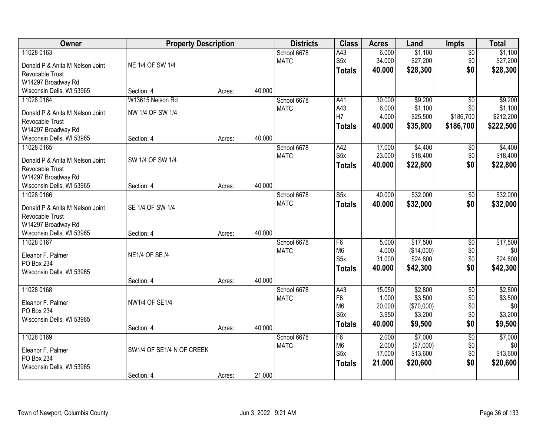| Owner                                              | <b>Property Description</b> |        | <b>Districts</b> | <b>Class</b> | <b>Acres</b>     | Land   | <b>Impts</b> | <b>Total</b>    |           |
|----------------------------------------------------|-----------------------------|--------|------------------|--------------|------------------|--------|--------------|-----------------|-----------|
| 11028 0163                                         |                             |        |                  | School 6678  | A43              | 6.000  | \$1,100      | \$0             | \$1,100   |
| Donald P & Anita M Nelson Joint                    | NE 1/4 OF SW 1/4            |        |                  | <b>MATC</b>  | S <sub>5</sub> x | 34.000 | \$27,200     | \$0             | \$27,200  |
| Revocable Trust                                    |                             |        |                  |              | <b>Totals</b>    | 40.000 | \$28,300     | \$0             | \$28,300  |
| W14297 Broadway Rd                                 |                             |        |                  |              |                  |        |              |                 |           |
| Wisconsin Dells, WI 53965                          | Section: 4                  | Acres: | 40.000           |              |                  |        |              |                 |           |
| 11028 0164                                         | W13615 Nelson Rd            |        |                  | School 6678  | A41              | 30.000 | \$9,200      | $\overline{50}$ | \$9,200   |
| Donald P & Anita M Nelson Joint                    | NW 1/4 OF SW 1/4            |        |                  | <b>MATC</b>  | A43              | 6.000  | \$1,100      | \$0             | \$1,100   |
| Revocable Trust                                    |                             |        |                  |              | H7               | 4.000  | \$25,500     | \$186,700       | \$212,200 |
| W14297 Broadway Rd                                 |                             |        |                  |              | <b>Totals</b>    | 40.000 | \$35,800     | \$186,700       | \$222,500 |
| Wisconsin Dells, WI 53965                          | Section: 4                  | Acres: | 40.000           |              |                  |        |              |                 |           |
| 11028 0165                                         |                             |        |                  | School 6678  | A42              | 17.000 | \$4,400      | \$0             | \$4,400   |
| Donald P & Anita M Nelson Joint                    | SW 1/4 OF SW 1/4            |        |                  | <b>MATC</b>  | S <sub>5</sub> x | 23.000 | \$18,400     | \$0             | \$18,400  |
| Revocable Trust                                    |                             |        |                  |              | <b>Totals</b>    | 40.000 | \$22,800     | \$0             | \$22,800  |
| W14297 Broadway Rd                                 |                             |        |                  |              |                  |        |              |                 |           |
| Wisconsin Dells, WI 53965                          | Section: 4                  | Acres: | 40.000           |              |                  |        |              |                 |           |
| 11028 0166                                         |                             |        |                  | School 6678  | S5x              | 40.000 | \$32,000     | \$0             | \$32,000  |
|                                                    |                             |        |                  | <b>MATC</b>  | <b>Totals</b>    | 40.000 | \$32,000     | \$0             | \$32,000  |
| Donald P & Anita M Nelson Joint<br>Revocable Trust | SE 1/4 OF SW 1/4            |        |                  |              |                  |        |              |                 |           |
| W14297 Broadway Rd                                 |                             |        |                  |              |                  |        |              |                 |           |
| Wisconsin Dells, WI 53965                          | Section: 4                  | Acres: | 40.000           |              |                  |        |              |                 |           |
| 11028 0167                                         |                             |        |                  | School 6678  | F <sub>6</sub>   | 5.000  | \$17,500     | $\overline{50}$ | \$17,500  |
|                                                    |                             |        |                  | <b>MATC</b>  | M <sub>6</sub>   | 4.000  | (\$14,000)   | \$0             | \$0       |
| Eleanor F. Palmer                                  | <b>NE1/4 OF SE /4</b>       |        |                  |              | S <sub>5</sub> x | 31.000 | \$24,800     | \$0             | \$24,800  |
| PO Box 234                                         |                             |        |                  |              | <b>Totals</b>    | 40.000 | \$42,300     | \$0             | \$42,300  |
| Wisconsin Dells, WI 53965                          | Section: 4                  | Acres: | 40.000           |              |                  |        |              |                 |           |
| 11028 0168                                         |                             |        |                  | School 6678  | A43              | 15.050 | \$2,800      | $\overline{50}$ | \$2,800   |
|                                                    |                             |        |                  | <b>MATC</b>  | F <sub>6</sub>   | 1.000  | \$3,500      | \$0             | \$3,500   |
| Eleanor F. Palmer                                  | <b>NW1/4 OF SE1/4</b>       |        |                  |              | M <sub>6</sub>   | 20.000 | (\$70,000)   | \$0             | \$0       |
| PO Box 234                                         |                             |        |                  |              | S5x              | 3.950  | \$3,200      | \$0             | \$3,200   |
| Wisconsin Dells, WI 53965                          |                             |        | 40.000           |              | <b>Totals</b>    | 40.000 | \$9,500      | \$0             | \$9,500   |
| 11028 0169                                         | Section: 4                  | Acres: |                  | School 6678  | F <sub>6</sub>   | 2.000  | \$7,000      | $\overline{50}$ | \$7,000   |
|                                                    |                             |        |                  | <b>MATC</b>  | M <sub>6</sub>   | 2.000  | (\$7,000)    | \$0             | \$0       |
| Eleanor F. Palmer                                  | SW1/4 OF SE1/4 N OF CREEK   |        |                  |              | S5x              | 17.000 | \$13,600     | \$0             | \$13,600  |
| PO Box 234                                         |                             |        |                  |              | <b>Totals</b>    | 21.000 | \$20,600     | \$0             | \$20,600  |
| Wisconsin Dells, WI 53965                          |                             |        |                  |              |                  |        |              |                 |           |
|                                                    | Section: 4                  | Acres: | 21.000           |              |                  |        |              |                 |           |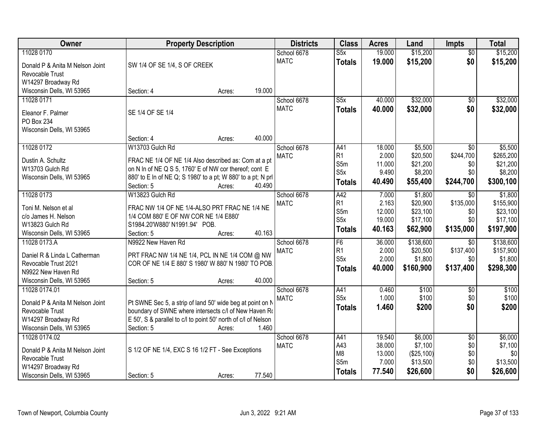| Owner                                 |                                                                | <b>Property Description</b> |        |             | <b>Class</b>     | <b>Acres</b> | Land       | <b>Impts</b>    | <b>Total</b> |
|---------------------------------------|----------------------------------------------------------------|-----------------------------|--------|-------------|------------------|--------------|------------|-----------------|--------------|
| 11028 0170                            |                                                                |                             |        | School 6678 | S5x              | 19.000       | \$15,200   | $\overline{50}$ | \$15,200     |
| Donald P & Anita M Nelson Joint       | SW 1/4 OF SE 1/4, S OF CREEK                                   |                             |        | <b>MATC</b> | <b>Totals</b>    | 19.000       | \$15,200   | \$0             | \$15,200     |
| Revocable Trust                       |                                                                |                             |        |             |                  |              |            |                 |              |
| W14297 Broadway Rd                    |                                                                |                             |        |             |                  |              |            |                 |              |
| Wisconsin Dells, WI 53965             | Section: 4                                                     | Acres:                      | 19.000 |             |                  |              |            |                 |              |
| 11028 0171                            |                                                                |                             |        | School 6678 | S5x              | 40.000       | \$32,000   | $\overline{50}$ | \$32,000     |
| Eleanor F. Palmer                     | SE 1/4 OF SE 1/4                                               |                             |        | <b>MATC</b> | <b>Totals</b>    | 40.000       | \$32,000   | \$0             | \$32,000     |
| <b>PO Box 234</b>                     |                                                                |                             |        |             |                  |              |            |                 |              |
| Wisconsin Dells, WI 53965             |                                                                |                             |        |             |                  |              |            |                 |              |
|                                       | Section: 4                                                     | Acres:                      | 40.000 |             |                  |              |            |                 |              |
| 11028 0172                            | W13703 Gulch Rd                                                |                             |        | School 6678 | A41              | 18.000       | \$5,500    | $\overline{30}$ | \$5,500      |
| Dustin A. Schultz                     | FRAC NE 1/4 OF NE 1/4 Also described as: Com at a pt           |                             |        | <b>MATC</b> | R <sub>1</sub>   | 2.000        | \$20,500   | \$244,700       | \$265,200    |
| W13703 Gulch Rd                       | on N In of NE Q S 5, 1760' E of NW cor thereof; cont E         |                             |        |             | S <sub>5m</sub>  | 11.000       | \$21,200   | \$0             | \$21,200     |
| Wisconsin Dells, WI 53965             | 880' to E In of NE Q; S 1980' to a pt; W 880' to a pt; N prl   |                             |        |             | S <sub>5</sub> x | 9.490        | \$8,200    | \$0             | \$8,200      |
|                                       | Section: 5                                                     | Acres:                      | 40.490 |             | <b>Totals</b>    | 40.490       | \$55,400   | \$244,700       | \$300,100    |
| 11028 0173                            | W13823 Gulch Rd                                                |                             |        | School 6678 | A42              | 7.000        | \$1,800    | $\sqrt{6}$      | \$1,800      |
| Toni M. Nelson et al                  | FRAC NW 1/4 OF NE 1/4-ALSO PRT FRAC NE 1/4 NE                  |                             |        | <b>MATC</b> | R <sub>1</sub>   | 2.163        | \$20,900   | \$135,000       | \$155,900    |
| c/o James H. Nelson                   | 1/4 COM 880' E OF NW COR NE 1/4 E880'                          |                             |        |             | S5m              | 12.000       | \$23,100   | \$0             | \$23,100     |
| W13823 Gulch Rd                       | S1984.20'W880' N1991.94' POB.                                  |                             |        |             | S <sub>5</sub> x | 19.000       | \$17,100   | \$0             | \$17,100     |
| Wisconsin Dells, WI 53965             | Section: 5                                                     | Acres:                      | 40.163 |             | <b>Totals</b>    | 40.163       | \$62,900   | \$135,000       | \$197,900    |
| 11028 0173.A                          | N9922 New Haven Rd                                             |                             |        | School 6678 | F6               | 36.000       | \$138,600  | $\overline{30}$ | \$138,600    |
| Daniel R & Linda L Catherman          | PRT FRAC NW 1/4 NE 1/4, PCL IN NE 1/4 COM @ NW                 |                             |        | <b>MATC</b> | R <sub>1</sub>   | 2.000        | \$20,500   | \$137,400       | \$157,900    |
| Revocable Trust 2021                  | COR OF NE 1/4 E 880' S 1980' W 880' N 1980' TO POB.            |                             |        |             | S <sub>5</sub> x | 2.000        | \$1,800    | \$0             | \$1,800      |
| N9922 New Haven Rd                    |                                                                |                             |        |             | <b>Totals</b>    | 40.000       | \$160,900  | \$137,400       | \$298,300    |
| Wisconsin Dells, WI 53965             | Section: 5                                                     | Acres:                      | 40.000 |             |                  |              |            |                 |              |
| 11028 0174.01                         |                                                                |                             |        | School 6678 | A41              | 0.460        | \$100      | $\overline{50}$ | \$100        |
| Donald P & Anita M Nelson Joint       | Pt SWNE Sec 5, a strip of land 50' wide beg at point on N      |                             |        | <b>MATC</b> | S <sub>5x</sub>  | 1.000        | \$100      | \$0             | \$100        |
| Revocable Trust                       | boundary of SWNE where intersects c/l of New Haven Ro          |                             |        |             | <b>Totals</b>    | 1.460        | \$200      | \$0             | \$200        |
| W14297 Broadway Rd                    | E 50', S & parallel to c/l to point 50' north of c/l of Nelson |                             |        |             |                  |              |            |                 |              |
| Wisconsin Dells, WI 53965             | Section: 5                                                     | Acres:                      | 1.460  |             |                  |              |            |                 |              |
| 11028 0174.02                         |                                                                |                             |        | School 6678 | A41              | 19.540       | \$6,000    | $\overline{50}$ | \$6,000      |
|                                       |                                                                |                             |        | <b>MATC</b> | A43              | 38.000       | \$7,100    | \$0             | \$7,100      |
| Donald P & Anita M Nelson Joint       | S 1/2 OF NE 1/4, EXC S 16 1/2 FT - See Exceptions              |                             |        |             | M <sub>8</sub>   | 13.000       | (\$25,100) | \$0             | \$0          |
| Revocable Trust<br>W14297 Broadway Rd |                                                                |                             |        |             | S5m              | 7.000        | \$13,500   | \$0             | \$13,500     |
| Wisconsin Dells, WI 53965             | Section: 5                                                     | Acres:                      | 77.540 |             | Totals           | 77.540       | \$26,600   | \$0             | \$26,600     |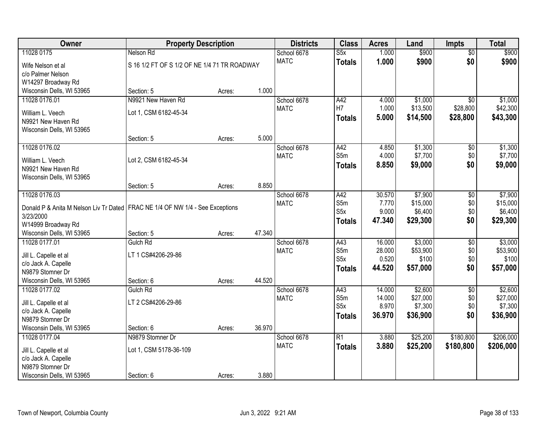| Owner                                                                                        | <b>Property Description</b>                  |        |        | <b>Districts</b> | <b>Class</b>     | <b>Acres</b> | Land     | <b>Impts</b>    | <b>Total</b> |
|----------------------------------------------------------------------------------------------|----------------------------------------------|--------|--------|------------------|------------------|--------------|----------|-----------------|--------------|
| 11028 0175                                                                                   | Nelson Rd                                    |        |        | School 6678      | S5x              | 1.000        | \$900    | $\overline{50}$ | \$900        |
| Wife Nelson et al                                                                            | S 16 1/2 FT OF S 1/2 OF NE 1/4 71 TR ROADWAY |        |        | <b>MATC</b>      | <b>Totals</b>    | 1.000        | \$900    | \$0             | \$900        |
| c/o Palmer Nelson                                                                            |                                              |        |        |                  |                  |              |          |                 |              |
| W14297 Broadway Rd                                                                           |                                              |        |        |                  |                  |              |          |                 |              |
| Wisconsin Dells, WI 53965                                                                    | Section: 5                                   | Acres: | 1.000  |                  |                  |              |          |                 |              |
| 11028 0176.01                                                                                | N9921 New Haven Rd                           |        |        | School 6678      | A42              | 4.000        | \$1,000  | $\overline{50}$ | \$1,000      |
| William L. Veech                                                                             | Lot 1, CSM 6182-45-34                        |        |        | <b>MATC</b>      | H <sub>7</sub>   | 1.000        | \$13,500 | \$28,800        | \$42,300     |
| N9921 New Haven Rd                                                                           |                                              |        |        |                  | <b>Totals</b>    | 5.000        | \$14,500 | \$28,800        | \$43,300     |
| Wisconsin Dells, WI 53965                                                                    |                                              |        |        |                  |                  |              |          |                 |              |
|                                                                                              | Section: 5                                   | Acres: | 5.000  |                  |                  |              |          |                 |              |
| 11028 0176.02                                                                                |                                              |        |        | School 6678      | A42              | 4.850        | \$1,300  | \$0             | \$1,300      |
| William L. Veech                                                                             | Lot 2, CSM 6182-45-34                        |        |        | <b>MATC</b>      | S5m              | 4.000        | \$7,700  | \$0             | \$7,700      |
| N9921 New Haven Rd                                                                           |                                              |        |        |                  | <b>Totals</b>    | 8.850        | \$9,000  | \$0             | \$9,000      |
| Wisconsin Dells, WI 53965                                                                    |                                              |        |        |                  |                  |              |          |                 |              |
|                                                                                              | Section: 5                                   | Acres: | 8.850  |                  |                  |              |          |                 |              |
| 11028 0176.03                                                                                |                                              |        |        | School 6678      | A42              | 30.570       | \$7,900  | \$0             | \$7,900      |
|                                                                                              |                                              |        |        | <b>MATC</b>      | S5m              | 7.770        | \$15,000 | \$0             | \$15,000     |
| Donald P & Anita M Nelson Liv Tr Dated   FRAC NE 1/4 OF NW 1/4 - See Exceptions<br>3/23/2000 |                                              |        |        |                  | S <sub>5</sub> x | 9.000        | \$6,400  | \$0             | \$6,400      |
| W14999 Broadway Rd                                                                           |                                              |        |        |                  | <b>Totals</b>    | 47.340       | \$29,300 | \$0             | \$29,300     |
| Wisconsin Dells, WI 53965                                                                    | Section: 5                                   | Acres: | 47.340 |                  |                  |              |          |                 |              |
| 11028 0177.01                                                                                | Gulch Rd                                     |        |        | School 6678      | A43              | 16.000       | \$3,000  | $\overline{50}$ | \$3,000      |
|                                                                                              |                                              |        |        | <b>MATC</b>      | S5m              | 28.000       | \$53,900 | \$0             | \$53,900     |
| Jill L. Capelle et al                                                                        | LT 1 CS#4206-29-86                           |        |        |                  | S5x              | 0.520        | \$100    | \$0             | \$100        |
| c/o Jack A. Capelle                                                                          |                                              |        |        |                  | <b>Totals</b>    | 44.520       | \$57,000 | \$0             | \$57,000     |
| N9879 Stomner Dr                                                                             |                                              |        | 44.520 |                  |                  |              |          |                 |              |
| Wisconsin Dells, WI 53965<br>11028 0177.02                                                   | Section: 6<br>Gulch Rd                       | Acres: |        | School 6678      | A43              | 14.000       | \$2,600  | $\overline{50}$ | \$2,600      |
|                                                                                              |                                              |        |        | <b>MATC</b>      | S5m              | 14.000       | \$27,000 | \$0             | \$27,000     |
| Jill L. Capelle et al                                                                        | LT 2 CS#4206-29-86                           |        |        |                  | S <sub>5</sub> x | 8.970        | \$7,300  | \$0             | \$7,300      |
| c/o Jack A. Capelle                                                                          |                                              |        |        |                  | <b>Totals</b>    | 36.970       | \$36,900 | \$0             | \$36,900     |
| N9879 Stomner Dr                                                                             |                                              |        |        |                  |                  |              |          |                 |              |
| Wisconsin Dells, WI 53965                                                                    | Section: 6                                   | Acres: | 36.970 |                  |                  |              |          |                 |              |
| 11028 0177.04                                                                                | N9879 Stomner Dr                             |        |        | School 6678      | $\overline{R1}$  | 3.880        | \$25,200 | \$180,800       | \$206,000    |
| Jill L. Capelle et al                                                                        | Lot 1, CSM 5178-36-109                       |        |        | <b>MATC</b>      | <b>Totals</b>    | 3.880        | \$25,200 | \$180,800       | \$206,000    |
| c/o Jack A. Capelle                                                                          |                                              |        |        |                  |                  |              |          |                 |              |
| N9879 Stomner Dr                                                                             |                                              |        |        |                  |                  |              |          |                 |              |
| Wisconsin Dells, WI 53965                                                                    | Section: 6                                   | Acres: | 3.880  |                  |                  |              |          |                 |              |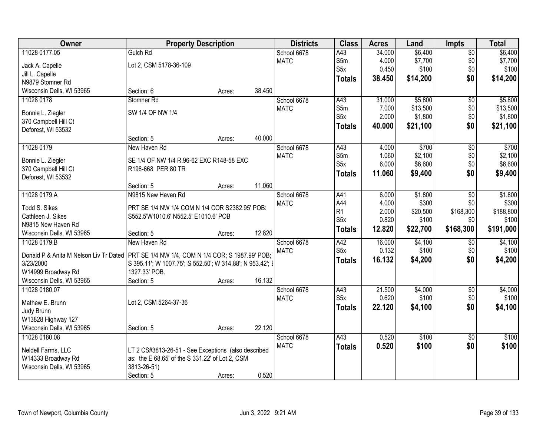| Owner                                                                                      | <b>Property Description</b>                                                            |        |        | <b>Districts</b> | <b>Class</b>     | <b>Acres</b> | Land     | <b>Impts</b>    | <b>Total</b> |
|--------------------------------------------------------------------------------------------|----------------------------------------------------------------------------------------|--------|--------|------------------|------------------|--------------|----------|-----------------|--------------|
| 11028 0177.05                                                                              | Gulch Rd                                                                               |        |        | School 6678      | A43              | 34.000       | \$6,400  | $\overline{60}$ | \$6,400      |
| Jack A. Capelle                                                                            | Lot 2, CSM 5178-36-109                                                                 |        |        | <b>MATC</b>      | S5m              | 4.000        | \$7,700  | \$0             | \$7,700      |
| Jill L. Capelle                                                                            |                                                                                        |        |        |                  | S <sub>5</sub> x | 0.450        | \$100    | \$0             | \$100        |
| N9879 Stomner Rd                                                                           |                                                                                        |        |        |                  | <b>Totals</b>    | 38.450       | \$14,200 | \$0             | \$14,200     |
| Wisconsin Dells, WI 53965                                                                  | Section: 6                                                                             | Acres: | 38.450 |                  |                  |              |          |                 |              |
| 11028 0178                                                                                 | Stomner <sub>Rd</sub>                                                                  |        |        | School 6678      | A43              | 31.000       | \$5,800  | $\overline{50}$ | \$5,800      |
|                                                                                            |                                                                                        |        |        | <b>MATC</b>      | S5m              | 7.000        | \$13,500 | \$0             | \$13,500     |
| Bonnie L. Ziegler                                                                          | SW 1/4 OF NW 1/4                                                                       |        |        |                  | S <sub>5</sub> x | 2.000        | \$1,800  | \$0             | \$1,800      |
| 370 Campbell Hill Ct                                                                       |                                                                                        |        |        |                  | <b>Totals</b>    | 40.000       | \$21,100 | \$0             | \$21,100     |
| Deforest, WI 53532                                                                         |                                                                                        |        |        |                  |                  |              |          |                 |              |
|                                                                                            | Section: 5                                                                             | Acres: | 40.000 |                  |                  |              |          |                 |              |
| 11028 0179                                                                                 | New Haven Rd                                                                           |        |        | School 6678      | A43              | 4.000        | \$700    | $\overline{50}$ | \$700        |
| Bonnie L. Ziegler                                                                          | SE 1/4 OF NW 1/4 R.96-62 EXC R148-58 EXC                                               |        |        | <b>MATC</b>      | S5m<br>S5x       | 1.060        | \$2,100  | \$0             | \$2,100      |
| 370 Campbell Hill Ct                                                                       | R196-668 PER 80 TR                                                                     |        |        |                  |                  | 6.000        | \$6,600  | \$0             | \$6,600      |
| Deforest, WI 53532                                                                         |                                                                                        |        |        |                  | <b>Totals</b>    | 11.060       | \$9,400  | \$0             | \$9,400      |
|                                                                                            | Section: 5                                                                             | Acres: | 11.060 |                  |                  |              |          |                 |              |
| 11028 0179.A                                                                               | N9815 New Haven Rd                                                                     |        |        | School 6678      | A41              | 6.000        | \$1,800  | \$0             | \$1,800      |
|                                                                                            |                                                                                        |        |        | <b>MATC</b>      | A44              | 4.000        | \$300    | \$0             | \$300        |
| <b>Todd S. Sikes</b><br>Cathleen J. Sikes                                                  | PRT SE 1/4 NW 1/4 COM N 1/4 COR S2382.95' POB:<br>S552.5'W1010.6' N552.5' E1010.6' POB |        |        |                  | R <sub>1</sub>   | 2.000        | \$20,500 | \$168,300       | \$188,800    |
| N9815 New Haven Rd                                                                         |                                                                                        |        |        |                  | S <sub>5</sub> x | 0.820        | \$100    | \$0             | \$100        |
| Wisconsin Dells, WI 53965                                                                  | Section: 5                                                                             | Acres: | 12.820 |                  | <b>Totals</b>    | 12.820       | \$22,700 | \$168,300       | \$191,000    |
| 11028 0179.B                                                                               | New Haven Rd                                                                           |        |        | School 6678      | A42              | 16.000       | \$4,100  | \$0             | \$4,100      |
|                                                                                            |                                                                                        |        |        | <b>MATC</b>      | S5x              | 0.132        | \$100    | \$0             | \$100        |
| Donald P & Anita M Nelson Liv Tr Dated   PRT SE 1/4 NW 1/4, COM N 1/4 COR; S 1987.99' POB; |                                                                                        |        |        |                  |                  | 16.132       | \$4,200  | \$0             | \$4,200      |
| 3/23/2000                                                                                  | S 395.11'; W 1007.75'; S 552.50'; W 314.88'; N 953.42'; I                              |        |        |                  | <b>Totals</b>    |              |          |                 |              |
| W14999 Broadway Rd                                                                         | 1327.33' POB.                                                                          |        |        |                  |                  |              |          |                 |              |
| Wisconsin Dells, WI 53965                                                                  | Section: 5                                                                             | Acres: | 16.132 |                  |                  |              |          |                 |              |
| 11028 0180.07                                                                              |                                                                                        |        |        | School 6678      | A43              | 21.500       | \$4,000  | $\overline{$0}$ | \$4,000      |
| Mathew E. Brunn                                                                            | Lot 2, CSM 5264-37-36                                                                  |        |        | <b>MATC</b>      | S <sub>5</sub> x | 0.620        | \$100    | \$0             | \$100        |
| Judy Brunn                                                                                 |                                                                                        |        |        |                  | <b>Totals</b>    | 22.120       | \$4,100  | \$0             | \$4,100      |
| W13828 Highway 127                                                                         |                                                                                        |        |        |                  |                  |              |          |                 |              |
| Wisconsin Dells, WI 53965                                                                  | Section: 5                                                                             | Acres: | 22.120 |                  |                  |              |          |                 |              |
| 11028 0180.08                                                                              |                                                                                        |        |        | School 6678      | A43              | 0.520        | \$100    | $\overline{50}$ | \$100        |
|                                                                                            |                                                                                        |        |        | <b>MATC</b>      | <b>Totals</b>    | 0.520        | \$100    | \$0             | \$100        |
| Neldell Farms, LLC                                                                         | LT 2 CS#3813-26-51 - See Exceptions (also described                                    |        |        |                  |                  |              |          |                 |              |
| W14333 Broadway Rd                                                                         | as: the E 68.65' of the S 331.22' of Lot 2, CSM                                        |        |        |                  |                  |              |          |                 |              |
| Wisconsin Dells, WI 53965                                                                  | 3813-26-51)                                                                            |        |        |                  |                  |              |          |                 |              |
|                                                                                            | Section: 5                                                                             | Acres: | 0.520  |                  |                  |              |          |                 |              |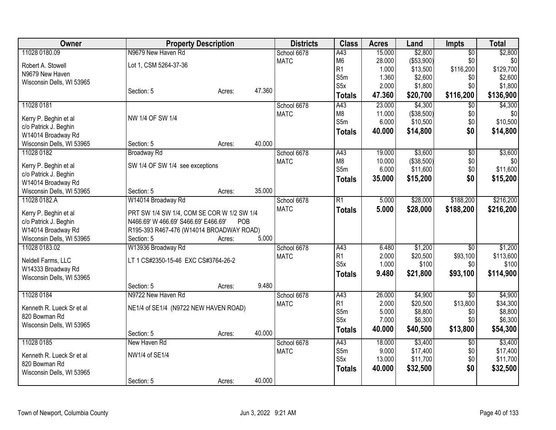| Owner                     | <b>Property Description</b>                |        |        | <b>Districts</b> | <b>Class</b>     | <b>Acres</b> | Land       | <b>Impts</b>    | <b>Total</b> |
|---------------------------|--------------------------------------------|--------|--------|------------------|------------------|--------------|------------|-----------------|--------------|
| 11028 0180.09             | N9679 New Haven Rd                         |        |        | School 6678      | A43              | 15.000       | \$2,800    | $\overline{50}$ | \$2,800      |
| Robert A. Stowell         | Lot 1, CSM 5264-37-36                      |        |        | <b>MATC</b>      | M <sub>6</sub>   | 28.000       | (\$53,900) | \$0             | \$0          |
| N9679 New Haven           |                                            |        |        |                  | R <sub>1</sub>   | 1.000        | \$13,500   | \$116,200       | \$129,700    |
| Wisconsin Dells, WI 53965 |                                            |        |        |                  | S5m              | 1.360        | \$2,600    | \$0             | \$2,600      |
|                           | Section: 5                                 | Acres: | 47.360 |                  | S <sub>5</sub> x | 2.000        | \$1,800    | \$0             | \$1,800      |
|                           |                                            |        |        |                  | <b>Totals</b>    | 47.360       | \$20,700   | \$116,200       | \$136,900    |
| 11028 0181                |                                            |        |        | School 6678      | $\overline{A43}$ | 23.000       | \$4,300    | $\overline{30}$ | \$4,300      |
| Kerry P. Beghin et al     | NW 1/4 OF SW 1/4                           |        |        | <b>MATC</b>      | M <sub>8</sub>   | 11.000       | (\$38,500) | \$0             | \$0          |
| c/o Patrick J. Beghin     |                                            |        |        |                  | S5m              | 6.000        | \$10,500   | \$0             | \$10,500     |
| W14014 Broadway Rd        |                                            |        |        |                  | <b>Totals</b>    | 40.000       | \$14,800   | \$0             | \$14,800     |
| Wisconsin Dells, WI 53965 | Section: 5                                 | Acres: | 40.000 |                  |                  |              |            |                 |              |
| 11028 0182                | <b>Broadway Rd</b>                         |        |        | School 6678      | A43              | 19.000       | \$3,600    | $\overline{50}$ | \$3,600      |
|                           |                                            |        |        | <b>MATC</b>      | M <sub>8</sub>   | 10.000       | (\$38,500) | \$0             | \$0          |
| Kerry P. Beghin et al     | SW 1/4 OF SW 1/4 see exceptions            |        |        |                  | S5m              | 6.000        | \$11,600   | \$0             | \$11,600     |
| c/o Patrick J. Beghin     |                                            |        |        |                  | <b>Totals</b>    | 35.000       | \$15,200   | \$0             | \$15,200     |
| W14014 Broadway Rd        |                                            |        |        |                  |                  |              |            |                 |              |
| Wisconsin Dells, WI 53965 | Section: 5                                 | Acres: | 35.000 |                  |                  |              |            |                 |              |
| 11028 0182.A              | W14014 Broadway Rd                         |        |        | School 6678      | R1               | 5.000        | \$28,000   | \$188,200       | \$216,200    |
| Kerry P. Beghin et al     | PRT SW 1/4 SW 1/4, COM SE COR W 1/2 SW 1/4 |        |        | <b>MATC</b>      | <b>Totals</b>    | 5.000        | \$28,000   | \$188,200       | \$216,200    |
| c/o Patrick J. Beghin     | N466.69' W 466.69' S466.69' E466.69'       | POB    |        |                  |                  |              |            |                 |              |
| W14014 Broadway Rd        | R195-393 R467-476 (W14014 BROADWAY ROAD)   |        |        |                  |                  |              |            |                 |              |
| Wisconsin Dells, WI 53965 | Section: 5                                 | Acres: | 5.000  |                  |                  |              |            |                 |              |
| 11028 0183.02             | W13936 Broadway Rd                         |        |        | School 6678      | A43              | 6.480        | \$1,200    | $\overline{50}$ | \$1,200      |
| Neldell Farms, LLC        | LT 1 CS#2350-15-46 EXC CS#3764-26-2        |        |        | <b>MATC</b>      | R1               | 2.000        | \$20,500   | \$93,100        | \$113,600    |
| W14333 Broadway Rd        |                                            |        |        |                  | S5x              | 1.000        | \$100      | \$0             | \$100        |
| Wisconsin Dells, WI 53965 |                                            |        |        |                  | <b>Totals</b>    | 9.480        | \$21,800   | \$93,100        | \$114,900    |
|                           | Section: 5                                 | Acres: | 9.480  |                  |                  |              |            |                 |              |
| 11028 0184                | N9722 New Haven Rd                         |        |        | School 6678      | A43              | 26.000       | \$4,900    | $\overline{30}$ | \$4,900      |
|                           |                                            |        |        | <b>MATC</b>      | R1               | 2.000        | \$20,500   | \$13,800        | \$34,300     |
| Kenneth R. Lueck Sr et al | NE1/4 of SE1/4 (N9722 NEW HAVEN ROAD)      |        |        |                  | S5m              | 5.000        | \$8,800    | \$0             | \$8,800      |
| 820 Bowman Rd             |                                            |        |        |                  | S <sub>5x</sub>  | 7.000        | \$6,300    | \$0             | \$6,300      |
| Wisconsin Dells, WI 53965 |                                            |        |        |                  | <b>Totals</b>    | 40.000       | \$40,500   | \$13,800        | \$54,300     |
|                           | Section: 5                                 | Acres: | 40.000 |                  |                  |              |            |                 |              |
| 11028 0185                | New Haven Rd                               |        |        | School 6678      | A43              | 18.000       | \$3,400    | \$0             | \$3,400      |
| Kenneth R. Lueck Sr et al | NW1/4 of SE1/4                             |        |        | <b>MATC</b>      | S5m              | 9.000        | \$17,400   | \$0             | \$17,400     |
| 820 Bowman Rd             |                                            |        |        |                  | S <sub>5x</sub>  | 13.000       | \$11,700   | \$0             | \$11,700     |
| Wisconsin Dells, WI 53965 |                                            |        |        |                  | <b>Totals</b>    | 40.000       | \$32,500   | \$0             | \$32,500     |
|                           | Section: 5                                 | Acres: | 40.000 |                  |                  |              |            |                 |              |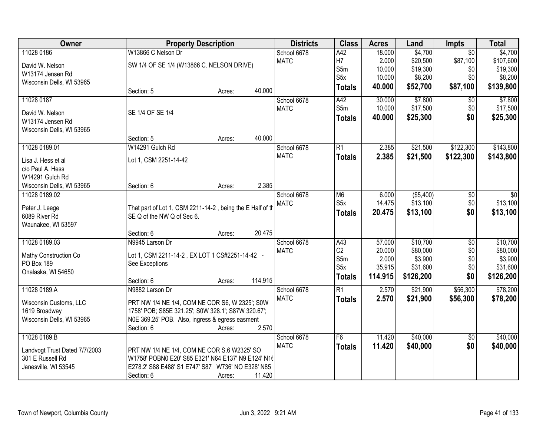| Owner                           | <b>Property Description</b>                                                             |        |         | <b>Districts</b>           | <b>Class</b>     | <b>Acres</b> | Land      | <b>Impts</b>    | <b>Total</b>  |
|---------------------------------|-----------------------------------------------------------------------------------------|--------|---------|----------------------------|------------------|--------------|-----------|-----------------|---------------|
| 11028 0186                      | W13866 C Nelson Dr                                                                      |        |         | School 6678                | A42              | 18.000       | \$4,700   | $\overline{30}$ | \$4,700       |
| David W. Nelson                 | SW 1/4 OF SE 1/4 (W13866 C. NELSON DRIVE)                                               |        |         | <b>MATC</b>                | H7               | 2.000        | \$20,500  | \$87,100        | \$107,600     |
| W13174 Jensen Rd                |                                                                                         |        |         |                            | S5m              | 10.000       | \$19,300  | \$0             | \$19,300      |
| Wisconsin Dells, WI 53965       |                                                                                         |        |         |                            | S <sub>5</sub> x | 10.000       | \$8,200   | \$0             | \$8,200       |
|                                 | Section: 5                                                                              | Acres: | 40.000  |                            | <b>Totals</b>    | 40.000       | \$52,700  | \$87,100        | \$139,800     |
| 11028 0187                      |                                                                                         |        |         | School 6678                | A42              | 30.000       | \$7,800   | \$0             | \$7,800       |
| David W. Nelson                 | SE 1/4 OF SE 1/4                                                                        |        |         | <b>MATC</b>                | S5m              | 10.000       | \$17,500  | \$0             | \$17,500      |
| W13174 Jensen Rd                |                                                                                         |        |         |                            | <b>Totals</b>    | 40.000       | \$25,300  | \$0             | \$25,300      |
| Wisconsin Dells, WI 53965       |                                                                                         |        |         |                            |                  |              |           |                 |               |
|                                 | Section: 5                                                                              | Acres: | 40.000  |                            |                  |              |           |                 |               |
| 11028 0189.01                   | W14291 Gulch Rd                                                                         |        |         | School 6678                | $\overline{R1}$  | 2.385        | \$21,500  | \$122,300       | \$143,800     |
| Lisa J. Hess et al              | Lot 1, CSM 2251-14-42                                                                   |        |         | <b>MATC</b>                | <b>Totals</b>    | 2.385        | \$21,500  | \$122,300       | \$143,800     |
| c/o Paul A. Hess                |                                                                                         |        |         |                            |                  |              |           |                 |               |
| W14291 Gulch Rd                 |                                                                                         |        |         |                            |                  |              |           |                 |               |
| Wisconsin Dells, WI 53965       | Section: 6                                                                              | Acres: | 2.385   |                            |                  |              |           |                 |               |
| 11028 0189.02                   |                                                                                         |        |         | School 6678                | M <sub>6</sub>   | 6.000        | (\$5,400) | $\sqrt[6]{3}$   | $\sqrt[6]{3}$ |
|                                 |                                                                                         |        |         | <b>MATC</b>                | S <sub>5</sub> x | 14.475       | \$13,100  | \$0             | \$13,100      |
| Peter J. Leege<br>6089 River Rd | That part of Lot 1, CSM 2211-14-2, being the E Half of th<br>SE Q of the NW Q of Sec 6. |        |         |                            | <b>Totals</b>    | 20.475       | \$13,100  | \$0             | \$13,100      |
| Waunakee, WI 53597              |                                                                                         |        |         |                            |                  |              |           |                 |               |
|                                 | Section: 6                                                                              | Acres: | 20.475  |                            |                  |              |           |                 |               |
| 11028 0189.03                   | N9945 Larson Dr                                                                         |        |         | School 6678                | $\overline{A43}$ | 57.000       | \$10,700  | $\overline{50}$ | \$10,700      |
|                                 |                                                                                         |        |         | <b>MATC</b>                | C <sub>2</sub>   | 20.000       | \$80,000  | \$0             | \$80,000      |
| Mathy Construction Co           | Lot 1, CSM 2211-14-2, EX LOT 1 CS#2251-14-42 -                                          |        |         |                            | S5m              | 2.000        | \$3,900   | \$0             | \$3,900       |
| PO Box 189                      | See Exceptions                                                                          |        |         |                            | S <sub>5</sub> x | 35.915       | \$31,600  | \$0             | \$31,600      |
| Onalaska, WI 54650              |                                                                                         |        |         |                            | <b>Totals</b>    | 114.915      | \$126,200 | \$0             | \$126,200     |
|                                 | Section: 6                                                                              | Acres: | 114.915 |                            |                  |              |           |                 |               |
| 11028 0189.A                    | N9882 Larson Dr                                                                         |        |         | School 6678<br><b>MATC</b> | $\overline{R1}$  | 2.570        | \$21,900  | \$56,300        | \$78,200      |
| Wisconsin Customs, LLC          | PRT NW 1/4 NE 1/4, COM NE COR S6, W 2325'; S0W                                          |        |         |                            | <b>Totals</b>    | 2.570        | \$21,900  | \$56,300        | \$78,200      |
| 1619 Broadway                   | 1758' POB; S85E 321.25'; S0W 328.1'; S87W 320.67';                                      |        |         |                            |                  |              |           |                 |               |
| Wisconsin Dells, WI 53965       | N0E 369.25' POB. Also, ingress & egress easment                                         |        |         |                            |                  |              |           |                 |               |
|                                 | Section: 6                                                                              | Acres: | 2.570   |                            |                  |              |           |                 |               |
| 11028 0189.B                    |                                                                                         |        |         | School 6678                | F6               | 11.420       | \$40,000  | $\overline{50}$ | \$40,000      |
| Landvogt Trust Dated 7/7/2003   | PRT NW 1/4 NE 1/4, COM NE COR S.6 W2325' SO                                             |        |         | <b>MATC</b>                | <b>Totals</b>    | 11.420       | \$40,000  | \$0             | \$40,000      |
| 301 E Russell Rd                | W1758' POBN0 E20' S85 E321' N64 E137' N9 E124' N16                                      |        |         |                            |                  |              |           |                 |               |
| Janesville, WI 53545            | E278.2' S88 E488' S1 E747' S87 W736' NO E328' N85                                       |        |         |                            |                  |              |           |                 |               |
|                                 | Section: 6                                                                              | Acres: | 11.420  |                            |                  |              |           |                 |               |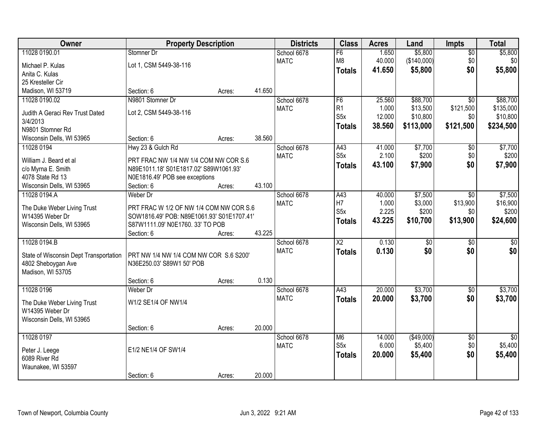| Owner                                       | <b>Property Description</b>                                         |        |        | <b>Districts</b> | <b>Class</b>           | <b>Acres</b> | Land            | <b>Impts</b>    | <b>Total</b>    |
|---------------------------------------------|---------------------------------------------------------------------|--------|--------|------------------|------------------------|--------------|-----------------|-----------------|-----------------|
| 11028 0190.01                               | Stomner Dr                                                          |        |        | School 6678      | F6                     | 1.650        | \$5,800         | \$0             | \$5,800         |
| Michael P. Kulas                            | Lot 1, CSM 5449-38-116                                              |        |        | <b>MATC</b>      | M <sub>8</sub>         | 40.000       | (\$140,000)     | \$0             | \$0             |
| Anita C. Kulas                              |                                                                     |        |        |                  | <b>Totals</b>          | 41.650       | \$5,800         | \$0             | \$5,800         |
| 25 Kresteller Cir                           |                                                                     |        |        |                  |                        |              |                 |                 |                 |
| Madison, WI 53719                           | Section: 6                                                          | Acres: | 41.650 |                  |                        |              |                 |                 |                 |
| 11028 0190.02                               | N9801 Stomner Dr                                                    |        |        | School 6678      | F <sub>6</sub>         | 25.560       | \$88,700        | $\overline{50}$ | \$88,700        |
|                                             | Lot 2, CSM 5449-38-116                                              |        |        | <b>MATC</b>      | R <sub>1</sub>         | 1.000        | \$13,500        | \$121,500       | \$135,000       |
| Judith A Geraci Rev Trust Dated<br>3/4/2013 |                                                                     |        |        |                  | S <sub>5</sub> x       | 12.000       | \$10,800        | \$0             | \$10,800        |
| N9801 Stomner Rd                            |                                                                     |        |        |                  | <b>Totals</b>          | 38.560       | \$113,000       | \$121,500       | \$234,500       |
| Wisconsin Dells, WI 53965                   | Section: 6                                                          | Acres: | 38.560 |                  |                        |              |                 |                 |                 |
| 11028 0194                                  | Hwy 23 & Gulch Rd                                                   |        |        | School 6678      | A43                    | 41.000       | \$7,700         | \$0             | \$7,700         |
|                                             |                                                                     |        |        | <b>MATC</b>      | S <sub>5</sub> x       | 2.100        | \$200           | \$0             | \$200           |
| William J. Beard et al                      | PRT FRAC NW 1/4 NW 1/4 COM NW COR S.6                               |        |        |                  | <b>Totals</b>          | 43.100       | \$7,900         | \$0             | \$7,900         |
| c/o Myrna E. Smith                          | N89E1011.18' S01E1817.02' S89W1061.93'                              |        |        |                  |                        |              |                 |                 |                 |
| 4078 State Rd 13                            | N0E1816.49' POB see exceptions                                      |        |        |                  |                        |              |                 |                 |                 |
| Wisconsin Dells, WI 53965                   | Section: 6                                                          | Acres: | 43.100 |                  |                        |              |                 |                 |                 |
| 11028 0194.A                                | Weber Dr                                                            |        |        | School 6678      | A43                    | 40.000       | \$7,500         | $\sqrt{6}$      | \$7,500         |
| The Duke Weber Living Trust                 | PRT FRAC W 1/2 OF NW 1/4 COM NW COR S.6                             |        |        | <b>MATC</b>      | H7                     | 1.000        | \$3,000         | \$13,900        | \$16,900        |
| W14395 Weber Dr                             | SOW1816.49' POB: N89E1061.93' S01E1707.41'                          |        |        |                  | S5x                    | 2.225        | \$200           | \$0             | \$200           |
| Wisconsin Dells, WI 53965                   | S87W1111.09' N0E1760. 33' TO POB                                    |        |        |                  | <b>Totals</b>          | 43.225       | \$10,700        | \$13,900        | \$24,600        |
|                                             | Section: 6                                                          | Acres: | 43.225 |                  |                        |              |                 |                 |                 |
| 11028 0194.B                                |                                                                     |        |        | School 6678      | $\overline{\text{X2}}$ | 0.130        | $\overline{50}$ | $\overline{50}$ | $\overline{50}$ |
|                                             |                                                                     |        |        | <b>MATC</b>      | <b>Totals</b>          | 0.130        | \$0             | \$0             | \$0             |
| State of Wisconsin Dept Transportation      | PRT NW 1/4 NW 1/4 COM NW COR S.6 S200'<br>N36E250.03' S89W1 50' POB |        |        |                  |                        |              |                 |                 |                 |
| 4802 Sheboygan Ave<br>Madison, WI 53705     |                                                                     |        |        |                  |                        |              |                 |                 |                 |
|                                             | Section: 6                                                          | Acres: | 0.130  |                  |                        |              |                 |                 |                 |
| 11028 0196                                  | Weber Dr                                                            |        |        | School 6678      | $\overline{A43}$       | 20.000       | \$3,700         | $\overline{50}$ | \$3,700         |
|                                             |                                                                     |        |        | <b>MATC</b>      | <b>Totals</b>          | 20.000       | \$3,700         | \$0             | \$3,700         |
| The Duke Weber Living Trust                 | W1/2 SE1/4 OF NW1/4                                                 |        |        |                  |                        |              |                 |                 |                 |
| W14395 Weber Dr                             |                                                                     |        |        |                  |                        |              |                 |                 |                 |
| Wisconsin Dells, WI 53965                   |                                                                     |        |        |                  |                        |              |                 |                 |                 |
|                                             | Section: 6                                                          | Acres: | 20.000 |                  |                        |              |                 |                 |                 |
| 11028 0197                                  |                                                                     |        |        | School 6678      | M <sub>6</sub>         | 14.000       | (\$49,000)      | $\overline{60}$ | $\overline{50}$ |
| Peter J. Leege                              | E1/2 NE1/4 OF SW1/4                                                 |        |        | <b>MATC</b>      | S <sub>5x</sub>        | 6.000        | \$5,400         | \$0             | \$5,400         |
| 6089 River Rd                               |                                                                     |        |        |                  | <b>Totals</b>          | 20.000       | \$5,400         | \$0             | \$5,400         |
| Waunakee, WI 53597                          |                                                                     |        |        |                  |                        |              |                 |                 |                 |
|                                             | Section: 6                                                          | Acres: | 20.000 |                  |                        |              |                 |                 |                 |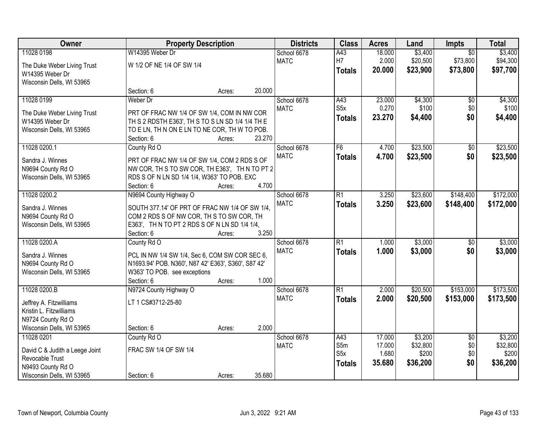| Owner                                                                                                                |                                                                                                                                                                                      |        |        | <b>Property Description</b> |                                                 |                                     |                                          | <b>Acres</b>                            | Land                                     | Impts | <b>Total</b> |
|----------------------------------------------------------------------------------------------------------------------|--------------------------------------------------------------------------------------------------------------------------------------------------------------------------------------|--------|--------|-----------------------------|-------------------------------------------------|-------------------------------------|------------------------------------------|-----------------------------------------|------------------------------------------|-------|--------------|
| 11028 0198<br>The Duke Weber Living Trust<br>W14395 Weber Dr                                                         | W14395 Weber Dr<br>W 1/2 OF NE 1/4 OF SW 1/4                                                                                                                                         |        |        | School 6678<br><b>MATC</b>  | A43<br>H7<br><b>Totals</b>                      | 18.000<br>2.000<br>20.000           | \$3,400<br>\$20,500<br>\$23,900          | $\overline{50}$<br>\$73,800<br>\$73,800 | \$3,400<br>\$94,300<br>\$97,700          |       |              |
| Wisconsin Dells, WI 53965                                                                                            | Section: 6                                                                                                                                                                           | Acres: | 20.000 |                             |                                                 |                                     |                                          |                                         |                                          |       |              |
| 11028 0199<br>The Duke Weber Living Trust<br>W14395 Weber Dr<br>Wisconsin Dells, WI 53965                            | Weber Dr<br>PRT OF FRAC NW 1/4 OF SW 1/4, COM IN NW COR<br>TH S 2 RDSTH E363', TH S TO S LN SD 1/4 1/4 TH E<br>TO E LN, TH N ON E LN TO NE COR, TH W TO POB.<br>Section: 6           | Acres: | 23.270 | School 6678<br><b>MATC</b>  | A43<br>S5x<br><b>Totals</b>                     | 23.000<br>0.270<br>23.270           | \$4,300<br>\$100<br>\$4,400              | $\overline{50}$<br>\$0<br>\$0           | \$4,300<br>\$100<br>\$4,400              |       |              |
| 11028 0200.1<br>Sandra J. Winnes<br>N9694 County Rd O<br>Wisconsin Dells, WI 53965                                   | County Rd O<br>PRT OF FRAC NW 1/4 OF SW 1/4, COM 2 RDS S OF<br>NW COR, TH S TO SW COR, TH E363', TH N TO PT 2<br>RDS S OF N LN SD 1/4 1/4, W363' TO POB. EXC<br>Section: 6           | Acres: | 4.700  | School 6678<br><b>MATC</b>  | F6<br><b>Totals</b>                             | 4.700<br>4.700                      | \$23,500<br>\$23,500                     | $\overline{50}$<br>\$0                  | \$23,500<br>\$23,500                     |       |              |
| 11028 0200.2<br>Sandra J. Winnes<br>N9694 County Rd O<br>Wisconsin Dells, WI 53965                                   | N9694 County Highway O<br>SOUTH 377.14' OF PRT OF FRAC NW 1/4 OF SW 1/4,<br>COM 2 RDS S OF NW COR, TH S TO SW COR, TH<br>E363', TH N TO PT 2 RDS S OF N LN SD 1/4 1/4,<br>Section: 6 | Acres: | 3.250  | School 6678<br><b>MATC</b>  | $\overline{R1}$<br><b>Totals</b>                | 3.250<br>3.250                      | \$23,600<br>\$23,600                     | \$148,400<br>\$148,400                  | \$172,000<br>\$172,000                   |       |              |
| 11028 0200.A<br>Sandra J. Winnes<br>N9694 County Rd O<br>Wisconsin Dells, WI 53965                                   | County Rd O<br>PCL IN NW 1/4 SW 1/4, Sec 6, COM SW COR SEC 6,<br>N1693.94' POB. N360', N87 42' E363', S360', S87 42'<br>W363' TO POB. see exceptions<br>Section: 6                   | Acres: | 1.000  | School 6678<br><b>MATC</b>  | $\overline{R1}$<br><b>Totals</b>                | 1.000<br>1.000                      | \$3,000<br>\$3,000                       | $\overline{50}$<br>\$0                  | \$3,000<br>\$3,000                       |       |              |
| 11028 0200.B<br>Jeffrey A. Fitzwilliams<br>Kristin L. Fitzwilliams<br>N9724 County Rd O<br>Wisconsin Dells, WI 53965 | N9724 County Highway O<br>LT 1 CS#3712-25-80<br>Section: 6                                                                                                                           | Acres: | 2.000  | School 6678<br><b>MATC</b>  | $\overline{R1}$<br><b>Totals</b>                | 2.000<br>2.000                      | \$20,500<br>\$20,500                     | \$153,000<br>\$153,000                  | \$173,500<br>\$173,500                   |       |              |
| 11028 0201<br>David C & Judith a Leege Joint<br>Revocable Trust<br>N9493 County Rd O<br>Wisconsin Dells, WI 53965    | County Rd O<br>FRAC SW 1/4 OF SW 1/4<br>Section: 6                                                                                                                                   | Acres: | 35.680 | School 6678<br><b>MATC</b>  | A43<br>S5m<br>S <sub>5</sub> x<br><b>Totals</b> | 17.000<br>17.000<br>1.680<br>35.680 | \$3,200<br>\$32,800<br>\$200<br>\$36,200 | $\overline{30}$<br>\$0<br>\$0<br>\$0    | \$3,200<br>\$32,800<br>\$200<br>\$36,200 |       |              |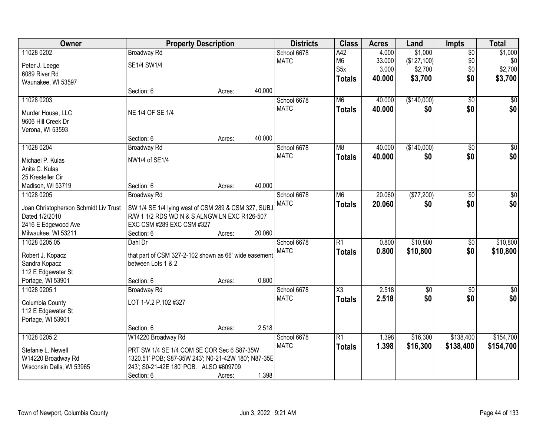| Owner                                 | <b>Property Description</b>                           |        |        | <b>Districts</b> | <b>Class</b>     | <b>Acres</b> | Land        | <b>Impts</b>    | <b>Total</b>     |
|---------------------------------------|-------------------------------------------------------|--------|--------|------------------|------------------|--------------|-------------|-----------------|------------------|
| 11028 0202                            | <b>Broadway Rd</b>                                    |        |        | School 6678      | A42              | 4.000        | \$1,000     | $\sqrt{$0}$     | \$1,000          |
| Peter J. Leege                        | SE1/4 SW1/4                                           |        |        | <b>MATC</b>      | M <sub>6</sub>   | 33.000       | (\$127,100) | \$0             | \$0              |
| 6089 River Rd                         |                                                       |        |        |                  | S <sub>5</sub> x | 3.000        | \$2,700     | \$0             | \$2,700          |
| Waunakee, WI 53597                    |                                                       |        |        |                  | <b>Totals</b>    | 40,000       | \$3,700     | \$0             | \$3,700          |
|                                       | Section: 6                                            | Acres: | 40.000 |                  |                  |              |             |                 |                  |
| 11028 0203                            |                                                       |        |        | School 6678      | M <sub>6</sub>   | 40.000       | (\$140,000) | $\overline{50}$ | \$0              |
|                                       |                                                       |        |        | <b>MATC</b>      | <b>Totals</b>    | 40.000       | \$0         | \$0             | \$0              |
| Murder House, LLC                     | NE 1/4 OF SE 1/4                                      |        |        |                  |                  |              |             |                 |                  |
| 9606 Hill Creek Dr                    |                                                       |        |        |                  |                  |              |             |                 |                  |
| Verona, WI 53593                      | Section: 6                                            | Acres: | 40.000 |                  |                  |              |             |                 |                  |
| 11028 0204                            |                                                       |        |        | School 6678      | M8               | 40.000       | (\$140,000) | \$0             | $\overline{\$0}$ |
|                                       | <b>Broadway Rd</b>                                    |        |        | <b>MATC</b>      |                  |              |             |                 |                  |
| Michael P. Kulas                      | NW1/4 of SE1/4                                        |        |        |                  | <b>Totals</b>    | 40.000       | \$0         | \$0             | \$0              |
| Anita C. Kulas                        |                                                       |        |        |                  |                  |              |             |                 |                  |
| 25 Kresteller Cir                     |                                                       |        |        |                  |                  |              |             |                 |                  |
| Madison, WI 53719                     | Section: 6                                            | Acres: | 40.000 |                  |                  |              |             |                 |                  |
| 11028 0205                            | <b>Broadway Rd</b>                                    |        |        | School 6678      | M <sub>6</sub>   | 20.060       | (\$77,200)  | $\sqrt[6]{3}$   | $\sqrt{50}$      |
| Joan Christopherson Schmidt Liv Trust | SW 1/4 SE 1/4 lying west of CSM 289 & CSM 327, SUBJ   |        |        | <b>MATC</b>      | <b>Totals</b>    | 20.060       | \$0         | \$0             | \$0              |
| Dated 1/2/2010                        | R/W 1 1/2 RDS WD N & S ALNGW LN EXC R126-507          |        |        |                  |                  |              |             |                 |                  |
| 2416 E Edgewood Ave                   | EXC CSM #289 EXC CSM #327                             |        |        |                  |                  |              |             |                 |                  |
| Milwaukee, WI 53211                   | Section: 6                                            | Acres: | 20.060 |                  |                  |              |             |                 |                  |
| 11028 0205.05                         | Dahl Dr                                               |        |        | School 6678      | $\overline{R1}$  | 0.800        | \$10,800    | $\overline{50}$ | \$10,800         |
|                                       |                                                       |        |        | <b>MATC</b>      | <b>Totals</b>    | 0.800        | \$10,800    | \$0             | \$10,800         |
| Robert J. Kopacz                      | that part of CSM 327-2-102 shown as 66' wide easement |        |        |                  |                  |              |             |                 |                  |
| Sandra Kopacz                         | between Lots 1 & 2                                    |        |        |                  |                  |              |             |                 |                  |
| 112 E Edgewater St                    |                                                       |        |        |                  |                  |              |             |                 |                  |
| Portage, WI 53901                     | Section: 6                                            | Acres: | 0.800  |                  |                  |              |             |                 |                  |
| 11028 0205.1                          | Broadway Rd                                           |        |        | School 6678      | X3               | 2.518        | $\sqrt{6}$  | \$0             | \$0              |
| Columbia County                       | LOT 1-V.2 P.102 #327                                  |        |        | <b>MATC</b>      | <b>Totals</b>    | 2.518        | \$0         | \$0             | \$0              |
| 112 E Edgewater St                    |                                                       |        |        |                  |                  |              |             |                 |                  |
| Portage, WI 53901                     |                                                       |        |        |                  |                  |              |             |                 |                  |
|                                       | Section: 6                                            | Acres: | 2.518  |                  |                  |              |             |                 |                  |
| 11028 0205.2                          | W14220 Broadway Rd                                    |        |        | School 6678      | $\overline{R1}$  | 1.398        | \$16,300    | \$138,400       | \$154,700        |
|                                       |                                                       |        |        | <b>MATC</b>      | <b>Totals</b>    | 1.398        | \$16,300    | \$138,400       | \$154,700        |
| Stefanie L. Newell                    | PRT SW 1/4 SE 1/4 COM SE COR Sec 6 S87-35W            |        |        |                  |                  |              |             |                 |                  |
| W14220 Broadway Rd                    | 1320.51' POB; S87-35W 243'; N0-21-42W 180'; N87-35E   |        |        |                  |                  |              |             |                 |                  |
| Wisconsin Dells, WI 53965             | 243'; S0-21-42E 180' POB. ALSO #609709                |        |        |                  |                  |              |             |                 |                  |
|                                       | Section: 6                                            | Acres: | 1.398  |                  |                  |              |             |                 |                  |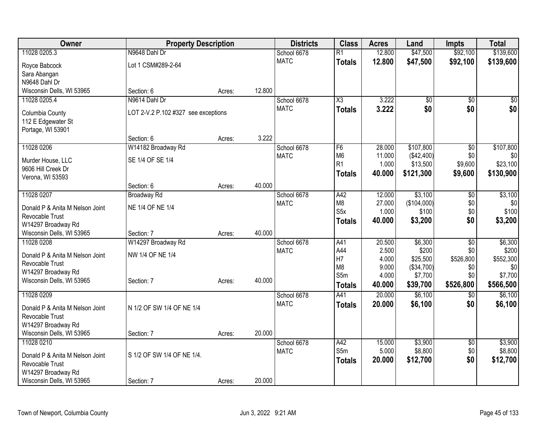| Owner<br><b>Districts</b><br><b>Class</b><br><b>Property Description</b><br><b>Acres</b><br>Land                    | <b>Impts</b>    | <b>Total</b> |
|---------------------------------------------------------------------------------------------------------------------|-----------------|--------------|
| 12.800<br>\$47,500<br>11028 0205.3<br>N9648 Dahl Dr<br>$\overline{R1}$<br>School 6678                               | \$92,100        | \$139,600    |
| <b>MATC</b><br>12,800<br>\$47,500<br><b>Totals</b><br>Lot 1 CSM#289-2-64<br>Royce Babcock                           | \$92,100        | \$139,600    |
| Sara Abangan                                                                                                        |                 |              |
| N9648 Dahl Dr                                                                                                       |                 |              |
| 12.800<br>Wisconsin Dells, WI 53965<br>Section: 6<br>Acres:                                                         |                 |              |
| N9614 Dahl Dr<br>3.222<br>11028 0205.4<br>School 6678<br>$\overline{\text{X3}}$<br>\$0                              | \$0             | \$0          |
| 3.222<br>\$0<br><b>MATC</b><br><b>Totals</b><br>LOT 2-V.2 P.102 #327 see exceptions<br>Columbia County              | \$0             | \$0          |
| 112 E Edgewater St                                                                                                  |                 |              |
| Portage, WI 53901                                                                                                   |                 |              |
| 3.222<br>Section: 6<br>Acres:                                                                                       |                 |              |
| 11028 0206<br>W14182 Broadway Rd<br>28,000<br>\$107,800<br>School 6678<br>F6                                        | $\overline{50}$ | \$107,800    |
| M <sub>6</sub><br><b>MATC</b><br>11.000<br>(\$42,400)<br>SE 1/4 OF SE 1/4<br>Murder House, LLC                      | \$0             | \$0          |
| R <sub>1</sub><br>\$13,500<br>1.000<br>9606 Hill Creek Dr                                                           | \$9,600         | \$23,100     |
| \$121,300<br>40.000<br><b>Totals</b><br>Verona, WI 53593                                                            | \$9,600         | \$130,900    |
| 40.000<br>Section: 6<br>Acres:                                                                                      |                 |              |
| 11028 0207<br>\$3,100<br><b>Broadway Rd</b><br>School 6678<br>A42<br>12.000                                         | \$0             | \$3,100      |
| M <sub>8</sub><br>27.000<br>(\$104,000)<br><b>MATC</b>                                                              | \$0             | \$0          |
| NE 1/4 OF NE 1/4<br>Donald P & Anita M Nelson Joint<br>S <sub>5</sub> x<br>1.000<br>\$100                           | \$0             | \$100        |
| Revocable Trust<br>40.000<br>\$3,200<br><b>Totals</b><br>W14297 Broadway Rd                                         | \$0             | \$3,200      |
| 40.000<br>Wisconsin Dells, WI 53965<br>Section: 7<br>Acres:                                                         |                 |              |
| \$6,300<br>11028 0208<br>W14297 Broadway Rd<br>School 6678<br>A41<br>20.500                                         | \$0             | \$6,300      |
| A44<br>\$200<br>2.500<br><b>MATC</b>                                                                                | \$0             | \$200        |
| NW 1/4 OF NE 1/4<br>Donald P & Anita M Nelson Joint<br>H7<br>4.000<br>\$25,500                                      | \$526,800       | \$552,300    |
| Revocable Trust<br>M <sub>8</sub><br>9.000<br>(\$34,700)                                                            | \$0             | \$0          |
| W14297 Broadway Rd<br>S5m<br>4.000<br>\$7,700<br>Wisconsin Dells, WI 53965<br>40.000<br>Section: 7                  | \$0             | \$7,700      |
| Acres:<br>40.000<br>\$39,700<br><b>Totals</b>                                                                       | \$526,800       | \$566,500    |
| \$6,100<br>11028 0209<br>A41<br>20.000<br>School 6678                                                               | $\sqrt{$0}$     | \$6,100      |
| <b>MATC</b><br>20.000<br>\$6,100<br><b>Totals</b><br>N 1/2 OF SW 1/4 OF NE 1/4<br>Donald P & Anita M Nelson Joint   | \$0             | \$6,100      |
| Revocable Trust                                                                                                     |                 |              |
| W14297 Broadway Rd                                                                                                  |                 |              |
| 20.000<br>Wisconsin Dells, WI 53965<br>Section: 7<br>Acres:                                                         |                 |              |
| \$3,900<br>11028 0210<br>School 6678<br>A42<br>15.000                                                               | \$0             | \$3,900      |
| S5 <sub>m</sub><br>5.000<br>\$8,800<br><b>MATC</b><br>S 1/2 OF SW 1/4 OF NE 1/4.<br>Donald P & Anita M Nelson Joint | \$0             | \$8,800      |
| 20.000<br>\$12,700<br><b>Totals</b><br>Revocable Trust                                                              | \$0             | \$12,700     |
| W14297 Broadway Rd                                                                                                  |                 |              |
| 20.000<br>Wisconsin Dells, WI 53965<br>Section: 7<br>Acres:                                                         |                 |              |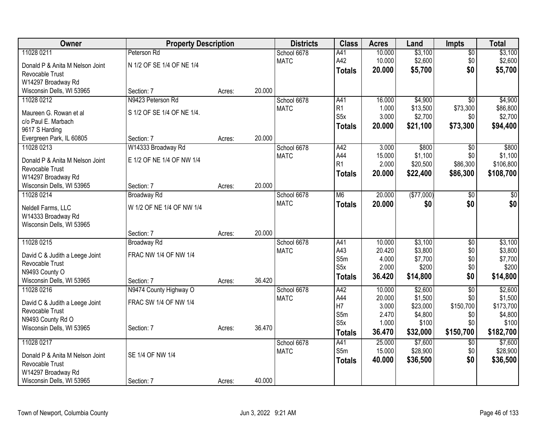| Owner                           | <b>Property Description</b> |        |        | <b>Districts</b>           | <b>Class</b>     | <b>Acres</b> | Land       | <b>Impts</b>    | <b>Total</b> |
|---------------------------------|-----------------------------|--------|--------|----------------------------|------------------|--------------|------------|-----------------|--------------|
| 11028 0211                      | Peterson Rd                 |        |        | School 6678                | A41              | 10.000       | \$3,100    | $\overline{50}$ | \$3,100      |
| Donald P & Anita M Nelson Joint | N 1/2 OF SE 1/4 OF NE 1/4   |        |        | <b>MATC</b>                | A42              | 10.000       | \$2,600    | \$0             | \$2,600      |
| Revocable Trust                 |                             |        |        |                            | <b>Totals</b>    | 20.000       | \$5,700    | \$0             | \$5,700      |
| W14297 Broadway Rd              |                             |        |        |                            |                  |              |            |                 |              |
| Wisconsin Dells, WI 53965       | Section: 7                  | Acres: | 20.000 |                            |                  |              |            |                 |              |
| 11028 0212                      | N9423 Peterson Rd           |        |        | School 6678                | A41              | 16.000       | \$4,900    | $\overline{50}$ | \$4,900      |
| Maureen G. Rowan et al          | S 1/2 OF SE 1/4 OF NE 1/4.  |        |        | <b>MATC</b>                | R <sub>1</sub>   | 1.000        | \$13,500   | \$73,300        | \$86,800     |
| c/o Paul E. Marbach             |                             |        |        |                            | S <sub>5x</sub>  | 3.000        | \$2,700    | \$0             | \$2,700      |
| 9617 S Harding                  |                             |        |        |                            | <b>Totals</b>    | 20.000       | \$21,100   | \$73,300        | \$94,400     |
| Evergreen Park, IL 60805        | Section: 7                  | Acres: | 20.000 |                            |                  |              |            |                 |              |
| 11028 0213                      | W14333 Broadway Rd          |        |        | School 6678                | A42              | 3.000        | \$800      | \$0             | \$800        |
|                                 |                             |        |        | <b>MATC</b>                | A44              | 15.000       | \$1,100    | \$0             | \$1,100      |
| Donald P & Anita M Nelson Joint | E 1/2 OF NE 1/4 OF NW 1/4   |        |        |                            | R1               | 2.000        | \$20,500   | \$86,300        | \$106,800    |
| Revocable Trust                 |                             |        |        |                            | <b>Totals</b>    | 20.000       | \$22,400   | \$86,300        | \$108,700    |
| W14297 Broadway Rd              |                             |        |        |                            |                  |              |            |                 |              |
| Wisconsin Dells, WI 53965       | Section: 7                  | Acres: | 20.000 |                            |                  |              |            |                 |              |
| 11028 0214                      | <b>Broadway Rd</b>          |        |        | School 6678<br><b>MATC</b> | M6               | 20.000       | (\$77,000) | $\overline{30}$ | $\sqrt{50}$  |
| Neldell Farms, LLC              | W 1/2 OF NE 1/4 OF NW 1/4   |        |        |                            | <b>Totals</b>    | 20.000       | \$0        | \$0             | \$0          |
| W14333 Broadway Rd              |                             |        |        |                            |                  |              |            |                 |              |
| Wisconsin Dells, WI 53965       |                             |        |        |                            |                  |              |            |                 |              |
|                                 | Section: 7                  | Acres: | 20.000 |                            |                  |              |            |                 |              |
| 11028 0215                      | <b>Broadway Rd</b>          |        |        | School 6678                | A41              | 10.000       | \$3,100    | $\overline{50}$ | \$3,100      |
| David C & Judith a Leege Joint  | FRAC NW 1/4 OF NW 1/4       |        |        | <b>MATC</b>                | A43              | 20.420       | \$3,800    | \$0             | \$3,800      |
| Revocable Trust                 |                             |        |        |                            | S5m              | 4.000        | \$7,700    | \$0             | \$7,700      |
| N9493 County O                  |                             |        |        |                            | S <sub>5</sub> x | 2.000        | \$200      | \$0             | \$200        |
| Wisconsin Dells, WI 53965       | Section: 7                  | Acres: | 36.420 |                            | <b>Totals</b>    | 36.420       | \$14,800   | \$0             | \$14,800     |
| 11028 0216                      | N9474 County Highway O      |        |        | School 6678                | A42              | 10.000       | \$2,600    | $\overline{50}$ | \$2,600      |
| David C & Judith a Leege Joint  | FRAC SW 1/4 OF NW 1/4       |        |        | <b>MATC</b>                | A44              | 20.000       | \$1,500    | \$0             | \$1,500      |
| Revocable Trust                 |                             |        |        |                            | H7               | 3.000        | \$23,000   | \$150,700       | \$173,700    |
| N9493 County Rd O               |                             |        |        |                            | S5m              | 2.470        | \$4,800    | \$0             | \$4,800      |
| Wisconsin Dells, WI 53965       | Section: 7                  | Acres: | 36.470 |                            | S <sub>5</sub> x | 1.000        | \$100      | \$0             | \$100        |
|                                 |                             |        |        |                            | <b>Totals</b>    | 36.470       | \$32,000   | \$150,700       | \$182,700    |
| 11028 0217                      |                             |        |        | School 6678                | A41              | 25.000       | \$7,600    | \$0             | \$7,600      |
| Donald P & Anita M Nelson Joint | SE 1/4 OF NW 1/4            |        |        | <b>MATC</b>                | S5m              | 15.000       | \$28,900   | \$0             | \$28,900     |
| Revocable Trust                 |                             |        |        |                            | <b>Totals</b>    | 40.000       | \$36,500   | \$0             | \$36,500     |
| W14297 Broadway Rd              |                             |        |        |                            |                  |              |            |                 |              |
| Wisconsin Dells, WI 53965       | Section: 7                  | Acres: | 40.000 |                            |                  |              |            |                 |              |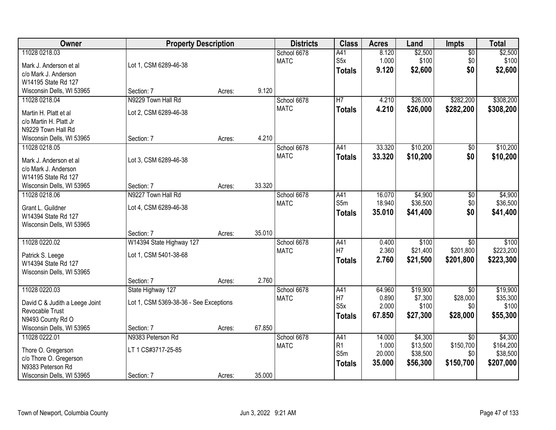| Owner                                                                                                           |                                                             | <b>Property Description</b> |        |                            | <b>Class</b>                                   | <b>Acres</b>                        | Land                                        | <b>Impts</b>                                     | <b>Total</b>                                  |
|-----------------------------------------------------------------------------------------------------------------|-------------------------------------------------------------|-----------------------------|--------|----------------------------|------------------------------------------------|-------------------------------------|---------------------------------------------|--------------------------------------------------|-----------------------------------------------|
| 11028 0218.03<br>Mark J. Anderson et al<br>c/o Mark J. Anderson<br>W14195 State Rd 127                          | Lot 1, CSM 6289-46-38                                       |                             |        | School 6678<br><b>MATC</b> | A41<br>S <sub>5</sub> x<br><b>Totals</b>       | 8.120<br>1.000<br>9.120             | \$2,500<br>\$100<br>\$2,600                 | $\overline{50}$<br>\$0<br>\$0                    | \$2,500<br>\$100<br>\$2,600                   |
| Wisconsin Dells, WI 53965                                                                                       | Section: 7                                                  | Acres:                      | 9.120  |                            |                                                |                                     |                                             |                                                  |                                               |
| 11028 0218.04<br>Martin H. Platt et al<br>c/o Martin H. Platt Jr<br>N9229 Town Hall Rd                          | N9229 Town Hall Rd<br>Lot 2, CSM 6289-46-38                 |                             |        | School 6678<br><b>MATC</b> | H7<br><b>Totals</b>                            | 4.210<br>4.210                      | \$26,000<br>\$26,000                        | \$282,200<br>\$282,200                           | \$308,200<br>\$308,200                        |
| Wisconsin Dells, WI 53965                                                                                       | Section: 7                                                  | Acres:                      | 4.210  |                            |                                                |                                     |                                             |                                                  |                                               |
| 11028 0218.05<br>Mark J. Anderson et al<br>c/o Mark J. Anderson<br>W14195 State Rd 127                          | Lot 3, CSM 6289-46-38                                       |                             |        | School 6678<br><b>MATC</b> | A41<br><b>Totals</b>                           | 33.320<br>33.320                    | \$10,200<br>\$10,200                        | $\overline{50}$<br>\$0                           | \$10,200<br>\$10,200                          |
| Wisconsin Dells, WI 53965                                                                                       | Section: 7                                                  | Acres:                      | 33.320 |                            |                                                |                                     |                                             |                                                  |                                               |
| 11028 0218.06<br>Grant L. Guildner<br>W14394 State Rd 127<br>Wisconsin Dells, WI 53965                          | N9227 Town Hall Rd<br>Lot 4, CSM 6289-46-38                 |                             |        | School 6678<br><b>MATC</b> | A41<br>S5m<br><b>Totals</b>                    | 16.070<br>18.940<br>35.010          | \$4,900<br>\$36,500<br>\$41,400             | $\sqrt[6]{3}$<br>\$0<br>\$0                      | \$4,900<br>\$36,500<br>\$41,400               |
|                                                                                                                 | Section: 7                                                  | Acres:                      | 35.010 |                            |                                                |                                     |                                             |                                                  |                                               |
| 11028 0220.02<br>Patrick S. Leege<br>W14394 State Rd 127<br>Wisconsin Dells, WI 53965                           | W14394 State Highway 127<br>Lot 1, CSM 5401-38-68           |                             |        | School 6678<br><b>MATC</b> | A41<br>H7<br><b>Totals</b>                     | 0.400<br>2.360<br>2.760             | \$100<br>\$21,400<br>\$21,500               | $\overline{30}$<br>\$201,800<br>\$201,800        | \$100<br>\$223,200<br>\$223,300               |
|                                                                                                                 | Section: 7                                                  | Acres:                      | 2.760  |                            |                                                |                                     |                                             |                                                  |                                               |
| 11028 0220.03<br>David C & Judith a Leege Joint<br>Revocable Trust<br>N9493 County Rd O                         | State Highway 127<br>Lot 1, CSM 5369-38-36 - See Exceptions |                             |        | School 6678<br><b>MATC</b> | A41<br>H7<br>S <sub>5</sub> x<br><b>Totals</b> | 64.960<br>0.890<br>2.000<br>67.850  | \$19,900<br>\$7,300<br>\$100<br>\$27,300    | $\overline{50}$<br>\$28,000<br>\$0<br>\$28,000   | \$19,900<br>\$35,300<br>\$100<br>\$55,300     |
| Wisconsin Dells, WI 53965                                                                                       | Section: 7                                                  | Acres:                      | 67.850 |                            |                                                |                                     |                                             |                                                  |                                               |
| 11028 0222.01<br>Thore O. Gregerson<br>c/o Thore O. Gregerson<br>N9383 Peterson Rd<br>Wisconsin Dells, WI 53965 | N9383 Peterson Rd<br>LT 1 CS#3717-25-85<br>Section: 7       | Acres:                      | 35.000 | School 6678<br><b>MATC</b> | A41<br>R1<br>S5m<br><b>Totals</b>              | 14.000<br>1.000<br>20.000<br>35.000 | \$4,300<br>\$13,500<br>\$38,500<br>\$56,300 | $\overline{50}$<br>\$150,700<br>\$0<br>\$150,700 | \$4,300<br>\$164,200<br>\$38,500<br>\$207,000 |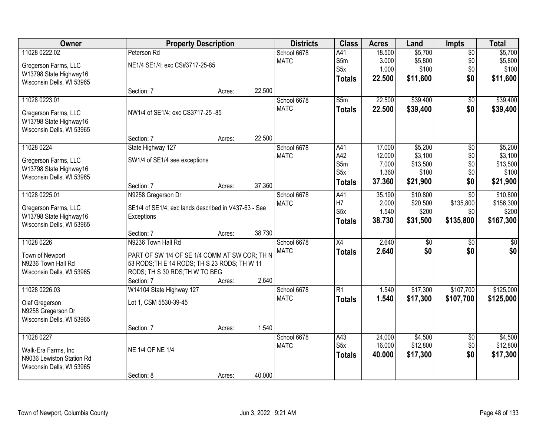| \$5,700<br>11028 0222.02<br>Peterson Rd<br>18.500<br>$\overline{50}$<br>\$5,700<br>School 6678<br>A41<br>\$5,800<br>S5m<br>3.000<br>\$5,800<br>\$0<br><b>MATC</b><br>NE1/4 SE1/4; exc CS#3717-25-85<br>Gregerson Farms, LLC<br>S5x<br>1.000<br>\$100<br>\$0<br>\$100<br>W13798 State Highway16<br>\$0<br>22.500<br>\$11,600<br><b>Totals</b><br>Wisconsin Dells, WI 53965<br>22.500<br>Section: 7<br>Acres:<br>11028 0223.01<br>22.500<br>\$39,400<br>School 6678<br>S5m<br>$\overline{50}$<br>\$0<br><b>MATC</b><br>22.500<br>\$39,400<br>\$39,400<br><b>Totals</b><br>NW1/4 of SE1/4; exc CS3717-25 -85<br>Gregerson Farms, LLC<br>W13798 State Highway16<br>Wisconsin Dells, WI 53965<br>22.500<br>Section: 7<br>Acres:<br>11028 0224<br>\$5,200<br>State Highway 127<br>School 6678<br>A41<br>17.000<br>\$0<br>A42<br>\$3,100<br>\$0<br><b>MATC</b><br>12.000<br>Gregerson Farms, LLC<br>SW1/4 of SE1/4 see exceptions<br>S5m<br>\$0<br>7.000<br>\$13,500<br>W13798 State Highway16<br>S5x<br>1.360<br>\$100<br>\$0<br>Wisconsin Dells, WI 53965<br>\$0<br>\$21,900<br>37.360<br>\$21,900<br><b>Totals</b><br>37.360<br>Section: 7<br>Acres:<br>\$10,800<br>\$10,800<br>11028 0225.01<br>School 6678<br>A41<br>35.190<br>$\overline{30}$<br>N9258 Gregerson Dr<br>H7<br>2.000<br>\$20,500<br>\$135,800<br><b>MATC</b><br>Gregerson Farms, LLC<br>SE1/4 of SE1/4; exc lands described in V437-63 - See<br>S <sub>5</sub> x<br>1.540<br>\$200<br>\$0<br>W13798 State Highway16<br>Exceptions<br>38.730<br>\$31,500<br>\$135,800<br>\$167,300<br><b>Totals</b><br>Wisconsin Dells, WI 53965<br>38.730<br>Section: 7<br>Acres:<br>11028 0226<br>N9236 Town Hall Rd<br>$\overline{X4}$<br>2.640<br>\$0<br>$\overline{50}$<br>School 6678<br>\$0<br>\$0<br><b>MATC</b><br>2.640<br>\$0<br><b>Totals</b><br>Town of Newport<br>PART OF SW 1/4 OF SE 1/4 COMM AT SW COR; TH N<br>N9236 Town Hall Rd<br>53 RODS; TH E 14 RODS; TH S 23 RODS; TH W 11<br>RODS; TH S 30 RDS; TH W TO BEG<br>Wisconsin Dells, WI 53965<br>2.640<br>Section: 7<br>Acres:<br>11028 0226.03<br>W14104 State Highway 127<br>School 6678<br>$\overline{R1}$<br>\$17,300<br>\$107,700<br>1.540<br><b>MATC</b><br>1.540<br>\$17,300<br>\$107,700<br>\$125,000<br><b>Totals</b><br>Lot 1, CSM 5530-39-45<br>Olaf Gregerson<br>N9258 Gregerson Dr<br>Wisconsin Dells, WI 53965<br>1.540<br>Section: 7<br>Acres:<br>11028 0227<br>\$4,500<br>School 6678<br>A43<br>24.000<br>$\overline{30}$ | Owner               |                  | <b>Property Description</b> | <b>Districts</b> | <b>Class</b>     | <b>Acres</b> | Land     | <b>Impts</b> | <b>Total</b> |
|------------------------------------------------------------------------------------------------------------------------------------------------------------------------------------------------------------------------------------------------------------------------------------------------------------------------------------------------------------------------------------------------------------------------------------------------------------------------------------------------------------------------------------------------------------------------------------------------------------------------------------------------------------------------------------------------------------------------------------------------------------------------------------------------------------------------------------------------------------------------------------------------------------------------------------------------------------------------------------------------------------------------------------------------------------------------------------------------------------------------------------------------------------------------------------------------------------------------------------------------------------------------------------------------------------------------------------------------------------------------------------------------------------------------------------------------------------------------------------------------------------------------------------------------------------------------------------------------------------------------------------------------------------------------------------------------------------------------------------------------------------------------------------------------------------------------------------------------------------------------------------------------------------------------------------------------------------------------------------------------------------------------------------------------------------------------------------------------------------------------------------------------------------------------------------------------------------------------------------------------------------------------------------------------------------------------------------------------------------------------------------------------------------------------------------------------------------|---------------------|------------------|-----------------------------|------------------|------------------|--------------|----------|--------------|--------------|
|                                                                                                                                                                                                                                                                                                                                                                                                                                                                                                                                                                                                                                                                                                                                                                                                                                                                                                                                                                                                                                                                                                                                                                                                                                                                                                                                                                                                                                                                                                                                                                                                                                                                                                                                                                                                                                                                                                                                                                                                                                                                                                                                                                                                                                                                                                                                                                                                                                                            |                     |                  |                             |                  |                  |              |          |              |              |
| \$11,600                                                                                                                                                                                                                                                                                                                                                                                                                                                                                                                                                                                                                                                                                                                                                                                                                                                                                                                                                                                                                                                                                                                                                                                                                                                                                                                                                                                                                                                                                                                                                                                                                                                                                                                                                                                                                                                                                                                                                                                                                                                                                                                                                                                                                                                                                                                                                                                                                                                   |                     |                  |                             |                  |                  |              |          |              |              |
| \$39,400<br>\$5,200<br>\$3,100<br>\$13,500<br>\$100                                                                                                                                                                                                                                                                                                                                                                                                                                                                                                                                                                                                                                                                                                                                                                                                                                                                                                                                                                                                                                                                                                                                                                                                                                                                                                                                                                                                                                                                                                                                                                                                                                                                                                                                                                                                                                                                                                                                                                                                                                                                                                                                                                                                                                                                                                                                                                                                        |                     |                  |                             |                  |                  |              |          |              |              |
|                                                                                                                                                                                                                                                                                                                                                                                                                                                                                                                                                                                                                                                                                                                                                                                                                                                                                                                                                                                                                                                                                                                                                                                                                                                                                                                                                                                                                                                                                                                                                                                                                                                                                                                                                                                                                                                                                                                                                                                                                                                                                                                                                                                                                                                                                                                                                                                                                                                            |                     |                  |                             |                  |                  |              |          |              |              |
|                                                                                                                                                                                                                                                                                                                                                                                                                                                                                                                                                                                                                                                                                                                                                                                                                                                                                                                                                                                                                                                                                                                                                                                                                                                                                                                                                                                                                                                                                                                                                                                                                                                                                                                                                                                                                                                                                                                                                                                                                                                                                                                                                                                                                                                                                                                                                                                                                                                            |                     |                  |                             |                  |                  |              |          |              |              |
|                                                                                                                                                                                                                                                                                                                                                                                                                                                                                                                                                                                                                                                                                                                                                                                                                                                                                                                                                                                                                                                                                                                                                                                                                                                                                                                                                                                                                                                                                                                                                                                                                                                                                                                                                                                                                                                                                                                                                                                                                                                                                                                                                                                                                                                                                                                                                                                                                                                            |                     |                  |                             |                  |                  |              |          |              |              |
|                                                                                                                                                                                                                                                                                                                                                                                                                                                                                                                                                                                                                                                                                                                                                                                                                                                                                                                                                                                                                                                                                                                                                                                                                                                                                                                                                                                                                                                                                                                                                                                                                                                                                                                                                                                                                                                                                                                                                                                                                                                                                                                                                                                                                                                                                                                                                                                                                                                            |                     |                  |                             |                  |                  |              |          |              |              |
|                                                                                                                                                                                                                                                                                                                                                                                                                                                                                                                                                                                                                                                                                                                                                                                                                                                                                                                                                                                                                                                                                                                                                                                                                                                                                                                                                                                                                                                                                                                                                                                                                                                                                                                                                                                                                                                                                                                                                                                                                                                                                                                                                                                                                                                                                                                                                                                                                                                            |                     |                  |                             |                  |                  |              |          |              |              |
|                                                                                                                                                                                                                                                                                                                                                                                                                                                                                                                                                                                                                                                                                                                                                                                                                                                                                                                                                                                                                                                                                                                                                                                                                                                                                                                                                                                                                                                                                                                                                                                                                                                                                                                                                                                                                                                                                                                                                                                                                                                                                                                                                                                                                                                                                                                                                                                                                                                            |                     |                  |                             |                  |                  |              |          |              |              |
|                                                                                                                                                                                                                                                                                                                                                                                                                                                                                                                                                                                                                                                                                                                                                                                                                                                                                                                                                                                                                                                                                                                                                                                                                                                                                                                                                                                                                                                                                                                                                                                                                                                                                                                                                                                                                                                                                                                                                                                                                                                                                                                                                                                                                                                                                                                                                                                                                                                            |                     |                  |                             |                  |                  |              |          |              |              |
|                                                                                                                                                                                                                                                                                                                                                                                                                                                                                                                                                                                                                                                                                                                                                                                                                                                                                                                                                                                                                                                                                                                                                                                                                                                                                                                                                                                                                                                                                                                                                                                                                                                                                                                                                                                                                                                                                                                                                                                                                                                                                                                                                                                                                                                                                                                                                                                                                                                            |                     |                  |                             |                  |                  |              |          |              |              |
|                                                                                                                                                                                                                                                                                                                                                                                                                                                                                                                                                                                                                                                                                                                                                                                                                                                                                                                                                                                                                                                                                                                                                                                                                                                                                                                                                                                                                                                                                                                                                                                                                                                                                                                                                                                                                                                                                                                                                                                                                                                                                                                                                                                                                                                                                                                                                                                                                                                            |                     |                  |                             |                  |                  |              |          |              |              |
|                                                                                                                                                                                                                                                                                                                                                                                                                                                                                                                                                                                                                                                                                                                                                                                                                                                                                                                                                                                                                                                                                                                                                                                                                                                                                                                                                                                                                                                                                                                                                                                                                                                                                                                                                                                                                                                                                                                                                                                                                                                                                                                                                                                                                                                                                                                                                                                                                                                            |                     |                  |                             |                  |                  |              |          |              |              |
|                                                                                                                                                                                                                                                                                                                                                                                                                                                                                                                                                                                                                                                                                                                                                                                                                                                                                                                                                                                                                                                                                                                                                                                                                                                                                                                                                                                                                                                                                                                                                                                                                                                                                                                                                                                                                                                                                                                                                                                                                                                                                                                                                                                                                                                                                                                                                                                                                                                            |                     |                  |                             |                  |                  |              |          |              |              |
| \$156,300<br>\$200<br>$\sqrt{50}$<br>\$125,000<br>\$4,500                                                                                                                                                                                                                                                                                                                                                                                                                                                                                                                                                                                                                                                                                                                                                                                                                                                                                                                                                                                                                                                                                                                                                                                                                                                                                                                                                                                                                                                                                                                                                                                                                                                                                                                                                                                                                                                                                                                                                                                                                                                                                                                                                                                                                                                                                                                                                                                                  |                     |                  |                             |                  |                  |              |          |              |              |
|                                                                                                                                                                                                                                                                                                                                                                                                                                                                                                                                                                                                                                                                                                                                                                                                                                                                                                                                                                                                                                                                                                                                                                                                                                                                                                                                                                                                                                                                                                                                                                                                                                                                                                                                                                                                                                                                                                                                                                                                                                                                                                                                                                                                                                                                                                                                                                                                                                                            |                     |                  |                             |                  |                  |              |          |              |              |
|                                                                                                                                                                                                                                                                                                                                                                                                                                                                                                                                                                                                                                                                                                                                                                                                                                                                                                                                                                                                                                                                                                                                                                                                                                                                                                                                                                                                                                                                                                                                                                                                                                                                                                                                                                                                                                                                                                                                                                                                                                                                                                                                                                                                                                                                                                                                                                                                                                                            |                     |                  |                             |                  |                  |              |          |              |              |
|                                                                                                                                                                                                                                                                                                                                                                                                                                                                                                                                                                                                                                                                                                                                                                                                                                                                                                                                                                                                                                                                                                                                                                                                                                                                                                                                                                                                                                                                                                                                                                                                                                                                                                                                                                                                                                                                                                                                                                                                                                                                                                                                                                                                                                                                                                                                                                                                                                                            |                     |                  |                             |                  |                  |              |          |              |              |
|                                                                                                                                                                                                                                                                                                                                                                                                                                                                                                                                                                                                                                                                                                                                                                                                                                                                                                                                                                                                                                                                                                                                                                                                                                                                                                                                                                                                                                                                                                                                                                                                                                                                                                                                                                                                                                                                                                                                                                                                                                                                                                                                                                                                                                                                                                                                                                                                                                                            |                     |                  |                             |                  |                  |              |          |              |              |
|                                                                                                                                                                                                                                                                                                                                                                                                                                                                                                                                                                                                                                                                                                                                                                                                                                                                                                                                                                                                                                                                                                                                                                                                                                                                                                                                                                                                                                                                                                                                                                                                                                                                                                                                                                                                                                                                                                                                                                                                                                                                                                                                                                                                                                                                                                                                                                                                                                                            |                     |                  |                             |                  |                  |              |          |              |              |
|                                                                                                                                                                                                                                                                                                                                                                                                                                                                                                                                                                                                                                                                                                                                                                                                                                                                                                                                                                                                                                                                                                                                                                                                                                                                                                                                                                                                                                                                                                                                                                                                                                                                                                                                                                                                                                                                                                                                                                                                                                                                                                                                                                                                                                                                                                                                                                                                                                                            |                     |                  |                             |                  |                  |              |          |              |              |
|                                                                                                                                                                                                                                                                                                                                                                                                                                                                                                                                                                                                                                                                                                                                                                                                                                                                                                                                                                                                                                                                                                                                                                                                                                                                                                                                                                                                                                                                                                                                                                                                                                                                                                                                                                                                                                                                                                                                                                                                                                                                                                                                                                                                                                                                                                                                                                                                                                                            |                     |                  |                             |                  |                  |              |          |              |              |
|                                                                                                                                                                                                                                                                                                                                                                                                                                                                                                                                                                                                                                                                                                                                                                                                                                                                                                                                                                                                                                                                                                                                                                                                                                                                                                                                                                                                                                                                                                                                                                                                                                                                                                                                                                                                                                                                                                                                                                                                                                                                                                                                                                                                                                                                                                                                                                                                                                                            |                     |                  |                             |                  |                  |              |          |              |              |
|                                                                                                                                                                                                                                                                                                                                                                                                                                                                                                                                                                                                                                                                                                                                                                                                                                                                                                                                                                                                                                                                                                                                                                                                                                                                                                                                                                                                                                                                                                                                                                                                                                                                                                                                                                                                                                                                                                                                                                                                                                                                                                                                                                                                                                                                                                                                                                                                                                                            |                     |                  |                             |                  |                  |              |          |              |              |
|                                                                                                                                                                                                                                                                                                                                                                                                                                                                                                                                                                                                                                                                                                                                                                                                                                                                                                                                                                                                                                                                                                                                                                                                                                                                                                                                                                                                                                                                                                                                                                                                                                                                                                                                                                                                                                                                                                                                                                                                                                                                                                                                                                                                                                                                                                                                                                                                                                                            |                     |                  |                             |                  |                  |              |          |              |              |
|                                                                                                                                                                                                                                                                                                                                                                                                                                                                                                                                                                                                                                                                                                                                                                                                                                                                                                                                                                                                                                                                                                                                                                                                                                                                                                                                                                                                                                                                                                                                                                                                                                                                                                                                                                                                                                                                                                                                                                                                                                                                                                                                                                                                                                                                                                                                                                                                                                                            |                     |                  |                             |                  |                  |              |          |              |              |
|                                                                                                                                                                                                                                                                                                                                                                                                                                                                                                                                                                                                                                                                                                                                                                                                                                                                                                                                                                                                                                                                                                                                                                                                                                                                                                                                                                                                                                                                                                                                                                                                                                                                                                                                                                                                                                                                                                                                                                                                                                                                                                                                                                                                                                                                                                                                                                                                                                                            |                     |                  |                             |                  |                  |              |          |              |              |
|                                                                                                                                                                                                                                                                                                                                                                                                                                                                                                                                                                                                                                                                                                                                                                                                                                                                                                                                                                                                                                                                                                                                                                                                                                                                                                                                                                                                                                                                                                                                                                                                                                                                                                                                                                                                                                                                                                                                                                                                                                                                                                                                                                                                                                                                                                                                                                                                                                                            |                     |                  |                             |                  |                  |              |          |              |              |
|                                                                                                                                                                                                                                                                                                                                                                                                                                                                                                                                                                                                                                                                                                                                                                                                                                                                                                                                                                                                                                                                                                                                                                                                                                                                                                                                                                                                                                                                                                                                                                                                                                                                                                                                                                                                                                                                                                                                                                                                                                                                                                                                                                                                                                                                                                                                                                                                                                                            |                     |                  |                             |                  |                  |              |          |              |              |
|                                                                                                                                                                                                                                                                                                                                                                                                                                                                                                                                                                                                                                                                                                                                                                                                                                                                                                                                                                                                                                                                                                                                                                                                                                                                                                                                                                                                                                                                                                                                                                                                                                                                                                                                                                                                                                                                                                                                                                                                                                                                                                                                                                                                                                                                                                                                                                                                                                                            |                     |                  |                             |                  |                  |              |          |              |              |
|                                                                                                                                                                                                                                                                                                                                                                                                                                                                                                                                                                                                                                                                                                                                                                                                                                                                                                                                                                                                                                                                                                                                                                                                                                                                                                                                                                                                                                                                                                                                                                                                                                                                                                                                                                                                                                                                                                                                                                                                                                                                                                                                                                                                                                                                                                                                                                                                                                                            |                     |                  |                             | <b>MATC</b>      | S <sub>5</sub> x | 16.000       | \$12,800 | \$0          | \$12,800     |
| \$0<br>40.000<br>\$17,300<br>\$17,300<br><b>Totals</b>                                                                                                                                                                                                                                                                                                                                                                                                                                                                                                                                                                                                                                                                                                                                                                                                                                                                                                                                                                                                                                                                                                                                                                                                                                                                                                                                                                                                                                                                                                                                                                                                                                                                                                                                                                                                                                                                                                                                                                                                                                                                                                                                                                                                                                                                                                                                                                                                     | Walk-Era Farms, Inc | NE 1/4 OF NE 1/4 |                             |                  |                  |              |          |              |              |
| N9036 Lewiston Station Rd                                                                                                                                                                                                                                                                                                                                                                                                                                                                                                                                                                                                                                                                                                                                                                                                                                                                                                                                                                                                                                                                                                                                                                                                                                                                                                                                                                                                                                                                                                                                                                                                                                                                                                                                                                                                                                                                                                                                                                                                                                                                                                                                                                                                                                                                                                                                                                                                                                  |                     |                  |                             |                  |                  |              |          |              |              |
| Wisconsin Dells, WI 53965<br>40.000<br>Section: 8<br>Acres:                                                                                                                                                                                                                                                                                                                                                                                                                                                                                                                                                                                                                                                                                                                                                                                                                                                                                                                                                                                                                                                                                                                                                                                                                                                                                                                                                                                                                                                                                                                                                                                                                                                                                                                                                                                                                                                                                                                                                                                                                                                                                                                                                                                                                                                                                                                                                                                                |                     |                  |                             |                  |                  |              |          |              |              |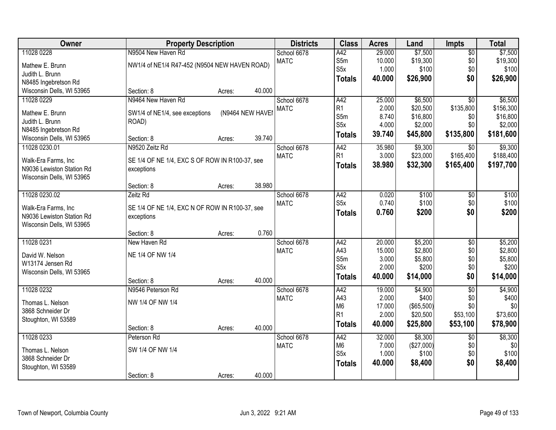| Owner                                            | <b>Property Description</b>                                  |        |                  | <b>Districts</b> | <b>Class</b>     | <b>Acres</b> | Land       | <b>Impts</b>    | <b>Total</b> |
|--------------------------------------------------|--------------------------------------------------------------|--------|------------------|------------------|------------------|--------------|------------|-----------------|--------------|
| 11028 0228                                       | N9504 New Haven Rd                                           |        |                  | School 6678      | A42              | 29.000       | \$7,500    | $\overline{50}$ | \$7,500      |
| Mathew E. Brunn                                  | NW1/4 of NE1/4 R47-452 (N9504 NEW HAVEN ROAD)                |        |                  | <b>MATC</b>      | S5m              | 10.000       | \$19,300   | \$0             | \$19,300     |
| Judith L. Brunn                                  |                                                              |        |                  |                  | S <sub>5</sub> x | 1.000        | \$100      | \$0             | \$100        |
| N8485 Ingebretson Rd                             |                                                              |        |                  |                  | <b>Totals</b>    | 40.000       | \$26,900   | \$0             | \$26,900     |
| Wisconsin Dells, WI 53965                        | Section: 8                                                   | Acres: | 40.000           |                  |                  |              |            |                 |              |
| 11028 0229                                       | N9464 New Haven Rd                                           |        |                  | School 6678      | A42              | 25.000       | \$6,500    | $\overline{30}$ | \$6,500      |
| Mathew E. Brunn                                  | SW1/4 of NE1/4, see exceptions                               |        | (N9464 NEW HAVEI | <b>MATC</b>      | R <sub>1</sub>   | 2.000        | \$20,500   | \$135,800       | \$156,300    |
| Judith L. Brunn                                  | ROAD)                                                        |        |                  |                  | S5m              | 8.740        | \$16,800   | \$0             | \$16,800     |
| N8485 Ingebretson Rd                             |                                                              |        |                  |                  | S <sub>5</sub> x | 4.000        | \$2,000    | \$0             | \$2,000      |
| Wisconsin Dells, WI 53965                        | Section: 8                                                   | Acres: | 39.740           |                  | <b>Totals</b>    | 39.740       | \$45,800   | \$135,800       | \$181,600    |
| 11028 0230.01                                    | N9520 Zeitz Rd                                               |        |                  | School 6678      | A42              | 35.980       | \$9,300    | \$0             | \$9,300      |
| Walk-Era Farms, Inc                              | SE 1/4 OF NE 1/4, EXC S OF ROW IN R100-37, see               |        |                  | <b>MATC</b>      | R <sub>1</sub>   | 3.000        | \$23,000   | \$165,400       | \$188,400    |
| N9036 Lewiston Station Rd                        | exceptions                                                   |        |                  |                  | <b>Totals</b>    | 38.980       | \$32,300   | \$165,400       | \$197,700    |
| Wisconsin Dells, WI 53965                        |                                                              |        |                  |                  |                  |              |            |                 |              |
|                                                  | Section: 8                                                   | Acres: | 38.980           |                  |                  |              |            |                 |              |
| 11028 0230.02                                    | Zeitz Rd                                                     |        |                  | School 6678      | A42              | 0.020        | \$100      | $\sqrt[6]{3}$   | \$100        |
|                                                  |                                                              |        |                  | <b>MATC</b>      | S <sub>5</sub> x | 0.740        | \$100      | \$0             | \$100        |
| Walk-Era Farms, Inc<br>N9036 Lewiston Station Rd | SE 1/4 OF NE 1/4, EXC N OF ROW IN R100-37, see<br>exceptions |        |                  |                  | <b>Totals</b>    | 0.760        | \$200      | \$0             | \$200        |
| Wisconsin Dells, WI 53965                        |                                                              |        |                  |                  |                  |              |            |                 |              |
|                                                  | Section: 8                                                   | Acres: | 0.760            |                  |                  |              |            |                 |              |
| 11028 0231                                       | New Haven Rd                                                 |        |                  | School 6678      | A42              | 20.000       | \$5,200    | $\overline{50}$ | \$5,200      |
|                                                  |                                                              |        |                  | <b>MATC</b>      | A43              | 15.000       | \$2,800    | \$0             | \$2,800      |
| David W. Nelson<br>W13174 Jensen Rd              | NE 1/4 OF NW 1/4                                             |        |                  |                  | S5m              | 3.000        | \$5,800    | \$0             | \$5,800      |
| Wisconsin Dells, WI 53965                        |                                                              |        |                  |                  | S <sub>5</sub> x | 2.000        | \$200      | \$0             | \$200        |
|                                                  | Section: 8                                                   | Acres: | 40.000           |                  | <b>Totals</b>    | 40.000       | \$14,000   | \$0             | \$14,000     |
| 11028 0232                                       | N9546 Peterson Rd                                            |        |                  | School 6678      | A42              | 19.000       | \$4,900    | $\overline{50}$ | \$4,900      |
| Thomas L. Nelson                                 | NW 1/4 OF NW 1/4                                             |        |                  | <b>MATC</b>      | A43              | 2.000        | \$400      | \$0             | \$400        |
| 3868 Schneider Dr                                |                                                              |        |                  |                  | M <sub>6</sub>   | 17.000       | (\$65,500) | \$0             | \$0          |
| Stoughton, WI 53589                              |                                                              |        |                  |                  | R <sub>1</sub>   | 2.000        | \$20,500   | \$53,100        | \$73,600     |
|                                                  | Section: 8                                                   | Acres: | 40.000           |                  | <b>Totals</b>    | 40.000       | \$25,800   | \$53,100        | \$78,900     |
| 11028 0233                                       | Peterson Rd                                                  |        |                  | School 6678      | A42              | 32.000       | \$8,300    | $\overline{60}$ | \$8,300      |
| Thomas L. Nelson                                 | SW 1/4 OF NW 1/4                                             |        |                  | <b>MATC</b>      | M <sub>6</sub>   | 7.000        | (\$27,000) | \$0             | \$0          |
| 3868 Schneider Dr                                |                                                              |        |                  |                  | S5x              | 1.000        | \$100      | \$0             | \$100        |
| Stoughton, WI 53589                              |                                                              |        |                  |                  | <b>Totals</b>    | 40.000       | \$8,400    | \$0             | \$8,400      |
|                                                  | Section: 8                                                   | Acres: | 40.000           |                  |                  |              |            |                 |              |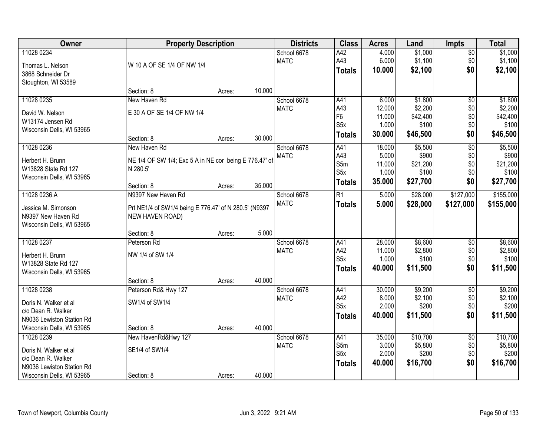| Owner                     |                                                        | <b>Property Description</b> |        | <b>Districts</b> | <b>Class</b>     | <b>Acres</b> | Land     | <b>Impts</b>    | <b>Total</b> |
|---------------------------|--------------------------------------------------------|-----------------------------|--------|------------------|------------------|--------------|----------|-----------------|--------------|
| 11028 0234                |                                                        |                             |        | School 6678      | A42              | 4.000        | \$1,000  | $\overline{50}$ | \$1,000      |
| Thomas L. Nelson          | W 10 A OF SE 1/4 OF NW 1/4                             |                             |        | <b>MATC</b>      | A43              | 6.000        | \$1,100  | \$0             | \$1,100      |
| 3868 Schneider Dr         |                                                        |                             |        |                  | <b>Totals</b>    | 10.000       | \$2,100  | \$0             | \$2,100      |
| Stoughton, WI 53589       |                                                        |                             |        |                  |                  |              |          |                 |              |
|                           | Section: 8                                             | Acres:                      | 10.000 |                  |                  |              |          |                 |              |
| 11028 0235                | New Haven Rd                                           |                             |        | School 6678      | A41              | 6.000        | \$1,800  | $\overline{50}$ | \$1,800      |
| David W. Nelson           | E 30 A OF SE 1/4 OF NW 1/4                             |                             |        | <b>MATC</b>      | A43              | 12.000       | \$2,200  | \$0             | \$2,200      |
| W13174 Jensen Rd          |                                                        |                             |        |                  | F <sub>6</sub>   | 11.000       | \$42,400 | \$0             | \$42,400     |
| Wisconsin Dells, WI 53965 |                                                        |                             |        |                  | S5x              | 1.000        | \$100    | \$0             | \$100        |
|                           | Section: 8                                             | Acres:                      | 30.000 |                  | <b>Totals</b>    | 30.000       | \$46,500 | \$0             | \$46,500     |
| 11028 0236                | New Haven Rd                                           |                             |        | School 6678      | A41              | 18.000       | \$5,500  | $\overline{60}$ | \$5,500      |
| Herbert H. Brunn          | NE 1/4 OF SW 1/4; Exc 5 A in NE cor being E 776.47' of |                             |        | <b>MATC</b>      | A43              | 5.000        | \$900    | \$0             | \$900        |
| W13828 State Rd 127       | N 280.5'                                               |                             |        |                  | S5m              | 11.000       | \$21,200 | \$0             | \$21,200     |
| Wisconsin Dells, WI 53965 |                                                        |                             |        |                  | S5x              | 1.000        | \$100    | \$0             | \$100        |
|                           | Section: 8                                             | Acres:                      | 35.000 |                  | <b>Totals</b>    | 35.000       | \$27,700 | \$0             | \$27,700     |
| 11028 0236.A              | N9397 New Haven Rd                                     |                             |        | School 6678      | R1               | 5.000        | \$28,000 | \$127,000       | \$155,000    |
| Jessica M. Simonson       | Prt NE1/4 of SW1/4 being E 776.47' of N 280.5' (N9397  |                             |        | <b>MATC</b>      | <b>Totals</b>    | 5.000        | \$28,000 | \$127,000       | \$155,000    |
| N9397 New Haven Rd        | NEW HAVEN ROAD)                                        |                             |        |                  |                  |              |          |                 |              |
| Wisconsin Dells, WI 53965 |                                                        |                             |        |                  |                  |              |          |                 |              |
|                           | Section: 8                                             | Acres:                      | 5.000  |                  |                  |              |          |                 |              |
| 11028 0237                | Peterson Rd                                            |                             |        | School 6678      | A41              | 28.000       | \$8,600  | $\overline{50}$ | \$8,600      |
| Herbert H. Brunn          | NW 1/4 of SW 1/4                                       |                             |        | <b>MATC</b>      | A42              | 11.000       | \$2,800  | \$0             | \$2,800      |
| W13828 State Rd 127       |                                                        |                             |        |                  | S <sub>5</sub> x | 1.000        | \$100    | \$0             | \$100        |
| Wisconsin Dells, WI 53965 |                                                        |                             |        |                  | <b>Totals</b>    | 40.000       | \$11,500 | \$0             | \$11,500     |
|                           | Section: 8                                             | Acres:                      | 40.000 |                  |                  |              |          |                 |              |
| 11028 0238                | Peterson Rd& Hwy 127                                   |                             |        | School 6678      | A41              | 30.000       | \$9,200  | $\sqrt{6}$      | \$9,200      |
| Doris N. Walker et al     | SW1/4 of SW1/4                                         |                             |        | <b>MATC</b>      | A42              | 8.000        | \$2,100  | \$0             | \$2,100      |
| c/o Dean R. Walker        |                                                        |                             |        |                  | S <sub>5</sub> x | 2.000        | \$200    | \$0             | \$200        |
| N9036 Lewiston Station Rd |                                                        |                             |        |                  | <b>Totals</b>    | 40.000       | \$11,500 | \$0             | \$11,500     |
| Wisconsin Dells, WI 53965 | Section: 8                                             | Acres:                      | 40.000 |                  |                  |              |          |                 |              |
| 11028 0239                | New HavenRd&Hwy 127                                    |                             |        | School 6678      | A41              | 35.000       | \$10,700 | $\overline{50}$ | \$10,700     |
| Doris N. Walker et al     | SE1/4 of SW1/4                                         |                             |        | <b>MATC</b>      | S5m              | 3.000        | \$5,800  | \$0             | \$5,800      |
| c/o Dean R. Walker        |                                                        |                             |        |                  | S <sub>5</sub> x | 2.000        | \$200    | \$0             | \$200        |
| N9036 Lewiston Station Rd |                                                        |                             |        |                  | <b>Totals</b>    | 40.000       | \$16,700 | \$0             | \$16,700     |
| Wisconsin Dells, WI 53965 | Section: 8                                             | Acres:                      | 40.000 |                  |                  |              |          |                 |              |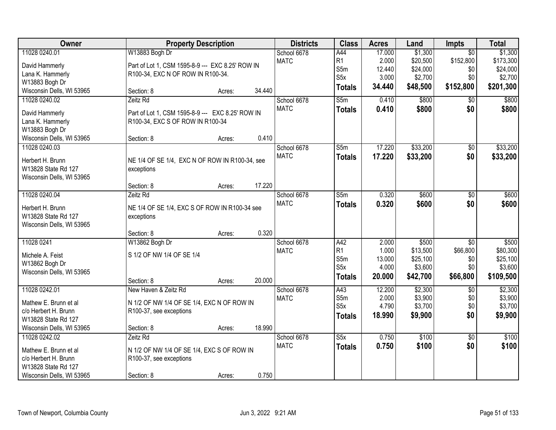| Owner                     | <b>Property Description</b>                      | <b>Districts</b> | <b>Class</b>     | <b>Acres</b> | Land     | <b>Impts</b>    | <b>Total</b> |
|---------------------------|--------------------------------------------------|------------------|------------------|--------------|----------|-----------------|--------------|
| 11028 0240.01             | W13883 Bogh Dr                                   | School 6678      | A44              | 17.000       | \$1,300  | $\overline{30}$ | \$1,300      |
| David Hammerly            | Part of Lot 1, CSM 1595-8-9 --- EXC 8.25' ROW IN | <b>MATC</b>      | R <sub>1</sub>   | 2.000        | \$20,500 | \$152,800       | \$173,300    |
| Lana K. Hammerly          | R100-34, EXC N OF ROW IN R100-34.                |                  | S5m              | 12.440       | \$24,000 | \$0             | \$24,000     |
| W13883 Bogh Dr            |                                                  |                  | S <sub>5</sub> x | 3.000        | \$2,700  | \$0             | \$2,700      |
| Wisconsin Dells, WI 53965 | 34.440<br>Section: 8<br>Acres:                   |                  | <b>Totals</b>    | 34.440       | \$48,500 | \$152,800       | \$201,300    |
| 11028 0240.02             | Zeitz Rd                                         | School 6678      | S5m              | 0.410        | \$800    | \$0             | \$800        |
| David Hammerly            | Part of Lot 1, CSM 1595-8-9 --- EXC 8.25' ROW IN | <b>MATC</b>      | <b>Totals</b>    | 0.410        | \$800    | \$0             | \$800        |
| Lana K. Hammerly          | R100-34, EXC S OF ROW IN R100-34                 |                  |                  |              |          |                 |              |
| W13883 Bogh Dr            |                                                  |                  |                  |              |          |                 |              |
| Wisconsin Dells, WI 53965 | 0.410<br>Section: 8<br>Acres:                    |                  |                  |              |          |                 |              |
| 11028 0240.03             |                                                  | School 6678      | S5m              | 17.220       | \$33,200 | \$0             | \$33,200     |
| Herbert H. Brunn          | NE 1/4 OF SE 1/4, EXC N OF ROW IN R100-34, see   | <b>MATC</b>      | <b>Totals</b>    | 17.220       | \$33,200 | \$0             | \$33,200     |
| W13828 State Rd 127       | exceptions                                       |                  |                  |              |          |                 |              |
| Wisconsin Dells, WI 53965 |                                                  |                  |                  |              |          |                 |              |
|                           | 17.220<br>Section: 8<br>Acres:                   |                  |                  |              |          |                 |              |
| 11028 0240.04             | Zeitz Rd                                         | School 6678      | S5m              | 0.320        | \$600    | $\overline{50}$ | \$600        |
| Herbert H. Brunn          | NE 1/4 OF SE 1/4, EXC S OF ROW IN R100-34 see    | <b>MATC</b>      | <b>Totals</b>    | 0.320        | \$600    | \$0             | \$600        |
| W13828 State Rd 127       | exceptions                                       |                  |                  |              |          |                 |              |
| Wisconsin Dells, WI 53965 |                                                  |                  |                  |              |          |                 |              |
|                           | 0.320<br>Section: 8<br>Acres:                    |                  |                  |              |          |                 |              |
| 11028 0241                | W13862 Bogh Dr                                   | School 6678      | A42              | 2.000        | \$500    | $\overline{50}$ | \$500        |
|                           |                                                  | <b>MATC</b>      | R1               | 1.000        | \$13,500 | \$66,800        | \$80,300     |
| Michele A. Feist          | S 1/2 OF NW 1/4 OF SE 1/4                        |                  | S5m              | 13.000       | \$25,100 | \$0             | \$25,100     |
| W13862 Bogh Dr            |                                                  |                  | S <sub>5</sub> x | 4.000        | \$3,600  | \$0             | \$3,600      |
| Wisconsin Dells, WI 53965 | 20.000<br>Section: 8                             |                  | <b>Totals</b>    | 20.000       | \$42,700 | \$66,800        | \$109,500    |
| 11028 0242.01             | Acres:<br>New Haven & Zeitz Rd                   | School 6678      | A43              | 12.200       | \$2,300  | $\overline{50}$ | \$2,300      |
|                           |                                                  | <b>MATC</b>      | S5m              | 2.000        | \$3,900  | \$0             | \$3,900      |
| Mathew E. Brunn et al     | N 1/2 OF NW 1/4 OF SE 1/4, EXC N OF ROW IN       |                  | S <sub>5</sub> x | 4.790        | \$3,700  | \$0             | \$3,700      |
| c/o Herbert H. Brunn      | R100-37, see exceptions                          |                  | <b>Totals</b>    | 18.990       | \$9,900  | \$0             | \$9,900      |
| W13828 State Rd 127       |                                                  |                  |                  |              |          |                 |              |
| Wisconsin Dells, WI 53965 | 18.990<br>Section: 8<br>Acres:                   |                  |                  |              |          |                 |              |
| 11028 0242.02             | Zeitz Rd                                         | School 6678      | S5x              | 0.750        | \$100    | $\overline{50}$ | \$100        |
| Mathew E. Brunn et al     | N 1/2 OF NW 1/4 OF SE 1/4, EXC S OF ROW IN       | <b>MATC</b>      | <b>Totals</b>    | 0.750        | \$100    | \$0             | \$100        |
| c/o Herbert H. Brunn      | R100-37, see exceptions                          |                  |                  |              |          |                 |              |
| W13828 State Rd 127       |                                                  |                  |                  |              |          |                 |              |
| Wisconsin Dells, WI 53965 | 0.750<br>Section: 8<br>Acres:                    |                  |                  |              |          |                 |              |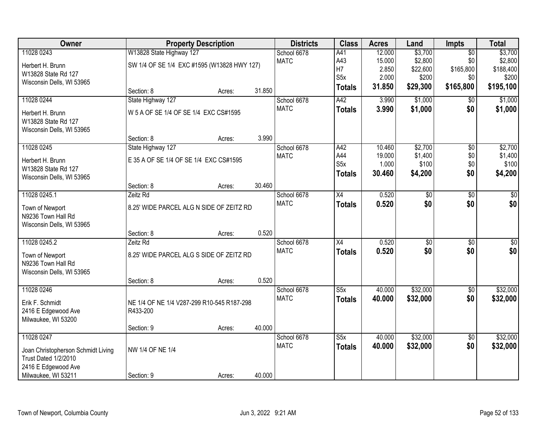| W13828 State Highway 127<br>11028 0243<br>School 6678<br>12.000<br>\$3,700<br>$\overline{50}$<br>A41<br>\$2,800<br><b>MATC</b><br>A43<br>15.000<br>\$0<br>SW 1/4 OF SE 1/4 EXC #1595 (W13828 HWY 127)<br>Herbert H. Brunn<br>H7<br>2.850<br>\$165,800<br>\$22,600<br>W13828 State Rd 127<br>S <sub>5</sub> x<br>2.000<br>\$200<br>\$0<br>Wisconsin Dells, WI 53965<br>31.850<br>\$29,300<br>\$165,800<br><b>Totals</b><br>31.850<br>Section: 8<br>Acres:<br>11028 0244<br>State Highway 127<br>A42<br>\$1,000<br>School 6678<br>3.990<br>$\overline{30}$ |  |  |             |               |       |         |     | \$3,700<br>\$2,800 |
|----------------------------------------------------------------------------------------------------------------------------------------------------------------------------------------------------------------------------------------------------------------------------------------------------------------------------------------------------------------------------------------------------------------------------------------------------------------------------------------------------------------------------------------------------------|--|--|-------------|---------------|-------|---------|-----|--------------------|
|                                                                                                                                                                                                                                                                                                                                                                                                                                                                                                                                                          |  |  |             |               |       |         |     | \$188,400<br>\$200 |
|                                                                                                                                                                                                                                                                                                                                                                                                                                                                                                                                                          |  |  |             |               |       |         |     |                    |
|                                                                                                                                                                                                                                                                                                                                                                                                                                                                                                                                                          |  |  |             |               |       |         |     | \$195,100          |
|                                                                                                                                                                                                                                                                                                                                                                                                                                                                                                                                                          |  |  |             |               |       |         |     |                    |
|                                                                                                                                                                                                                                                                                                                                                                                                                                                                                                                                                          |  |  |             |               |       |         |     |                    |
|                                                                                                                                                                                                                                                                                                                                                                                                                                                                                                                                                          |  |  |             |               |       |         |     | \$1,000            |
| W 5 A OF SE 1/4 OF SE 1/4 EXC CS#1595<br>Herbert H. Brunn                                                                                                                                                                                                                                                                                                                                                                                                                                                                                                |  |  | <b>MATC</b> | <b>Totals</b> | 3.990 | \$1,000 | \$0 | \$1,000            |
| W13828 State Rd 127                                                                                                                                                                                                                                                                                                                                                                                                                                                                                                                                      |  |  |             |               |       |         |     |                    |
| Wisconsin Dells, WI 53965                                                                                                                                                                                                                                                                                                                                                                                                                                                                                                                                |  |  |             |               |       |         |     |                    |
| 3.990<br>Section: 8<br>Acres:                                                                                                                                                                                                                                                                                                                                                                                                                                                                                                                            |  |  |             |               |       |         |     |                    |
| \$2,700<br>11028 0245<br>$\overline{50}$<br>State Highway 127<br>School 6678<br>A42<br>10.460                                                                                                                                                                                                                                                                                                                                                                                                                                                            |  |  |             |               |       |         |     | \$2,700            |
| A44<br>\$1,400<br>\$0<br><b>MATC</b><br>19.000<br>E 35 A OF SE 1/4 OF SE 1/4 EXC CS#1595<br>Herbert H. Brunn<br>S <sub>5</sub> x<br>\$100<br>\$0<br>1.000                                                                                                                                                                                                                                                                                                                                                                                                |  |  |             |               |       |         |     | \$1,400<br>\$100   |
| W13828 State Rd 127<br>\$4,200<br>\$0<br>30.460<br><b>Totals</b>                                                                                                                                                                                                                                                                                                                                                                                                                                                                                         |  |  |             |               |       |         |     | \$4,200            |
| Wisconsin Dells, WI 53965                                                                                                                                                                                                                                                                                                                                                                                                                                                                                                                                |  |  |             |               |       |         |     |                    |
| 30.460<br>Section: 8<br>Acres:                                                                                                                                                                                                                                                                                                                                                                                                                                                                                                                           |  |  |             |               |       |         |     |                    |
| 11028 0245.1<br>School 6678<br>$\overline{X4}$<br>0.520<br>\$0<br>$\overline{50}$<br>Zeitz Rd                                                                                                                                                                                                                                                                                                                                                                                                                                                            |  |  |             |               |       |         |     | \$0                |
| \$0<br><b>MATC</b><br>0.520<br>\$0<br><b>Totals</b><br>8.25' WIDE PARCEL ALG N SIDE OF ZEITZ RD<br>Town of Newport                                                                                                                                                                                                                                                                                                                                                                                                                                       |  |  |             |               |       |         |     | \$0                |
| N9236 Town Hall Rd                                                                                                                                                                                                                                                                                                                                                                                                                                                                                                                                       |  |  |             |               |       |         |     |                    |
| Wisconsin Dells, WI 53965                                                                                                                                                                                                                                                                                                                                                                                                                                                                                                                                |  |  |             |               |       |         |     |                    |
| 0.520<br>Section: 8<br>Acres:<br>$\overline{X4}$<br>Zeitz Rd                                                                                                                                                                                                                                                                                                                                                                                                                                                                                             |  |  |             |               |       |         |     |                    |
| 11028 0245.2<br>0.520<br>\$0<br>\$0<br>School 6678<br>0.520<br>\$0<br><b>MATC</b><br>\$0                                                                                                                                                                                                                                                                                                                                                                                                                                                                 |  |  |             |               |       |         |     | \$0<br>\$0         |
| <b>Totals</b><br>Town of Newport<br>8.25' WIDE PARCEL ALG S SIDE OF ZEITZ RD                                                                                                                                                                                                                                                                                                                                                                                                                                                                             |  |  |             |               |       |         |     |                    |
| N9236 Town Hall Rd                                                                                                                                                                                                                                                                                                                                                                                                                                                                                                                                       |  |  |             |               |       |         |     |                    |
| Wisconsin Dells, WI 53965<br>0.520                                                                                                                                                                                                                                                                                                                                                                                                                                                                                                                       |  |  |             |               |       |         |     |                    |
| Section: 8<br>Acres:<br>\$32,000<br>11028 0246<br>School 6678<br>S5x<br>40.000<br>$\overline{50}$                                                                                                                                                                                                                                                                                                                                                                                                                                                        |  |  |             |               |       |         |     | \$32,000           |
| <b>MATC</b><br>\$32,000<br>\$0<br>40.000<br><b>Totals</b>                                                                                                                                                                                                                                                                                                                                                                                                                                                                                                |  |  |             |               |       |         |     | \$32,000           |
| Erik F. Schmidt<br>NE 1/4 OF NE 1/4 V287-299 R10-545 R187-298                                                                                                                                                                                                                                                                                                                                                                                                                                                                                            |  |  |             |               |       |         |     |                    |
| 2416 E Edgewood Ave<br>R433-200                                                                                                                                                                                                                                                                                                                                                                                                                                                                                                                          |  |  |             |               |       |         |     |                    |
| Milwaukee, WI 53200<br>40.000<br>Section: 9<br>Acres:                                                                                                                                                                                                                                                                                                                                                                                                                                                                                                    |  |  |             |               |       |         |     |                    |
| 11028 0247<br>\$32,000<br>S5x<br>40.000<br>$\overline{50}$<br>School 6678                                                                                                                                                                                                                                                                                                                                                                                                                                                                                |  |  |             |               |       |         |     | \$32,000           |
| \$0<br><b>MATC</b><br>40.000<br>\$32,000<br><b>Totals</b>                                                                                                                                                                                                                                                                                                                                                                                                                                                                                                |  |  |             |               |       |         |     | \$32,000           |
| NW 1/4 OF NE 1/4<br>Joan Christopherson Schmidt Living                                                                                                                                                                                                                                                                                                                                                                                                                                                                                                   |  |  |             |               |       |         |     |                    |
| Trust Dated 1/2/2010<br>2416 E Edgewood Ave                                                                                                                                                                                                                                                                                                                                                                                                                                                                                                              |  |  |             |               |       |         |     |                    |
| Milwaukee, WI 53211<br>40.000<br>Section: 9<br>Acres:                                                                                                                                                                                                                                                                                                                                                                                                                                                                                                    |  |  |             |               |       |         |     |                    |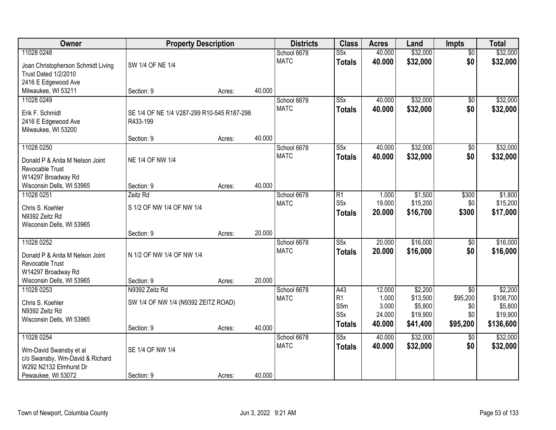| Owner                              | <b>Property Description</b>                |        |        | <b>Districts</b> | <b>Class</b>            | <b>Acres</b>     | Land                 | <b>Impts</b>                | <b>Total</b>         |
|------------------------------------|--------------------------------------------|--------|--------|------------------|-------------------------|------------------|----------------------|-----------------------------|----------------------|
| 11028 0248                         |                                            |        |        | School 6678      | $\overline{\text{S5x}}$ | 40.000           | \$32,000             | $\overline{50}$             | \$32,000             |
| Joan Christopherson Schmidt Living | SW 1/4 OF NE 1/4                           |        |        | <b>MATC</b>      | <b>Totals</b>           | 40.000           | \$32,000             | \$0                         | \$32,000             |
| Trust Dated 1/2/2010               |                                            |        |        |                  |                         |                  |                      |                             |                      |
| 2416 E Edgewood Ave                |                                            |        |        |                  |                         |                  |                      |                             |                      |
| Milwaukee, WI 53211                | Section: 9                                 | Acres: | 40.000 |                  |                         |                  |                      |                             |                      |
| 11028 0249                         |                                            |        |        | School 6678      | $\overline{\text{S5x}}$ | 40.000           | \$32,000             | \$0                         | \$32,000             |
| Erik F. Schmidt                    | SE 1/4 OF NE 1/4 V287-299 R10-545 R187-298 |        |        | <b>MATC</b>      | <b>Totals</b>           | 40.000           | \$32,000             | \$0                         | \$32,000             |
| 2416 E Edgewood Ave                | R433-199                                   |        |        |                  |                         |                  |                      |                             |                      |
| Milwaukee, WI 53200                |                                            |        |        |                  |                         |                  |                      |                             |                      |
|                                    | Section: 9                                 | Acres: | 40.000 |                  |                         |                  |                      |                             |                      |
| 11028 0250                         |                                            |        |        | School 6678      | S5x                     | 40.000           | \$32,000             | \$0                         | \$32,000             |
| Donald P & Anita M Nelson Joint    | NE 1/4 OF NW 1/4                           |        |        | <b>MATC</b>      | <b>Totals</b>           | 40.000           | \$32,000             | \$0                         | \$32,000             |
| Revocable Trust                    |                                            |        |        |                  |                         |                  |                      |                             |                      |
| W14297 Broadway Rd                 |                                            |        |        |                  |                         |                  |                      |                             |                      |
| Wisconsin Dells, WI 53965          | Section: 9                                 | Acres: | 40.000 |                  |                         |                  |                      |                             |                      |
| 11028 0251                         | Zeitz Rd                                   |        |        | School 6678      | R1<br>S <sub>5</sub> x  | 1.000            | \$1,500              | \$300                       | \$1,800              |
| Chris S. Koehler                   | S 1/2 OF NW 1/4 OF NW 1/4                  |        |        | <b>MATC</b>      |                         | 19.000<br>20.000 | \$15,200<br>\$16,700 | \$0<br>\$300                | \$15,200<br>\$17,000 |
| N9392 Zeitz Rd                     |                                            |        |        |                  | <b>Totals</b>           |                  |                      |                             |                      |
| Wisconsin Dells, WI 53965          |                                            |        |        |                  |                         |                  |                      |                             |                      |
|                                    | Section: 9                                 | Acres: | 20.000 |                  |                         |                  |                      |                             |                      |
| 11028 0252                         |                                            |        |        | School 6678      | $\overline{\text{S5x}}$ | 20.000           | \$16,000             | $\overline{50}$             | \$16,000             |
| Donald P & Anita M Nelson Joint    | N 1/2 OF NW 1/4 OF NW 1/4                  |        |        | <b>MATC</b>      | <b>Totals</b>           | 20.000           | \$16,000             | \$0                         | \$16,000             |
| Revocable Trust                    |                                            |        |        |                  |                         |                  |                      |                             |                      |
| W14297 Broadway Rd                 |                                            |        |        |                  |                         |                  |                      |                             |                      |
| Wisconsin Dells, WI 53965          | Section: 9                                 | Acres: | 20.000 |                  |                         |                  |                      |                             |                      |
| 11028 0253                         | N9392 Zeitz Rd                             |        |        | School 6678      | A43<br>R1               | 12.000<br>1.000  | \$2,200<br>\$13,500  | $\overline{50}$<br>\$95,200 | \$2,200<br>\$108,700 |
| Chris S. Koehler                   | SW 1/4 OF NW 1/4 (N9392 ZEITZ ROAD)        |        |        | <b>MATC</b>      | S5m                     | 3.000            | \$5,800              | \$0                         | \$5,800              |
| N9392 Zeitz Rd                     |                                            |        |        |                  | S <sub>5</sub> x        | 24.000           | \$19,900             | \$0                         | \$19,900             |
| Wisconsin Dells, WI 53965          |                                            |        |        |                  | <b>Totals</b>           | 40.000           | \$41,400             | \$95,200                    | \$136,600            |
|                                    | Section: 9                                 | Acres: | 40.000 |                  |                         |                  |                      |                             |                      |
| 11028 0254                         |                                            |        |        | School 6678      | S5x                     | 40.000           | \$32,000             | $\overline{50}$             | \$32,000             |
| Wm-David Swansby et al             | SE 1/4 OF NW 1/4                           |        |        | <b>MATC</b>      | <b>Totals</b>           | 40.000           | \$32,000             | \$0                         | \$32,000             |
| c/o Swansby, Wm-David & Richard    |                                            |        |        |                  |                         |                  |                      |                             |                      |
| W292 N2132 Elmhurst Dr             |                                            |        |        |                  |                         |                  |                      |                             |                      |
| Pewaukee, WI 53072                 | Section: 9                                 | Acres: | 40.000 |                  |                         |                  |                      |                             |                      |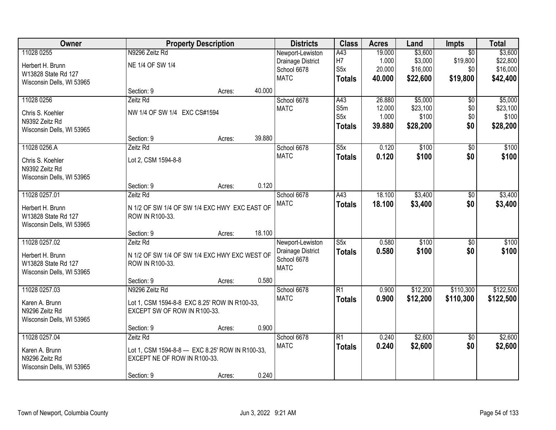| Owner                     |                                                   | <b>Property Description</b> |        | <b>Districts</b>  | <b>Class</b>            | <b>Acres</b> | Land     | <b>Impts</b>    | <b>Total</b> |
|---------------------------|---------------------------------------------------|-----------------------------|--------|-------------------|-------------------------|--------------|----------|-----------------|--------------|
| 11028 0255                | N9296 Zeitz Rd                                    |                             |        | Newport-Lewiston  | A43                     | 19.000       | \$3,600  | $\overline{50}$ | \$3,600      |
| Herbert H. Brunn          | NE 1/4 OF SW 1/4                                  |                             |        | Drainage District | H <sub>7</sub>          | 1.000        | \$3,000  | \$19,800        | \$22,800     |
| W13828 State Rd 127       |                                                   |                             |        | School 6678       | S <sub>5</sub> x        | 20.000       | \$16,000 | \$0             | \$16,000     |
| Wisconsin Dells, WI 53965 |                                                   |                             |        | <b>MATC</b>       | <b>Totals</b>           | 40.000       | \$22,600 | \$19,800        | \$42,400     |
|                           | Section: 9                                        | Acres:                      | 40.000 |                   |                         |              |          |                 |              |
| 11028 0256                | Zeitz Rd                                          |                             |        | School 6678       | A43                     | 26.880       | \$5,000  | $\overline{50}$ | \$5,000      |
| Chris S. Koehler          | NW 1/4 OF SW 1/4 EXC CS#1594                      |                             |        | <b>MATC</b>       | S5m                     | 12.000       | \$23,100 | \$0             | \$23,100     |
| N9392 Zeitz Rd            |                                                   |                             |        |                   | S5x                     | 1.000        | \$100    | \$0             | \$100        |
| Wisconsin Dells, WI 53965 |                                                   |                             |        |                   | <b>Totals</b>           | 39.880       | \$28,200 | \$0             | \$28,200     |
|                           | Section: 9                                        | Acres:                      | 39.880 |                   |                         |              |          |                 |              |
| 11028 0256.A              | Zeitz Rd                                          |                             |        | School 6678       | S5x                     | 0.120        | \$100    | $\overline{50}$ | \$100        |
| Chris S. Koehler          | Lot 2, CSM 1594-8-8                               |                             |        | <b>MATC</b>       | <b>Totals</b>           | 0.120        | \$100    | \$0             | \$100        |
| N9392 Zeitz Rd            |                                                   |                             |        |                   |                         |              |          |                 |              |
| Wisconsin Dells, WI 53965 |                                                   |                             |        |                   |                         |              |          |                 |              |
|                           | Section: 9                                        | Acres:                      | 0.120  |                   |                         |              |          |                 |              |
| 11028 0257.01             | Zeitz Rd                                          |                             |        | School 6678       | A43                     | 18.100       | \$3,400  | \$0             | \$3,400      |
| Herbert H. Brunn          | N 1/2 OF SW 1/4 OF SW 1/4 EXC HWY EXC EAST OF     |                             |        | <b>MATC</b>       | <b>Totals</b>           | 18.100       | \$3,400  | \$0             | \$3,400      |
| W13828 State Rd 127       | ROW IN R100-33.                                   |                             |        |                   |                         |              |          |                 |              |
| Wisconsin Dells, WI 53965 |                                                   |                             |        |                   |                         |              |          |                 |              |
|                           | Section: 9                                        | Acres:                      | 18.100 |                   |                         |              |          |                 |              |
| 11028 0257.02             | Zeitz Rd                                          |                             |        | Newport-Lewiston  | $\overline{\text{S5x}}$ | 0.580        | \$100    | $\overline{30}$ | \$100        |
| Herbert H. Brunn          | N 1/2 OF SW 1/4 OF SW 1/4 EXC HWY EXC WEST OF     |                             |        | Drainage District | <b>Totals</b>           | 0.580        | \$100    | \$0             | \$100        |
| W13828 State Rd 127       | ROW IN R100-33.                                   |                             |        | School 6678       |                         |              |          |                 |              |
| Wisconsin Dells, WI 53965 |                                                   |                             |        | <b>MATC</b>       |                         |              |          |                 |              |
|                           | Section: 9                                        | Acres:                      | 0.580  |                   |                         |              |          |                 |              |
| 11028 0257.03             | N9296 Zeitz Rd                                    |                             |        | School 6678       | R1                      | 0.900        | \$12,200 | \$110,300       | \$122,500    |
| Karen A. Brunn            | Lot 1, CSM 1594-8-8 EXC 8.25' ROW IN R100-33,     |                             |        | <b>MATC</b>       | <b>Totals</b>           | 0.900        | \$12,200 | \$110,300       | \$122,500    |
| N9296 Zeitz Rd            | EXCEPT SW OF ROW IN R100-33.                      |                             |        |                   |                         |              |          |                 |              |
| Wisconsin Dells, WI 53965 |                                                   |                             |        |                   |                         |              |          |                 |              |
|                           | Section: 9                                        | Acres:                      | 0.900  |                   |                         |              |          |                 |              |
| 11028 0257.04             | Zeitz Rd                                          |                             |        | School 6678       | R1                      | 0.240        | \$2,600  | $\overline{50}$ | \$2,600      |
| Karen A. Brunn            | Lot 1, CSM 1594-8-8 --- EXC 8.25' ROW IN R100-33, |                             |        | <b>MATC</b>       | <b>Totals</b>           | 0.240        | \$2,600  | \$0             | \$2,600      |
| N9296 Zeitz Rd            | EXCEPT NE OF ROW IN R100-33.                      |                             |        |                   |                         |              |          |                 |              |
| Wisconsin Dells, WI 53965 |                                                   |                             |        |                   |                         |              |          |                 |              |
|                           | Section: 9                                        | Acres:                      | 0.240  |                   |                         |              |          |                 |              |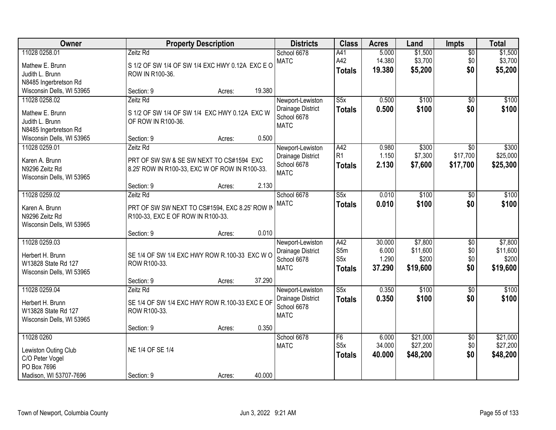| Owner                                                                                 | <b>Property Description</b>                                                                     |        | <b>Districts</b>                                                    | <b>Class</b>                                        | <b>Acres</b>                       | Land                                     | <b>Impts</b>                         | <b>Total</b>                             |
|---------------------------------------------------------------------------------------|-------------------------------------------------------------------------------------------------|--------|---------------------------------------------------------------------|-----------------------------------------------------|------------------------------------|------------------------------------------|--------------------------------------|------------------------------------------|
| 11028 0258.01<br>Mathew E. Brunn                                                      | Zeitz Rd<br>S 1/2 OF SW 1/4 OF SW 1/4 EXC HWY 0.12A EXC E O                                     |        | School 6678<br><b>MATC</b>                                          | A41<br>A42<br><b>Totals</b>                         | 5.000<br>14.380<br>19.380          | \$1,500<br>\$3,700<br>\$5,200            | $\overline{50}$<br>\$0<br>\$0        | \$1,500<br>\$3,700<br>\$5,200            |
| Judith L. Brunn<br>N8485 Ingerbretson Rd<br>Wisconsin Dells, WI 53965                 | ROW IN R100-36.<br>Section: 9                                                                   | Acres: | 19.380                                                              |                                                     |                                    |                                          |                                      |                                          |
| 11028 0258.02<br>Mathew E. Brunn<br>Judith L. Brunn<br>N8485 Ingerbretson Rd          | Zeitz Rd<br>S 1/2 OF SW 1/4 OF SW 1/4 EXC HWY 0.12A EXC W<br>OF ROW IN R100-36.                 |        | Newport-Lewiston<br>Drainage District<br>School 6678<br><b>MATC</b> | S5x<br>Totals                                       | 0.500<br>0.500                     | \$100<br>\$100                           | $\overline{50}$<br>\$0               | \$100<br>\$100                           |
| Wisconsin Dells, WI 53965<br>11028 0259.01                                            | Section: 9<br>Zeitz Rd                                                                          | Acres: | 0.500<br>Newport-Lewiston                                           | A42                                                 | 0.980                              | \$300                                    | \$0                                  | \$300                                    |
| Karen A. Brunn<br>N9296 Zeitz Rd<br>Wisconsin Dells, WI 53965                         | PRT OF SW SW & SE SW NEXT TO CS#1594 EXC<br>8.25' ROW IN R100-33, EXC W OF ROW IN R100-33.      |        | Drainage District<br>School 6678<br><b>MATC</b>                     | R <sub>1</sub><br><b>Totals</b>                     | 1.150<br>2.130                     | \$7,300<br>\$7,600                       | \$17,700<br>\$17,700                 | \$25,000<br>\$25,300                     |
|                                                                                       | Section: 9                                                                                      | Acres: | 2.130                                                               |                                                     |                                    |                                          |                                      |                                          |
| 11028 0259.02<br>Karen A. Brunn<br>N9296 Zeitz Rd<br>Wisconsin Dells, WI 53965        | Zeitz Rd<br>PRT OF SW SW NEXT TO CS#1594, EXC 8.25' ROW IN<br>R100-33, EXC E OF ROW IN R100-33. |        | School 6678<br><b>MATC</b>                                          | S5x<br><b>Totals</b>                                | 0.010<br>0.010                     | \$100<br>\$100                           | \$0<br>\$0                           | \$100<br>\$100                           |
|                                                                                       | Section: 9                                                                                      | Acres: | 0.010                                                               |                                                     |                                    |                                          |                                      |                                          |
| 11028 0259.03<br>Herbert H. Brunn<br>W13828 State Rd 127<br>Wisconsin Dells, WI 53965 | SE 1/4 OF SW 1/4 EXC HWY ROW R.100-33 EXC WO<br>ROW R100-33.                                    |        | Newport-Lewiston<br>Drainage District<br>School 6678<br><b>MATC</b> | A42<br>S5m<br>S5x<br><b>Totals</b>                  | 30.000<br>6.000<br>1.290<br>37.290 | \$7,800<br>\$11,600<br>\$200<br>\$19,600 | $\overline{50}$<br>\$0<br>\$0<br>\$0 | \$7,800<br>\$11,600<br>\$200<br>\$19,600 |
| 11028 0259.04                                                                         | Section: 9<br>Zeitz Rd                                                                          | Acres: | 37.290<br>Newport-Lewiston                                          | S5x                                                 | 0.350                              | \$100                                    | \$0                                  | \$100                                    |
| Herbert H. Brunn<br>W13828 State Rd 127<br>Wisconsin Dells, WI 53965                  | SE 1/4 OF SW 1/4 EXC HWY ROW R.100-33 EXC E OF<br>ROW R100-33.                                  |        | Drainage District<br>School 6678<br><b>MATC</b>                     | <b>Totals</b>                                       | 0.350                              | \$100                                    | \$0                                  | \$100                                    |
|                                                                                       | Section: 9                                                                                      | Acres: | 0.350                                                               |                                                     |                                    |                                          |                                      |                                          |
| 11028 0260<br>Lewiston Outing Club<br>C/O Peter Vogel<br>PO Box 7696                  | NE 1/4 OF SE 1/4                                                                                |        | School 6678<br><b>MATC</b>                                          | F <sub>6</sub><br>S <sub>5</sub> x<br><b>Totals</b> | 6.000<br>34.000<br>40.000          | \$21,000<br>\$27,200<br>\$48,200         | $\overline{50}$<br>\$0<br>\$0        | \$21,000<br>\$27,200<br>\$48,200         |
| Madison, WI 53707-7696                                                                | Section: 9                                                                                      | Acres: | 40.000                                                              |                                                     |                                    |                                          |                                      |                                          |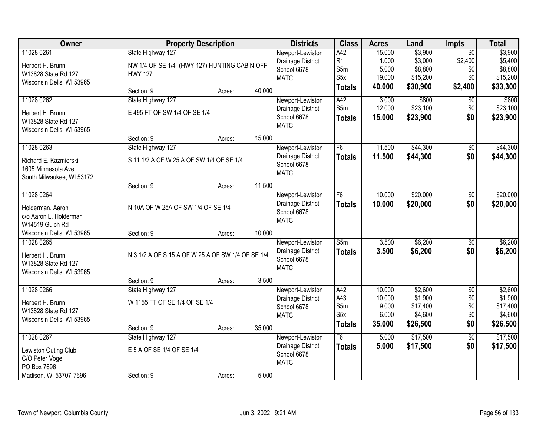| Owner                                                                              |                                                    | <b>Property Description</b> |        | <b>Districts</b>                                                    | <b>Class</b>                      | <b>Acres</b>   | Land                | <b>Impts</b>           | <b>Total</b>        |
|------------------------------------------------------------------------------------|----------------------------------------------------|-----------------------------|--------|---------------------------------------------------------------------|-----------------------------------|----------------|---------------------|------------------------|---------------------|
| 11028 0261                                                                         | State Highway 127                                  |                             |        | Newport-Lewiston                                                    | A42                               | 15.000         | \$3,900             | $\overline{50}$        | \$3,900             |
| Herbert H. Brunn                                                                   | NW 1/4 OF SE 1/4 (HWY 127) HUNTING CABIN OFF       |                             |        | Drainage District                                                   | R1                                | 1.000          | \$3,000             | \$2,400                | \$5,400             |
| W13828 State Rd 127                                                                | <b>HWY 127</b>                                     |                             |        | School 6678                                                         | S5m                               | 5.000          | \$8,800             | \$0                    | \$8,800             |
| Wisconsin Dells, WI 53965                                                          |                                                    |                             |        | <b>MATC</b>                                                         | S <sub>5</sub> x                  | 19.000         | \$15,200            | \$0                    | \$15,200            |
|                                                                                    | Section: 9                                         | Acres:                      | 40.000 |                                                                     | Totals                            | 40.000         | \$30,900            | \$2,400                | \$33,300            |
| 11028 0262                                                                         | State Highway 127                                  |                             |        | Newport-Lewiston                                                    | A42                               | 3.000          | \$800               | $\overline{50}$        | \$800               |
| Herbert H. Brunn                                                                   | E 495 FT OF SW 1/4 OF SE 1/4                       |                             |        | Drainage District                                                   | S5m                               | 12.000         | \$23,100            | \$0                    | \$23,100            |
| W13828 State Rd 127<br>Wisconsin Dells, WI 53965                                   |                                                    |                             |        | School 6678<br><b>MATC</b>                                          | <b>Totals</b>                     | 15.000         | \$23,900            | \$0                    | \$23,900            |
|                                                                                    | Section: 9                                         | Acres:                      | 15.000 |                                                                     |                                   |                |                     |                        |                     |
| 11028 0263                                                                         | State Highway 127                                  |                             |        | Newport-Lewiston                                                    | F <sub>6</sub>                    | 11.500         | \$44,300            | \$0                    | \$44,300            |
| Richard E. Kazmierski<br>1605 Minnesota Ave<br>South Milwaukee, WI 53172           | S 11 1/2 A OF W 25 A OF SW 1/4 OF SE 1/4           |                             |        | Drainage District<br>School 6678<br><b>MATC</b>                     | <b>Totals</b>                     | 11.500         | \$44,300            | \$0                    | \$44,300            |
|                                                                                    | Section: 9                                         | Acres:                      | 11.500 |                                                                     |                                   |                |                     |                        |                     |
| 11028 0264                                                                         |                                                    |                             |        | Newport-Lewiston                                                    | F6                                | 10.000         | \$20,000            | \$0                    | \$20,000            |
| Holderman, Aaron<br>c/o Aaron L. Holderman<br>W14519 Gulch Rd                      | N 10A OF W 25A OF SW 1/4 OF SE 1/4                 |                             |        | Drainage District<br>School 6678<br><b>MATC</b>                     | <b>Totals</b>                     | 10.000         | \$20,000            | \$0                    | \$20,000            |
| Wisconsin Dells, WI 53965                                                          | Section: 9                                         | Acres:                      | 10.000 |                                                                     |                                   |                |                     |                        |                     |
| 11028 0265<br>Herbert H. Brunn<br>W13828 State Rd 127<br>Wisconsin Dells, WI 53965 | N 3 1/2 A OF S 15 A OF W 25 A OF SW 1/4 OF SE 1/4. |                             |        | Newport-Lewiston<br>Drainage District<br>School 6678<br><b>MATC</b> | $\overline{\text{S}5m}$<br>Totals | 3.500<br>3.500 | \$6,200<br>\$6,200  | $\overline{30}$<br>\$0 | \$6,200<br>\$6,200  |
|                                                                                    | Section: 9                                         | Acres:                      | 3.500  |                                                                     |                                   |                |                     |                        |                     |
| 11028 0266                                                                         | State Highway 127                                  |                             |        | Newport-Lewiston                                                    | A42                               | 10.000         | \$2,600             | $\overline{60}$        | \$2,600             |
| Herbert H. Brunn                                                                   | W 1155 FT OF SE 1/4 OF SE 1/4                      |                             |        | Drainage District                                                   | A43                               | 10.000         | \$1,900             | \$0                    | \$1,900             |
| W13828 State Rd 127                                                                |                                                    |                             |        | School 6678                                                         | S5m<br>S5x                        | 9.000<br>6.000 | \$17,400<br>\$4,600 | \$0<br>\$0             | \$17,400<br>\$4,600 |
| Wisconsin Dells, WI 53965                                                          |                                                    |                             |        | <b>MATC</b>                                                         |                                   | 35.000         |                     | \$0                    |                     |
|                                                                                    | Section: 9                                         | Acres:                      | 35.000 |                                                                     | <b>Totals</b>                     |                | \$26,500            |                        | \$26,500            |
| 11028 0267                                                                         | State Highway 127                                  |                             |        | Newport-Lewiston                                                    | F6                                | 5.000          | \$17,500            | $\overline{50}$        | \$17,500            |
| Lewiston Outing Club<br>C/O Peter Vogel<br>PO Box 7696                             | E 5 A OF SE 1/4 OF SE 1/4                          |                             |        | Drainage District<br>School 6678<br><b>MATC</b>                     | <b>Totals</b>                     | 5.000          | \$17,500            | \$0                    | \$17,500            |
| Madison, WI 53707-7696                                                             | Section: 9                                         | Acres:                      | 5.000  |                                                                     |                                   |                |                     |                        |                     |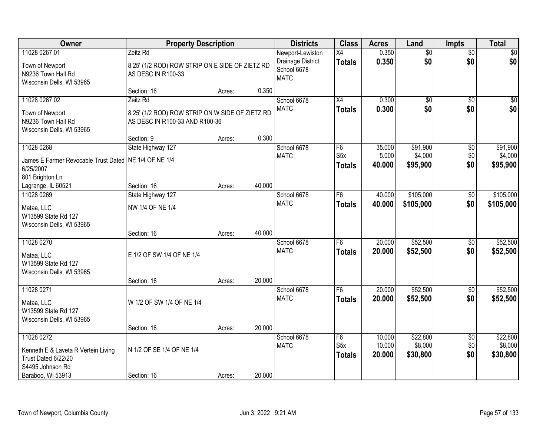| Owner                                                                                        | <b>Property Description</b>                                                                   |        |        | <b>Districts</b>                                                    | <b>Class</b>                            | <b>Acres</b>               | Land                            | <b>Impts</b>                  | <b>Total</b>                    |
|----------------------------------------------------------------------------------------------|-----------------------------------------------------------------------------------------------|--------|--------|---------------------------------------------------------------------|-----------------------------------------|----------------------------|---------------------------------|-------------------------------|---------------------------------|
| 11028 0267.01<br>Town of Newport<br>N9236 Town Hall Rd<br>Wisconsin Dells, WI 53965          | Zeitz Rd<br>8.25' (1/2 ROD) ROW STRIP ON E SIDE OF ZIETZ RD<br>AS DESC IN R100-33             |        |        | Newport-Lewiston<br>Drainage District<br>School 6678<br><b>MATC</b> | X4<br><b>Totals</b>                     | 0.350<br>0.350             | $\overline{60}$<br>\$0          | $\overline{50}$<br>\$0        | \$0<br>\$0                      |
|                                                                                              | Section: 16                                                                                   | Acres: | 0.350  |                                                                     |                                         |                            |                                 |                               |                                 |
| 11028 0267.02<br>Town of Newport<br>N9236 Town Hall Rd<br>Wisconsin Dells, WI 53965          | Zeitz Rd<br>8.25' (1/2 ROD) ROW STRIP ON W SIDE OF ZIETZ RD<br>AS DESC IN R100-33 AND R100-36 |        |        | School 6678<br><b>MATC</b>                                          | $\overline{X4}$<br><b>Totals</b>        | 0.300<br>0.300             | $\overline{50}$<br>\$0          | $\overline{50}$<br>\$0        | \$0<br>\$0                      |
| 11028 0268                                                                                   | Section: 9<br>State Highway 127                                                               | Acres: | 0.300  | School 6678                                                         | F6                                      | 35.000                     | \$91,900                        |                               | \$91,900                        |
| James E Farmer Revocable Trust Dated   NE 1/4 OF NE 1/4<br>6/25/2007                         |                                                                                               |        |        | <b>MATC</b>                                                         | S <sub>5</sub> x<br><b>Totals</b>       | 5.000<br>40.000            | \$4,000<br>\$95,900             | \$0<br>\$0<br>\$0             | \$4,000<br>\$95,900             |
| 801 Brighton Ln<br>Lagrange, IL 60521                                                        | Section: 16                                                                                   | Acres: | 40.000 |                                                                     |                                         |                            |                                 |                               |                                 |
| 11028 0269                                                                                   | State Highway 127                                                                             |        |        | School 6678                                                         | F <sub>6</sub>                          | 40.000                     | \$105,000                       | $\sqrt[6]{30}$                | \$105,000                       |
| Mataa, LLC<br>W13599 State Rd 127<br>Wisconsin Dells, WI 53965                               | NW 1/4 OF NE 1/4                                                                              |        |        | <b>MATC</b>                                                         | <b>Totals</b>                           | 40.000                     | \$105,000                       | \$0                           | \$105,000                       |
|                                                                                              | Section: 16                                                                                   | Acres: | 40.000 |                                                                     |                                         |                            |                                 |                               |                                 |
| 11028 0270<br>Mataa, LLC<br>W13599 State Rd 127<br>Wisconsin Dells, WI 53965                 | E 1/2 OF SW 1/4 OF NE 1/4                                                                     |        | 20.000 | School 6678<br><b>MATC</b>                                          | F6<br><b>Totals</b>                     | 20.000<br>20,000           | \$52,500<br>\$52,500            | $\overline{50}$<br>\$0        | \$52,500<br>\$52,500            |
| 11028 0271                                                                                   | Section: 16                                                                                   | Acres: |        | School 6678                                                         | F <sub>6</sub>                          | 20.000                     | \$52,500                        | $\sqrt{$0}$                   | \$52,500                        |
| Mataa, LLC<br>W13599 State Rd 127<br>Wisconsin Dells, WI 53965                               | W 1/2 OF SW 1/4 OF NE 1/4                                                                     |        |        | <b>MATC</b>                                                         | <b>Totals</b>                           | 20.000                     | \$52,500                        | \$0                           | \$52,500                        |
|                                                                                              | Section: 16                                                                                   | Acres: | 20.000 |                                                                     |                                         |                            |                                 |                               |                                 |
| 11028 0272<br>Kenneth E & Laveta R Vertein Living<br>Trust Dated 6/22/20<br>S4495 Johnson Rd | N 1/2 OF SE 1/4 OF NE 1/4                                                                     |        |        | School 6678<br><b>MATC</b>                                          | F6<br>S <sub>5</sub> x<br><b>Totals</b> | 10.000<br>10.000<br>20.000 | \$22,800<br>\$8,000<br>\$30,800 | $\overline{60}$<br>\$0<br>\$0 | \$22,800<br>\$8,000<br>\$30,800 |
| Baraboo, WI 53913                                                                            | Section: 16                                                                                   | Acres: | 20.000 |                                                                     |                                         |                            |                                 |                               |                                 |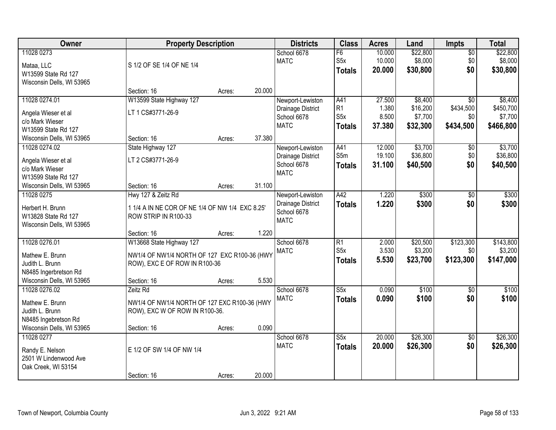| Owner                     |                                                 | <b>Property Description</b> |        | <b>Districts</b>           | <b>Class</b>                       | <b>Acres</b>   | Land                | <b>Impts</b>     | <b>Total</b> |
|---------------------------|-------------------------------------------------|-----------------------------|--------|----------------------------|------------------------------------|----------------|---------------------|------------------|--------------|
| 11028 0273                |                                                 |                             |        | School 6678                | F6                                 | 10.000         | \$22,800            | \$0              | \$22,800     |
| Mataa, LLC                | S 1/2 OF SE 1/4 OF NE 1/4                       |                             |        | <b>MATC</b>                | S5x                                | 10.000         | \$8,000             | \$0              | \$8,000      |
| W13599 State Rd 127       |                                                 |                             |        |                            | <b>Totals</b>                      | 20.000         | \$30,800            | \$0              | \$30,800     |
| Wisconsin Dells, WI 53965 |                                                 |                             |        |                            |                                    |                |                     |                  |              |
|                           | Section: 16                                     | Acres:                      | 20.000 |                            |                                    |                |                     |                  |              |
| 11028 0274.01             | W13599 State Highway 127                        |                             |        | Newport-Lewiston           | A41                                | 27.500         | \$8,400             | $\overline{50}$  | \$8,400      |
| Angela Wieser et al       | LT 1 CS#3771-26-9                               |                             |        | Drainage District          | R <sub>1</sub><br>S <sub>5</sub> x | 1.380<br>8.500 | \$16,200            | \$434,500        | \$450,700    |
| c/o Mark Wieser           |                                                 |                             |        | School 6678<br><b>MATC</b> |                                    | 37.380         | \$7,700<br>\$32,300 | \$0<br>\$434,500 | \$7,700      |
| W13599 State Rd 127       |                                                 |                             |        |                            | <b>Totals</b>                      |                |                     |                  | \$466,800    |
| Wisconsin Dells, WI 53965 | Section: 16                                     | Acres:                      | 37.380 |                            |                                    |                |                     |                  |              |
| 11028 0274.02             | State Highway 127                               |                             |        | Newport-Lewiston           | A41                                | 12.000         | \$3,700             | \$0              | \$3,700      |
| Angela Wieser et al       | LT 2 CS#3771-26-9                               |                             |        | Drainage District          | S5m                                | 19.100         | \$36,800            | \$0              | \$36,800     |
| c/o Mark Wieser           |                                                 |                             |        | School 6678<br><b>MATC</b> | <b>Totals</b>                      | 31.100         | \$40,500            | \$0              | \$40,500     |
| W13599 State Rd 127       |                                                 |                             |        |                            |                                    |                |                     |                  |              |
| Wisconsin Dells, WI 53965 | Section: 16                                     | Acres:                      | 31.100 |                            |                                    |                |                     |                  |              |
| 11028 0275                | Hwy 127 & Zeitz Rd                              |                             |        | Newport-Lewiston           | A42                                | 1.220          | \$300               | \$0              | \$300        |
| Herbert H. Brunn          | 1 1/4 A IN NE COR OF NE 1/4 OF NW 1/4 EXC 8.25' |                             |        | Drainage District          | <b>Totals</b>                      | 1.220          | \$300               | \$0              | \$300        |
| W13828 State Rd 127       | ROW STRIP IN R100-33                            |                             |        | School 6678<br><b>MATC</b> |                                    |                |                     |                  |              |
| Wisconsin Dells, WI 53965 |                                                 |                             |        |                            |                                    |                |                     |                  |              |
|                           | Section: 16                                     | Acres:                      | 1.220  |                            |                                    |                |                     |                  |              |
| 11028 0276.01             | W13668 State Highway 127                        |                             |        | School 6678                | $\overline{R1}$                    | 2.000          | \$20,500            | \$123,300        | \$143,800    |
| Mathew E. Brunn           | NW1/4 OF NW1/4 NORTH OF 127 EXC R100-36 (HWY    |                             |        | <b>MATC</b>                | S5x                                | 3.530          | \$3,200             | \$0              | \$3,200      |
| Judith L. Brunn           | ROW), EXC E OF ROW IN R100-36                   |                             |        |                            | <b>Totals</b>                      | 5.530          | \$23,700            | \$123,300        | \$147,000    |
| N8485 Ingerbretson Rd     |                                                 |                             |        |                            |                                    |                |                     |                  |              |
| Wisconsin Dells, WI 53965 | Section: 16                                     | Acres:                      | 5.530  |                            |                                    |                |                     |                  |              |
| 11028 0276.02             | Zeitz Rd                                        |                             |        | School 6678                | S5x                                | 0.090          | \$100               | \$0              | \$100        |
| Mathew E. Brunn           | NW1/4 OF NW1/4 NORTH OF 127 EXC R100-36 (HWY    |                             |        | <b>MATC</b>                | <b>Totals</b>                      | 0.090          | \$100               | \$0              | \$100        |
| Judith L. Brunn           | ROW), EXC W OF ROW IN R100-36.                  |                             |        |                            |                                    |                |                     |                  |              |
| N8485 Ingebretson Rd      |                                                 |                             |        |                            |                                    |                |                     |                  |              |
| Wisconsin Dells, WI 53965 | Section: 16                                     | Acres:                      | 0.090  |                            |                                    |                |                     |                  |              |
| 11028 0277                |                                                 |                             |        | School 6678                | S5x                                | 20.000         | \$26,300            | $\sqrt{$0}$      | \$26,300     |
| Randy E. Nelson           | E 1/2 OF SW 1/4 OF NW 1/4                       |                             |        | <b>MATC</b>                | <b>Totals</b>                      | 20.000         | \$26,300            | \$0              | \$26,300     |
| 2501 W Lindenwood Ave     |                                                 |                             |        |                            |                                    |                |                     |                  |              |
| Oak Creek, WI 53154       |                                                 |                             |        |                            |                                    |                |                     |                  |              |
|                           | Section: 16                                     | Acres:                      | 20.000 |                            |                                    |                |                     |                  |              |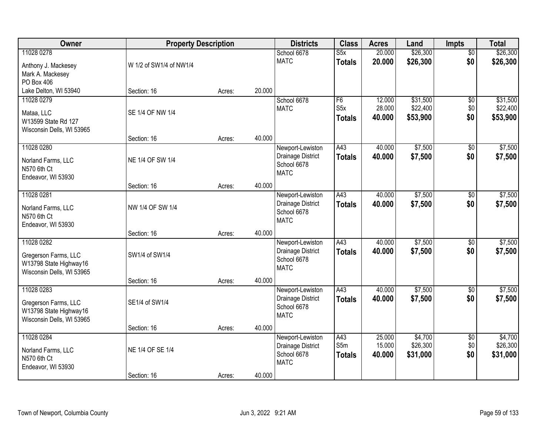| Owner                                                                                     | <b>Property Description</b> |        |        | <b>Districts</b>                                                    | <b>Class</b>                            | <b>Acres</b>               | Land                             | <b>Impts</b>                  | <b>Total</b>                     |
|-------------------------------------------------------------------------------------------|-----------------------------|--------|--------|---------------------------------------------------------------------|-----------------------------------------|----------------------------|----------------------------------|-------------------------------|----------------------------------|
| 11028 0278<br>Anthony J. Mackesey<br>Mark A. Mackesey<br>PO Box 406                       | W 1/2 of SW1/4 of NW1/4     |        |        | School 6678<br><b>MATC</b>                                          | S5x<br><b>Totals</b>                    | 20.000<br>20.000           | \$26,300<br>\$26,300             | $\overline{50}$<br>\$0        | \$26,300<br>\$26,300             |
| Lake Delton, WI 53940                                                                     | Section: 16                 | Acres: | 20.000 |                                                                     |                                         |                            |                                  |                               |                                  |
| 11028 0279<br>Mataa, LLC<br>W13599 State Rd 127<br>Wisconsin Dells, WI 53965              | SE 1/4 OF NW 1/4            |        |        | School 6678<br><b>MATC</b>                                          | F6<br>S <sub>5</sub> x<br><b>Totals</b> | 12.000<br>28.000<br>40.000 | \$31,500<br>\$22,400<br>\$53,900 | \$0<br>\$0<br>\$0             | \$31,500<br>\$22,400<br>\$53,900 |
| 11028 0280                                                                                | Section: 16                 | Acres: | 40.000 | Newport-Lewiston                                                    | A43                                     | 40.000                     | \$7,500                          | \$0                           | \$7,500                          |
| Norland Farms, LLC<br>N570 6th Ct<br>Endeavor, WI 53930                                   | NE 1/4 OF SW 1/4            |        |        | Drainage District<br>School 6678<br><b>MATC</b>                     | <b>Totals</b>                           | 40.000                     | \$7,500                          | \$0                           | \$7,500                          |
|                                                                                           | Section: 16                 | Acres: | 40.000 |                                                                     |                                         |                            |                                  |                               |                                  |
| 11028 0281<br>Norland Farms, LLC<br>N570 6th Ct<br>Endeavor, WI 53930                     | NW 1/4 OF SW 1/4            |        |        | Newport-Lewiston<br>Drainage District<br>School 6678<br><b>MATC</b> | A43<br><b>Totals</b>                    | 40.000<br>40.000           | \$7,500<br>\$7,500               | $\frac{1}{20}$<br>\$0         | \$7,500<br>\$7,500               |
|                                                                                           | Section: 16                 | Acres: | 40.000 |                                                                     |                                         |                            |                                  |                               |                                  |
| 11028 0282<br>Gregerson Farms, LLC<br>W13798 State Highway16<br>Wisconsin Dells, WI 53965 | SW1/4 of SW1/4              |        |        | Newport-Lewiston<br>Drainage District<br>School 6678<br><b>MATC</b> | A43<br><b>Totals</b>                    | 40.000<br>40.000           | \$7,500<br>\$7,500               | $\overline{60}$<br>\$0        | \$7,500<br>\$7,500               |
|                                                                                           | Section: 16                 | Acres: | 40.000 |                                                                     |                                         |                            |                                  |                               |                                  |
| 11028 0283<br>Gregerson Farms, LLC<br>W13798 State Highway16<br>Wisconsin Dells, WI 53965 | SE1/4 of SW1/4              |        |        | Newport-Lewiston<br>Drainage District<br>School 6678<br><b>MATC</b> | A43<br><b>Totals</b>                    | 40.000<br>40.000           | \$7,500<br>\$7,500               | \$0<br>\$0                    | \$7,500<br>\$7,500               |
|                                                                                           | Section: 16                 | Acres: | 40.000 |                                                                     |                                         |                            |                                  |                               |                                  |
| 11028 0284<br>Norland Farms, LLC<br>N570 6th Ct<br>Endeavor, WI 53930                     | NE 1/4 OF SE 1/4            |        |        | Newport-Lewiston<br>Drainage District<br>School 6678<br><b>MATC</b> | A43<br>S5m<br><b>Totals</b>             | 25.000<br>15.000<br>40.000 | \$4,700<br>\$26,300<br>\$31,000  | $\overline{60}$<br>\$0<br>\$0 | \$4,700<br>\$26,300<br>\$31,000  |
|                                                                                           | Section: 16                 | Acres: | 40.000 |                                                                     |                                         |                            |                                  |                               |                                  |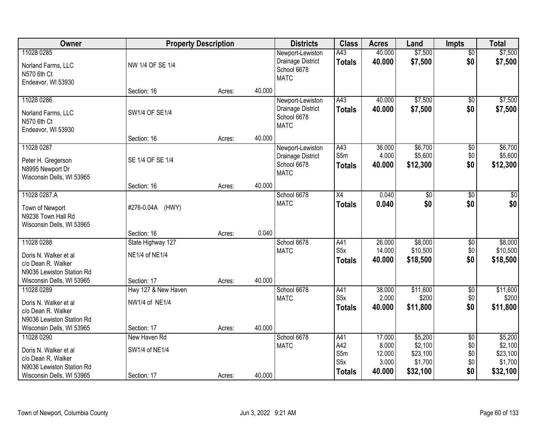| Owner                                                                                                               | <b>Property Description</b>                          |        |        | <b>Districts</b>                                                    | <b>Class</b>                                           | <b>Acres</b>                                 | Land                                                  | <b>Impts</b>                                | <b>Total</b>                                          |
|---------------------------------------------------------------------------------------------------------------------|------------------------------------------------------|--------|--------|---------------------------------------------------------------------|--------------------------------------------------------|----------------------------------------------|-------------------------------------------------------|---------------------------------------------|-------------------------------------------------------|
| 11028 0285<br>Norland Farms, LLC<br>N570 6th Ct<br>Endeavor, WI 53930                                               | NW 1/4 OF SE 1/4                                     |        |        | Newport-Lewiston<br>Drainage District<br>School 6678<br><b>MATC</b> | A43<br><b>Totals</b>                                   | 40.000<br>40.000                             | \$7,500<br>\$7,500                                    | $\overline{50}$<br>\$0                      | \$7,500<br>\$7,500                                    |
|                                                                                                                     | Section: 16                                          | Acres: | 40.000 |                                                                     |                                                        |                                              |                                                       |                                             |                                                       |
| 11028 0286<br>Norland Farms, LLC<br>N570 6th Ct<br>Endeavor, WI 53930                                               | SW1/4 OF SE1/4                                       |        |        | Newport-Lewiston<br>Drainage District<br>School 6678<br><b>MATC</b> | A43<br><b>Totals</b>                                   | 40.000<br>40.000                             | \$7,500<br>\$7,500                                    | \$0<br>\$0                                  | \$7,500<br>\$7,500                                    |
|                                                                                                                     | Section: 16                                          | Acres: | 40.000 |                                                                     |                                                        |                                              |                                                       |                                             |                                                       |
| 11028 0287<br>Peter H. Gregerson<br>N8995 Newport Dr<br>Wisconsin Dells, WI 53965                                   | SE 1/4 OF SE 1/4                                     |        |        | Newport-Lewiston<br>Drainage District<br>School 6678<br><b>MATC</b> | A43<br>S5m<br><b>Totals</b>                            | 36.000<br>4.000<br>40.000                    | \$6,700<br>\$5,600<br>\$12,300                        | \$0<br>\$0<br>\$0                           | \$6,700<br>\$5,600<br>\$12,300                        |
|                                                                                                                     | Section: 16                                          | Acres: | 40.000 |                                                                     |                                                        |                                              |                                                       |                                             |                                                       |
| 11028 0287.A<br>Town of Newport<br>N9236 Town Hall Rd<br>Wisconsin Dells, WI 53965                                  | #276-0.04A (HWY)                                     |        |        | School 6678<br><b>MATC</b>                                          | X4<br><b>Totals</b>                                    | 0.040<br>0.040                               | \$0<br>\$0                                            | \$0<br>\$0                                  | $\sqrt{50}$<br>\$0                                    |
|                                                                                                                     | Section: 16                                          | Acres: | 0.040  |                                                                     |                                                        |                                              |                                                       |                                             |                                                       |
| 11028 0288<br>Doris N. Walker et al<br>c/o Dean R. Walker<br>N9036 Lewiston Station Rd<br>Wisconsin Dells, WI 53965 | State Highway 127<br>NE1/4 of NE1/4<br>Section: 17   | Acres: | 40.000 | School 6678<br><b>MATC</b>                                          | A41<br>S5x<br><b>Totals</b>                            | 26.000<br>14.000<br>40.000                   | \$8,000<br>\$10,500<br>\$18,500                       | $\overline{50}$<br>\$0<br>\$0               | \$8,000<br>\$10,500<br>\$18,500                       |
| 11028 0289<br>Doris N. Walker et al<br>c/o Dean R. Walker<br>N9036 Lewiston Station Rd<br>Wisconsin Dells, WI 53965 | Hwy 127 & New Haven<br>NW1/4 of NE1/4<br>Section: 17 | Acres: | 40.000 | School 6678<br><b>MATC</b>                                          | A41<br>S <sub>5</sub> x<br><b>Totals</b>               | 38.000<br>2.000<br>40.000                    | \$11,600<br>\$200<br>\$11,800                         | $\sqrt{6}$<br>\$0<br>\$0                    | \$11,600<br>\$200<br>\$11,800                         |
| 11028 0290<br>Doris N. Walker et al<br>c/o Dean R. Walker<br>N9036 Lewiston Station Rd<br>Wisconsin Dells, WI 53965 | New Haven Rd<br>SW1/4 of NE1/4<br>Section: 17        | Acres: | 40.000 | School 6678<br><b>MATC</b>                                          | A41<br>A42<br>S5m<br>S <sub>5</sub> x<br><b>Totals</b> | 17.000<br>8.000<br>12.000<br>3.000<br>40.000 | \$5,200<br>\$2,100<br>\$23,100<br>\$1,700<br>\$32,100 | $\overline{50}$<br>\$0<br>\$0<br>\$0<br>\$0 | \$5,200<br>\$2,100<br>\$23,100<br>\$1,700<br>\$32,100 |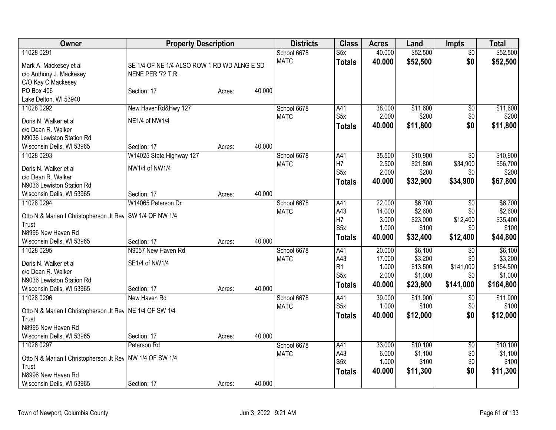| Owner                                                               | <b>Property Description</b>                 |        |        | <b>Districts</b> | <b>Class</b>     | <b>Acres</b> | Land     | <b>Impts</b>    | <b>Total</b> |
|---------------------------------------------------------------------|---------------------------------------------|--------|--------|------------------|------------------|--------------|----------|-----------------|--------------|
| 11028 0291                                                          |                                             |        |        | School 6678      | S5x              | 40.000       | \$52,500 | $\overline{50}$ | \$52,500     |
| Mark A. Mackesey et al                                              | SE 1/4 OF NE 1/4 ALSO ROW 1 RD WD ALNG E SD |        |        | <b>MATC</b>      | <b>Totals</b>    | 40.000       | \$52,500 | \$0             | \$52,500     |
| c/o Anthony J. Mackesey                                             | NENE PER '72 T.R.                           |        |        |                  |                  |              |          |                 |              |
| C/O Kay C Mackesey                                                  |                                             |        |        |                  |                  |              |          |                 |              |
| PO Box 406                                                          | Section: 17                                 | Acres: | 40.000 |                  |                  |              |          |                 |              |
| Lake Delton, WI 53940                                               |                                             |        |        |                  |                  |              |          |                 |              |
| 11028 0292                                                          | New HavenRd&Hwy 127                         |        |        | School 6678      | A41              | 38.000       | \$11,600 | $\overline{60}$ | \$11,600     |
| Doris N. Walker et al                                               | NE1/4 of NW1/4                              |        |        | <b>MATC</b>      | S <sub>5x</sub>  | 2.000        | \$200    | \$0             | \$200        |
| c/o Dean R. Walker                                                  |                                             |        |        |                  | <b>Totals</b>    | 40.000       | \$11,800 | \$0             | \$11,800     |
| N9036 Lewiston Station Rd                                           |                                             |        |        |                  |                  |              |          |                 |              |
| Wisconsin Dells, WI 53965                                           | Section: 17                                 | Acres: | 40.000 |                  |                  |              |          |                 |              |
| 11028 0293                                                          | W14025 State Highway 127                    |        |        | School 6678      | A41              | 35.500       | \$10,900 | $\overline{50}$ | \$10,900     |
| Doris N. Walker et al                                               | NW1/4 of NW1/4                              |        |        | <b>MATC</b>      | H7               | 2.500        | \$21,800 | \$34,900        | \$56,700     |
| c/o Dean R. Walker                                                  |                                             |        |        |                  | S <sub>5</sub> x | 2.000        | \$200    | \$0             | \$200        |
| N9036 Lewiston Station Rd                                           |                                             |        |        |                  | <b>Totals</b>    | 40.000       | \$32,900 | \$34,900        | \$67,800     |
| Wisconsin Dells, WI 53965                                           | Section: 17                                 | Acres: | 40.000 |                  |                  |              |          |                 |              |
| 11028 0294                                                          | W14065 Peterson Dr                          |        |        | School 6678      | A41              | 22.000       | \$6,700  | \$0             | \$6,700      |
|                                                                     |                                             |        |        | <b>MATC</b>      | A43              | 14.000       | \$2,600  | \$0             | \$2,600      |
| Otto N & Marian I Christopherson Jt Rev   SW 1/4 OF NW 1/4<br>Trust |                                             |        |        |                  | H7               | 3.000        | \$23,000 | \$12,400        | \$35,400     |
| N8996 New Haven Rd                                                  |                                             |        |        |                  | S <sub>5x</sub>  | 1.000        | \$100    | \$0             | \$100        |
| Wisconsin Dells, WI 53965                                           | Section: 17                                 | Acres: | 40.000 |                  | <b>Totals</b>    | 40.000       | \$32,400 | \$12,400        | \$44,800     |
| 11028 0295                                                          | N9057 New Haven Rd                          |        |        | School 6678      | A41              | 20.000       | \$6,100  | $\overline{50}$ | \$6,100      |
| Doris N. Walker et al                                               | SE1/4 of NW1/4                              |        |        | <b>MATC</b>      | A43              | 17.000       | \$3,200  | \$0             | \$3,200      |
| c/o Dean R. Walker                                                  |                                             |        |        |                  | R <sub>1</sub>   | 1.000        | \$13,500 | \$141,000       | \$154,500    |
| N9036 Lewiston Station Rd                                           |                                             |        |        |                  | S <sub>5</sub> x | 2.000        | \$1,000  | \$0             | \$1,000      |
| Wisconsin Dells, WI 53965                                           | Section: 17                                 | Acres: | 40.000 |                  | <b>Totals</b>    | 40.000       | \$23,800 | \$141,000       | \$164,800    |
| 11028 0296                                                          | New Haven Rd                                |        |        | School 6678      | A41              | 39.000       | \$11,900 | \$0             | \$11,900     |
|                                                                     |                                             |        |        | <b>MATC</b>      | S <sub>5x</sub>  | 1.000        | \$100    | \$0             | \$100        |
| Otto N & Marian I Christopherson Jt Rev   NE 1/4 OF SW 1/4<br>Trust |                                             |        |        |                  | <b>Totals</b>    | 40.000       | \$12,000 | \$0             | \$12,000     |
| N8996 New Haven Rd                                                  |                                             |        |        |                  |                  |              |          |                 |              |
| Wisconsin Dells, WI 53965                                           | Section: 17                                 | Acres: | 40.000 |                  |                  |              |          |                 |              |
| 11028 0297                                                          | Peterson Rd                                 |        |        | School 6678      | A41              | 33.000       | \$10,100 | \$0             | \$10,100     |
|                                                                     |                                             |        |        | <b>MATC</b>      | A43              | 6.000        | \$1,100  | \$0             | \$1,100      |
| Otto N & Marian I Christopherson Jt Rev   NW 1/4 OF SW 1/4          |                                             |        |        |                  | S5x              | 1.000        | \$100    | \$0             | \$100        |
| Trust                                                               |                                             |        |        |                  | <b>Totals</b>    | 40.000       | \$11,300 | \$0             | \$11,300     |
| N8996 New Haven Rd                                                  |                                             |        | 40.000 |                  |                  |              |          |                 |              |
| Wisconsin Dells, WI 53965                                           | Section: 17                                 | Acres: |        |                  |                  |              |          |                 |              |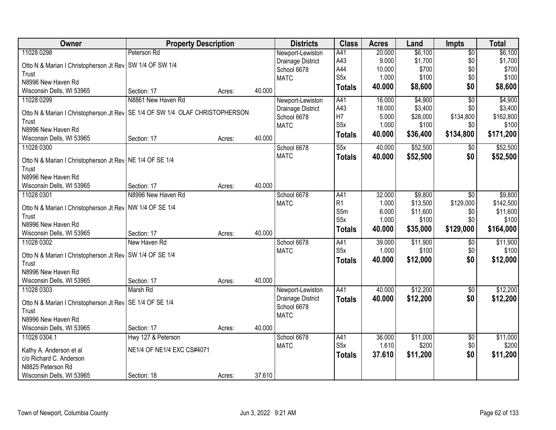| Owner                                                                          | <b>Property Description</b> |        |        | <b>Districts</b>  | <b>Class</b>     | <b>Acres</b> | Land     | <b>Impts</b>    | <b>Total</b> |
|--------------------------------------------------------------------------------|-----------------------------|--------|--------|-------------------|------------------|--------------|----------|-----------------|--------------|
| 11028 0298                                                                     | Peterson Rd                 |        |        | Newport-Lewiston  | A41              | 20.000       | \$6,100  | $\overline{50}$ | \$6,100      |
| Otto N & Marian I Christopherson Jt Rev   SW 1/4 OF SW 1/4                     |                             |        |        | Drainage District | A43              | 9.000        | \$1,700  | \$0             | \$1,700      |
| Trust                                                                          |                             |        |        | School 6678       | A44              | 10.000       | \$700    | \$0             | \$700        |
| N8996 New Haven Rd                                                             |                             |        |        | <b>MATC</b>       | S <sub>5</sub> x | 1.000        | \$100    | \$0             | \$100        |
| Wisconsin Dells, WI 53965                                                      | Section: 17                 | Acres: | 40.000 |                   | <b>Totals</b>    | 40.000       | \$8,600  | \$0             | \$8,600      |
| 11028 0299                                                                     | N8861 New Haven Rd          |        |        | Newport-Lewiston  | A41              | 16.000       | \$4,900  | $\overline{50}$ | \$4,900      |
|                                                                                |                             |        |        | Drainage District | A43              | 18.000       | \$3,400  | \$0             | \$3,400      |
| Otto N & Marian I Christopherson Jt Rev   SE 1/4 OF SW 1/4 OLAF CHRISTOPHERSON |                             |        |        | School 6678       | H7               | 5.000        | \$28,000 | \$134,800       | \$162,800    |
| Trust<br>N8996 New Haven Rd                                                    |                             |        |        | <b>MATC</b>       | S <sub>5</sub> x | 1.000        | \$100    | \$0             | \$100        |
| Wisconsin Dells, WI 53965                                                      | Section: 17                 |        | 40.000 |                   | <b>Totals</b>    | 40.000       | \$36,400 | \$134,800       | \$171,200    |
| 11028 0300                                                                     |                             | Acres: |        | School 6678       | S5x              | 40.000       | \$52,500 |                 | \$52,500     |
|                                                                                |                             |        |        | <b>MATC</b>       |                  |              |          | $\sqrt[6]{3}$   |              |
| Otto N & Marian I Christopherson Jt Rev   NE 1/4 OF SE 1/4                     |                             |        |        |                   | <b>Totals</b>    | 40.000       | \$52,500 | \$0             | \$52,500     |
| Trust                                                                          |                             |        |        |                   |                  |              |          |                 |              |
| N8996 New Haven Rd                                                             |                             |        |        |                   |                  |              |          |                 |              |
| Wisconsin Dells, WI 53965                                                      | Section: 17                 | Acres: | 40.000 |                   |                  |              |          |                 |              |
| 11028 0301                                                                     | N8996 New Haven Rd          |        |        | School 6678       | A41              | 32.000       | \$9,800  | $\sqrt{6}$      | \$9,800      |
| Otto N & Marian I Christopherson Jt Rev   NW 1/4 OF SE 1/4                     |                             |        |        | <b>MATC</b>       | R <sub>1</sub>   | 1.000        | \$13,500 | \$129,000       | \$142,500    |
| Trust                                                                          |                             |        |        |                   | S5m              | 6.000        | \$11,600 | \$0             | \$11,600     |
| N8996 New Haven Rd                                                             |                             |        |        |                   | S <sub>5</sub> x | 1.000        | \$100    | \$0             | \$100        |
| Wisconsin Dells, WI 53965                                                      | Section: 17                 | Acres: | 40.000 |                   | <b>Totals</b>    | 40.000       | \$35,000 | \$129,000       | \$164,000    |
| 11028 0302                                                                     | New Haven Rd                |        |        | School 6678       | A41              | 39.000       | \$11,900 | \$0             | \$11,900     |
|                                                                                |                             |        |        | <b>MATC</b>       | S <sub>5</sub> x | 1.000        | \$100    | \$0             | \$100        |
| Otto N & Marian I Christopherson Jt Rev   SW 1/4 OF SE 1/4                     |                             |        |        |                   | <b>Totals</b>    | 40.000       | \$12,000 | \$0             | \$12,000     |
| Trust                                                                          |                             |        |        |                   |                  |              |          |                 |              |
| N8996 New Haven Rd                                                             |                             |        |        |                   |                  |              |          |                 |              |
| Wisconsin Dells, WI 53965                                                      | Section: 17                 | Acres: | 40.000 |                   |                  |              |          |                 |              |
| 11028 0303                                                                     | Marsh Rd                    |        |        | Newport-Lewiston  | A41              | 40.000       | \$12,200 | \$0             | \$12,200     |
| Otto N & Marian I Christopherson Jt Rev   SE 1/4 OF SE 1/4                     |                             |        |        | Drainage District | <b>Totals</b>    | 40.000       | \$12,200 | \$0             | \$12,200     |
| Trust                                                                          |                             |        |        | School 6678       |                  |              |          |                 |              |
| N8996 New Haven Rd                                                             |                             |        |        | <b>MATC</b>       |                  |              |          |                 |              |
| Wisconsin Dells, WI 53965                                                      | Section: 17                 | Acres: | 40.000 |                   |                  |              |          |                 |              |
| 11028 0304.1                                                                   | Hwy 127 & Peterson          |        |        | School 6678       | A41              | 36.000       | \$11,000 | $\overline{50}$ | \$11,000     |
|                                                                                |                             |        |        | <b>MATC</b>       | S <sub>5</sub> x | 1.610        | \$200    | \$0             | \$200        |
| Kathy A. Anderson et al<br>c/o Richard C. Anderson                             | NE1/4 OF NE1/4 EXC CS#4071  |        |        |                   | <b>Totals</b>    | 37.610       | \$11,200 | \$0             | \$11,200     |
| N8825 Peterson Rd                                                              |                             |        |        |                   |                  |              |          |                 |              |
|                                                                                |                             |        | 37.610 |                   |                  |              |          |                 |              |
| Wisconsin Dells, WI 53965                                                      | Section: 18                 | Acres: |        |                   |                  |              |          |                 |              |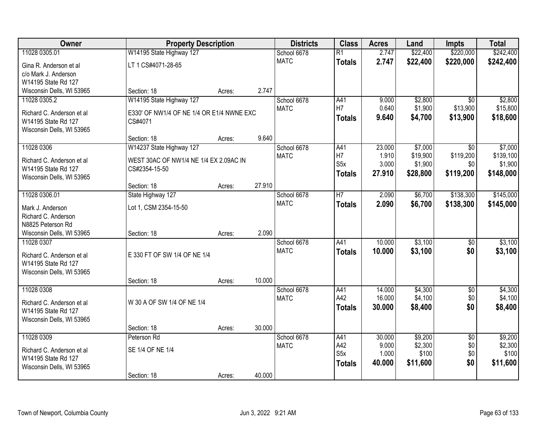| Owner                      | <b>Property Description</b>               |        |        | <b>Districts</b>           | <b>Class</b>           | <b>Acres</b>     | Land                | <b>Impts</b>           | <b>Total</b>         |
|----------------------------|-------------------------------------------|--------|--------|----------------------------|------------------------|------------------|---------------------|------------------------|----------------------|
| 11028 0305.01              | W14195 State Highway 127                  |        |        | School 6678                | $\overline{R1}$        | 2.747            | \$22,400            | \$220,000              | \$242,400            |
| Gina R. Anderson et al     | LT 1 CS#4071-28-65                        |        |        | <b>MATC</b>                | <b>Totals</b>          | 2.747            | \$22,400            | \$220,000              | \$242,400            |
| c/o Mark J. Anderson       |                                           |        |        |                            |                        |                  |                     |                        |                      |
| W14195 State Rd 127        |                                           |        |        |                            |                        |                  |                     |                        |                      |
| Wisconsin Dells, WI 53965  | Section: 18                               | Acres: | 2.747  |                            |                        |                  |                     |                        |                      |
| 11028 0305.2               | W14195 State Highway 127                  |        |        | School 6678                | A41                    | 9.000            | \$2,800             | $\overline{30}$        | \$2,800              |
| Richard C. Anderson et al. | E330' OF NW1/4 OF NE 1/4 OR E1/4 NWNE EXC |        |        | <b>MATC</b>                | H7                     | 0.640            | \$1,900             | \$13,900               | \$15,800             |
| W14195 State Rd 127        | CS#4071                                   |        |        |                            | <b>Totals</b>          | 9.640            | \$4,700             | \$13,900               | \$18,600             |
| Wisconsin Dells, WI 53965  |                                           |        |        |                            |                        |                  |                     |                        |                      |
|                            | Section: 18                               | Acres: | 9.640  |                            |                        |                  |                     |                        |                      |
| 11028 0306                 | W14237 State Highway 127                  |        |        | School 6678                | A41                    | 23.000           | \$7,000             | \$0                    | \$7,000              |
| Richard C. Anderson et al  | WEST 30AC OF NW1/4 NE 1/4 EX 2.09AC IN    |        |        | <b>MATC</b>                | H7<br>S <sub>5</sub> x | 1.910<br>3.000   | \$19,900<br>\$1,900 | \$119,200<br>\$0       | \$139,100<br>\$1,900 |
| W14195 State Rd 127        | CS#2354-15-50                             |        |        |                            | <b>Totals</b>          | 27.910           | \$28,800            | \$119,200              | \$148,000            |
| Wisconsin Dells, WI 53965  |                                           |        |        |                            |                        |                  |                     |                        |                      |
|                            | Section: 18                               | Acres: | 27.910 |                            |                        |                  |                     |                        |                      |
| 11028 0306.01              | State Highway 127                         |        |        | School 6678                | $\overline{H}$         | 2.090            | \$6,700             | \$138,300              | \$145,000            |
| Mark J. Anderson           | Lot 1, CSM 2354-15-50                     |        |        | <b>MATC</b>                | <b>Totals</b>          | 2.090            | \$6,700             | \$138,300              | \$145,000            |
| Richard C. Anderson        |                                           |        |        |                            |                        |                  |                     |                        |                      |
| N8825 Peterson Rd          |                                           |        |        |                            |                        |                  |                     |                        |                      |
| Wisconsin Dells, WI 53965  | Section: 18                               | Acres: | 2.090  |                            |                        |                  |                     |                        |                      |
| 11028 0307                 |                                           |        |        | School 6678                | A41                    | 10.000           | \$3,100             | $\overline{50}$        | \$3,100              |
| Richard C. Anderson et al  | E 330 FT OF SW 1/4 OF NE 1/4              |        |        | <b>MATC</b>                | <b>Totals</b>          | 10.000           | \$3,100             | \$0                    | \$3,100              |
| W14195 State Rd 127        |                                           |        |        |                            |                        |                  |                     |                        |                      |
| Wisconsin Dells, WI 53965  |                                           |        |        |                            |                        |                  |                     |                        |                      |
|                            | Section: 18                               | Acres: | 10.000 |                            |                        |                  |                     |                        |                      |
| 11028 0308                 |                                           |        |        | School 6678<br><b>MATC</b> | A41<br>A42             | 14.000<br>16.000 | \$4,300<br>\$4,100  | $\overline{60}$<br>\$0 | \$4,300<br>\$4,100   |
| Richard C. Anderson et al  | W 30 A OF SW 1/4 OF NE 1/4                |        |        |                            | <b>Totals</b>          | 30,000           | \$8,400             | \$0                    | \$8,400              |
| W14195 State Rd 127        |                                           |        |        |                            |                        |                  |                     |                        |                      |
| Wisconsin Dells, WI 53965  |                                           |        |        |                            |                        |                  |                     |                        |                      |
| 11028 0309                 | Section: 18<br>Peterson Rd                | Acres: | 30.000 |                            |                        |                  |                     |                        |                      |
|                            |                                           |        |        | School 6678<br><b>MATC</b> | A41<br>A42             | 30.000<br>9.000  | \$9,200<br>\$2,300  | $\overline{50}$<br>\$0 | \$9,200<br>\$2,300   |
| Richard C. Anderson et al  | SE 1/4 OF NE 1/4                          |        |        |                            | S <sub>5</sub> x       | 1.000            | \$100               | \$0                    | \$100                |
| W14195 State Rd 127        |                                           |        |        |                            | <b>Totals</b>          | 40.000           | \$11,600            | \$0                    | \$11,600             |
| Wisconsin Dells, WI 53965  |                                           |        |        |                            |                        |                  |                     |                        |                      |
|                            | Section: 18                               | Acres: | 40.000 |                            |                        |                  |                     |                        |                      |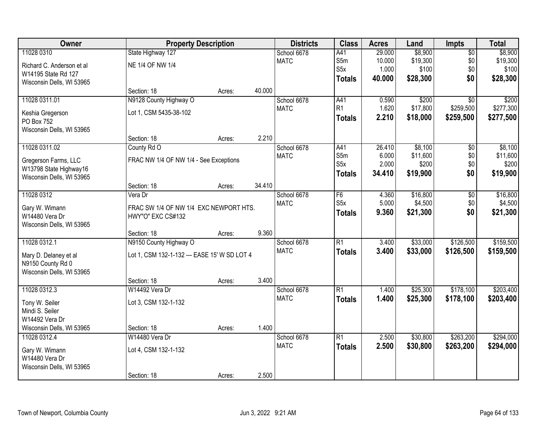| Owner                     | <b>Property Description</b>                  |        |        | <b>Districts</b> | <b>Class</b>     | <b>Acres</b> | Land     | <b>Impts</b>    | <b>Total</b> |
|---------------------------|----------------------------------------------|--------|--------|------------------|------------------|--------------|----------|-----------------|--------------|
| 11028 0310                | State Highway 127                            |        |        | School 6678      | A41              | 29.000       | \$8,900  | $\overline{50}$ | \$8,900      |
| Richard C. Anderson et al | NE 1/4 OF NW 1/4                             |        |        | <b>MATC</b>      | S5m              | 10.000       | \$19,300 | \$0             | \$19,300     |
| W14195 State Rd 127       |                                              |        |        |                  | S <sub>5</sub> x | 1.000        | \$100    | \$0             | \$100        |
| Wisconsin Dells, WI 53965 |                                              |        |        |                  | <b>Totals</b>    | 40.000       | \$28,300 | \$0             | \$28,300     |
|                           | Section: 18                                  | Acres: | 40.000 |                  |                  |              |          |                 |              |
| 11028 0311.01             | N9128 County Highway O                       |        |        | School 6678      | A41              | 0.590        | \$200    | $\overline{30}$ | \$200        |
| Keshia Gregerson          | Lot 1, CSM 5435-38-102                       |        |        | <b>MATC</b>      | R <sub>1</sub>   | 1.620        | \$17,800 | \$259,500       | \$277,300    |
| PO Box 752                |                                              |        |        |                  | <b>Totals</b>    | 2.210        | \$18,000 | \$259,500       | \$277,500    |
| Wisconsin Dells, WI 53965 |                                              |        |        |                  |                  |              |          |                 |              |
|                           | Section: 18                                  | Acres: | 2.210  |                  |                  |              |          |                 |              |
| 11028 0311.02             | County Rd O                                  |        |        | School 6678      | A41              | 26.410       | \$8,100  | \$0             | \$8,100      |
| Gregerson Farms, LLC      | FRAC NW 1/4 OF NW 1/4 - See Exceptions       |        |        | <b>MATC</b>      | S5m              | 6.000        | \$11,600 | \$0             | \$11,600     |
| W13798 State Highway16    |                                              |        |        |                  | S <sub>5</sub> x | 2.000        | \$200    | \$0             | \$200        |
| Wisconsin Dells, WI 53965 |                                              |        |        |                  | <b>Totals</b>    | 34.410       | \$19,900 | \$0             | \$19,900     |
|                           | Section: 18                                  | Acres: | 34.410 |                  |                  |              |          |                 |              |
| 11028 0312                | Vera Dr                                      |        |        | School 6678      | F6               | 4.360        | \$16,800 | \$0             | \$16,800     |
| Gary W. Wimann            | FRAC SW 1/4 OF NW 1/4 EXC NEWPORT HTS.       |        |        | <b>MATC</b>      | S <sub>5</sub> x | 5.000        | \$4,500  | \$0             | \$4,500      |
| W14480 Vera Dr            | HWY"O" EXC CS#132                            |        |        |                  | <b>Totals</b>    | 9.360        | \$21,300 | \$0             | \$21,300     |
| Wisconsin Dells, WI 53965 |                                              |        |        |                  |                  |              |          |                 |              |
|                           | Section: 18                                  | Acres: | 9.360  |                  |                  |              |          |                 |              |
| 11028 0312.1              | N9150 County Highway O                       |        |        | School 6678      | $\overline{R1}$  | 3.400        | \$33,000 | \$126,500       | \$159,500    |
| Mary D. Delaney et al     | Lot 1, CSM 132-1-132 --- EASE 15' W SD LOT 4 |        |        | <b>MATC</b>      | <b>Totals</b>    | 3.400        | \$33,000 | \$126,500       | \$159,500    |
| N9150 County Rd 0         |                                              |        |        |                  |                  |              |          |                 |              |
| Wisconsin Dells, WI 53965 |                                              |        |        |                  |                  |              |          |                 |              |
|                           | Section: 18                                  | Acres: | 3.400  |                  |                  |              |          |                 |              |
| 11028 0312.3              | W14492 Vera Dr                               |        |        | School 6678      | $\overline{R1}$  | 1.400        | \$25,300 | \$178,100       | \$203,400    |
| Tony W. Seiler            | Lot 3, CSM 132-1-132                         |        |        | <b>MATC</b>      | <b>Totals</b>    | 1.400        | \$25,300 | \$178,100       | \$203,400    |
| Mindi S. Seiler           |                                              |        |        |                  |                  |              |          |                 |              |
| W14492 Vera Dr            |                                              |        |        |                  |                  |              |          |                 |              |
| Wisconsin Dells, WI 53965 | Section: 18                                  | Acres: | 1.400  |                  |                  |              |          |                 |              |
| 11028 0312.4              | W14480 Vera Dr                               |        |        | School 6678      | $\overline{R1}$  | 2.500        | \$30,800 | \$263,200       | \$294,000    |
| Gary W. Wimann            | Lot 4, CSM 132-1-132                         |        |        | <b>MATC</b>      | <b>Totals</b>    | 2.500        | \$30,800 | \$263,200       | \$294,000    |
| W14480 Vera Dr            |                                              |        |        |                  |                  |              |          |                 |              |
| Wisconsin Dells, WI 53965 |                                              |        |        |                  |                  |              |          |                 |              |
|                           | Section: 18                                  | Acres: | 2.500  |                  |                  |              |          |                 |              |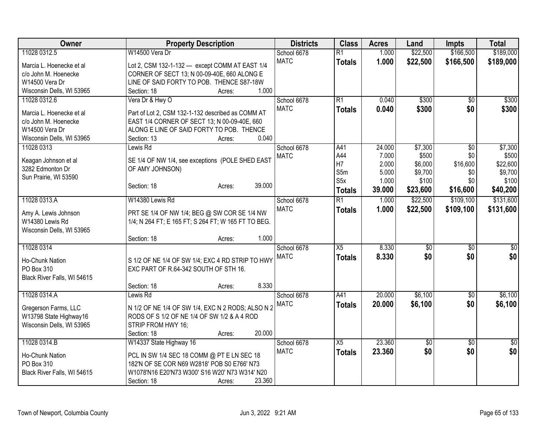| Owner                                               | <b>Property Description</b>                                                                      | <b>Districts</b> | <b>Class</b>    | <b>Acres</b> | Land            | <b>Impts</b>    | <b>Total</b> |
|-----------------------------------------------------|--------------------------------------------------------------------------------------------------|------------------|-----------------|--------------|-----------------|-----------------|--------------|
| 11028 0312.5                                        | W14500 Vera Dr                                                                                   | School 6678      | $\overline{R1}$ | 1.000        | \$22,500        | \$166,500       | \$189,000    |
| Marcia L. Hoenecke et al                            | Lot 2, CSM 132-1-132 --- except COMM AT EAST 1/4                                                 | <b>MATC</b>      | <b>Totals</b>   | 1.000        | \$22,500        | \$166,500       | \$189,000    |
| c/o John M. Hoenecke                                | CORNER OF SECT 13; N 00-09-40E, 660 ALONG E                                                      |                  |                 |              |                 |                 |              |
| W14500 Vera Dr                                      | LINE OF SAID FORTY TO POB. THENCE S87-18W                                                        |                  |                 |              |                 |                 |              |
| Wisconsin Dells, WI 53965                           | 1.000<br>Section: 18<br>Acres:                                                                   |                  |                 |              |                 |                 |              |
| 11028 0312.6                                        | Vera Dr & Hwy O                                                                                  | School 6678      | $\overline{R1}$ | 0.040        | \$300           | $\overline{30}$ | \$300        |
|                                                     |                                                                                                  | <b>MATC</b>      | <b>Totals</b>   | 0.040        | \$300           | \$0             | \$300        |
| Marcia L. Hoenecke et al                            | Part of Lot 2, CSM 132-1-132 described as COMM AT                                                |                  |                 |              |                 |                 |              |
| c/o John M. Hoenecke<br>W14500 Vera Dr              | EAST 1/4 CORNER OF SECT 13; N 00-09-40E, 660<br>ALONG E LINE OF SAID FORTY TO POB. THENCE        |                  |                 |              |                 |                 |              |
| Wisconsin Dells, WI 53965                           | 0.040<br>Section: 13<br>Acres:                                                                   |                  |                 |              |                 |                 |              |
| 11028 0313                                          | Lewis Rd                                                                                         | School 6678      | A41             | 24.000       | \$7,300         | $\overline{50}$ | \$7,300      |
|                                                     |                                                                                                  | <b>MATC</b>      | A44             | 7.000        | \$500           | \$0             | \$500        |
| Keagan Johnson et al                                | SE 1/4 OF NW 1/4, see exceptions (POLE SHED EAST                                                 |                  | H7              | 2.000        | \$6,000         | \$16,600        | \$22,600     |
| 3282 Edmonton Dr                                    | OF AMY JOHNSON)                                                                                  |                  | S5m             | 5.000        | \$9,700         | \$0             | \$9,700      |
| Sun Prairie, WI 53590                               |                                                                                                  |                  | S <sub>5x</sub> | 1.000        | \$100           | \$0             | \$100        |
|                                                     | 39.000<br>Section: 18<br>Acres:                                                                  |                  | <b>Totals</b>   | 39.000       | \$23,600        | \$16,600        | \$40,200     |
| 11028 0313.A                                        | W14380 Lewis Rd                                                                                  | School 6678      | $\overline{R1}$ | 1.000        | \$22,500        | \$109,100       | \$131,600    |
|                                                     |                                                                                                  | <b>MATC</b>      | <b>Totals</b>   | 1.000        | \$22,500        | \$109,100       | \$131,600    |
| Amy A. Lewis Johnson                                | PRT SE 1/4 OF NW 1/4; BEG @ SW COR SE 1/4 NW                                                     |                  |                 |              |                 |                 |              |
| W14380 Lewis Rd                                     | 1/4; N 264 FT; E 165 FT; S 264 FT; W 165 FT TO BEG.                                              |                  |                 |              |                 |                 |              |
| Wisconsin Dells, WI 53965                           |                                                                                                  |                  |                 |              |                 |                 |              |
|                                                     | 1.000<br>Section: 18<br>Acres:                                                                   |                  |                 |              |                 |                 |              |
| 11028 0314                                          |                                                                                                  | School 6678      | X5              | 8.330        | $\overline{50}$ | $\overline{30}$ | \$0          |
| Ho-Chunk Nation                                     | S 1/2 OF NE 1/4 OF SW 1/4; EXC 4 RD STRIP TO HWY                                                 | <b>MATC</b>      | <b>Totals</b>   | 8.330        | \$0             | \$0             | \$0          |
| PO Box 310                                          | EXC PART OF R.64-342 SOUTH OF STH 16.                                                            |                  |                 |              |                 |                 |              |
| Black River Falls, WI 54615                         |                                                                                                  |                  |                 |              |                 |                 |              |
|                                                     | 8.330<br>Section: 18<br>Acres:                                                                   |                  |                 |              |                 |                 |              |
| 11028 0314.A                                        | Lewis Rd                                                                                         | School 6678      | A41             | 20.000       | \$6,100         | \$0             | \$6,100      |
|                                                     |                                                                                                  | <b>MATC</b>      | <b>Totals</b>   | 20.000       | \$6,100         | \$0             | \$6,100      |
| Gregerson Farms, LLC                                | N 1/2 OF NE 1/4 OF SW 1/4, EXC N 2 RODS; ALSO N 2<br>RODS OF S 1/2 OF NE 1/4 OF SW 1/2 & A 4 ROD |                  |                 |              |                 |                 |              |
| W13798 State Highway16<br>Wisconsin Dells, WI 53965 | STRIP FROM HWY 16;                                                                               |                  |                 |              |                 |                 |              |
|                                                     | 20.000<br>Section: 18<br>Acres:                                                                  |                  |                 |              |                 |                 |              |
| 11028 0314.B                                        | W14337 State Highway 16                                                                          | School 6678      | $\overline{X5}$ | 23.360       | $\overline{50}$ | \$0             | \$0          |
|                                                     |                                                                                                  | <b>MATC</b>      | <b>Totals</b>   | 23.360       | \$0             | \$0             | \$0          |
| Ho-Chunk Nation                                     | PCL IN SW 1/4 SEC 18 COMM @ PT E LN SEC 18                                                       |                  |                 |              |                 |                 |              |
| PO Box 310                                          | 182'N OF SE COR N69 W2818' POB S0 E766' N73                                                      |                  |                 |              |                 |                 |              |
| Black River Falls, WI 54615                         | W1078'N16 E20'N73 W300' S16 W20' N73 W314' N20                                                   |                  |                 |              |                 |                 |              |
|                                                     | 23.360<br>Section: 18<br>Acres:                                                                  |                  |                 |              |                 |                 |              |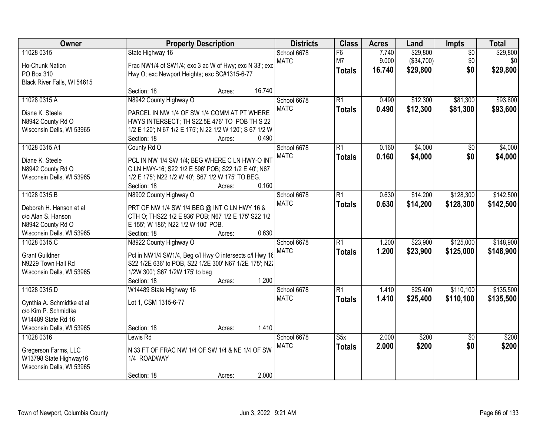| Owner                                              | <b>Property Description</b>                              | <b>Districts</b>           | <b>Class</b>    | <b>Acres</b> | Land       | Impts           | <b>Total</b> |
|----------------------------------------------------|----------------------------------------------------------|----------------------------|-----------------|--------------|------------|-----------------|--------------|
| 11028 0315                                         | State Highway 16                                         | School 6678                | F6              | 7.740        | \$29,800   | $\overline{50}$ | \$29,800     |
| Ho-Chunk Nation                                    | Frac NW1/4 of SW1/4; exc 3 ac W of Hwy; exc N 33'; exc   | <b>MATC</b>                | M7              | 9.000        | (\$34,700) | \$0             | \$0          |
| PO Box 310                                         | Hwy O; exc Newport Heights; exc SC#1315-6-77             |                            | <b>Totals</b>   | 16.740       | \$29,800   | \$0             | \$29,800     |
| Black River Falls, WI 54615                        |                                                          |                            |                 |              |            |                 |              |
|                                                    | 16.740<br>Section: 18<br>Acres:                          |                            |                 |              |            |                 |              |
| 11028 0315.A                                       | N8942 County Highway O                                   | School 6678                | $\overline{R1}$ | 0.490        | \$12,300   | \$81,300        | \$93,600     |
| Diane K. Steele                                    | PARCEL IN NW 1/4 OF SW 1/4 COMM AT PT WHERE              | <b>MATC</b>                | <b>Totals</b>   | 0.490        | \$12,300   | \$81,300        | \$93,600     |
| N8942 County Rd O                                  | HWYS INTERSECT; TH S22.5E 476' TO POB TH S 22            |                            |                 |              |            |                 |              |
| Wisconsin Dells, WI 53965                          | 1/2 E 120'; N 67 1/2 E 175'; N 22 1/2 W 120'; S 67 1/2 W |                            |                 |              |            |                 |              |
|                                                    | Section: 18<br>Acres:                                    | 0.490                      |                 |              |            |                 |              |
| 11028 0315.A1                                      | County Rd O                                              | School 6678                | R1              | 0.160        | \$4,000    | \$0             | \$4,000      |
|                                                    |                                                          | <b>MATC</b>                | <b>Totals</b>   | 0.160        | \$4,000    | \$0             | \$4,000      |
| Diane K. Steele                                    | PCL IN NW 1/4 SW 1/4; BEG WHERE C LN HWY-O INT           |                            |                 |              |            |                 |              |
| N8942 County Rd O                                  | C LN HWY-16; S22 1/2 E 596' POB; S22 1/2 E 40'; N67      |                            |                 |              |            |                 |              |
| Wisconsin Dells, WI 53965                          | 1/2 E 175'; N22 1/2 W 40'; S67 1/2 W 175' TO BEG.        | 0.160                      |                 |              |            |                 |              |
| 11028 0315.B                                       | Section: 18<br>Acres:                                    |                            | $\overline{R1}$ | 0.630        |            | \$128,300       | \$142,500    |
|                                                    | N8902 County Highway O                                   | School 6678<br><b>MATC</b> |                 |              | \$14,200   |                 |              |
| Deborah H. Hanson et al                            | PRT OF NW 1/4 SW 1/4 BEG @ INT C LN HWY 16 &             |                            | <b>Totals</b>   | 0.630        | \$14,200   | \$128,300       | \$142,500    |
| c/o Alan S. Hanson                                 | CTH O; THS22 1/2 E 936' POB; N67 1/2 E 175' S22 1/2      |                            |                 |              |            |                 |              |
| N8942 County Rd O                                  | E 155'; W 186'; N22 1/2 W 100' POB.                      |                            |                 |              |            |                 |              |
| Wisconsin Dells, WI 53965                          | Section: 18<br>Acres:                                    | 0.630                      |                 |              |            |                 |              |
| 11028 0315.C                                       | N8922 County Highway O                                   | School 6678                | $\overline{R1}$ | 1.200        | \$23,900   | \$125,000       | \$148,900    |
| <b>Grant Guildner</b>                              | Pcl in NW1/4 SW1/4, Beg c/l Hwy O intersects c/l Hwy 16  | <b>MATC</b>                | <b>Totals</b>   | 1.200        | \$23,900   | \$125,000       | \$148,900    |
| N9229 Town Hall Rd                                 | S22 1/2E 636' to POB, S22 1/2E 300' N67 1/2E 175'; N22   |                            |                 |              |            |                 |              |
| Wisconsin Dells, WI 53965                          | 1/2W 300'; S67 1/2W 175' to beg                          |                            |                 |              |            |                 |              |
|                                                    | Section: 18<br>Acres:                                    | 1.200                      |                 |              |            |                 |              |
| 11028 0315.D                                       | W14489 State Highway 16                                  | School 6678                | $\overline{R1}$ | 1.410        | \$25,400   | \$110,100       | \$135,500    |
|                                                    |                                                          | <b>MATC</b>                | <b>Totals</b>   | 1.410        | \$25,400   | \$110,100       | \$135,500    |
| Cynthia A. Schmidtke et al<br>c/o Kim P. Schmidtke | Lot 1, CSM 1315-6-77                                     |                            |                 |              |            |                 |              |
| W14489 State Rd 16                                 |                                                          |                            |                 |              |            |                 |              |
| Wisconsin Dells, WI 53965                          | Section: 18<br>Acres:                                    | 1.410                      |                 |              |            |                 |              |
| 11028 0316                                         | Lewis Rd                                                 | School 6678                | S5x             | 2.000        | \$200      | $\overline{50}$ | \$200        |
|                                                    |                                                          | <b>MATC</b>                | <b>Totals</b>   | 2.000        | \$200      | \$0             | \$200        |
| Gregerson Farms, LLC                               | N 33 FT OF FRAC NW 1/4 OF SW 1/4 & NE 1/4 OF SW          |                            |                 |              |            |                 |              |
| W13798 State Highway16                             | 1/4 ROADWAY                                              |                            |                 |              |            |                 |              |
| Wisconsin Dells, WI 53965                          |                                                          |                            |                 |              |            |                 |              |
|                                                    | Section: 18<br>Acres:                                    | 2.000                      |                 |              |            |                 |              |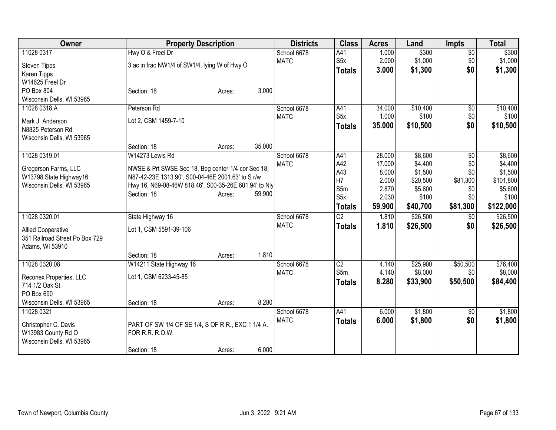| <b>Owner</b>                   | <b>Property Description</b>                           |        |        | <b>Districts</b> | <b>Class</b>     | <b>Acres</b> | Land     | <b>Impts</b>    | <b>Total</b> |
|--------------------------------|-------------------------------------------------------|--------|--------|------------------|------------------|--------------|----------|-----------------|--------------|
| 11028 0317                     | Hwy O & Freel Dr                                      |        |        | School 6678      | A41              | 1.000        | \$300    | $\overline{50}$ | \$300        |
| <b>Steven Tipps</b>            | 3 ac in frac NW1/4 of SW1/4, lying W of Hwy O         |        |        | <b>MATC</b>      | S5x              | 2.000        | \$1,000  | \$0             | \$1,000      |
| Karen Tipps                    |                                                       |        |        |                  | <b>Totals</b>    | 3.000        | \$1,300  | \$0             | \$1,300      |
| W14625 Freel Dr                |                                                       |        |        |                  |                  |              |          |                 |              |
| PO Box 804                     | Section: 18                                           | Acres: | 3.000  |                  |                  |              |          |                 |              |
| Wisconsin Dells, WI 53965      |                                                       |        |        |                  |                  |              |          |                 |              |
| 11028 0318.A                   | Peterson Rd                                           |        |        | School 6678      | A41              | 34.000       | \$10,400 | $\overline{60}$ | \$10,400     |
| Mark J. Anderson               | Lot 2, CSM 1459-7-10                                  |        |        | <b>MATC</b>      | S <sub>5</sub> x | 1.000        | \$100    | \$0             | \$100        |
| N8825 Peterson Rd              |                                                       |        |        |                  | <b>Totals</b>    | 35.000       | \$10,500 | \$0             | \$10,500     |
| Wisconsin Dells, WI 53965      |                                                       |        |        |                  |                  |              |          |                 |              |
|                                | Section: 18                                           | Acres: | 35.000 |                  |                  |              |          |                 |              |
| 11028 0319.01                  | W14273 Lewis Rd                                       |        |        | School 6678      | A41              | 28.000       | \$8,600  | $\sqrt[6]{}$    | \$8,600      |
| Gregerson Farms, LLC           | NWSE & Prt SWSE Sec 18, Beg center 1/4 cor Sec 18,    |        |        | <b>MATC</b>      | A42              | 17.000       | \$4,400  | \$0             | \$4,400      |
| W13798 State Highway16         | N87-42-23E 1313.90', S00-04-46E 2001.63' to S r/w     |        |        |                  | A43              | 8.000        | \$1,500  | \$0             | \$1,500      |
| Wisconsin Dells, WI 53965      | Hwy 16, N69-08-46W 818.46', S00-35-26E 601.94' to Nly |        |        |                  | H7               | 2.000        | \$20,500 | \$81,300        | \$101,800    |
|                                | Section: 18                                           | Acres: | 59.900 |                  | S5m              | 2.870        | \$5,600  | \$0             | \$5,600      |
|                                |                                                       |        |        |                  | S <sub>5</sub> x | 2.030        | \$100    | \$0             | \$100        |
|                                |                                                       |        |        |                  | <b>Totals</b>    | 59.900       | \$40,700 | \$81,300        | \$122,000    |
| 11028 0320.01                  | State Highway 16                                      |        |        | School 6678      | $\overline{C2}$  | 1.810        | \$26,500 | \$0             | \$26,500     |
| <b>Allied Cooperative</b>      | Lot 1, CSM 5591-39-106                                |        |        | <b>MATC</b>      | <b>Totals</b>    | 1.810        | \$26,500 | \$0             | \$26,500     |
| 351 Railroad Street Po Box 729 |                                                       |        |        |                  |                  |              |          |                 |              |
| Adams, WI 53910                |                                                       |        |        |                  |                  |              |          |                 |              |
|                                | Section: 18                                           | Acres: | 1.810  |                  |                  |              |          |                 |              |
| 11028 0320.08                  | W14211 State Highway 16                               |        |        | School 6678      | $\overline{C2}$  | 4.140        | \$25,900 | \$50,500        | \$76,400     |
| Reconex Properties, LLC        | Lot 1, CSM 6233-45-85                                 |        |        | <b>MATC</b>      | S5m              | 4.140        | \$8,000  | \$0             | \$8,000      |
| 714 1/2 Oak St                 |                                                       |        |        |                  | <b>Totals</b>    | 8.280        | \$33,900 | \$50,500        | \$84,400     |
| PO Box 690                     |                                                       |        |        |                  |                  |              |          |                 |              |
| Wisconsin Dells, WI 53965      | Section: 18                                           | Acres: | 8.280  |                  |                  |              |          |                 |              |
| 11028 0321                     |                                                       |        |        | School 6678      | A41              | 6.000        | \$1,800  | \$0             | \$1,800      |
| Christopher C. Davis           | PART OF SW 1/4 OF SE 1/4, S OF R.R., EXC 1 1/4 A.     |        |        | <b>MATC</b>      | <b>Totals</b>    | 6.000        | \$1,800  | \$0             | \$1,800      |
| W13983 County Rd O             | FOR R.R. R.O.W.                                       |        |        |                  |                  |              |          |                 |              |
| Wisconsin Dells, WI 53965      |                                                       |        |        |                  |                  |              |          |                 |              |
|                                | Section: 18                                           | Acres: | 6.000  |                  |                  |              |          |                 |              |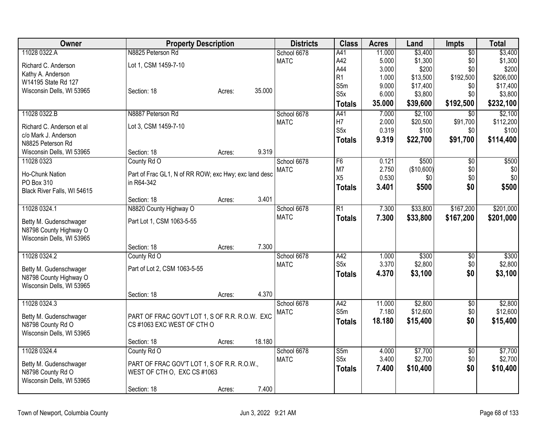| Owner                       | <b>Property Description</b>                                         |        |        | <b>Districts</b> | <b>Class</b>     | <b>Acres</b> | Land       | <b>Impts</b>    | <b>Total</b> |
|-----------------------------|---------------------------------------------------------------------|--------|--------|------------------|------------------|--------------|------------|-----------------|--------------|
| 11028 0322.A                | N8825 Peterson Rd                                                   |        |        | School 6678      | A41              | 11.000       | \$3,400    | $\overline{50}$ | \$3,400      |
| Richard C. Anderson         | Lot 1, CSM 1459-7-10                                                |        |        | <b>MATC</b>      | A42              | 5.000        | \$1,300    | \$0             | \$1,300      |
| Kathy A. Anderson           |                                                                     |        |        |                  | A44              | 3.000        | \$200      | \$0             | \$200        |
| W14195 State Rd 127         |                                                                     |        |        |                  | R <sub>1</sub>   | 1.000        | \$13,500   | \$192,500       | \$206,000    |
| Wisconsin Dells, WI 53965   | Section: 18                                                         | Acres: | 35.000 |                  | S5m              | 9.000        | \$17,400   | \$0             | \$17,400     |
|                             |                                                                     |        |        |                  | S5x              | 6.000        | \$3,800    | \$0             | \$3,800      |
|                             |                                                                     |        |        |                  | <b>Totals</b>    | 35.000       | \$39,600   | \$192,500       | \$232,100    |
| 11028 0322.B                | N8887 Peterson Rd                                                   |        |        | School 6678      | A41              | 7.000        | \$2,100    | \$0             | \$2,100      |
| Richard C. Anderson et al   | Lot 3, CSM 1459-7-10                                                |        |        | <b>MATC</b>      | H7               | 2.000        | \$20,500   | \$91,700        | \$112,200    |
| c/o Mark J. Anderson        |                                                                     |        |        |                  | S5x              | 0.319        | \$100      | \$0             | \$100        |
| N8825 Peterson Rd           |                                                                     |        |        |                  | <b>Totals</b>    | 9.319        | \$22,700   | \$91,700        | \$114,400    |
| Wisconsin Dells, WI 53965   | Section: 18                                                         | Acres: | 9.319  |                  |                  |              |            |                 |              |
| 11028 0323                  | County Rd O                                                         |        |        | School 6678      | F <sub>6</sub>   | 0.121        | \$500      | \$0             | \$500        |
| Ho-Chunk Nation             |                                                                     |        |        | <b>MATC</b>      | M7               | 2.750        | (\$10,600) | \$0             | \$0          |
| PO Box 310                  | Part of Frac GL1, N of RR ROW; exc Hwy; exc land desc<br>in R64-342 |        |        |                  | X5               | 0.530        | \$0        | \$0             | \$0          |
| Black River Falls, WI 54615 |                                                                     |        |        |                  | <b>Totals</b>    | 3.401        | \$500      | \$0             | \$500        |
|                             | Section: 18                                                         | Acres: | 3.401  |                  |                  |              |            |                 |              |
| 11028 0324.1                | N8820 County Highway O                                              |        |        | School 6678      | $\overline{R1}$  | 7.300        | \$33,800   | \$167,200       | \$201,000    |
|                             |                                                                     |        |        | <b>MATC</b>      | <b>Totals</b>    | 7.300        | \$33,800   | \$167,200       | \$201,000    |
| Betty M. Gudenschwager      | Part Lot 1, CSM 1063-5-55                                           |        |        |                  |                  |              |            |                 |              |
| N8798 County Highway O      |                                                                     |        |        |                  |                  |              |            |                 |              |
| Wisconsin Dells, WI 53965   |                                                                     |        |        |                  |                  |              |            |                 |              |
|                             | Section: 18                                                         | Acres: | 7.300  |                  |                  |              |            |                 |              |
| 11028 0324.2                | County Rd O                                                         |        |        | School 6678      | A42              | 1.000        | \$300      | $\overline{50}$ | \$300        |
| Betty M. Gudenschwager      | Part of Lot 2, CSM 1063-5-55                                        |        |        | <b>MATC</b>      | S5x              | 3.370        | \$2,800    | \$0             | \$2,800      |
| N8798 County Highway O      |                                                                     |        |        |                  | <b>Totals</b>    | 4.370        | \$3,100    | \$0             | \$3,100      |
| Wisconsin Dells, WI 53965   |                                                                     |        |        |                  |                  |              |            |                 |              |
|                             | Section: 18                                                         | Acres: | 4.370  |                  |                  |              |            |                 |              |
| 11028 0324.3                |                                                                     |        |        | School 6678      | A42              | 11.000       | \$2,800    | $\overline{50}$ | \$2,800      |
| Betty M. Gudenschwager      | PART OF FRAC GOV'T LOT 1, S OF R.R. R.O.W. EXC                      |        |        | <b>MATC</b>      | S5m              | 7.180        | \$12,600   | \$0             | \$12,600     |
| N8798 County Rd O           | CS#1063 EXC WEST OF CTH O                                           |        |        |                  | <b>Totals</b>    | 18.180       | \$15,400   | \$0             | \$15,400     |
| Wisconsin Dells, WI 53965   |                                                                     |        |        |                  |                  |              |            |                 |              |
|                             | Section: 18                                                         | Acres: | 18.180 |                  |                  |              |            |                 |              |
| 11028 0324.4                | County Rd O                                                         |        |        | School 6678      | S5m              | 4.000        | \$7,700    | $\overline{50}$ | \$7,700      |
|                             |                                                                     |        |        | <b>MATC</b>      | S <sub>5</sub> x | 3.400        | \$2,700    | \$0             | \$2,700      |
| Betty M. Gudenschwager      | PART OF FRAC GOV'T LOT 1, S OF R.R. R.O.W.,                         |        |        |                  | <b>Totals</b>    | 7.400        | \$10,400   | \$0             | \$10,400     |
| N8798 County Rd O           | WEST OF CTH O, EXC CS #1063                                         |        |        |                  |                  |              |            |                 |              |
| Wisconsin Dells, WI 53965   |                                                                     |        |        |                  |                  |              |            |                 |              |
|                             | Section: 18                                                         | Acres: | 7.400  |                  |                  |              |            |                 |              |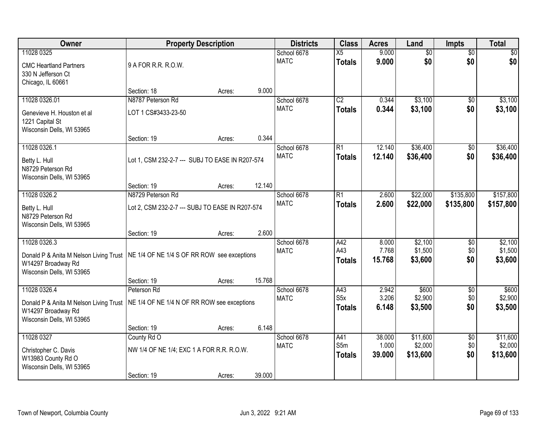| Owner                                                                                                     | <b>Property Description</b>                                             |        |        | <b>Districts</b>           | <b>Class</b>                             | <b>Acres</b>              | Land                            | Impts                         | <b>Total</b>                    |
|-----------------------------------------------------------------------------------------------------------|-------------------------------------------------------------------------|--------|--------|----------------------------|------------------------------------------|---------------------------|---------------------------------|-------------------------------|---------------------------------|
| 11028 0325<br><b>CMC Heartland Partners</b><br>330 N Jefferson Ct<br>Chicago, IL 60661                    | 9 A FOR R.R. R.O.W.                                                     |        |        | School 6678<br><b>MATC</b> | $\overline{X5}$<br><b>Totals</b>         | 9.000<br>9.000            | $\overline{60}$<br>\$0          | $\overline{50}$<br>\$0        | \$0<br>\$0                      |
|                                                                                                           | Section: 18                                                             | Acres: | 9.000  |                            |                                          |                           |                                 |                               |                                 |
| 11028 0326.01<br>Genevieve H. Houston et al<br>1221 Capital St<br>Wisconsin Dells, WI 53965               | N8787 Peterson Rd<br>LOT 1 CS#3433-23-50                                |        |        | School 6678<br><b>MATC</b> | $\overline{C2}$<br><b>Totals</b>         | 0.344<br>0.344            | \$3,100<br>\$3,100              | $\overline{50}$<br>\$0        | \$3,100<br>\$3,100              |
| 11028 0326.1                                                                                              | Section: 19                                                             | Acres: | 0.344  | School 6678                | R1                                       | 12.140                    | \$36,400                        | \$0                           | \$36,400                        |
| Betty L. Hull<br>N8729 Peterson Rd<br>Wisconsin Dells, WI 53965                                           | Lot 1, CSM 232-2-7 --- SUBJ TO EASE IN R207-574                         |        |        | <b>MATC</b>                | <b>Totals</b>                            | 12.140                    | \$36,400                        | \$0                           | \$36,400                        |
|                                                                                                           | Section: 19                                                             | Acres: | 12.140 |                            |                                          |                           |                                 |                               |                                 |
| 11028 0326.2<br>Betty L. Hull<br>N8729 Peterson Rd<br>Wisconsin Dells, WI 53965                           | N8729 Peterson Rd<br>Lot 2, CSM 232-2-7 --- SUBJ TO EASE IN R207-574    |        |        | School 6678<br><b>MATC</b> | $\overline{R1}$<br><b>Totals</b>         | 2.600<br>2.600            | \$22,000<br>\$22,000            | \$135,800<br>\$135,800        | \$157,800<br>\$157,800          |
|                                                                                                           | Section: 19                                                             | Acres: | 2.600  |                            |                                          |                           |                                 |                               |                                 |
| 11028 0326.3<br>Donald P & Anita M Nelson Living Trust<br>W14297 Broadway Rd<br>Wisconsin Dells, WI 53965 | NE 1/4 OF NE 1/4 S OF RR ROW see exceptions                             |        |        | School 6678<br><b>MATC</b> | A42<br>A43<br><b>Totals</b>              | 8.000<br>7.768<br>15.768  | \$2,100<br>\$1,500<br>\$3,600   | $\overline{50}$<br>\$0<br>\$0 | \$2,100<br>\$1,500<br>\$3,600   |
|                                                                                                           | Section: 19                                                             | Acres: | 15.768 |                            |                                          |                           |                                 |                               |                                 |
| 11028 0326.4<br>Donald P & Anita M Nelson Living Trust<br>W14297 Broadway Rd<br>Wisconsin Dells, WI 53965 | Peterson Rd<br>NE 1/4 OF NE 1/4 N OF RR ROW see exceptions              |        |        | School 6678<br><b>MATC</b> | A43<br>S <sub>5</sub> x<br><b>Totals</b> | 2.942<br>3.206<br>6.148   | \$600<br>\$2,900<br>\$3,500     | $\overline{50}$<br>\$0<br>\$0 | \$600<br>\$2,900<br>\$3,500     |
|                                                                                                           | Section: 19                                                             | Acres: | 6.148  |                            |                                          |                           |                                 |                               |                                 |
| 11028 0327<br>Christopher C. Davis<br>W13983 County Rd O<br>Wisconsin Dells, WI 53965                     | County Rd O<br>NW 1/4 OF NE 1/4; EXC 1 A FOR R.R. R.O.W.<br>Section: 19 | Acres: | 39.000 | School 6678<br><b>MATC</b> | A41<br>S5m<br><b>Totals</b>              | 38,000<br>1.000<br>39.000 | \$11,600<br>\$2,000<br>\$13,600 | $\overline{50}$<br>\$0<br>\$0 | \$11,600<br>\$2,000<br>\$13,600 |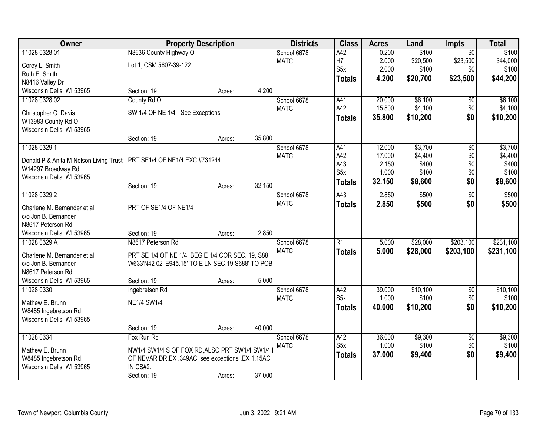| Owner                                      | <b>Property Description</b>                       |        |        | <b>Districts</b>           | <b>Class</b>     | <b>Acres</b> | Land     | <b>Impts</b>    | <b>Total</b> |
|--------------------------------------------|---------------------------------------------------|--------|--------|----------------------------|------------------|--------------|----------|-----------------|--------------|
| 11028 0328.01                              | N8636 County Highway O                            |        |        | School 6678                | A42              | 0.200        | \$100    | $\overline{50}$ | \$100        |
| Corey L. Smith                             | Lot 1, CSM 5607-39-122                            |        |        | <b>MATC</b>                | H7               | 2.000        | \$20,500 | \$23,500        | \$44,000     |
| Ruth E. Smith                              |                                                   |        |        |                            | S <sub>5</sub> x | 2.000        | \$100    | \$0             | \$100        |
| N8416 Valley Dr                            |                                                   |        |        |                            | <b>Totals</b>    | 4.200        | \$20,700 | \$23,500        | \$44,200     |
| Wisconsin Dells, WI 53965                  | Section: 19                                       | Acres: | 4.200  |                            |                  |              |          |                 |              |
| 11028 0328.02                              | County Rd O                                       |        |        | School 6678                | A41              | 20.000       | \$6,100  | \$0             | \$6,100      |
|                                            | SW 1/4 OF NE 1/4 - See Exceptions                 |        |        | <b>MATC</b>                | A42              | 15.800       | \$4,100  | \$0             | \$4,100      |
| Christopher C. Davis<br>W13983 County Rd O |                                                   |        |        |                            | Totals           | 35.800       | \$10,200 | \$0             | \$10,200     |
| Wisconsin Dells, WI 53965                  |                                                   |        |        |                            |                  |              |          |                 |              |
|                                            | Section: 19                                       | Acres: | 35.800 |                            |                  |              |          |                 |              |
| 11028 0329.1                               |                                                   |        |        | School 6678                | A41              | 12.000       | \$3,700  | $\overline{50}$ | \$3,700      |
|                                            |                                                   |        |        | <b>MATC</b>                | A42              | 17.000       | \$4,400  | \$0             | \$4,400      |
| Donald P & Anita M Nelson Living Trust     | PRT SE1/4 OF NE1/4 EXC #731244                    |        |        |                            | A43              | 2.150        | \$400    | \$0             | \$400        |
| W14297 Broadway Rd                         |                                                   |        |        |                            | S <sub>5</sub> x | 1.000        | \$100    | \$0             | \$100        |
| Wisconsin Dells, WI 53965                  |                                                   |        |        |                            | <b>Totals</b>    | 32.150       | \$8,600  | \$0             | \$8,600      |
|                                            | Section: 19                                       | Acres: | 32.150 |                            |                  |              |          |                 |              |
| 11028 0329.2                               |                                                   |        |        | School 6678<br><b>MATC</b> | A43              | 2.850        | \$500    | $\overline{50}$ | \$500        |
| Charlene M. Bernander et al                | PRT OF SE1/4 OF NE1/4                             |        |        |                            | <b>Totals</b>    | 2.850        | \$500    | \$0             | \$500        |
| c/o Jon B. Bernander                       |                                                   |        |        |                            |                  |              |          |                 |              |
| N8617 Peterson Rd                          |                                                   |        |        |                            |                  |              |          |                 |              |
| Wisconsin Dells, WI 53965                  | Section: 19                                       | Acres: | 2.850  |                            |                  |              |          |                 |              |
| 11028 0329.A                               | N8617 Peterson Rd                                 |        |        | School 6678                | $\overline{R1}$  | 5.000        | \$28,000 | \$203,100       | \$231,100    |
| Charlene M. Bernander et al                | PRT SE 1/4 OF NE 1/4, BEG E 1/4 COR SEC. 19, S88  |        |        | <b>MATC</b>                | <b>Totals</b>    | 5.000        | \$28,000 | \$203,100       | \$231,100    |
| c/o Jon B. Bernander                       | W633'N42 02' E945.15' TO E LN SEC.19 S688' TO POB |        |        |                            |                  |              |          |                 |              |
| N8617 Peterson Rd                          |                                                   |        |        |                            |                  |              |          |                 |              |
| Wisconsin Dells, WI 53965                  | Section: 19                                       | Acres: | 5.000  |                            |                  |              |          |                 |              |
| 11028 0330                                 | Ingebretson Rd                                    |        |        | School 6678                | A42              | 39.000       | \$10,100 | $\sqrt{$0}$     | \$10,100     |
| Mathew E. Brunn                            | <b>NE1/4 SW1/4</b>                                |        |        | <b>MATC</b>                | S <sub>5x</sub>  | 1.000        | \$100    | \$0             | \$100        |
| W8485 Ingebretson Rd                       |                                                   |        |        |                            | Totals           | 40.000       | \$10,200 | \$0             | \$10,200     |
| Wisconsin Dells, WI 53965                  |                                                   |        |        |                            |                  |              |          |                 |              |
|                                            | Section: 19                                       | Acres: | 40.000 |                            |                  |              |          |                 |              |
| 11028 0334                                 | Fox Run Rd                                        |        |        | School 6678                | A42              | 36.000       | \$9,300  | $\overline{30}$ | \$9,300      |
|                                            |                                                   |        |        | <b>MATC</b>                | S5x              | 1.000        | \$100    | \$0             | \$100        |
| Mathew E. Brunn                            | NW1/4 SW1/4 S OF FOX RD, ALSO PRT SW1/4 SW1/4 I   |        |        |                            | <b>Totals</b>    | 37.000       | \$9,400  | \$0             | \$9,400      |
| W8485 Ingebretson Rd                       | OF NEVAR DR, EX .349AC see exceptions , EX 1.15AC |        |        |                            |                  |              |          |                 |              |
| Wisconsin Dells, WI 53965                  | IN CS#2.                                          |        |        |                            |                  |              |          |                 |              |
|                                            | Section: 19                                       | Acres: | 37.000 |                            |                  |              |          |                 |              |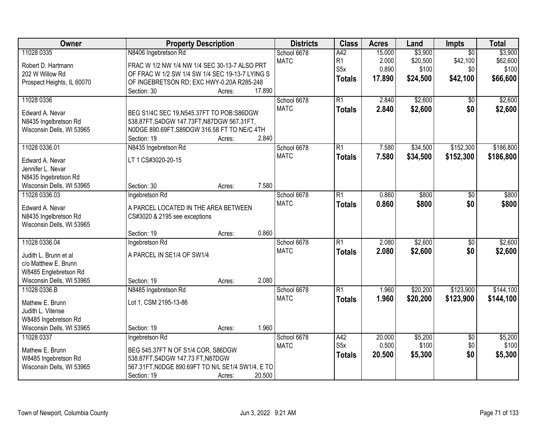| Owner                                             | <b>Property Description</b>                                                            |        |        | <b>Districts</b> | <b>Class</b>     | <b>Acres</b> | Land     | Impts           | <b>Total</b> |
|---------------------------------------------------|----------------------------------------------------------------------------------------|--------|--------|------------------|------------------|--------------|----------|-----------------|--------------|
| 11028 0335                                        | N8406 Ingebretson Rd                                                                   |        |        | School 6678      | A42              | 15.000       | \$3,900  | $\overline{50}$ | \$3,900      |
| Robert D. Hartmann                                | FRAC W 1/2 NW 1/4 NW 1/4 SEC 30-13-7 ALSO PRT                                          |        |        | <b>MATC</b>      | R <sub>1</sub>   | 2.000        | \$20,500 | \$42,100        | \$62,600     |
| 202 W Willow Rd                                   | OF FRAC W 1/2 SW 1/4 SW 1/4 SEC 19-13-7 LYING S                                        |        |        |                  | S <sub>5</sub> x | 0.890        | \$100    | \$0             | \$100        |
| Prospect Heights, IL 60070                        | OF INGEBRETSON RD; EXC HWY-0.20A R285-248                                              |        |        |                  | <b>Totals</b>    | 17.890       | \$24,500 | \$42,100        | \$66,600     |
|                                                   | Section: 30                                                                            | Acres: | 17.890 |                  |                  |              |          |                 |              |
| 11028 0336                                        |                                                                                        |        |        | School 6678      | $\overline{R1}$  | 2.840        | \$2,600  | $\overline{50}$ | \$2,600      |
| Edward A. Nevar                                   | BEG S1/4C SEC 19, N545.37FT TO POB: S86DGW                                             |        |        | <b>MATC</b>      | <b>Totals</b>    | 2.840        | \$2,600  | \$0             | \$2,600      |
| N8435 Ingelbretson Rd                             | 538.87FT, S4DGW 147.73FT, N87DGW 567.31FT,                                             |        |        |                  |                  |              |          |                 |              |
| Wisconsin Dells, WI 53965                         | N0DGE 890.69FT, S89DGW 316.58 FT TO NE/C 4TH                                           |        |        |                  |                  |              |          |                 |              |
|                                                   | Section: 19                                                                            | Acres: | 2.840  |                  |                  |              |          |                 |              |
| 11028 0336.01                                     | N8435 Ingebretson Rd                                                                   |        |        | School 6678      | $\overline{R1}$  | 7.580        | \$34,500 | \$152,300       | \$186,800    |
|                                                   |                                                                                        |        |        | <b>MATC</b>      | <b>Totals</b>    | 7.580        | \$34,500 | \$152,300       | \$186,800    |
| Edward A. Nevar                                   | LT 1 CS#3020-20-15                                                                     |        |        |                  |                  |              |          |                 |              |
| Jennifer L. Nevar<br>N8435 Ingebretson Rd         |                                                                                        |        |        |                  |                  |              |          |                 |              |
| Wisconsin Dells, WI 53965                         | Section: 30                                                                            | Acres: | 7.580  |                  |                  |              |          |                 |              |
| 11028 0336.03                                     | Ingebretson Rd                                                                         |        |        | School 6678      | $\overline{R1}$  | 0.860        | \$800    | \$0             | \$800        |
|                                                   |                                                                                        |        |        | <b>MATC</b>      | <b>Totals</b>    | 0.860        | \$800    | \$0             | \$800        |
| Edward A. Nevar                                   | A PARCEL LOCATED IN THE AREA BETWEEN                                                   |        |        |                  |                  |              |          |                 |              |
| N8435 Ingelbretson Rd                             | CS#3020 & 2195 see exceptions                                                          |        |        |                  |                  |              |          |                 |              |
| Wisconsin Dells, WI 53965                         |                                                                                        |        |        |                  |                  |              |          |                 |              |
|                                                   | Section: 19                                                                            | Acres: | 0.860  |                  |                  |              |          |                 |              |
| 11028 0336.04                                     | Ingebretson Rd                                                                         |        |        | School 6678      | $\overline{R1}$  | 2.080        | \$2,600  | $\overline{50}$ | \$2,600      |
| Judith L. Brunn et al                             | A PARCEL IN SE1/4 OF SW1/4                                                             |        |        | <b>MATC</b>      | <b>Totals</b>    | 2.080        | \$2,600  | \$0             | \$2,600      |
| c/o Matthew E. Brunn                              |                                                                                        |        |        |                  |                  |              |          |                 |              |
| W8485 Englebretson Rd                             |                                                                                        |        |        |                  |                  |              |          |                 |              |
| Wisconsin Dells, WI 53965                         | Section: 19                                                                            | Acres: | 2.080  |                  |                  |              |          |                 |              |
| 11028 0336.B                                      | N8485 Ingebretson Rd                                                                   |        |        | School 6678      | $\overline{R1}$  | 1.960        | \$20,200 | \$123,900       | \$144,100    |
| Mathew E. Brunn                                   | Lot 1, CSM 2195-13-86                                                                  |        |        | <b>MATC</b>      | <b>Totals</b>    | 1.960        | \$20,200 | \$123,900       | \$144,100    |
| Judith L. Vitense                                 |                                                                                        |        |        |                  |                  |              |          |                 |              |
| W8485 Ingebretson Rd                              |                                                                                        |        |        |                  |                  |              |          |                 |              |
| Wisconsin Dells, WI 53965                         | Section: 19                                                                            | Acres: | 1.960  |                  |                  |              |          |                 |              |
| 11028 0337                                        | Ingebretson Rd                                                                         |        |        | School 6678      | A42              | 20.000       | \$5,200  | $\overline{50}$ | \$5,200      |
|                                                   |                                                                                        |        |        | <b>MATC</b>      | S <sub>5</sub> x | 0.500        | \$100    | \$0             | \$100        |
| Mathew E. Brunn                                   | BEG 545.37FT N OF S1/4 COR, S86DGW                                                     |        |        |                  | <b>Totals</b>    | 20.500       | \$5,300  | \$0             | \$5,300      |
| W8485 Ingebretson Rd<br>Wisconsin Dells, WI 53965 | 538.87FT, S4DGW 147.73 FT, N87DGW<br>567.31FT, NODGE 890.69FT TO N/L SE1/4 SW1/4, E TO |        |        |                  |                  |              |          |                 |              |
|                                                   | Section: 19                                                                            |        | 20.500 |                  |                  |              |          |                 |              |
|                                                   |                                                                                        | Acres: |        |                  |                  |              |          |                 |              |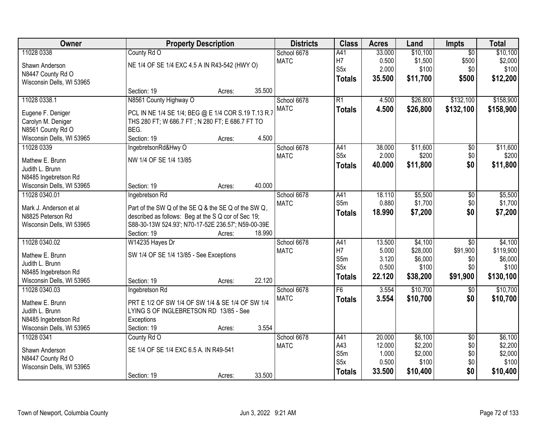| Owner                     |                                                      | <b>Property Description</b> |        | <b>Districts</b> | <b>Class</b>     | <b>Acres</b>     | Land               | Impts           | <b>Total</b>       |
|---------------------------|------------------------------------------------------|-----------------------------|--------|------------------|------------------|------------------|--------------------|-----------------|--------------------|
| 11028 0338                | County Rd O                                          |                             |        | School 6678      | A41              | 33.000           | \$10,100           | $\overline{50}$ | \$10,100           |
| Shawn Anderson            | NE 1/4 OF SE 1/4 EXC 4.5 A IN R43-542 (HWY O)        |                             |        | <b>MATC</b>      | H7               | 0.500            | \$1,500            | \$500           | \$2,000            |
| N8447 County Rd O         |                                                      |                             |        |                  | S <sub>5</sub> x | 2.000            | \$100              | \$0             | \$100              |
| Wisconsin Dells, WI 53965 |                                                      |                             |        |                  | <b>Totals</b>    | 35.500           | \$11,700           | \$500           | \$12,200           |
|                           | Section: 19                                          | Acres:                      | 35.500 |                  |                  |                  |                    |                 |                    |
| 11028 0338.1              | N8561 County Highway O                               |                             |        | School 6678      | $\overline{R1}$  | 4.500            | \$26,800           | \$132,100       | \$158,900          |
| Eugene F. Deniger         | PCL IN NE 1/4 SE 1/4; BEG @ E 1/4 COR S.19 T.13 R.7  |                             |        | <b>MATC</b>      | <b>Totals</b>    | 4.500            | \$26,800           | \$132,100       | \$158,900          |
| Carolyn M. Deniger        | THS 280 FT; W 686.7 FT; N 280 FT; E 686.7 FT TO      |                             |        |                  |                  |                  |                    |                 |                    |
| N8561 County Rd O         | BEG.                                                 |                             |        |                  |                  |                  |                    |                 |                    |
| Wisconsin Dells, WI 53965 | Section: 19                                          | Acres:                      | 4.500  |                  |                  |                  |                    |                 |                    |
| 11028 0339                | IngebretsonRd&Hwy O                                  |                             |        | School 6678      | A41              | 38.000           | \$11,600           | $\overline{50}$ | \$11,600           |
|                           |                                                      |                             |        | <b>MATC</b>      | S <sub>5</sub> x | 2.000            | \$200              | \$0             | \$200              |
| Mathew E. Brunn           | NW 1/4 OF SE 1/4 13/85                               |                             |        |                  | <b>Totals</b>    | 40.000           | \$11,800           | \$0             | \$11,800           |
| Judith L. Brunn           |                                                      |                             |        |                  |                  |                  |                    |                 |                    |
| N8485 Ingebretson Rd      |                                                      |                             |        |                  |                  |                  |                    |                 |                    |
| Wisconsin Dells, WI 53965 | Section: 19                                          | Acres:                      | 40.000 |                  |                  |                  |                    |                 |                    |
| 11028 0340.01             | Ingebretson Rd                                       |                             |        | School 6678      | A41              | 18.110           | \$5,500            | \$0             | \$5,500            |
| Mark J. Anderson et al    | Part of the SW Q of the SE Q & the SE Q of the SW Q, |                             |        | <b>MATC</b>      | S5m              | 0.880            | \$1,700            | \$0             | \$1,700            |
| N8825 Peterson Rd         | described as follows: Beg at the S Q cor of Sec 19;  |                             |        |                  | <b>Totals</b>    | 18.990           | \$7,200            | \$0             | \$7,200            |
| Wisconsin Dells, WI 53965 | S88-30-13W 524.93'; N70-17-52E 236.57'; N59-00-39E   |                             |        |                  |                  |                  |                    |                 |                    |
|                           | Section: 19                                          | Acres:                      | 18.990 |                  |                  |                  |                    |                 |                    |
| 11028 0340.02             | W14235 Hayes Dr                                      |                             |        | School 6678      | A41              | 13.500           | \$4,100            | $\overline{30}$ | \$4,100            |
| Mathew E. Brunn           | SW 1/4 OF SE 1/4 13/85 - See Exceptions              |                             |        | <b>MATC</b>      | H7               | 5.000            | \$28,000           | \$91,900        | \$119,900          |
| Judith L. Brunn           |                                                      |                             |        |                  | S5m              | 3.120            | \$6,000            | \$0             | \$6,000            |
| N8485 Ingebretson Rd      |                                                      |                             |        |                  | S <sub>5</sub> x | 0.500            | \$100              | \$0             | \$100              |
| Wisconsin Dells, WI 53965 | Section: 19                                          | Acres:                      | 22.120 |                  | <b>Totals</b>    | 22.120           | \$38,200           | \$91,900        | \$130,100          |
| 11028 0340.03             | Ingebretson Rd                                       |                             |        | School 6678      | F6               | 3.554            | \$10,700           | $\sqrt{6}$      | \$10,700           |
|                           |                                                      |                             |        | <b>MATC</b>      | <b>Totals</b>    | 3.554            | \$10,700           | \$0             | \$10,700           |
| Mathew E. Brunn           | PRT E 1/2 OF SW 1/4 OF SW 1/4 & SE 1/4 OF SW 1/4     |                             |        |                  |                  |                  |                    |                 |                    |
| Judith L. Brunn           | LYING S OF INGLEBRETSON RD 13/85 - See               |                             |        |                  |                  |                  |                    |                 |                    |
| N8485 Ingebretson Rd      | Exceptions                                           |                             |        |                  |                  |                  |                    |                 |                    |
| Wisconsin Dells, WI 53965 | Section: 19                                          | Acres:                      | 3.554  |                  |                  |                  |                    |                 |                    |
| 11028 0341                | County Rd O                                          |                             |        | School 6678      | A41<br>A43       | 20.000<br>12.000 | \$6,100            | $\overline{50}$ | \$6,100            |
| Shawn Anderson            | SE 1/4 OF SE 1/4 EXC 6.5 A. IN R49-541               |                             |        | <b>MATC</b>      | S5m              | 1.000            | \$2,200<br>\$2,000 | \$0<br>\$0      | \$2,200<br>\$2,000 |
| N8447 County Rd O         |                                                      |                             |        |                  | S <sub>5</sub> x | 0.500            | \$100              | \$0             | \$100              |
| Wisconsin Dells, WI 53965 |                                                      |                             |        |                  |                  | 33.500           | \$10,400           | \$0             | \$10,400           |
|                           | Section: 19                                          | Acres:                      | 33.500 |                  | <b>Totals</b>    |                  |                    |                 |                    |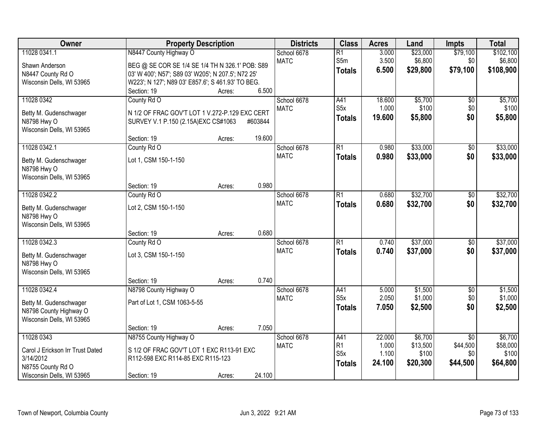| Owner                            |                                                    | <b>Property Description</b> |         | <b>Districts</b> | <b>Class</b>            | <b>Acres</b>   | Land               | <b>Impts</b>    | <b>Total</b>       |
|----------------------------------|----------------------------------------------------|-----------------------------|---------|------------------|-------------------------|----------------|--------------------|-----------------|--------------------|
| 11028 0341.1                     | N8447 County Highway O                             |                             |         | School 6678      | $\overline{R1}$         | 3.000          | \$23,000           | \$79,100        | \$102,100          |
| Shawn Anderson                   | BEG @ SE COR SE 1/4 SE 1/4 TH N 326.1' POB: S89    |                             |         | <b>MATC</b>      | S5m                     | 3.500          | \$6,800            | \$0             | \$6,800            |
| N8447 County Rd O                | 03' W 400'; N57'; S89 03' W205'; N 207.5'; N72 25' |                             |         |                  | <b>Totals</b>           | 6.500          | \$29,800           | \$79,100        | \$108,900          |
| Wisconsin Dells, WI 53965        | W223'; N 127'; N89 03' E857.6'; S 461.93' TO BEG.  |                             |         |                  |                         |                |                    |                 |                    |
|                                  | Section: 19                                        | Acres:                      | 6.500   |                  |                         |                |                    |                 |                    |
| 11028 0342                       | County Rd O                                        |                             |         | School 6678      | A41                     | 18.600         | \$5,700            | $\overline{50}$ | \$5,700            |
|                                  |                                                    |                             |         | <b>MATC</b>      | S <sub>5</sub> x        | 1.000          | \$100              | \$0             | \$100              |
| Betty M. Gudenschwager           | N 1/2 OF FRAC GOV'T LOT 1 V.272-P.129 EXC CERT     |                             |         |                  | <b>Totals</b>           | 19.600         | \$5,800            | \$0             | \$5,800            |
| N8798 Hwy O                      | SURVEY V.1 P.150 (2.15A) EXC CS#1063               |                             | #603844 |                  |                         |                |                    |                 |                    |
| Wisconsin Dells, WI 53965        | Section: 19                                        |                             | 19.600  |                  |                         |                |                    |                 |                    |
| 11028 0342.1                     |                                                    | Acres:                      |         | School 6678      | $\overline{R1}$         | 0.980          | \$33,000           |                 | \$33,000           |
|                                  | County Rd O                                        |                             |         |                  |                         |                |                    | \$0             |                    |
| Betty M. Gudenschwager           | Lot 1, CSM 150-1-150                               |                             |         | <b>MATC</b>      | <b>Totals</b>           | 0.980          | \$33,000           | \$0             | \$33,000           |
| N8798 Hwy O                      |                                                    |                             |         |                  |                         |                |                    |                 |                    |
| Wisconsin Dells, WI 53965        |                                                    |                             |         |                  |                         |                |                    |                 |                    |
|                                  | Section: 19                                        | Acres:                      | 0.980   |                  |                         |                |                    |                 |                    |
| 11028 0342.2                     | County Rd O                                        |                             |         | School 6678      | $\overline{R1}$         | 0.680          | \$32,700           | \$0             | \$32,700           |
| Betty M. Gudenschwager           | Lot 2, CSM 150-1-150                               |                             |         | <b>MATC</b>      | <b>Totals</b>           | 0.680          | \$32,700           | \$0             | \$32,700           |
| N8798 Hwy O                      |                                                    |                             |         |                  |                         |                |                    |                 |                    |
| Wisconsin Dells, WI 53965        |                                                    |                             |         |                  |                         |                |                    |                 |                    |
|                                  | Section: 19                                        | Acres:                      | 0.680   |                  |                         |                |                    |                 |                    |
| 11028 0342.3                     | County Rd O                                        |                             |         | School 6678      | $\overline{R1}$         | 0.740          | \$37,000           | $\overline{50}$ | \$37,000           |
|                                  |                                                    |                             |         | <b>MATC</b>      | <b>Totals</b>           | 0.740          | \$37,000           | \$0             | \$37,000           |
| Betty M. Gudenschwager           | Lot 3, CSM 150-1-150                               |                             |         |                  |                         |                |                    |                 |                    |
| N8798 Hwy O                      |                                                    |                             |         |                  |                         |                |                    |                 |                    |
| Wisconsin Dells, WI 53965        |                                                    |                             |         |                  |                         |                |                    |                 |                    |
|                                  | Section: 19                                        | Acres:                      | 0.740   |                  |                         |                |                    |                 |                    |
| 11028 0342.4                     | N8798 County Highway O                             |                             |         | School 6678      | A41<br>S <sub>5</sub> x | 5.000<br>2.050 | \$1,500<br>\$1,000 | $\sqrt{6}$      | \$1,500<br>\$1,000 |
| Betty M. Gudenschwager           | Part of Lot 1, CSM 1063-5-55                       |                             |         | <b>MATC</b>      |                         |                |                    | \$0             |                    |
| N8798 County Highway O           |                                                    |                             |         |                  | <b>Totals</b>           | 7.050          | \$2,500            | \$0             | \$2,500            |
| Wisconsin Dells, WI 53965        |                                                    |                             |         |                  |                         |                |                    |                 |                    |
|                                  | Section: 19                                        | Acres:                      | 7.050   |                  |                         |                |                    |                 |                    |
| 11028 0343                       | N8755 County Highway O                             |                             |         | School 6678      | A41                     | 22.000         | \$6,700            | $\overline{50}$ | \$6,700            |
| Carol J Erickson Irr Trust Dated | S 1/2 OF FRAC GOV'T LOT 1 EXC R113-91 EXC          |                             |         | <b>MATC</b>      | R1                      | 1.000          | \$13,500           | \$44,500        | \$58,000           |
| 3/14/2012                        | R112-598 EXC R114-85 EXC R115-123                  |                             |         |                  | S <sub>5</sub> x        | 1.100          | \$100              | \$0             | \$100              |
| N8755 County Rd O                |                                                    |                             |         |                  | <b>Totals</b>           | 24.100         | \$20,300           | \$44,500        | \$64,800           |
| Wisconsin Dells, WI 53965        | Section: 19                                        | Acres:                      | 24.100  |                  |                         |                |                    |                 |                    |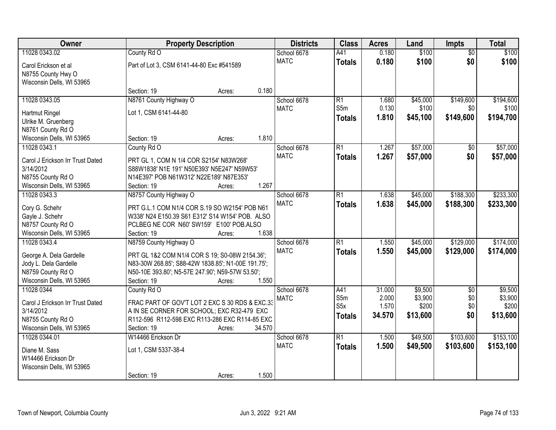| Owner                                            |                                                                                                      | <b>Property Description</b> |        | <b>Districts</b> | <b>Class</b>     | <b>Acres</b> | Land     | <b>Impts</b>    | <b>Total</b> |
|--------------------------------------------------|------------------------------------------------------------------------------------------------------|-----------------------------|--------|------------------|------------------|--------------|----------|-----------------|--------------|
| 11028 0343.02                                    | County Rd O                                                                                          |                             |        | School 6678      | A41              | 0.180        | \$100    | $\overline{50}$ | \$100        |
| Carol Erickson et al                             | Part of Lot 3, CSM 6141-44-80 Exc #541589                                                            |                             |        | <b>MATC</b>      | <b>Totals</b>    | 0.180        | \$100    | \$0             | \$100        |
| N8755 County Hwy O                               |                                                                                                      |                             |        |                  |                  |              |          |                 |              |
| Wisconsin Dells, WI 53965                        |                                                                                                      |                             |        |                  |                  |              |          |                 |              |
|                                                  | Section: 19                                                                                          | Acres:                      | 0.180  |                  |                  |              |          |                 |              |
| 11028 0343.05                                    | N8761 County Highway O                                                                               |                             |        | School 6678      | R1               | 1.680        | \$45,000 | \$149,600       | \$194,600    |
| Hartmut Ringel                                   | Lot 1, CSM 6141-44-80                                                                                |                             |        | <b>MATC</b>      | S <sub>5m</sub>  | 0.130        | \$100    | \$0             | \$100        |
| Ulrike M. Gruenberg                              |                                                                                                      |                             |        |                  | <b>Totals</b>    | 1.810        | \$45,100 | \$149,600       | \$194,700    |
| N8761 County Rd O                                |                                                                                                      |                             |        |                  |                  |              |          |                 |              |
| Wisconsin Dells, WI 53965                        | Section: 19                                                                                          | Acres:                      | 1.810  |                  |                  |              |          |                 |              |
| 11028 0343.1                                     | County Rd O                                                                                          |                             |        | School 6678      | $\overline{R1}$  | 1.267        | \$57,000 | \$0             | \$57,000     |
| Carol J Erickson Irr Trust Dated                 | PRT GL 1, COM N 1/4 COR S2154' N83W268'                                                              |                             |        | <b>MATC</b>      | <b>Totals</b>    | 1.267        | \$57,000 | \$0             | \$57,000     |
| 3/14/2012                                        | S88W1838' N1E 191' N50E393' N5E247' N59W53'                                                          |                             |        |                  |                  |              |          |                 |              |
| N8755 County Rd O                                | N14E397' POB N61W312' N22E189' N87E353'                                                              |                             |        |                  |                  |              |          |                 |              |
| Wisconsin Dells, WI 53965                        | Section: 19                                                                                          | Acres:                      | 1.267  |                  |                  |              |          |                 |              |
| 11028 0343.3                                     | N8757 County Highway O                                                                               |                             |        | School 6678      | $\overline{R1}$  | 1.638        | \$45,000 | \$188,300       | \$233,300    |
|                                                  |                                                                                                      |                             |        | <b>MATC</b>      | <b>Totals</b>    | 1.638        | \$45,000 | \$188,300       | \$233,300    |
| Cory G. Schehr<br>Gayle J. Schehr                | PRT G.L.1 COM N1/4 COR S.19 SO W2154' POB N61<br>W338' N24 E150.39 S61 E312' S14 W154' POB. ALSO     |                             |        |                  |                  |              |          |                 |              |
| N8757 County Rd O                                | PCLBEG NE COR N60' SW159' E100' POB.ALSO                                                             |                             |        |                  |                  |              |          |                 |              |
| Wisconsin Dells, WI 53965                        | Section: 19                                                                                          | Acres:                      | 1.638  |                  |                  |              |          |                 |              |
| 11028 0343.4                                     | N8759 County Highway O                                                                               |                             |        | School 6678      | $\overline{R1}$  | 1.550        | \$45,000 | \$129,000       | \$174,000    |
|                                                  |                                                                                                      |                             |        | <b>MATC</b>      | <b>Totals</b>    | 1.550        | \$45,000 | \$129,000       | \$174,000    |
| George A. Dela Gardelle<br>Jody L. Dela Gardelle | PRT GL 1&2 COM N1/4 COR S 19; S0-08W 2154.36';<br>N83-30W 268.85'; S88-42W 1838.85'; N1-00E 191.75'; |                             |        |                  |                  |              |          |                 |              |
| N8759 County Rd O                                | N50-10E 393.80'; N5-57E 247.90'; N59-57W 53.50';                                                     |                             |        |                  |                  |              |          |                 |              |
| Wisconsin Dells, WI 53965                        | Section: 19                                                                                          | Acres:                      | 1.550  |                  |                  |              |          |                 |              |
| 11028 0344                                       | County Rd O                                                                                          |                             |        | School 6678      | A41              | 31.000       | \$9,500  | $\overline{50}$ | \$9,500      |
|                                                  |                                                                                                      |                             |        | <b>MATC</b>      | S5m              | 2.000        | \$3,900  | \$0             | \$3,900      |
| Carol J Erickson Irr Trust Dated                 | FRAC PART OF GOV'T LOT 2 EXC S 30 RDS & EXC.33                                                       |                             |        |                  | S <sub>5</sub> x | 1.570        | \$200    | \$0             | \$200        |
| 3/14/2012<br>N8755 County Rd O                   | A IN SE CORNER FOR SCHOOL; EXC R32-479 EXC<br>R112-596 R112-598 EXC R113-286 EXC R114-85 EXC         |                             |        |                  | <b>Totals</b>    | 34.570       | \$13,600 | \$0             | \$13,600     |
| Wisconsin Dells, WI 53965                        | Section: 19                                                                                          | Acres:                      | 34.570 |                  |                  |              |          |                 |              |
| 11028 0344.01                                    | W14466 Erickson Dr                                                                                   |                             |        | School 6678      | $\overline{R1}$  | 1.500        | \$49,500 | \$103,600       | \$153,100    |
|                                                  |                                                                                                      |                             |        | <b>MATC</b>      | <b>Totals</b>    | 1.500        | \$49,500 | \$103,600       | \$153,100    |
| Diane M. Sass                                    | Lot 1, CSM 5337-38-4                                                                                 |                             |        |                  |                  |              |          |                 |              |
| W14466 Erickson Dr                               |                                                                                                      |                             |        |                  |                  |              |          |                 |              |
| Wisconsin Dells, WI 53965                        | Section: 19                                                                                          |                             | 1.500  |                  |                  |              |          |                 |              |
|                                                  |                                                                                                      | Acres:                      |        |                  |                  |              |          |                 |              |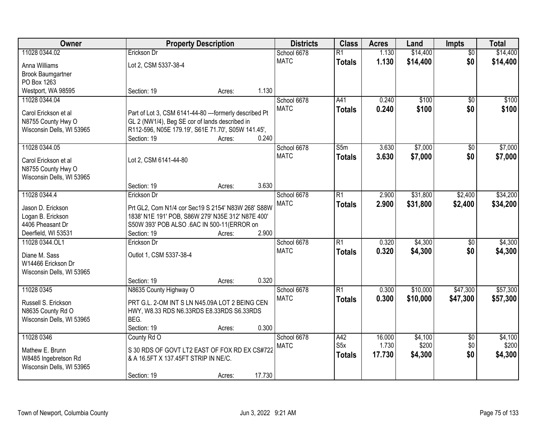| Owner                                             |                                                                                       | <b>Property Description</b> |        | <b>Districts</b> | <b>Class</b>     | <b>Acres</b> | Land     | <b>Impts</b>    | <b>Total</b> |
|---------------------------------------------------|---------------------------------------------------------------------------------------|-----------------------------|--------|------------------|------------------|--------------|----------|-----------------|--------------|
| 11028 0344.02                                     | Erickson Dr                                                                           |                             |        | School 6678      | $\overline{R1}$  | 1.130        | \$14,400 | $\overline{50}$ | \$14,400     |
| Anna Williams                                     | Lot 2, CSM 5337-38-4                                                                  |                             |        | <b>MATC</b>      | <b>Totals</b>    | 1.130        | \$14,400 | \$0             | \$14,400     |
| <b>Brook Baumgartner</b>                          |                                                                                       |                             |        |                  |                  |              |          |                 |              |
| PO Box 1263                                       |                                                                                       |                             |        |                  |                  |              |          |                 |              |
| Westport, WA 98595                                | Section: 19                                                                           | Acres:                      | 1.130  |                  |                  |              |          |                 |              |
| 11028 0344.04                                     |                                                                                       |                             |        | School 6678      | A41              | 0.240        | \$100    | $\overline{50}$ | \$100        |
| Carol Erickson et al                              | Part of Lot 3, CSM 6141-44-80 ---formerly described Pt                                |                             |        | <b>MATC</b>      | <b>Totals</b>    | 0.240        | \$100    | \$0             | \$100        |
| N8755 County Hwy O                                | GL 2 (NW1/4), Beg SE cor of lands described in                                        |                             |        |                  |                  |              |          |                 |              |
| Wisconsin Dells, WI 53965                         | R112-596, N05E 179.19', S61E 71.70', S05W 141.45',                                    |                             |        |                  |                  |              |          |                 |              |
|                                                   | Section: 19                                                                           | Acres:                      | 0.240  |                  |                  |              |          |                 |              |
| 11028 0344.05                                     |                                                                                       |                             |        | School 6678      | S5m              | 3.630        | \$7,000  | \$0             | \$7,000      |
|                                                   |                                                                                       |                             |        | <b>MATC</b>      | <b>Totals</b>    | 3.630        | \$7,000  | \$0             | \$7,000      |
| Carol Erickson et al                              | Lot 2, CSM 6141-44-80                                                                 |                             |        |                  |                  |              |          |                 |              |
| N8755 County Hwy O                                |                                                                                       |                             |        |                  |                  |              |          |                 |              |
| Wisconsin Dells, WI 53965                         | Section: 19                                                                           | Acres:                      | 3.630  |                  |                  |              |          |                 |              |
| 11028 0344.4                                      | Erickson Dr                                                                           |                             |        | School 6678      | $\overline{R1}$  | 2.900        | \$31,800 | \$2,400         | \$34,200     |
|                                                   |                                                                                       |                             |        | <b>MATC</b>      | <b>Totals</b>    | 2.900        | \$31,800 | \$2,400         | \$34,200     |
| Jason D. Erickson                                 | Prt GL2, Com N1/4 cor Sec19 S 2154' N83W 268' S88W                                    |                             |        |                  |                  |              |          |                 |              |
| Logan B. Erickson                                 | 1838' N1E 191' POB, S86W 279' N35E 312' N87E 400'                                     |                             |        |                  |                  |              |          |                 |              |
| 4406 Pheasant Dr                                  | S50W 393' POB ALSO .6AC IN 500-11(ERROR on                                            |                             |        |                  |                  |              |          |                 |              |
| Deerfield, WI 53531                               | Section: 19                                                                           | Acres:                      | 2.900  |                  |                  |              |          |                 |              |
| 11028 0344.OL1                                    | Erickson Dr                                                                           |                             |        | School 6678      | $\overline{R1}$  | 0.320        | \$4,300  | $\overline{50}$ | \$4,300      |
| Diane M. Sass                                     | Outlot 1, CSM 5337-38-4                                                               |                             |        | <b>MATC</b>      | <b>Totals</b>    | 0.320        | \$4,300  | \$0             | \$4,300      |
| W14466 Erickson Dr                                |                                                                                       |                             |        |                  |                  |              |          |                 |              |
| Wisconsin Dells, WI 53965                         |                                                                                       |                             |        |                  |                  |              |          |                 |              |
|                                                   | Section: 19                                                                           | Acres:                      | 0.320  |                  |                  |              |          |                 |              |
| 11028 0345                                        | N8635 County Highway O                                                                |                             |        | School 6678      | $\overline{R1}$  | 0.300        | \$10,000 | \$47,300        | \$57,300     |
| Russell S. Erickson                               | PRT G.L. 2-OM INT S LN N45.09A LOT 2 BEING CEN                                        |                             |        | <b>MATC</b>      | <b>Totals</b>    | 0.300        | \$10,000 | \$47,300        | \$57,300     |
| N8635 County Rd O                                 | HWY, W8.33 RDS N6.33RDS E8.33RDS S6.33RDS                                             |                             |        |                  |                  |              |          |                 |              |
| Wisconsin Dells, WI 53965                         | BEG.                                                                                  |                             |        |                  |                  |              |          |                 |              |
|                                                   | Section: 19                                                                           | Acres:                      | 0.300  |                  |                  |              |          |                 |              |
| 11028 0346                                        | County Rd O                                                                           |                             |        | School 6678      | A42              | 16.000       | \$4,100  | $\overline{50}$ | \$4,100      |
|                                                   |                                                                                       |                             |        | <b>MATC</b>      | S <sub>5</sub> x | 1.730        | \$200    | \$0             | \$200        |
| Mathew E. Brunn                                   | S 30 RDS OF GOVT LT2 EAST OF FOX RD EX CS#722<br>& A 16.5FT X 137.45FT STRIP IN NE/C. |                             |        |                  | <b>Totals</b>    | 17.730       | \$4,300  | \$0             | \$4,300      |
| W8485 Ingebretson Rd<br>Wisconsin Dells, WI 53965 |                                                                                       |                             |        |                  |                  |              |          |                 |              |
|                                                   | Section: 19                                                                           | Acres:                      | 17.730 |                  |                  |              |          |                 |              |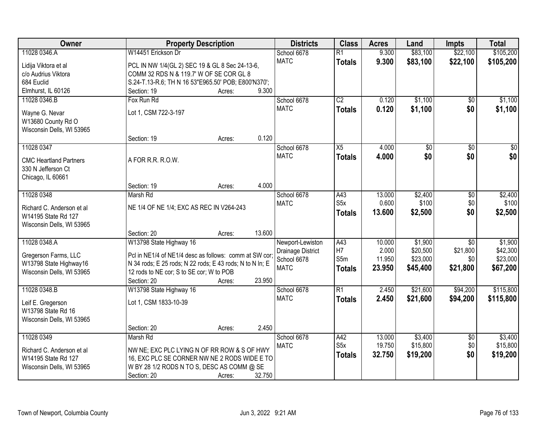| Owner                                   | <b>Property Description</b>                              |        |        | <b>Districts</b>                      | <b>Class</b>     | <b>Acres</b> | Land            | <b>Impts</b>    | <b>Total</b>    |
|-----------------------------------------|----------------------------------------------------------|--------|--------|---------------------------------------|------------------|--------------|-----------------|-----------------|-----------------|
| 11028 0346.A                            | W14451 Erickson Dr                                       |        |        | School 6678                           | $\overline{R1}$  | 9.300        | \$83,100        | \$22,100        | \$105,200       |
| Lidija Viktora et al                    | PCL IN NW 1/4(GL 2) SEC 19 & GL 8 Sec 24-13-6,           |        |        | <b>MATC</b>                           | <b>Totals</b>    | 9.300        | \$83,100        | \$22,100        | \$105,200       |
| c/o Audrius Viktora                     | COMM 32 RDS N & 119.7' W OF SE COR GL 8                  |        |        |                                       |                  |              |                 |                 |                 |
| 684 Euclid                              | S.24-T.13-R.6; TH N 16 53"E965.50' POB; E800'N370';      |        |        |                                       |                  |              |                 |                 |                 |
| Elmhurst, IL 60126                      | Section: 19                                              | Acres: | 9.300  |                                       |                  |              |                 |                 |                 |
| 11028 0346.B                            | Fox Run Rd                                               |        |        | School 6678                           | $\overline{C2}$  | 0.120        | \$1,100         | $\overline{50}$ | \$1,100         |
| Wayne G. Nevar                          | Lot 1, CSM 722-3-197                                     |        |        | <b>MATC</b>                           | <b>Totals</b>    | 0.120        | \$1,100         | \$0             | \$1,100         |
| W13680 County Rd O                      |                                                          |        |        |                                       |                  |              |                 |                 |                 |
| Wisconsin Dells, WI 53965               |                                                          |        |        |                                       |                  |              |                 |                 |                 |
|                                         | Section: 19                                              | Acres: | 0.120  |                                       |                  |              |                 |                 |                 |
| 11028 0347                              |                                                          |        |        | School 6678                           | $\overline{X5}$  | 4.000        | $\overline{50}$ | $\overline{50}$ | $\overline{30}$ |
|                                         |                                                          |        |        | <b>MATC</b>                           | Totals           | 4.000        | \$0             | \$0             | \$0             |
| <b>CMC Heartland Partners</b>           | A FOR R.R. R.O.W.                                        |        |        |                                       |                  |              |                 |                 |                 |
| 330 N Jefferson Ct<br>Chicago, IL 60661 |                                                          |        |        |                                       |                  |              |                 |                 |                 |
|                                         | Section: 19                                              | Acres: | 4.000  |                                       |                  |              |                 |                 |                 |
| 11028 0348                              | Marsh Rd                                                 |        |        | School 6678                           | A43              | 13.000       | \$2,400         | \$0             | \$2,400         |
|                                         |                                                          |        |        | <b>MATC</b>                           | S <sub>5</sub> x | 0.600        | \$100           | \$0             | \$100           |
| Richard C. Anderson et al               | NE 1/4 OF NE 1/4; EXC AS REC IN V264-243                 |        |        |                                       | <b>Totals</b>    | 13.600       | \$2,500         | \$0             | \$2,500         |
| W14195 State Rd 127                     |                                                          |        |        |                                       |                  |              |                 |                 |                 |
| Wisconsin Dells, WI 53965               | Section: 20                                              |        | 13.600 |                                       |                  |              |                 |                 |                 |
| 11028 0348.A                            | W13798 State Highway 16                                  | Acres: |        |                                       | $\overline{A43}$ | 10.000       | \$1,900         | $\overline{30}$ | \$1,900         |
|                                         |                                                          |        |        | Newport-Lewiston<br>Drainage District | H <sub>7</sub>   | 2.000        | \$20,500        | \$21,800        | \$42,300        |
| Gregerson Farms, LLC                    | Pcl in NE1/4 of NE1/4 desc as follows: comm at SW cor;   |        |        | School 6678                           | S5m              | 11.950       | \$23,000        | \$0             | \$23,000        |
| W13798 State Highway16                  | N 34 rods; E 25 rods; N 22 rods; E 43 rods; N to N In; E |        |        | <b>MATC</b>                           | <b>Totals</b>    | 23.950       | \$45,400        | \$21,800        | \$67,200        |
| Wisconsin Dells, WI 53965               | 12 rods to NE cor; S to SE cor; W to POB                 |        |        |                                       |                  |              |                 |                 |                 |
|                                         | Section: 20                                              | Acres: | 23.950 |                                       |                  |              |                 |                 |                 |
| 11028 0348.B                            | W13798 State Highway 16                                  |        |        | School 6678                           | R1               | 2.450        | \$21,600        | \$94,200        | \$115,800       |
| Leif E. Gregerson                       | Lot 1, CSM 1833-10-39                                    |        |        | <b>MATC</b>                           | <b>Totals</b>    | 2.450        | \$21,600        | \$94,200        | \$115,800       |
| W13798 State Rd 16                      |                                                          |        |        |                                       |                  |              |                 |                 |                 |
| Wisconsin Dells, WI 53965               |                                                          |        |        |                                       |                  |              |                 |                 |                 |
|                                         | Section: 20                                              | Acres: | 2.450  |                                       |                  |              |                 |                 |                 |
| 11028 0349                              | Marsh Rd                                                 |        |        | School 6678                           | A42              | 13.000       | \$3,400         | $\overline{30}$ | \$3,400         |
| Richard C. Anderson et al               | NW NE; EXC PLC LYING N OF RR ROW & S OF HWY              |        |        | <b>MATC</b>                           | S5x              | 19.750       | \$15,800        | \$0             | \$15,800        |
| W14195 State Rd 127                     | 16, EXC PLC SE CORNER NW NE 2 RODS WIDE E TO             |        |        |                                       | <b>Totals</b>    | 32.750       | \$19,200        | \$0             | \$19,200        |
| Wisconsin Dells, WI 53965               | W BY 28 1/2 RODS N TO S, DESC AS COMM @ SE               |        |        |                                       |                  |              |                 |                 |                 |
|                                         | Section: 20                                              | Acres: | 32.750 |                                       |                  |              |                 |                 |                 |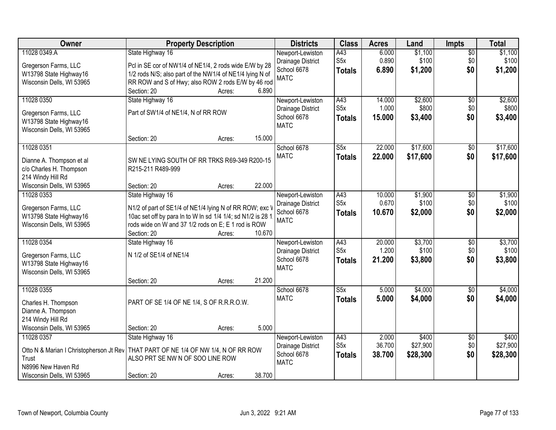| Owner                                            | <b>Property Description</b>                                                    |        |        | <b>Districts</b>                 | <b>Class</b>                      | <b>Acres</b>    | Land             | <b>Impts</b>           | <b>Total</b>     |
|--------------------------------------------------|--------------------------------------------------------------------------------|--------|--------|----------------------------------|-----------------------------------|-----------------|------------------|------------------------|------------------|
| 11028 0349.A                                     | State Highway 16                                                               |        |        | Newport-Lewiston                 | A43                               | 6.000           | \$1,100          | $\overline{50}$        | \$1,100          |
| Gregerson Farms, LLC                             | Pcl in SE cor of NW1/4 of NE1/4, 2 rods wide E/W by 28                         |        |        | Drainage District<br>School 6678 | S <sub>5</sub> x<br><b>Totals</b> | 0.890<br>6.890  | \$100<br>\$1,200 | \$0<br>\$0             | \$100<br>\$1,200 |
| W13798 State Highway16                           | 1/2 rods N/S; also part of the NW1/4 of NE1/4 lying N of                       |        |        | <b>MATC</b>                      |                                   |                 |                  |                        |                  |
| Wisconsin Dells, WI 53965                        | RR ROW and S of Hwy; also ROW 2 rods E/W by 46 rod                             |        |        |                                  |                                   |                 |                  |                        |                  |
|                                                  | Section: 20                                                                    | Acres: | 6.890  |                                  |                                   |                 |                  |                        |                  |
| 11028 0350                                       | State Highway 16                                                               |        |        | Newport-Lewiston                 | A43<br>S <sub>5</sub> x           | 14.000<br>1.000 | \$2,600<br>\$800 | $\overline{50}$<br>\$0 | \$2,600<br>\$800 |
| Gregerson Farms, LLC                             | Part of SW1/4 of NE1/4, N of RR ROW                                            |        |        | Drainage District<br>School 6678 |                                   | 15.000          | \$3,400          | \$0                    | \$3,400          |
| W13798 State Highway16                           |                                                                                |        |        | <b>MATC</b>                      | <b>Totals</b>                     |                 |                  |                        |                  |
| Wisconsin Dells, WI 53965                        |                                                                                |        |        |                                  |                                   |                 |                  |                        |                  |
|                                                  | Section: 20                                                                    | Acres: | 15.000 |                                  |                                   |                 |                  |                        |                  |
| 11028 0351                                       |                                                                                |        |        | School 6678                      | $\overline{\text{S5x}}$           | 22.000          | \$17,600         | $\sqrt[6]{}$           | \$17,600         |
| Dianne A. Thompson et al                         | SW NE LYING SOUTH OF RR TRKS R69-349 R200-15                                   |        |        | <b>MATC</b>                      | <b>Totals</b>                     | 22.000          | \$17,600         | \$0                    | \$17,600         |
| c/o Charles H. Thompson                          | R215-211 R489-999                                                              |        |        |                                  |                                   |                 |                  |                        |                  |
| 214 Windy Hill Rd                                |                                                                                |        |        |                                  |                                   |                 |                  |                        |                  |
| Wisconsin Dells, WI 53965                        | Section: 20                                                                    | Acres: | 22.000 |                                  |                                   |                 |                  |                        |                  |
| 11028 0353                                       | State Highway 16                                                               |        |        | Newport-Lewiston                 | A43                               | 10.000          | \$1,900          | \$0                    | \$1,900          |
| Gregerson Farms, LLC                             | N1/2 of part of SE1/4 of NE1/4 lying N of RR ROW; exc V                        |        |        | Drainage District                | S <sub>5</sub> x                  | 0.670           | \$100            | \$0                    | \$100            |
| W13798 State Highway16                           | 10ac set off by para In to W In sd 1/4 1/4; sd N1/2 is 28 1                    |        |        | School 6678                      | <b>Totals</b>                     | 10.670          | \$2,000          | \$0                    | \$2,000          |
| Wisconsin Dells, WI 53965                        | rods wide on W and 37 1/2 rods on E; E 1 rod is ROW                            |        |        | <b>MATC</b>                      |                                   |                 |                  |                        |                  |
|                                                  | Section: 20                                                                    | Acres: | 10.670 |                                  |                                   |                 |                  |                        |                  |
| 11028 0354                                       | State Highway 16                                                               |        |        | Newport-Lewiston                 | A43                               | 20.000          | \$3,700          | \$0                    | \$3,700          |
| Gregerson Farms, LLC                             | N 1/2 of SE1/4 of NE1/4                                                        |        |        | Drainage District                | S <sub>5</sub> x                  | 1.200           | \$100            | \$0                    | \$100            |
| W13798 State Highway16                           |                                                                                |        |        | School 6678                      | <b>Totals</b>                     | 21.200          | \$3,800          | \$0                    | \$3,800          |
| Wisconsin Dells, WI 53965                        |                                                                                |        |        | <b>MATC</b>                      |                                   |                 |                  |                        |                  |
|                                                  | Section: 20                                                                    | Acres: | 21.200 |                                  |                                   |                 |                  |                        |                  |
| 11028 0355                                       |                                                                                |        |        | School 6678                      | $\overline{\text{S5x}}$           | 5.000           | \$4,000          | $\overline{60}$        | \$4,000          |
|                                                  | PART OF SE 1/4 OF NE 1/4, S OF R.R.R.O.W.                                      |        |        | <b>MATC</b>                      | <b>Totals</b>                     | 5.000           | \$4,000          | \$0                    | \$4,000          |
| Charles H. Thompson<br>Dianne A. Thompson        |                                                                                |        |        |                                  |                                   |                 |                  |                        |                  |
| 214 Windy Hill Rd                                |                                                                                |        |        |                                  |                                   |                 |                  |                        |                  |
| Wisconsin Dells, WI 53965                        | Section: 20                                                                    | Acres: | 5.000  |                                  |                                   |                 |                  |                        |                  |
| 11028 0357                                       | State Highway 16                                                               |        |        | Newport-Lewiston                 | A43                               | 2.000           | \$400            | $\overline{30}$        | \$400            |
|                                                  |                                                                                |        |        | Drainage District                | S <sub>5</sub> x                  | 36.700          | \$27,900         | \$0                    | \$27,900         |
| Otto N & Marian I Christopherson Jt Rev<br>Trust | THAT PART OF NE 1/4 OF NW 1/4, N OF RR ROW<br>ALSO PRT SE NW N OF SOO LINE ROW |        |        | School 6678                      | <b>Totals</b>                     | 38.700          | \$28,300         | \$0                    | \$28,300         |
| N8996 New Haven Rd                               |                                                                                |        |        | <b>MATC</b>                      |                                   |                 |                  |                        |                  |
| Wisconsin Dells, WI 53965                        | Section: 20                                                                    | Acres: | 38.700 |                                  |                                   |                 |                  |                        |                  |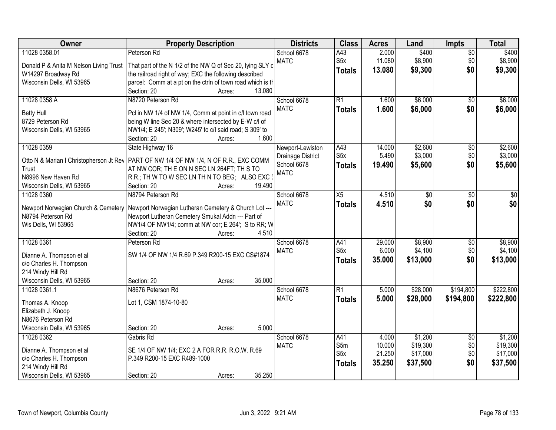| Owner                                    | <b>Property Description</b>                                                                                                          | <b>Districts</b>  | <b>Class</b>     | <b>Acres</b> | Land            | <b>Impts</b>    | <b>Total</b>    |
|------------------------------------------|--------------------------------------------------------------------------------------------------------------------------------------|-------------------|------------------|--------------|-----------------|-----------------|-----------------|
| 11028 0358.01                            | Peterson Rd                                                                                                                          | School 6678       | A43              | 2.000        | \$400           | $\overline{50}$ | \$400           |
| Donald P & Anita M Nelson Living Trust   | That part of the N 1/2 of the NW Q of Sec 20, lying SLY or                                                                           | <b>MATC</b>       | S5x              | 11.080       | \$8,900         | \$0             | \$8,900         |
| W14297 Broadway Rd                       | the railroad right of way; EXC the following described                                                                               |                   | <b>Totals</b>    | 13.080       | \$9,300         | \$0             | \$9,300         |
| Wisconsin Dells, WI 53965                | parcel: Comm at a pt on the ctrln of town road which is th                                                                           |                   |                  |              |                 |                 |                 |
|                                          | Section: 20<br>13.080<br>Acres:                                                                                                      |                   |                  |              |                 |                 |                 |
| 11028 0358.A                             | N8720 Peterson Rd                                                                                                                    | School 6678       | $\overline{R1}$  | 1.600        | \$6,000         | $\overline{50}$ | \$6,000         |
| <b>Betty Hull</b>                        | Pcl in NW 1/4 of NW 1/4, Comm at point in c/l town road                                                                              | <b>MATC</b>       | <b>Totals</b>    | 1.600        | \$6,000         | \$0             | \$6,000         |
| 8729 Peterson Rd                         | being W line Sec 20 & where intersected by E-W c/l of                                                                                |                   |                  |              |                 |                 |                 |
| Wisconsin Dells, WI 53965                | NW1/4; E 245'; N309'; W245' to c/l said road; S 309' to                                                                              |                   |                  |              |                 |                 |                 |
|                                          | 1.600<br>Section: 20<br>Acres:                                                                                                       |                   |                  |              |                 |                 |                 |
| 11028 0359                               | State Highway 16                                                                                                                     | Newport-Lewiston  | A43              | 14.000       | \$2,600         | \$0             | \$2,600         |
|                                          |                                                                                                                                      | Drainage District | S <sub>5</sub> x | 5.490        | \$3,000         | \$0             | \$3,000         |
| Trust                                    | Otto N & Marian I Christopherson Jt Rev   PART OF NW 1/4 OF NW 1/4, N OF R.R., EXC COMM<br>AT NW COR; THE ON N SEC LN 264FT; TH S TO | School 6678       | Totals           | 19.490       | \$5,600         | \$0             | \$5,600         |
| N8996 New Haven Rd                       | R.R.; TH W TO W SEC LN TH N TO BEG; ALSO EXC :                                                                                       | <b>MATC</b>       |                  |              |                 |                 |                 |
| Wisconsin Dells, WI 53965                | Section: 20<br>19.490<br>Acres:                                                                                                      |                   |                  |              |                 |                 |                 |
| 11028 0360                               | N8794 Peterson Rd                                                                                                                    | School 6678       | $\overline{X5}$  | 4.510        | $\overline{50}$ | \$0             | $\overline{50}$ |
|                                          |                                                                                                                                      | <b>MATC</b>       | <b>Totals</b>    | 4.510        | \$0             | \$0             | \$0             |
| Newport Norwegian Church & Cemetery      | Newport Norwegian Lutheran Cemetery & Church Lot ---                                                                                 |                   |                  |              |                 |                 |                 |
| N8794 Peterson Rd<br>Wis Dells, WI 53965 | Newport Lutheran Cemetery Smukal Addn --- Part of<br>NW1/4 OF NW1/4; comm at NW cor; E 264'; S to RR; W                              |                   |                  |              |                 |                 |                 |
|                                          | 4.510<br>Section: 20<br>Acres:                                                                                                       |                   |                  |              |                 |                 |                 |
| 11028 0361                               | Peterson Rd                                                                                                                          | School 6678       | A41              | 29.000       | \$8,900         | $\overline{30}$ | \$8,900         |
|                                          |                                                                                                                                      | <b>MATC</b>       | S <sub>5x</sub>  | 6.000        | \$4,100         | \$0             | \$4,100         |
| Dianne A. Thompson et al                 | SW 1/4 OF NW 1/4 R.69 P.349 R200-15 EXC CS#1874                                                                                      |                   | <b>Totals</b>    | 35.000       | \$13,000        | \$0             | \$13,000        |
| c/o Charles H. Thompson                  |                                                                                                                                      |                   |                  |              |                 |                 |                 |
| 214 Windy Hill Rd                        |                                                                                                                                      |                   |                  |              |                 |                 |                 |
| Wisconsin Dells, WI 53965                | 35.000<br>Section: 20<br>Acres:                                                                                                      |                   |                  |              |                 |                 |                 |
| 11028 0361.1                             | N8676 Peterson Rd                                                                                                                    | School 6678       | $\overline{R1}$  | 5.000        | \$28,000        | \$194,800       | \$222,800       |
| Thomas A. Knoop                          | Lot 1, CSM 1874-10-80                                                                                                                | <b>MATC</b>       | <b>Totals</b>    | 5.000        | \$28,000        | \$194,800       | \$222,800       |
| Elizabeth J. Knoop                       |                                                                                                                                      |                   |                  |              |                 |                 |                 |
| N8676 Peterson Rd                        |                                                                                                                                      |                   |                  |              |                 |                 |                 |
| Wisconsin Dells, WI 53965                | 5.000<br>Section: 20<br>Acres:                                                                                                       |                   |                  |              |                 |                 |                 |
| 11028 0362                               | Gabris Rd                                                                                                                            | School 6678       | A41              | 4.000        | \$1,200         | $\overline{30}$ | \$1,200         |
| Dianne A. Thompson et al                 | SE 1/4 OF NW 1/4; EXC 2 A FOR R.R. R.O.W. R.69                                                                                       | <b>MATC</b>       | S5m              | 10.000       | \$19,300        | \$0             | \$19,300        |
| c/o Charles H. Thompson                  | P.349 R200-15 EXC R489-1000                                                                                                          |                   | S5x              | 21.250       | \$17,000        | \$0             | \$17,000        |
| 214 Windy Hill Rd                        |                                                                                                                                      |                   | <b>Totals</b>    | 35.250       | \$37,500        | \$0             | \$37,500        |
| Wisconsin Dells, WI 53965                | 35.250<br>Section: 20<br>Acres:                                                                                                      |                   |                  |              |                 |                 |                 |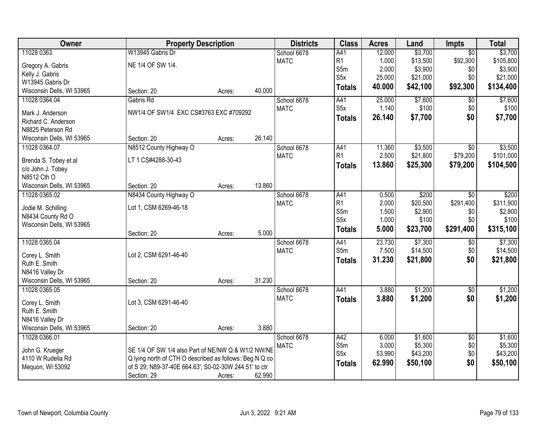| Owner                     | <b>Property Description</b>                             |        |        | <b>Districts</b> | <b>Class</b>     | <b>Acres</b> | Land     | Impts           | <b>Total</b> |
|---------------------------|---------------------------------------------------------|--------|--------|------------------|------------------|--------------|----------|-----------------|--------------|
| 11028 0363                | W13945 Gabris Dr                                        |        |        | School 6678      | A41              | 12.000       | \$3,700  | $\overline{30}$ | \$3,700      |
| Gregory A. Gabris         | NE 1/4 OF SW 1/4.                                       |        |        | <b>MATC</b>      | R1               | 1.000        | \$13,500 | \$92,300        | \$105,800    |
| Kelly J. Gabris           |                                                         |        |        |                  | S5m              | 2.000        | \$3,900  | \$0             | \$3,900      |
| W13945 Gabris Dr          |                                                         |        |        |                  | S <sub>5</sub> x | 25.000       | \$21,000 | \$0             | \$21,000     |
| Wisconsin Dells, WI 53965 | Section: 20                                             | Acres: | 40.000 |                  | <b>Totals</b>    | 40.000       | \$42,100 | \$92,300        | \$134,400    |
| 11028 0364.04             | Gabris Rd                                               |        |        | School 6678      | A41              | 25.000       | \$7,600  | $\overline{50}$ | \$7,600      |
| Mark J. Anderson          | NW1/4 OF SW1/4 EXC CS#3763 EXC #709292                  |        |        | <b>MATC</b>      | S <sub>5</sub> x | 1.140        | \$100    | \$0             | \$100        |
| Richard C. Anderson       |                                                         |        |        |                  | <b>Totals</b>    | 26.140       | \$7,700  | \$0             | \$7,700      |
| N8825 Peterson Rd         |                                                         |        |        |                  |                  |              |          |                 |              |
| Wisconsin Dells, WI 53965 | Section: 20                                             | Acres: | 26.140 |                  |                  |              |          |                 |              |
| 11028 0364.07             | N8512 County Highway O                                  |        |        | School 6678      | A41              | 11.360       | \$3,500  | $\overline{50}$ | \$3,500      |
| Brenda S. Tobey et al     | LT 1 CS#4288-30-43                                      |        |        | <b>MATC</b>      | R <sub>1</sub>   | 2.500        | \$21,800 | \$79,200        | \$101,000    |
| c/o John J. Tobey         |                                                         |        |        |                  | <b>Totals</b>    | 13,860       | \$25,300 | \$79,200        | \$104,500    |
| N8512 Cth O               |                                                         |        |        |                  |                  |              |          |                 |              |
| Wisconsin Dells, WI 53965 | Section: 20                                             | Acres: | 13.860 |                  |                  |              |          |                 |              |
| 11028 0365.02             | N8434 County Highway O                                  |        |        | School 6678      | A41              | 0.500        | \$200    | \$0             | \$200        |
| Jodie M. Schilling        | Lot 1, CSM 6269-46-18                                   |        |        | <b>MATC</b>      | R1               | 2.000        | \$20,500 | \$291,400       | \$311,900    |
| N8434 County Rd O         |                                                         |        |        |                  | S5m              | 1.500        | \$2,900  | \$0             | \$2,900      |
| Wisconsin Dells, WI 53965 |                                                         |        |        |                  | S <sub>5</sub> x | 1.000        | \$100    | \$0             | \$100        |
|                           | Section: 20                                             | Acres: | 5.000  |                  | <b>Totals</b>    | 5.000        | \$23,700 | \$291,400       | \$315,100    |
| 11028 0365.04             |                                                         |        |        | School 6678      | A41              | 23.730       | \$7,300  | $\overline{50}$ | \$7,300      |
| Corey L. Smith            | Lot 2, CSM 6291-46-40                                   |        |        | <b>MATC</b>      | S5m              | 7.500        | \$14,500 | \$0             | \$14,500     |
| Ruth E. Smith             |                                                         |        |        |                  | <b>Totals</b>    | 31.230       | \$21,800 | \$0             | \$21,800     |
| N8416 Valley Dr           |                                                         |        |        |                  |                  |              |          |                 |              |
| Wisconsin Dells, WI 53965 | Section: 20                                             | Acres: | 31.230 |                  |                  |              |          |                 |              |
| 11028 0365.05             |                                                         |        |        | School 6678      | A41              | 3.880        | \$1,200  | $\sqrt{6}$      | \$1,200      |
| Corey L. Smith            | Lot 3, CSM 6291-46-40                                   |        |        | <b>MATC</b>      | <b>Totals</b>    | 3.880        | \$1,200  | \$0             | \$1,200      |
| Ruth E. Smith             |                                                         |        |        |                  |                  |              |          |                 |              |
| N8416 Valley Dr           |                                                         |        |        |                  |                  |              |          |                 |              |
| Wisconsin Dells, WI 53965 | Section: 20                                             | Acres: | 3.880  |                  |                  |              |          |                 |              |
| 11028 0366.01             |                                                         |        |        | School 6678      | A42              | 6.000        | \$1,600  | $\overline{50}$ | \$1,600      |
| John G. Krueger           | SE 1/4 OF SW 1/4 also Part of NE/NW Q & W1/2 NW/NE      |        |        | <b>MATC</b>      | S5m              | 3.000        | \$5,300  | \$0             | \$5,300      |
| 4110 W Rudella Rd         | Q lying north of CTH O described as follows: Beg N Q co |        |        |                  | S <sub>5</sub> x | 53.990       | \$43,200 | \$0             | \$43,200     |
| Mequon, WI 53092          | of S 29; N89-37-40E 664.63'; S0-02-30W 244.51' to ctr   |        |        |                  | <b>Totals</b>    | 62.990       | \$50,100 | \$0             | \$50,100     |
|                           | Section: 29                                             | Acres: | 62.990 |                  |                  |              |          |                 |              |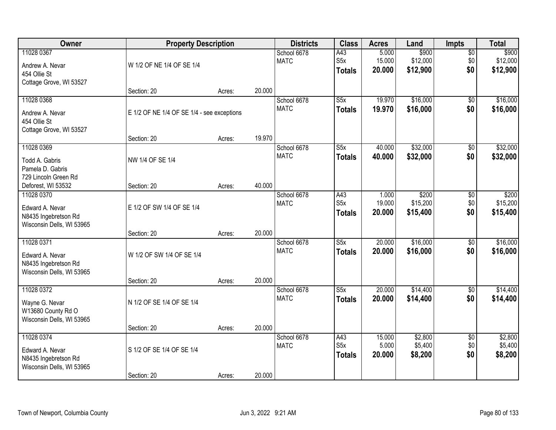| Owner                                                                              | <b>Property Description</b>                |        |        | <b>Districts</b>           | <b>Class</b>                             | <b>Acres</b>              | Land                          | <b>Impts</b>                  | <b>Total</b>                  |
|------------------------------------------------------------------------------------|--------------------------------------------|--------|--------|----------------------------|------------------------------------------|---------------------------|-------------------------------|-------------------------------|-------------------------------|
| 11028 0367<br>Andrew A. Nevar<br>454 Ollie St<br>Cottage Grove, WI 53527           | W 1/2 OF NE 1/4 OF SE 1/4                  |        |        | School 6678<br><b>MATC</b> | A43<br>S <sub>5</sub> x<br><b>Totals</b> | 5.000<br>15.000<br>20.000 | \$900<br>\$12,000<br>\$12,900 | $\overline{50}$<br>\$0<br>\$0 | \$900<br>\$12,000<br>\$12,900 |
|                                                                                    | Section: 20                                | Acres: | 20.000 |                            |                                          |                           |                               |                               |                               |
| 11028 0368<br>Andrew A. Nevar<br>454 Ollie St<br>Cottage Grove, WI 53527           | E 1/2 OF NE 1/4 OF SE 1/4 - see exceptions |        |        | School 6678<br><b>MATC</b> | $\overline{\text{S5x}}$<br><b>Totals</b> | 19.970<br>19.970          | \$16,000<br>\$16,000          | $\overline{50}$<br>\$0        | \$16,000<br>\$16,000          |
|                                                                                    | Section: 20                                | Acres: | 19.970 |                            |                                          |                           |                               |                               |                               |
| 11028 0369<br>Todd A. Gabris<br>Pamela D. Gabris<br>729 Lincoln Green Rd           | NW 1/4 OF SE 1/4                           |        |        | School 6678<br><b>MATC</b> | S5x<br><b>Totals</b>                     | 40.000<br>40.000          | \$32,000<br>\$32,000          | \$0<br>\$0                    | \$32,000<br>\$32,000          |
| Deforest, WI 53532                                                                 | Section: 20                                | Acres: | 40.000 |                            |                                          |                           |                               |                               |                               |
| 11028 0370<br>Edward A. Nevar<br>N8435 Ingebretson Rd<br>Wisconsin Dells, WI 53965 | E 1/2 OF SW 1/4 OF SE 1/4                  |        |        | School 6678<br><b>MATC</b> | A43<br>S <sub>5</sub> x<br><b>Totals</b> | 1.000<br>19.000<br>20.000 | \$200<br>\$15,200<br>\$15,400 | \$0<br>\$0<br>\$0             | \$200<br>\$15,200<br>\$15,400 |
|                                                                                    | Section: 20                                | Acres: | 20.000 |                            |                                          |                           |                               |                               |                               |
| 11028 0371<br>Edward A. Nevar<br>N8435 Ingebretson Rd<br>Wisconsin Dells, WI 53965 | W 1/2 OF SW 1/4 OF SE 1/4<br>Section: 20   | Acres: | 20.000 | School 6678<br><b>MATC</b> | $\overline{\text{S5x}}$<br><b>Totals</b> | 20.000<br>20,000          | \$16,000<br>\$16,000          | \$0<br>\$0                    | \$16,000<br>\$16,000          |
| 11028 0372                                                                         |                                            |        |        | School 6678                | $\overline{\text{S5x}}$                  | 20.000                    | \$14,400                      | $\sqrt{$0}$                   | \$14,400                      |
| Wayne G. Nevar<br>W13680 County Rd O<br>Wisconsin Dells, WI 53965                  | N 1/2 OF SE 1/4 OF SE 1/4                  |        |        | <b>MATC</b>                | <b>Totals</b>                            | 20.000                    | \$14,400                      | \$0                           | \$14,400                      |
|                                                                                    | Section: 20                                | Acres: | 20.000 |                            |                                          |                           |                               |                               |                               |
| 11028 0374<br>Edward A. Nevar<br>N8435 Ingebretson Rd<br>Wisconsin Dells, WI 53965 | S 1/2 OF SE 1/4 OF SE 1/4                  |        |        | School 6678<br><b>MATC</b> | A43<br>S <sub>5x</sub><br><b>Totals</b>  | 15.000<br>5.000<br>20.000 | \$2,800<br>\$5,400<br>\$8,200 | $\overline{50}$<br>\$0<br>\$0 | \$2,800<br>\$5,400<br>\$8,200 |
|                                                                                    | Section: 20                                | Acres: | 20.000 |                            |                                          |                           |                               |                               |                               |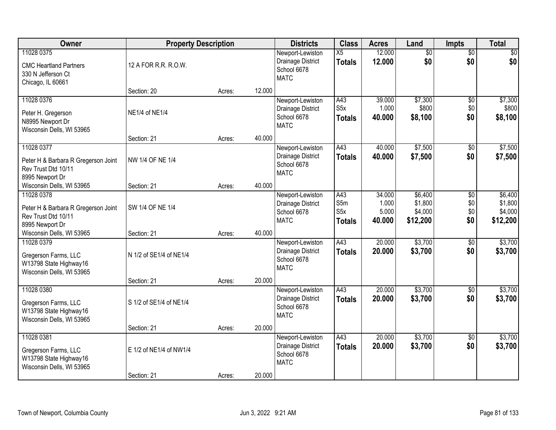| Owner                                                                                       | <b>Property Description</b> |        |        | <b>Districts</b>                                                    | <b>Class</b>                                    | <b>Acres</b>                       | Land                                      | <b>Impts</b>                       | <b>Total</b>                              |
|---------------------------------------------------------------------------------------------|-----------------------------|--------|--------|---------------------------------------------------------------------|-------------------------------------------------|------------------------------------|-------------------------------------------|------------------------------------|-------------------------------------------|
| 11028 0375<br><b>CMC Heartland Partners</b><br>330 N Jefferson Ct<br>Chicago, IL 60661      | 12 A FOR R.R. R.O.W.        |        |        | Newport-Lewiston<br>Drainage District<br>School 6678<br><b>MATC</b> | X5<br><b>Totals</b>                             | 12.000<br>12.000                   | $\overline{50}$<br>\$0                    | $\overline{50}$<br>\$0             | \$0<br>\$0                                |
|                                                                                             | Section: 20                 | Acres: | 12.000 |                                                                     |                                                 |                                    |                                           |                                    |                                           |
| 11028 0376<br>Peter H. Gregerson<br>N8995 Newport Dr<br>Wisconsin Dells, WI 53965           | NE1/4 of NE1/4              |        |        | Newport-Lewiston<br>Drainage District<br>School 6678<br><b>MATC</b> | A43<br>S5x<br><b>Totals</b>                     | 39.000<br>1.000<br>40.000          | \$7,300<br>\$800<br>\$8,100               | \$0<br>\$0<br>\$0                  | \$7,300<br>\$800<br>\$8,100               |
|                                                                                             | Section: 21                 | Acres: | 40.000 |                                                                     |                                                 |                                    |                                           |                                    |                                           |
| 11028 0377<br>Peter H & Barbara R Gregerson Joint<br>Rev Trust Dtd 10/11<br>8995 Newport Dr | NW 1/4 OF NE 1/4            |        |        | Newport-Lewiston<br>Drainage District<br>School 6678<br><b>MATC</b> | A43<br><b>Totals</b>                            | 40.000<br>40.000                   | \$7,500<br>\$7,500                        | \$0<br>\$0                         | \$7,500<br>\$7,500                        |
| Wisconsin Dells, WI 53965                                                                   | Section: 21                 | Acres: | 40.000 |                                                                     |                                                 |                                    |                                           |                                    |                                           |
| 11028 0378<br>Peter H & Barbara R Gregerson Joint<br>Rev Trust Dtd 10/11<br>8995 Newport Dr | SW 1/4 OF NE 1/4            |        |        | Newport-Lewiston<br>Drainage District<br>School 6678<br><b>MATC</b> | A43<br>S5m<br>S <sub>5</sub> x<br><b>Totals</b> | 34.000<br>1.000<br>5.000<br>40.000 | \$6,400<br>\$1,800<br>\$4,000<br>\$12,200 | $\sqrt[6]{3}$<br>\$0<br>\$0<br>\$0 | \$6,400<br>\$1,800<br>\$4,000<br>\$12,200 |
| Wisconsin Dells, WI 53965                                                                   | Section: 21                 | Acres: | 40.000 |                                                                     |                                                 |                                    |                                           |                                    |                                           |
| 11028 0379<br>Gregerson Farms, LLC<br>W13798 State Highway16<br>Wisconsin Dells, WI 53965   | N 1/2 of SE1/4 of NE1/4     |        |        | Newport-Lewiston<br>Drainage District<br>School 6678<br><b>MATC</b> | $\overline{A43}$<br>Totals                      | 20.000<br>20,000                   | \$3,700<br>\$3,700                        | $\overline{50}$<br>\$0             | \$3,700<br>\$3,700                        |
| 11028 0380                                                                                  | Section: 21                 | Acres: | 20.000 | Newport-Lewiston                                                    | A43                                             | 20.000                             | \$3,700                                   | \$0                                | \$3,700                                   |
| Gregerson Farms, LLC<br>W13798 State Highway16<br>Wisconsin Dells, WI 53965                 | S 1/2 of SE1/4 of NE1/4     |        |        | Drainage District<br>School 6678<br><b>MATC</b>                     | <b>Totals</b>                                   | 20.000                             | \$3,700                                   | \$0                                | \$3,700                                   |
|                                                                                             | Section: 21                 | Acres: | 20.000 |                                                                     |                                                 |                                    |                                           |                                    |                                           |
| 11028 0381<br>Gregerson Farms, LLC<br>W13798 State Highway16<br>Wisconsin Dells, WI 53965   | E 1/2 of NE1/4 of NW1/4     |        |        | Newport-Lewiston<br>Drainage District<br>School 6678<br><b>MATC</b> | A43<br><b>Totals</b>                            | 20.000<br>20.000                   | \$3,700<br>\$3,700                        | $\overline{30}$<br>\$0             | \$3,700<br>\$3,700                        |
|                                                                                             | Section: 21                 | Acres: | 20.000 |                                                                     |                                                 |                                    |                                           |                                    |                                           |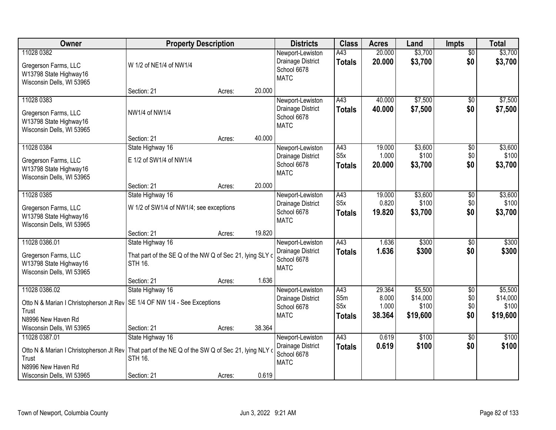| Owner                                                                                                                                               | <b>Property Description</b>                                                                    |        |        | <b>Districts</b>                                                    | <b>Class</b>                                    | <b>Acres</b>                       | Land                                     | <b>Impts</b>                         | <b>Total</b>                             |
|-----------------------------------------------------------------------------------------------------------------------------------------------------|------------------------------------------------------------------------------------------------|--------|--------|---------------------------------------------------------------------|-------------------------------------------------|------------------------------------|------------------------------------------|--------------------------------------|------------------------------------------|
| 11028 0382<br>Gregerson Farms, LLC<br>W13798 State Highway16<br>Wisconsin Dells, WI 53965                                                           | W 1/2 of NE1/4 of NW1/4                                                                        |        |        | Newport-Lewiston<br>Drainage District<br>School 6678<br><b>MATC</b> | A43<br><b>Totals</b>                            | 20.000<br>20.000                   | \$3,700<br>\$3,700                       | $\overline{50}$<br>\$0               | \$3,700<br>\$3,700                       |
|                                                                                                                                                     | Section: 21                                                                                    | Acres: | 20.000 |                                                                     |                                                 |                                    |                                          |                                      |                                          |
| 11028 0383<br>Gregerson Farms, LLC<br>W13798 State Highway16<br>Wisconsin Dells, WI 53965                                                           | NW1/4 of NW1/4                                                                                 |        |        | Newport-Lewiston<br>Drainage District<br>School 6678<br><b>MATC</b> | A43<br><b>Totals</b>                            | 40.000<br>40.000                   | \$7,500<br>\$7,500                       | \$0<br>\$0                           | \$7,500<br>\$7,500                       |
|                                                                                                                                                     | Section: 21                                                                                    | Acres: | 40.000 |                                                                     |                                                 |                                    |                                          |                                      |                                          |
| 11028 0384<br>Gregerson Farms, LLC<br>W13798 State Highway16<br>Wisconsin Dells, WI 53965                                                           | State Highway 16<br>E 1/2 of SW1/4 of NW1/4                                                    |        |        | Newport-Lewiston<br>Drainage District<br>School 6678<br><b>MATC</b> | A43<br>S <sub>5</sub> x<br><b>Totals</b>        | 19.000<br>1.000<br>20.000          | \$3,600<br>\$100<br>\$3,700              | $\sqrt[6]{3}$<br>\$0<br>\$0          | \$3,600<br>\$100<br>\$3,700              |
|                                                                                                                                                     | Section: 21                                                                                    | Acres: | 20.000 |                                                                     |                                                 |                                    |                                          |                                      |                                          |
| 11028 0385<br>Gregerson Farms, LLC<br>W13798 State Highway16<br>Wisconsin Dells, WI 53965                                                           | State Highway 16<br>W 1/2 of SW1/4 of NW1/4; see exceptions                                    |        |        | Newport-Lewiston<br>Drainage District<br>School 6678<br><b>MATC</b> | A43<br>S <sub>5</sub> x<br><b>Totals</b>        | 19.000<br>0.820<br>19.820          | \$3,600<br>\$100<br>\$3,700              | \$0<br>\$0<br>\$0                    | \$3,600<br>\$100<br>\$3,700              |
|                                                                                                                                                     | Section: 21                                                                                    | Acres: | 19.820 |                                                                     |                                                 |                                    |                                          |                                      |                                          |
| 11028 0386.01<br>Gregerson Farms, LLC<br>W13798 State Highway16<br>Wisconsin Dells, WI 53965                                                        | State Highway 16<br>That part of the SE Q of the NW Q of Sec 21, lying SLY c<br><b>STH 16.</b> |        |        | Newport-Lewiston<br>Drainage District<br>School 6678<br><b>MATC</b> | A43<br><b>Totals</b>                            | 1.636<br>1.636                     | \$300<br>\$300                           | \$0<br>\$0                           | \$300<br>\$300                           |
|                                                                                                                                                     | Section: 21                                                                                    | Acres: | 1.636  |                                                                     |                                                 |                                    |                                          |                                      |                                          |
| 11028 0386.02<br>Otto N & Marian I Christopherson Jt Rev   SE 1/4 OF NW 1/4 - See Exceptions<br>Trust<br>N8996 New Haven Rd                         | State Highway 16                                                                               |        |        | Newport-Lewiston<br>Drainage District<br>School 6678<br><b>MATC</b> | A43<br>S5m<br>S <sub>5</sub> x<br><b>Totals</b> | 29.364<br>8.000<br>1.000<br>38.364 | \$5,500<br>\$14,000<br>\$100<br>\$19,600 | $\overline{50}$<br>\$0<br>\$0<br>\$0 | \$5,500<br>\$14,000<br>\$100<br>\$19,600 |
| Wisconsin Dells, WI 53965                                                                                                                           | Section: 21                                                                                    | Acres: | 38.364 |                                                                     |                                                 |                                    |                                          |                                      |                                          |
| 11028 0387.01<br>Otto N & Marian I Christopherson Jt Rev   That part of the NE Q of the SW Q of Sec 21, lying NLY of<br>Trust<br>N8996 New Haven Rd | State Highway 16<br><b>STH 16.</b>                                                             |        |        | Newport-Lewiston<br>Drainage District<br>School 6678<br><b>MATC</b> | A43<br><b>Totals</b>                            | 0.619<br>0.619                     | \$100<br>\$100                           | $\overline{30}$<br>\$0               | \$100<br>\$100                           |
| Wisconsin Dells, WI 53965                                                                                                                           | Section: 21                                                                                    | Acres: | 0.619  |                                                                     |                                                 |                                    |                                          |                                      |                                          |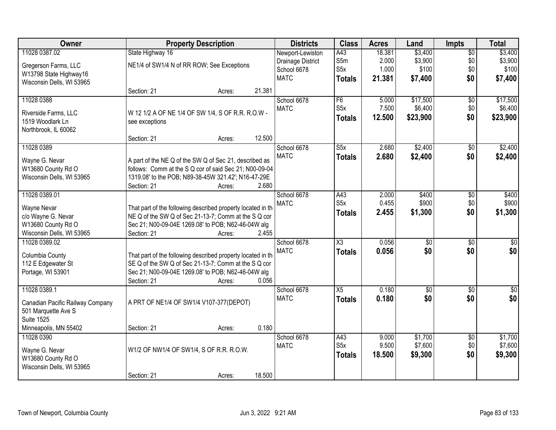| Owner                                                   |                                                                                                                     | <b>Property Description</b> |        | <b>Districts</b>  | <b>Class</b>        | <b>Acres</b> | Land            | <b>Impts</b>    | <b>Total</b>     |
|---------------------------------------------------------|---------------------------------------------------------------------------------------------------------------------|-----------------------------|--------|-------------------|---------------------|--------------|-----------------|-----------------|------------------|
| 11028 0387.02                                           | State Highway 16                                                                                                    |                             |        | Newport-Lewiston  | A43                 | 18.381       | \$3,400         | $\overline{50}$ | \$3,400          |
| Gregerson Farms, LLC                                    | NE1/4 of SW1/4 N of RR ROW; See Exceptions                                                                          |                             |        | Drainage District | S5m                 | 2.000        | \$3,900         | \$0             | \$3,900          |
| W13798 State Highway16                                  |                                                                                                                     |                             |        | School 6678       | S5x                 | 1.000        | \$100           | \$0             | \$100            |
| Wisconsin Dells, WI 53965                               |                                                                                                                     |                             |        | <b>MATC</b>       | <b>Totals</b>       | 21.381       | \$7,400         | \$0             | \$7,400          |
|                                                         | Section: 21                                                                                                         | Acres:                      | 21.381 |                   |                     |              |                 |                 |                  |
| 11028 0388                                              |                                                                                                                     |                             |        | School 6678       | F6                  | 5.000        | \$17,500        | $\overline{50}$ | \$17,500         |
| Riverside Farms, LLC                                    | W 12 1/2 A OF NE 1/4 OF SW 1/4, S OF R.R. R.O.W -                                                                   |                             |        | <b>MATC</b>       | S5x                 | 7.500        | \$6,400         | \$0             | \$6,400          |
| 1519 Woodlark Ln                                        | see exceptions                                                                                                      |                             |        |                   | <b>Totals</b>       | 12.500       | \$23,900        | \$0             | \$23,900         |
| Northbrook, IL 60062                                    |                                                                                                                     |                             |        |                   |                     |              |                 |                 |                  |
|                                                         | Section: 21                                                                                                         | Acres:                      | 12.500 |                   |                     |              |                 |                 |                  |
| 11028 0389                                              |                                                                                                                     |                             |        | School 6678       | S5x                 | 2.680        | \$2,400         | $\sqrt{6}$      | \$2,400          |
| Wayne G. Nevar                                          | A part of the NE Q of the SW Q of Sec 21, described as                                                              |                             |        | <b>MATC</b>       | <b>Totals</b>       | 2.680        | \$2,400         | \$0             | \$2,400          |
| W13680 County Rd O                                      | follows: Comm at the S Q cor of said Sec 21; N00-09-04                                                              |                             |        |                   |                     |              |                 |                 |                  |
| Wisconsin Dells, WI 53965                               | 1319.08' to the POB; N89-38-45W 321.42'; N16-47-29E                                                                 |                             |        |                   |                     |              |                 |                 |                  |
|                                                         | Section: 21                                                                                                         | Acres:                      | 2.680  |                   |                     |              |                 |                 |                  |
| 11028 0389.01                                           |                                                                                                                     |                             |        | School 6678       | A43                 | 2.000        | \$400           | \$0             | \$400            |
| Wayne Nevar                                             | That part of the following described property located in th                                                         |                             |        | <b>MATC</b>       | S <sub>5x</sub>     | 0.455        | \$900           | \$0             | \$900            |
| c/o Wayne G. Nevar                                      | NE Q of the SW Q of Sec 21-13-7; Comm at the S Q cor                                                                |                             |        |                   | <b>Totals</b>       | 2.455        | \$1,300         | \$0             | \$1,300          |
| W13680 County Rd O                                      | Sec 21; N00-09-04E 1269.08' to POB; N62-46-04W alg                                                                  |                             |        |                   |                     |              |                 |                 |                  |
| Wisconsin Dells, WI 53965                               | Section: 21                                                                                                         | Acres:                      | 2.455  |                   |                     |              |                 |                 |                  |
| 11028 0389.02                                           |                                                                                                                     |                             |        | School 6678       | $\overline{\chi_3}$ | 0.056        | $\overline{50}$ | $\overline{30}$ | $\overline{30}$  |
|                                                         |                                                                                                                     |                             |        | <b>MATC</b>       | <b>Totals</b>       | 0.056        | \$0             | \$0             | \$0              |
| Columbia County<br>112 E Edgewater St                   | That part of the following described property located in th<br>SE Q of the SW Q of Sec 21-13-7; Comm at the S Q cor |                             |        |                   |                     |              |                 |                 |                  |
| Portage, WI 53901                                       | Sec 21; N00-09-04E 1269.08' to POB; N62-46-04W alg                                                                  |                             |        |                   |                     |              |                 |                 |                  |
|                                                         | Section: 21                                                                                                         | Acres:                      | 0.056  |                   |                     |              |                 |                 |                  |
| 11028 0389.1                                            |                                                                                                                     |                             |        | School 6678       | X5                  | 0.180        | $\overline{50}$ | $\overline{50}$ | $\overline{\$0}$ |
|                                                         |                                                                                                                     |                             |        | <b>MATC</b>       | <b>Totals</b>       | 0.180        | \$0             | \$0             | \$0              |
| Canadian Pacific Railway Company<br>501 Marquette Ave S | A PRT OF NE1/4 OF SW1/4 V107-377(DEPOT)                                                                             |                             |        |                   |                     |              |                 |                 |                  |
| <b>Suite 1525</b>                                       |                                                                                                                     |                             |        |                   |                     |              |                 |                 |                  |
| Minneapolis, MN 55402                                   | Section: 21                                                                                                         | Acres:                      | 0.180  |                   |                     |              |                 |                 |                  |
| 11028 0390                                              |                                                                                                                     |                             |        | School 6678       | A43                 | 9.000        | \$1,700         | $\overline{50}$ | \$1,700          |
|                                                         |                                                                                                                     |                             |        | <b>MATC</b>       | S <sub>5x</sub>     | 9.500        | \$7,600         | \$0             | \$7,600          |
| Wayne G. Nevar<br>W13680 County Rd O                    | W1/2 OF NW1/4 OF SW1/4, S OF R.R. R.O.W.                                                                            |                             |        |                   | <b>Totals</b>       | 18.500       | \$9,300         | \$0             | \$9,300          |
| Wisconsin Dells, WI 53965                               |                                                                                                                     |                             |        |                   |                     |              |                 |                 |                  |
|                                                         | Section: 21                                                                                                         | Acres:                      | 18.500 |                   |                     |              |                 |                 |                  |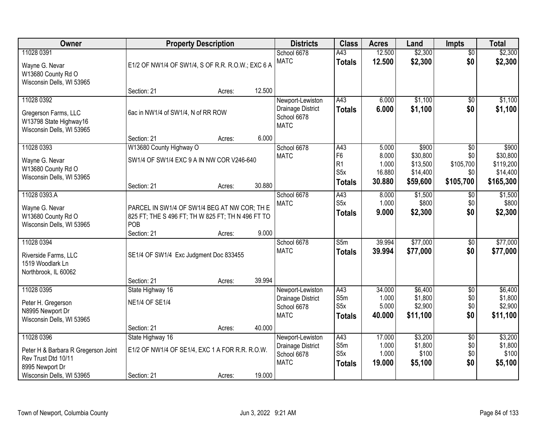| Owner                                                                                     |                                                                                                          | <b>Property Description</b> |        | <b>Districts</b>                                                    | <b>Class</b>                                                                 | <b>Acres</b>                                | Land                                                  | <b>Impts</b>                                            | <b>Total</b>                                            |
|-------------------------------------------------------------------------------------------|----------------------------------------------------------------------------------------------------------|-----------------------------|--------|---------------------------------------------------------------------|------------------------------------------------------------------------------|---------------------------------------------|-------------------------------------------------------|---------------------------------------------------------|---------------------------------------------------------|
| 11028 0391<br>Wayne G. Nevar<br>W13680 County Rd O<br>Wisconsin Dells, WI 53965           | E1/2 OF NW1/4 OF SW1/4, S OF R.R. R.O.W.; EXC 6 A                                                        |                             |        | School 6678<br><b>MATC</b>                                          | A43<br><b>Totals</b>                                                         | 12.500<br>12.500                            | \$2,300<br>\$2,300                                    | $\overline{50}$<br>\$0                                  | \$2,300<br>\$2,300                                      |
|                                                                                           | Section: 21                                                                                              | Acres:                      | 12.500 |                                                                     |                                                                              |                                             |                                                       |                                                         |                                                         |
| 11028 0392<br>Gregerson Farms, LLC<br>W13798 State Highway16<br>Wisconsin Dells, WI 53965 | 6ac in NW1/4 of SW1/4, N of RR ROW                                                                       |                             |        | Newport-Lewiston<br>Drainage District<br>School 6678<br><b>MATC</b> | A43<br><b>Totals</b>                                                         | 6.000<br>6.000                              | \$1,100<br>\$1,100                                    | $\overline{50}$<br>\$0                                  | \$1,100<br>\$1,100                                      |
|                                                                                           | Section: 21                                                                                              | Acres:                      | 6.000  |                                                                     |                                                                              |                                             |                                                       |                                                         |                                                         |
| 11028 0393<br>Wayne G. Nevar<br>W13680 County Rd O<br>Wisconsin Dells, WI 53965           | W13680 County Highway O<br>SW1/4 OF SW1/4 EXC 9 A IN NW COR V246-640<br>Section: 21                      | Acres:                      | 30.880 | School 6678<br><b>MATC</b>                                          | A43<br>F <sub>6</sub><br>R <sub>1</sub><br>S <sub>5</sub> x<br><b>Totals</b> | 5.000<br>8.000<br>1.000<br>16.880<br>30.880 | \$900<br>\$30,800<br>\$13,500<br>\$14,400<br>\$59,600 | $\overline{50}$<br>\$0<br>\$105,700<br>\$0<br>\$105,700 | \$900<br>\$30,800<br>\$119,200<br>\$14,400<br>\$165,300 |
| 11028 0393.A                                                                              |                                                                                                          |                             |        | School 6678                                                         | A43                                                                          | 8.000                                       | \$1,500                                               | $\sqrt{6}$                                              | \$1,500                                                 |
| Wayne G. Nevar<br>W13680 County Rd O<br>Wisconsin Dells, WI 53965                         | PARCEL IN SW1/4 OF SW1/4 BEG AT NW COR; TH E<br>825 FT; THE S 496 FT; TH W 825 FT; TH N 496 FT TO<br>POB |                             |        | <b>MATC</b>                                                         | S5x<br><b>Totals</b>                                                         | 1.000<br>9.000                              | \$800<br>\$2,300                                      | \$0<br>\$0                                              | \$800<br>\$2,300                                        |
|                                                                                           | Section: 21                                                                                              | Acres:                      | 9.000  |                                                                     |                                                                              |                                             |                                                       |                                                         |                                                         |
| 11028 0394<br>Riverside Farms, LLC<br>1519 Woodlark Ln<br>Northbrook, IL 60062            | SE1/4 OF SW1/4 Exc Judgment Doc 833455                                                                   |                             |        | School 6678<br><b>MATC</b>                                          | $\overline{\text{S}5m}$<br><b>Totals</b>                                     | 39.994<br>39,994                            | \$77,000<br>\$77,000                                  | \$0<br>\$0                                              | \$77,000<br>\$77,000                                    |
|                                                                                           | Section: 21                                                                                              | Acres:                      | 39.994 |                                                                     |                                                                              |                                             |                                                       |                                                         |                                                         |
| 11028 0395<br>Peter H. Gregerson<br>N8995 Newport Dr<br>Wisconsin Dells, WI 53965         | State Highway 16<br><b>NE1/4 OF SE1/4</b>                                                                |                             | 40.000 | Newport-Lewiston<br>Drainage District<br>School 6678<br><b>MATC</b> | A43<br>S5m<br>S <sub>5</sub> x<br><b>Totals</b>                              | 34.000<br>1.000<br>5.000<br>40.000          | \$6,400<br>\$1,800<br>\$2,900<br>\$11,100             | $\overline{60}$<br>\$0<br>\$0<br>\$0                    | \$6,400<br>\$1,800<br>\$2,900<br>\$11,100               |
| 11028 0396                                                                                | Section: 21<br>State Highway 16                                                                          | Acres:                      |        | Newport-Lewiston                                                    | A43                                                                          | 17.000                                      | \$3,200                                               | $\overline{50}$                                         | \$3,200                                                 |
| Peter H & Barbara R Gregerson Joint<br>Rev Trust Dtd 10/11<br>8995 Newport Dr             | E1/2 OF NW1/4 OF SE1/4, EXC 1 A FOR R.R. R.O.W.                                                          |                             |        | Drainage District<br>School 6678<br><b>MATC</b>                     | S5m<br>S <sub>5</sub> x<br><b>Totals</b>                                     | 1.000<br>1.000<br>19.000                    | \$1,800<br>\$100<br>\$5,100                           | \$0<br>\$0<br>\$0                                       | \$1,800<br>\$100<br>\$5,100                             |
| Wisconsin Dells, WI 53965                                                                 | Section: 21                                                                                              | Acres:                      | 19.000 |                                                                     |                                                                              |                                             |                                                       |                                                         |                                                         |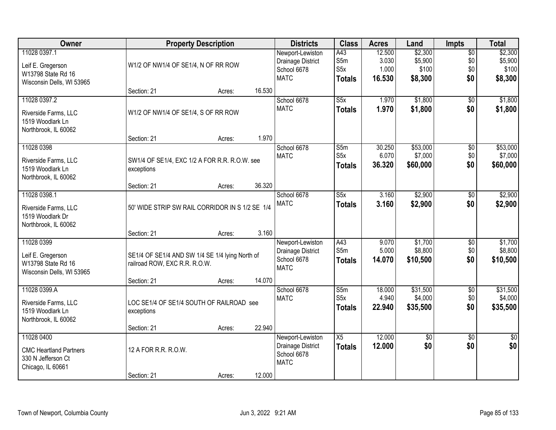| Owner                                                                                  |                                                                                  | <b>Property Description</b> |        | <b>Districts</b>                                                    | <b>Class</b>                                    | <b>Acres</b>                       | Land                                   | <b>Impts</b>                         | <b>Total</b>                           |
|----------------------------------------------------------------------------------------|----------------------------------------------------------------------------------|-----------------------------|--------|---------------------------------------------------------------------|-------------------------------------------------|------------------------------------|----------------------------------------|--------------------------------------|----------------------------------------|
| 11028 0397.1<br>Leif E. Gregerson<br>W13798 State Rd 16<br>Wisconsin Dells, WI 53965   | W1/2 OF NW1/4 OF SE1/4, N OF RR ROW                                              |                             |        | Newport-Lewiston<br>Drainage District<br>School 6678<br><b>MATC</b> | A43<br>S5m<br>S5x<br><b>Totals</b>              | 12.500<br>3.030<br>1.000<br>16.530 | \$2,300<br>\$5,900<br>\$100<br>\$8,300 | $\overline{50}$<br>\$0<br>\$0<br>\$0 | \$2,300<br>\$5,900<br>\$100<br>\$8,300 |
|                                                                                        | Section: 21                                                                      | Acres:                      | 16.530 |                                                                     |                                                 |                                    |                                        |                                      |                                        |
| 11028 0397.2<br>Riverside Farms, LLC<br>1519 Woodlark Ln<br>Northbrook, IL 60062       | W1/2 OF NW1/4 OF SE1/4, S OF RR ROW                                              |                             | 1.970  | School 6678<br><b>MATC</b>                                          | S5x<br><b>Totals</b>                            | 1.970<br>1.970                     | \$1,800<br>\$1,800                     | $\overline{50}$<br>\$0               | \$1,800<br>\$1,800                     |
| 11028 0398                                                                             | Section: 21                                                                      | Acres:                      |        | School 6678                                                         | S5m                                             | 30.250                             | \$53,000                               | \$0                                  | \$53,000                               |
| Riverside Farms, LLC<br>1519 Woodlark Ln<br>Northbrook, IL 60062                       | SW1/4 OF SE1/4, EXC 1/2 A FOR R.R. R.O.W. see<br>exceptions                      |                             |        | <b>MATC</b>                                                         | S <sub>5</sub> x<br><b>Totals</b>               | 6.070<br>36.320                    | \$7,000<br>\$60,000                    | \$0<br>\$0                           | \$7,000<br>\$60,000                    |
|                                                                                        | Section: 21                                                                      | Acres:                      | 36.320 |                                                                     |                                                 |                                    |                                        |                                      |                                        |
| 11028 0398.1<br>Riverside Farms, LLC<br>1519 Woodlark Dr                               | 50' WIDE STRIP SW RAIL CORRIDOR IN S 1/2 SE 1/4                                  |                             |        | School 6678<br><b>MATC</b>                                          | $\overline{\text{S5x}}$<br><b>Totals</b>        | 3.160<br>3.160                     | \$2,900<br>\$2,900                     | \$0<br>\$0                           | \$2,900<br>\$2,900                     |
| Northbrook, IL 60062                                                                   | Section: 21                                                                      | Acres:                      | 3.160  |                                                                     |                                                 |                                    |                                        |                                      |                                        |
| 11028 0399<br>Leif E. Gregerson<br>W13798 State Rd 16<br>Wisconsin Dells, WI 53965     | SE1/4 OF SE1/4 AND SW 1/4 SE 1/4 lying North of<br>railroad ROW, EXC R.R. R.O.W. |                             |        | Newport-Lewiston<br>Drainage District<br>School 6678<br><b>MATC</b> | A43<br>S5m<br><b>Totals</b>                     | 9.070<br>5.000<br>14.070           | \$1,700<br>\$8,800<br>\$10,500         | $\overline{50}$<br>\$0<br>\$0        | \$1,700<br>\$8,800<br>\$10,500         |
|                                                                                        | Section: 21                                                                      | Acres:                      | 14.070 |                                                                     |                                                 |                                    |                                        |                                      |                                        |
| 11028 0399.A<br>Riverside Farms, LLC<br>1519 Woodlark Ln<br>Northbrook, IL 60062       | LOC SE1/4 OF SE1/4 SOUTH OF RAILROAD see<br>exceptions                           |                             |        | School 6678<br><b>MATC</b>                                          | $\overline{\text{S}5m}$<br>S5x<br><b>Totals</b> | 18.000<br>4.940<br>22.940          | \$31,500<br>\$4,000<br>\$35,500        | $\overline{50}$<br>\$0<br>\$0        | \$31,500<br>\$4,000<br>\$35,500        |
|                                                                                        | Section: 21                                                                      | Acres:                      | 22.940 |                                                                     |                                                 |                                    |                                        |                                      |                                        |
| 11028 0400<br><b>CMC Heartland Partners</b><br>330 N Jefferson Ct<br>Chicago, IL 60661 | 12 A FOR R.R. R.O.W.<br>Section: 21                                              | Acres:                      | 12.000 | Newport-Lewiston<br>Drainage District<br>School 6678<br><b>MATC</b> | X5<br><b>Totals</b>                             | 12.000<br>12.000                   | \$0<br>\$0                             | $\overline{50}$<br>\$0               | $\overline{50}$<br>\$0                 |
|                                                                                        |                                                                                  |                             |        |                                                                     |                                                 |                                    |                                        |                                      |                                        |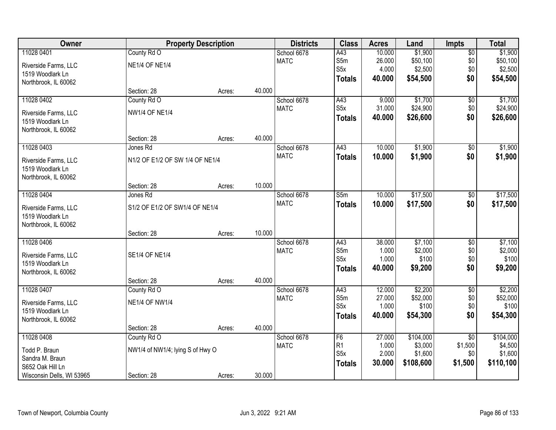| Owner                     |                                  | <b>Property Description</b> |        | <b>Districts</b> | <b>Class</b>     | <b>Acres</b> | Land      | <b>Impts</b>    | <b>Total</b> |
|---------------------------|----------------------------------|-----------------------------|--------|------------------|------------------|--------------|-----------|-----------------|--------------|
| 11028 0401                | County Rd O                      |                             |        | School 6678      | A43              | 10.000       | \$1,900   | $\overline{50}$ | \$1,900      |
| Riverside Farms, LLC      | <b>NE1/4 OF NE1/4</b>            |                             |        | <b>MATC</b>      | S5m              | 26.000       | \$50,100  | \$0             | \$50,100     |
| 1519 Woodlark Ln          |                                  |                             |        |                  | S <sub>5</sub> x | 4.000        | \$2,500   | \$0             | \$2,500      |
| Northbrook, IL 60062      |                                  |                             |        |                  | <b>Totals</b>    | 40.000       | \$54,500  | \$0             | \$54,500     |
|                           | Section: 28                      | Acres:                      | 40.000 |                  |                  |              |           |                 |              |
| 11028 0402                | County Rd O                      |                             |        | School 6678      | A43              | 9.000        | \$1,700   | \$0             | \$1,700      |
| Riverside Farms, LLC      | <b>NW1/4 OF NE1/4</b>            |                             |        | <b>MATC</b>      | S <sub>5x</sub>  | 31.000       | \$24,900  | \$0             | \$24,900     |
| 1519 Woodlark Ln          |                                  |                             |        |                  | <b>Totals</b>    | 40.000       | \$26,600  | \$0             | \$26,600     |
| Northbrook, IL 60062      |                                  |                             |        |                  |                  |              |           |                 |              |
|                           | Section: 28                      | Acres:                      | 40.000 |                  |                  |              |           |                 |              |
| 11028 0403                | Jones Rd                         |                             |        | School 6678      | A43              | 10.000       | \$1,900   | \$0             | \$1,900      |
| Riverside Farms, LLC      | N1/2 OF E1/2 OF SW 1/4 OF NE1/4  |                             |        | <b>MATC</b>      | <b>Totals</b>    | 10.000       | \$1,900   | \$0             | \$1,900      |
| 1519 Woodlark Ln          |                                  |                             |        |                  |                  |              |           |                 |              |
| Northbrook, IL 60062      |                                  |                             |        |                  |                  |              |           |                 |              |
|                           | Section: 28                      | Acres:                      | 10.000 |                  |                  |              |           |                 |              |
| 11028 0404                | Jones Rd                         |                             |        | School 6678      | S5m              | 10.000       | \$17,500  | $\frac{1}{20}$  | \$17,500     |
| Riverside Farms, LLC      | S1/2 OF E1/2 OF SW1/4 OF NE1/4   |                             |        | <b>MATC</b>      | <b>Totals</b>    | 10.000       | \$17,500  | \$0             | \$17,500     |
| 1519 Woodlark Ln          |                                  |                             |        |                  |                  |              |           |                 |              |
| Northbrook, IL 60062      |                                  |                             |        |                  |                  |              |           |                 |              |
|                           | Section: 28                      | Acres:                      | 10.000 |                  |                  |              |           |                 |              |
| 11028 0406                |                                  |                             |        | School 6678      | A43              | 38.000       | \$7,100   | $\overline{50}$ | \$7,100      |
| Riverside Farms, LLC      | <b>SE1/4 OF NE1/4</b>            |                             |        | <b>MATC</b>      | S5m              | 1.000        | \$2,000   | \$0             | \$2,000      |
| 1519 Woodlark Ln          |                                  |                             |        |                  | S <sub>5</sub> x | 1.000        | \$100     | \$0             | \$100        |
| Northbrook, IL 60062      |                                  |                             |        |                  | <b>Totals</b>    | 40.000       | \$9,200   | \$0             | \$9,200      |
|                           | Section: 28                      | Acres:                      | 40.000 |                  |                  |              |           |                 |              |
| 11028 0407                | County Rd O                      |                             |        | School 6678      | A43              | 12.000       | \$2,200   | $\sqrt{6}$      | \$2,200      |
| Riverside Farms, LLC      | <b>NE1/4 OF NW1/4</b>            |                             |        | <b>MATC</b>      | S5m              | 27.000       | \$52,000  | \$0             | \$52,000     |
| 1519 Woodlark Ln          |                                  |                             |        |                  | S <sub>5</sub> x | 1.000        | \$100     | \$0             | \$100        |
| Northbrook, IL 60062      |                                  |                             |        |                  | <b>Totals</b>    | 40.000       | \$54,300  | \$0             | \$54,300     |
|                           | Section: 28                      | Acres:                      | 40.000 |                  |                  |              |           |                 |              |
| 11028 0408                | County Rd O                      |                             |        | School 6678      | F <sub>6</sub>   | 27.000       | \$104,000 | $\overline{50}$ | \$104,000    |
| Todd P. Braun             | NW1/4 of NW1/4; lying S of Hwy O |                             |        | <b>MATC</b>      | R <sub>1</sub>   | 1.000        | \$3,000   | \$1,500         | \$4,500      |
| Sandra M. Braun           |                                  |                             |        |                  | S5x              | 2.000        | \$1,600   | \$0             | \$1,600      |
| S652 Oak Hill Ln          |                                  |                             |        |                  | <b>Totals</b>    | 30.000       | \$108,600 | \$1,500         | \$110,100    |
| Wisconsin Dells, WI 53965 | Section: 28                      | Acres:                      | 30.000 |                  |                  |              |           |                 |              |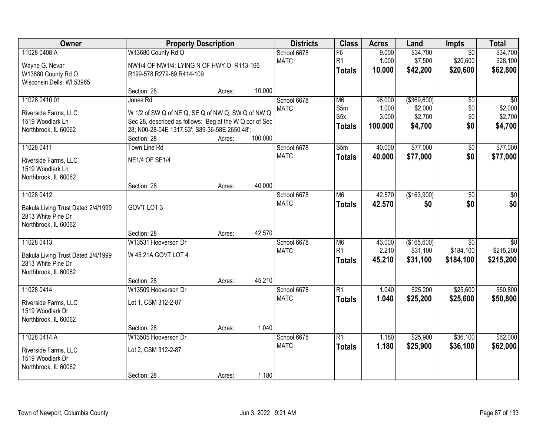| Owner                                                                                          |                                                                                                                                                                                          | <b>Property Description</b> |         | <b>Districts</b>           | <b>Class</b>                                  | <b>Acres</b>                        | Land                                           | <b>Impts</b>                              | <b>Total</b>                                     |
|------------------------------------------------------------------------------------------------|------------------------------------------------------------------------------------------------------------------------------------------------------------------------------------------|-----------------------------|---------|----------------------------|-----------------------------------------------|-------------------------------------|------------------------------------------------|-------------------------------------------|--------------------------------------------------|
| 11028 0408.A<br>Wayne G. Nevar<br>W13680 County Rd O<br>Wisconsin Dells, WI 53965              | W13680 County Rd O<br>NW1/4 OF NW1/4: LYING N OF HWY O. R113-166<br>R199-578 R279-89 R414-109                                                                                            |                             |         | School 6678<br><b>MATC</b> | F6<br>R1<br><b>Totals</b>                     | 9.000<br>1.000<br>10.000            | \$34,700<br>\$7,500<br>\$42,200                | $\overline{30}$<br>\$20,600<br>\$20,600   | \$34,700<br>\$28,100<br>\$62,800                 |
|                                                                                                | Section: 28                                                                                                                                                                              | Acres:                      | 10.000  |                            |                                               |                                     |                                                |                                           |                                                  |
| 11028 0410.01<br>Riverside Farms, LLC<br>1519 Woodlark Ln<br>Northbrook, IL 60062              | Jones Rd<br>W 1/2 of SW Q of NE Q, SE Q of NW Q, SW Q of NW Q<br>Sec 28, described as follows: Beg at the W Q cor of Sec<br>28; N00-28-04E 1317.63'; S89-36-58E 2650.48';<br>Section: 28 | Acres:                      | 100.000 | School 6678<br><b>MATC</b> | M <sub>6</sub><br>S5m<br>S5x<br><b>Totals</b> | 96.000<br>1.000<br>3.000<br>100.000 | ( \$369, 600)<br>\$2,000<br>\$2,700<br>\$4,700 | $\overline{50}$<br>\$0<br>\$0<br>\$0      | $\overline{50}$<br>\$2,000<br>\$2,700<br>\$4,700 |
| 11028 0411                                                                                     | <b>Town Line Rd</b>                                                                                                                                                                      |                             |         | School 6678                | S5m                                           | 40.000                              | \$77,000                                       | \$0                                       | \$77,000                                         |
| Riverside Farms, LLC<br>1519 Woodlark Ln<br>Northbrook, IL 60062                               | <b>NE1/4 OF SE1/4</b>                                                                                                                                                                    |                             |         | <b>MATC</b>                | <b>Totals</b>                                 | 40.000                              | \$77,000                                       | \$0                                       | \$77,000                                         |
|                                                                                                | Section: 28                                                                                                                                                                              | Acres:                      | 40.000  |                            |                                               |                                     |                                                |                                           |                                                  |
| 11028 0412<br>Bakula Living Trust Dated 2/4/1999<br>2813 White Pine Dr<br>Northbrook, IL 60062 | GOV'T LOT 3                                                                                                                                                                              |                             |         | School 6678<br><b>MATC</b> | M <sub>6</sub><br><b>Totals</b>               | 42.570<br>42.570                    | (\$163,900)<br>\$0                             | \$0<br>\$0                                | \$0<br>\$0                                       |
|                                                                                                | Section: 28                                                                                                                                                                              | Acres:                      | 42.570  |                            |                                               |                                     |                                                |                                           |                                                  |
| 11028 0413<br>Bakula Living Trust Dated 2/4/1999<br>2813 White Pine Dr<br>Northbrook, IL 60062 | W13531 Hooverson Dr<br>W 45.21A GOVT LOT 4<br>Section: 28                                                                                                                                | Acres:                      | 45.210  | School 6678<br><b>MATC</b> | M <sub>6</sub><br>R1<br>Totals                | 43.000<br>2.210<br>45.210           | (\$165,600)<br>\$31,100<br>\$31,100            | $\overline{50}$<br>\$184,100<br>\$184,100 | $\overline{50}$<br>\$215,200<br>\$215,200        |
| 11028 0414                                                                                     | W13509 Hooverson Dr                                                                                                                                                                      |                             |         | School 6678                | R1                                            | 1.040                               | \$25,200                                       | \$25,600                                  | \$50,800                                         |
| Riverside Farms, LLC<br>1519 Woodlark Dr<br>Northbrook, IL 60062                               | Lot 1, CSM 312-2-87                                                                                                                                                                      |                             |         | <b>MATC</b>                | <b>Totals</b>                                 | 1.040                               | \$25,200                                       | \$25,600                                  | \$50,800                                         |
|                                                                                                | Section: 28                                                                                                                                                                              | Acres:                      | 1.040   |                            |                                               |                                     |                                                |                                           |                                                  |
| 11028 0414.A<br>Riverside Farms, LLC<br>1519 Woodlark Dr<br>Northbrook, IL 60062               | W13505 Hooverson Dr<br>Lot 2, CSM 312-2-87<br>Section: 28                                                                                                                                | Acres:                      | 1.180   | School 6678<br><b>MATC</b> | R1<br><b>Totals</b>                           | 1.180<br>1.180                      | \$25,900<br>\$25,900                           | \$36,100<br>\$36,100                      | \$62,000<br>\$62,000                             |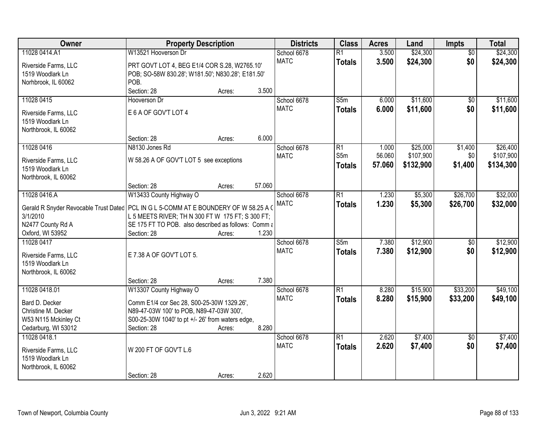| Owner                                                                                              | <b>Property Description</b>                                                                             |        |        | <b>Districts</b> | <b>Class</b>            | <b>Acres</b> | Land      | Impts           | <b>Total</b> |
|----------------------------------------------------------------------------------------------------|---------------------------------------------------------------------------------------------------------|--------|--------|------------------|-------------------------|--------------|-----------|-----------------|--------------|
| 11028 0414.A1                                                                                      | W13521 Hooverson Dr                                                                                     |        |        | School 6678      | $\overline{R1}$         | 3.500        | \$24,300  | $\overline{50}$ | \$24,300     |
| Riverside Farms, LLC                                                                               | PRT GOVT LOT 4, BEG E1/4 COR S.28, W2765.10'                                                            |        |        | <b>MATC</b>      | <b>Totals</b>           | 3.500        | \$24,300  | \$0             | \$24,300     |
| 1519 Woodlark Ln                                                                                   | POB; SO-58W 830.28'; W181.50'; N830.28'; E181.50'                                                       |        |        |                  |                         |              |           |                 |              |
| Norhbrook, IL 60062                                                                                | POB.                                                                                                    |        |        |                  |                         |              |           |                 |              |
|                                                                                                    | Section: 28                                                                                             | Acres: | 3.500  |                  |                         |              |           |                 |              |
| 11028 0415                                                                                         | Hooverson Dr                                                                                            |        |        | School 6678      | S5m                     | 6.000        | \$11,600  | $\overline{50}$ | \$11,600     |
| Riverside Farms, LLC                                                                               | E 6 A OF GOV'T LOT 4                                                                                    |        |        | <b>MATC</b>      | <b>Totals</b>           | 6.000        | \$11,600  | \$0             | \$11,600     |
| 1519 Woodlark Ln                                                                                   |                                                                                                         |        |        |                  |                         |              |           |                 |              |
| Northbrook, IL 60062                                                                               |                                                                                                         |        |        |                  |                         |              |           |                 |              |
|                                                                                                    | Section: 28                                                                                             | Acres: | 6.000  |                  |                         |              |           |                 |              |
| 11028 0416                                                                                         | N8130 Jones Rd                                                                                          |        |        | School 6678      | R1                      | 1.000        | \$25,000  | \$1,400         | \$26,400     |
|                                                                                                    | W 58.26 A OF GOV'T LOT 5 see exceptions                                                                 |        |        | <b>MATC</b>      | S5m                     | 56.060       | \$107,900 | \$0             | \$107,900    |
| Riverside Farms, LLC<br>1519 Woodlark Ln                                                           |                                                                                                         |        |        |                  | <b>Totals</b>           | 57.060       | \$132,900 | \$1,400         | \$134,300    |
| Northbrook, IL 60062                                                                               |                                                                                                         |        |        |                  |                         |              |           |                 |              |
|                                                                                                    | Section: 28                                                                                             | Acres: | 57.060 |                  |                         |              |           |                 |              |
| 11028 0416.A                                                                                       | W13433 County Highway O                                                                                 |        |        | School 6678      | $\overline{R1}$         | 1.230        | \$5,300   | \$26,700        | \$32,000     |
|                                                                                                    |                                                                                                         |        |        | <b>MATC</b>      | <b>Totals</b>           | 1.230        | \$5,300   | \$26,700        | \$32,000     |
| Gerald R Snyder Revocable Trust Dated   PCL IN G L 5-COMM AT E BOUNDERY OF W 58.25 A O<br>3/1/2010 |                                                                                                         |        |        |                  |                         |              |           |                 |              |
| N2477 County Rd A                                                                                  | L 5 MEETS RIVER; TH N 300 FT W 175 FT; S 300 FT;<br>SE 175 FT TO POB. also described as follows: Comm a |        |        |                  |                         |              |           |                 |              |
| Oxford, WI 53952                                                                                   | Section: 28                                                                                             | Acres: | 1.230  |                  |                         |              |           |                 |              |
| 11028 0417                                                                                         |                                                                                                         |        |        | School 6678      | $\overline{\text{S}5m}$ | 7.380        | \$12,900  | $\overline{50}$ | \$12,900     |
|                                                                                                    |                                                                                                         |        |        | <b>MATC</b>      | <b>Totals</b>           | 7.380        | \$12,900  | \$0             | \$12,900     |
| Riverside Farms, LLC                                                                               | E 7.38 A OF GOV'T LOT 5.                                                                                |        |        |                  |                         |              |           |                 |              |
| 1519 Woodlark Ln                                                                                   |                                                                                                         |        |        |                  |                         |              |           |                 |              |
| Northbrook, IL 60062                                                                               |                                                                                                         |        |        |                  |                         |              |           |                 |              |
|                                                                                                    | Section: 28                                                                                             | Acres: | 7.380  |                  |                         |              |           |                 |              |
| 11028 0418.01                                                                                      | W13307 County Highway O                                                                                 |        |        | School 6678      | $\overline{R1}$         | 8.280        | \$15,900  | \$33,200        | \$49,100     |
| Bard D. Decker                                                                                     | Comm E1/4 cor Sec 28, S00-25-30W 1329.26',                                                              |        |        | <b>MATC</b>      | <b>Totals</b>           | 8.280        | \$15,900  | \$33,200        | \$49,100     |
| Christine M. Decker                                                                                | N89-47-03W 100' to POB, N89-47-03W 300',                                                                |        |        |                  |                         |              |           |                 |              |
| W53 N115 Mckinley Ct                                                                               | S00-25-30W 1040' to pt +/- 26' from waters edge,                                                        |        |        |                  |                         |              |           |                 |              |
| Cedarburg, WI 53012                                                                                | Section: 28                                                                                             | Acres: | 8.280  |                  |                         |              |           |                 |              |
| 11028 0418.1                                                                                       |                                                                                                         |        |        | School 6678      | $\overline{R1}$         | 2.620        | \$7,400   | $\overline{50}$ | \$7,400      |
| Riverside Farms, LLC                                                                               | W 200 FT OF GOV'T L.6                                                                                   |        |        | <b>MATC</b>      | <b>Totals</b>           | 2.620        | \$7,400   | \$0             | \$7,400      |
| 1519 Woodlark Ln                                                                                   |                                                                                                         |        |        |                  |                         |              |           |                 |              |
| Northbrook, IL 60062                                                                               |                                                                                                         |        |        |                  |                         |              |           |                 |              |
|                                                                                                    | Section: 28                                                                                             | Acres: | 2.620  |                  |                         |              |           |                 |              |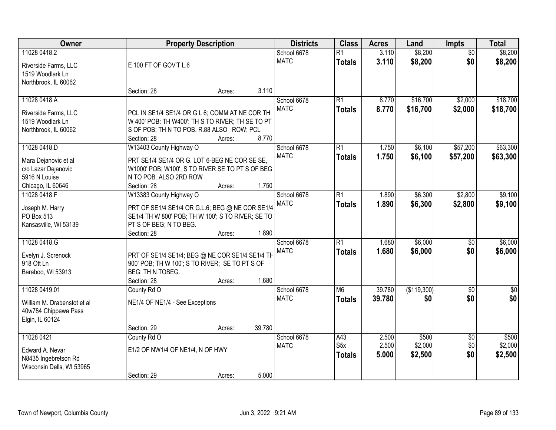| Owner                                    |                                                   | <b>Property Description</b> |        | <b>Districts</b> | <b>Class</b>     | <b>Acres</b> | Land        | <b>Impts</b>    | <b>Total</b> |
|------------------------------------------|---------------------------------------------------|-----------------------------|--------|------------------|------------------|--------------|-------------|-----------------|--------------|
| 11028 0418.2                             |                                                   |                             |        | School 6678      | $\overline{R1}$  | 3.110        | \$8,200     | $\overline{50}$ | \$8,200      |
| Riverside Farms, LLC                     | E 100 FT OF GOV'T L.6                             |                             |        | <b>MATC</b>      | <b>Totals</b>    | 3.110        | \$8,200     | \$0             | \$8,200      |
| 1519 Woodlark Ln<br>Northbrook, IL 60062 |                                                   |                             |        |                  |                  |              |             |                 |              |
|                                          | Section: 28                                       | Acres:                      | 3.110  |                  |                  |              |             |                 |              |
| 11028 0418.A                             |                                                   |                             |        | School 6678      | $\overline{R1}$  | 8.770        | \$16,700    | \$2,000         | \$18,700     |
| Riverside Farms, LLC                     | PCL IN SE1/4 SE1/4 OR G L 6; COMM AT NE COR TH    |                             |        | <b>MATC</b>      | <b>Totals</b>    | 8.770        | \$16,700    | \$2,000         | \$18,700     |
| 1519 Woodlark Ln                         | W 400' POB: TH W400': TH S TO RIVER; TH SE TO PT  |                             |        |                  |                  |              |             |                 |              |
| Northbrook, IL 60062                     | S OF POB; TH N TO POB. R.88 ALSO ROW; PCL         |                             |        |                  |                  |              |             |                 |              |
|                                          | Section: 28                                       | Acres:                      | 8.770  |                  |                  |              |             |                 |              |
| 11028 0418.D                             | W13403 County Highway O                           |                             |        | School 6678      | $\overline{R1}$  | 1.750        | \$6,100     | \$57,200        | \$63,300     |
| Mara Dejanovic et al                     | PRT SE1/4 SE1/4 OR G. LOT 6-BEG NE COR SE SE,     |                             |        | <b>MATC</b>      | <b>Totals</b>    | 1.750        | \$6,100     | \$57,200        | \$63,300     |
| c/o Lazar Dejanovic                      | W1000' POB; W100', S TO RIVER SE TO PT S OF BEG   |                             |        |                  |                  |              |             |                 |              |
| 5916 N Louise                            | N TO POB. ALSO 2RD ROW                            |                             |        |                  |                  |              |             |                 |              |
| Chicago, IL 60646                        | Section: 28                                       | Acres:                      | 1.750  |                  |                  |              |             |                 |              |
| 11028 0418.F                             | W13383 County Highway O                           |                             |        | School 6678      | $\overline{R1}$  | 1.890        | \$6,300     | \$2,800         | \$9,100      |
| Joseph M. Harry                          | PRT OF SE1/4 SE1/4 OR G.L.6; BEG @ NE COR SE1/4   |                             |        | <b>MATC</b>      | <b>Totals</b>    | 1.890        | \$6,300     | \$2,800         | \$9,100      |
| PO Box 513                               | SE1/4 TH W 800' POB; TH W 100'; S TO RIVER; SE TO |                             |        |                  |                  |              |             |                 |              |
| Kansasville, WI 53139                    | PT S OF BEG; N TO BEG.                            |                             |        |                  |                  |              |             |                 |              |
|                                          | Section: 28                                       | Acres:                      | 1.890  |                  |                  |              |             |                 |              |
| 11028 0418.G                             |                                                   |                             |        | School 6678      | $\overline{R1}$  | 1.680        | \$6,000     | \$0             | \$6,000      |
| Evelyn J. Screnock                       | PRT OF SE1/4 SE1/4; BEG @ NE COR SE1/4 SE1/4 TH   |                             |        | <b>MATC</b>      | <b>Totals</b>    | 1.680        | \$6,000     | \$0             | \$6,000      |
| 918 Ott Ln                               | 900' POB; TH W 100'; S TO RIVER; SE TO PT S OF    |                             |        |                  |                  |              |             |                 |              |
| Baraboo, WI 53913                        | BEG; TH N TOBEG.                                  |                             |        |                  |                  |              |             |                 |              |
|                                          | Section: 28                                       | Acres:                      | 1.680  |                  |                  |              |             |                 |              |
| 11028 0419.01                            | County Rd O                                       |                             |        | School 6678      | M <sub>6</sub>   | 39.780       | (\$119,300) | $\overline{50}$ | $\sqrt{50}$  |
| William M. Drabenstot et al              | NE1/4 OF NE1/4 - See Exceptions                   |                             |        | <b>MATC</b>      | <b>Totals</b>    | 39.780       | \$0         | \$0             | \$0          |
| 40w784 Chippewa Pass                     |                                                   |                             |        |                  |                  |              |             |                 |              |
| Elgin, IL 60124                          |                                                   |                             |        |                  |                  |              |             |                 |              |
|                                          | Section: 29                                       | Acres:                      | 39.780 |                  |                  |              |             |                 |              |
| 11028 0421                               | County Rd O                                       |                             |        | School 6678      | A43              | 2.500        | \$500       | $\overline{50}$ | \$500        |
| Edward A. Nevar                          | E1/2 OF NW1/4 OF NE1/4, N OF HWY                  |                             |        | <b>MATC</b>      | S <sub>5</sub> x | 2.500        | \$2,000     | \$0             | \$2,000      |
| N8435 Ingebretson Rd                     |                                                   |                             |        |                  | <b>Totals</b>    | 5.000        | \$2,500     | \$0             | \$2,500      |
| Wisconsin Dells, WI 53965                |                                                   |                             |        |                  |                  |              |             |                 |              |
|                                          | Section: 29                                       | Acres:                      | 5.000  |                  |                  |              |             |                 |              |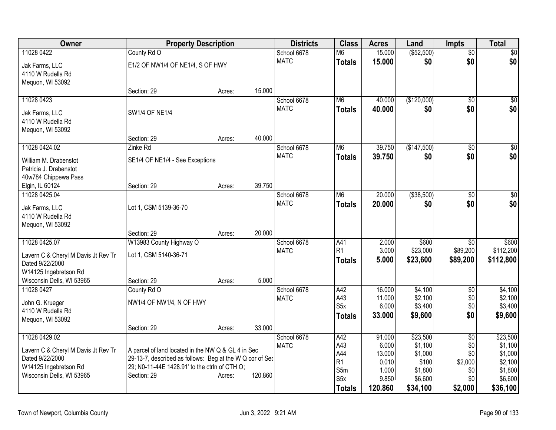| Owner                                                  | <b>Property Description</b>                              |        |         | <b>Districts</b>           | <b>Class</b>          | <b>Acres</b>    | Land             | <b>Impts</b>    | <b>Total</b>           |
|--------------------------------------------------------|----------------------------------------------------------|--------|---------|----------------------------|-----------------------|-----------------|------------------|-----------------|------------------------|
| 11028 0422                                             | County Rd O                                              |        |         | School 6678                | M6                    | 15.000          | ( \$52,500)      | \$0             | $\overline{50}$        |
| Jak Farms, LLC                                         | E1/2 OF NW1/4 OF NE1/4, S OF HWY                         |        |         | <b>MATC</b>                | <b>Totals</b>         | 15.000          | \$0              | \$0             | \$0                    |
| 4110 W Rudella Rd                                      |                                                          |        |         |                            |                       |                 |                  |                 |                        |
| Mequon, WI 53092                                       |                                                          |        |         |                            |                       |                 |                  |                 |                        |
|                                                        | Section: 29                                              | Acres: | 15.000  |                            |                       |                 |                  |                 |                        |
| 11028 0423                                             |                                                          |        |         | School 6678                | M <sub>6</sub>        | 40.000          | (\$120,000)      | \$0             | $\overline{50}$        |
| Jak Farms, LLC                                         | <b>SW1/4 OF NE1/4</b>                                    |        |         | <b>MATC</b>                | <b>Totals</b>         | 40.000          | \$0              | \$0             | \$0                    |
| 4110 W Rudella Rd                                      |                                                          |        |         |                            |                       |                 |                  |                 |                        |
| Mequon, WI 53092                                       |                                                          |        |         |                            |                       |                 |                  |                 |                        |
|                                                        | Section: 29                                              | Acres: | 40.000  |                            |                       |                 |                  |                 |                        |
| 11028 0424.02                                          | Zinke Rd                                                 |        |         | School 6678<br><b>MATC</b> | M <sub>6</sub>        | 39.750          | (\$147,500)      | \$0             | $\overline{50}$<br>\$0 |
| William M. Drabenstot                                  | SE1/4 OF NE1/4 - See Exceptions                          |        |         |                            | <b>Totals</b>         | 39.750          | \$0              | \$0             |                        |
| Patricia J. Drabenstot                                 |                                                          |        |         |                            |                       |                 |                  |                 |                        |
| 40w784 Chippewa Pass                                   |                                                          |        | 39.750  |                            |                       |                 |                  |                 |                        |
| Elgin, IL 60124<br>11028 0425.04                       | Section: 29                                              | Acres: |         | School 6678                | M <sub>6</sub>        | 20.000          | ( \$38,500)      | \$0             | $\overline{50}$        |
|                                                        |                                                          |        |         | <b>MATC</b>                | <b>Totals</b>         | 20,000          | \$0              | \$0             | \$0                    |
| Jak Farms, LLC                                         | Lot 1, CSM 5139-36-70                                    |        |         |                            |                       |                 |                  |                 |                        |
| 4110 W Rudella Rd                                      |                                                          |        |         |                            |                       |                 |                  |                 |                        |
| Mequon, WI 53092                                       | Section: 29                                              | Acres: | 20.000  |                            |                       |                 |                  |                 |                        |
| 11028 0425.07                                          | W13983 County Highway O                                  |        |         | School 6678                | A41                   | 2.000           | \$600            | \$0             | \$600                  |
|                                                        |                                                          |        |         | <b>MATC</b>                | R <sub>1</sub>        | 3.000           | \$23,000         | \$89,200        | \$112,200              |
| Lavern C & Cheryl M Davis Jt Rev Tr<br>Dated 9/22/2000 | Lot 1, CSM 5140-36-71                                    |        |         |                            | <b>Totals</b>         | 5.000           | \$23,600         | \$89,200        | \$112,800              |
| W14125 Ingebretson Rd                                  |                                                          |        |         |                            |                       |                 |                  |                 |                        |
| Wisconsin Dells, WI 53965                              | Section: 29                                              | Acres: | 5.000   |                            |                       |                 |                  |                 |                        |
| 11028 0427                                             | County Rd O                                              |        |         | School 6678                | A42                   | 16.000          | \$4,100          | $\overline{50}$ | \$4,100                |
| John G. Krueger                                        | NW1/4 OF NW1/4, N OF HWY                                 |        |         | <b>MATC</b>                | A43                   | 11.000          | \$2,100          | \$0             | \$2,100                |
| 4110 W Rudella Rd                                      |                                                          |        |         |                            | S <sub>5</sub> x      | 6.000           | \$3,400          | \$0             | \$3,400                |
| Mequon, WI 53092                                       |                                                          |        |         |                            | <b>Totals</b>         | 33.000          | \$9,600          | \$0             | \$9,600                |
|                                                        | Section: 29                                              | Acres: | 33.000  |                            |                       |                 |                  |                 |                        |
| 11028 0429.02                                          |                                                          |        |         | School 6678                | A42                   | 91.000          | \$23,500         | $\overline{50}$ | \$23,500               |
| Lavern C & Cheryl M Davis Jt Rev Tr                    | A parcel of land located in the NW Q & GL 4 in Sec       |        |         | <b>MATC</b>                | A43                   | 6.000           | \$1,100          | \$0             | \$1,100                |
| Dated 9/22/2000                                        | 29-13-7, described as follows: Beg at the W Q cor of Sec |        |         |                            | A44<br>R <sub>1</sub> | 13.000<br>0.010 | \$1,000<br>\$100 | \$0<br>\$2,000  | \$1,000<br>\$2,100     |
| W14125 Ingebretson Rd                                  | 29; N0-11-44E 1428.91' to the ctrln of CTH O;            |        |         |                            | S5m                   | 1.000           | \$1,800          | \$0             | \$1,800                |
| Wisconsin Dells, WI 53965                              | Section: 29                                              | Acres: | 120.860 |                            | S <sub>5</sub> x      | 9.850           | \$6,600          | \$0             | \$6,600                |
|                                                        |                                                          |        |         |                            | <b>Totals</b>         | 120.860         | \$34,100         | \$2,000         | \$36,100               |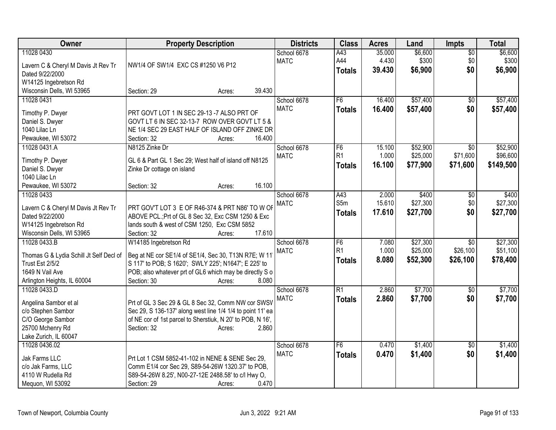| Owner                                       | <b>Property Description</b>                                                                                      | <b>Districts</b> | <b>Class</b>    | <b>Acres</b> | Land     | <b>Impts</b>    | <b>Total</b> |
|---------------------------------------------|------------------------------------------------------------------------------------------------------------------|------------------|-----------------|--------------|----------|-----------------|--------------|
| 11028 0430                                  |                                                                                                                  | School 6678      | A43             | 35.000       | \$6,600  | $\overline{50}$ | \$6,600      |
| Lavern C & Cheryl M Davis Jt Rev Tr         | NW1/4 OF SW1/4 EXC CS #1250 V6 P12                                                                               | <b>MATC</b>      | A44             | 4.430        | \$300    | \$0             | \$300        |
| Dated 9/22/2000                             |                                                                                                                  |                  | <b>Totals</b>   | 39.430       | \$6,900  | \$0             | \$6,900      |
| W14125 Ingebretson Rd                       |                                                                                                                  |                  |                 |              |          |                 |              |
| Wisconsin Dells, WI 53965                   | 39.430<br>Section: 29<br>Acres:                                                                                  |                  |                 |              |          |                 |              |
| 11028 0431                                  |                                                                                                                  | School 6678      | F6              | 16.400       | \$57,400 | $\overline{50}$ | \$57,400     |
| Timothy P. Dwyer                            | PRT GOVT LOT 1 IN SEC 29-13 -7 ALSO PRT OF                                                                       | <b>MATC</b>      | <b>Totals</b>   | 16.400       | \$57,400 | \$0             | \$57,400     |
| Daniel S. Dwyer                             | GOVT LT 6 IN SEC 32-13-7 ROW OVER GOVT LT 5 &                                                                    |                  |                 |              |          |                 |              |
| 1040 Lilac Ln                               | NE 1/4 SEC 29 EAST HALF OF ISLAND OFF ZINKE DR                                                                   |                  |                 |              |          |                 |              |
| Pewaukee, WI 53072                          | Section: 32<br>16.400<br>Acres:                                                                                  |                  |                 |              |          |                 |              |
| 11028 0431.A                                | N8125 Zinke Dr                                                                                                   | School 6678      | F6              | 15.100       | \$52,900 | $\overline{50}$ | \$52,900     |
| Timothy P. Dwyer                            | GL 6 & Part GL 1 Sec 29; West half of island off N8125                                                           | <b>MATC</b>      | R <sub>1</sub>  | 1.000        | \$25,000 | \$71,600        | \$96,600     |
| Daniel S. Dwyer                             | Zinke Dr cottage on island                                                                                       |                  | <b>Totals</b>   | 16.100       | \$77,900 | \$71,600        | \$149,500    |
| 1040 Lilac Ln                               |                                                                                                                  |                  |                 |              |          |                 |              |
| Pewaukee, WI 53072                          | 16.100<br>Section: 32<br>Acres:                                                                                  |                  |                 |              |          |                 |              |
| 11028 0433                                  |                                                                                                                  | School 6678      | A43             | 2.000        | \$400    | \$0             | \$400        |
| Lavern C & Cheryl M Davis Jt Rev Tr         | PRT GOV'T LOT 3 E OF R46-374 & PRT N86' TO W OF                                                                  | <b>MATC</b>      | S5m             | 15.610       | \$27,300 | \$0             | \$27,300     |
| Dated 9/22/2000                             | ABOVE PCL.; Prt of GL 8 Sec 32, Exc CSM 1250 & Exc                                                               |                  | <b>Totals</b>   | 17.610       | \$27,700 | \$0             | \$27,700     |
| W14125 Ingebretson Rd                       | lands south & west of CSM 1250, Exc CSM 5852                                                                     |                  |                 |              |          |                 |              |
| Wisconsin Dells, WI 53965                   | 17.610<br>Section: 32<br>Acres:                                                                                  |                  |                 |              |          |                 |              |
| 11028 0433.B                                | W14185 Ingebretson Rd                                                                                            | School 6678      | F <sub>6</sub>  | 7.080        | \$27,300 | $\overline{30}$ | \$27,300     |
| Thomas G & Lydia Schill Jt Self Decl of     | Beg at NE cor SE1/4 of SE1/4, Sec 30, T13N R7E; W 11                                                             | <b>MATC</b>      | R <sub>1</sub>  | 1.000        | \$25,000 | \$26,100        | \$51,100     |
| Trust Est 2/5/2                             | S 117' to POB; S 1620'; SWLY 225'; N1647'; E 225' to                                                             |                  | <b>Totals</b>   | 8.080        | \$52,300 | \$26,100        | \$78,400     |
| 1649 N Vail Ave                             | POB; also whatever prt of GL6 which may be directly S o                                                          |                  |                 |              |          |                 |              |
| Arlington Heights, IL 60004                 | 8.080<br>Section: 30<br>Acres:                                                                                   |                  |                 |              |          |                 |              |
| 11028 0433.D                                |                                                                                                                  | School 6678      | $\overline{R1}$ | 2.860        | \$7,700  | $\overline{50}$ | \$7,700      |
|                                             |                                                                                                                  | <b>MATC</b>      | <b>Totals</b>   | 2.860        | \$7,700  | \$0             | \$7,700      |
| Angelina Sambor et al<br>c/o Stephen Sambor | Prt of GL 3 Sec 29 & GL 8 Sec 32, Comm NW cor SWSV<br>Sec 29, S 136-137' along west line 1/4 1/4 to point 11' ea |                  |                 |              |          |                 |              |
| C/O George Sambor                           | of NE cor of 1st parcel to Sherstiuk, N 20' to POB, N 16',                                                       |                  |                 |              |          |                 |              |
| 25700 Mchenry Rd                            | 2.860<br>Section: 32<br>Acres:                                                                                   |                  |                 |              |          |                 |              |
| Lake Zurich, IL 60047                       |                                                                                                                  |                  |                 |              |          |                 |              |
| 11028 0436.02                               |                                                                                                                  | School 6678      | F6              | 0.470        | \$1,400  | $\overline{50}$ | \$1,400      |
|                                             |                                                                                                                  | <b>MATC</b>      | <b>Totals</b>   | 0.470        | \$1,400  | \$0             | \$1,400      |
| Jak Farms LLC<br>c/o Jak Farms, LLC         | Prt Lot 1 CSM 5852-41-102 in NENE & SENE Sec 29,<br>Comm E1/4 cor Sec 29, S89-54-26W 1320.37' to POB,            |                  |                 |              |          |                 |              |
| 4110 W Rudella Rd                           | S89-54-26W 8.25', N00-27-12E 2488.58' to c/l Hwy O,                                                              |                  |                 |              |          |                 |              |
| Mequon, WI 53092                            | 0.470<br>Section: 29<br>Acres:                                                                                   |                  |                 |              |          |                 |              |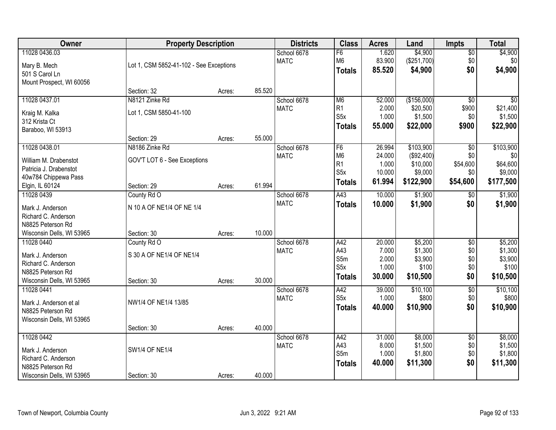| Owner                                                                                                       | <b>Property Description</b>                                                  |                  |                  | <b>Districts</b>           | <b>Class</b>                                                                            | <b>Acres</b>                                  | Land                                                        | <b>Impts</b>                                          | <b>Total</b>                                         |
|-------------------------------------------------------------------------------------------------------------|------------------------------------------------------------------------------|------------------|------------------|----------------------------|-----------------------------------------------------------------------------------------|-----------------------------------------------|-------------------------------------------------------------|-------------------------------------------------------|------------------------------------------------------|
| 11028 0436.03<br>Mary B. Mech<br>501 S Carol Ln                                                             | Lot 1, CSM 5852-41-102 - See Exceptions                                      |                  |                  | School 6678<br><b>MATC</b> | F6<br>M <sub>6</sub><br><b>Totals</b>                                                   | 1.620<br>83.900<br>85.520                     | \$4,900<br>(\$251,700)<br>\$4,900                           | $\sqrt{$0}$<br>\$0<br>\$0                             | \$4,900<br>\$0<br>\$4,900                            |
| Mount Prospect, WI 60056                                                                                    | Section: 32                                                                  | Acres:           | 85.520           |                            |                                                                                         |                                               |                                                             |                                                       |                                                      |
| 11028 0437.01<br>Kraig M. Kalka<br>312 Krista Ct<br>Baraboo, WI 53913                                       | N8121 Zinke Rd<br>Lot 1, CSM 5850-41-100                                     |                  |                  | School 6678<br><b>MATC</b> | M <sub>6</sub><br>R <sub>1</sub><br>S <sub>5</sub> x<br><b>Totals</b>                   | 52.000<br>2.000<br>1.000<br>55.000            | (\$156,000)<br>\$20,500<br>\$1,500<br>\$22,000              | $\overline{50}$<br>\$900<br>\$0<br>\$900              | \$0<br>\$21,400<br>\$1,500<br>\$22,900               |
| 11028 0438.01<br>William M. Drabenstot<br>Patricia J. Drabenstot<br>40w784 Chippewa Pass<br>Elgin, IL 60124 | Section: 29<br>N8186 Zinke Rd<br>GOV'T LOT 6 - See Exceptions<br>Section: 29 | Acres:<br>Acres: | 55.000<br>61.994 | School 6678<br><b>MATC</b> | F <sub>6</sub><br>M <sub>6</sub><br>R <sub>1</sub><br>S <sub>5</sub> x<br><b>Totals</b> | 26.994<br>24.000<br>1.000<br>10.000<br>61.994 | \$103,900<br>(\$92,400)<br>\$10,000<br>\$9,000<br>\$122,900 | $\overline{50}$<br>\$0<br>\$54,600<br>\$0<br>\$54,600 | \$103,900<br>\$0<br>\$64,600<br>\$9,000<br>\$177,500 |
| 11028 0439<br>Mark J. Anderson<br>Richard C. Anderson<br>N8825 Peterson Rd<br>Wisconsin Dells, WI 53965     | County Rd O<br>N 10 A OF NE1/4 OF NE 1/4<br>Section: 30                      | Acres:           | 10.000           | School 6678<br><b>MATC</b> | A43<br><b>Totals</b>                                                                    | 10.000<br>10.000                              | \$1,900<br>\$1,900                                          | $\sqrt[6]{3}$<br>\$0                                  | \$1,900<br>\$1,900                                   |
| 11028 0440<br>Mark J. Anderson<br>Richard C. Anderson<br>N8825 Peterson Rd<br>Wisconsin Dells, WI 53965     | County Rd O<br>S 30 A OF NE1/4 OF NE1/4<br>Section: 30                       | Acres:           | 30.000           | School 6678<br><b>MATC</b> | A42<br>A43<br>S5m<br>S <sub>5</sub> x<br><b>Totals</b>                                  | 20.000<br>7.000<br>2.000<br>1.000<br>30.000   | \$5,200<br>\$1,300<br>\$3,900<br>\$100<br>\$10,500          | $\overline{50}$<br>\$0<br>\$0<br>\$0<br>\$0           | \$5,200<br>\$1,300<br>\$3,900<br>\$100<br>\$10,500   |
| 11028 0441<br>Mark J. Anderson et al<br>N8825 Peterson Rd<br>Wisconsin Dells, WI 53965                      | NW1/4 OF NE1/4 13/85<br>Section: 30                                          | Acres:           | 40.000           | School 6678<br><b>MATC</b> | A42<br>S <sub>5</sub> x<br><b>Totals</b>                                                | 39.000<br>1.000<br>40.000                     | \$10,100<br>\$800<br>\$10,900                               | $\overline{60}$<br>\$0<br>\$0                         | \$10,100<br>\$800<br>\$10,900                        |
| 11028 0442<br>Mark J. Anderson<br>Richard C. Anderson<br>N8825 Peterson Rd<br>Wisconsin Dells, WI 53965     | <b>SW1/4 OF NE1/4</b><br>Section: 30                                         | Acres:           | 40.000           | School 6678<br><b>MATC</b> | A42<br>A43<br>S5m<br><b>Totals</b>                                                      | 31.000<br>8.000<br>1.000<br>40.000            | \$8,000<br>\$1,500<br>\$1,800<br>\$11,300                   | $\overline{50}$<br>\$0<br>\$0<br>\$0                  | \$8,000<br>\$1,500<br>\$1,800<br>\$11,300            |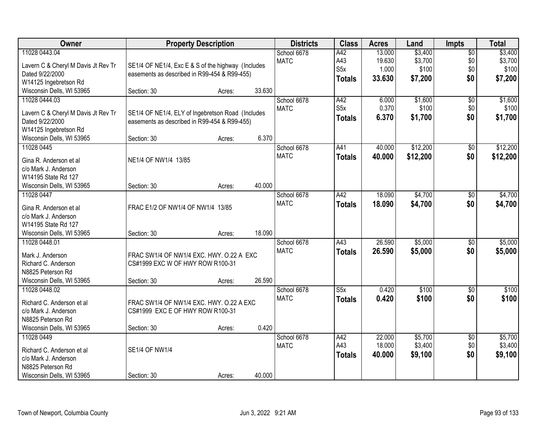| Owner                               |                                                    | <b>Property Description</b> |        | <b>Districts</b> | <b>Class</b>     | <b>Acres</b> | Land     | <b>Impts</b>           | <b>Total</b> |
|-------------------------------------|----------------------------------------------------|-----------------------------|--------|------------------|------------------|--------------|----------|------------------------|--------------|
| 11028 0443.04                       |                                                    |                             |        | School 6678      | A42              | 13.000       | \$3,400  | $\overline{50}$        | \$3,400      |
| Lavern C & Cheryl M Davis Jt Rev Tr | SE1/4 OF NE1/4, Exc E & S of the highway (Includes |                             |        | <b>MATC</b>      | A43              | 19.630       | \$3,700  | \$0                    | \$3,700      |
| Dated 9/22/2000                     | easements as described in R99-454 & R99-455)       |                             |        |                  | S <sub>5</sub> x | 1.000        | \$100    | \$0                    | \$100        |
| W14125 Ingebretson Rd               |                                                    |                             |        |                  | <b>Totals</b>    | 33.630       | \$7,200  | \$0                    | \$7,200      |
| Wisconsin Dells, WI 53965           | Section: 30                                        | Acres:                      | 33.630 |                  |                  |              |          |                        |              |
| 11028 0444.03                       |                                                    |                             |        | School 6678      | A42              | 6.000        | \$1,600  | $\overline{50}$        | \$1,600      |
|                                     |                                                    |                             |        | <b>MATC</b>      | S <sub>5</sub> x | 0.370        | \$100    | \$0                    | \$100        |
| Lavern C & Cheryl M Davis Jt Rev Tr | SE1/4 OF NE1/4, ELY of Ingebretson Road (Includes  |                             |        |                  | Totals           | 6.370        | \$1,700  | \$0                    | \$1,700      |
| Dated 9/22/2000                     | easements as described in R99-454 & R99-455)       |                             |        |                  |                  |              |          |                        |              |
| W14125 Ingebretson Rd               |                                                    |                             |        |                  |                  |              |          |                        |              |
| Wisconsin Dells, WI 53965           | Section: 30                                        | Acres:                      | 6.370  |                  |                  |              |          |                        |              |
| 11028 0445                          |                                                    |                             |        | School 6678      | A41              | 40.000       | \$12,200 | \$0                    | \$12,200     |
| Gina R. Anderson et al              | NE1/4 OF NW1/4 13/85                               |                             |        | <b>MATC</b>      | <b>Totals</b>    | 40.000       | \$12,200 | \$0                    | \$12,200     |
| c/o Mark J. Anderson                |                                                    |                             |        |                  |                  |              |          |                        |              |
| W14195 State Rd 127                 |                                                    |                             |        |                  |                  |              |          |                        |              |
| Wisconsin Dells, WI 53965           | Section: 30                                        | Acres:                      | 40.000 |                  |                  |              |          |                        |              |
| 11028 0447                          |                                                    |                             |        | School 6678      | A42              | 18.090       | \$4,700  | \$0                    | \$4,700      |
|                                     |                                                    |                             |        | <b>MATC</b>      | <b>Totals</b>    | 18.090       | \$4,700  | \$0                    | \$4,700      |
| Gina R. Anderson et al              | FRAC E1/2 OF NW1/4 OF NW1/4 13/85                  |                             |        |                  |                  |              |          |                        |              |
| c/o Mark J. Anderson                |                                                    |                             |        |                  |                  |              |          |                        |              |
| W14195 State Rd 127                 |                                                    |                             |        |                  |                  |              |          |                        |              |
| Wisconsin Dells, WI 53965           | Section: 30                                        | Acres:                      | 18.090 |                  |                  |              |          |                        |              |
| 11028 0448.01                       |                                                    |                             |        | School 6678      | A43              | 26.590       | \$5,000  | $\overline{30}$        | \$5,000      |
| Mark J. Anderson                    | FRAC SW1/4 OF NW1/4 EXC. HWY. O.22 A EXC           |                             |        | <b>MATC</b>      | <b>Totals</b>    | 26.590       | \$5,000  | \$0                    | \$5,000      |
| Richard C. Anderson                 | CS#1999 EXC W OF HWY ROW R100-31                   |                             |        |                  |                  |              |          |                        |              |
| N8825 Peterson Rd                   |                                                    |                             |        |                  |                  |              |          |                        |              |
| Wisconsin Dells, WI 53965           | Section: 30                                        | Acres:                      | 26.590 |                  |                  |              |          |                        |              |
| 11028 0448.02                       |                                                    |                             |        | School 6678      | S5x              | 0.420        | \$100    | $\sqrt{6}$             | \$100        |
| Richard C. Anderson et al           | FRAC SW1/4 OF NW1/4 EXC. HWY, O.22 A EXC           |                             |        | <b>MATC</b>      | <b>Totals</b>    | 0.420        | \$100    | \$0                    | \$100        |
| c/o Mark J. Anderson                | CS#1999 EXC E OF HWY ROW R100-31                   |                             |        |                  |                  |              |          |                        |              |
| N8825 Peterson Rd                   |                                                    |                             |        |                  |                  |              |          |                        |              |
| Wisconsin Dells, WI 53965           | Section: 30                                        | Acres:                      | 0.420  |                  |                  |              |          |                        |              |
| 11028 0449                          |                                                    |                             |        | School 6678      | A42              | 22.000       | \$5,700  |                        | \$5,700      |
|                                     |                                                    |                             |        | <b>MATC</b>      | A43              | 18.000       | \$3,400  | $\overline{50}$<br>\$0 | \$3,400      |
| Richard C. Anderson et al           | <b>SE1/4 OF NW1/4</b>                              |                             |        |                  |                  |              |          |                        |              |
| c/o Mark J. Anderson                |                                                    |                             |        |                  | <b>Totals</b>    | 40.000       | \$9,100  | \$0                    | \$9,100      |
| N8825 Peterson Rd                   |                                                    |                             |        |                  |                  |              |          |                        |              |
| Wisconsin Dells, WI 53965           | Section: 30                                        | Acres:                      | 40.000 |                  |                  |              |          |                        |              |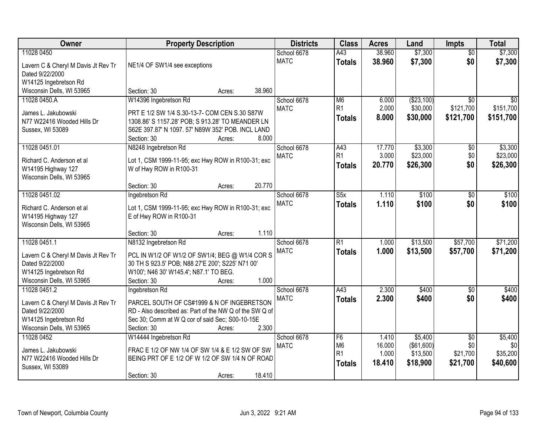| Owner                                                  | <b>Property Description</b>                                                                                | <b>Districts</b> | <b>Class</b>            | <b>Acres</b> | Land       | <b>Impts</b>    | <b>Total</b> |
|--------------------------------------------------------|------------------------------------------------------------------------------------------------------------|------------------|-------------------------|--------------|------------|-----------------|--------------|
| 11028 0450                                             |                                                                                                            | School 6678      | A43                     | 38.960       | \$7,300    | $\overline{50}$ | \$7,300      |
| Lavern C & Cheryl M Davis Jt Rev Tr                    | NE1/4 OF SW1/4 see exceptions                                                                              | <b>MATC</b>      | <b>Totals</b>           | 38.960       | \$7,300    | \$0             | \$7,300      |
| Dated 9/22/2000                                        |                                                                                                            |                  |                         |              |            |                 |              |
| W14125 Ingebretson Rd                                  |                                                                                                            |                  |                         |              |            |                 |              |
| Wisconsin Dells, WI 53965                              | 38.960<br>Section: 30<br>Acres:                                                                            |                  |                         |              |            |                 |              |
| 11028 0450.A                                           | W14396 Ingebretson Rd                                                                                      | School 6678      | M <sub>6</sub>          | 6.000        | (\$23,100) | $\overline{50}$ | \$0          |
| James L. Jakubowski                                    | PRT E 1/2 SW 1/4 S.30-13-7- COM CEN S.30 S87W                                                              | <b>MATC</b>      | R <sub>1</sub>          | 2.000        | \$30,000   | \$121,700       | \$151,700    |
| N77 W22416 Wooded Hills Dr                             | 1308.86' S 1157.28' POB; S 913.28' TO MEANDER LN                                                           |                  | <b>Totals</b>           | 8.000        | \$30,000   | \$121,700       | \$151,700    |
| Sussex, WI 53089                                       | S62E 397.87' N 1097. 57' N89W 352' POB. INCL LAND                                                          |                  |                         |              |            |                 |              |
|                                                        | 8.000<br>Section: 30<br>Acres:                                                                             |                  |                         |              |            |                 |              |
| 11028 0451.01                                          | N8248 Ingebretson Rd                                                                                       | School 6678      | A43                     | 17.770       | \$3,300    | \$0             | \$3,300      |
| Richard C. Anderson et al                              | Lot 1, CSM 1999-11-95; exc Hwy ROW in R100-31; exc                                                         | <b>MATC</b>      | R1                      | 3.000        | \$23,000   | \$0             | \$23,000     |
| W14195 Highway 127                                     | W of Hwy ROW in R100-31                                                                                    |                  | <b>Totals</b>           | 20.770       | \$26,300   | \$0             | \$26,300     |
| Wisconsin Dells, WI 53965                              |                                                                                                            |                  |                         |              |            |                 |              |
|                                                        | 20.770<br>Section: 30<br>Acres:                                                                            |                  |                         |              |            |                 |              |
| 11028 0451.02                                          | Ingebretson Rd                                                                                             | School 6678      | $\overline{\text{S5x}}$ | 1.110        | \$100      | $\sqrt[6]{3}$   | \$100        |
| Richard C. Anderson et al                              | Lot 1, CSM 1999-11-95; exc Hwy ROW in R100-31; exc                                                         | <b>MATC</b>      | <b>Totals</b>           | 1.110        | \$100      | \$0             | \$100        |
| W14195 Highway 127                                     | E of Hwy ROW in R100-31                                                                                    |                  |                         |              |            |                 |              |
| Wisconsin Dells, WI 53965                              |                                                                                                            |                  |                         |              |            |                 |              |
|                                                        | 1.110<br>Section: 30<br>Acres:                                                                             |                  |                         |              |            |                 |              |
| 11028 0451.1                                           | N8132 Ingebretson Rd                                                                                       | School 6678      | $\overline{R1}$         | 1.000        | \$13,500   | \$57,700        | \$71,200     |
|                                                        |                                                                                                            | <b>MATC</b>      | <b>Totals</b>           | 1.000        | \$13,500   | \$57,700        | \$71,200     |
| Lavern C & Cheryl M Davis Jt Rev Tr<br>Dated 9/22/2000 | PCL IN W1/2 OF W1/2 OF SW1/4; BEG @ W1/4 COR S.<br>30 TH S 923.5' POB; N88 27'E 200'; S225' N71 00'        |                  |                         |              |            |                 |              |
| W14125 Ingebretson Rd                                  | W100'; N46 30' W145.4'; N87.1' TO BEG.                                                                     |                  |                         |              |            |                 |              |
| Wisconsin Dells, WI 53965                              | 1.000<br>Section: 30<br>Acres:                                                                             |                  |                         |              |            |                 |              |
| 11028 0451.2                                           | Ingebretson Rd                                                                                             | School 6678      | A43                     | 2.300        | \$400      | \$0             | \$400        |
|                                                        |                                                                                                            | <b>MATC</b>      | <b>Totals</b>           | 2.300        | \$400      | \$0             | \$400        |
| Lavern C & Cheryl M Davis Jt Rev Tr                    | PARCEL SOUTH OF CS#1999 & N OF INGEBRETSON                                                                 |                  |                         |              |            |                 |              |
| Dated 9/22/2000<br>W14125 Ingebretson Rd               | RD - Also described as: Part of the NW Q of the SW Q of<br>Sec 30; Comm at W Q cor of said Sec; S00-10-15E |                  |                         |              |            |                 |              |
| Wisconsin Dells, WI 53965                              | 2.300<br>Section: 30<br>Acres:                                                                             |                  |                         |              |            |                 |              |
| 11028 0452                                             | W14444 Ingebretson Rd                                                                                      | School 6678      | F6                      | 1.410        | \$5,400    | $\overline{50}$ | \$5,400      |
|                                                        |                                                                                                            | <b>MATC</b>      | M <sub>6</sub>          | 16.000       | (\$61,600) | \$0             | \$0          |
| James L. Jakubowski                                    | FRAC E 1/2 OF NW 1/4 OF SW 1/4 & E 1/2 SW OF SW                                                            |                  | R <sub>1</sub>          | 1.000        | \$13,500   | \$21,700        | \$35,200     |
| N77 W22416 Wooded Hills Dr                             | BEING PRT OF E 1/2 OF W 1/2 OF SW 1/4 N OF ROAD                                                            |                  | <b>Totals</b>           | 18.410       | \$18,900   | \$21,700        | \$40,600     |
| Sussex, WI 53089                                       |                                                                                                            |                  |                         |              |            |                 |              |
|                                                        | 18.410<br>Section: 30<br>Acres:                                                                            |                  |                         |              |            |                 |              |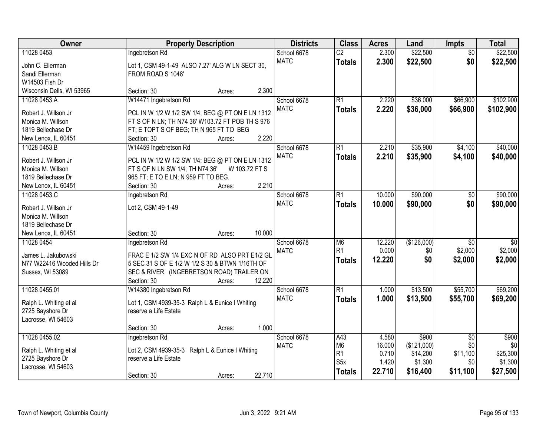| Owner<br><b>Property Description</b><br><b>Districts</b><br><b>Class</b><br><b>Acres</b><br><b>Impts</b><br>Land                                      | <b>Total</b>                       |
|-------------------------------------------------------------------------------------------------------------------------------------------------------|------------------------------------|
| \$22,500<br>11028 0453<br>$\overline{C2}$<br>2.300<br>Ingebretson Rd<br>School 6678                                                                   | \$22,500<br>$\overline{50}$        |
| <b>MATC</b><br>\$22,500<br>2.300<br><b>Totals</b><br>John C. Ellerman<br>Lot 1, CSM 49-1-49 ALSO 7.27' ALG W LN SECT 30,                              | \$0<br>\$22,500                    |
| Sandi Ellerman<br>FROM ROAD S 1048'                                                                                                                   |                                    |
| W14503 Fish Dr                                                                                                                                        |                                    |
| 2.300<br>Wisconsin Dells, WI 53965<br>Section: 30<br>Acres:                                                                                           |                                    |
| W14471 Ingebretson Rd<br>R1<br>2.220<br>\$36,000<br>\$66,900<br>11028 0453.A<br>School 6678                                                           | \$102,900                          |
| <b>MATC</b><br>2.220<br>\$36,000<br>\$66,900<br><b>Totals</b><br>PCL IN W 1/2 W 1/2 SW 1/4; BEG @ PT ON E LN 1312<br>Robert J. Willson Jr             | \$102,900                          |
| FT S OF N LN; TH N74 36' W103.72 FT POB TH S 976<br>Monica M. Willson                                                                                 |                                    |
| 1819 Bellechase Dr<br>FT; E TOPT S OF BEG; TH N 965 FT TO BEG                                                                                         |                                    |
| 2.220<br>New Lenox, IL 60451<br>Section: 30<br>Acres:                                                                                                 |                                    |
| \$35,900<br>11028 0453.B<br>W14459 Ingebretson Rd<br>School 6678<br>$\overline{R1}$<br>2.210<br>\$4,100                                               | \$40,000                           |
| <b>MATC</b><br>2.210<br>\$35,900<br>\$4,100<br><b>Totals</b><br>PCL IN W 1/2 W 1/2 SW 1/4; BEG @ PT ON E LN 1312<br>Robert J. Willson Jr              | \$40,000                           |
| FT S OF N LN SW 1/4; TH N74 36'<br>W 103.72 FT S<br>Monica M. Willson                                                                                 |                                    |
| 965 FT; E TO E LN; N 959 FT TO BEG.<br>1819 Bellechase Dr                                                                                             |                                    |
| 2.210<br>New Lenox, IL 60451<br>Section: 30<br>Acres:                                                                                                 |                                    |
| 10.000<br>\$90,000<br>11028 0453.C<br>School 6678<br>R1<br>Ingebretson Rd                                                                             | \$90,000<br>$\sqrt[6]{3}$          |
| <b>MATC</b><br>10.000<br>\$90,000<br><b>Totals</b><br>Robert J. Willson Jr<br>Lot 2, CSM 49-1-49                                                      | \$0<br>\$90,000                    |
| Monica M. Willson                                                                                                                                     |                                    |
| 1819 Bellechase Dr                                                                                                                                    |                                    |
| 10.000<br>New Lenox, IL 60451<br>Section: 30<br>Acres:                                                                                                |                                    |
| 12.220<br>(\$126,000)<br>11028 0454<br>Ingebretson Rd<br>School 6678<br>M <sub>6</sub>                                                                | $\overline{30}$<br>$\overline{50}$ |
| R1<br>0.000<br>\$2,000<br>\$0<br><b>MATC</b><br>FRAC E 1/2 SW 1/4 EXC N OF RD ALSO PRT E1/2 GL<br>James L. Jakubowski                                 | \$2,000                            |
| 12.220<br>\$0<br>\$2,000<br><b>Totals</b><br>N77 W22416 Wooded Hills Dr<br>5 SEC 31 S OF E 1/2 W 1/2 S 30 & BTWN 1/16TH OF                            | \$2,000                            |
| SEC & RIVER. (INGEBRETSON ROAD) TRAILER ON<br>Sussex, WI 53089                                                                                        |                                    |
| 12.220<br>Section: 30<br>Acres:                                                                                                                       |                                    |
| W14380 Ingebretson Rd<br>R1<br>\$13,500<br>\$55,700<br>11028 0455.01<br>School 6678<br>1.000                                                          | \$69,200                           |
| <b>MATC</b><br>1.000<br>\$13,500<br>\$55,700<br><b>Totals</b>                                                                                         | \$69,200                           |
| Lot 1, CSM 4939-35-3 Ralph L & Eunice I Whiting<br>Ralph L. Whiting et al<br>reserve a Life Estate<br>2725 Bayshore Dr                                |                                    |
| Lacrosse, WI 54603                                                                                                                                    |                                    |
| 1.000<br>Section: 30<br>Acres:                                                                                                                        |                                    |
| 11028 0455.02<br>School 6678<br>\$900<br>Ingebretson Rd<br>A43<br>4.580                                                                               | \$900<br>$\overline{30}$           |
| M <sub>6</sub><br>16.000<br>(\$121,000)<br><b>MATC</b>                                                                                                | \$0<br>\$0                         |
| Ralph L. Whiting et al<br>Lot 2, CSM 4939-35-3 Ralph L & Eunice I Whiting<br>R <sub>1</sub><br>0.710<br>\$11,100<br>\$14,200<br>reserve a Life Estate | \$25,300                           |
| 2725 Bayshore Dr<br>S5x<br>1.420<br>\$1,300<br>Lacrosse, WI 54603                                                                                     | \$1,300<br>\$0                     |
| 22.710<br>\$16,400<br>\$11,100<br><b>Totals</b><br>22.710<br>Section: 30<br>Acres:                                                                    | \$27,500                           |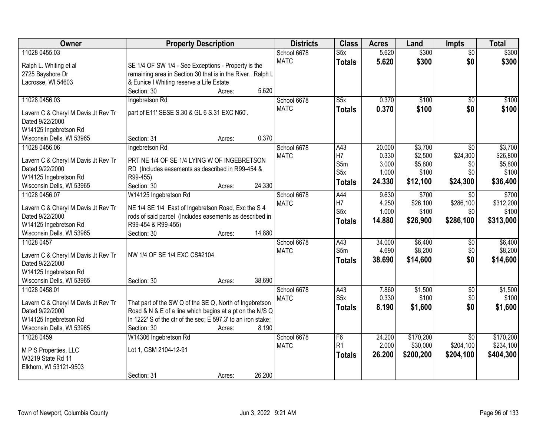| Owner                                                  | <b>Property Description</b>                                  | <b>Districts</b> | <b>Class</b>            | <b>Acres</b> | Land      | <b>Impts</b>    | <b>Total</b> |
|--------------------------------------------------------|--------------------------------------------------------------|------------------|-------------------------|--------------|-----------|-----------------|--------------|
| 11028 0455.03                                          |                                                              | School 6678      | S5x                     | 5.620        | \$300     | $\overline{50}$ | \$300        |
| Ralph L. Whiting et al                                 | SE 1/4 OF SW 1/4 - See Exceptions - Property is the          | <b>MATC</b>      | <b>Totals</b>           | 5.620        | \$300     | \$0             | \$300        |
| 2725 Bayshore Dr                                       | remaining area in Section 30 that is in the River. Ralph L   |                  |                         |              |           |                 |              |
| Lacrosse, WI 54603                                     | & Eunice I Whiting reserve a Life Estate                     |                  |                         |              |           |                 |              |
|                                                        | 5.620<br>Section: 30<br>Acres:                               |                  |                         |              |           |                 |              |
| 11028 0456.03                                          | Ingebretson Rd                                               | School 6678      | $\overline{\text{S5x}}$ | 0.370        | \$100     | $\overline{50}$ | \$100        |
|                                                        | part of E11' SESE S.30 & GL 6 S.31 EXC N60'.                 | <b>MATC</b>      | <b>Totals</b>           | 0.370        | \$100     | \$0             | \$100        |
| Lavern C & Cheryl M Davis Jt Rev Tr<br>Dated 9/22/2000 |                                                              |                  |                         |              |           |                 |              |
| W14125 Ingebretson Rd                                  |                                                              |                  |                         |              |           |                 |              |
| Wisconsin Dells, WI 53965                              | 0.370<br>Section: 31<br>Acres:                               |                  |                         |              |           |                 |              |
| 11028 0456.06                                          | Ingebretson Rd                                               | School 6678      | A43                     | 20.000       | \$3,700   | $\sqrt{6}$      | \$3,700      |
|                                                        |                                                              | <b>MATC</b>      | H7                      | 0.330        | \$2,500   | \$24,300        | \$26,800     |
| Lavern C & Cheryl M Davis Jt Rev Tr                    | PRT NE 1/4 OF SE 1/4 LYING W OF INGEBRETSON                  |                  | S5m                     | 3.000        | \$5,800   | \$0             | \$5,800      |
| Dated 9/22/2000                                        | RD (Includes easements as described in R99-454 &             |                  | S <sub>5x</sub>         | 1.000        | \$100     | \$0             | \$100        |
| W14125 Ingebretson Rd                                  | R99-455)                                                     |                  | <b>Totals</b>           | 24.330       | \$12,100  | \$24,300        | \$36,400     |
| Wisconsin Dells, WI 53965                              | 24.330<br>Section: 30<br>Acres:                              |                  |                         |              |           |                 |              |
| 11028 0456.07                                          | W14125 Ingebretson Rd                                        | School 6678      | A44                     | 9.630        | \$700     | \$0             | \$700        |
| Lavern C & Cheryl M Davis Jt Rev Tr                    | NE 1/4 SE 1/4 East of Ingebretson Road, Exc the S 4          | <b>MATC</b>      | H7                      | 4.250        | \$26,100  | \$286,100       | \$312,200    |
| Dated 9/22/2000                                        | rods of said parcel (Includes easements as described in      |                  | S <sub>5</sub> x        | 1.000        | \$100     | \$0             | \$100        |
| W14125 Ingebretson Rd                                  | R99-454 & R99-455)                                           |                  | <b>Totals</b>           | 14.880       | \$26,900  | \$286,100       | \$313,000    |
| Wisconsin Dells, WI 53965                              | 14.880<br>Section: 30<br>Acres:                              |                  |                         |              |           |                 |              |
| 11028 0457                                             |                                                              | School 6678      | A43                     | 34.000       | \$6,400   | \$0             | \$6,400      |
| Lavern C & Cheryl M Davis Jt Rev Tr                    | NW 1/4 OF SE 1/4 EXC CS#2104                                 | <b>MATC</b>      | S5m                     | 4.690        | \$8,200   | \$0             | \$8,200      |
| Dated 9/22/2000                                        |                                                              |                  | <b>Totals</b>           | 38.690       | \$14,600  | \$0             | \$14,600     |
| W14125 Ingebretson Rd                                  |                                                              |                  |                         |              |           |                 |              |
| Wisconsin Dells, WI 53965                              | 38.690<br>Section: 30<br>Acres:                              |                  |                         |              |           |                 |              |
| 11028 0458.01                                          |                                                              | School 6678      | A43                     | 7.860        | \$1,500   | \$0             | \$1,500      |
|                                                        |                                                              | <b>MATC</b>      | S <sub>5x</sub>         | 0.330        | \$100     | \$0             | \$100        |
| Lavern C & Cheryl M Davis Jt Rev Tr                    | That part of the SW Q of the SE Q, North of Ingebretson      |                  | <b>Totals</b>           | 8.190        | \$1,600   | \$0             | \$1,600      |
| Dated 9/22/2000                                        | Road & N & E of a line which begins at a pt on the N/S Q     |                  |                         |              |           |                 |              |
| W14125 Ingebretson Rd                                  | In 1222' S of the ctr of the sec; E 597.3' to an iron stake; |                  |                         |              |           |                 |              |
| Wisconsin Dells, WI 53965                              | 8.190<br>Section: 30<br>Acres:                               |                  |                         |              |           |                 |              |
| 11028 0459                                             | W14306 Ingebretson Rd                                        | School 6678      | F <sub>6</sub>          | 24.200       | \$170,200 | $\overline{50}$ | \$170,200    |
| M P S Properties, LLC                                  | Lot 1, CSM 2104-12-91                                        | <b>MATC</b>      | R <sub>1</sub>          | 2.000        | \$30,000  | \$204,100       | \$234,100    |
| W3219 State Rd 11                                      |                                                              |                  | <b>Totals</b>           | 26.200       | \$200,200 | \$204,100       | \$404,300    |
| Elkhorn, WI 53121-9503                                 |                                                              |                  |                         |              |           |                 |              |
|                                                        | 26.200<br>Section: 31<br>Acres:                              |                  |                         |              |           |                 |              |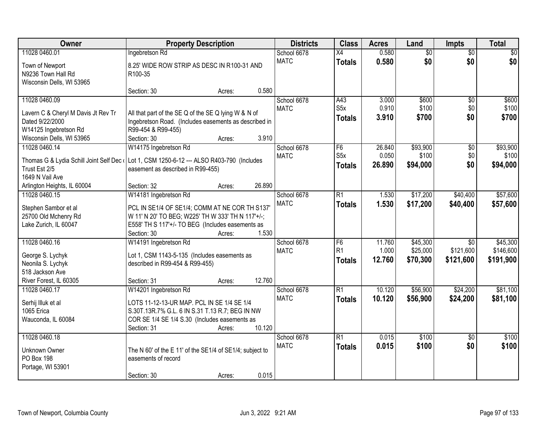| Owner                                                                                    | <b>Property Description</b>                                                                                   |        |        | <b>Districts</b> | <b>Class</b>     | <b>Acres</b> | Land            | Impts           | <b>Total</b> |
|------------------------------------------------------------------------------------------|---------------------------------------------------------------------------------------------------------------|--------|--------|------------------|------------------|--------------|-----------------|-----------------|--------------|
| 11028 0460.01                                                                            | Ingebretson Rd                                                                                                |        |        | School 6678      | $\overline{X4}$  | 0.580        | $\overline{50}$ | $\overline{50}$ | \$0          |
| Town of Newport                                                                          | 8.25' WIDE ROW STRIP AS DESC IN R100-31 AND                                                                   |        |        | <b>MATC</b>      | <b>Totals</b>    | 0.580        | \$0             | \$0             | \$0          |
| N9236 Town Hall Rd                                                                       | R100-35                                                                                                       |        |        |                  |                  |              |                 |                 |              |
| Wisconsin Dells, WI 53965                                                                |                                                                                                               |        |        |                  |                  |              |                 |                 |              |
|                                                                                          | Section: 30                                                                                                   | Acres: | 0.580  |                  |                  |              |                 |                 |              |
| 11028 0460.09                                                                            |                                                                                                               |        |        | School 6678      | A43              | 3.000        | \$600           | $\overline{50}$ | \$600        |
|                                                                                          |                                                                                                               |        |        | <b>MATC</b>      | S5x              | 0.910        | \$100           | \$0             | \$100        |
| Lavern C & Cheryl M Davis Jt Rev Tr<br>Dated 9/22/2000                                   | All that part of the SE Q of the SE Q lying W & N of<br>Ingebretson Road. (Includes easements as described in |        |        |                  | <b>Totals</b>    | 3.910        | \$700           | \$0             | \$700        |
| W14125 Ingebretson Rd                                                                    | R99-454 & R99-455)                                                                                            |        |        |                  |                  |              |                 |                 |              |
|                                                                                          | Section: 30                                                                                                   |        | 3.910  |                  |                  |              |                 |                 |              |
| Wisconsin Dells, WI 53965                                                                |                                                                                                               | Acres: |        |                  |                  |              |                 |                 |              |
| 11028 0460.14                                                                            | W14175 Ingebretson Rd                                                                                         |        |        | School 6678      | $\overline{F6}$  | 26.840       | \$93,900        | $\overline{50}$ | \$93,900     |
| Thomas G & Lydia Schill Joint Self Dec (Lot 1, CSM 1250-6-12 --- ALSO R403-790 (Includes |                                                                                                               |        |        | <b>MATC</b>      | S <sub>5</sub> x | 0.050        | \$100           | \$0             | \$100        |
| Trust Est 2/5                                                                            | easement as described in R99-455)                                                                             |        |        |                  | <b>Totals</b>    | 26,890       | \$94,000        | \$0             | \$94,000     |
| 1649 N Vail Ave                                                                          |                                                                                                               |        |        |                  |                  |              |                 |                 |              |
| Arlington Heights, IL 60004                                                              | Section: 32                                                                                                   | Acres: | 26.890 |                  |                  |              |                 |                 |              |
| 11028 0460.15                                                                            | W14181 Ingebretson Rd                                                                                         |        |        | School 6678      | $\overline{R1}$  | 1.530        | \$17,200        | \$40,400        | \$57,600     |
|                                                                                          |                                                                                                               |        |        | <b>MATC</b>      | <b>Totals</b>    | 1.530        | \$17,200        | \$40,400        | \$57,600     |
| Stephen Sambor et al                                                                     | PCL IN SE1/4 OF SE1/4; COMM AT NE COR TH S137'                                                                |        |        |                  |                  |              |                 |                 |              |
| 25700 Old Mchenry Rd                                                                     | W 11' N 20' TO BEG; W225' TH W 333' TH N 117'+/-;                                                             |        |        |                  |                  |              |                 |                 |              |
| Lake Zurich, IL 60047                                                                    | E558' TH S 117'+/- TO BEG (Includes easements as<br>Section: 30                                               |        | 1.530  |                  |                  |              |                 |                 |              |
|                                                                                          |                                                                                                               | Acres: |        |                  |                  |              |                 |                 |              |
| 11028 0460.16                                                                            | W14191 Ingebretson Rd                                                                                         |        |        | School 6678      | F6<br>R1         | 11.760       | \$45,300        | $\overline{30}$ | \$45,300     |
| George S. Lychyk                                                                         | Lot 1, CSM 1143-5-135 (Includes easements as                                                                  |        |        | <b>MATC</b>      |                  | 1.000        | \$25,000        | \$121,600       | \$146,600    |
| Neonila S. Lychyk                                                                        | described in R99-454 & R99-455)                                                                               |        |        |                  | <b>Totals</b>    | 12.760       | \$70,300        | \$121,600       | \$191,900    |
| 518 Jackson Ave                                                                          |                                                                                                               |        |        |                  |                  |              |                 |                 |              |
| River Forest, IL 60305                                                                   | Section: 31                                                                                                   | Acres: | 12.760 |                  |                  |              |                 |                 |              |
| 11028 0460.17                                                                            | W14201 Ingebretson Rd                                                                                         |        |        | School 6678      | $\overline{R1}$  | 10.120       | \$56,900        | \$24,200        | \$81,100     |
| Serhij Illuk et al                                                                       | LOTS 11-12-13-UR MAP. PCL IN SE 1/4 SE 1/4                                                                    |        |        | <b>MATC</b>      | <b>Totals</b>    | 10.120       | \$56,900        | \$24,200        | \$81,100     |
| 1065 Erica                                                                               | S.30T.13R.7% G.L. 6 IN S.31 T.13 R.7; BEG IN NW                                                               |        |        |                  |                  |              |                 |                 |              |
| Wauconda, IL 60084                                                                       | COR SE 1/4 SE 1/4 S.30 (Includes easements as                                                                 |        |        |                  |                  |              |                 |                 |              |
|                                                                                          | Section: 31                                                                                                   | Acres: | 10.120 |                  |                  |              |                 |                 |              |
| 11028 0460.18                                                                            |                                                                                                               |        |        | School 6678      | $\overline{R1}$  | 0.015        | \$100           | $\overline{50}$ | \$100        |
|                                                                                          |                                                                                                               |        |        |                  |                  |              |                 |                 |              |
| Unknown Owner                                                                            | The N 60' of the E 11' of the SE1/4 of SE1/4; subject to                                                      |        |        | <b>MATC</b>      | <b>Totals</b>    | 0.015        | \$100           | \$0             | \$100        |
| PO Box 198                                                                               | easements of record                                                                                           |        |        |                  |                  |              |                 |                 |              |
| Portage, WI 53901                                                                        |                                                                                                               |        |        |                  |                  |              |                 |                 |              |
|                                                                                          | Section: 30                                                                                                   | Acres: | 0.015  |                  |                  |              |                 |                 |              |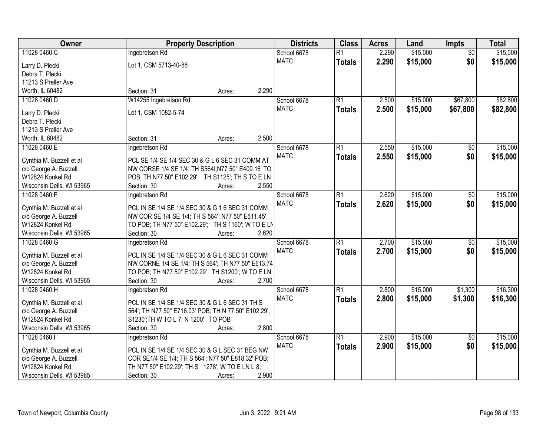| Owner                                     |                                                                                                      | <b>Property Description</b> |       |             | <b>Class</b>    | <b>Acres</b> | Land     | <b>Impts</b>    | <b>Total</b> |
|-------------------------------------------|------------------------------------------------------------------------------------------------------|-----------------------------|-------|-------------|-----------------|--------------|----------|-----------------|--------------|
| 11028 0460.C                              | Ingebretson Rd                                                                                       |                             |       | School 6678 | $\overline{R1}$ | 2.290        | \$15,000 | $\overline{30}$ | \$15,000     |
| Larry D. Plecki                           | Lot 1, CSM 5713-40-88                                                                                |                             |       | <b>MATC</b> | <b>Totals</b>   | 2.290        | \$15,000 | \$0             | \$15,000     |
| Debra T. Plecki                           |                                                                                                      |                             |       |             |                 |              |          |                 |              |
| 11213 S Preller Ave                       |                                                                                                      |                             |       |             |                 |              |          |                 |              |
| Worth, IL 60482                           | Section: 31                                                                                          | Acres:                      | 2.290 |             |                 |              |          |                 |              |
| 11028 0460.D                              | W14255 Ingebretson Rd                                                                                |                             |       | School 6678 | $\overline{R1}$ | 2.500        | \$15,000 | \$67,800        | \$82,800     |
|                                           |                                                                                                      |                             |       | <b>MATC</b> | <b>Totals</b>   | 2.500        | \$15,000 | \$67,800        | \$82,800     |
| Larry D. Plecki                           | Lot 1, CSM 1082-5-74                                                                                 |                             |       |             |                 |              |          |                 |              |
| Debra T. Plecki                           |                                                                                                      |                             |       |             |                 |              |          |                 |              |
| 11213 S Preller Ave                       | Section: 31                                                                                          |                             | 2.500 |             |                 |              |          |                 |              |
| Worth, IL 60482                           |                                                                                                      | Acres:                      |       |             | $\overline{R1}$ | 2.550        | \$15,000 |                 | \$15,000     |
| 11028 0460.E                              | Ingebretson Rd                                                                                       |                             |       | School 6678 |                 |              |          | \$0             |              |
| Cynthia M. Buzzell et al                  | PCL SE 1/4 SE 1/4 SEC 30 & G L 6 SEC 31 COMM AT                                                      |                             |       | <b>MATC</b> | <b>Totals</b>   | 2.550        | \$15,000 | \$0             | \$15,000     |
| c/o George A. Buzzell                     | NW CORSE 1/4 SE 1/4; TH S564I; N77 50" E409.16' TO                                                   |                             |       |             |                 |              |          |                 |              |
| W12824 Konkel Rd                          | POB; TH N77 50" E102.29'; TH S1125'; TH S TO E LN                                                    |                             |       |             |                 |              |          |                 |              |
| Wisconsin Dells, WI 53965                 | Section: 30                                                                                          | Acres:                      | 2.550 |             |                 |              |          |                 |              |
| 11028 0460.F                              | Ingebretson Rd                                                                                       |                             |       | School 6678 | $\overline{R1}$ | 2.620        | \$15,000 | $\sqrt[6]{}$    | \$15,000     |
|                                           |                                                                                                      |                             |       | <b>MATC</b> | <b>Totals</b>   | 2.620        | \$15,000 | \$0             | \$15,000     |
| Cynthia M. Buzzell et al                  | PCL IN SE 1/4 SE 1/4 SEC 30 & G 1 6 SEC 31 COMM<br>NW COR SE 1/4 SE 1/4; TH S 564'; N77 50" E511.45' |                             |       |             |                 |              |          |                 |              |
| c/o George A. Buzzell<br>W12824 Konkel Rd | TO POB; TH N77 50" E102.29"; TH S 1160"; W TO E LN                                                   |                             |       |             |                 |              |          |                 |              |
| Wisconsin Dells, WI 53965                 | Section: 30                                                                                          | Acres:                      | 2.620 |             |                 |              |          |                 |              |
| 11028 0460.G                              | Ingebretson Rd                                                                                       |                             |       | School 6678 | $\overline{R1}$ | 2.700        | \$15,000 | \$0             | \$15,000     |
|                                           |                                                                                                      |                             |       | <b>MATC</b> |                 |              |          |                 |              |
| Cynthia M. Buzzell et al                  | PCL IN SE 1/4 SE 1/4 SEC 30 & G L 6 SEC 31 COMM                                                      |                             |       |             | <b>Totals</b>   | 2.700        | \$15,000 | \$0             | \$15,000     |
| c/o George A. Buzzell                     | NW CORNE 1/4 SE 1/4; TH S 564'; TH N77 50" E613.74                                                   |                             |       |             |                 |              |          |                 |              |
| W12824 Konkel Rd                          | TO POB; TH N77 50" E102.29' TH S1200'; W TO E LN                                                     |                             |       |             |                 |              |          |                 |              |
| Wisconsin Dells, WI 53965                 | Section: 30                                                                                          | Acres:                      | 2.700 |             |                 |              |          |                 |              |
| 11028 0460.H                              | Ingebretson Rd                                                                                       |                             |       | School 6678 | $\overline{R1}$ | 2.800        | \$15,000 | \$1,300         | \$16,300     |
| Cynthia M. Buzzell et al                  | PCL IN SE 1/4 SE 1/4 SEC 30 & G L 6 SEC 31 TH S                                                      |                             |       | <b>MATC</b> | <b>Totals</b>   | 2.800        | \$15,000 | \$1,300         | \$16,300     |
| c/o George A. Buzzell                     | 564'; TH N77 50" E716.03' POB; TH N 77 50" E102.29';                                                 |                             |       |             |                 |              |          |                 |              |
| W12824 Konkel Rd                          | S1230'; TH W TO L 7; N 1200' TO POB                                                                  |                             |       |             |                 |              |          |                 |              |
| Wisconsin Dells, WI 53965                 | Section: 30                                                                                          | Acres:                      | 2.800 |             |                 |              |          |                 |              |
| 11028 0460.1                              | Ingebretson Rd                                                                                       |                             |       | School 6678 | $\overline{R1}$ | 2.900        | \$15,000 | $\overline{50}$ | \$15,000     |
|                                           |                                                                                                      |                             |       | <b>MATC</b> | <b>Totals</b>   | 2.900        | \$15,000 | \$0             | \$15,000     |
| Cynthia M. Buzzell et al                  | PCL IN SE 1/4 SE 1/4 SEC 30 & G L SEC 31 BEG NW                                                      |                             |       |             |                 |              |          |                 |              |
| c/o George A. Buzzell                     | COR SE1/4 SE 1/4; TH S 564'; N77 50" E818.32' POB;                                                   |                             |       |             |                 |              |          |                 |              |
| W12824 Konkel Rd                          | TH N77 50" E102.29'; TH S 1278'; W TO E LN L 8;                                                      |                             |       |             |                 |              |          |                 |              |
| Wisconsin Dells, WI 53965                 | Section: 30                                                                                          | Acres:                      | 2.900 |             |                 |              |          |                 |              |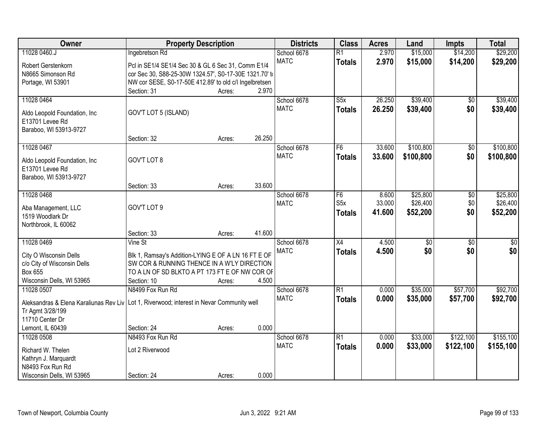| Owner                                                                                     | <b>Property Description</b>                            |        |        | <b>Districts</b> | <b>Class</b>     | <b>Acres</b> | Land            | <b>Impts</b>    | <b>Total</b> |
|-------------------------------------------------------------------------------------------|--------------------------------------------------------|--------|--------|------------------|------------------|--------------|-----------------|-----------------|--------------|
| 11028 0460.J                                                                              | Ingebretson Rd                                         |        |        | School 6678      | $\overline{R1}$  | 2.970        | \$15,000        | \$14,200        | \$29,200     |
| Robert Gerstenkorn                                                                        | Pcl in SE1/4 SE1/4 Sec 30 & GL 6 Sec 31, Comm E1/4     |        |        | <b>MATC</b>      | <b>Totals</b>    | 2.970        | \$15,000        | \$14,200        | \$29,200     |
| N8665 Simonson Rd                                                                         | cor Sec 30, S88-25-30W 1324.57', S0-17-30E 1321.70' to |        |        |                  |                  |              |                 |                 |              |
| Portage, WI 53901                                                                         | NW cor SESE, S0-17-50E 412.89' to old c/l Ingelbretsen |        |        |                  |                  |              |                 |                 |              |
|                                                                                           | Section: 31                                            | Acres: | 2.970  |                  |                  |              |                 |                 |              |
| 11028 0464                                                                                |                                                        |        |        | School 6678      | S5x              | 26.250       | \$39,400        | $\overline{50}$ | \$39,400     |
| Aldo Leopold Foundation, Inc.                                                             | GOV'T LOT 5 (ISLAND)                                   |        |        | <b>MATC</b>      | <b>Totals</b>    | 26.250       | \$39,400        | \$0             | \$39,400     |
| E13701 Levee Rd                                                                           |                                                        |        |        |                  |                  |              |                 |                 |              |
| Baraboo, WI 53913-9727                                                                    |                                                        |        |        |                  |                  |              |                 |                 |              |
|                                                                                           | Section: 32                                            | Acres: | 26.250 |                  |                  |              |                 |                 |              |
| 11028 0467                                                                                |                                                        |        |        | School 6678      | F <sub>6</sub>   | 33.600       | \$100,800       | \$0             | \$100,800    |
|                                                                                           |                                                        |        |        | <b>MATC</b>      | <b>Totals</b>    | 33.600       | \$100,800       | \$0             | \$100,800    |
| Aldo Leopold Foundation, Inc.<br>E13701 Levee Rd                                          | GOV'T LOT 8                                            |        |        |                  |                  |              |                 |                 |              |
| Baraboo, WI 53913-9727                                                                    |                                                        |        |        |                  |                  |              |                 |                 |              |
|                                                                                           | Section: 33                                            | Acres: | 33.600 |                  |                  |              |                 |                 |              |
| 11028 0468                                                                                |                                                        |        |        | School 6678      | F <sub>6</sub>   | 8.600        | \$25,800        | \$0             | \$25,800     |
|                                                                                           |                                                        |        |        | <b>MATC</b>      | S <sub>5</sub> x | 33.000       | \$26,400        | \$0             | \$26,400     |
| Aba Management, LLC                                                                       | GOV'T LOT 9                                            |        |        |                  | <b>Totals</b>    | 41.600       | \$52,200        | \$0             | \$52,200     |
| 1519 Woodlark Dr                                                                          |                                                        |        |        |                  |                  |              |                 |                 |              |
| Northbrook, IL 60062                                                                      |                                                        |        | 41.600 |                  |                  |              |                 |                 |              |
| 11028 0469                                                                                | Section: 33<br>Vine St                                 | Acres: |        | School 6678      | $\overline{X4}$  | 4.500        | $\overline{50}$ | \$0             | $\sqrt{50}$  |
|                                                                                           |                                                        |        |        | <b>MATC</b>      |                  | 4.500        | \$0             | \$0             | \$0          |
| City O Wisconsin Dells                                                                    | Blk 1, Ramsay's Addition-LYING E OF A LN 16 FT E OF    |        |        |                  | <b>Totals</b>    |              |                 |                 |              |
| c/o City of Wisconsin Dells                                                               | SW COR & RUNNING THENCE IN A W'LY DIRECTION            |        |        |                  |                  |              |                 |                 |              |
| Box 655                                                                                   | TO A LN OF SD BLKTO A PT 173 FT E OF NW COR OF         |        |        |                  |                  |              |                 |                 |              |
| Wisconsin Dells, WI 53965                                                                 | Section: 10                                            | Acres: | 4.500  |                  |                  |              |                 |                 |              |
| 11028 0507                                                                                | N8499 Fox Run Rd                                       |        |        | School 6678      | R1               | 0.000        | \$35,000        | \$57,700        | \$92,700     |
| Aleksandras & Elena Karaliunas Rev Liv Lot 1, Riverwood; interest in Nevar Community well |                                                        |        |        | <b>MATC</b>      | <b>Totals</b>    | 0.000        | \$35,000        | \$57,700        | \$92,700     |
| Tr Agmt 3/28/199                                                                          |                                                        |        |        |                  |                  |              |                 |                 |              |
| 11710 Center Dr                                                                           |                                                        |        |        |                  |                  |              |                 |                 |              |
| Lemont, IL 60439                                                                          | Section: 24                                            | Acres: | 0.000  |                  |                  |              |                 |                 |              |
| 11028 0508                                                                                | N8493 Fox Run Rd                                       |        |        | School 6678      | $\overline{R1}$  | 0.000        | \$33,000        | \$122,100       | \$155,100    |
| Richard W. Thelen                                                                         | Lot 2 Riverwood                                        |        |        | <b>MATC</b>      | <b>Totals</b>    | 0.000        | \$33,000        | \$122,100       | \$155,100    |
| Kathryn J. Marquardt                                                                      |                                                        |        |        |                  |                  |              |                 |                 |              |
| N8493 Fox Run Rd                                                                          |                                                        |        |        |                  |                  |              |                 |                 |              |
| Wisconsin Dells, WI 53965                                                                 | Section: 24                                            | Acres: | 0.000  |                  |                  |              |                 |                 |              |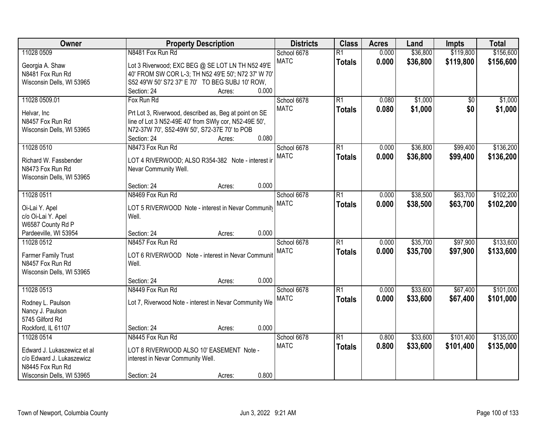| Owner                       | <b>Property Description</b>                            | <b>Districts</b> | <b>Class</b>    | <b>Acres</b> | Land     | Impts     | <b>Total</b> |
|-----------------------------|--------------------------------------------------------|------------------|-----------------|--------------|----------|-----------|--------------|
| 11028 0509                  | N8481 Fox Run Rd                                       | School 6678      | $\overline{R1}$ | 0.000        | \$36,800 | \$119,800 | \$156,600    |
| Georgia A. Shaw             | Lot 3 Riverwood; EXC BEG @ SE LOT LN TH N52 49'E       | <b>MATC</b>      | <b>Totals</b>   | 0.000        | \$36,800 | \$119,800 | \$156,600    |
| N8481 Fox Run Rd            | 40' FROM SW COR L-3; TH N52 49'E 50'; N72 37' W 70'    |                  |                 |              |          |           |              |
| Wisconsin Dells, WI 53965   | S52 49'W 50' S72 37' E 70' TO BEG SUBJ 10' ROW.        |                  |                 |              |          |           |              |
|                             | 0.000<br>Section: 24<br>Acres:                         |                  |                 |              |          |           |              |
| 11028 0509.01               | Fox Run Rd                                             | School 6678      | $\overline{R1}$ | 0.080        | \$1,000  | \$0       | \$1,000      |
| Helvar, Inc                 | Prt Lot 3, Riverwood, described as, Beg at point on SE | <b>MATC</b>      | <b>Totals</b>   | 0.080        | \$1,000  | \$0       | \$1,000      |
| N8457 Fox Run Rd            | line of Lot 3 N52-49E 40' from SWIy cor, N52-49E 50',  |                  |                 |              |          |           |              |
| Wisconsin Dells, WI 53965   | N72-37W 70', S52-49W 50', S72-37E 70' to POB           |                  |                 |              |          |           |              |
|                             | 0.080<br>Section: 24<br>Acres:                         |                  |                 |              |          |           |              |
| 11028 0510                  | N8473 Fox Run Rd                                       | School 6678      | $\overline{R1}$ | 0.000        | \$36,800 | \$99,400  | \$136,200    |
|                             |                                                        | <b>MATC</b>      | <b>Totals</b>   | 0.000        | \$36,800 | \$99,400  | \$136,200    |
| Richard W. Fassbender       | LOT 4 RIVERWOOD; ALSO R354-382 Note - interest in      |                  |                 |              |          |           |              |
| N8473 Fox Run Rd            | Nevar Community Well.                                  |                  |                 |              |          |           |              |
| Wisconsin Dells, WI 53965   | 0.000<br>Section: 24<br>Acres:                         |                  |                 |              |          |           |              |
| 11028 0511                  | N8469 Fox Run Rd                                       | School 6678      | $\overline{R1}$ | 0.000        | \$38,500 | \$63,700  | \$102,200    |
|                             |                                                        | <b>MATC</b>      | <b>Totals</b>   | 0.000        | \$38,500 | \$63,700  | \$102,200    |
| Oi-Lai Y. Apel              | LOT 5 RIVERWOOD Note - interest in Nevar Community     |                  |                 |              |          |           |              |
| c/o Oi-Lai Y. Apel          | Well.                                                  |                  |                 |              |          |           |              |
| W6587 County Rd P           |                                                        |                  |                 |              |          |           |              |
| Pardeeville, WI 53954       | 0.000<br>Section: 24<br>Acres:                         |                  |                 |              |          |           |              |
| 11028 0512                  | N8457 Fox Run Rd                                       | School 6678      | $\overline{R1}$ | 0.000        | \$35,700 | \$97,900  | \$133,600    |
| <b>Farmer Family Trust</b>  | LOT 6 RIVERWOOD Note - interest in Nevar Communit      | <b>MATC</b>      | <b>Totals</b>   | 0.000        | \$35,700 | \$97,900  | \$133,600    |
| N8457 Fox Run Rd            | Well.                                                  |                  |                 |              |          |           |              |
| Wisconsin Dells, WI 53965   |                                                        |                  |                 |              |          |           |              |
|                             | 0.000<br>Section: 24<br>Acres:                         |                  |                 |              |          |           |              |
| 11028 0513                  | N8449 Fox Run Rd                                       | School 6678      | $\overline{R1}$ | 0.000        | \$33,600 | \$67,400  | \$101,000    |
| Rodney L. Paulson           | Lot 7, Riverwood Note - interest in Nevar Community We | <b>MATC</b>      | <b>Totals</b>   | 0.000        | \$33,600 | \$67,400  | \$101,000    |
| Nancy J. Paulson            |                                                        |                  |                 |              |          |           |              |
| 5745 Gilford Rd             |                                                        |                  |                 |              |          |           |              |
| Rockford, IL 61107          | 0.000<br>Section: 24<br>Acres:                         |                  |                 |              |          |           |              |
| 11028 0514                  | N8445 Fox Run Rd                                       | School 6678      | $\overline{R1}$ | 0.800        | \$33,600 | \$101,400 | \$135,000    |
| Edward J. Lukaszewicz et al | LOT 8 RIVERWOOD ALSO 10' EASEMENT Note -               | <b>MATC</b>      | <b>Totals</b>   | 0.800        | \$33,600 | \$101,400 | \$135,000    |
| c/o Edward J. Lukaszewicz   | interest in Nevar Community Well.                      |                  |                 |              |          |           |              |
| N8445 Fox Run Rd            |                                                        |                  |                 |              |          |           |              |
| Wisconsin Dells, WI 53965   | 0.800<br>Section: 24<br>Acres:                         |                  |                 |              |          |           |              |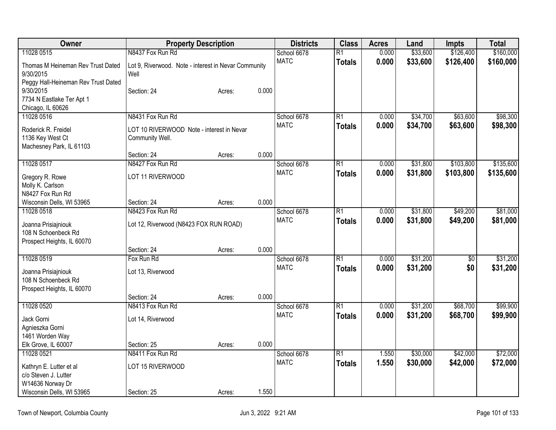| Owner                               | <b>Property Description</b>                          |        |       | <b>Districts</b> | <b>Class</b>    | <b>Acres</b> | Land     | <b>Impts</b> | <b>Total</b> |
|-------------------------------------|------------------------------------------------------|--------|-------|------------------|-----------------|--------------|----------|--------------|--------------|
| 11028 0515                          | N8437 Fox Run Rd                                     |        |       | School 6678      | $\overline{R1}$ | 0.000        | \$33,600 | \$126,400    | \$160,000    |
| Thomas M Heineman Rev Trust Dated   | Lot 9, Riverwood. Note - interest in Nevar Community |        |       | <b>MATC</b>      | <b>Totals</b>   | 0.000        | \$33,600 | \$126,400    | \$160,000    |
| 9/30/2015                           | Well                                                 |        |       |                  |                 |              |          |              |              |
| Peggy Hall-Heineman Rev Trust Dated |                                                      |        |       |                  |                 |              |          |              |              |
| 9/30/2015                           | Section: 24                                          | Acres: | 0.000 |                  |                 |              |          |              |              |
| 7734 N Eastlake Ter Apt 1           |                                                      |        |       |                  |                 |              |          |              |              |
| Chicago, IL 60626                   |                                                      |        |       |                  |                 |              |          |              |              |
| 11028 0516                          | N8431 Fox Run Rd                                     |        |       | School 6678      | $\overline{R1}$ | 0.000        | \$34,700 | \$63,600     | \$98,300     |
| Roderick R. Freidel                 | LOT 10 RIVERWOOD Note - interest in Nevar            |        |       | <b>MATC</b>      | <b>Totals</b>   | 0.000        | \$34,700 | \$63,600     | \$98,300     |
| 1136 Key West Ct                    | Community Well.                                      |        |       |                  |                 |              |          |              |              |
| Machesney Park, IL 61103            |                                                      |        |       |                  |                 |              |          |              |              |
|                                     | Section: 24                                          | Acres: | 0.000 |                  |                 |              |          |              |              |
| 11028 0517                          | N8427 Fox Run Rd                                     |        |       | School 6678      | $\overline{R1}$ | 0.000        | \$31,800 | \$103,800    | \$135,600    |
| Gregory R. Rowe                     | LOT 11 RIVERWOOD                                     |        |       | <b>MATC</b>      | <b>Totals</b>   | 0.000        | \$31,800 | \$103,800    | \$135,600    |
| Molly K. Carlson                    |                                                      |        |       |                  |                 |              |          |              |              |
| N8427 Fox Run Rd                    |                                                      |        |       |                  |                 |              |          |              |              |
| Wisconsin Dells, WI 53965           | Section: 24                                          | Acres: | 0.000 |                  |                 |              |          |              |              |
| 11028 0518                          | N8423 Fox Run Rd                                     |        |       | School 6678      | R1              | 0.000        | \$31,800 | \$49,200     | \$81,000     |
| Joanna Prisiajniouk                 | Lot 12, Riverwood (N8423 FOX RUN ROAD)               |        |       | <b>MATC</b>      | <b>Totals</b>   | 0.000        | \$31,800 | \$49,200     | \$81,000     |
| 108 N Schoenbeck Rd                 |                                                      |        |       |                  |                 |              |          |              |              |
| Prospect Heights, IL 60070          |                                                      |        |       |                  |                 |              |          |              |              |
|                                     | Section: 24                                          | Acres: | 0.000 |                  |                 |              |          |              |              |
| 11028 0519                          | Fox Run Rd                                           |        |       | School 6678      | $\overline{R1}$ | 0.000        | \$31,200 | \$0          | \$31,200     |
| Joanna Prisiajniouk                 | Lot 13, Riverwood                                    |        |       | <b>MATC</b>      | <b>Totals</b>   | 0.000        | \$31,200 | \$0          | \$31,200     |
| 108 N Schoenbeck Rd                 |                                                      |        |       |                  |                 |              |          |              |              |
| Prospect Heights, IL 60070          |                                                      |        |       |                  |                 |              |          |              |              |
|                                     | Section: 24                                          | Acres: | 0.000 |                  |                 |              |          |              |              |
| 11028 0520                          | N8413 Fox Run Rd                                     |        |       | School 6678      | $\overline{R1}$ | 0.000        | \$31,200 | \$68,700     | \$99,900     |
| Jack Gorni                          | Lot 14, Riverwood                                    |        |       | <b>MATC</b>      | <b>Totals</b>   | 0.000        | \$31,200 | \$68,700     | \$99,900     |
| Agnieszka Gorni                     |                                                      |        |       |                  |                 |              |          |              |              |
| 1461 Worden Way                     |                                                      |        |       |                  |                 |              |          |              |              |
| Elk Grove, IL 60007                 | Section: 25                                          | Acres: | 0.000 |                  |                 |              |          |              |              |
| 11028 0521                          | N8411 Fox Run Rd                                     |        |       | School 6678      | $\overline{R1}$ | 1.550        | \$30,000 | \$42,000     | \$72,000     |
| Kathryn E. Lutter et al             | LOT 15 RIVERWOOD                                     |        |       | <b>MATC</b>      | <b>Totals</b>   | 1.550        | \$30,000 | \$42,000     | \$72,000     |
| c/o Steven J. Lutter                |                                                      |        |       |                  |                 |              |          |              |              |
| W14636 Norway Dr                    |                                                      |        |       |                  |                 |              |          |              |              |
| Wisconsin Dells, WI 53965           | Section: 25                                          | Acres: | 1.550 |                  |                 |              |          |              |              |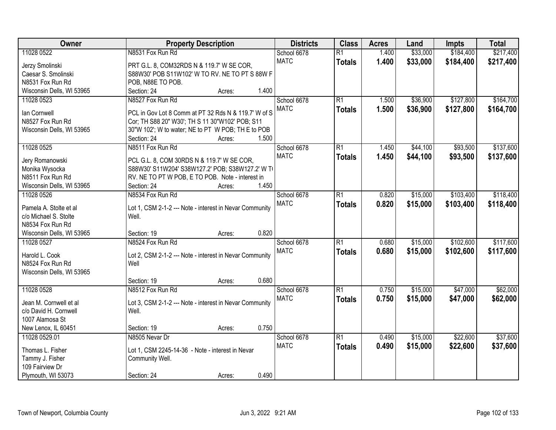| Owner                              | <b>Property Description</b>                                      | <b>Districts</b> | <b>Class</b>    | <b>Acres</b> | Land     | <b>Impts</b> | <b>Total</b> |
|------------------------------------|------------------------------------------------------------------|------------------|-----------------|--------------|----------|--------------|--------------|
| 11028 0522                         | N8531 Fox Run Rd                                                 | School 6678      | $\overline{R1}$ | 1.400        | \$33,000 | \$184,400    | \$217,400    |
| Jerzy Smolinski                    | PRT G.L. 8, COM32RDS N & 119.7' W SE COR,                        | <b>MATC</b>      | <b>Totals</b>   | 1.400        | \$33,000 | \$184,400    | \$217,400    |
| Caesar S. Smolinski                | S88W30' POB S11W102' W TO RV. NE TO PT S 88W F                   |                  |                 |              |          |              |              |
| N8531 Fox Run Rd                   | POB, N88E TO POB.                                                |                  |                 |              |          |              |              |
| Wisconsin Dells, WI 53965          | 1.400<br>Section: 24<br>Acres:                                   |                  |                 |              |          |              |              |
| 11028 0523                         | N8527 Fox Run Rd                                                 | School 6678      | $\overline{R1}$ | 1.500        | \$36,900 | \$127,800    | \$164,700    |
|                                    |                                                                  | <b>MATC</b>      | <b>Totals</b>   | 1.500        | \$36,900 | \$127,800    | \$164,700    |
| lan Cornwell                       | PCL in Gov Lot 8 Comm at PT 32 Rds N & 119.7' W of S             |                  |                 |              |          |              |              |
| N8527 Fox Run Rd                   | Cor; TH S88 20" W30'; TH S 11 30"W102' POB; S11                  |                  |                 |              |          |              |              |
| Wisconsin Dells, WI 53965          | 30"W 102"; W to water; NE to PT W POB; TH E to POB               |                  |                 |              |          |              |              |
|                                    | 1.500<br>Section: 24<br>Acres:                                   |                  |                 |              |          |              |              |
| 11028 0525                         | N8511 Fox Run Rd                                                 | School 6678      | $\overline{R1}$ | 1.450        | \$44,100 | \$93,500     | \$137,600    |
| Jery Romanowski                    | PCL G.L. 8, COM 30RDS N & 119.7' W SE COR,                       | <b>MATC</b>      | <b>Totals</b>   | 1.450        | \$44,100 | \$93,500     | \$137,600    |
| Monika Wysocka                     | S88W30' S11W204' S38W127.2' POB; S38W127.2' W TO                 |                  |                 |              |          |              |              |
| N8511 Fox Run Rd                   | RV. NE TO PT W POB, E TO POB. Note - interest in                 |                  |                 |              |          |              |              |
| Wisconsin Dells, WI 53965          | 1.450<br>Section: 24<br>Acres:                                   |                  |                 |              |          |              |              |
| 11028 0526                         | N8534 Fox Run Rd                                                 | School 6678      | $\overline{R1}$ | 0.820        | \$15,000 | \$103,400    | \$118,400    |
| Pamela A. Stolte et al             |                                                                  | <b>MATC</b>      | <b>Totals</b>   | 0.820        | \$15,000 | \$103,400    | \$118,400    |
| c/o Michael S. Stolte              | Lot 1, CSM 2-1-2 --- Note - interest in Nevar Community<br>Well. |                  |                 |              |          |              |              |
| N8534 Fox Run Rd                   |                                                                  |                  |                 |              |          |              |              |
| Wisconsin Dells, WI 53965          | 0.820<br>Section: 19<br>Acres:                                   |                  |                 |              |          |              |              |
| 11028 0527                         | N8524 Fox Run Rd                                                 | School 6678      | $\overline{R1}$ | 0.680        | \$15,000 | \$102,600    | \$117,600    |
|                                    |                                                                  | <b>MATC</b>      | <b>Totals</b>   | 0.680        | \$15,000 | \$102,600    | \$117,600    |
| Harold L. Cook                     | Lot 2, CSM 2-1-2 --- Note - interest in Nevar Community          |                  |                 |              |          |              |              |
| N8524 Fox Run Rd                   | Well                                                             |                  |                 |              |          |              |              |
| Wisconsin Dells, WI 53965          |                                                                  |                  |                 |              |          |              |              |
|                                    | 0.680<br>Section: 19<br>Acres:                                   |                  |                 |              |          |              |              |
| 11028 0528                         | N8512 Fox Run Rd                                                 | School 6678      | $\overline{R1}$ | 0.750        | \$15,000 | \$47,000     | \$62,000     |
| Jean M. Cornwell et al             | Lot 3, CSM 2-1-2 --- Note - interest in Nevar Community          | <b>MATC</b>      | <b>Totals</b>   | 0.750        | \$15,000 | \$47,000     | \$62,000     |
| c/o David H. Cornwell              | Well.                                                            |                  |                 |              |          |              |              |
| 1007 Alamosa St                    |                                                                  |                  |                 |              |          |              |              |
| New Lenox, IL 60451                | 0.750<br>Section: 19<br>Acres:                                   |                  |                 |              |          |              |              |
| 11028 0529.01                      | N8505 Nevar Dr                                                   | School 6678      | $\overline{R1}$ | 0.490        | \$15,000 | \$22,600     | \$37,600     |
|                                    |                                                                  | <b>MATC</b>      | <b>Totals</b>   | 0.490        | \$15,000 | \$22,600     | \$37,600     |
| Thomas L. Fisher                   | Lot 1, CSM 2245-14-36 - Note - interest in Nevar                 |                  |                 |              |          |              |              |
| Tammy J. Fisher<br>109 Fairview Dr | Community Well.                                                  |                  |                 |              |          |              |              |
| Plymouth, WI 53073                 | 0.490<br>Section: 24                                             |                  |                 |              |          |              |              |
|                                    | Acres:                                                           |                  |                 |              |          |              |              |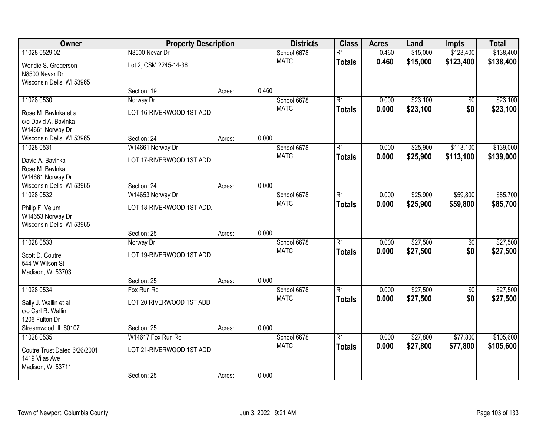| Owner                                                               | <b>Property Description</b> |        |       | <b>Districts</b> | <b>Class</b>    | <b>Acres</b> | Land     | <b>Impts</b>    | <b>Total</b> |
|---------------------------------------------------------------------|-----------------------------|--------|-------|------------------|-----------------|--------------|----------|-----------------|--------------|
| 11028 0529.02                                                       | N8500 Nevar Dr              |        |       | School 6678      | $\overline{R1}$ | 0.460        | \$15,000 | \$123,400       | \$138,400    |
| Wendie S. Gregerson<br>N8500 Nevar Dr<br>Wisconsin Dells, WI 53965  | Lot 2, CSM 2245-14-36       |        |       | <b>MATC</b>      | <b>Totals</b>   | 0.460        | \$15,000 | \$123,400       | \$138,400    |
|                                                                     | Section: 19                 | Acres: | 0.460 |                  |                 |              |          |                 |              |
| 11028 0530                                                          | Norway Dr                   |        |       | School 6678      | $\overline{R1}$ | 0.000        | \$23,100 | $\overline{50}$ | \$23,100     |
| Rose M. Baylnka et al<br>c/o David A. Bavlnka<br>W14661 Norway Dr   | LOT 16-RIVERWOOD 1ST ADD    |        |       | <b>MATC</b>      | <b>Totals</b>   | 0.000        | \$23,100 | \$0             | \$23,100     |
| Wisconsin Dells, WI 53965                                           | Section: 24                 | Acres: | 0.000 |                  |                 |              |          |                 |              |
| 11028 0531                                                          | W14661 Norway Dr            |        |       | School 6678      | $\overline{R1}$ | 0.000        | \$25,900 | \$113,100       | \$139,000    |
| David A. Bavlnka<br>Rose M. Bavlnka<br>W14661 Norway Dr             | LOT 17-RIVERWOOD 1ST ADD.   |        |       | <b>MATC</b>      | <b>Totals</b>   | 0.000        | \$25,900 | \$113,100       | \$139,000    |
| Wisconsin Dells, WI 53965                                           | Section: 24                 | Acres: | 0.000 |                  |                 |              |          |                 |              |
| 11028 0532                                                          | W14653 Norway Dr            |        |       | School 6678      | $\overline{R1}$ | 0.000        | \$25,900 | \$59,800        | \$85,700     |
| Philip F. Veium<br>W14653 Norway Dr<br>Wisconsin Dells, WI 53965    | LOT 18-RIVERWOOD 1ST ADD.   |        |       | <b>MATC</b>      | <b>Totals</b>   | 0.000        | \$25,900 | \$59,800        | \$85,700     |
|                                                                     | Section: 25                 | Acres: | 0.000 |                  |                 |              |          |                 |              |
| 11028 0533                                                          | Norway Dr                   |        |       | School 6678      | $\overline{R1}$ | 0.000        | \$27,500 | $\overline{50}$ | \$27,500     |
| Scott D. Coutre<br>544 W Wilson St<br>Madison, WI 53703             | LOT 19-RIVERWOOD 1ST ADD.   |        |       | <b>MATC</b>      | <b>Totals</b>   | 0.000        | \$27,500 | \$0             | \$27,500     |
|                                                                     | Section: 25                 | Acres: | 0.000 |                  |                 |              |          |                 |              |
| 11028 0534                                                          | Fox Run Rd                  |        |       | School 6678      | $\overline{R1}$ | 0.000        | \$27,500 | $\overline{50}$ | \$27,500     |
| Sally J. Wallin et al<br>c/o Carl R. Wallin<br>1206 Fulton Dr       | LOT 20 RIVERWOOD 1ST ADD    |        |       | <b>MATC</b>      | <b>Totals</b>   | 0.000        | \$27,500 | \$0             | \$27,500     |
| Streamwood, IL 60107                                                | Section: 25                 | Acres: | 0.000 |                  |                 |              |          |                 |              |
| 11028 0535                                                          | W14617 Fox Run Rd           |        |       | School 6678      | $\overline{R1}$ | 0.000        | \$27,800 | \$77,800        | \$105,600    |
| Coutre Trust Dated 6/26/2001<br>1419 Vilas Ave<br>Madison, WI 53711 | LOT 21-RIVERWOOD 1ST ADD    |        |       | <b>MATC</b>      | <b>Totals</b>   | 0.000        | \$27,800 | \$77,800        | \$105,600    |
|                                                                     | Section: 25                 | Acres: | 0.000 |                  |                 |              |          |                 |              |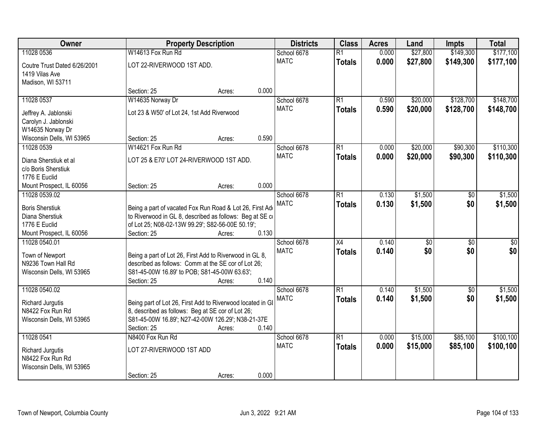| Owner                                          | <b>Property Description</b>                                                                                    |                 | <b>Districts</b> | <b>Class</b>    | <b>Acres</b> | Land        | <b>Impts</b>    | <b>Total</b>    |
|------------------------------------------------|----------------------------------------------------------------------------------------------------------------|-----------------|------------------|-----------------|--------------|-------------|-----------------|-----------------|
| 11028 0536                                     | W14613 Fox Run Rd                                                                                              |                 | School 6678      | $\overline{R1}$ | 0.000        | \$27,800    | \$149,300       | \$177,100       |
| Coutre Trust Dated 6/26/2001<br>1419 Vilas Ave | LOT 22-RIVERWOOD 1ST ADD.                                                                                      |                 | <b>MATC</b>      | <b>Totals</b>   | 0.000        | \$27,800    | \$149,300       | \$177,100       |
| Madison, WI 53711                              |                                                                                                                |                 |                  |                 |              |             |                 |                 |
|                                                | Section: 25                                                                                                    | 0.000<br>Acres: |                  |                 |              |             |                 |                 |
| 11028 0537                                     | W14635 Norway Dr                                                                                               |                 | School 6678      | $\overline{R1}$ | 0.590        | \$20,000    | \$128,700       | \$148,700       |
| Jeffrey A. Jablonski                           | Lot 23 & W50' of Lot 24, 1st Add Riverwood                                                                     |                 | <b>MATC</b>      | <b>Totals</b>   | 0.590        | \$20,000    | \$128,700       | \$148,700       |
| Carolyn J. Jablonski                           |                                                                                                                |                 |                  |                 |              |             |                 |                 |
| W14635 Norway Dr                               |                                                                                                                |                 |                  |                 |              |             |                 |                 |
| Wisconsin Dells, WI 53965                      | Section: 25                                                                                                    | 0.590<br>Acres: |                  |                 |              |             |                 |                 |
| 11028 0539                                     | W14621 Fox Run Rd                                                                                              |                 | School 6678      | $\overline{R1}$ | 0.000        | \$20,000    | \$90,300        | \$110,300       |
| Diana Sherstiuk et al                          | LOT 25 & E70' LOT 24-RIVERWOOD 1ST ADD.                                                                        |                 | <b>MATC</b>      | <b>Totals</b>   | 0.000        | \$20,000    | \$90,300        | \$110,300       |
| c/o Boris Sherstiuk                            |                                                                                                                |                 |                  |                 |              |             |                 |                 |
| 1776 E Euclid                                  |                                                                                                                |                 |                  |                 |              |             |                 |                 |
| Mount Prospect, IL 60056                       | Section: 25                                                                                                    | 0.000<br>Acres: |                  |                 |              |             |                 |                 |
| 11028 0539.02                                  |                                                                                                                |                 | School 6678      | $\overline{R1}$ | 0.130        | \$1,500     | \$0             | \$1,500         |
| <b>Boris Sherstiuk</b>                         | Being a part of vacated Fox Run Road & Lot 26, First Add                                                       |                 | <b>MATC</b>      | <b>Totals</b>   | 0.130        | \$1,500     | \$0             | \$1,500         |
| Diana Sherstiuk                                | to Riverwood in GL 8, described as follows: Beg at SE co                                                       |                 |                  |                 |              |             |                 |                 |
| 1776 E Euclid                                  | of Lot 25; N08-02-13W 99.29'; S82-56-00E 50.19';                                                               |                 |                  |                 |              |             |                 |                 |
| Mount Prospect, IL 60056                       | Section: 25                                                                                                    | 0.130<br>Acres: |                  |                 |              |             |                 |                 |
| 11028 0540.01                                  |                                                                                                                |                 | School 6678      | $\overline{X4}$ | 0.140        | $\sqrt{30}$ | $\overline{50}$ | $\overline{50}$ |
|                                                |                                                                                                                |                 | <b>MATC</b>      | <b>Totals</b>   | 0.140        | \$0         | \$0             | \$0             |
| Town of Newport<br>N9236 Town Hall Rd          | Being a part of Lot 26, First Add to Riverwood in GL 8,<br>described as follows: Comm at the SE cor of Lot 26; |                 |                  |                 |              |             |                 |                 |
| Wisconsin Dells, WI 53965                      | S81-45-00W 16.89' to POB; S81-45-00W 63.63';                                                                   |                 |                  |                 |              |             |                 |                 |
|                                                | Section: 25                                                                                                    | 0.140<br>Acres: |                  |                 |              |             |                 |                 |
| 11028 0540.02                                  |                                                                                                                |                 | School 6678      | $\overline{R1}$ | 0.140        | \$1,500     | $\sqrt{6}$      | \$1,500         |
|                                                |                                                                                                                |                 | <b>MATC</b>      | <b>Totals</b>   | 0.140        | \$1,500     | \$0             | \$1,500         |
| Richard Jurgutis<br>N8422 Fox Run Rd           | Being part of Lot 26, First Add to Riverwood located in GI                                                     |                 |                  |                 |              |             |                 |                 |
| Wisconsin Dells, WI 53965                      | 8, described as follows: Beg at SE cor of Lot 26;<br>S81-45-00W 16.89'; N27-42-00W 126.29'; N38-21-37E         |                 |                  |                 |              |             |                 |                 |
|                                                | Section: 25                                                                                                    | 0.140<br>Acres: |                  |                 |              |             |                 |                 |
| 11028 0541                                     | N8400 Fox Run Rd                                                                                               |                 | School 6678      | $\overline{R1}$ | 0.000        | \$15,000    | \$85,100        | \$100,100       |
|                                                |                                                                                                                |                 | <b>MATC</b>      | <b>Totals</b>   | 0.000        | \$15,000    | \$85,100        | \$100,100       |
| Richard Jurgutis                               | LOT 27-RIVERWOOD 1ST ADD                                                                                       |                 |                  |                 |              |             |                 |                 |
| N8422 Fox Run Rd<br>Wisconsin Dells, WI 53965  |                                                                                                                |                 |                  |                 |              |             |                 |                 |
|                                                | Section: 25                                                                                                    | 0.000<br>Acres: |                  |                 |              |             |                 |                 |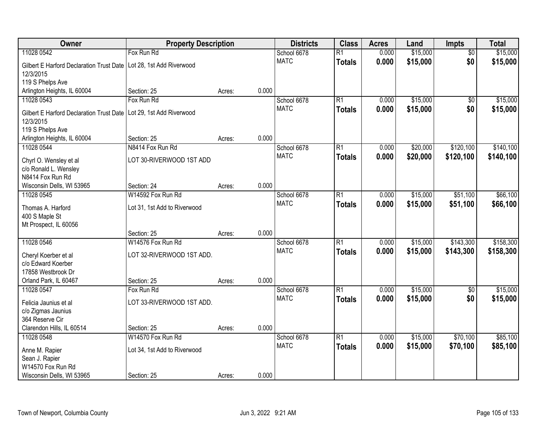| Owner                                           | <b>Property Description</b>  |                 | <b>Districts</b> | <b>Class</b>    | <b>Acres</b> | Land     | <b>Impts</b>    | <b>Total</b> |
|-------------------------------------------------|------------------------------|-----------------|------------------|-----------------|--------------|----------|-----------------|--------------|
| 11028 0542                                      | Fox Run Rd                   |                 | School 6678      | $\overline{R1}$ | 0.000        | \$15,000 | $\overline{50}$ | \$15,000     |
| <b>Gilbert E Harford Declaration Trust Date</b> | Lot 28, 1st Add Riverwood    |                 | <b>MATC</b>      | <b>Totals</b>   | 0.000        | \$15,000 | \$0             | \$15,000     |
| 12/3/2015                                       |                              |                 |                  |                 |              |          |                 |              |
| 119 S Phelps Ave                                |                              |                 |                  |                 |              |          |                 |              |
| Arlington Heights, IL 60004                     | Section: 25                  | 0.000<br>Acres: |                  |                 |              |          |                 |              |
| 11028 0543                                      | Fox Run Rd                   |                 | School 6678      | $\overline{R1}$ | 0.000        | \$15,000 | $\overline{50}$ | \$15,000     |
| <b>Gilbert E Harford Declaration Trust Date</b> | Lot 29, 1st Add Riverwood    |                 | <b>MATC</b>      | <b>Totals</b>   | 0.000        | \$15,000 | \$0             | \$15,000     |
| 12/3/2015                                       |                              |                 |                  |                 |              |          |                 |              |
| 119 S Phelps Ave                                |                              |                 |                  |                 |              |          |                 |              |
| Arlington Heights, IL 60004                     | Section: 25                  | 0.000<br>Acres: |                  |                 |              |          |                 |              |
| 11028 0544                                      | N8414 Fox Run Rd             |                 | School 6678      | R1              | 0.000        | \$20,000 | \$120,100       | \$140,100    |
| Chyrl O. Wensley et al                          | LOT 30-RIVERWOOD 1ST ADD     |                 | <b>MATC</b>      | <b>Totals</b>   | 0.000        | \$20,000 | \$120,100       | \$140,100    |
| c/o Ronald L. Wensley                           |                              |                 |                  |                 |              |          |                 |              |
| N8414 Fox Run Rd                                |                              |                 |                  |                 |              |          |                 |              |
| Wisconsin Dells, WI 53965                       | Section: 24                  | 0.000<br>Acres: |                  |                 |              |          |                 |              |
| 11028 0545                                      | W14592 Fox Run Rd            |                 | School 6678      | R1              | 0.000        | \$15,000 | \$51,100        | \$66,100     |
| Thomas A. Harford                               | Lot 31, 1st Add to Riverwood |                 | <b>MATC</b>      | <b>Totals</b>   | 0.000        | \$15,000 | \$51,100        | \$66,100     |
| 400 S Maple St                                  |                              |                 |                  |                 |              |          |                 |              |
| Mt Prospect, IL 60056                           |                              |                 |                  |                 |              |          |                 |              |
|                                                 | Section: 25                  | 0.000<br>Acres: |                  |                 |              |          |                 |              |
| 11028 0546                                      | W14576 Fox Run Rd            |                 | School 6678      | $\overline{R1}$ | 0.000        | \$15,000 | \$143,300       | \$158,300    |
| Cheryl Koerber et al                            | LOT 32-RIVERWOOD 1ST ADD.    |                 | <b>MATC</b>      | <b>Totals</b>   | 0.000        | \$15,000 | \$143,300       | \$158,300    |
| c/o Edward Koerber                              |                              |                 |                  |                 |              |          |                 |              |
| 17858 Westbrook Dr                              |                              |                 |                  |                 |              |          |                 |              |
| Orland Park, IL 60467                           | Section: 25                  | 0.000<br>Acres: |                  |                 |              |          |                 |              |
| 11028 0547                                      | Fox Run Rd                   |                 | School 6678      | R1              | 0.000        | \$15,000 | $\overline{60}$ | \$15,000     |
| Felicia Jaunius et al                           | LOT 33-RIVERWOOD 1ST ADD.    |                 | <b>MATC</b>      | <b>Totals</b>   | 0.000        | \$15,000 | \$0             | \$15,000     |
| c/o Zigmas Jaunius                              |                              |                 |                  |                 |              |          |                 |              |
| 364 Reserve Cir                                 |                              |                 |                  |                 |              |          |                 |              |
| Clarendon Hills, IL 60514                       | Section: 25                  | 0.000<br>Acres: |                  |                 |              |          |                 |              |
| 11028 0548                                      | W14570 Fox Run Rd            |                 | School 6678      | R1              | 0.000        | \$15,000 | \$70,100        | \$85,100     |
| Anne M. Rapier                                  | Lot 34, 1st Add to Riverwood |                 | <b>MATC</b>      | <b>Totals</b>   | 0.000        | \$15,000 | \$70,100        | \$85,100     |
| Sean J. Rapier                                  |                              |                 |                  |                 |              |          |                 |              |
| W14570 Fox Run Rd                               |                              |                 |                  |                 |              |          |                 |              |
| Wisconsin Dells, WI 53965                       | Section: 25                  | 0.000<br>Acres: |                  |                 |              |          |                 |              |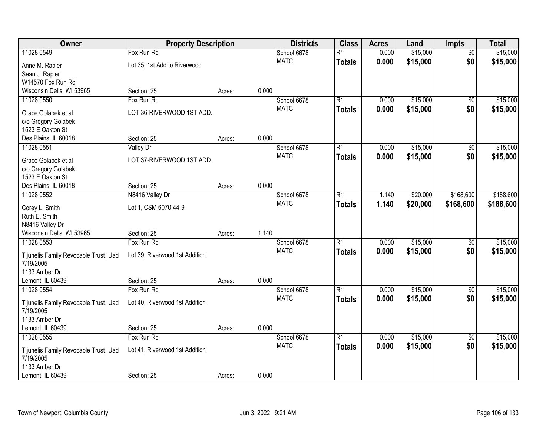| Owner                                 | <b>Property Description</b>    |        | <b>Districts</b> | <b>Class</b>               | <b>Acres</b>    | Land  | <b>Impts</b> | <b>Total</b>    |           |
|---------------------------------------|--------------------------------|--------|------------------|----------------------------|-----------------|-------|--------------|-----------------|-----------|
| 11028 0549                            | Fox Run Rd                     |        |                  | School 6678                | $\overline{R1}$ | 0.000 | \$15,000     | $\overline{50}$ | \$15,000  |
| Anne M. Rapier                        | Lot 35, 1st Add to Riverwood   |        |                  | <b>MATC</b>                | <b>Totals</b>   | 0.000 | \$15,000     | \$0             | \$15,000  |
| Sean J. Rapier                        |                                |        |                  |                            |                 |       |              |                 |           |
| W14570 Fox Run Rd                     |                                |        |                  |                            |                 |       |              |                 |           |
| Wisconsin Dells, WI 53965             | Section: 25                    | Acres: | 0.000            |                            |                 |       |              |                 |           |
| 11028 0550                            | Fox Run Rd                     |        |                  | School 6678                | R1              | 0.000 | \$15,000     | \$0             | \$15,000  |
| Grace Golabek et al                   | LOT 36-RIVERWOOD 1ST ADD.      |        |                  | <b>MATC</b>                | <b>Totals</b>   | 0.000 | \$15,000     | \$0             | \$15,000  |
| c/o Gregory Golabek                   |                                |        |                  |                            |                 |       |              |                 |           |
| 1523 E Oakton St                      |                                |        |                  |                            |                 |       |              |                 |           |
| Des Plains, IL 60018                  | Section: 25                    | Acres: | 0.000            |                            |                 |       |              |                 |           |
| 11028 0551                            | <b>Valley Dr</b>               |        |                  | School 6678                | $\overline{R1}$ | 0.000 | \$15,000     | \$0             | \$15,000  |
| Grace Golabek et al                   | LOT 37-RIVERWOOD 1ST ADD.      |        |                  | <b>MATC</b>                | Totals          | 0.000 | \$15,000     | \$0             | \$15,000  |
| c/o Gregory Golabek                   |                                |        |                  |                            |                 |       |              |                 |           |
| 1523 E Oakton St                      |                                |        |                  |                            |                 |       |              |                 |           |
| Des Plains, IL 60018                  | Section: 25                    | Acres: | 0.000            |                            |                 |       |              |                 |           |
| 11028 0552                            | N8416 Valley Dr                |        |                  | School 6678                | R1              | 1.140 | \$20,000     | \$168,600       | \$188,600 |
|                                       |                                |        |                  | <b>MATC</b>                | <b>Totals</b>   | 1.140 | \$20,000     | \$168,600       | \$188,600 |
| Corey L. Smith<br>Ruth E. Smith       | Lot 1, CSM 6070-44-9           |        |                  |                            |                 |       |              |                 |           |
| N8416 Valley Dr                       |                                |        |                  |                            |                 |       |              |                 |           |
| Wisconsin Dells, WI 53965             | Section: 25                    | Acres: | 1.140            |                            |                 |       |              |                 |           |
| 11028 0553                            | Fox Run Rd                     |        |                  | School 6678                | $\overline{R1}$ | 0.000 | \$15,000     | \$0             | \$15,000  |
|                                       |                                |        |                  | <b>MATC</b>                | <b>Totals</b>   | 0.000 | \$15,000     | \$0             | \$15,000  |
| Tijunelis Family Revocable Trust, Uad | Lot 39, Riverwood 1st Addition |        |                  |                            |                 |       |              |                 |           |
| 7/19/2005<br>1133 Amber Dr            |                                |        |                  |                            |                 |       |              |                 |           |
| Lemont, IL 60439                      | Section: 25                    | Acres: | 0.000            |                            |                 |       |              |                 |           |
| 11028 0554                            | Fox Run Rd                     |        |                  | School 6678                | R1              | 0.000 | \$15,000     | $\sqrt{$0}$     | \$15,000  |
|                                       |                                |        |                  | <b>MATC</b>                | <b>Totals</b>   | 0.000 | \$15,000     | \$0             | \$15,000  |
| Tijunelis Family Revocable Trust, Uad | Lot 40, Riverwood 1st Addition |        |                  |                            |                 |       |              |                 |           |
| 7/19/2005                             |                                |        |                  |                            |                 |       |              |                 |           |
| 1133 Amber Dr                         |                                |        |                  |                            |                 |       |              |                 |           |
| Lemont, IL 60439                      | Section: 25<br>Fox Run Rd      | Acres: | 0.000            |                            |                 |       | \$15,000     |                 |           |
| 11028 0555                            |                                |        |                  | School 6678<br><b>MATC</b> | R1              | 0.000 |              | $\overline{30}$ | \$15,000  |
| Tijunelis Family Revocable Trust, Uad | Lot 41, Riverwood 1st Addition |        |                  |                            | <b>Totals</b>   | 0.000 | \$15,000     | \$0             | \$15,000  |
| 7/19/2005                             |                                |        |                  |                            |                 |       |              |                 |           |
| 1133 Amber Dr                         |                                |        |                  |                            |                 |       |              |                 |           |
| Lemont, IL 60439                      | Section: 25                    | Acres: | 0.000            |                            |                 |       |              |                 |           |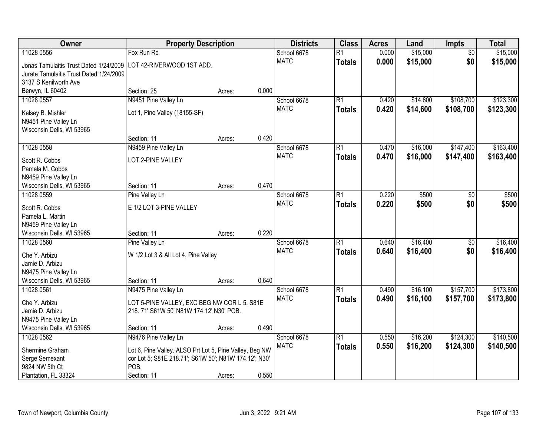| Owner                                             | <b>Property Description</b>                             |                 | <b>Districts</b> | <b>Class</b>    | <b>Acres</b> | Land     | <b>Impts</b>    | <b>Total</b> |
|---------------------------------------------------|---------------------------------------------------------|-----------------|------------------|-----------------|--------------|----------|-----------------|--------------|
| 11028 0556                                        | Fox Run Rd                                              |                 | School 6678      | $\overline{R1}$ | 0.000        | \$15,000 | $\overline{50}$ | \$15,000     |
| Jonas Tamulaitis Trust Dated 1/24/2009            | LOT 42-RIVERWOOD 1ST ADD.                               |                 | <b>MATC</b>      | <b>Totals</b>   | 0.000        | \$15,000 | \$0             | \$15,000     |
| Jurate Tamulaitis Trust Dated 1/24/2009           |                                                         |                 |                  |                 |              |          |                 |              |
| 3137 S Kenilworth Ave                             |                                                         |                 |                  |                 |              |          |                 |              |
| Berwyn, IL 60402                                  | Section: 25                                             | 0.000<br>Acres: |                  |                 |              |          |                 |              |
| 11028 0557                                        | N9451 Pine Valley Ln                                    |                 | School 6678      | R1              | 0.420        | \$14,600 | \$108,700       | \$123,300    |
| Kelsey B. Mishler                                 | Lot 1, Pine Valley (18155-SF)                           |                 | <b>MATC</b>      | Totals          | 0.420        | \$14,600 | \$108,700       | \$123,300    |
| N9451 Pine Valley Ln                              |                                                         |                 |                  |                 |              |          |                 |              |
| Wisconsin Dells, WI 53965                         |                                                         |                 |                  |                 |              |          |                 |              |
|                                                   | Section: 11                                             | 0.420<br>Acres: |                  |                 |              |          |                 |              |
| 11028 0558                                        | N9459 Pine Valley Ln                                    |                 | School 6678      | $\overline{R1}$ | 0.470        | \$16,000 | \$147,400       | \$163,400    |
| Scott R. Cobbs                                    | LOT 2-PINE VALLEY                                       |                 | <b>MATC</b>      | <b>Totals</b>   | 0.470        | \$16,000 | \$147,400       | \$163,400    |
| Pamela M. Cobbs                                   |                                                         |                 |                  |                 |              |          |                 |              |
| N9459 Pine Valley Ln                              |                                                         |                 |                  |                 |              |          |                 |              |
| Wisconsin Dells, WI 53965                         | Section: 11                                             | 0.470<br>Acres: |                  |                 |              |          |                 |              |
| 11028 0559                                        | Pine Valley Ln                                          |                 | School 6678      | $\overline{R1}$ | 0.220        | \$500    | \$0             | \$500        |
|                                                   |                                                         |                 | <b>MATC</b>      | <b>Totals</b>   | 0.220        | \$500    | \$0             | \$500        |
| Scott R. Cobbs                                    | E 1/2 LOT 3-PINE VALLEY                                 |                 |                  |                 |              |          |                 |              |
| Pamela L. Martin<br>N9459 Pine Valley Ln          |                                                         |                 |                  |                 |              |          |                 |              |
| Wisconsin Dells, WI 53965                         | Section: 11                                             | 0.220<br>Acres: |                  |                 |              |          |                 |              |
| 11028 0560                                        | Pine Valley Ln                                          |                 | School 6678      | $\overline{R1}$ | 0.640        | \$16,400 | $\overline{50}$ | \$16,400     |
|                                                   |                                                         |                 | <b>MATC</b>      | <b>Totals</b>   | 0.640        | \$16,400 | \$0             | \$16,400     |
| Che Y. Arbizu                                     | W 1/2 Lot 3 & All Lot 4, Pine Valley                    |                 |                  |                 |              |          |                 |              |
| Jamie D. Arbizu                                   |                                                         |                 |                  |                 |              |          |                 |              |
| N9475 Pine Valley Ln<br>Wisconsin Dells, WI 53965 | Section: 11                                             | 0.640           |                  |                 |              |          |                 |              |
| 11028 0561                                        | N9475 Pine Valley Ln                                    | Acres:          | School 6678      | R1              | 0.490        | \$16,100 | \$157,700       | \$173,800    |
|                                                   |                                                         |                 | <b>MATC</b>      | <b>Totals</b>   | 0.490        | \$16,100 | \$157,700       | \$173,800    |
| Che Y. Arbizu                                     | LOT 5-PINE VALLEY, EXC BEG NW COR L 5, S81E             |                 |                  |                 |              |          |                 |              |
| Jamie D. Arbizu                                   | 218. 71' S61W 50' N81W 174.12' N30' POB.                |                 |                  |                 |              |          |                 |              |
| N9475 Pine Valley Ln                              |                                                         |                 |                  |                 |              |          |                 |              |
| Wisconsin Dells, WI 53965                         | Section: 11                                             | 0.490<br>Acres: |                  |                 |              |          |                 |              |
| 11028 0562                                        | N9476 Pine Valley Ln                                    |                 | School 6678      | R1              | 0.550        | \$16,200 | \$124,300       | \$140,500    |
| Shermine Graham                                   | Lot 6, Pine Valley. ALSO Prt Lot 5, Pine Valley, Beg NW |                 | <b>MATC</b>      | <b>Totals</b>   | 0.550        | \$16,200 | \$124,300       | \$140,500    |
| Serge Semexant                                    | cor Lot 5; S81E 218.71'; S61W 50'; N81W 174.12'; N30'   |                 |                  |                 |              |          |                 |              |
| 9824 NW 5th Ct                                    | POB.                                                    |                 |                  |                 |              |          |                 |              |
| Plantation, FL 33324                              | Section: 11                                             | 0.550<br>Acres: |                  |                 |              |          |                 |              |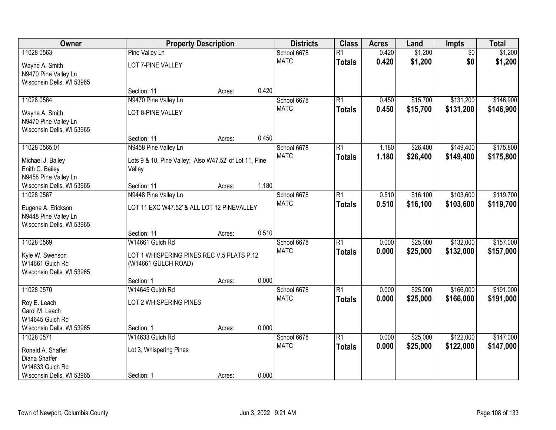| Owner                     |                                                        | <b>Property Description</b> |       | <b>Districts</b> | <b>Class</b>    | <b>Acres</b> | Land     | Impts           | <b>Total</b> |
|---------------------------|--------------------------------------------------------|-----------------------------|-------|------------------|-----------------|--------------|----------|-----------------|--------------|
| 11028 0563                | Pine Valley Ln                                         |                             |       | School 6678      | $\overline{R1}$ | 0.420        | \$1,200  | $\overline{50}$ | \$1,200      |
| Wayne A. Smith            | LOT 7-PINE VALLEY                                      |                             |       | <b>MATC</b>      | <b>Totals</b>   | 0.420        | \$1,200  | \$0             | \$1,200      |
| N9470 Pine Valley Ln      |                                                        |                             |       |                  |                 |              |          |                 |              |
| Wisconsin Dells, WI 53965 |                                                        |                             |       |                  |                 |              |          |                 |              |
|                           | Section: 11                                            | Acres:                      | 0.420 |                  |                 |              |          |                 |              |
| 11028 0564                | N9470 Pine Valley Ln                                   |                             |       | School 6678      | $\overline{R1}$ | 0.450        | \$15,700 | \$131,200       | \$146,900    |
| Wayne A. Smith            | LOT 8-PINE VALLEY                                      |                             |       | <b>MATC</b>      | <b>Totals</b>   | 0.450        | \$15,700 | \$131,200       | \$146,900    |
| N9470 Pine Valley Ln      |                                                        |                             |       |                  |                 |              |          |                 |              |
| Wisconsin Dells, WI 53965 |                                                        |                             |       |                  |                 |              |          |                 |              |
|                           | Section: 11                                            | Acres:                      | 0.450 |                  |                 |              |          |                 |              |
| 11028 0565.01             | N9458 Pine Valley Ln                                   |                             |       | School 6678      | $\overline{R1}$ | 1.180        | \$26,400 | \$149,400       | \$175,800    |
| Michael J. Bailey         | Lots 9 & 10, Pine Valley; Also W47.52' of Lot 11, Pine |                             |       | <b>MATC</b>      | <b>Totals</b>   | 1.180        | \$26,400 | \$149,400       | \$175,800    |
| Enith C. Bailey           | Valley                                                 |                             |       |                  |                 |              |          |                 |              |
| N9458 Pine Valley Ln      |                                                        |                             |       |                  |                 |              |          |                 |              |
| Wisconsin Dells, WI 53965 | Section: 11                                            | Acres:                      | 1.180 |                  |                 |              |          |                 |              |
| 11028 0567                | N9448 Pine Valley Ln                                   |                             |       | School 6678      | $\overline{R1}$ | 0.510        | \$16,100 | \$103,600       | \$119,700    |
| Eugene A. Erickson        | LOT 11 EXC W47.52' & ALL LOT 12 PINEVALLEY             |                             |       | <b>MATC</b>      | <b>Totals</b>   | 0.510        | \$16,100 | \$103,600       | \$119,700    |
| N9448 Pine Valley Ln      |                                                        |                             |       |                  |                 |              |          |                 |              |
| Wisconsin Dells, WI 53965 |                                                        |                             |       |                  |                 |              |          |                 |              |
|                           | Section: 11                                            | Acres:                      | 0.510 |                  |                 |              |          |                 |              |
| 11028 0569                | W14661 Gulch Rd                                        |                             |       | School 6678      | $\overline{R1}$ | 0.000        | \$25,000 | \$132,000       | \$157,000    |
| Kyle W. Swenson           | LOT 1 WHISPERING PINES REC V.5 PLATS P.12              |                             |       | <b>MATC</b>      | <b>Totals</b>   | 0.000        | \$25,000 | \$132,000       | \$157,000    |
| W14661 Gulch Rd           | (W14661 GULCH ROAD)                                    |                             |       |                  |                 |              |          |                 |              |
| Wisconsin Dells, WI 53965 |                                                        |                             |       |                  |                 |              |          |                 |              |
|                           | Section: 1                                             | Acres:                      | 0.000 |                  |                 |              |          |                 |              |
| 11028 0570                | W14645 Gulch Rd                                        |                             |       | School 6678      | $\overline{R1}$ | 0.000        | \$25,000 | \$166,000       | \$191,000    |
| Roy E. Leach              | LOT 2 WHISPERING PINES                                 |                             |       | <b>MATC</b>      | <b>Totals</b>   | 0.000        | \$25,000 | \$166,000       | \$191,000    |
| Carol M. Leach            |                                                        |                             |       |                  |                 |              |          |                 |              |
| W14645 Gulch Rd           |                                                        |                             |       |                  |                 |              |          |                 |              |
| Wisconsin Dells, WI 53965 | Section: 1                                             | Acres:                      | 0.000 |                  |                 |              |          |                 |              |
| 11028 0571                | W14633 Gulch Rd                                        |                             |       | School 6678      | $\overline{R1}$ | 0.000        | \$25,000 | \$122,000       | \$147,000    |
| Ronald A. Shaffer         | Lot 3, Whispering Pines                                |                             |       | <b>MATC</b>      | <b>Totals</b>   | 0.000        | \$25,000 | \$122,000       | \$147,000    |
| Diana Shaffer             |                                                        |                             |       |                  |                 |              |          |                 |              |
| W14633 Gulch Rd           |                                                        |                             |       |                  |                 |              |          |                 |              |
| Wisconsin Dells, WI 53965 | Section: 1                                             | Acres:                      | 0.000 |                  |                 |              |          |                 |              |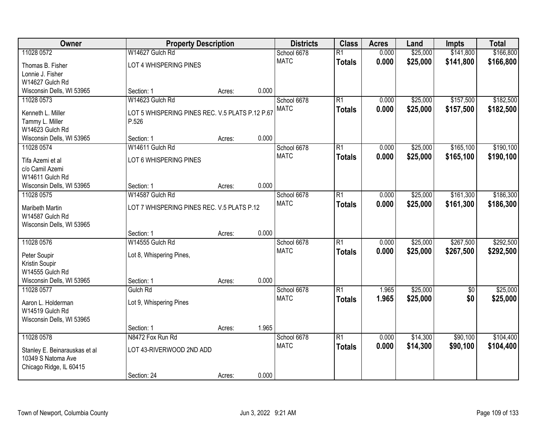| Owner                         | <b>Property Description</b>                     |        |       | <b>Districts</b> | <b>Class</b>    | <b>Acres</b> | Land     | <b>Impts</b> | <b>Total</b> |
|-------------------------------|-------------------------------------------------|--------|-------|------------------|-----------------|--------------|----------|--------------|--------------|
| 11028 0572                    | W14627 Gulch Rd                                 |        |       | School 6678      | $\overline{R1}$ | 0.000        | \$25,000 | \$141,800    | \$166,800    |
| Thomas B. Fisher              | LOT 4 WHISPERING PINES                          |        |       | <b>MATC</b>      | <b>Totals</b>   | 0.000        | \$25,000 | \$141,800    | \$166,800    |
| Lonnie J. Fisher              |                                                 |        |       |                  |                 |              |          |              |              |
| W14627 Gulch Rd               |                                                 |        |       |                  |                 |              |          |              |              |
| Wisconsin Dells, WI 53965     | Section: 1                                      | Acres: | 0.000 |                  |                 |              |          |              |              |
| 11028 0573                    | W14623 Gulch Rd                                 |        |       | School 6678      | $\overline{R1}$ | 0.000        | \$25,000 | \$157,500    | \$182,500    |
| Kenneth L. Miller             | LOT 5 WHISPERING PINES REC. V.5 PLATS P.12 P.67 |        |       | <b>MATC</b>      | <b>Totals</b>   | 0.000        | \$25,000 | \$157,500    | \$182,500    |
| Tammy L. Miller               | P.526                                           |        |       |                  |                 |              |          |              |              |
| W14623 Gulch Rd               |                                                 |        |       |                  |                 |              |          |              |              |
| Wisconsin Dells, WI 53965     | Section: 1                                      | Acres: | 0.000 |                  |                 |              |          |              |              |
| 11028 0574                    | W14611 Gulch Rd                                 |        |       | School 6678      | $\overline{R1}$ | 0.000        | \$25,000 | \$165,100    | \$190,100    |
| Tifa Azemi et al              | LOT 6 WHISPERING PINES                          |        |       | <b>MATC</b>      | <b>Totals</b>   | 0.000        | \$25,000 | \$165,100    | \$190,100    |
| c/o Camil Azemi               |                                                 |        |       |                  |                 |              |          |              |              |
| W14611 Gulch Rd               |                                                 |        |       |                  |                 |              |          |              |              |
| Wisconsin Dells, WI 53965     | Section: 1                                      | Acres: | 0.000 |                  |                 |              |          |              |              |
| 11028 0575                    | W14587 Gulch Rd                                 |        |       | School 6678      | $\overline{R1}$ | 0.000        | \$25,000 | \$161,300    | \$186,300    |
| <b>Maribeth Martin</b>        | LOT 7 WHISPERING PINES REC. V.5 PLATS P.12      |        |       | <b>MATC</b>      | <b>Totals</b>   | 0.000        | \$25,000 | \$161,300    | \$186,300    |
| W14587 Gulch Rd               |                                                 |        |       |                  |                 |              |          |              |              |
| Wisconsin Dells, WI 53965     |                                                 |        |       |                  |                 |              |          |              |              |
|                               | Section: 1                                      | Acres: | 0.000 |                  |                 |              |          |              |              |
| 11028 0576                    | W14555 Gulch Rd                                 |        |       | School 6678      | $\overline{R1}$ | 0.000        | \$25,000 | \$267,500    | \$292,500    |
| Peter Soupir                  | Lot 8, Whispering Pines,                        |        |       | <b>MATC</b>      | <b>Totals</b>   | 0.000        | \$25,000 | \$267,500    | \$292,500    |
| Kristin Soupir                |                                                 |        |       |                  |                 |              |          |              |              |
| W14555 Gulch Rd               |                                                 |        |       |                  |                 |              |          |              |              |
| Wisconsin Dells, WI 53965     | Section: 1                                      | Acres: | 0.000 |                  |                 |              |          |              |              |
| 11028 0577                    | Gulch Rd                                        |        |       | School 6678      | $\overline{R1}$ | 1.965        | \$25,000 | $\sqrt{6}$   | \$25,000     |
| Aaron L. Holderman            | Lot 9, Whispering Pines                         |        |       | <b>MATC</b>      | <b>Totals</b>   | 1.965        | \$25,000 | \$0          | \$25,000     |
| W14519 Gulch Rd               |                                                 |        |       |                  |                 |              |          |              |              |
| Wisconsin Dells, WI 53965     |                                                 |        |       |                  |                 |              |          |              |              |
|                               | Section: 1                                      | Acres: | 1.965 |                  |                 |              |          |              |              |
| 11028 0578                    | N8472 Fox Run Rd                                |        |       | School 6678      | $\overline{R1}$ | 0.000        | \$14,300 | \$90,100     | \$104,400    |
| Stanley E. Beinarauskas et al | LOT 43-RIVERWOOD 2ND ADD                        |        |       | <b>MATC</b>      | <b>Totals</b>   | 0.000        | \$14,300 | \$90,100     | \$104,400    |
| 10349 S Natoma Ave            |                                                 |        |       |                  |                 |              |          |              |              |
| Chicago Ridge, IL 60415       |                                                 |        |       |                  |                 |              |          |              |              |
|                               | Section: 24                                     | Acres: | 0.000 |                  |                 |              |          |              |              |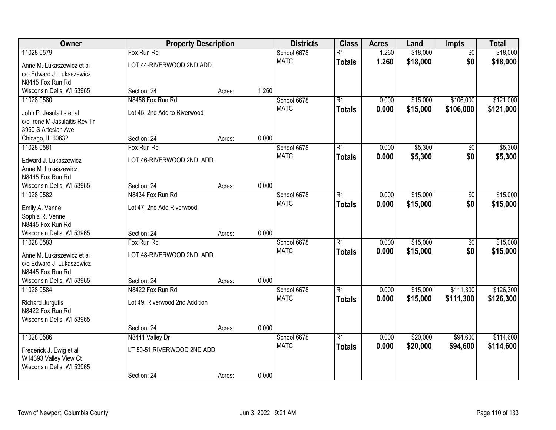| Owner                                                  | <b>Property Description</b>    |        |       | <b>Districts</b> | <b>Class</b>    | <b>Acres</b> | Land     | <b>Impts</b>    | <b>Total</b> |
|--------------------------------------------------------|--------------------------------|--------|-------|------------------|-----------------|--------------|----------|-----------------|--------------|
| 11028 0579                                             | Fox Run Rd                     |        |       | School 6678      | $\overline{R1}$ | 1.260        | \$18,000 | $\overline{30}$ | \$18,000     |
| Anne M. Lukaszewicz et al                              | LOT 44-RIVERWOOD 2ND ADD.      |        |       | <b>MATC</b>      | <b>Totals</b>   | 1.260        | \$18,000 | \$0             | \$18,000     |
| c/o Edward J. Lukaszewicz                              |                                |        |       |                  |                 |              |          |                 |              |
| N8445 Fox Run Rd                                       |                                |        |       |                  |                 |              |          |                 |              |
| Wisconsin Dells, WI 53965                              | Section: 24                    | Acres: | 1.260 |                  |                 |              |          |                 |              |
| 11028 0580                                             | N8456 Fox Run Rd               |        |       | School 6678      | R1              | 0.000        | \$15,000 | \$106,000       | \$121,000    |
| John P. Jasulaitis et al                               | Lot 45, 2nd Add to Riverwood   |        |       | <b>MATC</b>      | <b>Totals</b>   | 0.000        | \$15,000 | \$106,000       | \$121,000    |
| c/o Irene M Jasulaitis Rev Tr                          |                                |        |       |                  |                 |              |          |                 |              |
| 3960 S Artesian Ave                                    |                                |        |       |                  |                 |              |          |                 |              |
| Chicago, IL 60632                                      | Section: 24                    | Acres: | 0.000 |                  |                 |              |          |                 |              |
| 11028 0581                                             | Fox Run Rd                     |        |       | School 6678      | $\overline{R1}$ | 0.000        | \$5,300  | $\sqrt[6]{}$    | \$5,300      |
| Edward J. Lukaszewicz                                  | LOT 46-RIVERWOOD 2ND. ADD.     |        |       | <b>MATC</b>      | <b>Totals</b>   | 0.000        | \$5,300  | \$0             | \$5,300      |
| Anne M. Lukaszewicz                                    |                                |        |       |                  |                 |              |          |                 |              |
| N8445 Fox Run Rd                                       |                                |        |       |                  |                 |              |          |                 |              |
| Wisconsin Dells, WI 53965                              | Section: 24                    | Acres: | 0.000 |                  |                 |              |          |                 |              |
| 11028 0582                                             | N8434 Fox Run Rd               |        |       | School 6678      | R1              | 0.000        | \$15,000 | \$0             | \$15,000     |
| Emily A. Venne                                         | Lot 47, 2nd Add Riverwood      |        |       | <b>MATC</b>      | <b>Totals</b>   | 0.000        | \$15,000 | \$0             | \$15,000     |
| Sophia R. Venne                                        |                                |        |       |                  |                 |              |          |                 |              |
| N8445 Fox Run Rd                                       |                                |        |       |                  |                 |              |          |                 |              |
| Wisconsin Dells, WI 53965                              | Section: 24                    | Acres: | 0.000 |                  |                 |              |          |                 |              |
| 11028 0583                                             | Fox Run Rd                     |        |       | School 6678      | $\overline{R1}$ | 0.000        | \$15,000 | \$0             | \$15,000     |
|                                                        | LOT 48-RIVERWOOD 2ND. ADD.     |        |       | <b>MATC</b>      | <b>Totals</b>   | 0.000        | \$15,000 | \$0             | \$15,000     |
| Anne M. Lukaszewicz et al<br>c/o Edward J. Lukaszewicz |                                |        |       |                  |                 |              |          |                 |              |
| N8445 Fox Run Rd                                       |                                |        |       |                  |                 |              |          |                 |              |
| Wisconsin Dells, WI 53965                              | Section: 24                    | Acres: | 0.000 |                  |                 |              |          |                 |              |
| 11028 0584                                             | N8422 Fox Run Rd               |        |       | School 6678      | R1              | 0.000        | \$15,000 | \$111,300       | \$126,300    |
|                                                        |                                |        |       | <b>MATC</b>      | <b>Totals</b>   | 0.000        | \$15,000 | \$111,300       | \$126,300    |
| Richard Jurgutis<br>N8422 Fox Run Rd                   | Lot 49, Riverwood 2nd Addition |        |       |                  |                 |              |          |                 |              |
| Wisconsin Dells, WI 53965                              |                                |        |       |                  |                 |              |          |                 |              |
|                                                        | Section: 24                    | Acres: | 0.000 |                  |                 |              |          |                 |              |
| 11028 0586                                             | N8441 Valley Dr                |        |       | School 6678      | $\overline{R1}$ | 0.000        | \$20,000 | \$94,600        | \$114,600    |
|                                                        |                                |        |       | <b>MATC</b>      | <b>Totals</b>   | 0.000        | \$20,000 | \$94,600        | \$114,600    |
| Frederick J. Ewig et al                                | LT 50-51 RIVERWOOD 2ND ADD     |        |       |                  |                 |              |          |                 |              |
| W14393 Valley View Ct<br>Wisconsin Dells, WI 53965     |                                |        |       |                  |                 |              |          |                 |              |
|                                                        | Section: 24                    | Acres: | 0.000 |                  |                 |              |          |                 |              |
|                                                        |                                |        |       |                  |                 |              |          |                 |              |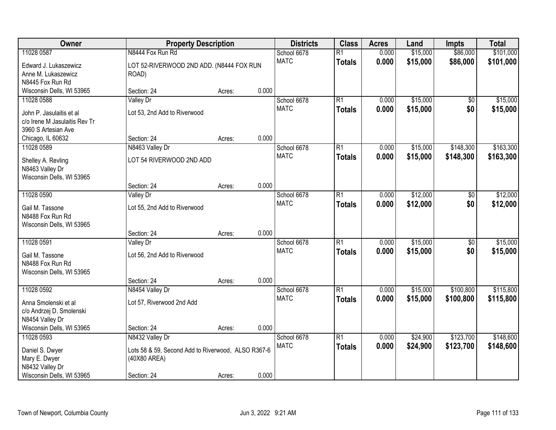| Owner                         | <b>Property Description</b>                        |        |       | <b>Districts</b> | <b>Class</b>    | <b>Acres</b> | Land     | <b>Impts</b>    | <b>Total</b> |
|-------------------------------|----------------------------------------------------|--------|-------|------------------|-----------------|--------------|----------|-----------------|--------------|
| 11028 0587                    | N8444 Fox Run Rd                                   |        |       | School 6678      | $\overline{R1}$ | 0.000        | \$15,000 | \$86,000        | \$101,000    |
| Edward J. Lukaszewicz         | LOT 52-RIVERWOOD 2ND ADD. (N8444 FOX RUN           |        |       | <b>MATC</b>      | <b>Totals</b>   | 0.000        | \$15,000 | \$86,000        | \$101,000    |
| Anne M. Lukaszewicz           | ROAD)                                              |        |       |                  |                 |              |          |                 |              |
| N8445 Fox Run Rd              |                                                    |        |       |                  |                 |              |          |                 |              |
| Wisconsin Dells, WI 53965     | Section: 24                                        | Acres: | 0.000 |                  |                 |              |          |                 |              |
| 11028 0588                    | <b>Valley Dr</b>                                   |        |       | School 6678      | $\overline{R1}$ | 0.000        | \$15,000 | \$0             | \$15,000     |
| John P. Jasulaitis et al.     | Lot 53, 2nd Add to Riverwood                       |        |       | <b>MATC</b>      | <b>Totals</b>   | 0.000        | \$15,000 | \$0             | \$15,000     |
| c/o Irene M Jasulaitis Rev Tr |                                                    |        |       |                  |                 |              |          |                 |              |
| 3960 S Artesian Ave           |                                                    |        |       |                  |                 |              |          |                 |              |
| Chicago, IL 60632             | Section: 24                                        | Acres: | 0.000 |                  |                 |              |          |                 |              |
| 11028 0589                    | N8463 Valley Dr                                    |        |       | School 6678      | $\overline{R1}$ | 0.000        | \$15,000 | \$148,300       | \$163,300    |
| Shelley A. Revling            | LOT 54 RIVERWOOD 2ND ADD                           |        |       | <b>MATC</b>      | <b>Totals</b>   | 0.000        | \$15,000 | \$148,300       | \$163,300    |
| N8463 Valley Dr               |                                                    |        |       |                  |                 |              |          |                 |              |
| Wisconsin Dells, WI 53965     |                                                    |        |       |                  |                 |              |          |                 |              |
|                               | Section: 24                                        | Acres: | 0.000 |                  |                 |              |          |                 |              |
| 11028 0590                    | Valley Dr                                          |        |       | School 6678      | $\overline{R1}$ | 0.000        | \$12,000 | \$0             | \$12,000     |
| Gail M. Tassone               | Lot 55, 2nd Add to Riverwood                       |        |       | <b>MATC</b>      | <b>Totals</b>   | 0.000        | \$12,000 | \$0             | \$12,000     |
| N8488 Fox Run Rd              |                                                    |        |       |                  |                 |              |          |                 |              |
| Wisconsin Dells, WI 53965     |                                                    |        |       |                  |                 |              |          |                 |              |
|                               | Section: 24                                        | Acres: | 0.000 |                  |                 |              |          |                 |              |
| 11028 0591                    | Valley Dr                                          |        |       | School 6678      | $\overline{R1}$ | 0.000        | \$15,000 | $\overline{50}$ | \$15,000     |
| Gail M. Tassone               | Lot 56, 2nd Add to Riverwood                       |        |       | <b>MATC</b>      | <b>Totals</b>   | 0.000        | \$15,000 | \$0             | \$15,000     |
| N8488 Fox Run Rd              |                                                    |        |       |                  |                 |              |          |                 |              |
| Wisconsin Dells, WI 53965     |                                                    |        |       |                  |                 |              |          |                 |              |
|                               | Section: 24                                        | Acres: | 0.000 |                  |                 |              |          |                 |              |
| 11028 0592                    | N8454 Valley Dr                                    |        |       | School 6678      | $\overline{R1}$ | 0.000        | \$15,000 | \$100,800       | \$115,800    |
| Anna Smolenski et al          | Lot 57, Riverwood 2nd Add                          |        |       | <b>MATC</b>      | <b>Totals</b>   | 0.000        | \$15,000 | \$100,800       | \$115,800    |
| c/o Andrzej D. Smolenski      |                                                    |        |       |                  |                 |              |          |                 |              |
| N8454 Valley Dr               |                                                    |        |       |                  |                 |              |          |                 |              |
| Wisconsin Dells, WI 53965     | Section: 24                                        | Acres: | 0.000 |                  |                 |              |          |                 |              |
| 11028 0593                    | N8432 Valley Dr                                    |        |       | School 6678      | $\overline{R1}$ | 0.000        | \$24,900 | \$123,700       | \$148,600    |
| Daniel S. Dwyer               | Lots 58 & 59, Second Add to Riverwood, ALSO R367-6 |        |       | <b>MATC</b>      | <b>Totals</b>   | 0.000        | \$24,900 | \$123,700       | \$148,600    |
| Mary E. Dwyer                 | (40X80 AREA)                                       |        |       |                  |                 |              |          |                 |              |
| N8432 Valley Dr               |                                                    |        |       |                  |                 |              |          |                 |              |
| Wisconsin Dells, WI 53965     | Section: 24                                        | Acres: | 0.000 |                  |                 |              |          |                 |              |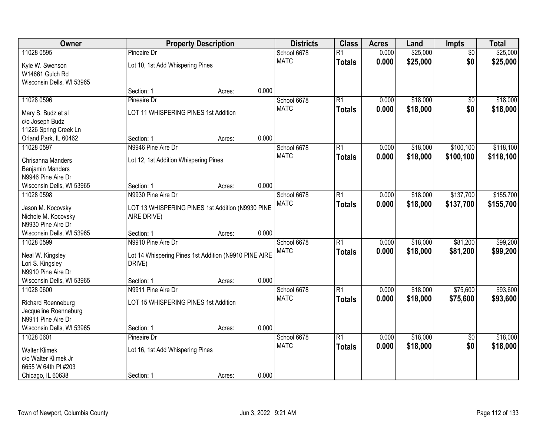| Owner                                       |                                                                 | <b>Property Description</b> |       | <b>Districts</b> | <b>Class</b>    | <b>Acres</b> | Land     | Impts           | <b>Total</b> |
|---------------------------------------------|-----------------------------------------------------------------|-----------------------------|-------|------------------|-----------------|--------------|----------|-----------------|--------------|
| 11028 0595                                  | <b>Pineaire Dr</b>                                              |                             |       | School 6678      | $\overline{R1}$ | 0.000        | \$25,000 | $\overline{50}$ | \$25,000     |
| Kyle W. Swenson                             | Lot 10, 1st Add Whispering Pines                                |                             |       | <b>MATC</b>      | <b>Totals</b>   | 0.000        | \$25,000 | \$0             | \$25,000     |
| W14661 Gulch Rd                             |                                                                 |                             |       |                  |                 |              |          |                 |              |
| Wisconsin Dells, WI 53965                   |                                                                 |                             |       |                  |                 |              |          |                 |              |
|                                             | Section: 1                                                      | Acres:                      | 0.000 |                  |                 |              |          |                 |              |
| 11028 0596                                  | Pineaire Dr                                                     |                             |       | School 6678      | $\overline{R1}$ | 0.000        | \$18,000 | $\overline{50}$ | \$18,000     |
| Mary S. Budz et al                          | LOT 11 WHISPERING PINES 1st Addition                            |                             |       | <b>MATC</b>      | <b>Totals</b>   | 0.000        | \$18,000 | \$0             | \$18,000     |
| c/o Joseph Budz                             |                                                                 |                             |       |                  |                 |              |          |                 |              |
| 11226 Spring Creek Ln                       |                                                                 |                             |       |                  |                 |              |          |                 |              |
| Orland Park, IL 60462                       | Section: 1                                                      | Acres:                      | 0.000 |                  |                 |              |          |                 |              |
| 11028 0597                                  | N9946 Pine Aire Dr                                              |                             |       | School 6678      | $\overline{R1}$ | 0.000        | \$18,000 | \$100,100       | \$118,100    |
| Chrisanna Manders                           | Lot 12, 1st Addition Whispering Pines                           |                             |       | <b>MATC</b>      | <b>Totals</b>   | 0.000        | \$18,000 | \$100,100       | \$118,100    |
| <b>Benjamin Manders</b>                     |                                                                 |                             |       |                  |                 |              |          |                 |              |
| N9946 Pine Aire Dr                          |                                                                 |                             |       |                  |                 |              |          |                 |              |
| Wisconsin Dells, WI 53965                   | Section: 1                                                      | Acres:                      | 0.000 |                  |                 |              |          |                 |              |
| 11028 0598                                  | N9930 Pine Aire Dr                                              |                             |       | School 6678      | $\overline{R1}$ | 0.000        | \$18,000 | \$137,700       | \$155,700    |
|                                             | LOT 13 WHISPERING PINES 1st Addition (N9930 PINE                |                             |       | <b>MATC</b>      | <b>Totals</b>   | 0.000        | \$18,000 | \$137,700       | \$155,700    |
| Jason M. Kocovsky<br>Nichole M. Kocovsky    | AIRE DRIVE)                                                     |                             |       |                  |                 |              |          |                 |              |
| N9930 Pine Aire Dr                          |                                                                 |                             |       |                  |                 |              |          |                 |              |
| Wisconsin Dells, WI 53965                   | Section: 1                                                      | Acres:                      | 0.000 |                  |                 |              |          |                 |              |
| 11028 0599                                  | N9910 Pine Aire Dr                                              |                             |       | School 6678      | $\overline{R1}$ | 0.000        | \$18,000 | \$81,200        | \$99,200     |
|                                             |                                                                 |                             |       | <b>MATC</b>      | <b>Totals</b>   | 0.000        | \$18,000 | \$81,200        | \$99,200     |
| Neal W. Kingsley                            | Lot 14 Whispering Pines 1st Addition (N9910 PINE AIRE<br>DRIVE) |                             |       |                  |                 |              |          |                 |              |
| Lori S. Kingsley<br>N9910 Pine Aire Dr      |                                                                 |                             |       |                  |                 |              |          |                 |              |
| Wisconsin Dells, WI 53965                   | Section: 1                                                      | Acres:                      | 0.000 |                  |                 |              |          |                 |              |
| 11028 0600                                  | N9911 Pine Aire Dr                                              |                             |       | School 6678      | $\overline{R1}$ | 0.000        | \$18,000 | \$75,600        | \$93,600     |
|                                             |                                                                 |                             |       | <b>MATC</b>      | <b>Totals</b>   | 0.000        | \$18,000 | \$75,600        | \$93,600     |
| Richard Roenneburg                          | LOT 15 WHISPERING PINES 1st Addition                            |                             |       |                  |                 |              |          |                 |              |
| Jacqueline Roenneburg<br>N9911 Pine Aire Dr |                                                                 |                             |       |                  |                 |              |          |                 |              |
| Wisconsin Dells, WI 53965                   | Section: 1                                                      | Acres:                      | 0.000 |                  |                 |              |          |                 |              |
| 11028 0601                                  | Pineaire Dr                                                     |                             |       | School 6678      | $\overline{R1}$ | 0.000        | \$18,000 | $\overline{50}$ | \$18,000     |
|                                             |                                                                 |                             |       | <b>MATC</b>      | <b>Totals</b>   | 0.000        | \$18,000 | \$0             | \$18,000     |
| <b>Walter Klimek</b>                        | Lot 16, 1st Add Whispering Pines                                |                             |       |                  |                 |              |          |                 |              |
| c/o Walter Klimek Jr                        |                                                                 |                             |       |                  |                 |              |          |                 |              |
| 6655 W 64th PI #203                         |                                                                 |                             |       |                  |                 |              |          |                 |              |
| Chicago, IL 60638                           | Section: 1                                                      | Acres:                      | 0.000 |                  |                 |              |          |                 |              |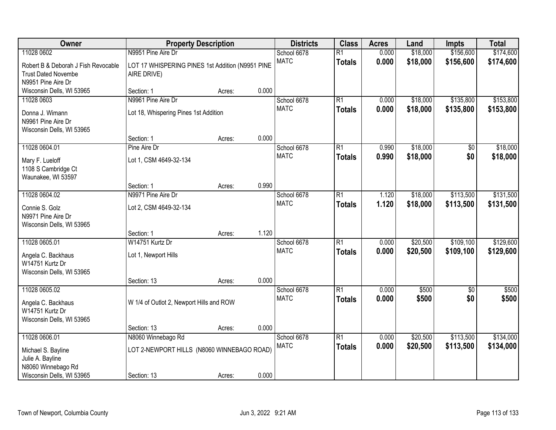| Owner                                                                                   |                                                                  | <b>Property Description</b> |       | <b>Districts</b>           | <b>Class</b>                     | <b>Acres</b>   | Land                 | <b>Impts</b>           | <b>Total</b>           |
|-----------------------------------------------------------------------------------------|------------------------------------------------------------------|-----------------------------|-------|----------------------------|----------------------------------|----------------|----------------------|------------------------|------------------------|
| 11028 0602                                                                              | N9951 Pine Aire Dr                                               |                             |       | School 6678                | $\overline{R1}$                  | 0.000          | \$18,000             | \$156,600              | \$174,600              |
| Robert B & Deborah J Fish Revocable<br><b>Trust Dated Novembe</b><br>N9951 Pine Aire Dr | LOT 17 WHISPERING PINES 1st Addition (N9951 PINE<br>AIRE DRIVE)  |                             |       | <b>MATC</b>                | <b>Totals</b>                    | 0.000          | \$18,000             | \$156,600              | \$174,600              |
| Wisconsin Dells, WI 53965                                                               | Section: 1                                                       | Acres:                      | 0.000 |                            |                                  |                |                      |                        |                        |
| 11028 0603<br>Donna J. Wimann<br>N9961 Pine Aire Dr<br>Wisconsin Dells, WI 53965        | N9961 Pine Aire Dr<br>Lot 18, Whispering Pines 1st Addition      |                             |       | School 6678<br><b>MATC</b> | $\overline{R1}$<br><b>Totals</b> | 0.000<br>0.000 | \$18,000<br>\$18,000 | \$135,800<br>\$135,800 | \$153,800<br>\$153,800 |
|                                                                                         | Section: 1                                                       | Acres:                      | 0.000 |                            |                                  |                |                      |                        |                        |
| 11028 0604.01<br>Mary F. Lueloff<br>1108 S Cambridge Ct<br>Waunakee, WI 53597           | Pine Aire Dr<br>Lot 1, CSM 4649-32-134                           |                             |       | School 6678<br><b>MATC</b> | $\overline{R1}$<br><b>Totals</b> | 0.990<br>0.990 | \$18,000<br>\$18,000 | \$0<br>\$0             | \$18,000<br>\$18,000   |
|                                                                                         | Section: 1                                                       | Acres:                      | 0.990 |                            |                                  |                |                      |                        |                        |
| 11028 0604.02<br>Connie S. Golz<br>N9971 Pine Aire Dr<br>Wisconsin Dells, WI 53965      | N9971 Pine Aire Dr<br>Lot 2, CSM 4649-32-134                     |                             |       | School 6678<br><b>MATC</b> | $\overline{R1}$<br><b>Totals</b> | 1.120<br>1.120 | \$18,000<br>\$18,000 | \$113,500<br>\$113,500 | \$131,500<br>\$131,500 |
|                                                                                         | Section: 1                                                       | Acres:                      | 1.120 |                            |                                  |                |                      |                        |                        |
| 11028 0605.01<br>Angela C. Backhaus<br>W14751 Kurtz Dr<br>Wisconsin Dells, WI 53965     | W14751 Kurtz Dr<br>Lot 1, Newport Hills                          |                             | 0.000 | School 6678<br><b>MATC</b> | $\overline{R1}$<br><b>Totals</b> | 0.000<br>0.000 | \$20,500<br>\$20,500 | \$109,100<br>\$109,100 | \$129,600<br>\$129,600 |
| 11028 0605.02                                                                           | Section: 13                                                      | Acres:                      |       | School 6678                | $\overline{R1}$                  | 0.000          | \$500                | $\sqrt{6}$             | \$500                  |
| Angela C. Backhaus<br>W14751 Kurtz Dr<br>Wisconsin Dells, WI 53965                      | W 1/4 of Outlot 2, Newport Hills and ROW                         |                             |       | <b>MATC</b>                | <b>Totals</b>                    | 0.000          | \$500                | \$0                    | \$500                  |
|                                                                                         | Section: 13                                                      | Acres:                      | 0.000 |                            |                                  |                |                      |                        |                        |
| 11028 0606.01<br>Michael S. Bayline<br>Julie A. Bayline<br>N8060 Winnebago Rd           | N8060 Winnebago Rd<br>LOT 2-NEWPORT HILLS (N8060 WINNEBAGO ROAD) |                             |       | School 6678<br><b>MATC</b> | $\overline{R1}$<br><b>Totals</b> | 0.000<br>0.000 | \$20,500<br>\$20,500 | \$113,500<br>\$113,500 | \$134,000<br>\$134,000 |
| Wisconsin Dells, WI 53965                                                               | Section: 13                                                      | Acres:                      | 0.000 |                            |                                  |                |                      |                        |                        |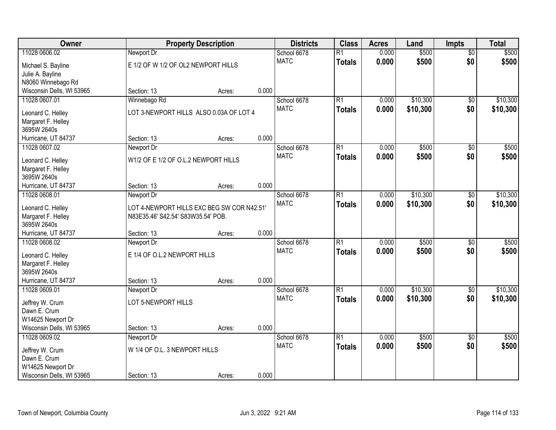| Owner                                          |                                      | <b>Property Description</b>                |       | <b>Districts</b> | <b>Class</b>    | <b>Acres</b> | Land     | <b>Impts</b>    | <b>Total</b> |
|------------------------------------------------|--------------------------------------|--------------------------------------------|-------|------------------|-----------------|--------------|----------|-----------------|--------------|
| 11028 0606.02                                  | Newport Dr                           |                                            |       | School 6678      | $\overline{R1}$ | 0.000        | \$500    | $\overline{50}$ | \$500        |
| Michael S. Bayline                             | E 1/2 OF W 1/2 OF OL2 NEWPORT HILLS  |                                            |       | <b>MATC</b>      | <b>Totals</b>   | 0.000        | \$500    | \$0             | \$500        |
| Julie A. Bayline                               |                                      |                                            |       |                  |                 |              |          |                 |              |
| N8060 Winnebago Rd                             |                                      |                                            |       |                  |                 |              |          |                 |              |
| Wisconsin Dells, WI 53965                      | Section: 13                          | Acres:                                     | 0.000 |                  |                 |              |          |                 |              |
| 11028 0607.01                                  | Winnebago Rd                         |                                            |       | School 6678      | $\overline{R1}$ | 0.000        | \$10,300 | $\overline{50}$ | \$10,300     |
| Leonard C. Helley                              |                                      | LOT 3-NEWPORT HILLS ALSO 0.03A OF LOT 4    |       | <b>MATC</b>      | <b>Totals</b>   | 0.000        | \$10,300 | \$0             | \$10,300     |
| Margaret F. Helley                             |                                      |                                            |       |                  |                 |              |          |                 |              |
| 3695W 2640s                                    |                                      |                                            |       |                  |                 |              |          |                 |              |
| Hurricane, UT 84737                            | Section: 13                          | Acres:                                     | 0.000 |                  |                 |              |          |                 |              |
| 11028 0607.02                                  | Newport Dr                           |                                            |       | School 6678      | R1              | 0.000        | \$500    | \$0             | \$500        |
| Leonard C. Helley                              | W1/2 OF E 1/2 OF O.L.2 NEWPORT HILLS |                                            |       | <b>MATC</b>      | <b>Totals</b>   | 0.000        | \$500    | \$0             | \$500        |
| Margaret F. Helley                             |                                      |                                            |       |                  |                 |              |          |                 |              |
| 3695W 2640s                                    |                                      |                                            |       |                  |                 |              |          |                 |              |
| Hurricane, UT 84737                            | Section: 13                          | Acres:                                     | 0.000 |                  |                 |              |          |                 |              |
| 11028 0608.01                                  | Newport Dr                           |                                            |       | School 6678      | R1              | 0.000        | \$10,300 | $\sqrt[6]{}$    | \$10,300     |
|                                                |                                      | LOT 4-NEWPORT HILLS EXC BEG SW COR N42.51' |       | <b>MATC</b>      | <b>Totals</b>   | 0.000        | \$10,300 | \$0             | \$10,300     |
| Leonard C. Helley<br>Margaret F. Helley        | N83E35.46' S42.54' S83W35.54' POB.   |                                            |       |                  |                 |              |          |                 |              |
| 3695W 2640s                                    |                                      |                                            |       |                  |                 |              |          |                 |              |
| Hurricane, UT 84737                            | Section: 13                          | Acres:                                     | 0.000 |                  |                 |              |          |                 |              |
| 11028 0608.02                                  | Newport Dr                           |                                            |       | School 6678      | $\overline{R1}$ | 0.000        | \$500    | $\overline{50}$ | \$500        |
|                                                |                                      |                                            |       | <b>MATC</b>      | <b>Totals</b>   | 0.000        | \$500    | \$0             | \$500        |
| Leonard C. Helley                              | E 1/4 OF O.L.2 NEWPORT HILLS         |                                            |       |                  |                 |              |          |                 |              |
| Margaret F. Helley<br>3695W 2640s              |                                      |                                            |       |                  |                 |              |          |                 |              |
| Hurricane, UT 84737                            | Section: 13                          | Acres:                                     | 0.000 |                  |                 |              |          |                 |              |
| 11028 0609.01                                  | Newport Dr                           |                                            |       | School 6678      | R1              | 0.000        | \$10,300 | $\sqrt{6}$      | \$10,300     |
|                                                |                                      |                                            |       | <b>MATC</b>      | <b>Totals</b>   | 0.000        | \$10,300 | \$0             | \$10,300     |
| Jeffrey W. Crum                                | LOT 5-NEWPORT HILLS                  |                                            |       |                  |                 |              |          |                 |              |
| Dawn E. Crum                                   |                                      |                                            |       |                  |                 |              |          |                 |              |
| W14625 Newport Dr<br>Wisconsin Dells, WI 53965 | Section: 13                          |                                            | 0.000 |                  |                 |              |          |                 |              |
| 11028 0609.02                                  | Newport Dr                           | Acres:                                     |       | School 6678      | R1              | 0.000        | \$500    | $\overline{50}$ | \$500        |
|                                                |                                      |                                            |       | <b>MATC</b>      | <b>Totals</b>   | 0.000        | \$500    | \$0             | \$500        |
| Jeffrey W. Crum                                | W 1/4 OF O.L. 3 NEWPORT HILLS        |                                            |       |                  |                 |              |          |                 |              |
| Dawn E. Crum                                   |                                      |                                            |       |                  |                 |              |          |                 |              |
| W14625 Newport Dr                              |                                      |                                            |       |                  |                 |              |          |                 |              |
| Wisconsin Dells, WI 53965                      | Section: 13                          | Acres:                                     | 0.000 |                  |                 |              |          |                 |              |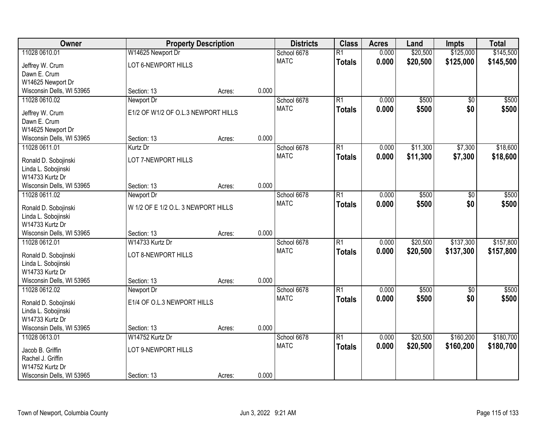| Owner                     | <b>Property Description</b>         |        |       | <b>Districts</b> | <b>Class</b>    | <b>Acres</b> | Land     | <b>Impts</b>    | <b>Total</b> |
|---------------------------|-------------------------------------|--------|-------|------------------|-----------------|--------------|----------|-----------------|--------------|
| 11028 0610.01             | W14625 Newport Dr                   |        |       | School 6678      | $\overline{R1}$ | 0.000        | \$20,500 | \$125,000       | \$145,500    |
| Jeffrey W. Crum           | LOT 6-NEWPORT HILLS                 |        |       | <b>MATC</b>      | <b>Totals</b>   | 0.000        | \$20,500 | \$125,000       | \$145,500    |
| Dawn E. Crum              |                                     |        |       |                  |                 |              |          |                 |              |
| W14625 Newport Dr         |                                     |        |       |                  |                 |              |          |                 |              |
| Wisconsin Dells, WI 53965 | Section: 13                         | Acres: | 0.000 |                  |                 |              |          |                 |              |
| 11028 0610.02             | Newport Dr                          |        |       | School 6678      | R1              | 0.000        | \$500    | $\overline{50}$ | \$500        |
| Jeffrey W. Crum           | E1/2 OF W1/2 OF O.L.3 NEWPORT HILLS |        |       | <b>MATC</b>      | <b>Totals</b>   | 0.000        | \$500    | \$0             | \$500        |
| Dawn E. Crum              |                                     |        |       |                  |                 |              |          |                 |              |
| W14625 Newport Dr         |                                     |        |       |                  |                 |              |          |                 |              |
| Wisconsin Dells, WI 53965 | Section: 13                         | Acres: | 0.000 |                  |                 |              |          |                 |              |
| 11028 0611.01             | Kurtz Dr                            |        |       | School 6678      | R1              | 0.000        | \$11,300 | \$7,300         | \$18,600     |
| Ronald D. Sobojinski      | LOT 7-NEWPORT HILLS                 |        |       | <b>MATC</b>      | <b>Totals</b>   | 0.000        | \$11,300 | \$7,300         | \$18,600     |
| Linda L. Sobojinski       |                                     |        |       |                  |                 |              |          |                 |              |
| W14733 Kurtz Dr           |                                     |        |       |                  |                 |              |          |                 |              |
| Wisconsin Dells, WI 53965 | Section: 13                         | Acres: | 0.000 |                  |                 |              |          |                 |              |
| 11028 0611.02             | Newport Dr                          |        |       | School 6678      | $\overline{R1}$ | 0.000        | \$500    | \$0             | \$500        |
| Ronald D. Sobojinski      | W 1/2 OF E 1/2 O.L. 3 NEWPORT HILLS |        |       | <b>MATC</b>      | <b>Totals</b>   | 0.000        | \$500    | \$0             | \$500        |
| Linda L. Sobojinski       |                                     |        |       |                  |                 |              |          |                 |              |
| W14733 Kurtz Dr           |                                     |        |       |                  |                 |              |          |                 |              |
| Wisconsin Dells, WI 53965 | Section: 13                         | Acres: | 0.000 |                  |                 |              |          |                 |              |
| 11028 0612.01             | W14733 Kurtz Dr                     |        |       | School 6678      | $\overline{R1}$ | 0.000        | \$20,500 | \$137,300       | \$157,800    |
| Ronald D. Sobojinski      | LOT 8-NEWPORT HILLS                 |        |       | <b>MATC</b>      | <b>Totals</b>   | 0.000        | \$20,500 | \$137,300       | \$157,800    |
| Linda L. Sobojinski       |                                     |        |       |                  |                 |              |          |                 |              |
| W14733 Kurtz Dr           |                                     |        |       |                  |                 |              |          |                 |              |
| Wisconsin Dells, WI 53965 | Section: 13                         | Acres: | 0.000 |                  |                 |              |          |                 |              |
| 11028 0612.02             | Newport Dr                          |        |       | School 6678      | R1              | 0.000        | \$500    | \$0             | \$500        |
| Ronald D. Sobojinski      | E1/4 OF O.L.3 NEWPORT HILLS         |        |       | <b>MATC</b>      | <b>Totals</b>   | 0.000        | \$500    | \$0             | \$500        |
| Linda L. Sobojinski       |                                     |        |       |                  |                 |              |          |                 |              |
| W14733 Kurtz Dr           |                                     |        |       |                  |                 |              |          |                 |              |
| Wisconsin Dells, WI 53965 | Section: 13                         | Acres: | 0.000 |                  |                 |              |          |                 |              |
| 11028 0613.01             | W14752 Kurtz Dr                     |        |       | School 6678      | $\overline{R1}$ | 0.000        | \$20,500 | \$160,200       | \$180,700    |
| Jacob B. Griffin          | LOT 9-NEWPORT HILLS                 |        |       | <b>MATC</b>      | <b>Totals</b>   | 0.000        | \$20,500 | \$160,200       | \$180,700    |
| Rachel J. Griffin         |                                     |        |       |                  |                 |              |          |                 |              |
| W14752 Kurtz Dr           |                                     |        |       |                  |                 |              |          |                 |              |
| Wisconsin Dells, WI 53965 | Section: 13                         | Acres: | 0.000 |                  |                 |              |          |                 |              |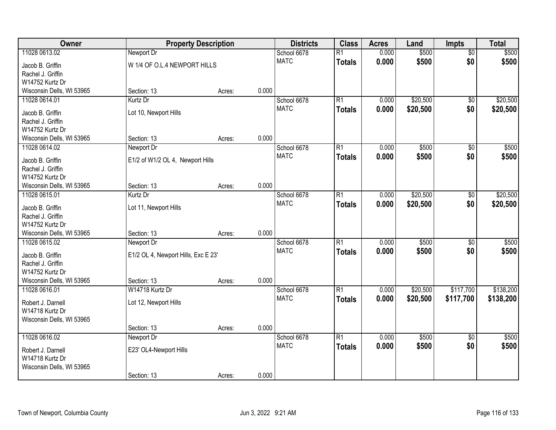| Owner                     |                                     | <b>Property Description</b> |       | <b>Districts</b> | <b>Class</b>    | <b>Acres</b> | Land     | <b>Impts</b>    | <b>Total</b> |
|---------------------------|-------------------------------------|-----------------------------|-------|------------------|-----------------|--------------|----------|-----------------|--------------|
| 11028 0613.02             | Newport Dr                          |                             |       | School 6678      | $\overline{R1}$ | 0.000        | \$500    | $\overline{50}$ | \$500        |
| Jacob B. Griffin          | W 1/4 OF O.L.4 NEWPORT HILLS        |                             |       | <b>MATC</b>      | <b>Totals</b>   | 0.000        | \$500    | \$0             | \$500        |
| Rachel J. Griffin         |                                     |                             |       |                  |                 |              |          |                 |              |
| W14752 Kurtz Dr           |                                     |                             |       |                  |                 |              |          |                 |              |
| Wisconsin Dells, WI 53965 | Section: 13                         | Acres:                      | 0.000 |                  |                 |              |          |                 |              |
| 11028 0614.01             | Kurtz Dr                            |                             |       | School 6678      | $\overline{R1}$ | 0.000        | \$20,500 | \$0             | \$20,500     |
| Jacob B. Griffin          | Lot 10, Newport Hills               |                             |       | <b>MATC</b>      | <b>Totals</b>   | 0.000        | \$20,500 | \$0             | \$20,500     |
| Rachel J. Griffin         |                                     |                             |       |                  |                 |              |          |                 |              |
| W14752 Kurtz Dr           |                                     |                             |       |                  |                 |              |          |                 |              |
| Wisconsin Dells, WI 53965 | Section: 13                         | Acres:                      | 0.000 |                  |                 |              |          |                 |              |
| 11028 0614.02             | Newport Dr                          |                             |       | School 6678      | $\overline{R1}$ | 0.000        | \$500    | \$0             | \$500        |
| Jacob B. Griffin          | E1/2 of W1/2 OL 4, Newport Hills    |                             |       | <b>MATC</b>      | <b>Totals</b>   | 0.000        | \$500    | \$0             | \$500        |
| Rachel J. Griffin         |                                     |                             |       |                  |                 |              |          |                 |              |
| W14752 Kurtz Dr           |                                     |                             |       |                  |                 |              |          |                 |              |
| Wisconsin Dells, WI 53965 | Section: 13                         | Acres:                      | 0.000 |                  |                 |              |          |                 |              |
| 11028 0615.01             | Kurtz Dr                            |                             |       | School 6678      | $\overline{R1}$ | 0.000        | \$20,500 | \$0             | \$20,500     |
| Jacob B. Griffin          | Lot 11, Newport Hills               |                             |       | <b>MATC</b>      | <b>Totals</b>   | 0.000        | \$20,500 | \$0             | \$20,500     |
| Rachel J. Griffin         |                                     |                             |       |                  |                 |              |          |                 |              |
| W14752 Kurtz Dr           |                                     |                             |       |                  |                 |              |          |                 |              |
| Wisconsin Dells, WI 53965 | Section: 13                         | Acres:                      | 0.000 |                  |                 |              |          |                 |              |
| 11028 0615.02             | Newport Dr                          |                             |       | School 6678      | $\overline{R1}$ | 0.000        | \$500    | \$0             | \$500        |
| Jacob B. Griffin          | E1/2 OL 4, Newport Hills, Exc E 23' |                             |       | <b>MATC</b>      | <b>Totals</b>   | 0.000        | \$500    | \$0             | \$500        |
| Rachel J. Griffin         |                                     |                             |       |                  |                 |              |          |                 |              |
| W14752 Kurtz Dr           |                                     |                             |       |                  |                 |              |          |                 |              |
| Wisconsin Dells, WI 53965 | Section: 13                         | Acres:                      | 0.000 |                  |                 |              |          |                 |              |
| 11028 0616.01             | W14718 Kurtz Dr                     |                             |       | School 6678      | R1              | 0.000        | \$20,500 | \$117,700       | \$138,200    |
| Robert J. Darnell         | Lot 12, Newport Hills               |                             |       | <b>MATC</b>      | <b>Totals</b>   | 0.000        | \$20,500 | \$117,700       | \$138,200    |
| W14718 Kurtz Dr           |                                     |                             |       |                  |                 |              |          |                 |              |
| Wisconsin Dells, WI 53965 |                                     |                             |       |                  |                 |              |          |                 |              |
|                           | Section: 13                         | Acres:                      | 0.000 |                  |                 |              |          |                 |              |
| 11028 0616.02             | Newport Dr                          |                             |       | School 6678      | $\overline{R1}$ | 0.000        | \$500    | $\overline{50}$ | \$500        |
| Robert J. Darnell         | E23' OL4-Newport Hills              |                             |       | <b>MATC</b>      | <b>Totals</b>   | 0.000        | \$500    | \$0             | \$500        |
| W14718 Kurtz Dr           |                                     |                             |       |                  |                 |              |          |                 |              |
| Wisconsin Dells, WI 53965 |                                     |                             |       |                  |                 |              |          |                 |              |
|                           | Section: 13                         | Acres:                      | 0.000 |                  |                 |              |          |                 |              |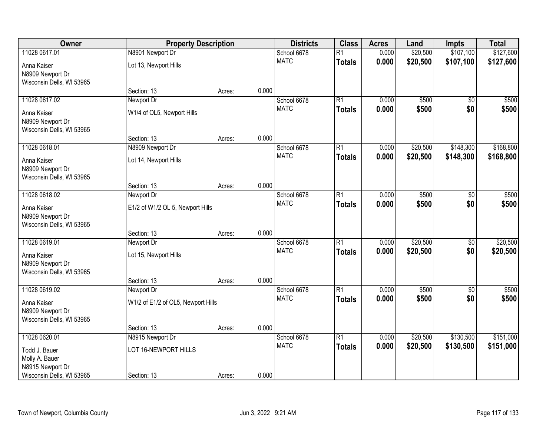| Owner                                         |                                    | <b>Property Description</b> |       | <b>Districts</b>           | <b>Class</b>    | <b>Acres</b>   | Land                 | <b>Impts</b>    | <b>Total</b> |
|-----------------------------------------------|------------------------------------|-----------------------------|-------|----------------------------|-----------------|----------------|----------------------|-----------------|--------------|
| 11028 0617.01                                 | N8901 Newport Dr                   |                             |       | School 6678                | $\overline{R1}$ | 0.000          | \$20,500             | \$107,100       | \$127,600    |
| Anna Kaiser                                   | Lot 13, Newport Hills              |                             |       | <b>MATC</b>                | <b>Totals</b>   | 0.000          | \$20,500             | \$107,100       | \$127,600    |
| N8909 Newport Dr                              |                                    |                             |       |                            |                 |                |                      |                 |              |
| Wisconsin Dells, WI 53965                     |                                    |                             |       |                            |                 |                |                      |                 |              |
|                                               | Section: 13                        | Acres:                      | 0.000 |                            |                 |                |                      |                 |              |
| 11028 0617.02                                 | Newport Dr                         |                             |       | School 6678                | $\overline{R1}$ | 0.000          | \$500                | $\overline{30}$ | \$500        |
| Anna Kaiser                                   | W1/4 of OL5, Newport Hills         |                             |       | <b>MATC</b>                | <b>Totals</b>   | 0.000          | \$500                | \$0             | \$500        |
| N8909 Newport Dr                              |                                    |                             |       |                            |                 |                |                      |                 |              |
| Wisconsin Dells, WI 53965                     |                                    |                             |       |                            |                 |                |                      |                 |              |
|                                               | Section: 13                        | Acres:                      | 0.000 |                            |                 |                |                      |                 |              |
| 11028 0618.01                                 | N8909 Newport Dr                   |                             |       | School 6678<br><b>MATC</b> | R1              | 0.000<br>0.000 | \$20,500<br>\$20,500 | \$148,300       | \$168,800    |
| Anna Kaiser                                   | Lot 14, Newport Hills              |                             |       |                            | <b>Totals</b>   |                |                      | \$148,300       | \$168,800    |
| N8909 Newport Dr                              |                                    |                             |       |                            |                 |                |                      |                 |              |
| Wisconsin Dells, WI 53965                     | Section: 13                        |                             | 0.000 |                            |                 |                |                      |                 |              |
| 11028 0618.02                                 | Newport Dr                         | Acres:                      |       | School 6678                | $\overline{R1}$ | 0.000          | \$500                | \$0             | \$500        |
|                                               |                                    |                             |       | <b>MATC</b>                | <b>Totals</b>   | 0.000          | \$500                | \$0             | \$500        |
| Anna Kaiser                                   | E1/2 of W1/2 OL 5, Newport Hills   |                             |       |                            |                 |                |                      |                 |              |
| N8909 Newport Dr<br>Wisconsin Dells, WI 53965 |                                    |                             |       |                            |                 |                |                      |                 |              |
|                                               | Section: 13                        | Acres:                      | 0.000 |                            |                 |                |                      |                 |              |
| 11028 0619.01                                 | Newport Dr                         |                             |       | School 6678                | $\overline{R1}$ | 0.000          | \$20,500             | $\overline{50}$ | \$20,500     |
|                                               |                                    |                             |       | <b>MATC</b>                | <b>Totals</b>   | 0.000          | \$20,500             | \$0             | \$20,500     |
| Anna Kaiser<br>N8909 Newport Dr               | Lot 15, Newport Hills              |                             |       |                            |                 |                |                      |                 |              |
| Wisconsin Dells, WI 53965                     |                                    |                             |       |                            |                 |                |                      |                 |              |
|                                               | Section: 13                        | Acres:                      | 0.000 |                            |                 |                |                      |                 |              |
| 11028 0619.02                                 | Newport Dr                         |                             |       | School 6678                | $\overline{R1}$ | 0.000          | \$500                | \$0             | \$500        |
| Anna Kaiser                                   | W1/2 of E1/2 of OL5, Newport Hills |                             |       | <b>MATC</b>                | <b>Totals</b>   | 0.000          | \$500                | \$0             | \$500        |
| N8909 Newport Dr                              |                                    |                             |       |                            |                 |                |                      |                 |              |
| Wisconsin Dells, WI 53965                     |                                    |                             |       |                            |                 |                |                      |                 |              |
|                                               | Section: 13                        | Acres:                      | 0.000 |                            |                 |                |                      |                 |              |
| 11028 0620.01                                 | N8915 Newport Dr                   |                             |       | School 6678                | R1              | 0.000          | \$20,500             | \$130,500       | \$151,000    |
| Todd J. Bauer                                 | LOT 16-NEWPORT HILLS               |                             |       | <b>MATC</b>                | <b>Totals</b>   | 0.000          | \$20,500             | \$130,500       | \$151,000    |
| Molly A. Bauer                                |                                    |                             |       |                            |                 |                |                      |                 |              |
| N8915 Newport Dr                              |                                    |                             |       |                            |                 |                |                      |                 |              |
| Wisconsin Dells, WI 53965                     | Section: 13                        | Acres:                      | 0.000 |                            |                 |                |                      |                 |              |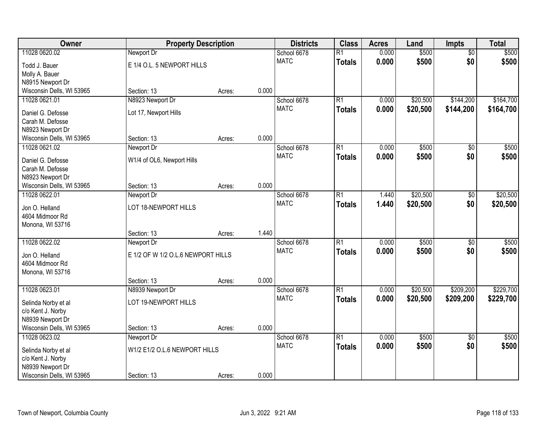| Owner                     | <b>Property Description</b>        |        |       | <b>Districts</b> | <b>Class</b>    | <b>Acres</b> | Land     | <b>Impts</b>    | <b>Total</b> |
|---------------------------|------------------------------------|--------|-------|------------------|-----------------|--------------|----------|-----------------|--------------|
| 11028 0620.02             | Newport Dr                         |        |       | School 6678      | $\overline{R1}$ | 0.000        | \$500    | $\overline{50}$ | \$500        |
| Todd J. Bauer             | E 1/4 O.L. 5 NEWPORT HILLS         |        |       | <b>MATC</b>      | <b>Totals</b>   | 0.000        | \$500    | \$0             | \$500        |
| Molly A. Bauer            |                                    |        |       |                  |                 |              |          |                 |              |
| N8915 Newport Dr          |                                    |        |       |                  |                 |              |          |                 |              |
| Wisconsin Dells, WI 53965 | Section: 13                        | Acres: | 0.000 |                  |                 |              |          |                 |              |
| 11028 0621.01             | N8923 Newport Dr                   |        |       | School 6678      | R1              | 0.000        | \$20,500 | \$144,200       | \$164,700    |
| Daniel G. Defosse         | Lot 17, Newport Hills              |        |       | <b>MATC</b>      | <b>Totals</b>   | 0.000        | \$20,500 | \$144,200       | \$164,700    |
| Carah M. Defosse          |                                    |        |       |                  |                 |              |          |                 |              |
| N8923 Newport Dr          |                                    |        |       |                  |                 |              |          |                 |              |
| Wisconsin Dells, WI 53965 | Section: 13                        | Acres: | 0.000 |                  |                 |              |          |                 |              |
| 11028 0621.02             | Newport Dr                         |        |       | School 6678      | R1              | 0.000        | \$500    | \$0             | \$500        |
| Daniel G. Defosse         | W1/4 of OL6, Newport Hills         |        |       | <b>MATC</b>      | <b>Totals</b>   | 0.000        | \$500    | \$0             | \$500        |
| Carah M. Defosse          |                                    |        |       |                  |                 |              |          |                 |              |
| N8923 Newport Dr          |                                    |        |       |                  |                 |              |          |                 |              |
| Wisconsin Dells, WI 53965 | Section: 13                        | Acres: | 0.000 |                  |                 |              |          |                 |              |
| 11028 0622.01             | Newport Dr                         |        |       | School 6678      | R1              | 1.440        | \$20,500 | $\sqrt[6]{3}$   | \$20,500     |
| Jon O. Helland            | LOT 18-NEWPORT HILLS               |        |       | <b>MATC</b>      | <b>Totals</b>   | 1.440        | \$20,500 | \$0             | \$20,500     |
| 4604 Midmoor Rd           |                                    |        |       |                  |                 |              |          |                 |              |
| Monona, WI 53716          |                                    |        |       |                  |                 |              |          |                 |              |
|                           | Section: 13                        | Acres: | 1.440 |                  |                 |              |          |                 |              |
| 11028 0622.02             | Newport Dr                         |        |       | School 6678      | $\overline{R1}$ | 0.000        | \$500    | $\overline{50}$ | \$500        |
| Jon O. Helland            | E 1/2 OF W 1/2 O.L.6 NEWPORT HILLS |        |       | <b>MATC</b>      | <b>Totals</b>   | 0.000        | \$500    | \$0             | \$500        |
| 4604 Midmoor Rd           |                                    |        |       |                  |                 |              |          |                 |              |
| Monona, WI 53716          |                                    |        |       |                  |                 |              |          |                 |              |
|                           | Section: 13                        | Acres: | 0.000 |                  |                 |              |          |                 |              |
| 11028 0623.01             | N8939 Newport Dr                   |        |       | School 6678      | R1              | 0.000        | \$20,500 | \$209,200       | \$229,700    |
| Selinda Norby et al       | LOT 19-NEWPORT HILLS               |        |       | <b>MATC</b>      | <b>Totals</b>   | 0.000        | \$20,500 | \$209,200       | \$229,700    |
| c/o Kent J. Norby         |                                    |        |       |                  |                 |              |          |                 |              |
| N8939 Newport Dr          |                                    |        |       |                  |                 |              |          |                 |              |
| Wisconsin Dells, WI 53965 | Section: 13                        | Acres: | 0.000 |                  |                 |              |          |                 |              |
| 11028 0623.02             | Newport Dr                         |        |       | School 6678      | R1              | 0.000        | \$500    | $\overline{50}$ | \$500        |
| Selinda Norby et al       | W1/2 E1/2 O.L.6 NEWPORT HILLS      |        |       | <b>MATC</b>      | <b>Totals</b>   | 0.000        | \$500    | \$0             | \$500        |
| c/o Kent J. Norby         |                                    |        |       |                  |                 |              |          |                 |              |
| N8939 Newport Dr          |                                    |        |       |                  |                 |              |          |                 |              |
| Wisconsin Dells, WI 53965 | Section: 13                        | Acres: | 0.000 |                  |                 |              |          |                 |              |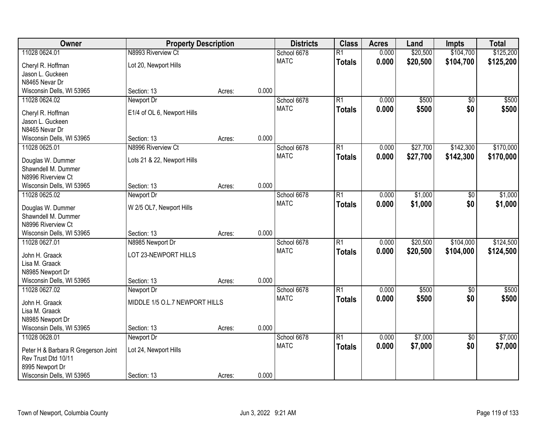| Owner                               | <b>Property Description</b>    |        |       | <b>Districts</b> | <b>Class</b>    | <b>Acres</b> | Land     | <b>Impts</b>    | <b>Total</b> |
|-------------------------------------|--------------------------------|--------|-------|------------------|-----------------|--------------|----------|-----------------|--------------|
| 11028 0624.01                       | N8993 Riverview Ct             |        |       | School 6678      | $\overline{R1}$ | 0.000        | \$20,500 | \$104,700       | \$125,200    |
| Cheryl R. Hoffman                   | Lot 20, Newport Hills          |        |       | <b>MATC</b>      | <b>Totals</b>   | 0.000        | \$20,500 | \$104,700       | \$125,200    |
| Jason L. Guckeen                    |                                |        |       |                  |                 |              |          |                 |              |
| N8465 Nevar Dr                      |                                |        |       |                  |                 |              |          |                 |              |
| Wisconsin Dells, WI 53965           | Section: 13                    | Acres: | 0.000 |                  |                 |              |          |                 |              |
| 11028 0624.02                       | Newport Dr                     |        |       | School 6678      | $\overline{R1}$ | 0.000        | \$500    | $\overline{50}$ | \$500        |
| Cheryl R. Hoffman                   | E1/4 of OL 6, Newport Hills    |        |       | <b>MATC</b>      | <b>Totals</b>   | 0.000        | \$500    | \$0             | \$500        |
| Jason L. Guckeen                    |                                |        |       |                  |                 |              |          |                 |              |
| N8465 Nevar Dr                      |                                |        |       |                  |                 |              |          |                 |              |
| Wisconsin Dells, WI 53965           | Section: 13                    | Acres: | 0.000 |                  |                 |              |          |                 |              |
| 11028 0625.01                       | N8996 Riverview Ct             |        |       | School 6678      | $\overline{R1}$ | 0.000        | \$27,700 | \$142,300       | \$170,000    |
| Douglas W. Dummer                   | Lots 21 & 22, Newport Hills    |        |       | <b>MATC</b>      | <b>Totals</b>   | 0.000        | \$27,700 | \$142,300       | \$170,000    |
| Shawndell M. Dummer                 |                                |        |       |                  |                 |              |          |                 |              |
| N8996 Riverview Ct                  |                                |        |       |                  |                 |              |          |                 |              |
| Wisconsin Dells, WI 53965           | Section: 13                    | Acres: | 0.000 |                  |                 |              |          |                 |              |
| 11028 0625.02                       | Newport Dr                     |        |       | School 6678      | $\overline{R1}$ | 0.000        | \$1,000  | \$0             | \$1,000      |
| Douglas W. Dummer                   | W 2/5 OL7, Newport Hills       |        |       | <b>MATC</b>      | <b>Totals</b>   | 0.000        | \$1,000  | \$0             | \$1,000      |
| Shawndell M. Dummer                 |                                |        |       |                  |                 |              |          |                 |              |
| N8996 Riverview Ct                  |                                |        |       |                  |                 |              |          |                 |              |
| Wisconsin Dells, WI 53965           | Section: 13                    | Acres: | 0.000 |                  |                 |              |          |                 |              |
| 11028 0627.01                       | N8985 Newport Dr               |        |       | School 6678      | $\overline{R1}$ | 0.000        | \$20,500 | \$104,000       | \$124,500    |
| John H. Graack                      | LOT 23-NEWPORT HILLS           |        |       | <b>MATC</b>      | <b>Totals</b>   | 0.000        | \$20,500 | \$104,000       | \$124,500    |
| Lisa M. Graack                      |                                |        |       |                  |                 |              |          |                 |              |
| N8985 Newport Dr                    |                                |        |       |                  |                 |              |          |                 |              |
| Wisconsin Dells, WI 53965           | Section: 13                    | Acres: | 0.000 |                  |                 |              |          |                 |              |
| 11028 0627.02                       | Newport Dr                     |        |       | School 6678      | $\overline{R1}$ | 0.000        | \$500    | $\sqrt{6}$      | \$500        |
| John H. Graack                      | MIDDLE 1/5 O.L.7 NEWPORT HILLS |        |       | <b>MATC</b>      | <b>Totals</b>   | 0.000        | \$500    | \$0             | \$500        |
| Lisa M. Graack                      |                                |        |       |                  |                 |              |          |                 |              |
| N8985 Newport Dr                    |                                |        |       |                  |                 |              |          |                 |              |
| Wisconsin Dells, WI 53965           | Section: 13                    | Acres: | 0.000 |                  |                 |              |          |                 |              |
| 11028 0628.01                       | Newport Dr                     |        |       | School 6678      | $\overline{R1}$ | 0.000        | \$7,000  | $\overline{30}$ | \$7,000      |
| Peter H & Barbara R Gregerson Joint | Lot 24, Newport Hills          |        |       | <b>MATC</b>      | <b>Totals</b>   | 0.000        | \$7,000  | \$0             | \$7,000      |
| Rev Trust Dtd 10/11                 |                                |        |       |                  |                 |              |          |                 |              |
| 8995 Newport Dr                     |                                |        |       |                  |                 |              |          |                 |              |
| Wisconsin Dells, WI 53965           | Section: 13                    | Acres: | 0.000 |                  |                 |              |          |                 |              |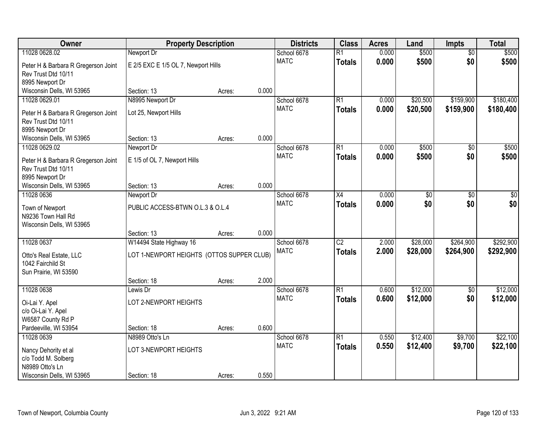| Owner                                                      | <b>Property Description</b>               |        |       | <b>Districts</b> | <b>Class</b>    | <b>Acres</b> | Land     | <b>Impts</b>           | <b>Total</b> |
|------------------------------------------------------------|-------------------------------------------|--------|-------|------------------|-----------------|--------------|----------|------------------------|--------------|
| 11028 0628.02                                              | Newport Dr                                |        |       | School 6678      | $\overline{R1}$ | 0.000        | \$500    | $\overline{50}$        | \$500        |
| Peter H & Barbara R Gregerson Joint                        | E 2/5 EXC E 1/5 OL 7, Newport Hills       |        |       | <b>MATC</b>      | <b>Totals</b>   | 0.000        | \$500    | \$0                    | \$500        |
| Rev Trust Dtd 10/11                                        |                                           |        |       |                  |                 |              |          |                        |              |
| 8995 Newport Dr                                            |                                           |        |       |                  |                 |              |          |                        |              |
| Wisconsin Dells, WI 53965                                  | Section: 13                               | Acres: | 0.000 |                  |                 |              |          |                        |              |
| 11028 0629.01                                              | N8995 Newport Dr                          |        |       | School 6678      | $\overline{R1}$ | 0.000        | \$20,500 | \$159,900              | \$180,400    |
| Peter H & Barbara R Gregerson Joint                        | Lot 25, Newport Hills                     |        |       | <b>MATC</b>      | <b>Totals</b>   | 0.000        | \$20,500 | \$159,900              | \$180,400    |
| Rev Trust Dtd 10/11                                        |                                           |        |       |                  |                 |              |          |                        |              |
| 8995 Newport Dr                                            |                                           |        |       |                  |                 |              |          |                        |              |
| Wisconsin Dells, WI 53965                                  | Section: 13                               | Acres: | 0.000 |                  |                 |              |          |                        |              |
| 11028 0629.02                                              | Newport Dr                                |        |       | School 6678      | R1              | 0.000        | \$500    | \$0                    | \$500        |
|                                                            |                                           |        |       | <b>MATC</b>      | <b>Totals</b>   | 0.000        | \$500    | \$0                    | \$500        |
| Peter H & Barbara R Gregerson Joint<br>Rev Trust Dtd 10/11 | E 1/5 of OL 7, Newport Hills              |        |       |                  |                 |              |          |                        |              |
| 8995 Newport Dr                                            |                                           |        |       |                  |                 |              |          |                        |              |
| Wisconsin Dells, WI 53965                                  | Section: 13                               | Acres: | 0.000 |                  |                 |              |          |                        |              |
| 11028 0636                                                 | Newport Dr                                |        |       | School 6678      | X4              | 0.000        | \$0      | $\sqrt[6]{3}$          | $\sqrt{50}$  |
|                                                            |                                           |        |       | <b>MATC</b>      | <b>Totals</b>   | 0.000        | \$0      | \$0                    | \$0          |
| Town of Newport                                            | PUBLIC ACCESS-BTWN O.L.3 & O.L.4          |        |       |                  |                 |              |          |                        |              |
| N9236 Town Hall Rd<br>Wisconsin Dells, WI 53965            |                                           |        |       |                  |                 |              |          |                        |              |
|                                                            | Section: 13                               | Acres: | 0.000 |                  |                 |              |          |                        |              |
| 11028 0637                                                 | W14494 State Highway 16                   |        |       | School 6678      | $\overline{C2}$ | 2.000        | \$28,000 | \$264,900              | \$292,900    |
|                                                            |                                           |        |       | <b>MATC</b>      | <b>Totals</b>   | 2.000        | \$28,000 | \$264,900              | \$292,900    |
| Otto's Real Estate, LLC                                    | LOT 1-NEWPORT HEIGHTS (OTTOS SUPPER CLUB) |        |       |                  |                 |              |          |                        |              |
| 1042 Fairchild St                                          |                                           |        |       |                  |                 |              |          |                        |              |
| Sun Prairie, WI 53590                                      |                                           |        | 2.000 |                  |                 |              |          |                        |              |
| 11028 0638                                                 | Section: 18                               | Acres: |       | School 6678      | $\overline{R1}$ | 0.600        | \$12,000 |                        | \$12,000     |
|                                                            | Lewis Dr                                  |        |       | <b>MATC</b>      |                 | 0.600        | \$12,000 | $\overline{50}$<br>\$0 |              |
| Oi-Lai Y. Apel                                             | LOT 2-NEWPORT HEIGHTS                     |        |       |                  | <b>Totals</b>   |              |          |                        | \$12,000     |
| c/o Oi-Lai Y. Apel                                         |                                           |        |       |                  |                 |              |          |                        |              |
| W6587 County Rd P                                          |                                           |        |       |                  |                 |              |          |                        |              |
| Pardeeville, WI 53954                                      | Section: 18                               | Acres: | 0.600 |                  |                 |              |          |                        |              |
| 11028 0639                                                 | N8989 Otto's Ln                           |        |       | School 6678      | $\overline{R1}$ | 0.550        | \$12,400 | \$9,700                | \$22,100     |
| Nancy Dehority et al                                       | LOT 3-NEWPORT HEIGHTS                     |        |       | <b>MATC</b>      | <b>Totals</b>   | 0.550        | \$12,400 | \$9,700                | \$22,100     |
| c/o Todd M. Solberg                                        |                                           |        |       |                  |                 |              |          |                        |              |
| N8989 Otto's Ln                                            |                                           |        |       |                  |                 |              |          |                        |              |
| Wisconsin Dells, WI 53965                                  | Section: 18                               | Acres: | 0.550 |                  |                 |              |          |                        |              |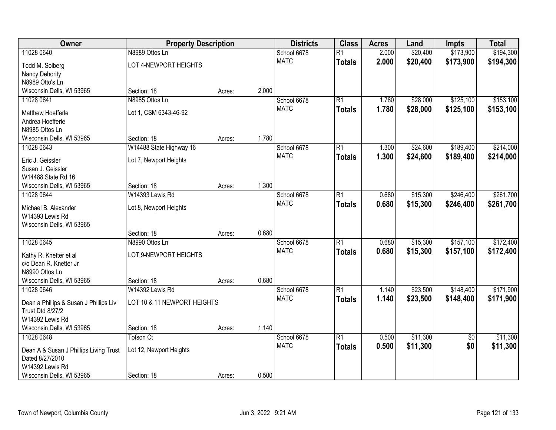| Owner                                        | <b>Property Description</b> |        | <b>Districts</b> | <b>Class</b> | <b>Acres</b>    | Land  | <b>Impts</b> | <b>Total</b>    |           |
|----------------------------------------------|-----------------------------|--------|------------------|--------------|-----------------|-------|--------------|-----------------|-----------|
| 11028 0640                                   | N8989 Ottos Ln              |        |                  | School 6678  | $\overline{R1}$ | 2.000 | \$20,400     | \$173,900       | \$194,300 |
| Todd M. Solberg                              | LOT 4-NEWPORT HEIGHTS       |        |                  | <b>MATC</b>  | <b>Totals</b>   | 2.000 | \$20,400     | \$173,900       | \$194,300 |
| Nancy Dehority                               |                             |        |                  |              |                 |       |              |                 |           |
| N8989 Otto's Ln                              |                             |        |                  |              |                 |       |              |                 |           |
| Wisconsin Dells, WI 53965                    | Section: 18                 | Acres: | 2.000            |              |                 |       |              |                 |           |
| 11028 0641                                   | N8985 Ottos Ln              |        |                  | School 6678  | $\overline{R1}$ | 1.780 | \$28,000     | \$125,100       | \$153,100 |
| Matthew Hoefferle                            | Lot 1, CSM 6343-46-92       |        |                  | <b>MATC</b>  | <b>Totals</b>   | 1.780 | \$28,000     | \$125,100       | \$153,100 |
| Andrea Hoefferle                             |                             |        |                  |              |                 |       |              |                 |           |
| N8985 Ottos Ln                               |                             |        |                  |              |                 |       |              |                 |           |
| Wisconsin Dells, WI 53965                    | Section: 18                 | Acres: | 1.780            |              |                 |       |              |                 |           |
| 11028 0643                                   | W14488 State Highway 16     |        |                  | School 6678  | $\overline{R1}$ | 1.300 | \$24,600     | \$189,400       | \$214,000 |
| Eric J. Geissler                             | Lot 7, Newport Heights      |        |                  | <b>MATC</b>  | <b>Totals</b>   | 1.300 | \$24,600     | \$189,400       | \$214,000 |
| Susan J. Geissler                            |                             |        |                  |              |                 |       |              |                 |           |
| W14488 State Rd 16                           |                             |        |                  |              |                 |       |              |                 |           |
| Wisconsin Dells, WI 53965                    | Section: 18                 | Acres: | 1.300            |              |                 |       |              |                 |           |
| 11028 0644                                   | W14393 Lewis Rd             |        |                  | School 6678  | $\overline{R1}$ | 0.680 | \$15,300     | \$246,400       | \$261,700 |
|                                              |                             |        |                  | <b>MATC</b>  | <b>Totals</b>   | 0.680 | \$15,300     | \$246,400       | \$261,700 |
| Michael B. Alexander<br>W14393 Lewis Rd      | Lot 8, Newport Heights      |        |                  |              |                 |       |              |                 |           |
| Wisconsin Dells, WI 53965                    |                             |        |                  |              |                 |       |              |                 |           |
|                                              | Section: 18                 | Acres: | 0.680            |              |                 |       |              |                 |           |
| 11028 0645                                   | N8990 Ottos Ln              |        |                  | School 6678  | $\overline{R1}$ | 0.680 | \$15,300     | \$157,100       | \$172,400 |
|                                              |                             |        |                  | <b>MATC</b>  | <b>Totals</b>   | 0.680 | \$15,300     | \$157,100       | \$172,400 |
| Kathy R. Knetter et al                       | LOT 9-NEWPORT HEIGHTS       |        |                  |              |                 |       |              |                 |           |
| c/o Dean R. Knetter Jr<br>N8990 Ottos Ln     |                             |        |                  |              |                 |       |              |                 |           |
| Wisconsin Dells, WI 53965                    | Section: 18                 | Acres: | 0.680            |              |                 |       |              |                 |           |
| 11028 0646                                   | W14392 Lewis Rd             |        |                  | School 6678  | $\overline{R1}$ | 1.140 | \$23,500     | \$148,400       | \$171,900 |
|                                              |                             |        |                  | <b>MATC</b>  | <b>Totals</b>   | 1.140 | \$23,500     | \$148,400       | \$171,900 |
| Dean a Phillips & Susan J Phillips Liv       | LOT 10 & 11 NEWPORT HEIGHTS |        |                  |              |                 |       |              |                 |           |
| <b>Trust Dtd 8/27/2</b>                      |                             |        |                  |              |                 |       |              |                 |           |
| W14392 Lewis Rd<br>Wisconsin Dells, WI 53965 |                             |        | 1.140            |              |                 |       |              |                 |           |
| 11028 0648                                   | Section: 18<br>Tofson Ct    | Acres: |                  | School 6678  | $\overline{R1}$ | 0.500 | \$11,300     | $\overline{50}$ | \$11,300  |
|                                              |                             |        |                  | <b>MATC</b>  | <b>Totals</b>   | 0.500 | \$11,300     | \$0             | \$11,300  |
| Dean A & Susan J Phillips Living Trust       | Lot 12, Newport Heights     |        |                  |              |                 |       |              |                 |           |
| Dated 8/27/2010                              |                             |        |                  |              |                 |       |              |                 |           |
| W14392 Lewis Rd                              |                             |        |                  |              |                 |       |              |                 |           |
| Wisconsin Dells, WI 53965                    | Section: 18                 | Acres: | 0.500            |              |                 |       |              |                 |           |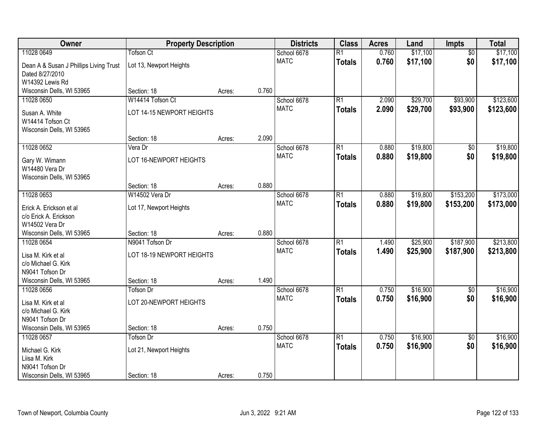| Owner                                  | <b>Property Description</b> |        | <b>Districts</b> | <b>Class</b> | <b>Acres</b>    | Land  | Impts    | <b>Total</b>    |           |
|----------------------------------------|-----------------------------|--------|------------------|--------------|-----------------|-------|----------|-----------------|-----------|
| 11028 0649                             | Tofson Ct                   |        |                  | School 6678  | $\overline{R1}$ | 0.760 | \$17,100 | $\overline{50}$ | \$17,100  |
| Dean A & Susan J Phillips Living Trust | Lot 13, Newport Heights     |        |                  | <b>MATC</b>  | <b>Totals</b>   | 0.760 | \$17,100 | \$0             | \$17,100  |
| Dated 8/27/2010                        |                             |        |                  |              |                 |       |          |                 |           |
| W14392 Lewis Rd                        |                             |        |                  |              |                 |       |          |                 |           |
| Wisconsin Dells, WI 53965              | Section: 18                 | Acres: | 0.760            |              |                 |       |          |                 |           |
| 11028 0650                             | W14414 Tofson Ct            |        |                  | School 6678  | $\overline{R1}$ | 2.090 | \$29,700 | \$93,900        | \$123,600 |
| Susan A. White                         | LOT 14-15 NEWPORT HEIGHTS   |        |                  | <b>MATC</b>  | <b>Totals</b>   | 2.090 | \$29,700 | \$93,900        | \$123,600 |
| W14414 Tofson Ct                       |                             |        |                  |              |                 |       |          |                 |           |
| Wisconsin Dells, WI 53965              |                             |        |                  |              |                 |       |          |                 |           |
|                                        | Section: 18                 | Acres: | 2.090            |              |                 |       |          |                 |           |
| 11028 0652                             | Vera Dr                     |        |                  | School 6678  | $\overline{R1}$ | 0.880 | \$19,800 | \$0             | \$19,800  |
| Gary W. Wimann                         | LOT 16-NEWPORT HEIGHTS      |        |                  | <b>MATC</b>  | <b>Totals</b>   | 0.880 | \$19,800 | \$0             | \$19,800  |
| W14480 Vera Dr                         |                             |        |                  |              |                 |       |          |                 |           |
| Wisconsin Dells, WI 53965              |                             |        |                  |              |                 |       |          |                 |           |
|                                        | Section: 18                 | Acres: | 0.880            |              |                 |       |          |                 |           |
| 11028 0653                             | W14502 Vera Dr              |        |                  | School 6678  | $\overline{R1}$ | 0.880 | \$19,800 | \$153,200       | \$173,000 |
| Erick A. Erickson et al                | Lot 17, Newport Heights     |        |                  | <b>MATC</b>  | <b>Totals</b>   | 0.880 | \$19,800 | \$153,200       | \$173,000 |
| c/o Erick A. Erickson                  |                             |        |                  |              |                 |       |          |                 |           |
| W14502 Vera Dr                         |                             |        |                  |              |                 |       |          |                 |           |
| Wisconsin Dells, WI 53965              | Section: 18                 | Acres: | 0.880            |              |                 |       |          |                 |           |
| 11028 0654                             | N9041 Tofson Dr             |        |                  | School 6678  | $\overline{R1}$ | 1.490 | \$25,900 | \$187,900       | \$213,800 |
| Lisa M. Kirk et al                     | LOT 18-19 NEWPORT HEIGHTS   |        |                  | <b>MATC</b>  | <b>Totals</b>   | 1.490 | \$25,900 | \$187,900       | \$213,800 |
| c/o Michael G. Kirk                    |                             |        |                  |              |                 |       |          |                 |           |
| N9041 Tofson Dr                        |                             |        |                  |              |                 |       |          |                 |           |
| Wisconsin Dells, WI 53965              | Section: 18                 | Acres: | 1.490            |              |                 |       |          |                 |           |
| 11028 0656                             | <b>Tofson Dr</b>            |        |                  | School 6678  | $\overline{R1}$ | 0.750 | \$16,900 | $\sqrt{6}$      | \$16,900  |
| Lisa M. Kirk et al                     | LOT 20-NEWPORT HEIGHTS      |        |                  | <b>MATC</b>  | <b>Totals</b>   | 0.750 | \$16,900 | \$0             | \$16,900  |
| c/o Michael G. Kirk                    |                             |        |                  |              |                 |       |          |                 |           |
| N9041 Tofson Dr                        |                             |        |                  |              |                 |       |          |                 |           |
| Wisconsin Dells, WI 53965              | Section: 18                 | Acres: | 0.750            |              |                 |       |          |                 |           |
| 11028 0657                             | <b>Tofson Dr</b>            |        |                  | School 6678  | $\overline{R1}$ | 0.750 | \$16,900 | $\overline{50}$ | \$16,900  |
| Michael G. Kirk                        | Lot 21, Newport Heights     |        |                  | <b>MATC</b>  | <b>Totals</b>   | 0.750 | \$16,900 | \$0             | \$16,900  |
| Liisa M. Kirk                          |                             |        |                  |              |                 |       |          |                 |           |
| N9041 Tofson Dr                        |                             |        |                  |              |                 |       |          |                 |           |
| Wisconsin Dells, WI 53965              | Section: 18                 | Acres: | 0.750            |              |                 |       |          |                 |           |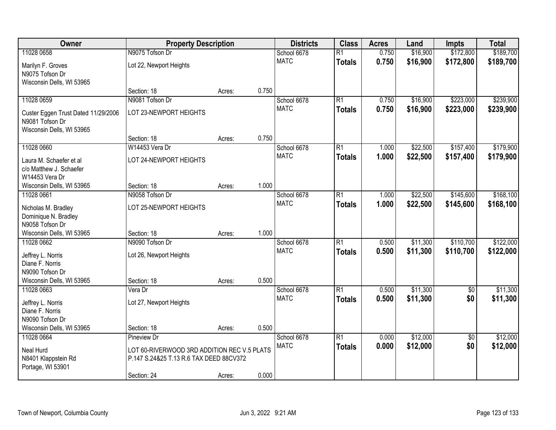| Owner                               | <b>Property Description</b>                 |        | <b>Districts</b> | <b>Class</b> | <b>Acres</b>    | Land  | <b>Impts</b> | <b>Total</b>    |           |
|-------------------------------------|---------------------------------------------|--------|------------------|--------------|-----------------|-------|--------------|-----------------|-----------|
| 11028 0658                          | N9075 Tofson Dr                             |        |                  | School 6678  | $\overline{R1}$ | 0.750 | \$16,900     | \$172,800       | \$189,700 |
| Marilyn F. Groves                   | Lot 22, Newport Heights                     |        |                  | <b>MATC</b>  | <b>Totals</b>   | 0.750 | \$16,900     | \$172,800       | \$189,700 |
| N9075 Tofson Dr                     |                                             |        |                  |              |                 |       |              |                 |           |
| Wisconsin Dells, WI 53965           |                                             |        |                  |              |                 |       |              |                 |           |
|                                     | Section: 18                                 | Acres: | 0.750            |              |                 |       |              |                 |           |
| 11028 0659                          | N9081 Tofson Dr                             |        |                  | School 6678  | $\overline{R1}$ | 0.750 | \$16,900     | \$223,000       | \$239,900 |
| Custer Eggen Trust Dated 11/29/2006 | LOT 23-NEWPORT HEIGHTS                      |        |                  | <b>MATC</b>  | <b>Totals</b>   | 0.750 | \$16,900     | \$223,000       | \$239,900 |
| N9081 Tofson Dr                     |                                             |        |                  |              |                 |       |              |                 |           |
| Wisconsin Dells, WI 53965           |                                             |        |                  |              |                 |       |              |                 |           |
|                                     | Section: 18                                 | Acres: | 0.750            |              |                 |       |              |                 |           |
| 11028 0660                          | W14453 Vera Dr                              |        |                  | School 6678  | $\overline{R1}$ | 1.000 | \$22,500     | \$157,400       | \$179,900 |
| Laura M. Schaefer et al             | LOT 24-NEWPORT HEIGHTS                      |        |                  | <b>MATC</b>  | <b>Totals</b>   | 1.000 | \$22,500     | \$157,400       | \$179,900 |
| c/o Matthew J. Schaefer             |                                             |        |                  |              |                 |       |              |                 |           |
| W14453 Vera Dr                      |                                             |        |                  |              |                 |       |              |                 |           |
| Wisconsin Dells, WI 53965           | Section: 18                                 | Acres: | 1.000            |              |                 |       |              |                 |           |
| 11028 0661                          | N9058 Tofson Dr                             |        |                  | School 6678  | R1              | 1.000 | \$22,500     | \$145,600       | \$168,100 |
| Nicholas M. Bradley                 | LOT 25-NEWPORT HEIGHTS                      |        |                  | <b>MATC</b>  | <b>Totals</b>   | 1.000 | \$22,500     | \$145,600       | \$168,100 |
| Dominique N. Bradley                |                                             |        |                  |              |                 |       |              |                 |           |
| N9058 Tofson Dr                     |                                             |        |                  |              |                 |       |              |                 |           |
| Wisconsin Dells, WI 53965           | Section: 18                                 | Acres: | 1.000            |              |                 |       |              |                 |           |
| 11028 0662                          | N9090 Tofson Dr                             |        |                  | School 6678  | $\overline{R1}$ | 0.500 | \$11,300     | \$110,700       | \$122,000 |
| Jeffrey L. Norris                   | Lot 26, Newport Heights                     |        |                  | <b>MATC</b>  | <b>Totals</b>   | 0.500 | \$11,300     | \$110,700       | \$122,000 |
| Diane F. Norris                     |                                             |        |                  |              |                 |       |              |                 |           |
| N9090 Tofson Dr                     |                                             |        |                  |              |                 |       |              |                 |           |
| Wisconsin Dells, WI 53965           | Section: 18                                 | Acres: | 0.500            |              |                 |       |              |                 |           |
| 11028 0663                          | Vera Dr                                     |        |                  | School 6678  | $\overline{R1}$ | 0.500 | \$11,300     | $\sqrt{6}$      | \$11,300  |
| Jeffrey L. Norris                   | Lot 27, Newport Heights                     |        |                  | <b>MATC</b>  | <b>Totals</b>   | 0.500 | \$11,300     | \$0             | \$11,300  |
| Diane F. Norris                     |                                             |        |                  |              |                 |       |              |                 |           |
| N9090 Tofson Dr                     |                                             |        |                  |              |                 |       |              |                 |           |
| Wisconsin Dells, WI 53965           | Section: 18                                 | Acres: | 0.500            |              |                 |       |              |                 |           |
| 11028 0664                          | Pineview Dr                                 |        |                  | School 6678  | $\overline{R1}$ | 0.000 | \$12,000     | $\overline{50}$ | \$12,000  |
| Neal Hurd                           | LOT 60-RIVERWOOD 3RD ADDITION REC V.5 PLATS |        |                  | <b>MATC</b>  | <b>Totals</b>   | 0.000 | \$12,000     | \$0             | \$12,000  |
| N8401 Klappstein Rd                 | P.147 S.24&25 T.13 R.6 TAX DEED 88CV372     |        |                  |              |                 |       |              |                 |           |
| Portage, WI 53901                   |                                             |        |                  |              |                 |       |              |                 |           |
|                                     | Section: 24                                 | Acres: | 0.000            |              |                 |       |              |                 |           |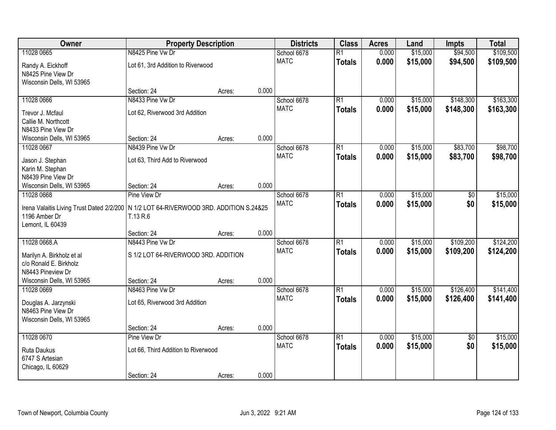| \$94,500<br>\$109,500<br>N8425 Pine Vw Dr<br>0.000<br>\$15,000<br>11028 0665<br>School 6678<br>$\overline{R1}$<br><b>MATC</b><br>0.000<br>\$15,000<br>\$94,500<br>\$109,500<br><b>Totals</b><br>Lot 61, 3rd Addition to Riverwood<br>Randy A. Eickhoff<br>N8425 Pine View Dr<br>Wisconsin Dells, WI 53965<br>0.000<br>Section: 24<br>Acres:<br>11028 0666<br>N8433 Pine Vw Dr<br>$\overline{R1}$<br>\$148,300<br>School 6678<br>0.000<br>\$15,000<br><b>MATC</b><br>0.000<br>\$15,000<br>\$148,300<br><b>Totals</b><br>Lot 62, Riverwood 3rd Addition<br>Trevor J. Mcfaul<br>Callie M. Northcott<br>N8433 Pine View Dr<br>0.000<br>Section: 24<br>Wisconsin Dells, WI 53965<br>Acres:<br>\$83,700<br>11028 0667<br>N8439 Pine Vw Dr<br>$\overline{R1}$<br>\$15,000<br>School 6678<br>0.000<br><b>MATC</b><br>\$15,000<br>0.000<br>\$83,700<br><b>Totals</b><br>Lot 63, Third Add to Riverwood<br>Jason J. Stephan<br>Karin M. Stephan<br>N8439 Pine View Dr<br>0.000<br>Section: 24<br>Wisconsin Dells, WI 53965<br>Acres:<br>\$15,000<br>11028 0668<br>Pine View Dr<br>School 6678<br>$\overline{R1}$<br>0.000<br>\$0<br><b>MATC</b><br>0.000<br>\$15,000<br>\$0<br><b>Totals</b><br>Irena Valaitis Living Trust Dated 2/2/200   N 1/2 LOT 64-RIVERWOOD 3RD. ADDITION S.24&25 |
|--------------------------------------------------------------------------------------------------------------------------------------------------------------------------------------------------------------------------------------------------------------------------------------------------------------------------------------------------------------------------------------------------------------------------------------------------------------------------------------------------------------------------------------------------------------------------------------------------------------------------------------------------------------------------------------------------------------------------------------------------------------------------------------------------------------------------------------------------------------------------------------------------------------------------------------------------------------------------------------------------------------------------------------------------------------------------------------------------------------------------------------------------------------------------------------------------------------------------------------------------------------------------------|
|                                                                                                                                                                                                                                                                                                                                                                                                                                                                                                                                                                                                                                                                                                                                                                                                                                                                                                                                                                                                                                                                                                                                                                                                                                                                                |
| \$163,300                                                                                                                                                                                                                                                                                                                                                                                                                                                                                                                                                                                                                                                                                                                                                                                                                                                                                                                                                                                                                                                                                                                                                                                                                                                                      |
|                                                                                                                                                                                                                                                                                                                                                                                                                                                                                                                                                                                                                                                                                                                                                                                                                                                                                                                                                                                                                                                                                                                                                                                                                                                                                |
|                                                                                                                                                                                                                                                                                                                                                                                                                                                                                                                                                                                                                                                                                                                                                                                                                                                                                                                                                                                                                                                                                                                                                                                                                                                                                |
| \$163,300<br>\$15,000                                                                                                                                                                                                                                                                                                                                                                                                                                                                                                                                                                                                                                                                                                                                                                                                                                                                                                                                                                                                                                                                                                                                                                                                                                                          |
| \$98,700<br>\$98,700<br>\$15,000                                                                                                                                                                                                                                                                                                                                                                                                                                                                                                                                                                                                                                                                                                                                                                                                                                                                                                                                                                                                                                                                                                                                                                                                                                               |
|                                                                                                                                                                                                                                                                                                                                                                                                                                                                                                                                                                                                                                                                                                                                                                                                                                                                                                                                                                                                                                                                                                                                                                                                                                                                                |
|                                                                                                                                                                                                                                                                                                                                                                                                                                                                                                                                                                                                                                                                                                                                                                                                                                                                                                                                                                                                                                                                                                                                                                                                                                                                                |
|                                                                                                                                                                                                                                                                                                                                                                                                                                                                                                                                                                                                                                                                                                                                                                                                                                                                                                                                                                                                                                                                                                                                                                                                                                                                                |
|                                                                                                                                                                                                                                                                                                                                                                                                                                                                                                                                                                                                                                                                                                                                                                                                                                                                                                                                                                                                                                                                                                                                                                                                                                                                                |
|                                                                                                                                                                                                                                                                                                                                                                                                                                                                                                                                                                                                                                                                                                                                                                                                                                                                                                                                                                                                                                                                                                                                                                                                                                                                                |
|                                                                                                                                                                                                                                                                                                                                                                                                                                                                                                                                                                                                                                                                                                                                                                                                                                                                                                                                                                                                                                                                                                                                                                                                                                                                                |
|                                                                                                                                                                                                                                                                                                                                                                                                                                                                                                                                                                                                                                                                                                                                                                                                                                                                                                                                                                                                                                                                                                                                                                                                                                                                                |
|                                                                                                                                                                                                                                                                                                                                                                                                                                                                                                                                                                                                                                                                                                                                                                                                                                                                                                                                                                                                                                                                                                                                                                                                                                                                                |
|                                                                                                                                                                                                                                                                                                                                                                                                                                                                                                                                                                                                                                                                                                                                                                                                                                                                                                                                                                                                                                                                                                                                                                                                                                                                                |
|                                                                                                                                                                                                                                                                                                                                                                                                                                                                                                                                                                                                                                                                                                                                                                                                                                                                                                                                                                                                                                                                                                                                                                                                                                                                                |
|                                                                                                                                                                                                                                                                                                                                                                                                                                                                                                                                                                                                                                                                                                                                                                                                                                                                                                                                                                                                                                                                                                                                                                                                                                                                                |
| 1196 Amber Dr<br>T.13 R.6                                                                                                                                                                                                                                                                                                                                                                                                                                                                                                                                                                                                                                                                                                                                                                                                                                                                                                                                                                                                                                                                                                                                                                                                                                                      |
| Lemont, IL 60439                                                                                                                                                                                                                                                                                                                                                                                                                                                                                                                                                                                                                                                                                                                                                                                                                                                                                                                                                                                                                                                                                                                                                                                                                                                               |
| 0.000<br>Section: 24<br>Acres:                                                                                                                                                                                                                                                                                                                                                                                                                                                                                                                                                                                                                                                                                                                                                                                                                                                                                                                                                                                                                                                                                                                                                                                                                                                 |
| \$109,200<br>\$124,200<br>11028 0668.A<br>N8443 Pine Vw Dr<br>$\overline{R1}$<br>0.000<br>\$15,000<br>School 6678                                                                                                                                                                                                                                                                                                                                                                                                                                                                                                                                                                                                                                                                                                                                                                                                                                                                                                                                                                                                                                                                                                                                                              |
| <b>MATC</b><br>0.000<br>\$15,000<br>\$109,200<br>\$124,200<br><b>Totals</b><br>S 1/2 LOT 64-RIVERWOOD 3RD. ADDITION<br>Marilyn A. Birkholz et al                                                                                                                                                                                                                                                                                                                                                                                                                                                                                                                                                                                                                                                                                                                                                                                                                                                                                                                                                                                                                                                                                                                               |
| c/o Ronald E. Birkholz                                                                                                                                                                                                                                                                                                                                                                                                                                                                                                                                                                                                                                                                                                                                                                                                                                                                                                                                                                                                                                                                                                                                                                                                                                                         |
| N8443 Pineview Dr                                                                                                                                                                                                                                                                                                                                                                                                                                                                                                                                                                                                                                                                                                                                                                                                                                                                                                                                                                                                                                                                                                                                                                                                                                                              |
| 0.000<br>Wisconsin Dells, WI 53965<br>Section: 24<br>Acres:                                                                                                                                                                                                                                                                                                                                                                                                                                                                                                                                                                                                                                                                                                                                                                                                                                                                                                                                                                                                                                                                                                                                                                                                                    |
| $\overline{R1}$<br>\$126,400<br>\$141,400<br>11028 0669<br>N8463 Pine Vw Dr<br>School 6678<br>\$15,000<br>0.000                                                                                                                                                                                                                                                                                                                                                                                                                                                                                                                                                                                                                                                                                                                                                                                                                                                                                                                                                                                                                                                                                                                                                                |
| <b>MATC</b><br>0.000<br>\$15,000<br>\$126,400<br>\$141,400<br><b>Totals</b><br>Lot 65, Riverwood 3rd Addition                                                                                                                                                                                                                                                                                                                                                                                                                                                                                                                                                                                                                                                                                                                                                                                                                                                                                                                                                                                                                                                                                                                                                                  |
| Douglas A. Jarzynski<br>N8463 Pine View Dr                                                                                                                                                                                                                                                                                                                                                                                                                                                                                                                                                                                                                                                                                                                                                                                                                                                                                                                                                                                                                                                                                                                                                                                                                                     |
| Wisconsin Dells, WI 53965                                                                                                                                                                                                                                                                                                                                                                                                                                                                                                                                                                                                                                                                                                                                                                                                                                                                                                                                                                                                                                                                                                                                                                                                                                                      |
| 0.000<br>Section: 24<br>Acres:                                                                                                                                                                                                                                                                                                                                                                                                                                                                                                                                                                                                                                                                                                                                                                                                                                                                                                                                                                                                                                                                                                                                                                                                                                                 |
| 11028 0670<br>$\overline{R1}$<br>\$15,000<br>\$15,000<br>Pine View Dr<br>School 6678<br>0.000<br>$\overline{50}$                                                                                                                                                                                                                                                                                                                                                                                                                                                                                                                                                                                                                                                                                                                                                                                                                                                                                                                                                                                                                                                                                                                                                               |
| \$0<br><b>MATC</b><br>0.000<br>\$15,000<br>\$15,000<br><b>Totals</b>                                                                                                                                                                                                                                                                                                                                                                                                                                                                                                                                                                                                                                                                                                                                                                                                                                                                                                                                                                                                                                                                                                                                                                                                           |
| Lot 66, Third Addition to Riverwood<br>Ruta Daukus                                                                                                                                                                                                                                                                                                                                                                                                                                                                                                                                                                                                                                                                                                                                                                                                                                                                                                                                                                                                                                                                                                                                                                                                                             |
| 6747 S Artesian<br>Chicago, IL 60629                                                                                                                                                                                                                                                                                                                                                                                                                                                                                                                                                                                                                                                                                                                                                                                                                                                                                                                                                                                                                                                                                                                                                                                                                                           |
| 0.000<br>Section: 24<br>Acres:                                                                                                                                                                                                                                                                                                                                                                                                                                                                                                                                                                                                                                                                                                                                                                                                                                                                                                                                                                                                                                                                                                                                                                                                                                                 |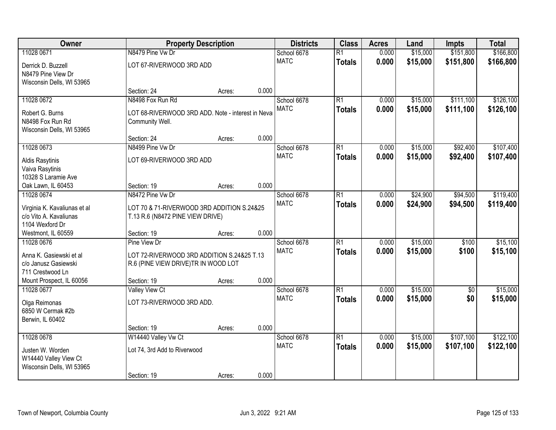| Owner                                                                     |                                                                                   | <b>Property Description</b> |       | <b>Districts</b> | <b>Class</b>    | <b>Acres</b> | Land     | <b>Impts</b>    | <b>Total</b> |
|---------------------------------------------------------------------------|-----------------------------------------------------------------------------------|-----------------------------|-------|------------------|-----------------|--------------|----------|-----------------|--------------|
| 11028 0671                                                                | N8479 Pine Vw Dr                                                                  |                             |       | School 6678      | $\overline{R1}$ | 0.000        | \$15,000 | \$151,800       | \$166,800    |
| Derrick D. Buzzell<br>N8479 Pine View Dr<br>Wisconsin Dells, WI 53965     | LOT 67-RIVERWOOD 3RD ADD                                                          |                             |       | <b>MATC</b>      | <b>Totals</b>   | 0.000        | \$15,000 | \$151,800       | \$166,800    |
|                                                                           | Section: 24                                                                       | Acres:                      | 0.000 |                  |                 |              |          |                 |              |
| 11028 0672                                                                | N8498 Fox Run Rd                                                                  |                             |       | School 6678      | $\overline{R1}$ | 0.000        | \$15,000 | \$111,100       | \$126,100    |
| Robert G. Burns<br>N8498 Fox Run Rd<br>Wisconsin Dells, WI 53965          | LOT 68-RIVERWOOD 3RD ADD. Note - interest in Neva<br>Community Well.              |                             |       | <b>MATC</b>      | <b>Totals</b>   | 0.000        | \$15,000 | \$111,100       | \$126,100    |
|                                                                           | Section: 24                                                                       | Acres:                      | 0.000 |                  |                 |              |          |                 |              |
| 11028 0673                                                                | N8499 Pine Vw Dr                                                                  |                             |       | School 6678      | $\overline{R1}$ | 0.000        | \$15,000 | \$92,400        | \$107,400    |
| Aldis Rasytinis<br>Vaiva Rasytinis<br>10328 S Laramie Ave                 | LOT 69-RIVERWOOD 3RD ADD                                                          |                             |       | <b>MATC</b>      | <b>Totals</b>   | 0.000        | \$15,000 | \$92,400        | \$107,400    |
| Oak Lawn, IL 60453                                                        | Section: 19                                                                       | Acres:                      | 0.000 |                  |                 |              |          |                 |              |
| 11028 0674                                                                | N8472 Pine Vw Dr                                                                  |                             |       | School 6678      | $\overline{R1}$ | 0.000        | \$24,900 | \$94,500        | \$119,400    |
| Virginia K. Kavaliunas et al<br>c/o Vito A. Kavaliunas<br>1104 Wexford Dr | LOT 70 & 71-RIVERWOOD 3RD ADDITION S.24&25<br>T.13 R.6 (N8472 PINE VIEW DRIVE)    |                             |       | <b>MATC</b>      | <b>Totals</b>   | 0.000        | \$24,900 | \$94,500        | \$119,400    |
| Westmont, IL 60559                                                        | Section: 19                                                                       | Acres:                      | 0.000 |                  |                 |              |          |                 |              |
| 11028 0676                                                                | Pine View Dr                                                                      |                             |       | School 6678      | $\overline{R1}$ | 0.000        | \$15,000 | \$100           | \$15,100     |
| Anna K. Gasiewski et al<br>c/o Janusz Gasiewski<br>711 Crestwood Ln       | LOT 72-RIVERWOOD 3RD ADDITION S.24&25 T.13<br>R.6 (PINE VIEW DRIVE)TR IN WOOD LOT |                             |       | <b>MATC</b>      | <b>Totals</b>   | 0.000        | \$15,000 | \$100           | \$15,100     |
| Mount Prospect, IL 60056                                                  | Section: 19                                                                       | Acres:                      | 0.000 |                  |                 |              |          |                 |              |
| 11028 0677                                                                | <b>Valley View Ct</b>                                                             |                             |       | School 6678      | $\overline{R1}$ | 0.000        | \$15,000 | $\overline{50}$ | \$15,000     |
| Olga Reimonas<br>6850 W Cermak #2b<br>Berwin, IL 60402                    | LOT 73-RIVERWOOD 3RD ADD.                                                         |                             |       | <b>MATC</b>      | <b>Totals</b>   | 0.000        | \$15,000 | \$0             | \$15,000     |
|                                                                           | Section: 19                                                                       | Acres:                      | 0.000 |                  |                 |              |          |                 |              |
| 11028 0678                                                                | W14440 Valley Vw Ct                                                               |                             |       | School 6678      | $\overline{R1}$ | 0.000        | \$15,000 | \$107,100       | \$122,100    |
| Justen W. Worden<br>W14440 Valley View Ct<br>Wisconsin Dells, WI 53965    | Lot 74, 3rd Add to Riverwood                                                      |                             |       | <b>MATC</b>      | <b>Totals</b>   | 0.000        | \$15,000 | \$107,100       | \$122,100    |
|                                                                           | Section: 19                                                                       | Acres:                      | 0.000 |                  |                 |              |          |                 |              |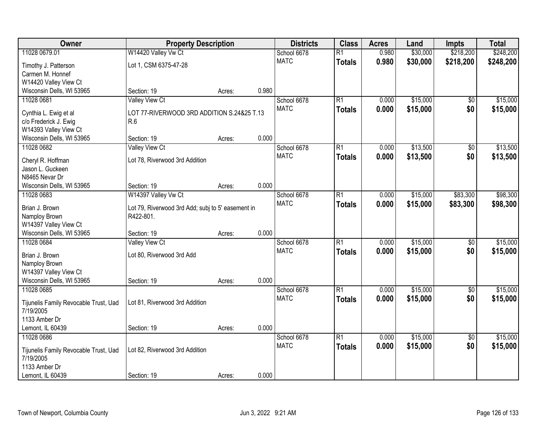| Owner                                 | <b>Property Description</b>                       |        | <b>Districts</b> | <b>Class</b> | <b>Acres</b>    | Land  | <b>Impts</b> | <b>Total</b>    |           |
|---------------------------------------|---------------------------------------------------|--------|------------------|--------------|-----------------|-------|--------------|-----------------|-----------|
| 11028 0679.01                         | W14420 Valley Vw Ct                               |        |                  | School 6678  | $\overline{R1}$ | 0.980 | \$30,000     | \$218,200       | \$248,200 |
| Timothy J. Patterson                  | Lot 1, CSM 6375-47-28                             |        |                  | <b>MATC</b>  | <b>Totals</b>   | 0.980 | \$30,000     | \$218,200       | \$248,200 |
| Carmen M. Honnef                      |                                                   |        |                  |              |                 |       |              |                 |           |
| W14420 Valley View Ct                 |                                                   |        |                  |              |                 |       |              |                 |           |
| Wisconsin Dells, WI 53965             | Section: 19                                       | Acres: | 0.980            |              |                 |       |              |                 |           |
| 11028 0681                            | Valley View Ct                                    |        |                  | School 6678  | $\overline{R1}$ | 0.000 | \$15,000     | \$0             | \$15,000  |
| Cynthia L. Ewig et al                 | LOT 77-RIVERWOOD 3RD ADDITION S.24&25 T.13        |        |                  | <b>MATC</b>  | <b>Totals</b>   | 0.000 | \$15,000     | \$0             | \$15,000  |
| c/o Frederick J. Ewig                 | R.6                                               |        |                  |              |                 |       |              |                 |           |
| W14393 Valley View Ct                 |                                                   |        |                  |              |                 |       |              |                 |           |
| Wisconsin Dells, WI 53965             | Section: 19                                       | Acres: | 0.000            |              |                 |       |              |                 |           |
| 11028 0682                            | <b>Valley View Ct</b>                             |        |                  | School 6678  | $\overline{R1}$ | 0.000 | \$13,500     | $\overline{50}$ | \$13,500  |
| Cheryl R. Hoffman                     | Lot 78, Riverwood 3rd Addition                    |        |                  | <b>MATC</b>  | <b>Totals</b>   | 0.000 | \$13,500     | \$0             | \$13,500  |
| Jason L. Guckeen                      |                                                   |        |                  |              |                 |       |              |                 |           |
| N8465 Nevar Dr                        |                                                   |        |                  |              |                 |       |              |                 |           |
| Wisconsin Dells, WI 53965             | Section: 19                                       | Acres: | 0.000            |              |                 |       |              |                 |           |
| 11028 0683                            | W14397 Valley Vw Ct                               |        |                  | School 6678  | $\overline{R1}$ | 0.000 | \$15,000     | \$83,300        | \$98,300  |
| Brian J. Brown                        | Lot 79, Riverwood 3rd Add; subj to 5' easement in |        |                  | <b>MATC</b>  | <b>Totals</b>   | 0.000 | \$15,000     | \$83,300        | \$98,300  |
| Namploy Brown                         | R422-801.                                         |        |                  |              |                 |       |              |                 |           |
| W14397 Valley View Ct                 |                                                   |        |                  |              |                 |       |              |                 |           |
| Wisconsin Dells, WI 53965             | Section: 19                                       | Acres: | 0.000            |              |                 |       |              |                 |           |
| 11028 0684                            | <b>Valley View Ct</b>                             |        |                  | School 6678  | $\overline{R1}$ | 0.000 | \$15,000     | $\overline{50}$ | \$15,000  |
| Brian J. Brown                        | Lot 80, Riverwood 3rd Add                         |        |                  | <b>MATC</b>  | <b>Totals</b>   | 0.000 | \$15,000     | \$0             | \$15,000  |
| Namploy Brown                         |                                                   |        |                  |              |                 |       |              |                 |           |
| W14397 Valley View Ct                 |                                                   |        |                  |              |                 |       |              |                 |           |
| Wisconsin Dells, WI 53965             | Section: 19                                       | Acres: | 0.000            |              |                 |       |              |                 |           |
| 11028 0685                            |                                                   |        |                  | School 6678  | $\overline{R1}$ | 0.000 | \$15,000     | $\sqrt{6}$      | \$15,000  |
| Tijunelis Family Revocable Trust, Uad | Lot 81, Riverwood 3rd Addition                    |        |                  | <b>MATC</b>  | <b>Totals</b>   | 0.000 | \$15,000     | \$0             | \$15,000  |
| 7/19/2005                             |                                                   |        |                  |              |                 |       |              |                 |           |
| 1133 Amber Dr                         |                                                   |        |                  |              |                 |       |              |                 |           |
| Lemont, IL 60439                      | Section: 19                                       | Acres: | 0.000            |              |                 |       |              |                 |           |
| 11028 0686                            |                                                   |        |                  | School 6678  | $\overline{R1}$ | 0.000 | \$15,000     | $\overline{50}$ | \$15,000  |
| Tijunelis Family Revocable Trust, Uad | Lot 82, Riverwood 3rd Addition                    |        |                  | <b>MATC</b>  | <b>Totals</b>   | 0.000 | \$15,000     | \$0             | \$15,000  |
| 7/19/2005                             |                                                   |        |                  |              |                 |       |              |                 |           |
| 1133 Amber Dr                         |                                                   |        |                  |              |                 |       |              |                 |           |
| Lemont, IL 60439                      | Section: 19                                       | Acres: | 0.000            |              |                 |       |              |                 |           |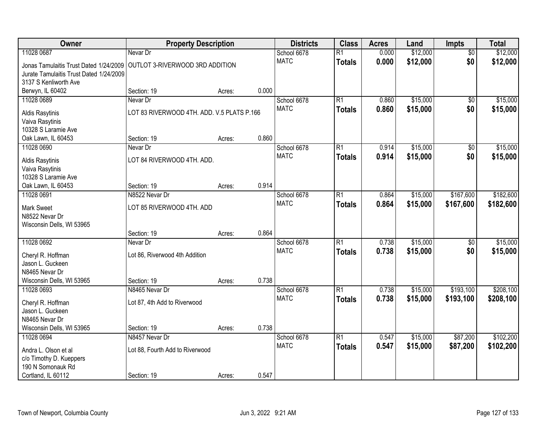| Owner                                        | <b>Property Description</b>                |        | <b>Districts</b> | <b>Class</b> | <b>Acres</b>    | Land  | <b>Impts</b> | <b>Total</b>    |           |
|----------------------------------------------|--------------------------------------------|--------|------------------|--------------|-----------------|-------|--------------|-----------------|-----------|
| 11028 0687                                   | Nevar Dr                                   |        |                  | School 6678  | $\overline{R1}$ | 0.000 | \$12,000     | \$0             | \$12,000  |
| Jonas Tamulaitis Trust Dated 1/24/2009       | OUTLOT 3-RIVERWOOD 3RD ADDITION            |        |                  | <b>MATC</b>  | <b>Totals</b>   | 0.000 | \$12,000     | \$0             | \$12,000  |
| Jurate Tamulaitis Trust Dated 1/24/2009      |                                            |        |                  |              |                 |       |              |                 |           |
| 3137 S Kenliworth Ave                        |                                            |        |                  |              |                 |       |              |                 |           |
| Berwyn, IL 60402                             | Section: 19                                | Acres: | 0.000            |              |                 |       |              |                 |           |
| 11028 0689                                   | Nevar Dr                                   |        |                  | School 6678  | R1              | 0.860 | \$15,000     | $\overline{50}$ | \$15,000  |
| Aldis Rasytinis                              | LOT 83 RIVERWOOD 4TH. ADD. V.5 PLATS P.166 |        |                  | <b>MATC</b>  | <b>Totals</b>   | 0.860 | \$15,000     | \$0             | \$15,000  |
| Vaiva Rasytinis                              |                                            |        |                  |              |                 |       |              |                 |           |
| 10328 S Laramie Ave                          |                                            |        |                  |              |                 |       |              |                 |           |
| Oak Lawn, IL 60453                           | Section: 19                                | Acres: | 0.860            |              |                 |       |              |                 |           |
| 11028 0690                                   | Nevar Dr                                   |        |                  | School 6678  | R1              | 0.914 | \$15,000     | \$0             | \$15,000  |
| Aldis Rasytinis                              | LOT 84 RIVERWOOD 4TH. ADD.                 |        |                  | <b>MATC</b>  | <b>Totals</b>   | 0.914 | \$15,000     | \$0             | \$15,000  |
| Vaiva Rasytinis                              |                                            |        |                  |              |                 |       |              |                 |           |
| 10328 S Laramie Ave                          |                                            |        |                  |              |                 |       |              |                 |           |
| Oak Lawn, IL 60453                           | Section: 19                                | Acres: | 0.914            |              |                 |       |              |                 |           |
| 11028 0691                                   | N8522 Nevar Dr                             |        |                  | School 6678  | R1              | 0.864 | \$15,000     | \$167,600       | \$182,600 |
| <b>Mark Sweet</b>                            | LOT 85 RIVERWOOD 4TH. ADD                  |        |                  | <b>MATC</b>  | <b>Totals</b>   | 0.864 | \$15,000     | \$167,600       | \$182,600 |
| N8522 Nevar Dr                               |                                            |        |                  |              |                 |       |              |                 |           |
| Wisconsin Dells, WI 53965                    |                                            |        |                  |              |                 |       |              |                 |           |
|                                              | Section: 19                                | Acres: | 0.864            |              |                 |       |              |                 |           |
| 11028 0692                                   | Nevar Dr                                   |        |                  | School 6678  | $\overline{R1}$ | 0.738 | \$15,000     | $\overline{50}$ | \$15,000  |
|                                              | Lot 86, Riverwood 4th Addition             |        |                  | <b>MATC</b>  | <b>Totals</b>   | 0.738 | \$15,000     | \$0             | \$15,000  |
| Cheryl R. Hoffman<br>Jason L. Guckeen        |                                            |        |                  |              |                 |       |              |                 |           |
| N8465 Nevar Dr                               |                                            |        |                  |              |                 |       |              |                 |           |
| Wisconsin Dells, WI 53965                    | Section: 19                                | Acres: | 0.738            |              |                 |       |              |                 |           |
| 11028 0693                                   | N8465 Nevar Dr                             |        |                  | School 6678  | R1              | 0.738 | \$15,000     | \$193,100       | \$208,100 |
|                                              |                                            |        |                  | <b>MATC</b>  | <b>Totals</b>   | 0.738 | \$15,000     | \$193,100       | \$208,100 |
| Cheryl R. Hoffman<br>Jason L. Guckeen        | Lot 87, 4th Add to Riverwood               |        |                  |              |                 |       |              |                 |           |
| N8465 Nevar Dr                               |                                            |        |                  |              |                 |       |              |                 |           |
| Wisconsin Dells, WI 53965                    | Section: 19                                | Acres: | 0.738            |              |                 |       |              |                 |           |
| 11028 0694                                   | N8457 Nevar Dr                             |        |                  | School 6678  | R1              | 0.547 | \$15,000     | \$87,200        | \$102,200 |
|                                              |                                            |        |                  | <b>MATC</b>  | Totals          | 0.547 | \$15,000     | \$87,200        | \$102,200 |
| Andra L. Olson et al                         | Lot 88, Fourth Add to Riverwood            |        |                  |              |                 |       |              |                 |           |
| c/o Timothy D. Kueppers<br>190 N Somonauk Rd |                                            |        |                  |              |                 |       |              |                 |           |
| Cortland, IL 60112                           | Section: 19                                | Acres: | 0.547            |              |                 |       |              |                 |           |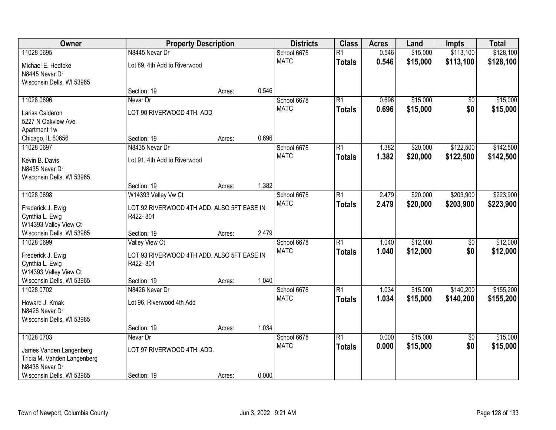| Owner                                                                       | <b>Property Description</b>                                                     |        | <b>Districts</b> | <b>Class</b>               | <b>Acres</b>                     | Land           | <b>Impts</b>         | <b>Total</b>           |                        |
|-----------------------------------------------------------------------------|---------------------------------------------------------------------------------|--------|------------------|----------------------------|----------------------------------|----------------|----------------------|------------------------|------------------------|
| 11028 0695                                                                  | N8445 Nevar Dr                                                                  |        |                  | School 6678                | $\overline{R1}$                  | 0.546          | \$15,000             | \$113,100              | \$128,100              |
| Michael E. Hedtcke<br>N8445 Nevar Dr<br>Wisconsin Dells, WI 53965           | Lot 89, 4th Add to Riverwood                                                    |        |                  | <b>MATC</b>                | <b>Totals</b>                    | 0.546          | \$15,000             | \$113,100              | \$128,100              |
|                                                                             | Section: 19                                                                     | Acres: | 0.546            |                            |                                  |                |                      |                        |                        |
| 11028 0696                                                                  | Nevar Dr                                                                        |        |                  | School 6678                | $\overline{R1}$                  | 0.696          | \$15,000             | \$0                    | \$15,000               |
| Larisa Calderon<br>5227 N Oakview Ave<br>Apartment 1w                       | LOT 90 RIVERWOOD 4TH. ADD                                                       |        |                  | <b>MATC</b>                | <b>Totals</b>                    | 0.696          | \$15,000             | \$0                    | \$15,000               |
| Chicago, IL 60656                                                           | Section: 19                                                                     | Acres: | 0.696            |                            |                                  |                |                      |                        |                        |
| 11028 0697                                                                  | N8435 Nevar Dr                                                                  |        |                  | School 6678                | $\overline{R1}$                  | 1.382          | \$20,000             | \$122,500              | \$142,500              |
| Kevin B. Davis<br>N8435 Nevar Dr<br>Wisconsin Dells, WI 53965               | Lot 91, 4th Add to Riverwood                                                    |        |                  | <b>MATC</b>                | <b>Totals</b>                    | 1.382          | \$20,000             | \$122,500              | \$142,500              |
|                                                                             | Section: 19                                                                     | Acres: | 1.382            |                            |                                  |                |                      |                        |                        |
| 11028 0698                                                                  | W14393 Valley Vw Ct                                                             |        |                  | School 6678                | $\overline{R1}$                  | 2.479          | \$20,000             | \$203,900              | \$223,900              |
| Frederick J. Ewig<br>Cynthia L. Ewig<br>W14393 Valley View Ct               | LOT 92 RIVERWOOD 4TH ADD. ALSO 5FT EASE IN<br>R422-801                          |        |                  | <b>MATC</b>                | <b>Totals</b>                    | 2.479          | \$20,000             | \$203,900              | \$223,900              |
| Wisconsin Dells, WI 53965                                                   | Section: 19                                                                     | Acres: | 2.479            |                            |                                  |                |                      |                        |                        |
| 11028 0699<br>Frederick J. Ewig<br>Cynthia L. Ewig                          | <b>Valley View Ct</b><br>LOT 93 RIVERWOOD 4TH ADD. ALSO 5FT EASE IN<br>R422-801 |        |                  | School 6678<br><b>MATC</b> | $\overline{R1}$<br><b>Totals</b> | 1.040<br>1.040 | \$12,000<br>\$12,000 | \$0<br>\$0             | \$12,000<br>\$12,000   |
| W14393 Valley View Ct                                                       |                                                                                 |        |                  |                            |                                  |                |                      |                        |                        |
| Wisconsin Dells, WI 53965                                                   | Section: 19                                                                     | Acres: | 1.040            |                            |                                  |                |                      |                        |                        |
| 11028 0702<br>Howard J. Kmak<br>N8426 Nevar Dr<br>Wisconsin Dells, WI 53965 | N8426 Nevar Dr<br>Lot 96, Riverwood 4th Add                                     |        |                  | School 6678<br><b>MATC</b> | $\overline{R1}$<br><b>Totals</b> | 1.034<br>1.034 | \$15,000<br>\$15,000 | \$140,200<br>\$140,200 | \$155,200<br>\$155,200 |
|                                                                             | Section: 19                                                                     | Acres: | 1.034            |                            |                                  |                |                      |                        |                        |
| 11028 0703                                                                  | Nevar Dr                                                                        |        |                  | School 6678<br><b>MATC</b> | $\overline{R1}$                  | 0.000<br>0.000 | \$15,000<br>\$15,000 | $\overline{50}$<br>\$0 | \$15,000<br>\$15,000   |
| James Vanden Langenberg<br>Tricia M. Vanden Langenberg<br>N8438 Nevar Dr    | LOT 97 RIVERWOOD 4TH. ADD.                                                      |        |                  |                            | <b>Totals</b>                    |                |                      |                        |                        |
| Wisconsin Dells, WI 53965                                                   | Section: 19                                                                     | Acres: | 0.000            |                            |                                  |                |                      |                        |                        |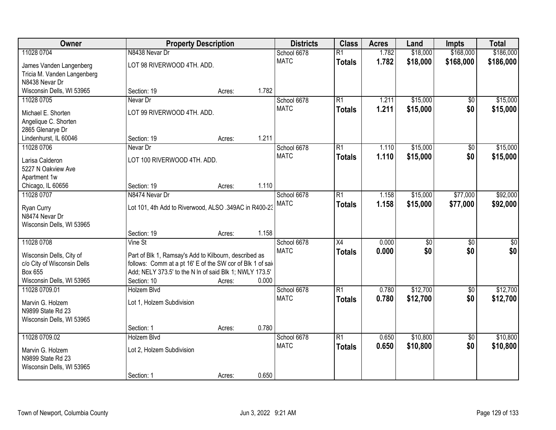| Owner                       |                                                            | <b>Property Description</b> |       | <b>Districts</b>           | <b>Class</b>    | <b>Acres</b> | Land        | <b>Impts</b>    | <b>Total</b>     |
|-----------------------------|------------------------------------------------------------|-----------------------------|-------|----------------------------|-----------------|--------------|-------------|-----------------|------------------|
| 11028 0704                  | N8438 Nevar Dr                                             |                             |       | School 6678                | $\overline{R1}$ | 1.782        | \$18,000    | \$168,000       | \$186,000        |
| James Vanden Langenberg     | LOT 98 RIVERWOOD 4TH. ADD.                                 |                             |       | <b>MATC</b>                | <b>Totals</b>   | 1.782        | \$18,000    | \$168,000       | \$186,000        |
| Tricia M. Vanden Langenberg |                                                            |                             |       |                            |                 |              |             |                 |                  |
| N8438 Nevar Dr              |                                                            |                             |       |                            |                 |              |             |                 |                  |
| Wisconsin Dells, WI 53965   | Section: 19                                                | Acres:                      | 1.782 |                            |                 |              |             |                 |                  |
| 11028 0705                  | Nevar Dr                                                   |                             |       | School 6678                | $\overline{R1}$ | 1.211        | \$15,000    | \$0             | \$15,000         |
| Michael E. Shorten          | LOT 99 RIVERWOOD 4TH. ADD.                                 |                             |       | <b>MATC</b>                | <b>Totals</b>   | 1.211        | \$15,000    | \$0             | \$15,000         |
| Angelique C. Shorten        |                                                            |                             |       |                            |                 |              |             |                 |                  |
| 2865 Glenarye Dr            |                                                            |                             |       |                            |                 |              |             |                 |                  |
| Lindenhurst, IL 60046       | Section: 19                                                | Acres:                      | 1.211 |                            |                 |              |             |                 |                  |
| 11028 0706                  | Nevar Dr                                                   |                             |       | School 6678                | $\overline{R1}$ | 1.110        | \$15,000    | \$0             | \$15,000         |
| Larisa Calderon             | LOT 100 RIVERWOOD 4TH. ADD.                                |                             |       | <b>MATC</b>                | <b>Totals</b>   | 1.110        | \$15,000    | \$0             | \$15,000         |
| 5227 N Oakview Ave          |                                                            |                             |       |                            |                 |              |             |                 |                  |
| Apartment 1w                |                                                            |                             |       |                            |                 |              |             |                 |                  |
| Chicago, IL 60656           | Section: 19                                                | Acres:                      | 1.110 |                            |                 |              |             |                 |                  |
| 11028 0707                  | N8474 Nevar Dr                                             |                             |       | School 6678<br><b>MATC</b> | $\overline{R1}$ | 1.158        | \$15,000    | \$77,000        | \$92,000         |
| Ryan Curry                  | Lot 101, 4th Add to Riverwood, ALSO .349AC in R400-23      |                             |       |                            | <b>Totals</b>   | 1.158        | \$15,000    | \$77,000        | \$92,000         |
| N8474 Nevar Dr              |                                                            |                             |       |                            |                 |              |             |                 |                  |
| Wisconsin Dells, WI 53965   |                                                            |                             |       |                            |                 |              |             |                 |                  |
|                             | Section: 19                                                | Acres:                      | 1.158 |                            |                 |              |             |                 |                  |
| 11028 0708                  | Vine St                                                    |                             |       | School 6678<br><b>MATC</b> | $\overline{X4}$ | 0.000        | $\sqrt{30}$ | $\overline{50}$ | $\overline{\$0}$ |
| Wisconsin Dells, City of    | Part of Blk 1, Ramsay's Add to Kilbourn, described as      |                             |       |                            | <b>Totals</b>   | 0.000        | \$0         | \$0             | \$0              |
| c/o City of Wisconsin Dells | follows: Comm at a pt 16' E of the SW cor of Blk 1 of said |                             |       |                            |                 |              |             |                 |                  |
| Box 655                     | Add; NELY 373.5' to the N In of said Blk 1; NWLY 173.5'    |                             |       |                            |                 |              |             |                 |                  |
| Wisconsin Dells, WI 53965   | Section: 10                                                | Acres:                      | 0.000 |                            |                 |              |             |                 |                  |
| 11028 0709.01               | Holzem Blvd                                                |                             |       | School 6678<br><b>MATC</b> | $\overline{R1}$ | 0.780        | \$12,700    | $\sqrt{6}$      | \$12,700         |
| Marvin G. Holzem            | Lot 1, Holzem Subdivision                                  |                             |       |                            | <b>Totals</b>   | 0.780        | \$12,700    | \$0             | \$12,700         |
| N9899 State Rd 23           |                                                            |                             |       |                            |                 |              |             |                 |                  |
| Wisconsin Dells, WI 53965   |                                                            |                             |       |                            |                 |              |             |                 |                  |
|                             | Section: 1                                                 | Acres:                      | 0.780 |                            |                 |              |             |                 |                  |
| 11028 0709.02               | <b>Holzem Blvd</b>                                         |                             |       | School 6678                | $\overline{R1}$ | 0.650        | \$10,800    | $\overline{50}$ | \$10,800         |
| Marvin G. Holzem            | Lot 2, Holzem Subdivision                                  |                             |       | <b>MATC</b>                | <b>Totals</b>   | 0.650        | \$10,800    | \$0             | \$10,800         |
| N9899 State Rd 23           |                                                            |                             |       |                            |                 |              |             |                 |                  |
| Wisconsin Dells, WI 53965   |                                                            |                             |       |                            |                 |              |             |                 |                  |
|                             | Section: 1                                                 | Acres:                      | 0.650 |                            |                 |              |             |                 |                  |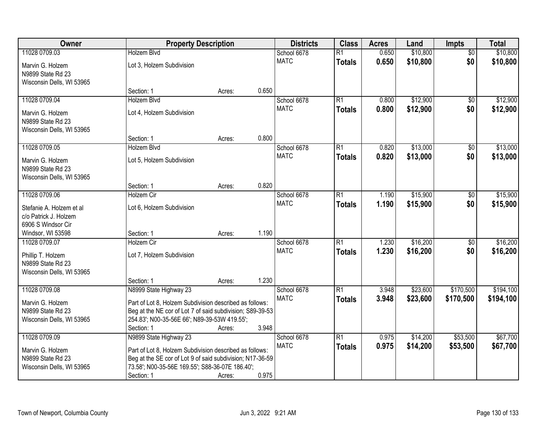| Owner                     |                                                           | <b>Property Description</b> |       | <b>Districts</b> | <b>Class</b>    | <b>Acres</b> | Land     | Impts           | <b>Total</b> |
|---------------------------|-----------------------------------------------------------|-----------------------------|-------|------------------|-----------------|--------------|----------|-----------------|--------------|
| 11028 0709.03             | <b>Holzem Blvd</b>                                        |                             |       | School 6678      | $\overline{R1}$ | 0.650        | \$10,800 | $\overline{50}$ | \$10,800     |
| Marvin G. Holzem          | Lot 3, Holzem Subdivision                                 |                             |       | <b>MATC</b>      | <b>Totals</b>   | 0.650        | \$10,800 | \$0             | \$10,800     |
| N9899 State Rd 23         |                                                           |                             |       |                  |                 |              |          |                 |              |
| Wisconsin Dells, WI 53965 |                                                           |                             |       |                  |                 |              |          |                 |              |
|                           | Section: 1                                                | Acres:                      | 0.650 |                  |                 |              |          |                 |              |
| 11028 0709.04             | <b>Holzem Blvd</b>                                        |                             |       | School 6678      | $\overline{R1}$ | 0.800        | \$12,900 | $\overline{50}$ | \$12,900     |
| Marvin G. Holzem          | Lot 4, Holzem Subdivision                                 |                             |       | <b>MATC</b>      | <b>Totals</b>   | 0.800        | \$12,900 | \$0             | \$12,900     |
| N9899 State Rd 23         |                                                           |                             |       |                  |                 |              |          |                 |              |
| Wisconsin Dells, WI 53965 |                                                           |                             |       |                  |                 |              |          |                 |              |
|                           | Section: 1                                                | Acres:                      | 0.800 |                  |                 |              |          |                 |              |
| 11028 0709.05             | <b>Holzem Blvd</b>                                        |                             |       | School 6678      | $\overline{R1}$ | 0.820        | \$13,000 | $\overline{50}$ | \$13,000     |
| Marvin G. Holzem          | Lot 5, Holzem Subdivision                                 |                             |       | <b>MATC</b>      | <b>Totals</b>   | 0.820        | \$13,000 | \$0             | \$13,000     |
| N9899 State Rd 23         |                                                           |                             |       |                  |                 |              |          |                 |              |
| Wisconsin Dells, WI 53965 |                                                           |                             |       |                  |                 |              |          |                 |              |
|                           | Section: 1                                                | Acres:                      | 0.820 |                  |                 |              |          |                 |              |
| 11028 0709.06             | Holzem Cir                                                |                             |       | School 6678      | $\overline{R1}$ | 1.190        | \$15,900 | \$0             | \$15,900     |
| Stefanie A. Holzem et al  | Lot 6, Holzem Subdivision                                 |                             |       | <b>MATC</b>      | <b>Totals</b>   | 1.190        | \$15,900 | \$0             | \$15,900     |
| c/o Patrick J. Holzem     |                                                           |                             |       |                  |                 |              |          |                 |              |
| 6906 S Windsor Cir        |                                                           |                             |       |                  |                 |              |          |                 |              |
| Windsor, WI 53598         | Section: 1                                                | Acres:                      | 1.190 |                  |                 |              |          |                 |              |
| 11028 0709.07             | <b>Holzem Cir</b>                                         |                             |       | School 6678      | $\overline{R1}$ | 1.230        | \$16,200 | $\overline{50}$ | \$16,200     |
| Phillip T. Holzem         | Lot 7, Holzem Subdivision                                 |                             |       | <b>MATC</b>      | <b>Totals</b>   | 1.230        | \$16,200 | \$0             | \$16,200     |
| N9899 State Rd 23         |                                                           |                             |       |                  |                 |              |          |                 |              |
| Wisconsin Dells, WI 53965 |                                                           |                             |       |                  |                 |              |          |                 |              |
|                           | Section: 1                                                | Acres:                      | 1.230 |                  |                 |              |          |                 |              |
| 11028 0709.08             | N8999 State Highway 23                                    |                             |       | School 6678      | $\overline{R1}$ | 3.948        | \$23,600 | \$170,500       | \$194,100    |
| Marvin G. Holzem          | Part of Lot 8, Holzem Subdivision described as follows:   |                             |       | <b>MATC</b>      | <b>Totals</b>   | 3.948        | \$23,600 | \$170,500       | \$194,100    |
| N9899 State Rd 23         | Beg at the NE cor of Lot 7 of said subdivision; S89-39-53 |                             |       |                  |                 |              |          |                 |              |
| Wisconsin Dells, WI 53965 | 254.83'; N00-35-56E 66'; N89-39-53W 419.55';              |                             |       |                  |                 |              |          |                 |              |
|                           | Section: 1                                                | Acres:                      | 3.948 |                  |                 |              |          |                 |              |
| 11028 0709.09             | N9899 State Highway 23                                    |                             |       | School 6678      | $\overline{R1}$ | 0.975        | \$14,200 | \$53,500        | \$67,700     |
| Marvin G. Holzem          | Part of Lot 8, Holzem Subdivision described as follows:   |                             |       | <b>MATC</b>      | <b>Totals</b>   | 0.975        | \$14,200 | \$53,500        | \$67,700     |
| N9899 State Rd 23         | Beg at the SE cor of Lot 9 of said subdivision; N17-36-59 |                             |       |                  |                 |              |          |                 |              |
| Wisconsin Dells, WI 53965 | 73.58'; N00-35-56E 169.55'; S88-36-07E 186.40';           |                             |       |                  |                 |              |          |                 |              |
|                           | Section: 1                                                | Acres:                      | 0.975 |                  |                 |              |          |                 |              |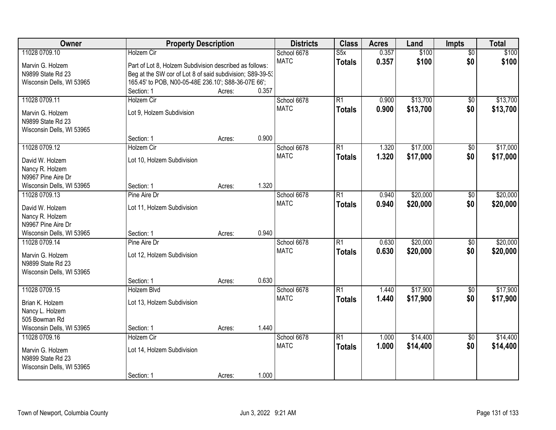| Owner                     |                                                           | <b>Property Description</b> |       | <b>Districts</b> | <b>Class</b>    | <b>Acres</b> | Land     | Impts           | <b>Total</b> |
|---------------------------|-----------------------------------------------------------|-----------------------------|-------|------------------|-----------------|--------------|----------|-----------------|--------------|
| 11028 0709.10             | Holzem Cir                                                |                             |       | School 6678      | S5x             | 0.357        | \$100    | $\overline{50}$ | \$100        |
| Marvin G. Holzem          | Part of Lot 8, Holzem Subdivision described as follows:   |                             |       | <b>MATC</b>      | <b>Totals</b>   | 0.357        | \$100    | \$0             | \$100        |
| N9899 State Rd 23         | Beg at the SW cor of Lot 8 of said subdivision; S89-39-53 |                             |       |                  |                 |              |          |                 |              |
| Wisconsin Dells, WI 53965 | 165.45' to POB, N00-05-48E 236.10'; S88-36-07E 66';       |                             |       |                  |                 |              |          |                 |              |
|                           | Section: 1                                                | Acres:                      | 0.357 |                  |                 |              |          |                 |              |
| 11028 0709.11             | Holzem Cir                                                |                             |       | School 6678      | $\overline{R1}$ | 0.900        | \$13,700 | $\overline{50}$ | \$13,700     |
| Marvin G. Holzem          | Lot 9, Holzem Subdivision                                 |                             |       | <b>MATC</b>      | <b>Totals</b>   | 0.900        | \$13,700 | \$0             | \$13,700     |
| N9899 State Rd 23         |                                                           |                             |       |                  |                 |              |          |                 |              |
| Wisconsin Dells, WI 53965 |                                                           |                             |       |                  |                 |              |          |                 |              |
|                           | Section: 1                                                | Acres:                      | 0.900 |                  |                 |              |          |                 |              |
| 11028 0709.12             | Holzem Cir                                                |                             |       | School 6678      | $\overline{R1}$ | 1.320        | \$17,000 | \$0             | \$17,000     |
|                           |                                                           |                             |       | <b>MATC</b>      | <b>Totals</b>   | 1.320        | \$17,000 | \$0             | \$17,000     |
| David W. Holzem           | Lot 10, Holzem Subdivision                                |                             |       |                  |                 |              |          |                 |              |
| Nancy R. Holzem           |                                                           |                             |       |                  |                 |              |          |                 |              |
| N9967 Pine Aire Dr        |                                                           |                             |       |                  |                 |              |          |                 |              |
| Wisconsin Dells, WI 53965 | Section: 1                                                | Acres:                      | 1.320 |                  |                 |              |          |                 |              |
| 11028 0709.13             | Pine Aire Dr                                              |                             |       | School 6678      | $\overline{R1}$ | 0.940        | \$20,000 | \$0             | \$20,000     |
| David W. Holzem           | Lot 11, Holzem Subdivision                                |                             |       | <b>MATC</b>      | <b>Totals</b>   | 0.940        | \$20,000 | \$0             | \$20,000     |
| Nancy R. Holzem           |                                                           |                             |       |                  |                 |              |          |                 |              |
| N9967 Pine Aire Dr        |                                                           |                             |       |                  |                 |              |          |                 |              |
| Wisconsin Dells, WI 53965 | Section: 1                                                | Acres:                      | 0.940 |                  |                 |              |          |                 |              |
| 11028 0709.14             | Pine Aire Dr                                              |                             |       | School 6678      | $\overline{R1}$ | 0.630        | \$20,000 | $\overline{50}$ | \$20,000     |
| Marvin G. Holzem          | Lot 12, Holzem Subdivision                                |                             |       | <b>MATC</b>      | <b>Totals</b>   | 0.630        | \$20,000 | \$0             | \$20,000     |
| N9899 State Rd 23         |                                                           |                             |       |                  |                 |              |          |                 |              |
| Wisconsin Dells, WI 53965 |                                                           |                             |       |                  |                 |              |          |                 |              |
|                           | Section: 1                                                | Acres:                      | 0.630 |                  |                 |              |          |                 |              |
| 11028 0709.15             | Holzem Blvd                                               |                             |       | School 6678      | $\overline{R1}$ | 1.440        | \$17,900 | $\overline{50}$ | \$17,900     |
| Brian K. Holzem           | Lot 13, Holzem Subdivision                                |                             |       | <b>MATC</b>      | <b>Totals</b>   | 1.440        | \$17,900 | \$0             | \$17,900     |
| Nancy L. Holzem           |                                                           |                             |       |                  |                 |              |          |                 |              |
| 505 Bowman Rd             |                                                           |                             |       |                  |                 |              |          |                 |              |
| Wisconsin Dells, WI 53965 | Section: 1                                                | Acres:                      | 1.440 |                  |                 |              |          |                 |              |
| 11028 0709.16             | <b>Holzem Cir</b>                                         |                             |       | School 6678      | $\overline{R1}$ | 1.000        | \$14,400 | $\overline{50}$ | \$14,400     |
|                           |                                                           |                             |       | <b>MATC</b>      | <b>Totals</b>   | 1.000        | \$14,400 | \$0             | \$14,400     |
| Marvin G. Holzem          | Lot 14, Holzem Subdivision                                |                             |       |                  |                 |              |          |                 |              |
| N9899 State Rd 23         |                                                           |                             |       |                  |                 |              |          |                 |              |
| Wisconsin Dells, WI 53965 |                                                           |                             |       |                  |                 |              |          |                 |              |
|                           | Section: 1                                                | Acres:                      | 1.000 |                  |                 |              |          |                 |              |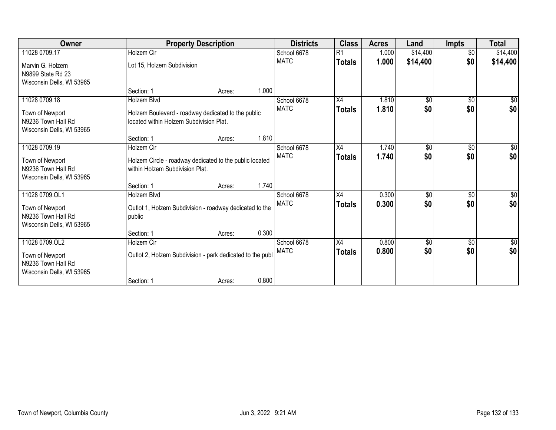| Owner                                                                                |                                                                                               | <b>Property Description</b> |       |                            |                     | <b>Acres</b>   | Land         | <b>Impts</b>      | <b>Total</b>       |
|--------------------------------------------------------------------------------------|-----------------------------------------------------------------------------------------------|-----------------------------|-------|----------------------------|---------------------|----------------|--------------|-------------------|--------------------|
| 11028 0709.17                                                                        | <b>Holzem Cir</b>                                                                             |                             |       | School 6678                | R1                  | 1.000          | \$14,400     | $\overline{50}$   | \$14,400           |
| Marvin G. Holzem<br>N9899 State Rd 23<br>Wisconsin Dells, WI 53965                   | Lot 15, Holzem Subdivision                                                                    |                             |       | <b>MATC</b>                | <b>Totals</b>       | 1.000          | \$14,400     | \$0               | \$14,400           |
|                                                                                      | Section: 1                                                                                    | Acres:                      | 1.000 |                            |                     |                |              |                   |                    |
| 11028 0709.18                                                                        | Holzem Blvd                                                                                   |                             |       | School 6678                | X4                  | 1.810          | \$0          | \$0               | \$0                |
| Town of Newport<br>N9236 Town Hall Rd<br>Wisconsin Dells, WI 53965                   | Holzem Boulevard - roadway dedicated to the public<br>located within Holzem Subdivision Plat. |                             |       | <b>MATC</b>                | <b>Totals</b>       | 1.810          | \$0          | \$0               | \$0                |
|                                                                                      | Section: 1                                                                                    | Acres:                      | 1.810 |                            |                     |                |              |                   |                    |
| 11028 0709.19                                                                        | Holzem Cir                                                                                    |                             |       | School 6678                | X4                  | 1.740          | $\sqrt[6]{}$ | $\sqrt{6}$        | \$0                |
| Town of Newport<br>N9236 Town Hall Rd<br>Wisconsin Dells, WI 53965                   | Holzem Circle - roadway dedicated to the public located<br>within Holzem Subdivision Plat.    |                             |       | <b>MATC</b>                | <b>Totals</b>       | 1.740          | \$0          | \$0               | \$0                |
|                                                                                      | Section: 1                                                                                    | Acres:                      | 1.740 |                            |                     |                |              |                   |                    |
| 11028 0709.OL1<br>Town of Newport<br>N9236 Town Hall Rd<br>Wisconsin Dells, WI 53965 | Holzem Blvd<br>Outlot 1, Holzem Subdivision - roadway dedicated to the<br>public              |                             |       | School 6678<br><b>MATC</b> | X4<br><b>Totals</b> | 0.300<br>0.300 | \$0<br>\$0   | $\sqrt{6}$<br>\$0 | \$0<br>\$0         |
|                                                                                      | Section: 1                                                                                    | Acres:                      | 0.300 |                            |                     |                |              |                   |                    |
| 11028 0709.OL2<br>Town of Newport<br>N9236 Town Hall Rd<br>Wisconsin Dells, WI 53965 | Holzem Cir<br>Outlot 2, Holzem Subdivision - park dedicated to the publ                       |                             |       | School 6678<br><b>MATC</b> | X4<br><b>Totals</b> | 0.800<br>0.800 | \$0<br>\$0   | \$0<br>\$0        | $\sqrt{50}$<br>\$0 |
|                                                                                      | Section: 1                                                                                    | Acres:                      | 0.800 |                            |                     |                |              |                   |                    |